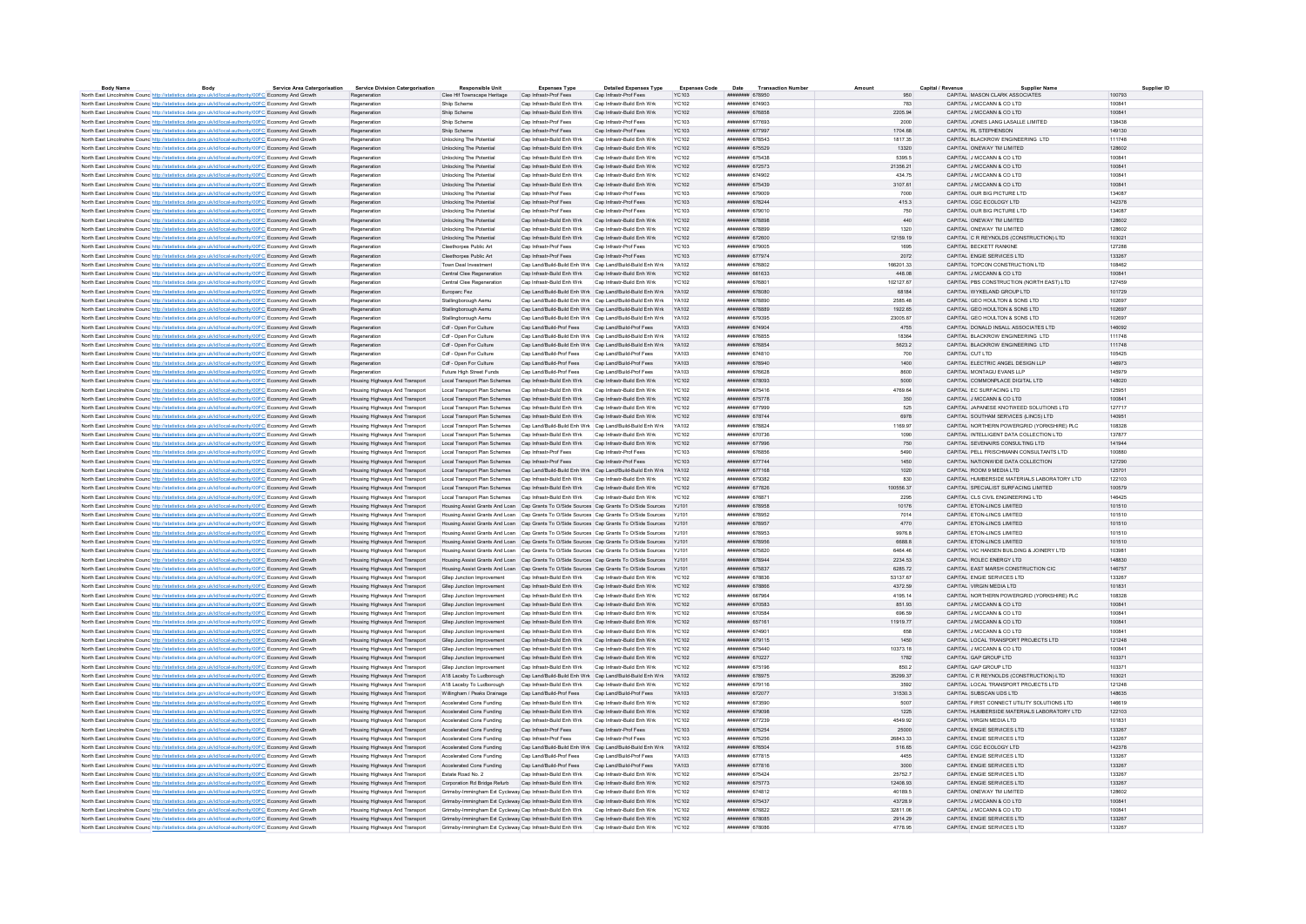| <b>Body Name</b>                                                                                                  | <b>Body</b> | Service Area Catergorisation | <b>Service Division Catergorisation</b> | <b>Responsible Unit</b>                                                                         | <b>Expenses Type</b>                                      | <b>Detailed Expenses Type</b>                                   | <b>Expenses Code</b> | <b>Transaction Numbe</b><br>Date | Amount    | Capital / Revenue | <b>Supplier Name</b>                        | Supplier ID |
|-------------------------------------------------------------------------------------------------------------------|-------------|------------------------------|-----------------------------------------|-------------------------------------------------------------------------------------------------|-----------------------------------------------------------|-----------------------------------------------------------------|----------------------|----------------------------------|-----------|-------------------|---------------------------------------------|-------------|
| North East Lincolnshire Counc http://statistics.data.gov.uk/id/local-authority/00FC Economy And Growth            |             |                              | Regeneration                            | Clee Hif Townscape Heritage                                                                     | Cap Infrastr-Prof Fees                                    | Cap Infrastr-Prof Fees                                          | YC103                | ######## 678950                  |           | 950               | CAPITAL MASON CLARK ASSOCIATES              | 100793      |
| North East Lincolnshire Counc http://statistics.data.gov.uk/id/local-authority/00FC Economy And Growth            |             |                              | Regeneration                            | Shiip Scheme                                                                                    | Cap Infrastr-Build Enh Wrk                                | Cap Infrastr-Build Enh Wrk                                      | <b>YC102</b>         | <i>VHBBHNHH</i> 674903           |           | 783               | CAPITAL J MCCANN & CO LTD                   | 100841      |
| North East Lincolnshire Counc http://statistics.data.gov.uk/id/local-authority/00FC Economy And Growth            |             |                              | Regeneration                            | Shiin Scheme                                                                                    | Can Infrastr-Build Fnh Wrk                                | Can Infrastr-Build Enh Wrk                                      | YC102                | <b><i>HUBBUHH 676858</i></b>     | 2205.94   |                   | CAPITAL JIMCCANN & CO LTD                   | 100841      |
| North East Lincolnshire Counc http://statistics.data.gov.uk/id/local-authority/00FC Economy And Growth            |             |                              | Regeneration                            | Shiin Scheme                                                                                    | Cap Infrastr-Prof Fees                                    | Can Infrastr-Prof Fees                                          | <b>YC103</b>         | ######## 677693                  |           | 2000              | CAPITAL JONES LANG LASALLE LIMITED          | 138438      |
| North East Lincolnshire Counc http://statistics.data.gov.uk/id/local-authority/00FC Economy And Growth            |             |                              | Regeneration                            | Shiip Scheme                                                                                    | Cap Infrastr-Prof Fees                                    | Cap Infrastr-Prof Fees                                          | <b>YC103</b>         | ######## 677997                  | 1704 68   |                   | CAPITAL RL STEPHENSON                       | 149130      |
| North East Lincolnshire Councibito //statistics data gov uk/id/local-authority/00EC Economy And Growth            |             |                              | Regeneration                            | <b>Unlocking The Potential</b>                                                                  | Can Infrastr-Build Fnh Wrk                                | Can Infrastr-Build Enh Wrk                                      | YC102                | ининнин 678543                   | 1817 35   |                   | CAPITAL BLACKROW ENGINEERING LTD            | 111748      |
| North East Lincolnshire Counc http://statistics.data.gov.uk/id/local-authority/00FC Economy And Growth            |             |                              | Regeneration                            | Unlocking The Potential                                                                         | Cap Infrastr-Build Enh Wrk                                | Cap Infrastr-Build Enh Wrk                                      | YC102                | ######## 675529                  |           | 13320             | CAPITAL ONEWAY TM LIMITED                   | 128602      |
| North East Lincolnshire Counc http://statistics.data.gov.uk/id/local-authority/00FC Economy And Growth            |             |                              | Regeneration                            | <b>Unlocking The Potential</b>                                                                  | Can Infrastr-Build Fnh Wrk                                | Can Infrastr-Build Fnh Wrk                                      | YC102                | ининнин 675438                   |           | 5395.5            | CAPITAL JIMCCANN & CO LTD                   | 100841      |
| North East Lincolnshire Counc. http://statistics.data.gov.uk/id/local-authority/00FC Economy And Growth           |             |                              | Regeneration                            | Unlocking The Potential                                                                         | Cap Infrastr-Build Enh Wrk Cap Infrastr-Build Enh Wrk     |                                                                 | <b>YC102</b>         | ####### 672573                   | 21356.21  |                   | CAPITAL J MCCANN & CO LTD                   | 100841      |
|                                                                                                                   |             |                              |                                         |                                                                                                 | Cap Infrastr-Build Enh Wrk                                | Cap Infrastr-Build Enh Wrk                                      |                      | ######## 674902                  |           |                   | CAPITAL J MCCANN & CO LTD                   | 100841      |
| North East Lincolnshire Counc http://statistics.data.gov.uk/id/local-authority/00FC Economy And Growth            |             |                              | Regeneration                            | Unlocking The Potential                                                                         |                                                           |                                                                 | YC102                |                                  |           | 434.75            |                                             |             |
| North East Lincolnshire Counc http://statistics.data.gov.uk/id/local-authority/00FC Economy And Growth            |             |                              | Regeneration                            | Unlocking The Potential                                                                         | Cap Infrastr-Build Enh Wrk                                | Cap Infrastr-Build Enh Wrk                                      | YC102                | ####### 675439                   | 3107.61   |                   | CAPITAL J MCCANN & CO LTD                   | 100841      |
| North East Lincolnshire Counc http://statistics.data.gov.uk/id/local-authority/00FC Economy And Gro               |             |                              | Regeneration                            | Unlocking The Potential                                                                         | Cap Infrastr-Prof Fees                                    | Cap Infrastr-Prof Fees                                          | YC103                | ********** 679009                |           | 7000              | CAPITAL OUR BIG PICTURE LTD                 | 134087      |
| North East Lincolnshire Counc http://statistics.data.gov.uk/id/local-authority/00FC Economy And Growth            |             |                              | Regeneration                            | Unlocking The Potential                                                                         | Cap Infrastr-Prof Fees                                    | Cap Infrastr-Prof Fees                                          | <b>YC103</b>         | ######## 678244                  |           | 415.3             | CAPITAL CGC ECOLOGY LTD                     | 142378      |
| North East Lincolnshire Counc <sup>htto://statistics.data.gov.uk/id/local-authority/00FC Economy And Growth</sup> |             |                              | Regeneration                            | Unlocking The Potential                                                                         | Cap Infrastr-Prof Fees                                    | Cap Infrastr-Prof Fees                                          | <b>YC103</b>         | ####### 679010                   |           | 750               | CAPITAL OUR BIG PICTURE LTD                 | 134087      |
| North East Lincolnshire Counc http://statistics.data.gov.uk/id/local-authority/00FC Economy And Growth            |             |                              | Regeneration                            | Unlocking The Potential                                                                         | Cap Infrastr-Build Enh Wrk                                | Can Infrastr-Build Enh Wrk                                      | YC102                | ######## 678898                  |           | 440               | CAPITAL ONEWAY TM LIMITED                   | 128602      |
| North East Lincolnshire Counc http://statistics.data.gov.uk/id/local-authority/00FC Economy And Growth            |             |                              | Regeneration                            | Unlocking The Potential                                                                         | Cap Infrastr-Build Enh Wrk                                | Cap Infrastr-Build Enh Wrk                                      | <b>YC102</b>         | ####### 67889                    |           | 1320              | CAPITAL ONEWAY TM LIMITED                   | 128602      |
| North East Lincolnshire Counc http://statistics.data.gov.uk/id/local-authority/00FC Economy And Growth            |             |                              | Regeneration                            | Unlocking The Potential                                                                         | Cap Infrastr-Build Enh Wrk                                | Cap Infrastr-Build Enh Wrk                                      | YC102                | ######## 672600                  | 12159.19  |                   | CAPITAL C R REYNOLDS (CONSTRUCTION) LTD     | 103021      |
| North East Lincolnshire Counc http://statistics.data.gov.uk/id/local-authority/00FC Economy And Growth            |             |                              | Regeneration                            | Cleethorpes Public Art                                                                          | Cap Infrastr-Prof Fees                                    | Can Infrastr-Prof Fees                                          | YC103                | ######## 679005                  |           | 1695              | CAPITAL BECKETT RANKINE                     | 127288      |
|                                                                                                                   |             |                              |                                         |                                                                                                 | Cap Infrastr-Prof Fees                                    | Cap Infrastr-Prof Fees                                          | <b>YC103</b>         | ######## 677974                  |           | 2072              | CAPITAL ENGIE SERVICES LTD                  | 133267      |
| North East Lincolnshire Counc http://statistics.data.gov.uk/id/local-authority/00FC Economy And Growth            |             |                              | Regeneration                            | Cleethorpes Public Art                                                                          |                                                           |                                                                 |                      |                                  |           |                   |                                             |             |
| North East Lincolnshire Counc http://statistics.data.gov.uk/id/local-authority/00FC Economy And Growth            |             |                              | Regeneration                            | Town Deal Investment                                                                            |                                                           | Can Land/Build-Build Enh Wrk Can Land/Build-Build Enh Wrk       | <b>YA102</b>         | ининнин 676802                   | 166201.33 |                   | CAPITAL TOPCON CONSTRUCTION LTD             | 108462      |
| North East Lincolnshire Counc http://statistics.data.gov.uk/id/local-authority/00FC Economy And Growth            |             |                              | Regeneration                            | Central Clee Regeneration                                                                       | Cap Infrastr-Build Enh Wrk Cap Infrastr-Build Enh Wrk     |                                                                 | YC102                | ######## 661633                  |           | 448.08            | CAPITAL J MCCANN & CO LTD                   | 100841      |
| North East Lincolnshire Counc http://statistics.data.gov.uk/id/local-authority/00FC Economy And Growth            |             |                              | Regeneration                            | Central Clee Regeneration                                                                       | Can Infrastr-Build Enh Wrk Can Infrastr-Build Enh Wrk     |                                                                 | YC102                | ######## 676801                  | 102127 67 |                   | CAPITAL PBS CONSTRUCTION (NORTH FAST) LTD   | 127459      |
| North East Lincolnshire Counc http://statistics.data.gov.uk/id/local-authority/00FC Economy And Growth            |             |                              | Regeneration                            | Europarc Fez                                                                                    |                                                           | Cap Land/Build-Build Enh Wrk Cap Land/Build-Build Enh Wrk       | YA102                | ######## 678080                  |           | 68184             | CAPITAL WYKELAND GROUP LTD                  | 101729      |
| North East Lincolnshire Counc. http://statistics.data.gov.uk/id/local-authority/00FC Economy And Growth           |             |                              | Regeneration                            | Stallingborough Aemu                                                                            |                                                           | Cap Land/Build-Build Enh Wrk Cap Land/Build-Build Enh Wrk       | V4102                | ######## 678890                  | 2585 48   |                   | CAPITAL GEO HOLLTON & SONS LTD              | 102697      |
| North East Lincolnshire Counc http://statistics.data.gov.uk/id/local-authority/00FC Economy And Growth            |             |                              | Regeneration                            | Stallingborough Aemu                                                                            |                                                           | Cap Land/Build-Build Enh Wrk Cap Land/Build-Build Enh Wrk YA102 |                      | ######## 678889                  | 1922.65   |                   | CAPITAL GEO HOULTON & SONS LTD              | 102697      |
| North East Lincolnshire Counc http://statistics.data.gov.uk/id/local-authority/00FC Economy And Growth            |             |                              | Regeneration                            | Stallingborough Aemu                                                                            |                                                           | Cap Land/Build-Build Enh Wrk Cap Land/Build-Build Enh Wrk       | YA102                | ######## 679395                  | 23005.87  |                   | CAPITAL GEO HOULTON & SONS LTD              | 102697      |
| North East Lincolnshire Counc. http://statistics.data.gov.uk/id/local-authority/00FC Economy And Growth           |             |                              | Regeneration                            | Cdf - Open For Culture                                                                          | Cap Land/Build-Prof Fees Cap Land/Build-Prof Fees         |                                                                 | YA103                | ######## 674904                  |           | 4755              | CAPITAL DONALD INSALL ASSOCIATES LTD        | 146092      |
|                                                                                                                   |             |                              |                                         | Cdf - Open For Culture                                                                          |                                                           |                                                                 |                      | ####### 676855                   |           |                   | CAPITAL BLACKROW ENGINEERING LTD            | 111748      |
| North East Lincolnshire Counc. http://statistics.data.gov.uk/id/local-authority/00FC Economy And Growth           |             |                              | Regeneration                            |                                                                                                 |                                                           | Cap Land/Build-Build Enh Wrk Cap Land/Build-Build Enh Wrk YA102 |                      |                                  |           | 18364             |                                             |             |
| North East Lincolnshire Counc http://statistics.data.gov.uk/id/local-authority/00FC Economy And Growth            |             |                              | Regeneration                            | Cdf - Open For Culture                                                                          |                                                           | Cap Land/Build-Build Enh Wrk Cap Land/Build-Build Enh Wrk YA102 |                      | ######## 676854                  |           | 5623.2            | CAPITAL BLACKROW ENGINEERING LTD            | 111748      |
| North East Lincolnshire Counc http://statistics.data.gov.uk/id/local-authority/00FC Economy And Growt             |             |                              | Regeneration                            | Cdf - Open For Culture                                                                          | Cap Land/Build-Prof Fees                                  | Cap Land/Build-Prof Fees                                        | YA103                | ######## 674810                  |           | 700               | CAPITAL CUT LTD                             | 105425      |
| North East Lincolnshire Counc. http://statistics.data.gov.uk/id/local-authority/00FC Economy And Growth           |             |                              | Regeneration                            | Cdf - Open For Culture                                                                          | Cap Land/Build-Prof Fees                                  | Cap Land/Build-Prof Fees                                        | YA103                | нивниния 678940                  |           | 1400              | CAPITAL ELECTRIC ANGEL DESIGN LLP           | 146973      |
| North East Lincolnshire Counc http://statistics.data.gov.uk/id/local-authority/00FC Economy And Growth            |             |                              | Regeneration                            | Future High Street Funds                                                                        | Cap Land/Build-Prof Fees                                  | Cap Land/Build-Prof Fees                                        | <b>YA103</b>         | ####### 676628                   |           | 8600              | CAPITAL MONTAGU EVANS LLP                   | 145979      |
| North East Lincolnshire Counc http://statistics.data.gov.uk/id/local-authority/00FC Economy And Growth            |             |                              | Housing Highways And Transport          | Local Transport Plan Schemes Cap Infrastr-Build Enh Wrk Cap Infrastr-Build Enh Wrk              |                                                           |                                                                 | YC102                | ######## 678093                  |           | 5000              | CAPITAL COMMONPLACE DIGITAL LTD             | 148020      |
| North East Lincolnshire Counc http://statistics.data.gov.uk/id/local-authority/00FC Economy And Growth            |             |                              | Housing Highways And Transport          | Local Transport Plan Schemes Cap Infrastr-Build Enh Wrk                                         |                                                           | Can Infrastr-Build Enh Wrk                                      | YC102                | ######## 675416                  | 4769.64   |                   | CAPITAL FC SURFACING LTD                    | 125951      |
| North East Lincolnshire Counc http://statistics.data.gov.uk/id/local-authority/00FC Economy And Growth            |             |                              | Housing Highways And Transport          | Local Transport Plan Schemes Cap Infrastr-Build Enh Wrk                                         |                                                           | Cap Infrastr-Build Enh Wrk                                      | YC102                | ######## 675778                  |           | 350               | CAPITAL J MCCANN & CO LTD                   | 100841      |
| North East Lincolnshire Counc http://statistics.data.gov.uk/id/local-authority/00FC Economy And Growth            |             |                              | Housing Highways And Transport          | Local Transport Plan Schemes Cap Infrastr-Build Enh Wrk                                         |                                                           | Can Infrastr-Build Fnh Wrk                                      | YC102                | <b><i>HNHHHHHH 677000</i></b>    |           | 525               | CAPITAL JAPANESE KNOTWEED SOLUTIONS LTD     | 127717      |
|                                                                                                                   |             |                              | Housing Highways And Transport          | Local Transport Plan Schemes Cap Infrastr-Build Enh Wrk Cap Infrastr-Build Enh Wrk              |                                                           |                                                                 | YC102                | ######## 678744                  |           | 6978              | CAPITAL SOUTHAM SERVICES (LINCS) LTD        | 140951      |
| North East Lincolnshire Counc http://statistics.data.gov.uk/id/local-authority/00FC Economy And Growth            |             |                              |                                         |                                                                                                 |                                                           |                                                                 |                      |                                  |           |                   |                                             |             |
| North East Lincolnshire Counc http://statistics.data.gov.uk/id/local-authority/00FC Economy And Growth            |             |                              | Housing Highways And Transport          | Local Transport Plan Schemes Cap Land/Build-Build Enh Wrk Cap Land/Build-Build Enh Wrk          |                                                           |                                                                 | YA102                | ######## 678824                  | 1169.97   |                   | CAPITAL NORTHERN POWERGRID (YORKSHIRE) PLC  | 108328      |
| North East Lincolnshire Councibito //statistics data gov uk/id/local-authority/00EC Economy And Growth            |             |                              | Housing Highways And Transport          | Local Transport Plan Schemes Can Infrastr-Build Fnh Wrk Can Infrastr-Build Fnh Wrk              |                                                           |                                                                 | YC102                | ######## 670736                  |           | 1090              | CAPITAL INTELLIGENT DATA COLLECTION LTD.    | 137877      |
| North East Lincolnshire Counc http://statistics.data.gov.uk/id/local-authority/00FC Economy And Growth            |             |                              | Housing Highways And Transport          | Local Transport Plan Schemes Cap Infrastr-Build Enh Wrk                                         |                                                           | Cap Infrastr-Build Enh Wrk                                      | YC102                | ####### 677996                   |           | 750               | CAPITAL SEVENAIRS CONSULTING LTD            | 141944      |
| North East Lincolnshire Counc http://statistics.data.gov.uk/id/local-authority/00FC Economy And Growth            |             |                              | Housing Highways And Transport          | Local Transport Plan Schemes Can Infrastr-Prof Fees                                             |                                                           | Can Infrastr-Prof Fees                                          | <b>YC103</b>         | <b>######## 676856</b>           |           | 5490              | CAPITAL PELL FRISCHMANN CONSULTANTS LTD     | 100880      |
| North East Lincolnshire Counc http://statistics.data.gov.uk/id/local-authority/00FC Economy And Growth            |             |                              | Housing Highways And Transport          | Local Transport Plan Schemes Cap Infrastr-Prof Fees                                             |                                                           | Cap Infrastr-Prof Fees                                          | <b>YC103</b>         | ######## 677744                  |           | 1450              | CAPITAL NATIONWIDE DATA COLLECTION          | 127290      |
| North East Lincolnshire Councint the Material State Advanced Authority/00FC Economy And Growth                    |             |                              | Housing Highways And Transport          | Local Transport Plan Schemes Cap Land/Build-Build Enh Wrk Cap Land/Build-Build Enh Wrk          |                                                           |                                                                 | YA102                | ######## 677168                  |           | 1020              | CAPITAL ROOM 9 MEDIA LTD                    | 125701      |
| North East Lincolnshire Counc. http://statistics.data.gov.uk/id/local-authority/00FC Economy And Growth           |             |                              | Housing Highways And Transport          | Local Transport Plan Schemes Cap Infrastr-Build Enh Wrk                                         |                                                           | Cap Infrastr-Build Enh Wrk                                      | YC102                | ######## 679382                  |           | 830               | CAPITAL HUMBERSIDE MATERIALS LABORATORY LTD | 122103      |
| North East Lincolnshire Counc http://statistics.data.gov.uk/id/local-authority/00FC Economy And Growth            |             |                              | Housing Highways And Transport          | Local Transport Plan Schemes Cap Infrastr-Build Enh Wrk                                         |                                                           | Cap Infrastr-Build Enh Wrk                                      | YC102                | ######## 677826                  | 100556.37 |                   | CAPITAL SPECIALIST SURFACING LIMITED        | 100579      |
| North East Lincolnshire Counc http://statistics.data.gov.uk/id/local-authority/00FC Economy And Growth            |             |                              | Housing Highways And Transport          | Local Transport Plan Schemes   Cap Infrastr-Build Enh Wrk   Cap Infrastr-Build Enh Wrk          |                                                           |                                                                 | <b>YC102</b>         | ######## 676871                  |           | 2295              | CAPITAL CLS CIVIL ENGINEERING LTD           | 146425      |
|                                                                                                                   |             |                              |                                         |                                                                                                 |                                                           |                                                                 |                      |                                  |           |                   |                                             |             |
| North East Lincolnshire Counc. http://statistics.data.gov.uk/id/local-authority/00FC Economy And Growth           |             |                              | Housing Highways And Transport          | Housing Assist Grants And Loan Cap Grants To O/Side Sources Cap Grants To O/Side Sources YJ101  |                                                           |                                                                 |                      | ####### 678958                   |           | 10176             | CAPITAL ETON-LINCS LIMITED                  | 101510      |
| North East Lincolnshire Counc http://statistics.data.gov.uk/id/local-authority/00FC Economy And Growth            |             |                              | Housing Highways And Transport          | Housing Assist Grants And Loan Cap Grants To O/Side Sources Cap Grants To O/Side Sources YJ101  |                                                           |                                                                 |                      | ######## 678952                  |           | 7014              | CAPITAL FTON-LINCS LIMITED                  | 101510      |
| North East Lincolnshire Counc http://statistics.data.gov.uk/id/local-authority/00FC Economy And Growth            |             |                              | Housing Highways And Transport          | Housing Assist Grants And Loan Cap Grants To O/Side Sources Cap Grants To O/Side Sources        |                                                           |                                                                 | YJ101                | ####### 678957                   |           | 4770              | CAPITAL ETON-LINCS LIMITED                  | 101510      |
| North East Lincolnshire Counc http://statistics.data.gov.uk/id/local-authority/00FC Economy And Growth            |             |                              | Housing Highways And Transport          | Housing Assist Grants And Loan Cap Grants To O/Side Sources Cap Grants To O/Side Sources        |                                                           |                                                                 | Y.1101               | <b>######## 678953</b>           |           | 9976.8            | CAPITAL FTON-LINCS LIMITED                  | 101510      |
| North East Lincolnshire Counc http://statistics.data.gov.uk/id/local-authority/00FC Economy And Growth            |             |                              | Housing Highways And Transport          | Housing Assist Grants And Loan Cap Grants To O/Side Sources Cap Grants To O/Side Sources YJ101  |                                                           |                                                                 |                      | ######## 678956                  |           | 6688.8            | CAPITAL ETON-LINCS LIMITED                  | 101510      |
| North East Lincolnshire Counc http://statistics.data.gov.uk/id/local-authority/00FC Economy And Growth            |             |                              | Housing Highways And Transport          | Housing Assist Grants And Loan Cap Grants To O/Side Sources Cap Grants To O/Side Sources YJ101  |                                                           |                                                                 |                      | ######## 675820                  | 6464.46   |                   | CAPITAL VIC HANSEN BUILDING & JOINERY LTD   | 103981      |
| North East Lincolnshire Counc http://statistics.data.gov.uk/id/local-authority/00FC Economy And Growth            |             |                              | Housing Highways And Transport          | Housing Assist Grants And Loan Cap Grants To O/Side Sources Cap Grants To O/Side Sources Y.1101 |                                                           |                                                                 |                      | нивниния 678944                  | 2234 53   |                   | CAPITAL ROLEC ENERGY LTD                    | 148830      |
| North East Lincolnshire Counc http://statistics.data.gov.uk/id/local-authority/00FC Economy And Growth            |             |                              | Housing Highways And Transport          | Housing Assist Grants And Loan Cap Grants To O/Side Sources Cap Grants To O/Side Sources        |                                                           |                                                                 | YJ101                | ######## 675837                  | 6285.72   |                   | CAPITAL EAST MARSH CONSTRUCTION CIC         | 146757      |
| North East Lincolnshire Counc http://statistics.data.gov.uk/id/local-authority/00FC Economy And Growth            |             |                              | Housing Highways And Transport          | Glien Junction Improvement                                                                      | Can Infrastr-Build Fnh Wrk Can Infrastr-Build Fnh Wrk     |                                                                 | YC102                | иннинии 678836                   | 53137 67  |                   | CAPITAL FNGIF SERVICES LTD                  | 133267      |
|                                                                                                                   |             |                              |                                         |                                                                                                 | Can Infrastr-Build Fnh Wrk Can Infrastr-Build Fnh Wrk     |                                                                 |                      | <b>инвинин</b> 678866            |           |                   |                                             |             |
| North East Lincolnshire Counc http://statistics.data.gov.uk/id/local-authority/00FC Economy And Growth            |             |                              | Housing Highways And Transport          | Gliep Junction Improvement                                                                      |                                                           |                                                                 | YC102                |                                  | 4372.59   |                   | CAPITAL VIRGIN MEDIA LTD                    | 101831      |
| North East Lincolnshire Counc. http://statistics.data.gov.uk/id/local-authority/00FC Economy And Growth           |             |                              | Housing Highways And Transport          | Gliep Junction Improvement                                                                      | Cap Infrastr-Build Enh Wrk Cap Infrastr-Build Enh Wrk     |                                                                 | YC102                | ####### 667964                   | 4195.14   |                   | CAPITAL NORTHERN POWERGRID (YORKSHIRE) PLC  | 108328      |
| North East Lincolnshire Counc http://statistics.data.gov.uk/id/local-authority/00FC Economy And Growth            |             |                              | Housing Highways And Transport          | Gliep Junction Improvement                                                                      | Cap Infrastr-Build Enh Wrk Cap Infrastr-Build Enh Wrk     |                                                                 | <b>YC102</b>         | ######## 670583                  |           | 851.93            | CAPITAL J MCCANN & CO LTD                   | 100841      |
| North East Lincolnshire Counc http://statistics.data.gov.uk/id/local-authority/00FC Economy And Growth            |             |                              | Housing Highways And Transport          | Gliep Junction Improvement                                                                      | Cap Infrastr-Build Enh Wrk                                | Cap Infrastr-Build Enh Wrk                                      | <b>YC102</b>         | *********** 670584               |           | 696.59            | CAPITAL J MCCANN & CO LTD                   | 100841      |
| North East Lincolnshire Counc http://statistics.data.gov.uk/id/local-authority/00FC Economy And Growth            |             |                              | Housing Highways And Transport          | Gliep Junction Improvement                                                                      | Cap Infrastr-Build Enh Wrk Cap Infrastr-Build Enh Wrk     |                                                                 | <b>YC102</b>         | ######## 657161                  | 11919.77  |                   | CAPITAL J MCCANN & CO LTD                   | 100841      |
| North East Lincolnshire Counc. http://statistics.data.gov.uk/id/local-authority/00FC Economy And Growth           |             |                              | Housing Highways And Transport          | Gliep Junction Improvement                                                                      | Cap Infrastr-Build Enh Wrk                                | Cap Infrastr-Build Enh Wrk                                      | YC102                | ######## 674901                  |           | 658               | CAPITAL J MCCANN & CO LTD                   | 100841      |
| North East Lincolnshire Counc http://statistics.data.gov.uk/id/local-authority/00FC Economy And Growth            |             |                              | Housing Highways And Transport          | Gliep Junction Improvement                                                                      | Cap Infrastr-Build Enh Wrk Cap Infrastr-Build Enh Wrk     |                                                                 | YC102                | ######## 679115                  |           | 1450              | CAPITAL LOCAL TRANSPORT PROJECTS LTD        | 121248      |
| North East Lincolnshire Counc http://statistics.data.gov.uk/id/local-authority/00FC Economy And Growth            |             |                              | Housing Highways And Transport          | Gliep Junction Improvement                                                                      | Cap Infrastr-Build Enh Wrk                                | Cap Infrastr-Build Enh Wrk                                      | YC102                | ######## 675440                  | 10373.18  |                   | CAPITAL J MCCANN & CO LTD                   | 100841      |
| North East Lincolnshire Counc http://statistics.data.gov.uk/id/local-authority/00FC Economy And Growth            |             |                              | Housing Highways And Transport          | Gliep Junction Improvement                                                                      | Cap Infrastr-Build Enh Wrk                                | Cap Infrastr-Build Enh Wrk                                      | YC102                | <b>НИВИНИИ</b> 670227            |           | 1782              | CAPITAL GAP GROUP LTD                       | 103371      |
|                                                                                                                   |             |                              |                                         |                                                                                                 |                                                           |                                                                 |                      |                                  |           |                   |                                             |             |
| North East Lincolnshire Counc http://statistics.data.gov.uk/id/local-authority/00FC Economy And Growth            |             |                              | Housing Highways And Transport          | Gliep Junction Improvement                                                                      | Cap Infrastr-Build Enh Wrk Cap Infrastr-Build Enh Wrk     |                                                                 | YC102                | ######## 675196                  |           | 850.2             | CAPITAL GAP GROUP LTD                       | 103371      |
| North East Lincolnshire Counc http://statistics.data.gov.uk/id/local-authority/00FC Economy And Growth            |             |                              | Housing Highways And Transport          | A18 Laceby To Ludborough                                                                        |                                                           | Cap Land/Build-Build Enh Wrk Cap Land/Build-Build Enh Wrk       | YA102                | ######## 678975                  | 35299.37  |                   | CAPITAL C R REYNOLDS (CONSTRUCTION) LTD     | 103021      |
| North East Lincolnshire Counc http://statistics.data.gov.uk/id/local-authority/00FC Economy And Growth            |             |                              | Housing Highways And Transport          | A18 Laceby To Ludborough                                                                        | Cap Infrastr-Build Enh Wrk Cap Infrastr-Build Enh Wrk     |                                                                 | YC102                | ######## 679116                  |           | 3592              | CAPITAL LOCAL TRANSPORT PROJECTS LTD        | 121248      |
| North East Lincolnshire Counc http://statistics.data.gov.uk/id/local-authority/00FC Economy And Growth            |             |                              | Housing Highways And Transport          | Willingham / Peaks Drainage                                                                     | Cap Land/Build-Prof Fees                                  | Cap Land/Build-Prof Fees                                        | YA103                | ####### 672077                   | 31530.3   |                   | CAPITAL SUBSCAN UDS LTD                     | 148635      |
| North East Lincolnshire Counc http://statistics.data.gov.uk/id/local-authority/00FC Economy And Growth            |             |                              | Housing Highways And Transport          | Accelerated Cons Funding                                                                        | Cap Infrastr-Build Enh Wrk                                | Can Infrastr-Build Enh Wrk                                      | <b>YC102</b>         | ######## 673590                  |           | 5007              | CAPITAL FIRST CONNECT UTILITY SOLUTIONS LTD | 146619      |
| North East Lincolnshire Counc http://statistics.data.gov.uk/id/local-authority/00FC Economy And Growth            |             |                              | Housing Highways And Transport          | Accelerated Cons Funding                                                                        | Cap Infrastr-Build Enh Wrk Cap Infrastr-Build Enh Wrk     |                                                                 | <b>YC102</b>         | ######## 679098                  |           | 1225              | CAPITAL HUMBERSIDE MATERIALS LABORATORY LTD | 122103      |
| North East Lincolnshire Counc http://statistics.data.gov.uk/id/local-authority/00FC Economy And Growth            |             |                              | Housing Highways And Transport          | Accelerated Cons Funding                                                                        | Cap Infrastr-Build Enh Wrk                                | Cap Infrastr-Build Enh Wrk                                      | YC102                | ининнин 677239                   | 4549.92   |                   | CAPITAL VIRGIN MEDIA LTD                    | 101831      |
| North East Lincolnshire Councibito //statistics data gov uk/id/local-authority/00EC Economy And Growth            |             |                              | Housing Highways And Transport          | Accelerated Cons Funding                                                                        | Can Infrastr-Prof Fees                                    | Can Infrastr-Prof Fees                                          | YC103                | нивниния 675254                  |           | 25000             | CAPITAL FNGIF SERVICES LTD                  | 133267      |
| North East Lincolnshire Counc http://statistics.data.gov.uk/id/local-authority/00FC Economy And Growth            |             |                              | Housing Highways And Transport          | Accelerated Cons Funding                                                                        | Cap Infrastr-Prof Fees                                    | Cap Infrastr-Prof Fees                                          | YC103                | <i>vannanan</i> 675256           | 26843.33  |                   | CAPITAL ENGIE SERVICES LTD                  | 133267      |
|                                                                                                                   |             |                              |                                         |                                                                                                 |                                                           |                                                                 |                      |                                  |           |                   |                                             |             |
| North East Lincolnshire Counc. http://statistics.data.gov.uk/id/local-authority/00FC Economy And Growth           |             |                              | Housing Highways And Transport          | Accelerated Cons Eunding                                                                        | Can Land/Build-Build Enh Wrk Can Land/Build-Build Enh Wrk |                                                                 | <b>YA102</b>         | <b><i>BRESHERE 676504</i></b>    |           | 516.65            | CAPITAL CGC ECOLOGY LTD                     | 142378      |
| North East Lincolnshire Counc http://statistics.data.gov.uk/id/local-authority/00FC Economy And Growth            |             |                              | Housing Highways And Transport          | Accelerated Cons Funding                                                                        | Cap Land/Build-Prof Fees                                  | Cap Land/Build-Prof Fees                                        | YA103                | ####### 677815                   |           | 4455              | CAPITAL ENGIE SERVICES LTD                  | 133267      |
| North East Lincolnshire Counc. http://statistics.data.gov.uk/id/local-authority/00FC Economy And Growth           |             |                              | Housing Highways And Transport          | Accelerated Cons Funding                                                                        | Cap Land/Build-Prof Fees                                  | Cap Land/Build-Prof Fees                                        | <b>YA103</b>         | ######## 677816                  |           | 3000              | CAPITAL ENGIE SERVICES LTD                  | 133267      |
| North East Lincolnshire Counc. http://statistics.data.gov.uk/id/local-authority/00FC Economy And Growth           |             |                              | Housing Highways And Transport          | Estate Road No. 2                                                                               | Cap Infrastr-Build Enh Wrk                                | Cap Infrastr-Build Enh Wrk                                      | YC102                | ######## 675424                  | 25752.7   |                   | CAPITAL ENGIE SERVICES LTD                  | 133267      |
| North East Lincolnshire Counc http://statistics.data.gov.uk/id/local-authority/00FC Economy And Growth            |             |                              | Housing Highways And Transport          | Corporation Rd Bridge Refurb                                                                    | Cap Infrastr-Build Enh Wrk                                | Cap Infrastr-Build Enh Wrk                                      | YC102                | ######## 675773                  | 12408.93  |                   | CAPITAL ENGIE SERVICES LTD                  | 133267      |
| North East Lincolnshire Counc http://statistics.data.gov.uk/id/local-authority/00FC Economy And Growth            |             |                              | Housing Highways And Transport          | Grimsby-Immingham Ext Cycleway Cap Infrastr-Build Enh Wrk                                       |                                                           | Cap Infrastr-Build Enh Wrk                                      | <b>YC102</b>         | ####### 674812                   | 40189.5   |                   | CAPITAL ONEWAY TM LIMITED                   | 128602      |
| North East Lincolnshire Counc <sup>htto://statistics.data.gov.uk/id/local-authority/00FC Economy And Growth</sup> |             |                              | Housing Highways And Transport          | Grimsby-Immingham Ext Cycleway Cap Infrastr-Build Enh Wrk Cap Infrastr-Build Enh Wrk            |                                                           |                                                                 | YC102                | ####### 675437                   | 43728.9   |                   | CAPITAL J MCCANN & CO LTD                   | 100841      |
| North East Lincolnshire Counc http://statistics.data.gov.uk/id/local-authority/00FC Economy And Growth            |             |                              | Housing Highways And Transport          | Grimsby-Immingham Ext Cycleway Cap Infrastr-Build Enh Wrk                                       |                                                           | Can Infrastr-Build Enh Wrk                                      | YC102                | <b>ИНИНИНИ 676822</b>            | 32811.06  |                   | CAPITAL J MCCANN & CO LTD                   | 100841      |
| North East Lincolnshire Counc http://statistics.data.gov.uk/id/local-authority/00FC Economy And Growth            |             |                              | Housing Highways And Transport          | Grimsby-Immingham Ext Cycleway Cap Infrastr-Build Enh Wrk                                       |                                                           | Cap Infrastr-Build Enh Wrk                                      | YC102                | ####### 678085                   | 2914.29   |                   | CAPITAL ENGIE SERVICES LTD                  | 133267      |
|                                                                                                                   |             |                              |                                         |                                                                                                 |                                                           |                                                                 |                      |                                  |           |                   |                                             |             |
| North East Lincolnshire Counc http://statistics.data.gov.uk/id/local-authority/00FC Economy And Growth            |             |                              | Housing Highways And Transport          | Grimsby-Immingham Ext Cycleway Cap Infrastr-Build Enh Wrk                                       |                                                           | Can Infrastr-Build Enh Wrk                                      | <b>YC102</b>         | ######## 678086                  | 4778.95   |                   | CAPITAL ENGIE SERVICES LTD                  | 133267      |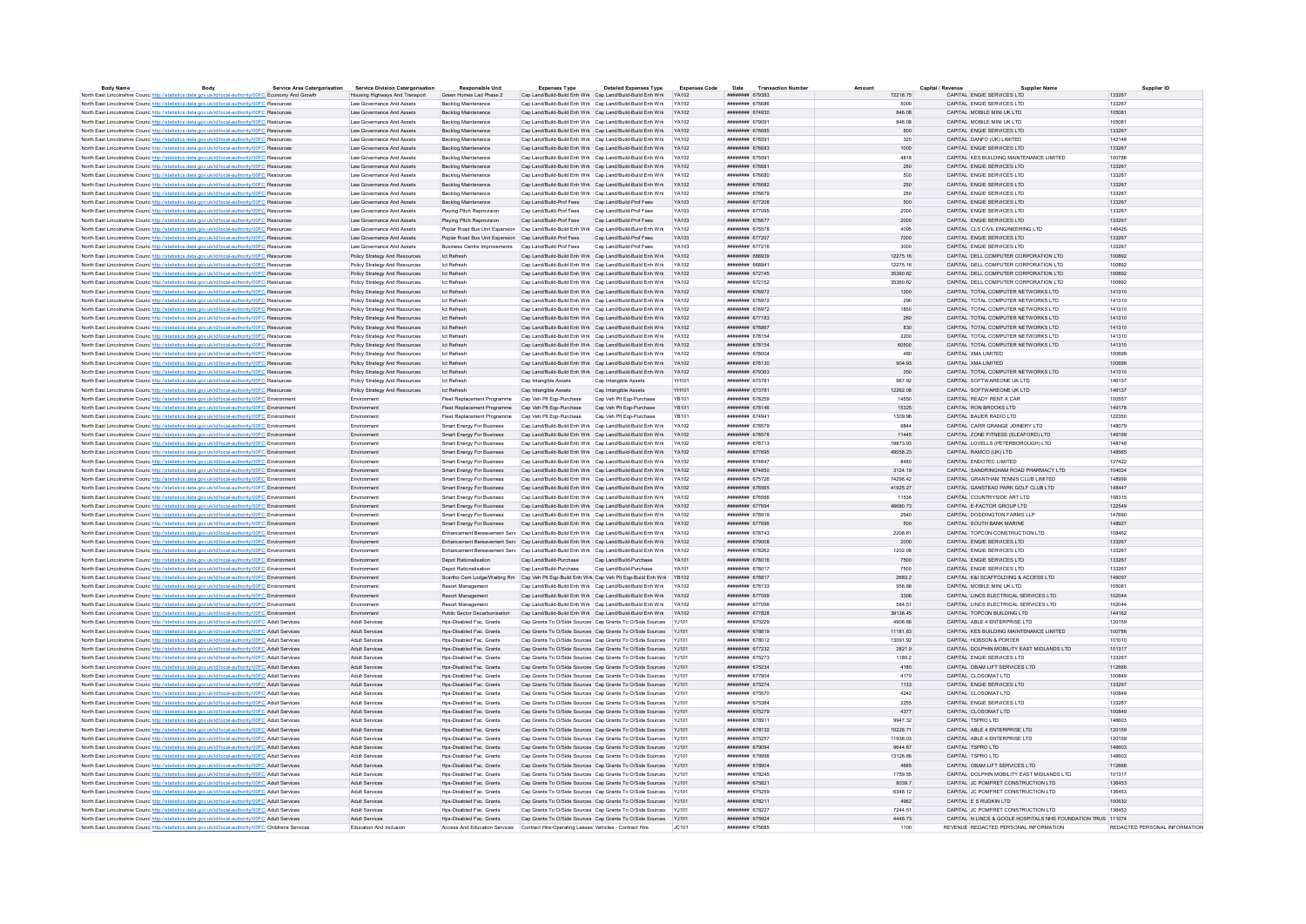| <b>Body Name</b>                                                                                         | Rody | <b>Service Area Catergorisation</b> | Service Division Catergorisation                       | <b>Responsible Unit</b>                                                                        | <b>Expenses Type</b>                              | <b>Detailed Expenses Type</b>                                    | <b>Expenses Code</b> | Date Transaction Number      | Amount   | Capital / Revenue |                                                              | Supplier ID                   |
|----------------------------------------------------------------------------------------------------------|------|-------------------------------------|--------------------------------------------------------|------------------------------------------------------------------------------------------------|---------------------------------------------------|------------------------------------------------------------------|----------------------|------------------------------|----------|-------------------|--------------------------------------------------------------|-------------------------------|
| North East Lincolnshire Counc http://statistics.data.gov.uk/id/local-authority/00FC Economy And Growth   |      |                                     | Housing Highways And Transport Green Homes Lad Phase 2 |                                                                                                |                                                   | Cap Land/Build-Build Enh Wrk Cap Land/Build-Build Enh Wrk YA102  |                      | ######## 679383              | 72218 75 |                   | CAPITAL FNGIF SERVICES LTD                                   | 133267                        |
| North East Lincolnshire Counc http://statistics.data.gov.uk/id/local-authority/00FC Resources            |      |                                     | Law Governance And Assets                              | Backlog Maintenance                                                                            |                                                   | Cap Land/Build-Build Enh Wrk Cap Land/Build-Build Enh Wrk        | YA102                | ####### 67668                | 5000     |                   | CAPITAL ENGIE SERVICES LTD                                   | 133267                        |
| North East Lincolnshire Counc http://statistics.data.gov.uk/id/local-authority/00FC Resources            |      |                                     | I aw Governance And Assets                             | Backlog Maintenance                                                                            |                                                   | Can Land/Build-Build Enh Wrk Can Land/Build-Build Enh Wrk YA102  |                      | ######## 674930              | 846.08   |                   | CAPITAL MOBILE MINI UK LTD                                   | 105081                        |
| North East Lincolnshire Counc http://statistics.data.gov.uk/id/local-authority/00FC Resources            |      |                                     | Law Governance And Assets                              | Backlog Maintenance                                                                            |                                                   | Cap Land/Build-Build Enh Wrk Cap Land/Build-Build Enh Wrk YA102  |                      | ######## 679091              | 846.08   |                   | CAPITAL MOBILE MINI UK LTD                                   | 105081                        |
|                                                                                                          |      |                                     |                                                        |                                                                                                |                                                   |                                                                  |                      | ######## 676685              |          |                   | CAPITAL FNGIF SERVICES LTD                                   | 133267                        |
| North East Lincolnshire Counc http://statistics.data.gov.uk/id/local-authority/00FC Resources            |      |                                     | Law Governance And Assets                              | Backlog Maintenance                                                                            |                                                   | Cap Land/Build-Build Enh Wrk Cap Land/Build-Build Enh Wrk YA102  |                      |                              | 500      |                   |                                                              |                               |
| North East Lincolnshire Counc http://statistics.data.gov.uk/id/local-authority/00FC Resources            |      |                                     | Law Governance And Assets                              | Backlon Maintenance                                                                            |                                                   | Can Land/Build-Build Enh Wrk Can Land/Build-Build Enh Wrk YA102  |                      | ######## 676591              | 320      |                   | CAPITAL DANFO (UK) LIMITED                                   | 142148                        |
| North East Lincolnshire Counc http://statistics.data.gov.uk/id/local-authority/00FC Resources            |      |                                     | Law Governance And Assets                              | Backlog Maintenance                                                                            |                                                   | Cap Land/Build-Build Enh Wrk Cap Land/Build-Build Enh Wrk YA102  |                      | ######## 676683              | 1000     |                   | CAPITAL ENGIE SERVICES LTD                                   | 133267                        |
| North East Lincolnshire Counc http://statistics.data.gov.uk/id/local-authority/00FC Resources            |      |                                     | Law Governance And Assets                              | Backlog Maintenance                                                                            |                                                   | Can Land/Build-Build Enh Wrk Can Land/Build-Build Enh Wrk YA102  |                      | ######## 675591              | 4818     |                   | CAPITAL KES BUILDING MAINTENANCE LIMITED                     | 100786                        |
| North East Lincolnshire Counc. http://statistics.data.gov.uk/id/local-authority/00FC Resources           |      |                                     | Law Governance And Assets                              | Backlog Maintenance                                                                            |                                                   | Cap Land/Build-Build Enh Wrk Cap Land/Build-Build Enh Wrk YA102  |                      | ######## 676681              | 250      |                   | CAPITAL FNGIF SERVICES LTD                                   | 133267                        |
| North East Lincolnshire Counc http://statistics.data.gov.uk/id/local-authority/00FC Resources            |      |                                     | Law Governance And Assets                              | Backlog Maintenance                                                                            |                                                   | Cap Land/Build-Build Enh Wrk Cap Land/Build-Build Enh Wrk YA102  |                      | ######## 676680              | 500      |                   | CAPITAL FNGIF SERVICES LTD                                   | 133267                        |
|                                                                                                          |      |                                     |                                                        |                                                                                                |                                                   | Cap Land/Build-Build Enh Wrk Cap Land/Build-Build Enh Wrk YA102  |                      | ######## 676682              | 250      |                   |                                                              | 133267                        |
| North East Lincolnshire Counc http://statistics.data.gov.uk/id/local-authority/00FC Resources            |      |                                     | Law Governance And Assets                              | Backlog Maintenance                                                                            |                                                   |                                                                  |                      |                              |          |                   | CAPITAL ENGIE SERVICES LTD                                   |                               |
| North East Lincolnshire Counc http://statistics.data.gov.uk/id/local-authority/00FC Resource             |      |                                     | Law Governance And Assets                              | Backlog Maintenance                                                                            |                                                   | Cap Land/Build-Build Enh Wrk Cap Land/Build-Build Enh Wrk        | <b>YA102</b>         | ####### 676679               | 250      |                   | CAPITAL ENGIE SERVICES LTD                                   | 133267                        |
| North East Lincolnshire Counc http://statistics.data.gov.uk/id/local-authority/00FC Resources            |      |                                     | I aw Governance And Assets                             | Backlog Maintenance                                                                            | Can Land/Build-Prof Fees Can Land/Build-Prof Fees |                                                                  | <b>YA103</b>         | <b><i>HEBREHE 677208</i></b> | 500      |                   | CAPITAL FNGIF SERVICES LTD                                   | 133267                        |
| North East Lincolnshire Counc <sup>http://statistics.data.gov.uk/id/local-authority/00FC Resources</sup> |      |                                     | Law Governance And Assets                              | Plaving Pitch Reprovision                                                                      | Cap Land/Build-Prof Fees                          | Cap Land/Build-Prof Fees                                         | YA103                | ####### 677095               | 2000     |                   | CAPITAL ENGIE SERVICES LTD                                   | 133267                        |
| North East Lincolnshire Counc http://statistics.data.gov.uk/id/local-authority/00FC Resources            |      |                                     | Law Governance And Assets                              | Playing Pitch Reprovision                                                                      | Cap Land/Build-Prof Fees Cap Land/Build-Prof Fees |                                                                  | YA103                | ######## 676677              | 2000     |                   | CAPITAL ENGIE SERVICES LTD                                   | 133267                        |
| North East Lincolnshire Counc http://statistics.data.gov.uk/id/local-authority/00FC Resources            |      |                                     | Law Governance And Assets                              | Poplar Road Bus Unit Expansion Cap Land/Build-Build Enh Wrk Cap Land/Build-Build Enh Wrk       |                                                   |                                                                  | YA102                | ######## 675578              | 4095     |                   | CAPITAL CLS CIVIL ENGINEERING LTD                            | 146425                        |
|                                                                                                          |      |                                     |                                                        |                                                                                                |                                                   |                                                                  |                      |                              |          |                   |                                                              |                               |
| North East Lincolnshire Counc <sup>http://statistics.data.gov.uk/id/local-authority/00FC Resources</sup> |      |                                     | Law Governance And Assets                              | Poplar Road Bus Unit Expansion Cap Land/Build-Prof Fees Cap Land/Build-Prof Fees               |                                                   |                                                                  | YA103                | ######## 677207              | 7000     |                   | CAPITAL ENGIE SERVICES LTD                                   | 133267                        |
| North East Lincolnshire Counc http://statistics.data.gov.uk/id/local-authority/00FC Resources            |      |                                     | Law Governance And Assets                              | Business Centre Improvements Cap Land/Build-Prof Fees                                          |                                                   | Cap Land/Build-Prof Fees                                         | YA103                | ####### 677216               | 3000     |                   | CAPITAL ENGIE SERVICES LTD                                   | 133267                        |
| North East Lincolnshire Counc http://statistics.data.gov.uk/id/local-authority/00FC Resources            |      |                                     | Policy Strategy And Resources                          | <b>Ict Refresh</b>                                                                             |                                                   | Cap Land/Build-Build Enh Wrk Cap Land/Build-Build Enh Wrk YA102  |                      | ######## 668939              | 12275.16 |                   | CAPITAL DELL COMPUTER CORPORATION LTD                        | 100892                        |
| North East Lincolnshire Counc http://statistics.data.gov.uk/id/local-authority/00FC Resources            |      |                                     | Policy Strategy And Resources                          | <b>Ict Refresh</b>                                                                             |                                                   | Cap Land/Build-Build Enh Wrk Cap Land/Build-Build Enh Wrk YA102  |                      | HUUHUHU 668941               | 12275 16 |                   | CAPITAL DELL COMPUTER CORPORATION LTD.                       | 100892                        |
| North East Lincolnshire Counc http://statistics.data.gov.uk/id/local-authority/00FC Resources            |      |                                     | Policy Strategy And Resources                          | <b>Ict Refresh</b>                                                                             |                                                   | Cap Land/Build-Build Enh Wrk Cap Land/Build-Build Enh Wrk        | YA102                | ####### 672145               | 35360.62 |                   | CAPITAL DELL COMPUTER CORPORATION LTD                        | 100892                        |
| North East Lincolnshire Counc <sup>http://statistics.data.gov.uk/id/local-authority/00FC Resources</sup> |      |                                     | Policy Strategy And Resources                          | <b>Ict Refresh</b>                                                                             |                                                   | Cap Land/Build-Build Enh Wrk Cap Land/Build-Build Enh Wrk YA102  |                      | ######## 672152              | 35360.62 |                   | CAPITAL DELL COMPLITER CORPORATION LTD                       | 100892                        |
|                                                                                                          |      |                                     |                                                        |                                                                                                |                                                   |                                                                  |                      |                              |          |                   |                                                              |                               |
| North East Lincolnshire Counc http://statistics.data.gov.uk/id/local-authority/00FC Resources            |      |                                     | Policy Strategy And Resources                          | Ict Refresh                                                                                    |                                                   | Cap Land/Build-Build Enh Wrk Cap Land/Build-Build Enh Wrk YA102  |                      | ####### 676972               | 1200     |                   | CAPITAL TOTAL COMPUTER NETWORKS LTD                          | 141310                        |
| North East Lincolnshire Counc http://statistics.data.gov.uk/id/local-authority/00FC Resources            |      |                                     | Policy Strategy And Resources                          | Ict Refresh                                                                                    |                                                   | Cap Land/Build-Build Enh Wrk Cap Land/Build-Build Enh Wrk YA102  |                      | ######## 676972              | 290      |                   | CAPITAL TOTAL COMPUTER NETWORKS LTD                          | 141310                        |
| North East Lincolnshire Counc <sup>http://statistics.data.gov.uk/id/local-authority/00FC Resources</sup> |      |                                     | Policy Strategy And Resources                          | <b>Ict Refresh</b>                                                                             |                                                   | Can Land/Build-Build Enh Wrk Can Land/Build-Build Enh Wrk YA102  |                      | ######## 676972              | 1850     |                   | CAPITAL TOTAL COMPLITER NETWORKS LTD.                        | 141310                        |
| North East Lincolnshire Counc http://statistics.data.gov.uk/id/local-authority/00FC Resources            |      |                                     | Policy Strategy And Resources                          | <b>Ict Refresh</b>                                                                             |                                                   | Cap Land/Build-Build Enh Wrk Cap Land/Build-Build Enh Wrk YA102  |                      | ####### 677183               | 260      |                   | CAPITAL TOTAL COMPUTER NETWORKS LTD                          | 141310                        |
| North East Lincolnshire Counc http://statistics.data.gov.uk/id/local-authority/00FC Resources            |      |                                     | Policy Strategy And Resources                          | <b>Ict Refresh</b>                                                                             |                                                   | Cap Land/Build-Build Enh Wrk Cap Land/Build-Build Enh Wrk YA102  |                      | ######## 676867              | 830      |                   | CAPITAL TOTAL COMPUTER NETWORKS LTD                          | 141310                        |
|                                                                                                          |      |                                     |                                                        | <b>Ict Refresh</b>                                                                             |                                                   | Cap Land/Build-Build Enh Wrk Cap Land/Build-Build Enh Wrk YA102  |                      | ######## 678154              |          |                   | CAPITAL TOTAL COMPUTER NETWORKS LTD                          | 141310                        |
| North East Lincolnshire Counc http://statistics.data.gov.uk/id/local-authority/00FC Resources            |      |                                     | Policy Strategy And Resources                          |                                                                                                |                                                   |                                                                  |                      |                              | 2200     |                   |                                                              |                               |
| North East Lincolnshire Counc http://statistics.data.gov.uk/id/local-authority/00FC Resources            |      |                                     | Policy Strategy And Resources                          | Ict Refresh                                                                                    |                                                   | Cap Land/Build-Build Enh Wrk Cap Land/Build-Build Enh Wrk YA102  |                      | ######## 678154              | 60500    |                   | CAPITAL TOTAL COMPUTER NETWORKS LTD                          | 141310                        |
| North East Lincolnshire Counc http://statistics.data.gov.uk/id/local-authority/00FC Resources            |      |                                     | Policy Strategy And Resources                          | Ict Refresh                                                                                    |                                                   | Cap Land/Build-Build Enh Wrk Cap Land/Build-Build Enh Wrk YA102  |                      | ######## 678004              | 480      |                   | CAPITAL XMA LIMITED                                          | 100699                        |
| North East Lincolnshire Counc http://statistics.data.gov.uk/id/local-authority/00FC Resources            |      |                                     | Policy Strategy And Resources                          | <b>Ict Refresh</b>                                                                             |                                                   | Cap Land/Build-Build Enh Wrk Cap Land/Build-Build Enh Wrk YA102  |                      | ######## 678130              | 904.93   |                   | CAPITAL XMA LIMITED                                          | 100699                        |
| North East Lincolnshire Counc http://statistics.data.gov.uk/id/local-authority/00FC Resources            |      |                                     | Policy Strategy And Resources                          | Ict Refresh                                                                                    |                                                   | Can Land/Build-Build Enh Wrk Can Land/Build-Build Enh Wrk YA102  |                      | EASPS BHRREE                 | 350      |                   | CAPITAL TOTAL COMPUTER NETWORKS LTD                          | 141310                        |
| North East Lincolnshire Counc http://statistics.data.gov.uk/id/local-authority/00FC Resources            |      |                                     | Policy Strategy And Resources                          | <b>Ict Refresh</b>                                                                             | Cap Intangible Assets                             | Cap Intangible Assets                                            |                      | ######## 67378               | 967.92   |                   | CAPITAL SOFTWAREONE UK LTD                                   | 146137                        |
|                                                                                                          |      |                                     |                                                        |                                                                                                |                                                   |                                                                  |                      |                              |          |                   |                                                              |                               |
| North East Lincolnshire Counc http://statistics.data.gov.uk/id/local-authority/00FC Resources            |      |                                     | Policy Strategy And Resources                          | Ict Refresh                                                                                    | Cap Intangible Assets                             | Cap Intangible Assets                                            | YH101                | ######## 673781              | 12262.08 |                   | CAPITAL SOFTWAREONE UK LTD                                   | 146137                        |
| North East Lincolnshire Counc http://statistics.data.gov.uk/id/local-authority/00FC Environment          |      |                                     | Environment                                            | Fleet Replacement Programme Cap Veh Plt Ego-Purchase                                           |                                                   | Cap Veh Plt Egp-Purchase                                         | <b>YR101</b>         | ######## 678259              | 14550    |                   | CAPITAL READY RENT A CAR                                     | 100557                        |
| North East Lincolnshire Counc http://statistics.data.gov.uk/id/local-authority/00FC Environment          |      |                                     | Environment                                            | Fleet Replacement Programme Cap Veh Plt Ego-Purchase                                           |                                                   | Cap Veh Pit Egp-Purchase                                         | <b>YB101</b>         | ######## 678146              | 15325    |                   | CAPITAL RON BROOKS LTD                                       | 149178                        |
| North East Lincolnshire Council http://statistics.data.gov.uk/id/local-authority/00EC Environment        |      |                                     | Fnvironment                                            | Fleet Renlacement Programme Can Veh Plt Fon-Purchase Can Veh Plt Fon-Purchase                  |                                                   |                                                                  | <b>YR101</b>         | <b>NNUMMER 674941</b>        | 1309.96  |                   | CAPITAL BAUER RADIO LTD                                      | 122350                        |
| North East Lincolnshire Counc http://statistics.data.gov.uk/id/local-authority/00FC Environment          |      |                                     | Environment                                            | Smart Energy For Business                                                                      |                                                   | Cap Land/Build-Build Enh Wrk Cap Land/Build-Build Enh Wrk YA102  |                      | ######## 678579              | 9844     |                   | CAPITAL CARR GRANGE JOINERY LTD                              | 148079                        |
|                                                                                                          |      |                                     |                                                        |                                                                                                |                                                   |                                                                  |                      | ######## 678578              |          |                   |                                                              | 140100                        |
| North East Lincolnshire Counc http://statistics.data.gov.uk/id/local-authority/00FC Environment          |      |                                     | Environment                                            | Smart Energy For Business Cap Land/Build-Build Enh Wrk Cap Land/Build-Build Enh Wrk YA102      |                                                   |                                                                  |                      |                              | 11445    |                   | CAPITAL ZONE FITNESS (SLEAFORD) LTD                          |                               |
| North East Lincolnshire Counc http://statistics.data.gov.uk/id/local-authority/00FC Environment          |      |                                     | Environment                                            | Smart Energy For Business                                                                      |                                                   | Cap Land/Build-Build Enh Wrk Cap Land/Build-Build Enh Wrk        | YA102                | ######## 678713              | 19873.93 |                   | CAPITAL LOVELLS (PETERBOROUGH) LTD                           | 148748                        |
| North East Lincolnshire Counc http://statistics.data.gov.uk/id/local-authority/00FC Environment          |      |                                     | Environment                                            | <b>Smart Energy For Business</b>                                                               |                                                   | Cap Land/Build-Build Enh Wrk Cap Land/Build-Build Enh Wrk YA102  |                      | ######## 677695              | 49058.23 |                   | CAPITAL RAMCO (UK) LTD                                       | 148565                        |
| North East Lincolnshire Counc http://statistics.data.gov.uk/id/local-authority/00FC Environment          |      |                                     | Environment                                            | Smart Energy For Business                                                                      |                                                   | Cap Land/Build-Build Enh Wrk Cap Land/Build-Build Enh Wrk YA102  |                      | ######## 674647              | 8480     |                   | CAPITAL ENDOTEC LIMITED                                      | 127422                        |
| North East Lincolnshire Counc http://statistics.data.gov.uk/id/local-authority/00FC Environment          |      |                                     | Environment                                            | Smart Energy For Business                                                                      |                                                   | Cap Land/Build-Build Enh Wrk Cap Land/Build-Build Enh Wrk YA102  |                      | ######## 674850              | 3124.19  |                   | CAPITAL SANDRINGHAM ROAD PHARMACY LTD                        | 104024                        |
| North East Lincolnshire Counc http://statistics.data.gov.uk/id/local-authority/00FC Environment          |      |                                     | Environment                                            | Smart Energy For Business                                                                      |                                                   | Cap Land/Build-Build Enh Wrk Cap Land/Build-Build Enh Wrk YA102  |                      | ######## 675726              | 74298.42 |                   | CAPITAL GRANTHAM TENNIS CLUB LIMITED                         | 148999                        |
|                                                                                                          |      |                                     | Environment                                            |                                                                                                |                                                   | Cap Land/Build-Build Enh Wrk Cap Land/Build-Build Enh Wrk YA102  |                      | ####### 676565               | 41925.27 |                   | CAPITAL GANSTEAD PARK GOLF CLUB LTD                          | 148447                        |
| North East Lincolnshire Counc http://statistics.data.gov.uk/id/local-authority/00FC Environment          |      |                                     |                                                        | Smart Energy For Business                                                                      |                                                   |                                                                  |                      |                              |          |                   |                                                              |                               |
| North East Lincolnshire Counc http://statistics.data.gov.uk/id/local-authority/00FC Environment          |      |                                     | Fnvironment                                            | <b>Smart Energy For Business</b>                                                               |                                                   | Cap Land/Build-Build Enh Wrk Cap Land/Build-Build Enh Wrk YA102  |                      | ######## 676566              | 11536    |                   | CAPITAL COUNTRYSIDE ART LTD                                  | 108315                        |
| North East Lincolnshire Counc http://statistics.data.gov.uk/id/local-authority/00FC Environment          |      |                                     | Environment                                            | Smart Energy For Business                                                                      |                                                   | Cap Land/Build-Build Enh Wrk Cap Land/Build-Build Enh Wrk YA102  |                      | ####### 677694               | 46680.73 |                   | CAPITAL E-FACTOR GROUP LTD                                   | 122549                        |
| North East Lincolnshire Counc http://statistics.data.gov.uk/id/local-authority/00FC Environment          |      |                                     | Environment                                            | Smart Energy For Business                                                                      |                                                   | Cap Land/Build-Build Enh Wrk Cap Land/Build-Build Enh Wrk YA102  |                      | ######## 678919              | 2640     |                   | CAPITAL DODDINGTON FARMS LLP                                 | 147690                        |
| North East Lincolnshire Counc http://statistics.data.gov.uk/id/local-authority/00FC Environment          |      |                                     | Environment                                            | Smart Energy For Business                                                                      |                                                   | Cap Land/Build-Build Enh Wrk Cap Land/Build-Build Enh Wrk YA102  |                      | ######## 677696              | 500      |                   | CAPITAL SOUTH BANK MARINE                                    | 148927                        |
| North East Lincolnshire Counc http://statistics.data.gov.uk/id/local-authority/00FC Environment          |      |                                     | Environment                                            | Enhancement Bereavement Serv Cap Land/Build-Build Enh Wrk Cap Land/Build-Build Enh Wrk         |                                                   |                                                                  | YA102                | ####### 678743               | 2208.61  |                   | CAPITAL TOPCON CONSTRUCTION LTD                              | 108462                        |
|                                                                                                          |      |                                     | Fryironment                                            | Enhancement Bereavement Serv Can Land/Build-Build Enh Wrk Can Land/Build-Build Enh Wrk YA102   |                                                   |                                                                  |                      | $\mu$                        | 2000     |                   | CAPITAL FNGIF SERVICES LTD                                   | 133267                        |
| North East Lincolnshire Counc http://statistics.data.gov.uk/id/local-authority/00FC Environment          |      |                                     |                                                        |                                                                                                |                                                   |                                                                  |                      |                              |          |                   |                                                              |                               |
| North East Lincolnshire Counc http://statistics.data.gov.uk/id/local-authority/00FC Environment          |      |                                     | Environment                                            | Enhancement Bereavement Serv Cap Land/Build-Build Enh Wrk Cap Land/Build-Build Enh Wrk YA102   |                                                   |                                                                  |                      | ######## 678262              | 1202.08  |                   | CAPITAL ENGIE SERVICES LTD                                   | 133267                        |
| North East Lincolnshire Counc http://statistics.data.gov.uk/id/local-authority/00FC Environment          |      |                                     | Environment                                            | Depot Rationalisation                                                                          | Cap Land/Build-Purchase Cap Land/Build-Purchase   |                                                                  | <b>YA101</b>         | ######## 678016              | 7500     |                   | CAPITAL ENGIE SERVICES LTD                                   | 133267                        |
| North East Lincolnshire Counc http://statistics.data.gov.uk/id/local-authority/00FC Environment          |      |                                     | Environment                                            | Depot Rationalisation                                                                          | Cap Land/Build-Purchase                           | Cap Land/Build-Purchase                                          | <b>YA101</b>         | ######## 678017              | 7500     |                   | CAPITAL ENGIE SERVICES LTD                                   | 133267                        |
| North East Lincolnshire Counc http://statistics.data.gov.uk/id/local-authority/00FC Environment          |      |                                     | Environment                                            | Scartho Cem Lodge/Waiting Rm Cap Veh Plt Eqp-Build Enh Wrk Cap Veh Plt Eqp-Build Enh Wrk YB102 |                                                   |                                                                  |                      | ######## 678817              | 2683.2   |                   | CAPITAL K&I SCAFFOLDING & ACCESS LTD                         | 149097                        |
| North East Lincolnshire Counc http://statistics.data.gov.uk/id/local-authority/00FC Environment          |      |                                     | Fnvironment                                            | <b>Resort Management</b>                                                                       |                                                   | Can Land/Build-Build Enh Wrk Can Land/Build-Build Enh Wrk YA102  |                      |                              | 556 88   |                   | CAPITAL MOBILE MINI UK LTD                                   | 105081                        |
|                                                                                                          |      |                                     |                                                        |                                                                                                |                                                   |                                                                  |                      |                              |          |                   |                                                              |                               |
| North East Lincolnshire Counc http://statistics.data.gov.uk/id/local-authority/00FC Environment          |      |                                     | Environment                                            | Resort Management                                                                              |                                                   | Cap Land/Build-Build Enh Wrk Cap Land/Build-Build Enh Wrk YA102  |                      | ######## 677099              | 3306     |                   | CAPITAL LINCS ELECTRICAL SERVICES LTD                        | 102044                        |
| North East Lincolnshire Counc http://statistics.data.gov.uk/id/local-authority/00FC Environment          |      |                                     | Environment                                            | Resort Management                                                                              |                                                   | Cap Land/Build-Build Enh Wrk Cap Land/Build-Build Enh Wrk YA102  |                      | ######## 677098              | 584.51   |                   | CAPITAL LINCS ELECTRICAL SERVICES LTD                        | 102044                        |
| North East Lincolnshire Counc http://statistics.data.gov.uk/id/local-authority/00FC Environment          |      |                                     | Fnvironment                                            | Public Sector Decarbonisation                                                                  |                                                   | Cap Land/Build-Build Enh Wrk Cap Land/Build-Build Enh Wrk YA102  |                      | ######## 677828              | 39138 45 |                   | CAPITAL TOPCON BUILDING LTD                                  | 144162                        |
| North East Lincolnshire Counc http://statistics.data.gov.uk/id/local-authority/00FC Adult Services       |      |                                     | <b>Adult Services</b>                                  | Hos-Disabled Fac. Grants                                                                       |                                                   | Cap Grants To O/Side Sources Cap Grants To O/Side Sources YJ101  |                      | <b>ИНИНИНИИ</b> 675229       | 4906.66  |                   | CAPITAL ABLE 4 ENTERPRISE LTD                                | 120159                        |
| North East Lincolnshire Council http://statistics.data.gov.uk/id/local-authority/00EC. Adult Services    |      |                                     | Adult Services                                         | Hos-Disabled Fac Grants                                                                        |                                                   | Can Grants To O/Side Sources Can Grants To O/Side Sources Y.1101 |                      | ######## 678819              | 1118183  |                   | CAPITAL KES BUILDING MAINTENANCE LIMITED.                    | 100786                        |
|                                                                                                          |      |                                     | Adult Services                                         | Hos-Disabled Fac. Grants                                                                       |                                                   | Cap Grants To O/Side Sources Cap Grants To O/Side Sources YJ101  |                      | ######## 678012              | 13091.92 |                   | CAPITAL HOBSON & PORTER                                      | 101010                        |
| North East Lincolnshire Counc http://statistics.data.gov.uk/id/local-authority/00FC Adult Services       |      |                                     | Adult Services                                         | Hos-Disabled Fac Grants                                                                        |                                                   | Can Grants To O/Side Sources Can Grants To O/Side Sources Y.1101 |                      | <b>инвиния</b> 677232        | 2821 9   |                   | CAPITAL DOLPHIN MOBILITY FAST MIDLANDS LTD.                  | 101317                        |
| North East Lincolnshire Counc http://statistics.data.gov.uk/id/local-authority/00FC Adult Services       |      |                                     |                                                        |                                                                                                |                                                   |                                                                  |                      |                              |          |                   |                                                              |                               |
| North East Lincolnshire Counc http://statistics.data.gov.uk/id/local-authority/00FC Adult Services       |      |                                     | <b>Adult Services</b>                                  | Hps-Disabled Fac. Grants                                                                       |                                                   | Cap Grants To O/Side Sources Cap Grants To O/Side Sources YJ101  |                      | ######## 675273              | 1185.2   |                   | CAPITAL FNGIF SERVICES LTD                                   | 133267                        |
| North East Lincolnshire Counc http://statistics.data.gov.uk/id/local-authority/00FC Adult Services       |      |                                     | Adult Services                                         | Hos-Disabled Fac. Grants                                                                       |                                                   | Cap Grants To O/Side Sources Cap Grants To O/Side Sources YJ101  |                      | ######## 675234              | 4180     |                   | CAPITAL OBAM LIFT SERVICES LTD                               | 112666                        |
| North East Lincolnshire Counc http://statistics.data.gov.uk/id/local-authority/00FC Adult Services       |      |                                     | Adult Services                                         | Hos-Disabled Fac. Grants                                                                       |                                                   | Cap Grants To O/Side Sources Cap Grants To O/Side Sources YJ101  |                      | ######## 677804              | 4170     |                   | CAPITAL CLOSOMAT LTD                                         | 100849                        |
| North East Lincolnshire Counc http://statistics.data.gov.uk/id/local-authority/00FC Adult Services       |      |                                     | Adult Services                                         | Hps-Disabled Fac. Grants                                                                       |                                                   | Cap Grants To O/Side Sources Cap Grants To O/Side Sources YJ101  |                      | ######## 675274              | 1133     |                   | CAPITAL ENGIE SERVICES LTD                                   | 133267                        |
| North East Lincolnshire Counc http://statistics.data.gov.uk/id/local-authority/00FC Adult Services       |      |                                     | Adult Services                                         | Hos-Disabled Fac. Grants                                                                       |                                                   | Cap Grants To O/Side Sources Cap Grants To O/Side Sources YJ101  |                      | ######## 675570              | 4242     |                   | CAPITAL CLOSOMAT LTD                                         | 100849                        |
|                                                                                                          |      |                                     |                                                        |                                                                                                |                                                   |                                                                  |                      |                              |          |                   |                                                              |                               |
| North East Lincolnshire Counc http://statistics.data.gov.uk/id/local-authority/00FC Adult Services       |      |                                     | Adult Services                                         | Hos-Disabled Fac. Grants                                                                       |                                                   | Cap Grants To O/Side Sources Cap Grants To O/Side Sources YJ101  |                      | ####### 67538                | 2255     |                   | CAPITAL ENGIE SERVICES LTD                                   | 133267                        |
| North East Lincolnshire Counc http://statistics.data.gov.uk/id/local-authority/00FC Adult Services       |      |                                     | <b>Adult Services</b>                                  | Hos-Disabled Fac. Grants                                                                       |                                                   | Cap Grants To O/Side Sources Cap Grants To O/Side Sources YJ101  |                      | ######## 675279              | 4377     |                   | CAPITAL CLOSOMAT LTD                                         | 100849                        |
| North East Lincolnshire Counc http://statistics.data.gov.uk/id/local-authority/00FC Adult Services       |      |                                     | Adult Services                                         | Hos-Disabled Fac. Grants                                                                       |                                                   | Cap Grants To O/Side Sources Cap Grants To O/Side Sources YJ101  |                      | ####### 678911               | 9947.32  |                   | CAPITAL TSPRO LTD                                            | 146603                        |
| North East Lincolnshire Counc http://statistics.data.gov.uk/id/local-authority/00FC Adult Services       |      |                                     | Adult Services                                         | Hps-Disabled Fac. Grants                                                                       |                                                   | Cap Grants To O/Side Sources Cap Grants To O/Side Sources YJ101  |                      | ####### 678132               | 10228.71 |                   | CAPITAL ABLE 4 ENTERPRISE LTD                                | 120159                        |
| North East Lincolnshire Counc http://statistics.data.gov.uk/id/local-authority/00FC Adult Services       |      |                                     | Adult Services                                         | Hos-Disabled Fac. Grants                                                                       |                                                   | Cap Grants To O/Side Sources Cap Grants To O/Side Sources YJ101  |                      | ######## 675257              | 11936.03 |                   | CAPITAL ABLE 4 ENTERPRISE LTD                                | 120159                        |
| North East Lincolnshire Counc http://statistics.data.gov.uk/id/local-authority/00FC Adult Services       |      |                                     | <b>Adult Services</b>                                  | Hps-Disabled Fac. Grants                                                                       |                                                   | Cap Grants To O/Side Sources Cap Grants To O/Side Sources YJ101  |                      | ######## 679094              | 9644.67  |                   | CAPITAL TSPRO LTD                                            | 146603                        |
|                                                                                                          |      |                                     |                                                        |                                                                                                |                                                   |                                                                  |                      |                              |          |                   |                                                              |                               |
| North East Lincolnshire Counc http://statistics.data.gov.uk/id/local-authority/00FC Adult Services       |      |                                     | <b>Adult Services</b>                                  | Hos-Disabled Fac Grants                                                                        |                                                   | Can Grants To O/Side Sources Can Grants To O/Side Sources Y.1101 |                      | ######## 678998              | 13126.66 |                   | CAPITAL TSPRO LTD                                            | 146603                        |
| North East Lincolnshire Counc http://statistics.data.gov.uk/id/local-authority/00FC Adult Services       |      |                                     | Adult Services                                         | Hos-Disabled Fac. Grants                                                                       |                                                   | Cap Grants To O/Side Sources Cap Grants To O/Side Sources YJ101  |                      | ######## 678904              | 4665     |                   | CAPITAL OBAM LIFT SERVICES LTD                               | 112666                        |
| North East Lincolnshire Counc http://statistics.data.gov.uk/id/local-authority/00FC Adult Services       |      |                                     | <b>Adult Services</b>                                  | Hos-Disabled Fac. Grants                                                                       |                                                   | Cap Grants To O/Side Sources Cap Grants To O/Side Sources YJ101  |                      | ######## 678245              | 1759.55  |                   | CAPITAL DOLPHIN MOBILITY FAST MIDLANDS LTD.                  | 101317                        |
| North East Lincolnshire Counc http://statistics.data.gov.uk/id/local-authority/00FC Adult Services       |      |                                     | Adult Services                                         | Hos-Disabled Fac. Grants                                                                       |                                                   | Cap Grants To O/Side Sources Cap Grants To O/Side Sources YJ101  |                      | ####### 675821               | 8039.7   |                   | CAPITAL JC POMFRET CONSTRUCTION LTD                          | 136453                        |
| North East Lincolnshire Counc http://statistics.data.gov.uk/id/local-authority/00FC Adult Service        |      |                                     | Adult Service                                          | Hps-Disabled Fac. Grants                                                                       |                                                   | Cap Grants To O/Side Sources Cap Grants To O/Side Sources YJ101  |                      | ######## 675259              | 6348.12  |                   | CAPITAL JC POMFRET CONSTRUCTION LTD                          | 136453                        |
| North East Lincolnshire Council http://statistics.data.gov.uk/id/local-authority/00EC. Adult Services    |      |                                     | Adult Services                                         | Hos-Disabled Fac Grants                                                                        |                                                   | Can Grants To O/Side Sources Can Grants To O/Side Sources Y.1101 |                      | <b>ИНИНИНИ 678211</b>        | 4962     |                   | CAPITAL ES RUDKIN LTD                                        | 100632                        |
|                                                                                                          |      |                                     |                                                        |                                                                                                |                                                   |                                                                  |                      |                              |          |                   |                                                              |                               |
| North East Lincolnshire Counc http://statistics.data.gov.uk/id/local-authority/00FC Adult Services       |      |                                     | Adult Services                                         | Hos-Disabled Fac. Grants                                                                       |                                                   | Cap Grants To O/Side Sources Cap Grants To O/Side Sources YJ101  |                      | ######## 678227              | 7244.51  |                   | CAPITAL JC POMFRET CONSTRUCTION LTD                          | 136453                        |
| North East Lincolnshire Counc http://statistics.data.gov.uk/id/local-authority/00FC Adult Services       |      |                                     | Adult Services                                         | Hos-Disabled Fac. Grants                                                                       |                                                   | Cap Grants To O/Side Sources Cap Grants To O/Side Sources YJ101  |                      | ######## 675924              | 4448 73  |                   | CAPITAL N LINCS & GOOLE HOSPITALS NHS FOUNDATION TRUS 111074 |                               |
| North East Lincolnshire Counc http://statistics.data.gov.uk/id/local-authority/00FC Childrens Services   |      |                                     | Education And Inclusion                                | Access And Education Services Contract Hire-Operating Leases Vehicles - Contract Hire          |                                                   |                                                                  | LC101                | ######## 675685              | 1100     |                   | REVENUE REDACTED PERSONAL INFORMATION                        | REDACTED PERSONAL INFORMATION |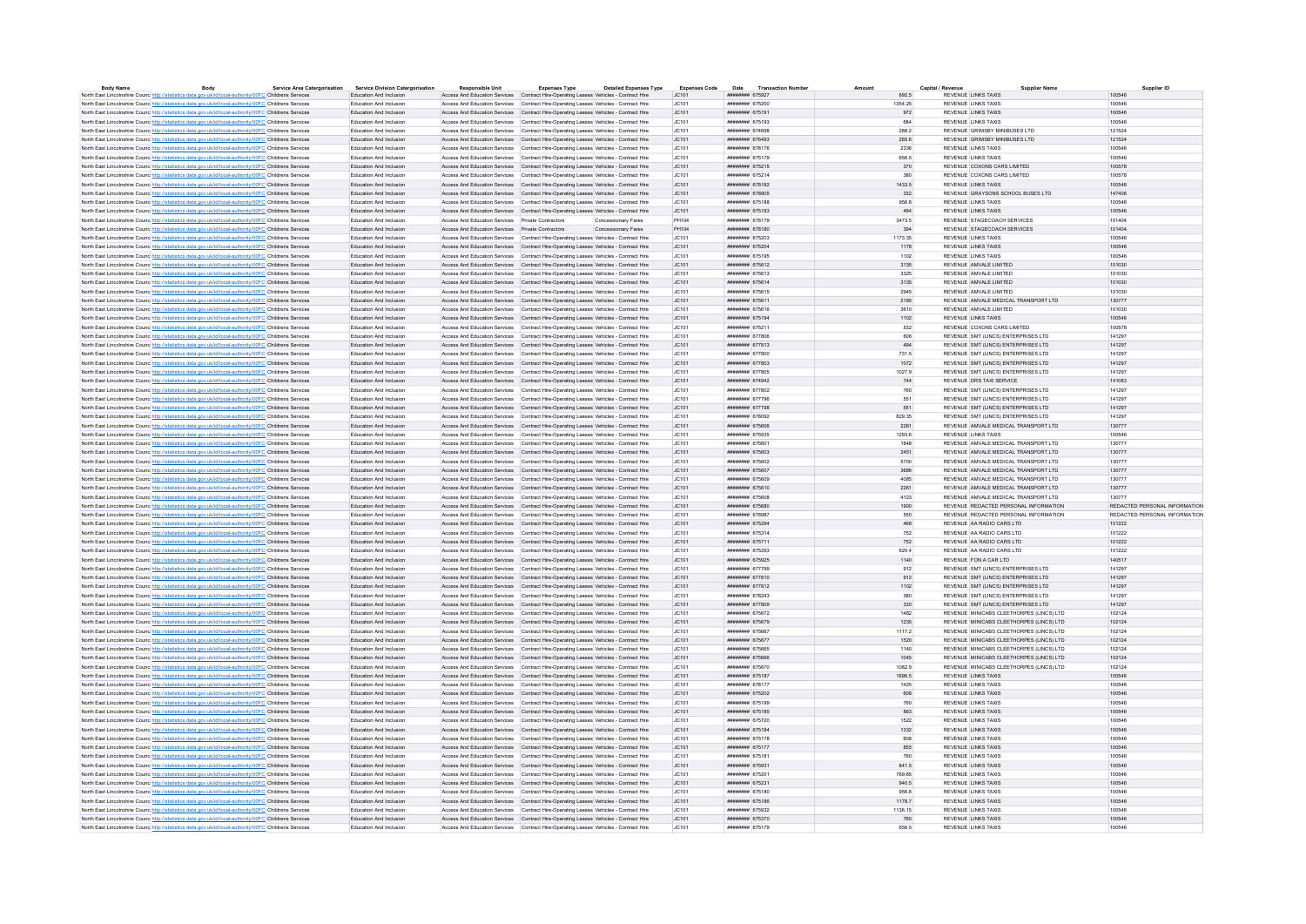| <b>Body Name</b> | Rody                                                                                                              | <b>Service Area Catergorisation</b> | Service Division Catergorisation | <b>Responsible Unit</b>                           | <b>Expenses Type</b>                                                                  | <b>Detailed Expenses Type</b> | <b>Expenses Code</b> | Date Transaction Number             | Amount  | Capital / Revenu           | <b>Supplier Name</b>                     | Supplier ID                   |
|------------------|-------------------------------------------------------------------------------------------------------------------|-------------------------------------|----------------------------------|---------------------------------------------------|---------------------------------------------------------------------------------------|-------------------------------|----------------------|-------------------------------------|---------|----------------------------|------------------------------------------|-------------------------------|
|                  | North East Lincolnshire Counc http://statistics.data.gov.uk/id/local-authority/00FC Childrens Services            |                                     | Education And Inclusion          |                                                   | Access And Education Services Contract Hire-Operating Leases Vehicles - Contract Hire |                               | IC.101               | ######## 675927                     | 692.5   | REVENUE LINKS TAXIS        |                                          | 100546                        |
|                  | North East Lincolnshire Counc http://statistics.data.gov.uk/id/local-authority/00FC Childrens Services            |                                     | Education And Inclusion          |                                                   | Access And Education Services Contract Hire-Operating Leases Vehicles - Contract Hire |                               | JC101                | ####### 675200                      | 1354.25 | <b>REVENUE LINKS TAXIS</b> |                                          | 100546                        |
|                  | North East Lincolnshire Counc http://statistics.data.gov.uk/id/local-authority/00FC Childrens Services            |                                     | Education And Inclusion          |                                                   | Access And Education Services Contract Hire-Operation Leases Vehicles - Contract Hire |                               | IC.101               | ######## 675191                     | 972     | REVENUE LINKS TAXIS        |                                          | 100546                        |
|                  | North East Lincolnshire Counc http://statistics.data.gov.uk/id/local-authority/00FC Childrens Services            |                                     | Education And Inclusion          |                                                   | Access And Education Services Contract Hire-Operating Leases Vehicles - Contract Hire |                               | LC101                | ####### 675193                      | 684     | REVENUE LINKS TAXIS        |                                          | 100546                        |
|                  | North East Lincolnshire Counc http://statistics.data.gov.uk/id/local-authority/00FC Childrens Services            |                                     | Education And Inclusion          |                                                   | Access And Education Services Contract Hire-Operating Leases Vehicles - Contract Hire |                               | JC101                | ######## 674698                     | 288.2   |                            | REVENUE GRIMSRY MINIBUSES LTD            | 121524                        |
|                  | North East Lincolnshire Council http://statistics.data.gov.uk/id/local-authority/00EC.Childrens.Services          |                                     | Education And Inclusion          |                                                   | Access And Education Services Contract Hire-Operating Leases Vehicles - Contract Hire |                               | IC.101               | нивнинин 676493                     | 265.6   |                            | REVENUE GRIMSRY MINIRUSES LTD            | 121524                        |
|                  |                                                                                                                   |                                     |                                  |                                                   |                                                                                       |                               |                      |                                     |         | REVENUE LINKS TAXIS        |                                          |                               |
|                  | North East Lincolnshire Counc http://statistics.data.gov.uk/id/local-authority/00FC Childrens Services            |                                     | Education And Inclusion          |                                                   | Access And Education Services Contract Hire-Operating Leases Vehicles - Contract Hire |                               | JC101                | ####### 678176                      | 2336    |                            |                                          | 100546                        |
|                  | North East Lincolnshire Counc http://statistics.data.gov.uk/id/local-authority/00FC Childrens Services            |                                     | <b>Education And Inclusion</b>   |                                                   | Access And Education Services Contract Hire-Operation Leases Vehicles - Contract Hire |                               | LC101                | ######## 675179                     | 656.5   | REVENUE LINKS TAXIS        |                                          | 100546                        |
|                  | North East Lincolnshire Counc http://statistics.data.gov.uk/id/local-authority/00FC Childrens Services            |                                     | Education And Inclusion          |                                                   | Access And Education Services Contract Hire-Operating Leases Vehicles - Contract Hire |                               | JC101                | ####### 675215                      | 370     |                            | REVENUE COXONS CARS LIMITED              | 100578                        |
|                  | North East Lincolnshire Counc http://statistics.data.gov.uk/id/local-authority/00FC Childrens Services            |                                     | Education And Inclusion          |                                                   | Access And Education Services Contract Hire-Operating Leases Vehicles - Contract Hire |                               | JC101                | ####### 675214                      | 380     |                            | REVENUE COXONS CARS LIMITED              | 100578                        |
|                  | North East Lincolnshire Counc http://statistics.data.gov.uk/id/local-authority/00FC Childrens Services            |                                     | Education And Inclusion          |                                                   | Access And Education Services Contract Hire-Operating Leases Vehicles - Contract Hire |                               | JC101                | ####### 678182                      | 1433.5  | <b>REVENUE LINKS TAXIS</b> |                                          | 100546                        |
|                  | North East Lincolnshire Counc http://statistics.data.gov.uk/id/local-authority/00FC Childrens Services            |                                     | Education And Inclusion          |                                                   | Access And Education Services Contract Hire-Operating Leases Vehicles - Contract Hire |                               | JC101                | ######## 678905                     | 332     |                            | REVENUE GRAYSONS SCHOOL BUSES LTD        | 147408                        |
|                  | North East Lincolnshire Counc http://statistics.data.gov.uk/id/local-authority/00FC Childrens Services            |                                     | Education And Inclusion          |                                                   | Access And Education Services Contract Hire-Operating Leases Vehicles - Contract Hire |                               | JC101                | ####### 675188                      | 956.8   | REVENUE LINKS TAXIS        |                                          | 100546                        |
|                  |                                                                                                                   |                                     | Education And Inclusion          |                                                   |                                                                                       |                               | JC101                | ####### 675183                      | 494     | REVENUE LINKS TAXIS        |                                          | 100546                        |
|                  | North East Lincolnshire Counc. http://statistics.data.gov.uk/id/local-authority/00FC Childrens Services           |                                     |                                  |                                                   | Access And Education Services Contract Hire-Operating Leases Vehicles - Contract Hire |                               |                      |                                     |         |                            |                                          |                               |
|                  | North East Lincolnshire Counc http://statistics.data.gov.uk/id/local-authority/00FC Childrens Services            |                                     | <b>Education And Inclusion</b>   | Access And Education Services Private Contractors |                                                                                       | Concessionary Fares           | PH104                | ######## 678179                     | 3473.5  |                            | REVENUE STAGECOACH SERVICES              | 101404                        |
|                  | North East Lincolnshire Counc http://statistics.data.gov.uk/id/local-authority/00FC Childrens Services            |                                     | Education And Inclusion          | Access And Education Services Private Contractors |                                                                                       | Concessionary Fares           | PH104                | ####### 678180                      | 394     |                            | REVENUE STAGECOACH SERVICES              | 101404                        |
|                  | North East Lincolnshire Counc http://statistics.data.gov.uk/id/local-authority/00FC Childrens Services            |                                     | Education And Inclusion          |                                                   | Access And Education Services Contract Hire-Operating Leases Vehicles - Contract Hire |                               | JC101                | ######## 675203                     | 1173.35 | REVENUE LINKS TAXIS        |                                          | 100546                        |
|                  | North East Lincolnshire Counc http://statistics.data.gov.uk/id/local-authority/00FC Childrens Services            |                                     | Education And Inclusion          |                                                   | Access And Education Services Contract Hire-Operating Leases Vehicles - Contract Hire |                               | JC101                | ####### 675204                      | 1178    | REVENUE LINKS TAXIS        |                                          | 100546                        |
|                  | North East Lincolnshire Counc http://statistics.data.gov.uk/id/local-authority/00FC Childrens Services            |                                     | Education And Inclusion          |                                                   | Access And Education Services Contract Hire-Operating Leases Vehicles - Contract Hire |                               | JC101                | ####### 675195                      | 1102    | <b>REVENUE LINKS TAXIS</b> |                                          | 100546                        |
|                  | North East Lincolnshire Council http://statistics.data.gov.uk/id/local-authority/00EC.Childrens.Services          |                                     | Education And Inclusion          |                                                   | Access And Education Services Contract Hire-Operating Leases Vehicles - Contract Hire |                               | IC.101               | ######## 675612                     | 3135    | REVENUE AMVALE LIMITED     |                                          | 101030                        |
|                  |                                                                                                                   |                                     | Education And Inclusion          |                                                   | Access And Education Services Contract Hire-Operating Leases Vehicles - Contract Hire |                               | JC101                | ####### 675613                      | 3325    | REVENUE AMVALE LIMITED     |                                          | 101030                        |
|                  | North East Lincolnshire Counc http://statistics.data.gov.uk/id/local-authority/00FC Childrens Services            |                                     |                                  |                                                   |                                                                                       |                               |                      |                                     |         |                            |                                          |                               |
|                  | North East Lincolnshire Counc http://statistics.data.gov.uk/id/local-authority/00FC Childrens Services            |                                     | Education And Inclusion          |                                                   | Access And Education Services Contract Hire-Operation Leases Vehicles - Contract Hire |                               | IC.101               | <b><i>HUBBHHHH 675614</i></b>       | 3135    | REVENUE AMVALE LIMITED     |                                          | 101030                        |
|                  | North East Lincolnshire Counc http://statistics.data.gov.uk/id/local-authority/00FC Childrens Services            |                                     | Education And Inclusion          |                                                   | Access And Education Services Contract Hire-Operating Leases Vehicles - Contract Hire |                               | LC101                | ####### 675615                      | 2945    | REVENUE AMVALE LIMITED     |                                          | 101030                        |
|                  | North East Lincolnshire Counc. http://statistics.data.gov.uk/id/local-authority/00FC Childrens Services           |                                     | Education And Inclusion          |                                                   | Access And Education Services Contract Hire-Operating Leases Vehicles - Contract Hire |                               | JC101                | ####### 675611                      | 2185    |                            | REVENUE AMVALE MEDICAL TRANSPORT LTD     | 130777                        |
|                  | North East Lincolnshire Counc http://statistics.data.gov.uk/id/local-authority/00FC Childrens Services            |                                     | Education And Inclusion          |                                                   | Access And Education Services Contract Hire-Operating Leases Vehicles - Contract Hire |                               | JC101                | ####### 675616                      | 3610    | REVENUE AMVALE LIMITED     |                                          | 101030                        |
|                  | North East Lincolnshire Counc http://statistics.data.gov.uk/id/local-authority/00FC Childrens Services            |                                     | Education And Inclusion          |                                                   | Access And Education Services Contract Hire-Operating Leases Vehicles - Contract Hire |                               | JC101                | ######## 675194                     | 1102    | <b>REVENUE LINKS TAXIS</b> |                                          | 100546                        |
|                  | North East Lincolnshire Counc http://statistics.data.gov.uk/id/local-authority/00FC Childrens Services            |                                     | Education And Inclusion          |                                                   | Access And Education Services Contract Hire-Operating Leases Vehicles - Contract Hire |                               | JC101                | ######## 675211                     | 532     |                            | REVENUE COXONS CARS LIMITED              | 100578                        |
|                  |                                                                                                                   |                                     |                                  |                                                   |                                                                                       |                               |                      |                                     |         |                            |                                          |                               |
|                  | North East Lincolnshire Counc http://statistics.data.gov.uk/id/local-authority/00FC Childrens Services            |                                     | Education And Inclusion          |                                                   | Access And Education Services Contract Hire-Operating Leases Vehicles - Contract Hire |                               | JC101                | ####### 677806                      | 608     |                            | REVENUE SMT (LINCS) ENTERPRISES LTD      | 141297                        |
|                  | North East Lincolnshire Counc http://statistics.data.gov.uk/id/local-authority/00FC Childrens Services            |                                     | Education And Inclusion          |                                                   | Access And Education Services Contract Hire-Operating Leases Vehicles - Contract Hire |                               | JC101                | ######## 677813                     | 494     |                            | REVENUE SMT (LINCS) ENTERPRISES LTD      | 141297                        |
|                  | North East Lincolnshire Counc http://statistics.data.gov.uk/id/local-authority/00FC Childrens Services            |                                     | Education And Inclusion          |                                                   | Access And Education Services Contract Hire-Operating Leases Vehicles - Contract Hire |                               | JC101                | ######## 677800                     | 731.5   |                            | REVENUE SMT (LINCS) ENTERPRISES LTD      | 141297                        |
|                  | North East Lincolnshire Counc. http://statistics.data.gov.uk/id/local-authority/00FC Childrens Services           |                                     | Education And Inclusion          |                                                   | Access And Education Services Contract Hire-Operating Leases Vehicles - Contract Hire |                               | JC101                | ######## 677803                     | 1072    |                            | REVENUE SMT (LINCS) ENTERPRISES LTD      | 141297                        |
|                  | North East Lincolnshire Counc http://statistics.data.gov.uk/id/local-authority/00FC Childrens Services            |                                     | Education And Inclusion          |                                                   | Access And Education Services Contract Hire-Operating Leases Vehicles - Contract Hire |                               | JC101                | ####### 677805                      | 1027.9  |                            | REVENUE SMT (LINCS) ENTERPRISES LTD      | 141297                        |
|                  | North East Lincolnshire Counc http://statistics.data.gov.uk/id/local-authority/00FC Childrens Services            |                                     | Education And Inclusion          |                                                   | Access And Education Services Contract Hire-Operating Leases Vehicles - Contract Hire |                               | JC101                | ####### 674942                      | 744     | REVENUE DRS TAXI SERVICE   |                                          | 141083                        |
|                  |                                                                                                                   |                                     | Education And Inclusion          |                                                   | Access And Education Services Contract Hire-Operating Leases Vehicles - Contract Hire |                               | LC101                | ######## 677802                     | 760     |                            | REVENUE SMT (LINCS) ENTERPRISES LTD.     | 141297                        |
|                  | North East Lincolnshire Counc http://statistics.data.gov.uk/id/local-authority/00FC Childrens Services            |                                     |                                  |                                                   |                                                                                       |                               |                      |                                     |         |                            |                                          |                               |
|                  | North East Lincolnshire Counc http://statistics.data.gov.uk/id/local-authority/00FC Childrens Services            |                                     | Education And Inclusion          |                                                   | Access And Education Services Contract Hire-Operating Leases Vehicles - Contract Hire |                               | JC101                | ######## 677796                     | 551     |                            | REVENUE SMT (LINCS) ENTERPRISES LTD      | 141297                        |
|                  | North East Lincolnshire Counc http://statistics.data.gov.uk/id/local-authority/00FC Childrens Services            |                                     | Education And Inclusion          |                                                   | Access And Education Services Contract Hire-Operating Leases Vehicles - Contract Hire |                               | JC101                | ######## 677798                     | 551     |                            | REVENUE SMT (UNCS) ENTERPRISES LTD.      | 141297                        |
|                  | North East Lincolnshire Counc http://statistics.data.gov.uk/id/local-authority/00FC Childrens Services            |                                     | Education And Inclusion          |                                                   | Access And Education Services Contract Hire-Operating Leases Vehicles - Contract Hire |                               | JC101                | ######## 678092                     | 829.35  |                            | REVENUE SMT (LINCS) ENTERPRISES LTD      | 141297                        |
|                  | North East Lincolnshire Counc http://statistics.data.gov.uk/id/local-authority/00FC Childrens Services            |                                     | Education And Inclusion          |                                                   | Access And Education Services Contract Hire-Operating Leases Vehicles - Contract Hire |                               | JC101                | ######## 675606                     | 2261    |                            | REVENUE AMVALE MEDICAL TRANSPORT LTD     | 130777                        |
|                  | North East Lincolnshire Council http://statistics.data.gov.uk/id/local-authority/00EC Childrens Services          |                                     | Education And Inclusion          |                                                   | Access And Education Services Contract Hire-Operating Leases Vehicles - Contract Hire |                               | LC101                | ######## 675935                     | 1293.6  | REVENUE LINKS TAXIS        |                                          | 100546                        |
|                  | North East Lincolnshire Counc http://statistics.data.gov.uk/id/local-authority/00FC Childrens Services            |                                     | Education And Inclusion          |                                                   | Access And Education Services Contract Hire-Operating Leases Vehicles - Contract Hire |                               | JC101                | ####### 675601                      | 1848    |                            | REVENUE AMVALE MEDICAL TRANSPORT LTD     | 130777                        |
|                  | North East Lincolnshire Counc http://statistics.data.gov.uk/id/local-authority/00FC Childrens Services            |                                     | Education And Inclusion          |                                                   | Access And Education Services Contract Hire-Operation Leases Vehicles - Contract Hire |                               | IC.101               | <b><i><u>HUBHHHH</u></i></b> 675603 | 2451    |                            | REVENUE AMVALE MEDICAL TRANSPORT LTD.    | 130777                        |
|                  |                                                                                                                   |                                     |                                  |                                                   |                                                                                       |                               |                      |                                     |         |                            |                                          |                               |
|                  | North East Lincolnshire Counc http://statistics.data.gov.uk/id/local-authority/00FC Childrens Services            |                                     | Education And Inclusion          |                                                   | Access And Education Services Contract Hire-Operating Leases Vehicles - Contract Hire |                               | JC101                | ####### 675602                      | 5700    |                            | REVENUE AMVALE MEDICAL TRANSPORT LTD     | 130777                        |
|                  | North East Lincolnshire Counc http://statistics.data.gov.uk/id/local-authority/00FC Childrens Services            |                                     | Education And Inclusion          |                                                   | Access And Education Services Contract Hire-Operating Leases Vehicles - Contract Hire |                               | JC101                | ######## 675607                     | 3686    |                            | REVENUE AMVALE MEDICAL TRANSPORT LTD     | 130777                        |
|                  | North East Lincolnshire Counc http://statistics.data.gov.uk/id/local-authority/00FC Childrens Services            |                                     | Education And Inclusion          |                                                   | Access And Education Services Contract Hire-Operating Leases Vehicles - Contract Hire |                               | JC101                | ######## 675609                     | 4085    |                            | REVENUE AMVALE MEDICAL TRANSPORT LTD     | 130777                        |
|                  | North East Lincolnshire Counc http://statistics.data.gov.uk/id/local-authority/00FC Childrens Services            |                                     | Education And Inclusion          |                                                   | Access And Education Services Contract Hire-Operating Leases Vehicles - Contract Hire |                               | JC101                | ####### 675610                      | 2261    |                            | REVENUE AMVALE MEDICAL TRANSPORT LTD     | 130777                        |
|                  | North East Lincolnshire Counc http://statistics.data.gov.uk/id/local-authority/00FC Childrens Services            |                                     | Education And Inclusion          |                                                   | Access And Education Services Contract Hire-Operating Leases Vehicles - Contract Hire |                               | JC101                | ######## 675608                     | 4123    |                            | REVENUE AMVALE MEDICAL TRANSPORT LTD     | 130777                        |
|                  | North East Lincolnshire Counc http://statistics.data.gov.uk/id/local-authority/00FC Childrens Services            |                                     | Education And Inclusion          |                                                   | Access And Education Services Contract Hire-Operating Leases Vehicles - Contract Hire |                               | JC101                | ####### 675680                      | 1900    |                            | REVENUE REDACTED PERSONAL INFORMATION    | REDACTED PERSONAL INFORMATION |
|                  | North East Lincolnshire Counc http://statistics.data.gov.uk/id/local-authority/00FC Childrens Services            |                                     | <b>Education And Inclusion</b>   |                                                   | Access And Education Services Contract Hire-Operating Leases Vehicles - Contract Hire |                               | JC101                | ######## 678987                     | 550     |                            | REVENUE REDACTED PERSONAL INFORMATION    | REDACTED PERSONAL INFORMATION |
|                  | North East Lincolnshire Counc http://statistics.data.gov.uk/id/local-authority/00FC Childrens Services            |                                     | Education And Inclusion          |                                                   | Access And Education Services Contract Hire-Operating Leases Vehicles - Contract Hire |                               | JC101                | ####### 675294                      | 468     |                            | REVENUE AA RADIO CARS LTD                | 101222                        |
|                  |                                                                                                                   |                                     |                                  |                                                   |                                                                                       |                               |                      |                                     |         |                            |                                          |                               |
|                  | North East Lincolnshire Counc http://statistics.data.gov.uk/id/local-authority/00FC Childrens Services            |                                     | Education And Inclusion          |                                                   | Access And Education Services Contract Hire-Operating Leases Vehicles - Contract Hire |                               | JC101                | ######## 675314                     | 752     | REVENUE AA RADIO CARS LTD  |                                          | 101222                        |
|                  | North East Lincolnshire Counc http://statistics.data.gov.uk/id/local-authority/00FC Childrens Services            |                                     | Education And Inclusion          |                                                   | Access And Education Services Contract Hire-Operating Leases Vehicles - Contract Hire |                               | JC101                | ####### 675711                      | 752     | REVENUE AA RADIO CARS LTD  |                                          | 101222                        |
|                  | North East Lincolnshire Counc http://statistics.data.gov.uk/id/local-authority/00FC Childrens Services            |                                     | Education And Inclusion          |                                                   | Access And Education Services Contract Hire-Operating Leases Vehicles - Contract Hire |                               | JC101                | ######## 675293                     | 620.4   | REVENUE AA RADIO CARS LTD  |                                          | 101222                        |
|                  | North East Lincolnshire Counc http://statistics.data.gov.uk/id/local-authority/00FC Childrens Services            |                                     | <b>Education And Inclusion</b>   |                                                   | Access And Education Services Contract Hire-Operating Leases Vehicles - Contract Hire |                               | IC.101               | ######## 675925                     | 1140    | REVENUE FON A CAR LTD      |                                          | 140517                        |
|                  | North East Lincolnshire Counc http://statistics.data.gov.uk/id/local-authority/00FC Childrens Services            |                                     | Education And Inclusion          |                                                   | Access And Education Services Contract Hire-Operating Leases Vehicles - Contract Hire |                               | JC101                | ######## 67779                      | 912     |                            | REVENUE SMT (LINCS) ENTERPRISES LTD      | 141297                        |
|                  | North East Lincolnshire Counc http://statistics.data.gov.uk/id/local-authority/00FC Childrens Services            |                                     | Education And Inclusion          |                                                   | Access And Education Services Contract Hire-Operation Leases Vehicles - Contract Hire |                               | IC.101               | ######## 677810                     | 912     |                            | REVENUE SMT (UNCS) ENTERPRISES LTD.      | 141297                        |
|                  | North East Lincolnshire Counc http://statistics.data.gov.uk/id/local-authority/00FC Childrens Services            |                                     | Education And Inclusion          |                                                   | Access And Education Services Contract Hire-Operating Leases Vehicles - Contract Hire |                               | JC101                | ####### 677812                      | 1102    |                            | REVENUE SMT (LINCS) ENTERPRISES LTD      | 141297                        |
|                  |                                                                                                                   |                                     | Education And Inclusion          |                                                   |                                                                                       |                               |                      | ####### 678243                      |         |                            | REVENUE SMT (LINCS) ENTERPRISES LTD      | 141297                        |
|                  | North East Lincolnshire Counc. http://statistics.data.gov.uk/id/local-authority/00FC Childrens Services           |                                     |                                  |                                                   | Access And Education Services Contract Hire-Operating Leases Vehicles - Contract Hire |                               | JC101                |                                     | 380     |                            |                                          |                               |
|                  | North East Lincolnshire Counc http://statistics.data.gov.uk/id/local-authority/00FC Childrens Services            |                                     | Education And Inclusion          |                                                   | Access And Education Services Contract Hire-Operating Leases Vehicles - Contract Hire |                               | JC101                | ######## 677809                     | 330     |                            | REVENUE SMT (LINCS) ENTERPRISES LTD      | 141297                        |
|                  | North East Lincolnshire Counc http://statistics.data.gov.uk/id/local-authority/00FC Childrens Services            |                                     | Education And Inclusio           |                                                   | Access And Education Services Contract Hire-Operating Leases Vehicles - Contract Hire |                               | JC101                | ####### 675672                      | 1482    |                            | REVENUE MINICABS CLEETHORPES (LINCS) LTD | 102124                        |
|                  | North East Lincolnshire Counc http://statistics.data.gov.uk/id/local-authority/00FC Childrens Services            |                                     | Education And Inclusion          |                                                   | Access And Education Services Contract Hire-Operating Leases Vehicles - Contract Hire |                               | JC101                | ######## 675679                     | 1235    |                            | REVENUE MINICABS CLEETHORPES (LINCS) LTD | 102124                        |
|                  | North East Lincolnshire Counc http://statistics.data.gov.uk/id/local-authority/00FC Childrens Services            |                                     | Education And Inclusion          |                                                   | Access And Education Services Contract Hire-Operating Leases Vehicles - Contract Hire |                               | JC101                | ####### 675667                      | 1117.2  |                            | REVENUE MINICABS CLEETHORPES (LINCS) LTD | 102124                        |
|                  | North East Lincolnshire Counc http://statistics.data.gov.uk/id/local-authority/00FC Childrens Services            |                                     | Education And Inclusion          |                                                   | Access And Education Services Contract Hire-Operating Leases Vehicles - Contract Hire |                               | JC101                | ######## 675677                     | 1520    |                            | REVENUE MINICABS CLEETHORPES (LINCS) LTD | 102124                        |
|                  | North East Lincolnshire Counc http://statistics.data.gov.uk/id/local-authority/00FC Childrens Services            |                                     | Education And Inclusion          |                                                   | Access And Education Services Contract Hire-Operating Leases Vehicles - Contract Hire |                               | JC101                | ####### 675665                      | 1140    |                            | REVENUE MINICABS CLEETHORPES (LINCS) LTD | 102124                        |
|                  | North East Lincolnshire Counc http://statistics.data.gov.uk/id/local-authority/00FC Childrens Services            |                                     | Education And Inclusion          |                                                   | Access And Education Services Contract Hire-Operating Leases Vehicles - Contract Hire |                               | JC101                | ####### 675666                      | 1045    |                            | REVENUE MINICABS CLEETHORPES (LINCS) LTD | 102124                        |
|                  | North East Lincolnshire Counc http://statistics.data.gov.uk/id/local-authority/00FC Childrens Services            |                                     | Education And Inclusion          |                                                   | Access And Education Services Contract Hire-Operating Leases Vehicles - Contract Hire |                               | JC101                | ######## 675670                     | 1082.9  |                            | REVENUE MINICABS CLEETHORPES (LINCS) LTD | 102124                        |
|                  |                                                                                                                   |                                     |                                  |                                                   |                                                                                       |                               |                      |                                     |         |                            |                                          |                               |
|                  | North East Lincolnshire Counc http://statistics.data.gov.uk/id/local-authority/00FC Childrens Services            |                                     | Education And Inclusion          |                                                   | Access And Education Services Contract Hire-Operating Leases Vehicles - Contract Hire |                               | JC101                | ####### 675187                      | 1696.5  | REVENUE LINKS TAXIS        |                                          | 100546                        |
|                  | North East Lincolnshire Counc http://statistics.data.gov.uk/id/local-authority/00FC Childrens Services            |                                     | Education And Inclusion          |                                                   | Access And Education Services Contract Hire-Operating Leases Vehicles - Contract Hire |                               | LC101                | <b><i>HUBBHHH</i></b> 678177        | 1425    | REVENUE LINKS TAXIS        |                                          | 100546                        |
|                  | North East Lincolnshire Counc http://statistics.data.gov.uk/id/local-authority/00FC Childrens Services            |                                     | Education And Inclusion          |                                                   | Access And Education Services Contract Hire-Operating Leases Vehicles - Contract Hire |                               | JC101                | ######## 675202                     | 608     | <b>REVENUE LINKS TAXIS</b> |                                          | 100546                        |
|                  | North East Lincolnshire Counc http://statistics.data.gov.uk/id/local-authority/00FC Childrens Services            |                                     | <b>Education And Inclusion</b>   |                                                   | Access And Education Services Contract Hire-Operating Leases Vehicles - Contract Hire |                               | JC101                | ######## 675199                     | 760     | REVENUE LINKS TAXIS        |                                          | 100546                        |
|                  | North East Lincolnshire Counc http://statistics.data.gov.uk/id/local-authority/00FC Childrens Services            |                                     | Education And Inclusion          |                                                   | Access And Education Services Contract Hire-Operating Leases Vehicles - Contract Hire |                               | JC101                | ######## 675185                     | 893     | REVENUE LINKS TAXIS        |                                          | 100546                        |
|                  | North East Lincolnshire Counc http://statistics.data.gov.uk/id/local-authority/00FC Childrens Services            |                                     | Education And Inclusion          |                                                   | Access And Education Services Contract Hire-Operating Leases Vehicles - Contract Hire |                               | JC101                | ######## 675720                     | 1522    | REVENUE LINKS TAXIS        |                                          | 100546                        |
|                  | North East Lincolnshire Counc http://statistics.data.gov.uk/id/local-authority/00EC Childrens Services            |                                     | <b>Education And Inclusion</b>   |                                                   | Access And Education Services Contract Hire-Operating Leases Vehicles - Contract Hire |                               | IC.101               | <b><i>HUBBHHHH</i></b> 675184       | 1332    | <b>REVENUE LINKS TAXIS</b> |                                          | 100546                        |
|                  |                                                                                                                   |                                     |                                  |                                                   |                                                                                       |                               |                      |                                     |         |                            |                                          |                               |
|                  | North East Lincolnshire Counc http://statistics.data.gov.uk/id/local-authority/00FC Childrens Services            |                                     | Education And Inclusion          |                                                   | Access And Education Services Contract Hire-Operating Leases Vehicles - Contract Hire |                               | JC101                | ####### 675178                      | 608     | REVENUE LINKS TAXIS        |                                          | 100546                        |
|                  | North East Lincolnshire Counc http://statistics.data.gov.uk/id/local-authority/00FC Childrens Services            |                                     | Education And Inclusion          |                                                   | Access And Education Services Contract Hire-Operation Leases Vehicles - Contract Hire |                               | IC.101               | <b><i><u>HHHHHHH</u></i></b> 675177 | 855     | REVENUE LINKS TAXIS        |                                          | 100546                        |
|                  | North East Lincolnshire Counc http://statistics.data.gov.uk/id/local-authority/00FC Childrens Services            |                                     | Education And Inclusion          |                                                   | Access And Education Services Contract Hire-Operating Leases Vehicles - Contract Hire |                               | JC101                | ####### 675181                      | 760     | <b>REVENUE LINKS TAXIS</b> |                                          | 100546                        |
|                  | North East Lincolnshire Counc http://statistics.data.gov.uk/id/local-authority/00FC Childrens Services            |                                     | Education And Inclusion          |                                                   | Access And Education Services Contract Hire-Operating Leases Vehicles - Contract Hire |                               | JC101                | ####### 675931                      | 841.5   | <b>REVENUE LINKS TAXIS</b> |                                          | 100546                        |
|                  | North East Lincolnshire Counc http://statistics.data.gov.uk/id/local-authority/00FC Childrens Services            |                                     | Education And Inclusion          |                                                   | Access And Education Services Contract Hire-Operating Leases Vehicles - Contract Hire |                               | JC101                | ####### 675201                      | 769.65  | REVENUE LINKS TAXIS        |                                          | 100546                        |
|                  | North East Lincolnshire Counc http://statistics.data.gov.uk/id/local-authority/00FC Childrens Services            |                                     | Education And Inclusion          |                                                   | Access And Education Services Contract Hire-Operating Leases Vehicles - Contract Hire |                               | JC101                | ####### 675231                      | 940.5   | <b>REVENUE LINKS TAXIS</b> |                                          | 100546                        |
|                  | North East Lincolnshire Counc http://statistics.data.gov.uk/id/local-authority/00FC Childrens Services            |                                     | Education And Inclusion          |                                                   | Access And Education Services Contract Hire-Operating Leases Vehicles - Contract Hire |                               | JC101                | ######## 675180                     | 956.8   | REVENUE LINKS TAXIS        |                                          | 100546                        |
|                  |                                                                                                                   |                                     | Education And Inclusion          |                                                   |                                                                                       |                               | JC101                | ####### 675186                      | 1178.7  | <b>REVENUE LINKS TAXIS</b> |                                          | 100546                        |
|                  | North East Lincolnshire Counc <sup>http://statistics.data.gov.uk/id/local-authority/00FC Childrens Services</sup> |                                     |                                  |                                                   | Access And Education Services Contract Hire-Operating Leases Vehicles - Contract Hire |                               |                      |                                     |         |                            |                                          |                               |
|                  | North East Lincolnshire Counc http://statistics.data.gov.uk/id/local-authority/00FC Childrens Services            |                                     | <b>Education And Inclusion</b>   |                                                   | Access And Education Services Contract Hire-Operating Leases Vehicles - Contract Hire |                               | LC101                | ######## 675932                     | 1136 15 | REVENUE LINKS TAXIS        |                                          | 100546                        |
|                  | North East Lincolnshire Counc http://statistics.data.gov.uk/id/local-authority/00FC Childrens Services            |                                     | Education And Inclusion          |                                                   | Access And Education Services Contract Hire-Operating Leases Vehicles - Contract Hire |                               | JC101                | ####### 675370                      | 760     | REVENUE LINKS TAXIS        |                                          | 100546                        |
|                  | North East Lincolnshire Counc http://statistics.data.gov.uk/id/local-authority/00FC Childrens Services            |                                     | Education And Inclusion          |                                                   | Access And Education Services Contract Hire-Operating Leases Vehicles - Contract Hire |                               | JC101                | ######## 675179                     | 656.5   | <b>REVENUE LINKS TAXIS</b> |                                          | 100546                        |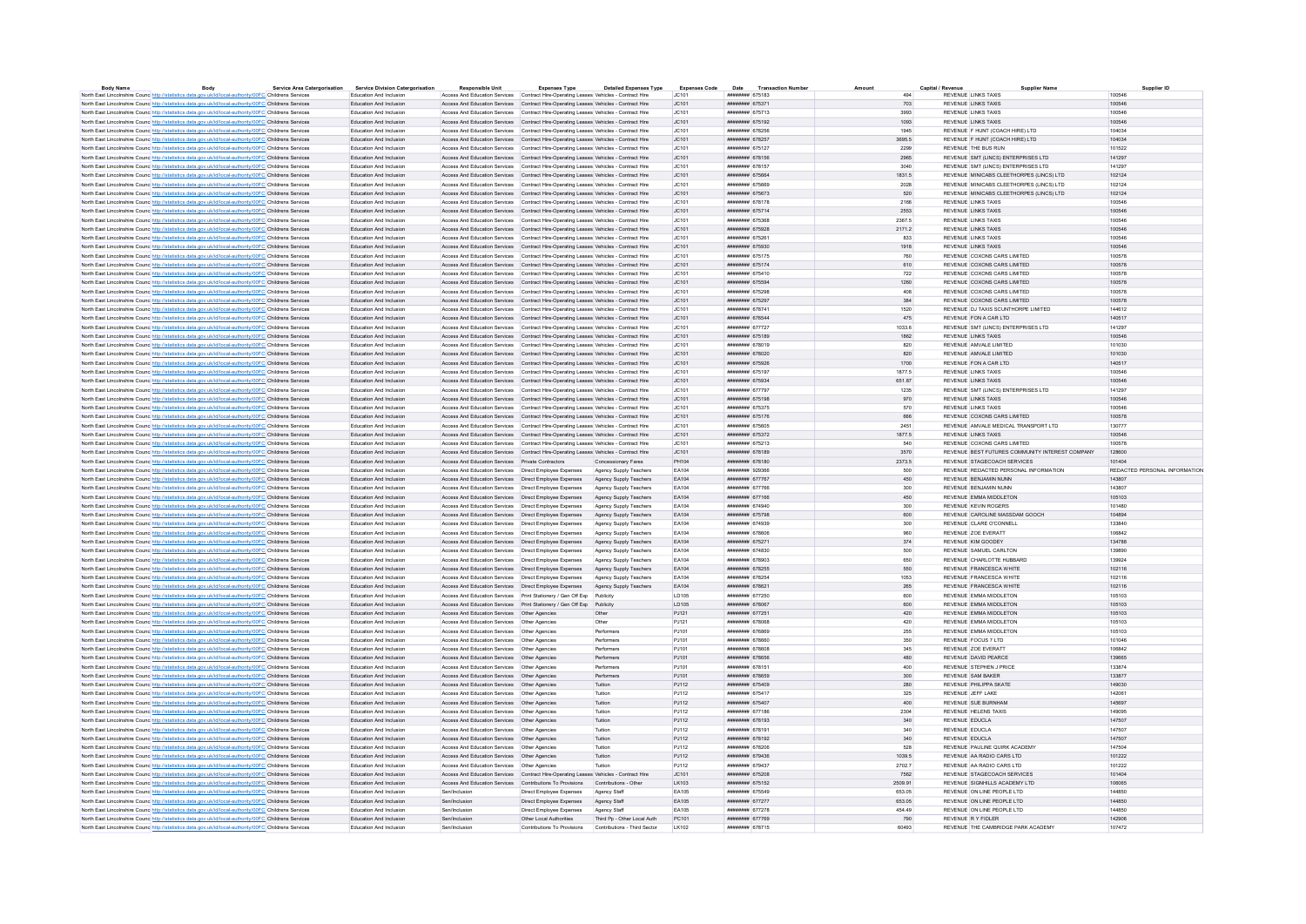| <b>Body Name</b> | Body                                                                                                              | <b>Service Area Catergorisation</b> | <b>Service Division Catergorisation</b> | <b>Responsible Unit</b>                                                               | <b>Expenses Type</b>        | <b>Detailed Expenses Type</b> | <b>Expenses Code</b> | Date Transaction Numbe             |                 | Capital / Revenu |                                     | <b>Supplier Name</b>                            | Supplier ID                   |
|------------------|-------------------------------------------------------------------------------------------------------------------|-------------------------------------|-----------------------------------------|---------------------------------------------------------------------------------------|-----------------------------|-------------------------------|----------------------|------------------------------------|-----------------|------------------|-------------------------------------|-------------------------------------------------|-------------------------------|
|                  | North East Lincolnshire Counc http://statistics.data.gov.uk/id/local-authority/00FC Childrens Services            |                                     | Education And Inclusion                 | Access And Education Services Contract Hire-Operating Leases Vehicles - Contract Hire |                             |                               | JC101                | ####### 675183                     | A <sub>0A</sub> |                  | <b>REVENUE LINKS TAXIS</b>          |                                                 | 100546                        |
|                  | North East Lincolnshire Counc http://statistics.data.gov.uk/id/local-authority/00FC Childrens Services            |                                     | Education And Inclusion                 | Access And Education Services Contract Hire-Operating Leases Vehicles - Contract Hire |                             |                               | JC101                | ######## 675371                    | 703             |                  | <b>REVENUE LINKS TAXIS</b>          |                                                 | 100546                        |
|                  | North East Lincolnshire Counc http://statistics.data.gov.uk/id/local-authority/00FC Childrens Services            |                                     | Education And Inclusion                 | Access And Education Services Contract Hire-Operating Leases Vehicles - Contract Hire |                             |                               | JC101                | <b><i>HABBRAH 675713</i></b>       | 3993            |                  | REVENUE LINKS TAXIS                 |                                                 | 100546                        |
|                  | North East Lincolnshire Counc. http://statistics.data.gov.uk/id/local-authority/00FC Childrens Services           |                                     | Education And Inclusion                 | Access And Education Services Contract Hire-Operation Leases Vehicles - Contract Hire |                             |                               | IC.101               | ######## 675192                    | 1093            |                  | REVENUE LINKS TAXIS                 |                                                 | 100546                        |
|                  | North East Lincolnshire Counc http://statistics.data.gov.uk/id/local-authority/00FC Childrens Services            |                                     | Education And Inclusion                 | Access And Education Services Contract Hire-Operating Leases Vehicles - Contract Hire |                             |                               | JC101                | ####### 678256                     | 1945            |                  | REVENUE F HUNT (COACH HIRE) LTD     |                                                 | 104034                        |
|                  | North East Lincolnshire Counc. http://statistics.data.gov.uk/id/local-authority/00FC Childrens Services           |                                     | Education And Inclusion                 | Access And Education Services Contract Hire-Operating Leases Vehicles - Contract Hire |                             |                               | JC101                | ######## 678257                    | 3695.5          |                  | REVENUE F HUNT (COACH HIRE) LTD     |                                                 | 104034                        |
|                  | North East Lincolnshire Counc <sup>http://statistics.data.gov.uk/id/local-authority/00FC Childrens Services</sup> |                                     | Education And Inclusion                 | Access And Education Services Contract Hire-Operating Leases Vehicles - Contract Hire |                             |                               | JC101                | ####### 675127                     | 2299            |                  | REVENUE THE BUS RUN                 |                                                 | 101522                        |
|                  | North East Lincolnshire Counc http://statistics.data.gov.uk/id/local-authority/00FC Childrens Services            |                                     | Education And Inclusion                 | Access And Education Services Contract Hire-Operating Leases Vehicles - Contract Hire |                             |                               | JC101                | ####### 678156                     | 2965            |                  | REVENUE SMT (LINCS) ENTERPRISES LTD |                                                 | 141297                        |
|                  | North East Lincolnshire Counc http://statistics.data.gov.uk/id/local-authority/00FC Childrens Services            |                                     | Education And Inclusion                 | Access And Education Services Contract Hire-Operating Leases Vehicles - Contract Hire |                             |                               | JC101                | ######## 678157                    | 3040            |                  | REVENUE SMT (LINCS) ENTERPRISES LTD |                                                 | 141297                        |
|                  | North East Lincolnshire Counc http://statistics.data.gov.uk/id/local-authority/00FC Childrens Services            |                                     | Education And Inclusion                 | Access And Education Services Contract Hire-Operating Leases Vehicles - Contract Hire |                             |                               | JC101                | ######## 675664                    | 1831.5          |                  |                                     | REVENUE MINICABS CLEETHORPES (LINCS) LTD        | 102124                        |
|                  | North East Lincolnshire Counc http://statistics.data.gov.uk/id/local-authority/00FC Childrens Services            |                                     | Education And Inclusion                 | Access And Education Services Contract Hire-Operating Leases Vehicles - Contract Hire |                             |                               | JC101                | ####### 675669                     | 2028            |                  |                                     | REVENUE MINICABS CLEETHORPES (LINCS) LTD        | 102124                        |
|                  | North East Lincolnshire Counc http://statistics.data.gov.uk/id/local-authority/00FC Childrens Services            |                                     | Education And Inclusion                 | Access And Education Services Contract Hire-Operating Leases Vehicles - Contract Hire |                             |                               | JC101                | ####### 675673                     | 520             |                  |                                     | REVENUE MINICABS CLEETHORPES (LINCS) LTD        | 102124                        |
|                  | North East Lincolnshire Counc http://statistics.data.gov.uk/id/local-authority/00FC Childrens Services            |                                     | <b>Education And Inclusion</b>          | Access And Education Services Contract Hire-Operation Leases Vehicles - Contract Hire |                             |                               | AC101                | ######## 678178                    | 2166            |                  | REVENUE LINKS TAXIS                 |                                                 | 100546                        |
|                  | North East Lincolnshire Counc http://statistics.data.gov.uk/id/local-authority/00FC Childrens Services            |                                     | Education And Inclusion                 | Access And Education Services Contract Hire-Operating Leases Vehicles - Contract Hire |                             |                               | JC101                | ######## 675714                    | 2553            |                  | <b>REVENUE LINKS TAXIS</b>          |                                                 | 100546                        |
|                  | North East Lincolnshire Counc http://statistics.data.gov.uk/id/local-authority/00FC Childrens Services            |                                     | Education And Inclusion                 | Access And Education Services Contract Hire-Operating Leases Vehicles - Contract Hire |                             |                               | JC101                | ####### 675368                     | 2367.5          |                  | REVENUE LINKS TAXIS                 |                                                 | 100546                        |
|                  | North East Lincolnshire Counc http://statistics.data.gov.uk/id/local-authority/00FC Childrens Services            |                                     | Education And Inclusion                 | Access And Education Services Contract Hire-Operating Leases Vehicles - Contract Hire |                             |                               | JC101                | ######## 675928                    | 2171.2          |                  | <b>REVENUE LINKS TAXIS</b>          |                                                 | 100546                        |
|                  | North East Lincolnshire Counc http://statistics.data.gov.uk/id/local-authority/00FC Childrens Services            |                                     | Education And Inclusion                 | Access And Education Services Contract Hire-Operating Leases Vehicles - Contract Hire |                             |                               | JC101                | ####### 67526                      | 833             |                  | <b>REVENUE LINKS TAXIS</b>          |                                                 | 100546                        |
|                  | North East Lincolnshire Counc http://statistics.data.gov.uk/id/local-authority/00FC Childrens Services            |                                     | Education And Inclusion                 | Access And Education Services Contract Hire-Operation Leases Vehicles - Contract Hire |                             |                               | IC.101               | ######## 675930                    | 1918            |                  | REVENUE LINKS TAXIS                 |                                                 | 100546                        |
|                  | North East Lincolnshire Counc http://statistics.data.gov.uk/id/local-authority/00FC Childrens Services            |                                     | Education And Inclusion                 | Access And Education Services Contract Hire-Operating Leases Vehicles - Contract Hire |                             |                               | JC101                | ####### 675175                     | 760             |                  | REVENUE COXONS CARS LIMITED         |                                                 | 100578                        |
|                  | North East Lincolnshire Counc. http://statistics.data.gov.uk/id/local-authority/00FC Childrens Services           |                                     | Education And Inclusion                 | Access And Education Services Contract Hire-Operating Leases Vehicles - Contract Hire |                             |                               | JC101                | ######## 675174                    | 610             |                  | REVENUE COXONS CARS LIMITED         |                                                 | 100578                        |
|                  | North East Lincolnshire Counc <sup>http://statistics.data.gov.uk/id/local-authority/00FC Childrens Services</sup> |                                     | Education And Inclusion                 | Access And Education Services Contract Hire-Operating Leases Vehicles - Contract Hire |                             |                               | JC101                | ####### 675410                     | 722             |                  | REVENUE COXONS CARS LIMITED         |                                                 | 100578                        |
|                  |                                                                                                                   |                                     | Education And Inclusion                 | Access And Education Services Contract Hire-Operating Leases Vehicles - Contract Hire |                             |                               | JC101                | ####### 675594                     | 1260            |                  | REVENUE COXONS CARS LIMITED         |                                                 | 100578                        |
|                  | North East Lincolnshire Counc http://statistics.data.gov.uk/id/local-authority/00FC Childrens Services            |                                     |                                         |                                                                                       |                             |                               |                      | ####### 675298                     | 408             |                  | REVENUE COXONS CARS LIMITED         |                                                 | 100578                        |
|                  | North East Lincolnshire Counc http://statistics.data.gov.uk/id/local-authority/00FC Childrens Services            |                                     | Education And Inclusion                 | Access And Education Services Contract Hire-Operating Leases Vehicles - Contract Hire |                             |                               | JC101                |                                    |                 |                  |                                     |                                                 | 100578                        |
|                  | North East Lincolnshire Counc http://statistics.data.gov.uk/id/local-authority/00FC Childrens Services            |                                     | Education And Inclusion                 | Access And Education Services Contract Hire-Operating Leases Vehicles - Contract Hire |                             |                               | JC101                | ######## 675297                    | 384             |                  | REVENUE COXONS CARS LIMITED         |                                                 |                               |
|                  | North East Lincolnshire Counc http://statistics.data.gov.uk/id/local-authority/00FC Childrens Services            |                                     | <b>Education And Inclusion</b>          | Access And Education Services Contract Hire-Operating Leases Vehicles - Contract Hire |                             |                               | LC101                | <b>инвинин</b> 678741              | 1520            |                  | REVENUE DJ TAXIS SCUNTHORPE LIMITED |                                                 | 144612                        |
|                  | North East Lincolnshire Counc http://statistics.data.gov.uk/id/local-authority/00FC Childrens Services            |                                     | Education And Inclusion                 | Access And Education Services Contract Hire-Operating Leases Vehicles - Contract Hire |                             |                               | JC101                | ####### 676544                     | 475             |                  | REVENUE FON A CAR LTD               |                                                 | 140517                        |
|                  | North East Lincolnshire Counc http://statistics.data.gov.uk/id/local-authority/00FC Childrens Services            |                                     | <b>Education And Inclusion</b>          | Access And Education Services Contract Hire-Operating Leases Vehicles - Contract Hire |                             |                               | JC101                | <b>инвинин</b> 677727              | 1033.6          |                  | REVENUE SMT (LINCS) ENTERPRISES LTD |                                                 | 141297                        |
|                  | North East Lincolnshire Counc http://statistics.data.gov.uk/id/local-authority/00FC Childrens Services            |                                     | Education And Inclusion                 | Access And Education Services Contract Hire-Operating Leases Vehicles - Contract Hire |                             |                               | JC101                | ######## 675189                    | 1862            |                  | REVENUE LINKS TAXIS                 |                                                 | 100546                        |
|                  | North East Lincolnshire Counc http://statistics.data.gov.uk/id/local-authority/00FC Childrens Services            |                                     | Education And Inclusion                 | Access And Education Services Contract Hire-Operating Leases Vehicles - Contract Hire |                             |                               | JC101                | ####### 678019                     | 820             |                  | REVENUE AMVALE LIMITED              |                                                 | 101030                        |
|                  | North East Lincolnshire Counc http://statistics.data.gov.uk/id/local-authority/00FC Childrens Services            |                                     | Education And Inclusion                 | Access And Education Services Contract Hire-Operating Leases Vehicles - Contract Hire |                             |                               | JC101                | ####### 678020                     | 820             |                  | REVENUE AMVALE LIMITED              |                                                 | 101030                        |
|                  | North East Lincolnshire Counc http://statistics.data.gov.uk/id/local-authority/00FC Childrens Services            |                                     | Education And Inclusion                 | Access And Education Services Contract Hire-Operating Leases Vehicles - Contract Hire |                             |                               | JC101                | ####### 675926                     | 1700            |                  | REVENUE FON A CAR LTD               |                                                 | 140517                        |
|                  | North East Lincolnshire Counc. http://statistics.data.gov.uk/id/local-authority/00FC Childrens Services           |                                     | <b>Education And Inclusion</b>          | Access And Education Services Contract Hire-Operation Leases Vehicles - Contract Hire |                             |                               | LC101                | ######## 675197                    | 1877.5          |                  | REVENUE LINKS TAXIS                 |                                                 | 100546                        |
|                  | North East Lincolnshire Counc http://statistics.data.gov.uk/id/local-authority/00FC Childrens Services            |                                     | Education And Inclusion                 | Access And Education Services Contract Hire-Operating Leases Vehicles - Contract Hire |                             |                               | JC101                | ######## 675934                    | 651.87          |                  | REVENUE LINKS TAXIS                 |                                                 | 100546                        |
|                  | North East Lincolnshire Counc http://statistics.data.gov.uk/id/local-authority/00FC Childrens Services            |                                     | Education And Inclusion                 | Access And Education Services Contract Hire-Operating Leases Vehicles - Contract Hire |                             |                               | JC101                | ######## 677797                    | 1235            |                  | REVENUE SMT (LINCS) ENTERPRISES LTD |                                                 | 141207                        |
|                  | North East Lincolnshire Counc http://statistics.data.gov.uk/id/local-authority/00FC Childrens Services            |                                     | Education And Inclusion                 | Access And Education Services Contract Hire-Operating Leases Vehicles - Contract Hire |                             |                               | JC101                | ####### 675198                     | 970             |                  | <b>REVENUE LINKS TAXIS</b>          |                                                 | 100546                        |
|                  | North East Lincolnshire Counc http://statistics.data.gov.uk/id/local-authority/00FC Childrens Services            |                                     | Education And Inclusion                 | Access And Education Services Contract Hire-Operating Leases Vehicles - Contract Hire |                             |                               | JC101                | ####### 675375                     | 570             |                  | <b>REVENUE LINKS TAXIS</b>          |                                                 | 100546                        |
|                  | North East Lincolnshire Counc http://statistics.data.gov.uk/id/local-authority/00FC Childrens Services            |                                     | Education And Inclusion                 | Access And Education Services Contract Hire-Operating Leases Vehicles - Contract Hire |                             |                               | JC101                | ######## 675176                    | 666             |                  | REVENUE COXONS CARS LIMITED         |                                                 | 100578                        |
|                  | North East Lincolnshire Counc http://statistics.data.gov.uk/id/local-authority/00FC Childrens Services            |                                     | Education And Inclusion                 | Access And Education Services Contract Hire-Operating Leases Vehicles - Contract Hire |                             |                               | JC101                | ######## 675605                    | 2451            |                  |                                     | REVENUE AMVALE MEDICAL TRANSPORT LTD            | 130777                        |
|                  | North East Lincolnshire Counc http://statistics.data.gov.uk/id/local-authority/00FC Childrens Services            |                                     | Education And Inclusion                 | Access And Education Services Contract Hire-Operating Leases Vehicles - Contract Hire |                             |                               | JC101                | ######## 675372                    | 1877.5          |                  | REVENUE LINKS TAXIS                 |                                                 | 100546                        |
|                  | North East Lincolnshire Counc http://statistics.data.gov.uk/id/local-authority/00FC Childrens Services            |                                     | Education And Inclusion                 | Access And Education Services Contract Hire-Operating Leases Vehicles - Contract Hire |                             |                               | JC101                | ####### 675213                     | 540             |                  | REVENUE COXONS CARS LIMITED         |                                                 | 100578                        |
|                  | North East Lincolnshire Counc http://statistics.data.gov.uk/id/local-authority/00FC Childrens Services            |                                     | <b>Education And Inclusion</b>          | Access And Education Services Contract Hire-Operating Leases Vehicles - Contract Hire |                             |                               | IC101                | ######## 678189                    | 3570            |                  |                                     | REVENUE BEST FUTURES COMMUNITY INTEREST COMPANY | 128600                        |
|                  | North East Lincolnshire Counc http://statistics.data.gov.uk/id/local-authority/00FC Childrens Services            |                                     | Education And Inclusion                 | Access And Education Services Private Contractors                                     |                             | Concessionary Fares           | PH104                | ######## 678180                    | 2373.5          |                  | REVENUE STAGECOACH SERVICES         |                                                 | 101404                        |
|                  | North East Lincolnshire Counc http://statistics.data.gov.uk/id/local-authority/00FC Childrens Services            |                                     | Education And Inclusion                 | Access And Education Services   Direct Employee Expenses                              |                             | Agency Supply Teachers        | FA104                | ######## 929366                    | 500             |                  |                                     | REVENUE REDACTED PERSONAL INFORMATION           | REDACTED PERSONAL INFORMATION |
|                  | North East Lincolnshire Counc http://statistics.data.gov.uk/id/local-authority/00FC Childrens Services            |                                     | Education And Inclusion                 | Access And Education Services  Direct Employee Expenses                               |                             | Agency Supply Teachers        | EA104                | ######## 677767                    | 450             |                  | REVENUE BENJAMIN NUNN               |                                                 | 143807                        |
|                  | North East Lincolnshire Counc http://statistics.data.gov.uk/id/local-authority/00FC Childrens Services            |                                     | Education And Inclusion                 | Access And Education Services   Direct Employee Expenses                              |                             | Agency Supply Teachers        | EA104                | ######## 67776                     | 300             |                  | REVENUE BENJAMIN NUNN               |                                                 | 143807                        |
|                  | North East Lincolnshire Counc http://statistics.data.gov.uk/id/local-authority/00FC Childrens Services            |                                     | Education And Inclusion                 | Access And Education Services Direct Employee Expenses                                |                             | Agency Supply Teachers        | FA104                | ######## 677166                    | 450             |                  | REVENUE EMMA MIDDLETON              |                                                 | 105103                        |
|                  |                                                                                                                   |                                     | Education And Inclusion                 |                                                                                       |                             |                               | EA104                | ######## 674940                    | 300             |                  | REVENUE KEVIN ROGERS                |                                                 | 101480                        |
|                  | North East Lincolnshire Counc http://statistics.data.gov.uk/id/local-authority/00FC Childrens Services            |                                     |                                         | Access And Education Services   Direct Employee Expenses                              |                             | Agency Supply Teachers        | EA104                |                                    |                 |                  | REVENUE CAROLINE MASSDAM GOOCH      |                                                 | 104894                        |
|                  | North East Lincolnshire Counc http://statistics.data.gov.uk/id/local-authority/00FC Childrens Services            |                                     | Education And Inclusion                 | Access And Education Services   Direct Employee Expenses                              |                             | Agency Supply Teachers        | EA104                | ######## 675798<br>######## 674939 | 600<br>300      |                  | REVENUE CLARE O'CONNELL             |                                                 | 133840                        |
|                  | North East Lincolnshire Counc http://statistics.data.gov.uk/id/local-authority/00FC Childrens Services            |                                     | Education And Inclusion                 | Access And Education Services   Direct Employee Expenses                              |                             | Agency Supply Teachers        |                      |                                    |                 |                  |                                     |                                                 |                               |
|                  | North East Lincolnshire Counc http://statistics.data.gov.uk/id/local-authority/00FC Childrens Services            |                                     | Education And Inclusion                 | Access And Education Services   Direct Employee Expenses                              |                             | Agency Supply Teachers        | EA104                | ######## 678606                    | 960             |                  | REVENUE ZOE EVERATT                 |                                                 | 106842                        |
|                  | North East Lincolnshire Counc http://statistics.data.gov.uk/id/local-authority/00FC Childrens Services            |                                     | Education And Inclusion                 | Access And Education Services  Direct Employee Expenses                               |                             | Agency Supply Teachers        | EA104                | ######## 675271                    | 374             |                  | REVENUE KIM GOODEY                  |                                                 | 134788                        |
|                  | North East Lincolnshire Counc http://statistics.data.gov.uk/id/local-authority/00FC Childrens Services            |                                     | Education And Inclusion                 | Access And Education Services   Direct Employee Expenses                              |                             | Agency Supply Teachers        | EA104                | ######## 674830                    | 500             |                  | REVENUE SAMUEL CARLTON              |                                                 | 139890                        |
|                  | North East Lincolnshire Counc http://statistics.data.gov.uk/id/local-authority/00FC Childrens Services            |                                     | <b>Education And Inclusion</b>          | Access And Education Services   Direct Employee Expenses                              |                             | Agency Supply Teachers        | FA104                | ######## 678903                    | 650             |                  | REVENUE CHARLOTTE HUBBARD           |                                                 | 139924                        |
|                  | North East Lincolnshire Counc http://statistics.data.gov.uk/id/local-authority/00FC Childrens Services            |                                     | Education And Inclusion                 | Access And Education Services   Direct Employee Expenses                              |                             | Agency Supply Teachers        | EA104                | ####### 678255                     | 550             |                  | REVENUE FRANCESCA WHITE             |                                                 | 102116                        |
|                  | North East Lincolnshire Counc http://statistics.data.gov.uk/id/local-authority/00FC Childrens Services            |                                     | <b>Education And Inclusion</b>          | Access And Education Services Direct Employee Expenses                                |                             | Agency Supply Teachers        | FA104                | ######## 678254                    | 1053            |                  | REVENUE FRANCESCA WHITE             |                                                 | 102116                        |
|                  | North East Lincolnshire Counc http://statistics.data.gov.uk/id/local-authority/00FC Childrens Services            |                                     | Education And Inclusion                 | Access And Education Services Direct Employee Expenses Agency Supply Teachers         |                             |                               | EA104                | ####### 678621                     | 265             |                  | REVENUE FRANCESCA WHITE             |                                                 | 102116                        |
|                  | North East Lincolnshire Counc http://statistics.data.gov.uk/id/local-authority/00FC Childrens Services            |                                     | Education And Inclusion                 | Access And Education Services    Print Stationery / Gen Off Exp    Publicity          |                             |                               | LD105                | ######## 677250                    | 600             |                  | REVENUE EMMA MIDDLETON              |                                                 | 105103                        |
|                  | North East Lincolnshire Counc http://statistics.data.gov.uk/id/local-authority/00FC Childrens Services            |                                     | <b>Education And Inclusion</b>          | Access And Education Services    Print Stationery / Gen Off Exp    Publicity          |                             |                               | <b>ID105</b>         | ######## 678067                    | 600             |                  | REVENUE FMMA MIDDLETON              |                                                 | 105103                        |
|                  | North East Lincolnshire Counc http://statistics.data.gov.uk/id/local-authority/00FC Childrens Services            |                                     | Education And Inclusion                 | Access And Education Services   Other Agencies                                        |                             | Other                         | PJ121                | ######## 677251                    | 420             |                  | REVENUE EMMA MIDDLETON              |                                                 | 105103                        |
|                  | North East Lincolnshire Counc. http://statistics.data.gov.uk/id/local-authority/00FC Childrens Services           |                                     | Education And Inclusion                 | Access And Education Services Other Anencies                                          |                             | Other                         | P.1121               | иннинии 678068                     | 420             |                  | REVENUE FMMA MIDDLETON              |                                                 | 105103                        |
|                  | North East Lincolnshire Counc. http://statistics.data.gov.uk/id/local-authority/00FC Childrens Services           |                                     | Education And Inclusion                 |                                                                                       |                             | Performers                    | PJ101                | ######## 676869                    | 255             |                  | REVENUE EMMA MIDDLETON              |                                                 | 105103                        |
|                  | North East Lincolnshire Counc http://statistics.data.gov.uk/id/local-authority/00FC Childrens Services            |                                     | Education And Inclusion                 | Access And Education Services   Other Agencies                                        |                             | Performers                    | PJ101                | ######## 678660                    | 350             |                  | REVENUE FOCUS 7 LTD                 |                                                 | 101046                        |
|                  | North East Lincolnshire Counc http://statistics.data.gov.uk/id/local-authority/00FC Childrens Services            |                                     | Education And Inclusion                 | Access And Education Services   Other Agencies                                        |                             | Performers                    | PJ101                | ######## 678608                    | 345             |                  | REVENUE ZOE EVERATI                 |                                                 | 106842                        |
|                  | North East Lincolnshire Counc http://statistics.data.gov.uk/id/local-authority/00FC Childrens Services            |                                     | Education And Inclusion                 | Access And Education Services   Other Agencies                                        |                             | Performers                    | PJ101                | ######## 678656                    | 480             |                  | REVENUE DAVID PEARCE                |                                                 | 139665                        |
|                  | North East Lincolnshire Counc http://statistics.data.gov.uk/id/local-authority/00FC Childrens Services            |                                     | Education And Inclusion                 | Access And Education Services   Other Agencies                                        |                             | Performers                    | PJ101                | ######## 678151                    | 400             |                  | REVENUE STEPHEN J PRICE             |                                                 | 133874                        |
|                  | North East Lincolnshire Counc http://statistics.data.gov.uk/id/local-authority/00FC Childrens Services            |                                     | Education And Inclusion                 | Access And Education Services   Other Agencies                                        |                             | Performers                    | PJ101                | ####### 678659                     | 300             |                  | REVENUE SAM BAKER                   |                                                 | 133877                        |
|                  | North East Lincolnshire Counc http://statistics.data.gov.uk/id/local-authority/00FC Childrens Services            |                                     | Education And Inclusion                 | Access And Education Services   Other Agencies                                        |                             | Tuition                       | P.1112               | ######## 675409                    | 280             |                  | REVENUE PHILIPPA SKATE              |                                                 | 149030                        |
|                  | North East Lincolnshire Counc http://statistics.data.gov.uk/id/local-authority/00FC Childrens Services            |                                     | Education And Inclusion                 | Access And Education Services   Other Agencies                                        |                             | Tuition                       | PJ112                | ####### 67541                      | 325             |                  | REVENUE JEFF LAKE                   |                                                 | 142061                        |
|                  | North East Lincolnshire Counc http://statistics.data.gov.uk/id/local-authority/00FC Childrens Services            |                                     | Education And Inclusion                 | Access And Education Services   Other Agencies                                        |                             | Tuition                       | PJ112                | ######## 675407                    | 400             |                  | REVENUE SUE BURNHAM                 |                                                 | 145697                        |
|                  | North East Lincolnshire Counc http://statistics.data.gov.uk/id/local-authority/00FC Childrens Services            |                                     | Education And Inclusion                 | Access And Education Services   Other Agencies                                        |                             | Tuition                       | PJ112                | ######## 677186                    | 2304            |                  | REVENUE HELENS TAXIS                |                                                 | 149095                        |
|                  | North East Lincolnshire Counc http://statistics.data.gov.uk/id/local-authority/00FC Childrens Services            |                                     | Education And Inclusion                 | Access And Education Services   Other Agencies                                        |                             | Tuition                       | PJ112                | ######## 678193                    | 340             |                  | REVENUE EDUCLA                      |                                                 | 147507                        |
|                  | North East Lincolnshire Counc http://statistics.data.gov.uk/id/local-authority/00FC Childrens Services            |                                     | <b>Education And Inclusion</b>          | Access And Education Services Other Anencies                                          |                             | Tuition                       | P.1112               | ######## 678191                    | 340             |                  | REVENUE EDUCLA                      |                                                 | 147507                        |
|                  | North East Lincolnshire Counc http://statistics.data.gov.uk/id/local-authority/00FC Childrens Services            |                                     | Education And Inclusion                 | Access And Education Services   Other Agencies                                        |                             | Tuition                       | PJ112                | ######## 678192                    | 340             |                  | REVENUE EDUCLA                      |                                                 | 147507                        |
|                  | North East Lincolnshire Counc http://statistics.data.gov.uk/id/local-authority/00FC Childrens Services            |                                     | Education And Inclusion                 | Access And Education Services Other Anencies                                          |                             | Tuition                       | P.1112               | ######## 678206                    | 528             |                  | REVENUE PAULINE OURK ACADEMY        |                                                 | 147504                        |
|                  | North East Lincolnshire Counc <sup>http://statistics.data.gov.uk/id/local-authority/00FC Childrens Services</sup> |                                     | Education And Inclusion                 | Access And Education Services   Other Agencies                                        |                             | Tuition                       | PJ112                | ####### 679436                     | 1039.5          |                  | REVENUE AA RADIO CARS LTD           |                                                 | 101222                        |
|                  | North East Lincolnshire Counc http://statistics.data.gov.uk/id/local-authority/00FC Childrens Services            |                                     | Education And Inclusion                 |                                                                                       |                             | Tuition                       | PJ112                | ######## 679437                    | 2702.7          |                  | REVENUE AA RADIO CARS LTD           |                                                 | 101222                        |
|                  | North East Lincolnshire Counc http://statistics.data.gov.uk/id/local-authority/00FC Childrens Services            |                                     | Education And Inclusion                 | Access And Education Services Contract Hire-Operating Leases Vehicles - Contract Hire |                             |                               | JC101                | ####### 675208                     | 7562            |                  | REVENUE STAGECOACH SERVICES         |                                                 | 101404                        |
|                  | North East Lincolnshire Counc http://statistics.data.gov.uk/id/local-authority/00FC Childrens Services            |                                     | Education And Inclusion                 | Access And Education Services Contributions To Provisions                             |                             | Contributions - Other         | LK103                | ####### 675152                     | 2509.91         |                  | REVENUE SIGNHILLS ACADEMY LTD       |                                                 | 106065                        |
|                  | North East Lincolnshire Counc http://statistics.data.gov.uk/id/local-authority/00FC Childrens Services            |                                     | Education And Inclusion                 | Sen/Inclusion                                                                         | Direct Employee Expenses    | Agency Staff                  | EA105                | ######## 675549                    | 653.05          |                  | REVENUE ON LINE PEOPLE LTD          |                                                 | 144850                        |
|                  | North East Lincolnshire Counc. http://statistics.data.gov.uk/id/local-authority/00FC Childrens Services           |                                     | Education And Inclusion                 | Sen/Inclusion                                                                         | Direct Employee Expenses    | Agency Staff                  | EA105                | ######## 677277                    | 653.05          |                  | REVENUE ON LINE PEOPLE LTD          |                                                 | 144850                        |
|                  | North East Lincolnshire Counc http://statistics.data.gov.uk/id/local-authority/00FC Childrens Services            |                                     | <b>Education And Inclusion</b>          | Sen/Inclusion                                                                         | Direct Employee Expenses    | Agency Staff                  | <b>FA105</b>         | <b>НИВИНИИ</b> 677278              | 454 49          |                  | REVENUE ON LINE PEOPLE LTD.         |                                                 | 144850                        |
|                  | North East Lincolnshire Counc http://statistics.data.gov.uk/id/local-authority/00FC Childrens Services            |                                     | Education And Inclusion                 | Sen/Inclusion                                                                         | Other Local Authorities     | Third Po - Other Local Auth   | PC101                | ######## 677769                    | 790             |                  | REVENUE R Y FIDLER                  |                                                 | 142906                        |
|                  | North East Lincolnshire Counc http://statistics.data.gov.uk/id/local-authority/00FC Childrens Services            |                                     | <b>Education And Inclusion</b>          | Sen/Inclusion                                                                         | Contributions To Provisions | Contributions - Third Sector  | LK102                | ######## 678715                    | 60493           |                  | REVENUE THE CAMBRIDGE PARK ACADEMY  |                                                 | 107472                        |
|                  |                                                                                                                   |                                     |                                         |                                                                                       |                             |                               |                      |                                    |                 |                  |                                     |                                                 |                               |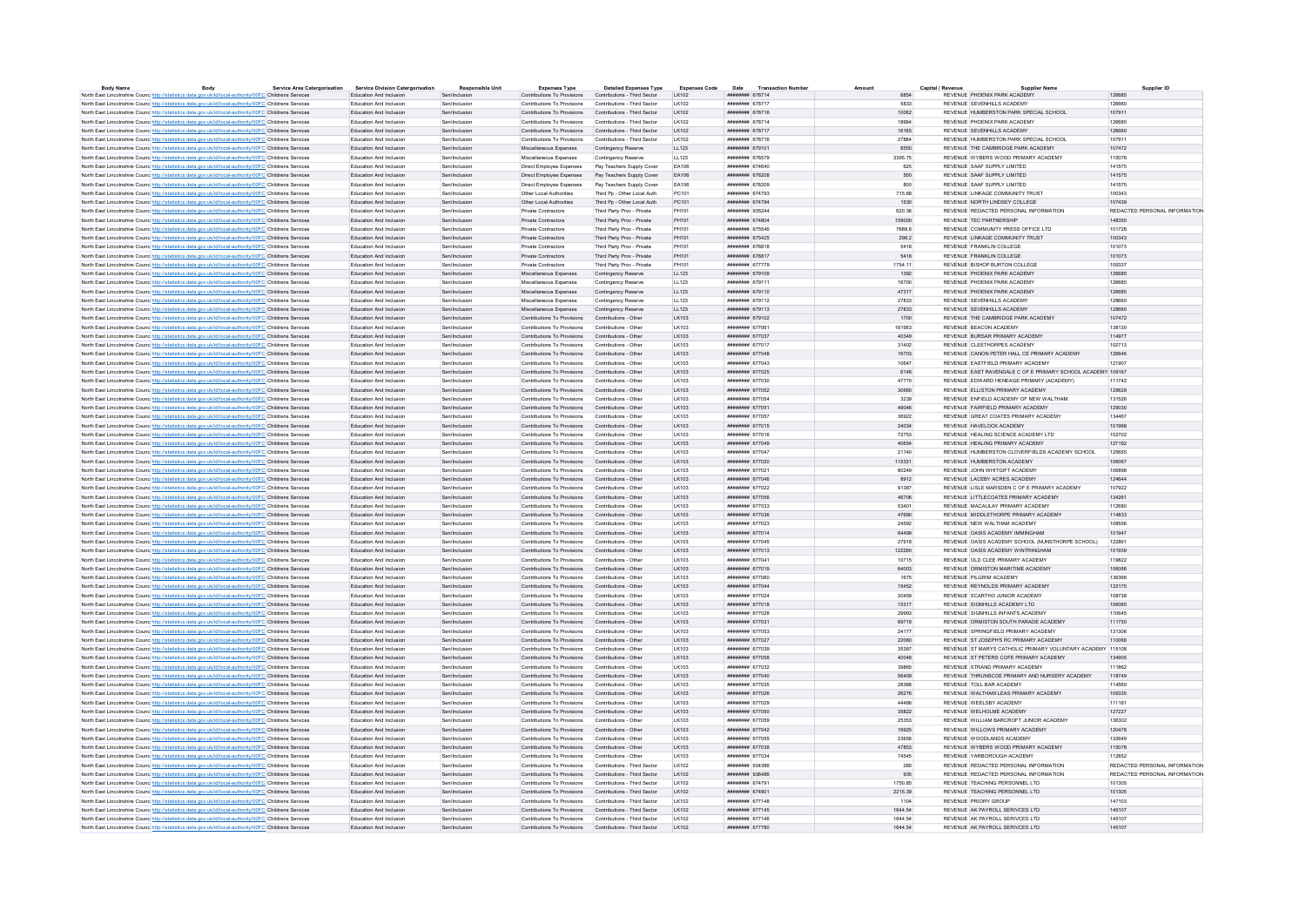| <b>Body Name</b>                                                                                                    | Body | <b>Service Area Catergorisation</b> | <b>Service Division Catergorisation</b>            | <b>Responsible Unit</b> | <b>Expenses Type</b>                                     | <b>Detailed Expenses Type</b>              | <b>Expenses Code</b> | <b>Transaction Number</b><br>Date   | Amount         | Capital / Revenue | <b>Supplier Name</b>                                         | Supplier ID                   |
|---------------------------------------------------------------------------------------------------------------------|------|-------------------------------------|----------------------------------------------------|-------------------------|----------------------------------------------------------|--------------------------------------------|----------------------|-------------------------------------|----------------|-------------------|--------------------------------------------------------------|-------------------------------|
| North East Lincolnshire Counc http://statistics.data.gov.uk/id/local-authority/00FC Childrens Services              |      |                                     | Education And Inclusion                            | Sen/Inclusion           | Contributions To Provisions                              | Contributions - Third Sector               | LK102                | ######## 678714                     | 6854           |                   | REVENUE PHOENIX PARK ACADEMY                                 | 126685                        |
| North East Lincolnshire Counc http://statistics.data.gov.uk/id/local-authority/00FC Childrens Services              |      |                                     | Education And Inclusion                            | Sen/Inclusion           | Contributions To Provisions                              | Contributions - Third Sector               | LK102                | <b><i>BRESHHAM 678717</i></b>       | 5833           |                   | REVENUE SEVENHILLS ACADEMY                                   | 128660                        |
| North East Lincolnshire Counc http://statistics.data.gov.uk/id/local-authority/00FC Childrens Services              |      |                                     | Education And Inclusion                            |                         | Contributions To Provisions                              | Contributions - Third Sector               | LK102                | ######## 678716                     | 10062          |                   | REVENUE HUMBERSTON PARK SPECIAL SCHOOL                       | 107911                        |
| North East Lincolnshire Counc http://statistics.data.gov.uk/id/local-authority/00FC Childrens Services              |      |                                     | Education And Inclusion                            | Senfinglueign           | Contributions To Provisions                              | Contributions - Third Sector               | 1.16102              | <b><i>HNHHHHHH 678714</i></b>       | 18004          |                   | REVENUE PHOENIX PARK ACADEMY                                 | 126685                        |
| North East Lincolnshire Counc http://statistics.data.gov.uk/id/local-authority/00FC Childrens Services              |      |                                     | Education And Inclusion                            | Sen/Inclusion           | Contributions To Provisions Contributions - Third Sector |                                            | LK102                | ######## 678717                     | 16165          |                   | REVENUE SEVENHILLS ACADEMY                                   | 128660                        |
| North East Lincolnshire Counc http://statistics.data.gov.uk/id/local-authority/00FC Childrens Services              |      |                                     | Education And Inclusion                            | Sen/Inclusion           | Contributions To Provisions                              | Contributions - Third Sector               | LK102                | ######## 678716                     | 27884          |                   | REVENUE HUMBERSTON PARK SPECIAL SCHOOL                       | 107911                        |
| North East Lincolnshire Counc http://statistics.data.gov.uk/id/local-authority/00FC Childrens Services              |      |                                     | Education And Inclusion                            | Sen/Inclusion           | Miscellaneous Expenses                                   | Contingency Reserve                        | LL123                | ######## 679101                     | 8550           |                   | REVENUE THE CAMBRIDGE PARK ACADEMY                           | 107472                        |
| North East Lincolnshire Counc http://statistics.data.gov.uk/id/local-authority/00FC Childrens Services              |      |                                     | Education And Inclusion                            | Sen/Inclusion           | Miscellaneous Expenses                                   | Contingency Reserve                        | LL123                | ######## 676579                     | 3395.75        |                   | REVENUE WYBERS WOOD PRIMARY ACADEMY                          | 115078                        |
| North East Lincolnshire Counc http://statistics.data.gov.uk/id/local-authority/00FC Childrens Services              |      |                                     | <b>Education And Inclusion</b>                     | Sen/Inclusion           | Direct Employee Expenses                                 | Pay Teachers Sunnly Cover                  | FA106                | ####### 674640                      | 625            |                   | REVENUE SAAF SUPPLY LIMITED                                  | 141575                        |
| North East Lincolnshire Counc http://statistics.data.gov.uk/id/local-authority/00FC Childrens Services              |      |                                     | Education And Inclusion                            | Sen/Inclusion           | Direct Employee Expenses                                 | Pay Teachers Supply Cover                  | EA106                | ####### 678208                      | 500            |                   | REVENUE SAAF SUPPLY LIMITED                                  | 141575                        |
| North East Lincolnshire Counc http://statistics.data.gov.uk/id/local-authority/00FC Childrens Services              |      |                                     | Education And Inclusion                            | Sen/Inclusion           | Direct Employee Expenses                                 | Pay Teachers Supply Cover                  | FA106                | ######## 678209                     | R <sub>0</sub> |                   | REVENUE SAAF SUPPLY LIMITED                                  | 141575                        |
| North East Lincolnshire Counc http://statistics.data.gov.uk/id/local-authority/00FC Childrens Services              |      |                                     | Education And Inclusion                            | Sen/Inclusion           | Other Local Authorities                                  | Third Po - Other Local Auth                | PC101                | ######## 674793                     | 715.68         |                   | REVENUE LINKAGE COMMUNITY TRUST                              | 100343                        |
| North East Lincolnshire Counc http://statistics.data.gov.uk/id/local-authority/00FC Childrens Services              |      |                                     | Education And Inclusion                            | Sen/Inclusion           | Other Local Authorities                                  | Third Pp - Other Local Auth                | PC101                | ниннини 674794                      | 1530           |                   | REVENUE NORTH LINDSEY COLLEGE                                | 107439                        |
| North East Lincolnshire Council http://statistics.data.gov.uk/id/local-authority/00EC Childrens Services            |      |                                     | <b>Education And Inclusion</b>                     | Sen/Inclusion           | Private Contractors                                      | Third Party Prov - Private                 | PH101                | ######## 935244                     | 620.36         |                   | REVENUE REDACTED PERSONAL INFORMATION                        | REDACTED PERSONAL INFORMATION |
| North East Lincolnshire Counc http://statistics.data.gov.uk/id/local-authority/00FC Childrens Services              |      |                                     | Education And Inclusion                            | Sen/Inclusion           | Private Contractors                                      | Third Party Prov - Private                 | PH101                | ######## 674804                     | 159000         |                   | REVENUE TEC PARTNERSHIP                                      | 148350                        |
| North East Lincolnshire Counc http://statistics.data.gov.uk/id/local-authority/00FC Childrens Services              |      |                                     | <b>Education And Inclusion</b>                     | Sen/Inclusion           | Private Contractors                                      | Third Party Prov - Private                 | PH101                | ининнин 675546                      | 7689.8         |                   | REVENUE COMMUNITY PRESS OFFICE LTD.                          | 101728                        |
| North East Lincolnshire Counc. http://statistics.data.gov.uk/id/local-authority/00FC Childrens Services             |      |                                     | Education And Inclusion                            | Sen/Inclusion           | Private Contractors                                      | Third Party Prov - Private                 | PH101                | ######## 675425                     | 298.2          |                   | REVENUE LINKAGE COMMUNITY TRUST                              | 100343                        |
| North East Lincolnshire Counc http://statistics.data.gov.uk/id/local-authority/00FC Childrens Services              |      |                                     | <b>Education And Inclusion</b>                     | Sen/Inclusion           | Private Contractors                                      | Third Party Prov - Private                 | PH101                | ######## 676818                     | 5418           |                   | REVENUE FRANKLIN COLLEGE                                     | 101073                        |
| North East Lincolnshire Counc http://statistics.data.gov.uk/id/local-authority/00FC Childrens Services              |      |                                     | Education And Inclusion                            | Sen/Inclusion           | Private Contractors                                      | Third Party Prov - Private                 | PH101                | ######## 676817                     | 5418           |                   | REVENUE FRANKLIN COLLEGE                                     | 101073                        |
| North East Lincolnshire Counc http://statistics.data.gov.uk/id/local-authority/00FC Childrens Services              |      |                                     | Education And Inclusion                            | Sen/Inclusion           | Private Contractors                                      | Third Party Prov - Private                 | PH101                | ######## 677779                     | 1754.11        |                   | REVENUE BISHOP BURTON COLLEGE                                | 109337                        |
| North East Lincolnshire Counc http://statistics.data.gov.uk/id/local-authority/00FC Childrens Services              |      |                                     | Education And Inclusion                            | Sen/Inclusion           | Miscellaneous Expenses                                   |                                            | LL123                | ######## 679109                     | 1392           |                   | REVENUE PHOENIX PARK ACADEMY                                 | 126685                        |
| North East Lincolnshire Counc http://statistics.data.gov.uk/id/local-authority/00FC Childrens Services              |      |                                     | Education And Inclusion                            | Sen/Inclusion           | Miscellaneous Expenses                                   | Contingency Reserve<br>Contingency Reserve | LL123                | ######## 679111                     | 16700          |                   | REVENUE PHOENIX PARK ACADEMY                                 | 126685                        |
|                                                                                                                     |      |                                     |                                                    |                         |                                                          |                                            |                      |                                     |                |                   |                                                              |                               |
| North East Lincolnshire Counc http://statistics.data.gov.uk/id/local-authority/00FC Childrens Services              |      |                                     | Education And Inclusion                            | Sen/Inclusion           | Miscellaneous Expenses                                   | Contingency Reserve                        | LL123                | ######## 679110                     | 47317          |                   | REVENUE PHOENIX PARK ACADEMY                                 | 126685                        |
| North East Lincolnshire Counc http://statistics.data.gov.uk/id/local-authority/00FC Childrens Services              |      |                                     | Education And Inclusion                            | Sen/Inclusion           | Miscellaneous Expenses                                   | Contingency Reserve                        | LL123                | ######## 679112                     | 27833          |                   | REVENUE SEVENHILLS ACADEMY                                   | 128660                        |
| North East Lincolnshire Counc <sup>http://statistics.data.gov.uk/id/local-authority/00FC Childrens Services</sup>   |      |                                     | Education And Inclusion                            | Sen/Inclusion           | Miscellaneous Expenses                                   | Contingency Reserve                        | LL123                | ######## 679113                     | 27833          |                   | REVENUE SEVENHILLS ACADEMY                                   | 128660                        |
| North East Lincolnshire Counc http://statistics.data.gov.uk/id/local-authority/00FC Childrens Services              |      |                                     | Education And Inclusion                            | Sen/Inclusion           | Contributions To Provisions                              | Contributions - Other                      | LK103                | ######## 679102                     | 1700           |                   | REVENUE THE CAMBRIDGE PARK ACADEMY                           | 107472                        |
| North East Lincolnshire Counc http://statistics.data.gov.uk/id/local-authority/00FC Childrens Services              |      |                                     | <b>Education And Inclusion</b>                     | Sen/Inclusion           | Contributions To Provisions                              | Contributions - Other                      | LK103                | <b><i><u>HHHHHHH</u></i></b> 677061 | 161953         |                   | REVENUE BEACON ACADEMY                                       | 138130                        |
| North East Lincolnshire Counc http://statistics.data.gov.uk/id/local-authority/00FC Childrens Services              |      |                                     | Education And Inclusion                            | Sen/Inclusion           | Contributions To Provisions Contributions - Other        |                                            | LK103                | ######## 677037                     | 40349          |                   | REVENUE BURSAR PRIMARY ACADEMY                               | 114977                        |
| North East Lincolnshire Counc http://statistics.data.gov.uk/id/local-authority/00FC Childrens Services              |      |                                     | Education And Inclusion                            | Sen/Inclusion           | Contributions To Provisions                              | Contributions - Othe                       | LK103                | ######## 677017                     | 31402          |                   | REVENUE CLEETHORPES ACADEMY                                  | 102713                        |
| North East Lincolnshire Counc http://statistics.data.gov.uk/id/local-authority/00FC Childrens Services              |      |                                     | Education And Inclusion                            | Sen/Inclusion           | Contributions To Provisions Contributions - Other        |                                            | LK103                | ######## 677048                     | 16703          |                   | REVENUE CANON PETER HALL CE PRIMARY ACADEMY                  | 126646                        |
| North East Lincolnshire Counc http://statistics.data.gov.uk/id/local-authority/00FC Childrens Services              |      |                                     | Education And Inclusion                            | Sen/Inclusion           | Contributions To Provisions                              | Contributions - Other                      | LK103                | ####### 677043                      | 10647          |                   | REVENUE EASTFIELD PRIMARY ACADEMY                            | 121907                        |
| North East Lincolnshire Counc http://statistics.data.gov.uk/id/local-authority/00FC Childrens Services              |      |                                     | Education And Inclusion                            | Sen/Inclusion           | Contributions To Provisions                              | Contributions - Other                      | LK103                | ####### 677025                      | 6148           |                   | REVENUE, EAST RAVENDALE C.OF E PRIMARY SCHOOL ACADEMY 109167 |                               |
| North East Lincolnshire Counc http://statistics.data.gov.uk/id/local-authority/00FC Childrens Services              |      |                                     | Education And Inclusion                            | Sen/Inclusion           | Contributions To Provisions                              | Contributions - Other                      | LK103                | ####### 677030                      | 47770          |                   | REVENUE EDWARD HENEAGE PRIMARY (ACADEMY)                     | 111742                        |
| North East Lincolnshire Counc http://statistics.data.gov.uk/id/local-authority/00FC Childrens Services              |      |                                     | Education And Inclusion                            | Sen/Inclusion           | Contributions To Provisions                              | Contributions - Other                      | LK103                | ####### 677052                      | 30660          |                   | REVENUE ELLISTON PRIMARY ACADEMY                             | 129629                        |
| North East Lincolnshire Counc http://statistics.data.gov.uk/id/local-authority/00FC Childrens Services              |      |                                     | Education And Inclusion                            | Sen/Inclusion           | Contributions To Provisions                              | Contributions - Other                      | LK103                | ######## 677054                     | 3239           |                   | REVENUE ENFIELD ACADEMY OF NEW WALTHAM                       | 131526                        |
| North East Lincolnshire Counc http://statistics.data.gov.uk/id/local-authority/00FC Childrens Services              |      |                                     | Education And Inclusion                            | Sen/Inclusion           | Contributions To Provisions                              | Contributions - Other                      | LK103                | ####### 677051                      | 49046          |                   | REVENUE FAIRFIELD PRIMARY ACADEMY                            | 129030                        |
| North East Lincolnshire Counc http://statistics.data.gov.uk/id/local-authority/00FC Childrens Services              |      |                                     | <b>Education And Inclusion</b>                     | Sen/Inclusion           | Contributions To Provisions                              | Contributions - Other                      | <b>IK103</b>         | <b><i><u>HHAHHHH</u></i></b> 677057 | 36922          |                   | REVENUE GREAT COATES PRIMARY ACADEMY                         | 134467                        |
| North East Lincolnshire Counc http://statistics.data.gov.uk/id/local-authority/00FC Childrens Services              |      |                                     | Education And Inclusion                            | Sen/Inclusion           | Contributions To Provisions Contributions - Other        |                                            | LK103                | ######## 677015                     | 24034          |                   | REVENUE HAVELOCK ACADEMY                                     | 101968                        |
| North East Lincolnshire Counc http://statistics.data.gov.uk/id/local-authority/00FC Childrens Services              |      |                                     | <b>Education And Inclusion</b>                     | Sen/Inclusion           | Contributions To Provisions                              | Contributions - Other                      | LK103                | ####### 677016                      | 72753          |                   | REVENUE HEALING SCIENCE ACADEMY LTD                          | 102702                        |
| North East Lincolnshire Counc http://statistics.data.gov.uk/id/local-authority/00FC Childrens Services              |      |                                     | Education And Inclusion                            | Sen/Inclusion           | Contributions To Provisions                              | Contributions - Other                      | LK103                | ######## 677049                     | 40654          |                   | REVENUE HEALING PRIMARY ACADEMY                              | 127192                        |
| North East Lincolnshire Counc http://statistics.data.gov.uk/id/local-authority/00FC Childrens Services              |      |                                     | Education And Inclusion                            | Senfinglueion           | Contributions To Provisions                              | Contributions - Other                      | LK103                | <b><i>HNHHHHHH 677047</i></b>       | 21140          |                   | REVENUE HUMBERSTON CLOVERFIELDS ACADEMY SCHOOL               | 125655                        |
| North East Lincolnshire Counc http://statistics.data.gov.uk/id/local-authority/00FC Childrens Services              |      |                                     | Education And Inclusion                            | Sen/Inclusion           | Contributions To Provisions Contributions - Other        |                                            | LK103                | ######## 677020                     | 115331         |                   | REVENUE HUMBERSTON ACADEMY                                   | 106067                        |
| North East Lincolnshire Counc http://statistics.data.gov.uk/id/local-authority/00FC Childrens Services              |      |                                     | Education And Inclusion                            | Sen/Inclusion           | Contributions To Provisions                              | Contributions - Other                      | LK103                | ####### 677021                      | 80249          |                   | REVENUE JOHN WHITGIFT ACADEMY                                | 106898                        |
| North East Lincolnshire Counc http://statistics.data.gov.uk/id/local-authority/00FC Childrens Services              |      |                                     | Education And Inclusion                            | Sen/Inclusion           | Contributions To Provisions                              | Contributions - Other                      | LK103                | ######## 677046                     | 8912           |                   | REVENUE LACEBY ACRES ACADEMY                                 | 124644                        |
| North East Lincolnshire Counc http://statistics.data.gov.uk/id/local-authority/00FC Childrens Services              |      |                                     | Education And Inclusion                            | Sen/Inclusion           | Contributions To Provisions                              | Contributions - Other                      | LK103                | ####### 677022                      | 91387          |                   | REVENUE LISLE MARSDEN C OF E PRIMARY ACADEMY                 | 107922                        |
|                                                                                                                     |      |                                     | Education And Inclusion                            | Sen/Inclusion           | Contributions To Provisions Contributions - Other        |                                            | LK103                | ####### 677056                      | 46706          |                   | REVENUE LITTLECOATES PRIMARY ACADEMY                         | 134261                        |
| North East Lincolnshire Counc http://statistics.data.gov.uk/id/local-authority/00FC Childrens Services              |      |                                     |                                                    | Sen/Inclusion           |                                                          | Contributions - Other                      |                      | ####### 677033                      |                |                   | REVENUE MACAULAY PRIMARY ACADEMY                             | 112680                        |
| North East Lincolnshire Counc <sup>1</sup> http://statistics.data.gov.uk/id/local-authority/00FC Childrens Services |      |                                     | Education And Inclusion<br>Education And Inclusion | Sen/Inclusion           | Contributions To Provisions                              |                                            | LK103<br>LK103       | ######## 677036                     | 53401<br>47690 |                   | REVENUE MIDDLETHORPE PRIMARY ACADEMY                         | 114833                        |
| North East Lincolnshire Counc http://statistics.data.gov.uk/id/local-authority/00FC Childrens Services              |      |                                     |                                                    |                         | Contributions To Provisions Contributions - Other        |                                            | LK103                | ######## 677023                     | 24592          |                   | REVENUE NEW WALTHAM ACADEMY                                  | 108556                        |
| North East Lincolnshire Counc http://statistics.data.gov.uk/id/local-authority/00FC Childrens Services              |      |                                     | Education And Inclusion                            | Sen/Inclusion           | Contributions To Provisions                              | Contributions - Other                      |                      |                                     |                |                   |                                                              |                               |
| North East Lincolnshire Counc http://statistics.data.gov.uk/id/local-authority/00FC Childrens Services              |      |                                     | Education And Inclusion                            |                         | Contributions To Provisions                              | Contributions - Other                      | LK103                | ######## 677014                     | 64499          |                   | REVENUE OASIS ACADEMY IMMINGHAM                              | 101947                        |
| North East Lincolnshire Counc http://statistics.data.gov.uk/id/local-authority/00FC Childrens Services              |      |                                     | <b>Education And Inclusion</b>                     | Sen/Inclusion           | Contributions To Provisions                              | Contributions - Other                      | <b>IK103</b>         | ######## 677045                     | 27918          |                   | REVENUE OASIS ACADEMY SCHOOL (NUNSTHORPE SCHOOL)             | 122861                        |
| North East Lincolnshire Counc http://statistics.data.gov.uk/id/local-authority/00FC Childrens Services              |      |                                     | Education And Inclusion                            | Sen/Inclusion           | Contributions To Provisions Contributions - Other        |                                            | LK103                | ######## 677013                     | 122290         |                   | REVENUE OASIS ACADEMY WINTRINGHAM                            | 101939                        |
| North East Lincolnshire Counc http://statistics.data.gov.uk/id/local-authority/00FC Childrens Services              |      |                                     | <b>Education And Inclusion</b>                     | Sen/Inclusion           | Contributions To Provisions                              | Contributions - Other                      | LK103                | ####### 677041                      | 10715          |                   | REVENUE OLD CLEE PRIMARY ACADEMY                             | 119822                        |
| North East Lincolnshire Counc http://statistics.data.gov.uk/id/local-authority/00FC Childrens Services              |      |                                     | Education And Inclusion                            | Sen/Inclusion           | Contributions To Provisions                              | Contributions - Other                      | LK103                | ####### 677019                      | 64003          |                   | REVENUE ORMISTON MARITIME ACADEMY                            | 106066                        |
| North East Lincolnshire Counc http://statistics.data.gov.uk/id/local-authority/00FC Childrens Services              |      |                                     | <b>Friucation And Inclusion</b>                    | Sen/Inclusion           | Contributions To Provisions                              | Contributions - Other                      | LK103                | ######## 677060                     | 1675           |                   | REVENUE PILGRIM ACADEMY                                      | 136366                        |
| North East Lincolnshire Counc http://statistics.data.gov.uk/id/local-authority/00FC Childrens Services              |      |                                     | Education And Inclusion                            | Sen/Inclusion           | Contributions To Provisions Contributions - Other        |                                            | LK103                | ####### 677044                      | 15452          |                   | REVENUE REYNOLDS PRIMARY ACADEMY                             | 122175                        |
| North East Lincolnshire Counc http://statistics.data.gov.uk/id/local-authority/00FC Childrens Services              |      |                                     | Education And Inclusion                            | Sen/Inclusion           | Contributions To Provisions                              | Contributions - Other                      | LK103                | ######## 677024                     | 20459          |                   | REVENUE SCARTHO JUNIOR ACADEMY                               | 108738                        |
| North East Lincolnshire Counc. http://statistics.data.gov.uk/id/local-authority/00FC Childrens Services             |      |                                     | Education And Inclusion                            | Sen/Inclusion           | Contributions To Provisions                              | Contributions - Other                      | 1 K103               | ######## 677018                     | 15317          |                   | REVENUE SIGNHILLS ACADEMY LTD                                | 106065                        |
| North East Lincolnshire Counc http://statistics.data.gov.uk/id/local-authority/00FC Childrens Services              |      |                                     | Education And Inclusion                            | Sen/Inclusion           | Contributions To Provisions                              | Contributions - Othe                       | LK103                | ####### 677028                      | 29993          |                   | REVENUE SIGNHILLS INFANTS ACADEMY                            | 110645                        |
| North East Lincolnshire Counc http://statistics.data.gov.uk/id/local-authority/00FC Childrens Services              |      |                                     | Education And Inclusion                            | Sen/Inclusion           | Contributions To Provisions                              | Contributions - Other                      | <b>IK103</b>         | ######## 677031                     | 69718          |                   | REVENUE ORMISTON SOUTH PARADE ACADEMY                        | 111750                        |
| North East Lincolnshire Counc http://statistics.data.gov.uk/id/local-authority/00FC Childrens Services              |      |                                     | Education And Inclusion                            | Sen/Inclusion           | Contributions To Provisions                              | Contributions - Other                      | <b>IK103</b>         | ######## 677053                     | 24177          |                   | REVENUE SPRINGFIELD PRIMARY ACADEMY                          | 131306                        |
| North East Lincolnshire Counc http://statistics.data.gov.uk/id/local-authority/00FC Childrens Services              |      |                                     | Education And Inclusion                            | Sen/Inclusion           | Contributions To Provisions                              | Contributions - Other                      | LK103                | ######## 677027                     | 22060          |                   | REVENUE ST JOSEPH'S RC PRIMARY ACADEMY                       | 110066                        |
| North East Lincolnshire Counc http://statistics.data.gov.uk/id/local-authority/00FC Childrens Services              |      |                                     | Education And Inclusion                            | Sen/Inclusion           | Contributions To Provisions                              | Contributions - Other                      | LK103                | ######## 677039                     | 35387          |                   | REVENUE ST MARYS CATHOLIC PRIMARY VOLUNTARY ACADEMY 115108   |                               |
| North East Lincolnshire Counc http://statistics.data.gov.uk/id/local-authority/00FC Childrens Services              |      |                                     | Education And Inclusion                            | Sen/Inclusion           | Contributions To Provisions                              | Contributions - Other                      | LK103                | ######## 677058                     | 40048          |                   | REVENUE ST PETERS COFE PRIMARY ACADEMY                       | 134905                        |
| North East Lincolnshire Counc http://statistics.data.gov.uk/id/local-authority/00FC Childrens Services              |      |                                     | Education And Inclusion                            | Sen/Inclusion           | Contributions To Provisions                              | Contributions - Other                      | LK103                | ######## 677032                     | 39865          |                   | REVENUE STRAND PRIMARY ACADEMY                               | 111862                        |
| North East Lincolnshire Counc http://statistics.data.gov.uk/id/local-authority/00FC Childrens Services              |      |                                     | Education And Inclusion                            | Sen/Inclusion           | Contributions To Provisions Contributions - Other        |                                            | LK103                | ######## 677040                     | 56409          |                   | REVENUE THRUNSCOE PRIMARY AND NURSERY ACADEMY                | 118749                        |
| North East Lincolnshire Counc http://statistics.data.gov.uk/id/local-authority/00FC Childrens Services              |      |                                     | <b>Education And Inclusion</b>                     | Sen/Inclusion           | Contributions To Provisions                              | Contributions - Other                      | <b>IK103</b>         | ####### 677035                      | 28368          |                   | REVENUE TOLL BAR ACADEMY                                     | 114560                        |
| North East Lincolnshire Counc http://statistics.data.gov.uk/id/local-authority/00FC Childrens Services              |      |                                     | Education And Inclusion                            | Sen/Inclusion           | Contributions To Provisions                              | Contributions - Other                      | LK103                | ####### 677026                      | 26276          |                   | REVENUE WALTHAM LEAS PRIMARY ACADEMY                         | 109335                        |
| North East Lincolnshire Counc http://statistics.data.gov.uk/id/local-authority/00FC Childrens Services              |      |                                     | Education And Inclusion                            | Sen/Inclusion           | Contributions To Provisions                              | Contributions - Other                      | LK103                | ######## 677029                     | 44466          |                   | REVENUE WEELSBY ACADEMY                                      | 111161                        |
| North East Lincolnshire Counc http://statistics.data.gov.uk/id/local-authority/00FC Childrens Services              |      |                                     | Education And Inclusion                            | Sen/Inclusion           | Contributions To Provisions Contributions - Other        |                                            | LK103                | ####### 677050                      | 35822          |                   | REVENUE WELHOLME ACADEMY                                     | 127227                        |
| North East Lincolnshire Counc http://statistics.data.gov.uk/id/local-authority/00FC Childrens Services              |      |                                     | Education And Inclusion                            | Sen/Inclusion           | Contributions To Provisions                              | Contributions - Other                      | LK103                | ######## 677059                     | 25353          |                   | REVENUE WILLIAM BARCROFT JUNIOR ACADEMY                      | 136302                        |
| North East Lincolnshire Counc http://statistics.data.gov.uk/id/local-authority/00FC Childrens Services              |      |                                     | Education And Inclusion                            | Sen/Inclusion           | Contributions To Provisions                              | Contributions - Other                      | <b>IK103</b>         | нивнинин 677042                     | 16925          |                   | REVENUE WILLOWS PRIMARY ACADEMY                              | 120478                        |
| North East Lincolnshire Counc http://statistics.data.gov.uk/id/local-authority/00FC Childrens Services              |      |                                     | Education And Inclusion                            | Sen/Inclusion           | Contributions To Provisions                              | Contributions - Other                      | LK103                | ####### 677055                      | 23656          |                   | REVENUE WOODLANDS ACADEMY                                    | 132649                        |
| North East Lincolnshire Counc http://statistics.data.gov.uk/id/local-authority/00FC Childrens Services              |      |                                     | Education And Inclusion                            | Sen/Inclusion           | Contributions To Provisions Contributions - Other        |                                            | <b>IK103</b>         | <b><i><u>HUBHHHH</u></i></b> 677038 | 47853          |                   | REVENUE WYBERS WOOD PRIMARY ACADEMY                          | 115078                        |
| North East Lincolnshire Counc http://statistics.data.gov.uk/id/local-authority/00FC Childrens Services              |      |                                     | <b>Education And Inclusion</b>                     | Sen/Inclusion           | Contributions To Provisions                              | Contributions - Other                      | <b>IK103</b>         | ######## 677034                     | 74545          |                   | REVENUE YARROROUGH ACADEMY                                   | 112852                        |
| North East Lincolnshire Counc. http://statistics.data.gov.uk/id/local-authority/00FC Childrens Services             |      |                                     | Education And Inclusion                            | Sen/Inclusion           | Contributions To Provisions                              | Contributions - Third Sector               | LK102                | ниннини 934386                      | 280            |                   | REVENUE REDACTED PERSONAL INFORMATION                        | REDACTED PERSONAL INFORMATION |
| North East Lincolnshire Counc. http://statistics.data.gov.uk/id/local-authority/00FC Childrens Services             |      |                                     | Education And Inclusion                            | Sen/Inclusion           | Contributions To Provisions                              | Contributions - Third Sector               | LK102                | ######## 936486                     | 935            |                   | REVENUE REDACTED PERSONAL INFORMATION                        | REDACTED PERSONAL INFORMATION |
| North East Lincolnshire Counc http://statistics.data.gov.uk/id/local-authority/00FC Childrens Services              |      |                                     | Education And Inclusion                            | Sen/Inclusio            | Contributions To Provisions                              | Contributions - Third Sector               | LK102                | ######## 674791                     | 1750.85        |                   | REVENUE TEACHING PERSONNEL LTD                               | 101305                        |
| North East Lincolnshire Counc http://statistics.data.gov.uk/id/local-authority/00FC Childrens Services              |      |                                     | Education And Inclusion                            | Sen/Inclusion           | Contributions To Provisions Contributions - Third Sector |                                            | LK102                | ######## 674801                     | 2215.39        |                   | REVENUE TEACHING PERSONNEL LTD                               | 101305                        |
| North East Lincolnshire Counc. http://statistics.data.gov.uk/id/local-authority/00FC Childrens Services             |      |                                     | Education And Inclusion                            | Sen/Inclusion           | Contributions To Provisions Contributions - Third Sector |                                            | LK102                | ####### 677148                      | 1104           |                   | REVENUE PRIORY GROUP                                         | 147103                        |
| North East Lincolnshire Counc http://statistics.data.gov.uk/id/local-authority/00FC Childrens Services              |      |                                     | <b>Education And Inclusion</b>                     | Sen/Inclusion           | Contributions To Provisions Contributions - Third Sector |                                            | $I$ K <sub>102</sub> | ######## 677145                     | 1644 54        |                   | REVENUE AK PAYROLL SERIVCES LTD                              | 145107                        |
| North East Lincolnshire Counc http://statistics.data.gov.uk/id/local-authority/00FC Childrens Services              |      |                                     | Education And Inclusion                            | Sen/Inclusion           | Contributions To Provisions                              | Contributions - Third Sector               | LK102                | ######## 677146                     | 1644.54        |                   | REVENUE AK PAYROLL SERIVCES LTD                              | 145107                        |
| North East Lincolnshire Counc http://statistics.data.gov.uk/id/local-authority/00FC Childrens Services              |      |                                     | <b>Education And Inclusion</b>                     | Sen/Inclusion           | Contributions To Provisions Contributions - Third Sector |                                            | K102                 | ######## 677780                     | 1644.54        |                   | REVENUE AK PAYROLL SERIVCES LTD                              | 145107                        |
|                                                                                                                     |      |                                     |                                                    |                         |                                                          |                                            |                      |                                     |                |                   |                                                              |                               |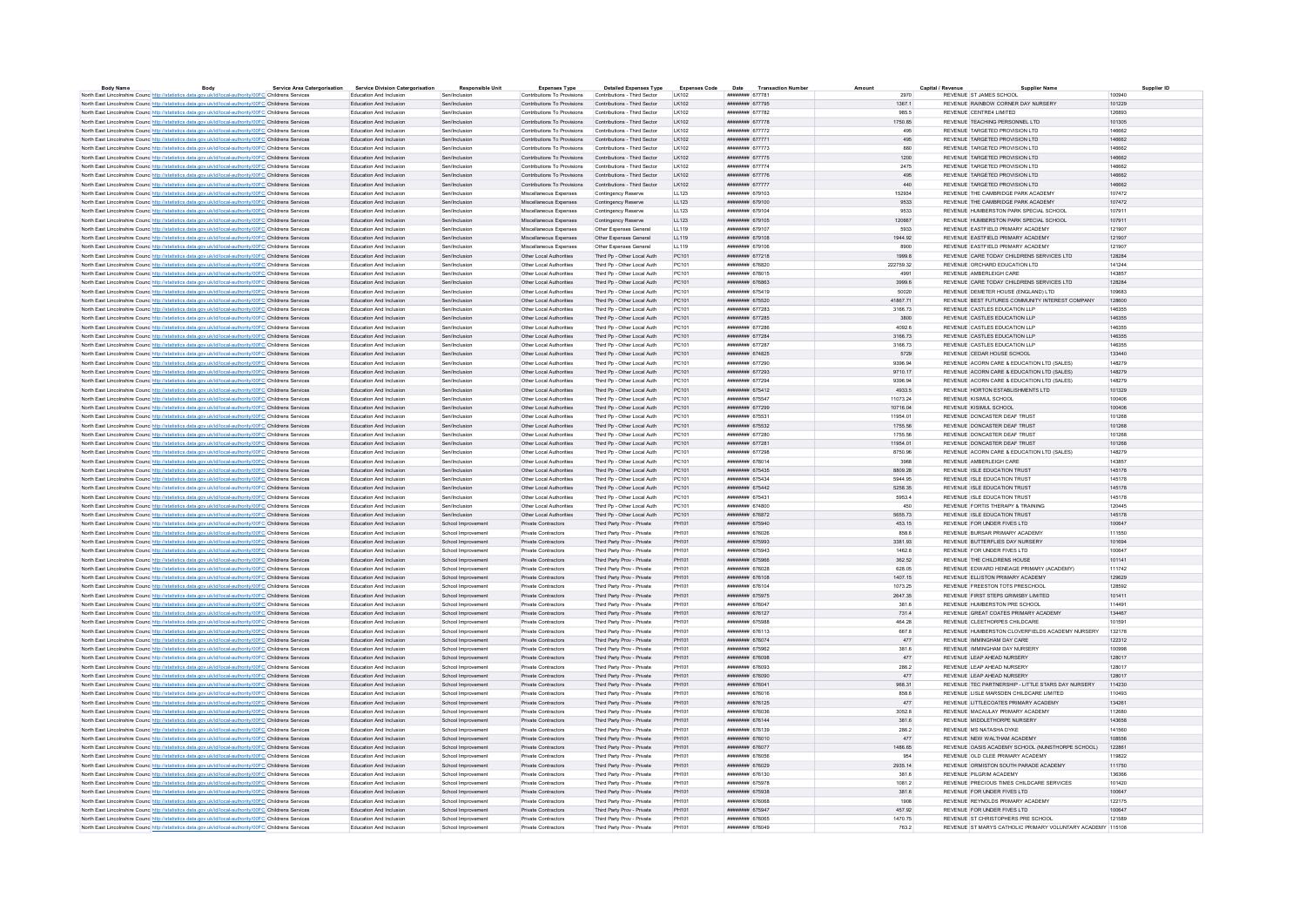| <b>Body Name</b>                                                                                                                                                                                                            | Body | <b>Service Area Catergorisation</b> | <b>Service Division Catergorisation</b>            | <b>Responsible Unit</b>                  | <b>Expenses Type</b>                                                                    | <b>Detailed Expenses Type</b>                            | <b>Expenses Code</b> | Date                               | <b>Transaction Number</b> | Amount           | Capital / Revenue<br><b>Supplier Name</b>                     | Supplier ID      |
|-----------------------------------------------------------------------------------------------------------------------------------------------------------------------------------------------------------------------------|------|-------------------------------------|----------------------------------------------------|------------------------------------------|-----------------------------------------------------------------------------------------|----------------------------------------------------------|----------------------|------------------------------------|---------------------------|------------------|---------------------------------------------------------------|------------------|
| North East Lincolnshire Counc http://statistics.data.gov.uk/id/local-authority/00FC Childrens Services                                                                                                                      |      |                                     | Education And Inclusion<br>Education And Inclusion | Sen/Inclusion<br>Sen/Inclusion           | Contributions To Provisions<br>Contributions To Provisions Contributions - Third Sector | Contributions - Third Sector                             | LK102<br>I K102      | ######## 677781<br>######## 677795 |                           | 2970<br>13671    | REVENUE ST JAMES SCHOOL<br>REVENUE RAINBOW CORNER DAY NURSERY | 100940<br>101229 |
| North East Lincolnshire Counc http://statistics.data.gov.uk/id/local-authority/00FC Childrens Services                                                                                                                      |      |                                     | Education And Inclusion                            | Sen/Inclusion                            | <b>Contributions To Provisions</b>                                                      | Contributions - Third Sector                             | LK102                | ######## 677782                    |                           | 985.5            | REVENUE CENTRE4 LIMITED                                       | 126893           |
| North East Lincolnshire Counc http://statistics.data.gov.uk/id/local-authority/00FC Childrens Services                                                                                                                      |      |                                     | Education And Inclusion                            | Senfinglueion                            | Contributions To Provisions                                                             | Contributions - Third Sector                             | LK102                | <b><i>BREBHARE 677778</i></b>      |                           | 1750.85          | REVENUE TEACHING RERSONNEL LTD.                               | 101305           |
| North East Lincolnshire Councint the Material State Add According Material Analysis of Childrens Services                                                                                                                   |      |                                     | Education And Inclusion                            | Sen/Inclusion                            | Contributions To Provisions                                                             | Contributions - Third Sector                             | LK102                | ######## 677772                    |                           | 495              | REVENUE TARGETED PROVISION LTD                                | 146662           |
| North East Lincolnshire Counc http://statistics.data.gov.uk/id/local-authority/00FC Childrens Services<br>North East Lincolnshire Counc. http://statistics.data.gov.uk/id/local-authority/00FC Childrens Services           |      |                                     | Education And Inclusion                            | Sen/Inclusion                            | Contributions To Provisions                                                             | Contributions - Third Sector                             | LK102                | ######## 677771                    |                           | 495              | REVENUE TARGETED PROVISION LTD                                | 146662           |
| North East Lincolnshire Counc http://statistics.data.gov.uk/id/local-authority/00FC Childrens Services                                                                                                                      |      |                                     | Education And Inclusion                            | Sen/Inclusion                            | Contributions To Provisions                                                             | Contributions - Third Sector                             | LK102                | ######## 677773                    |                           | 880              | REVENUE TARGETED PROVISION LTD                                | 146662           |
| North East Lincolnshire Counc http://statistics.data.gov.uk/id/local-authority/00FC Childrens Services                                                                                                                      |      |                                     | Education And Inclusion                            | Sen/Inclusion                            | Contributions To Provisions                                                             | Contributions - Third Sector                             | LK102                | ######## 677775                    |                           | 1200             | REVENUE TARGETED PROVISION LTD                                | 146662           |
| North East Lincolnshire Counc <sup>htto://statistics.data.gov.uk/id/local-authority/00FC Childrens Services</sup>                                                                                                           |      |                                     | Education And Inclusion                            | Sen/Inclusion                            | Contributions To Provisions                                                             | Contributions - Third Sector                             | I K102               | <b>инвинин</b> 677774              |                           | 2475             | REVENUE TARGETED PROVISION LTD                                | 146662           |
| North East Lincolnshire Counc http://statistics.data.gov.uk/id/local-authority/00FC Childrens Services                                                                                                                      |      |                                     | Education And Inclusion                            | Sen/Inclusion                            | Contributions To Provisions                                                             | Contributions - Third Sector                             | LK102                | ######## 677776                    |                           | 495              | REVENUE TARGETED PROVISION LTD                                | 146662           |
| North East Lincolnshire Counc http://statistics.data.gov.uk/id/local-authority/00FC Childrens Services                                                                                                                      |      |                                     | <b>Education And Inclusion</b>                     | Sen/Inclusion                            | Contributions To Provisions Contributions - Third Sector                                |                                                          | LK102                | ######## 677777                    |                           | 440              | REVENUE TARGETED PROVISION LTD                                | 146662           |
| North East Lincolnshire Counc http://statistics.data.gov.uk/id/local-authority/00FC Childrens Services                                                                                                                      |      |                                     | Education And Inclusion                            | Sen/Inclusion                            | Miscellaneous Expenses                                                                  | Contingency Reserve                                      | LL123                | ######## 679103                    |                           | 152934           | REVENUE THE CAMBRIDGE PARK ACADEMY                            | 107472           |
| North East Lincolnshire Counc http://statistics.data.gov.uk/id/local-authority/00FC Childrens Services                                                                                                                      |      |                                     | Education And Inclusion                            | Sen/Inclusion                            | Miscellaneous Expenses                                                                  | Contingency Reserve                                      | LL123                | ####### 679100                     |                           | 9533             | REVENUE THE CAMBRIDGE PARK ACADEMY                            | 107472           |
| North East Lincolnshire Council http://statistics.data.gov.uk/id/local-authority/00EC Childrens Services                                                                                                                    |      |                                     | Education And Inclusion                            | Sen/Inclusion                            | Miscellaneous Expenses                                                                  | Contingency Reserve                                      | 11123                | ######## 679104                    |                           | 9533             | REVENUE HUMBERSTON PARK SPECIAL SCHOOL                        | 107911           |
| North East Lincolnshire Counc http://statistics.data.gov.uk/id/local-authority/00FC Childrens Services                                                                                                                      |      |                                     | Education And Inclusion                            | Sen/Inclusion                            | Miscellaneous Expenses                                                                  | Contingency Reserve                                      | LL123                | ######## 679105                    |                           | 120667           | REVENUE HUMBERSTON PARK SPECIAL SCHOOL                        | 107911           |
| North East Lincolnshire Counc http://statistics.data.gov.uk/id/local-authority/00FC Childrens Services                                                                                                                      |      |                                     | Education And Inclusion                            | Sen/Inclusion                            | Miscellaneous Expenses                                                                  | Other Expenses General                                   | 11119                | ######## 679107                    |                           | 5933             | REVENUE FASTEIELD PRIMARY ACADEMY                             | 121907           |
| North East Lincolnshire Counc <sup>http://statistics.data.gov.uk/id/local-authority/00FC Childrens Services</sup>                                                                                                           |      |                                     | Education And Inclusion                            | Sen/Inclusion                            | Miscellaneous Expenses                                                                  | Other Expenses General                                   | LL119                | ####### 679108                     |                           | 1944.92          | REVENUE EASTFIELD PRIMARY ACADEMY                             | 121907           |
| North East Lincolnshire Counc http://statistics.data.gov.uk/id/local-authority/00FC Childrens Services                                                                                                                      |      |                                     | Education And Inclusion                            | Sen/Inclusion                            | Miscellaneous Expenses                                                                  | Other Expenses General                                   | LL119                | ####### 679106                     |                           | 8900             | REVENUE FASTEIELD PRIMARY ACADEMY                             | 121907           |
| North East Lincolnshire Counc <sup>http://statistics.data.gov.uk/id/local-authority/00FC Childrens Services</sup>                                                                                                           |      |                                     | Education And Inclusion                            | Sen/Inclusion                            | Other Local Authorities                                                                 | Third Po - Other Local Auth                              | PC101                | ####### 677218                     |                           | 1999.8           | REVENUE CARE TODAY CHILDRENS SERVICES LTD                     | 128284           |
| North East Lincolnshire Counc http://statistics.data.gov.uk/id/local-authority/00FC Childrens Services                                                                                                                      |      |                                     | Education And Inclusion                            | Sen/Inclusion                            | Other Local Authorities                                                                 | Third Pp - Other Local Auth                              | PC101                | ######## 676820                    |                           | 222759.32        | REVENUE ORCHARD EDUCATION LTD                                 | 141244           |
| North East Lincolnshire Counc http://statistics.data.gov.uk/id/local-authority/00FC Childrens Services                                                                                                                      |      |                                     | Education And Inclusion                            | Sen/Inclusion                            | Other Local Authorities                                                                 | Third Po - Other Local Auth                              | PC101                | ######## 678015                    |                           | 4991             | REVENUE AMBERLEIGH CARE                                       | 143857           |
| North East Lincolnshire Counc http://statistics.data.gov.uk/id/local-authority/00FC Childrens Services                                                                                                                      |      |                                     | Education And Inclusion                            | Sen/Inclusion                            | Other Local Authorities                                                                 | Third Pp - Other Local Auth                              | PC101                | ######## 676863                    |                           | 3999.6           | REVENUE CARE TODAY CHILDRENS SERVICES LTD                     | 128284           |
| North East Lincolnshire Counc http://statistics.data.gov.uk/id/local-authority/00FC Childrens Services                                                                                                                      |      |                                     | Education And Inclusion                            | Sen/Inclusion                            | Other Local Authorities                                                                 | Third Pn - Other Local Auth                              | PC101                | ######## 675419                    |                           | 50020            | REVENUE DEMETER HOUSE (FNGLAND) LTD.                          | 109683           |
| North East Lincolnshire Counc <sup>http://statistics.data.gov.uk/id/local-authority/00FC Childrens Services</sup>                                                                                                           |      |                                     | Education And Inclusion                            | Sen/Inclusion                            | Other Local Authorities                                                                 | Third Po - Other Local Auth                              | PC101                | ######## 675520                    |                           | 41867.71         | REVENUE BEST FUTURES COMMUNITY INTEREST COMPANY               | 128600           |
| North East Lincolnshire Counc http://statistics.data.gov.uk/id/local-authority/00FC Childrens Services                                                                                                                      |      |                                     | Education And Inclusion                            | Sen/Inclusion                            | Other Local Authorities                                                                 | Third Po - Other Local Auth                              | PC101                | нивнини 677283                     |                           | 3166.73          | REVENUE CASTLES EDUCATION LLP                                 | 146355           |
| North East Lincolnshire Counc http://statistics.data.gov.uk/id/local-authority/00FC Childrens Services                                                                                                                      |      |                                     | Education And Inclusion                            | Sen/Inclusion                            | Other Local Authorities                                                                 | Third Po - Other Local Auth                              | PC101                | ######## 677285                    |                           | 3800             | REVENUE CASTLES EDUCATION LLP                                 | 146355           |
| North East Lincolnshire Counc http://statistics.data.gov.uk/id/local-authority/00FC Childrens Services                                                                                                                      |      |                                     | Education And Inclusion                            | Sen/Inclusion                            | Other Local Authorities                                                                 | Third Po - Other Local Auth                              | PC101                | ининнин 677286                     |                           | 4092.6           | REVENUE CASTLES EDUCATION LLP                                 | 146355           |
| North East Lincolnshire Counc http://statistics.data.gov.uk/id/local-authority/00FC Childrens Services                                                                                                                      |      |                                     | Education And Inclusion                            | Sen/Inclusion                            | Other Local Authorities                                                                 | Third Po - Other Local Auth                              | PC101                | ######## 677284                    |                           | 3166.73          | REVENUE CASTLES EDUCATION LLP                                 | 146355           |
| North East Lincolnshire Counc http://statistics.data.gov.uk/id/local-authority/00FC Childrens Services                                                                                                                      |      |                                     | Education And Inclusion                            | Sen/Inclusion                            | Other Local Authorities                                                                 | Third Pp - Other Local Auth                              | PC101                | ######## 677287                    |                           | 3166.73          | REVENUE CASTLES EDUCATION LLP                                 | 146355           |
| North East Lincolnshire Counc http://statistics.data.gov.uk/id/local-authority/00FC Childrens Services                                                                                                                      |      |                                     | Education And Inclusion                            | Sen/Inclusion                            | Other Local Authorities                                                                 | Third Po - Other Local Auth                              | PC101                | ######## 674825                    |                           | 5729             | REVENUE CEDAR HOUSE SCHOOL                                    | 133440           |
| North East Lincolnshire Counc http://statistics.data.gov.uk/id/local-authority/00FC Childrens Services                                                                                                                      |      |                                     | Education And Inclusion                            | Sen/Inclusion                            | Other Local Authorities                                                                 | Third Po - Other Local Auth                              | PC101                | ######## 677290                    |                           | 9396.94          | REVENUE ACORN CARE & EDUCATION LTD (SALES)                    | 148279           |
| North East Lincolnshire Counc http://statistics.data.gov.uk/id/local-authority/00FC Childrens Services                                                                                                                      |      |                                     | <b>Education And Inclusion</b>                     | Sen/Inclusion                            | Other Local Authorities                                                                 | Third Po - Other Local Auth                              | PC101                | ######## 677293                    |                           | 9710 17          | REVENUE ACORN CARE & EDUCATION LTD (SALES)                    | 148279           |
| North East Lincolnshire Counc http://statistics.data.gov.uk/id/local-authority/00FC Childrens Services                                                                                                                      |      |                                     | Education And Inclusion                            | Sen/Inclusion                            | Other Local Authorities                                                                 | Third Po - Other Local Auth                              | PC101                | ######## 677294                    |                           | 9396.94          | REVENUE ACORN CARE & EDUCATION LTD (SALES)                    | 148279           |
| North East Lincolnshire Counc http://statistics.data.gov.uk/id/local-authority/00FC Childrens Services                                                                                                                      |      |                                     | Education And Inclusion                            | Sen/Inclusion                            | Other Local Authorities                                                                 | Third Pp - Other Local Auth                              | PC101                | ######## 675412                    |                           | 4933.5           | REVENUE HORTON ESTABLISHMENTS LTD                             | 101329           |
| North East Lincolnshire Counc http://statistics.data.gov.uk/id/local-authority/00FC Childrens Services                                                                                                                      |      |                                     | Education And Inclusion                            | Sen/Inclusion                            | Other Local Authorities                                                                 | Third Po - Other Local Auth                              | PC101                | ######## 675547                    |                           | 11073.24         | REVENUE KISIMUL SCHOOL                                        | 100406           |
| North East Lincolnshire Counc http://statistics.data.gov.uk/id/local-authority/00FC Childrens Services                                                                                                                      |      |                                     | Education And Inclusion                            | Sen/Inclusion                            | Other Local Authorities                                                                 | Third Po - Other Local Auth                              | PC101                | ######## 677299                    |                           | 10716.04         | REVENUE KISIMUL SCHOOL                                        | 100406           |
| North East Lincolnshire Counc http://statistics.data.gov.uk/id/local-authority/00FC Childrens Services                                                                                                                      |      |                                     | Education And Inclusion                            | Sen/Inclusion                            | Other Local Authorities                                                                 | Third Pn - Other Local Auth                              | PC101                | ######## 675531                    |                           | 11954 01         | REVENUE DONCASTER DEAF TRUST                                  | 101268           |
| North East Lincolnshire Counc http://statistics.data.gov.uk/id/local-authority/00FC Childrens Services                                                                                                                      |      |                                     | Education And Inclusion                            | Sen/Inclusion                            | Other Local Authorities                                                                 | Third Po - Other Local Auth                              | PC101                | ######## 675532                    |                           | 1755.56          | REVENUE DONCASTER DEAF TRUST                                  | 101268           |
| North East Lincolnshire Counc http://statistics.data.gov.uk/id/local-authority/00FC Childrens Services                                                                                                                      |      |                                     | Education And Inclusion                            | Sen/Inclusion                            | Other Local Authorities                                                                 | Third Po - Other Local Auth                              | PC101                | ######## 677280                    |                           | 1755.56          | REVENUE DONCASTER DEAF TRUST                                  | 101268           |
| North East Lincolnshire Counc http://statistics.data.gov.uk/id/local-authority/00FC Childrens Services                                                                                                                      |      |                                     | Education And Inclusion                            | Sen/Inclusion                            | Other Local Authorities                                                                 | Third Pp - Other Local Auth                              | PC101                | ####### 677281                     |                           | 11954 01         | REVENUE DONCASTER DEAF TRUST                                  | 101268           |
| North East Lincolnshire Councint the Material State Advanced Authority/00FC Childrens Services                                                                                                                              |      |                                     | Education And Inclusion                            | Sen/Inclusion                            | Other Local Authorities                                                                 | Third Pp - Other Local Auth                              | PC101                | <b><i>HNHHHHHH 677298</i></b>      |                           | 8750.96          | REVENUE ACORN CARE & EDUCATION LTD (SALES)                    | 148279           |
| North East Lincolnshire Counc. http://statistics.data.gov.uk/id/local-authority/00FC Childrens Services                                                                                                                     |      |                                     | Education And Inclusion                            | Sen/Inclusion                            | Other Local Authorities                                                                 | Third Po - Other Local Auth                              | PC101                | ######## 678014                    |                           | 3968             | REVENUE AMBERLEIGH CARE                                       | 143857           |
| North East Lincolnshire Counc http://statistics.data.gov.uk/id/local-authority/00FC Childrens Services                                                                                                                      |      |                                     | Education And Inclusion                            | Sen/Inclusion                            | Other Local Authorities                                                                 | Third Pp - Other Local Auth                              | PC101                | ######## 675435                    |                           | 8809.28          | REVENUE ISLE EDUCATION TRUST                                  | 145178           |
| North East Lincolnshire Counc. http://statistics.data.gov.uk/id/local-authority/00FC Childrens Services                                                                                                                     |      |                                     | Education And Inclusion                            | Sen/Inclusion                            | Other Local Authorities                                                                 | Third Po - Other Local Auth                              | PC101                | ######## 675434                    |                           | 5944.95          | REVENUE ISLE EDUCATION TRUST                                  | 145178           |
| North East Lincolnshire Counc http://statistics.data.gov.uk/id/local-authority/00FC Childrens Services                                                                                                                      |      |                                     | Education And Inclusion                            | Sen/Inclusion                            | Other Local Authorities                                                                 | Third Po - Other Local Auth                              | PC101                | ####### 675442                     |                           | 5258.35          | REVENUE ISLE EDUCATION TRUST                                  | 145178           |
| North East Lincolnshire Counc http://statistics.data.gov.uk/id/local-authority/00FC Childrens Services                                                                                                                      |      |                                     | Education And Inclusion                            | Sen/Inclusion                            | Other Local Authorities                                                                 | Third Pn - Other Local Auth                              | PC101                | ######## 675431                    |                           | 5953.4           | REVENUE ISLE EDUCATION TRUST                                  | 145178           |
| North East Lincolnshire Counc http://statistics.data.gov.uk/id/local-authority/00FC Childrens Services                                                                                                                      |      |                                     | Education And Inclusion                            | Sen/Inclusion                            | Other Local Authorities                                                                 | Third Po - Other Local Auth                              | PC101                | ####### 674800                     |                           | 450              | REVENUE FORTIS THERAPY & TRAINING                             | 120445           |
| North East Lincolnshire Counc http://statistics.data.gov.uk/id/local-authority/00FC Childrens Services                                                                                                                      |      |                                     | Education And Inclusion                            | Sen/Inclusion                            | Other Local Authorities                                                                 | Third Pp - Other Local Auth                              | PC101                | ######## 676872                    |                           | 5655.73          | REVENUE ISLE EDUCATION TRUST                                  | 145178           |
| North East Lincolnshire Counc http://statistics.data.gov.uk/id/local-authority/00FC Childrens Services                                                                                                                      |      |                                     | Education And Inclusion                            | School Improvement                       | <b>Private Contractors</b>                                                              | Third Party Prov - Private                               | PH101                | ######## 675940                    |                           | 453.15           | REVENUE FOR UNDER FIVES LTD                                   | 100647           |
| North East Lincolnshire Counc http://statistics.data.gov.uk/id/local-authority/00FC Childrens Services                                                                                                                      |      |                                     | Education And Inclusion                            | School Improvement                       | Private Contractors                                                                     | Third Party Prov - Private                               | PH101                | ######## 676026                    |                           | 858.6            | REVENUE BURSAR PRIMARY ACADEMY                                | 111550           |
| North East Lincolnshire Counc. http://statistics.data.gov.uk/id/local-authority/00FC Childrens Services                                                                                                                     |      |                                     | Education And Inclusion                            | School Improvement                       | Private Contractors                                                                     | Third Party Prov - Private                               | PH101                | ######## 675993                    |                           | 3381.93          | REVENUE BUTTERELIES DAY NURSERY                               | 101694           |
| North East Lincolnshire Counc http://statistics.data.gov.uk/id/local-authority/00FC Childrens Services                                                                                                                      |      |                                     | Education And Inclusion<br>Education And Inclusion | School Improvement                       | Private Contractors                                                                     | Third Party Prov - Private                               | PH101                | ######## 675943<br>######## 675966 |                           | 1462.8           | REVENUE FOR UNDER FIVES LTD<br>REVENUE THE CHILDRENS HOUSE    | 100647<br>101141 |
| North East Lincolnshire Counc http://statistics.data.gov.uk/id/local-authority/00FC Childrens Services                                                                                                                      |      |                                     | Education And Inclusion                            | School Improvement                       | Private Contractors<br>Private Contractors                                              | Third Party Prov - Private<br>Third Party Prov - Private | PH101<br>PH101       | ######## 676028                    |                           | 362.52<br>628.05 | REVENUE EDWARD HENEAGE PRIMARY (ACADEMY)                      | 111742           |
| North East Lincolnshire Counc <sup>http://statistics.data.gov.uk/id/local-authority/00FC Childrens Services</sup><br>North East Lincolnshire Counc http://statistics.data.gov.uk/id/local-authority/00FC Childrens Services |      |                                     | Education And Inclusion                            | School Improvement<br>School Improvement | Private Contractors                                                                     | Third Party Prov - Private                               | PH101                | ####### 676108                     |                           | 1407.15          | REVENUE FILLISTON PRIMARY ACADEMY                             | 129629           |
| North East Lincolnshire Counc http://statistics.data.gov.uk/id/local-authority/00FC Childrens Services                                                                                                                      |      |                                     | Education And Inclusion                            | School Improvement                       | Private Contractors                                                                     | Third Party Prov - Private                               | PH101                | ######## 676104                    |                           | 1073.25          | REVENUE FREESTON TOTS PRESCHOOL                               | 128592           |
| North East Lincolnshire Counc http://statistics.data.gov.uk/id/local-authority/00FC Childrens Services                                                                                                                      |      |                                     | Education And Inclusion                            | School Improvement                       | Private Contractors                                                                     | Third Party Prov - Private                               | PH101                | ######## 675975                    |                           | 2647.35          | REVENUE FIRST STEPS GRIMSBY LIMITED                           | 101411           |
| North East Lincolnshire Counc. http://statistics.data.gov.uk/id/local-authority/00FC Childrens Services                                                                                                                     |      |                                     | Education And Inclusion                            | School Improvement                       | Private Contractors                                                                     | Third Party Prov - Private                               | PH101                | ######## 676047                    |                           | 381.6            | REVENUE HUMBERSTON PRE SCHOOL                                 | 114491           |
| North East Lincolnshire Counc http://statistics.data.gov.uk/id/local-authority/00FC Childrens Services                                                                                                                      |      |                                     | Education And Inclusion                            | School Improvement                       | Private Contractors                                                                     | Third Party Prov - Private                               | PH101                | ######## 676127                    |                           | 731.4            | REVENUE GREAT COATES PRIMARY ACADEMY                          | 134467           |
| North East Lincolnshire Counc http://statistics.data.gov.uk/id/local-authority/00FC Childrens Services                                                                                                                      |      |                                     | Education And Inclusion                            | School Improvement                       | Private Contractors                                                                     | Third Party Prov - Private                               | PH101                | ######## 675988                    |                           | 464 28           | REVENUE CLEETHORPES CHILDCARE                                 | 101591           |
| North East Lincolnshire Counc http://statistics.data.gov.uk/id/local-authority/00FC Childrens Services                                                                                                                      |      |                                     | Education And Inclusion                            | School Improvement                       | Private Contractors                                                                     | Third Party Prov - Private                               | PH101                | ######## 676113                    |                           | 667.8            | REVENUE HUMBERSTON CLOVERFIELDS ACADEMY NURSERY               | 132178           |
| North East Lincolnshire Counc http://statistics.data.gov.uk/id/local-authority/00FC Childrens Services                                                                                                                      |      |                                     | Education And Inclusion                            | School Improvement                       | Private Contractors                                                                     | Third Party Prov - Private                               | PH101                | нивниния 676074                    |                           | 477              | REVENUE IMMINGHAM DAY CARE                                    | 122312           |
| North East Lincolnshire Counc http://statistics.data.gov.uk/id/local-authority/00FC Childrens Services                                                                                                                      |      |                                     | Education And Inclusion                            | School Improvement                       | <b>Private Contractors</b>                                                              | Third Party Prov - Private                               | PH101                | ######## 675962                    |                           | 381.6            | REVENUE IMMINGHAM DAY NURSERY                                 | 100998           |
| North East Lincolnshire Counc http://statistics.data.gov.uk/id/local-authority/00FC Childrens Services                                                                                                                      |      |                                     | Education And Inclusion                            | School Improvement                       | Private Contractors                                                                     | Third Party Prov - Private                               | PH101                | ######## 676098                    |                           | 477              | REVENUE LEAP AHEAD NURSERY                                    | 128017           |
| North East Lincolnshire Counc. http://statistics.data.gov.uk/id/local-authority/00FC Childrens Services                                                                                                                     |      |                                     | Education And Inclusion                            | School Improvement                       | Private Contractors                                                                     | Third Party Prov - Private                               | PH101                | ######## 676093                    |                           | 286.2            | REVENUE LEAP AHEAD NURSERY                                    | 128017           |
| North East Lincolnshire Counc http://statistics.data.gov.uk/id/local-authority/00FC Childrens Services                                                                                                                      |      |                                     | Education And Inclusion                            | School Improvement                       | Private Contractors                                                                     | Third Party Prov - Private                               | PH101                | ######## 676090                    |                           | 477              | REVENUE LEAP AHEAD NURSERY                                    | 128017           |
| North East Lincolnshire Counc http://statistics.data.gov.uk/id/local-authority/00FC Childrens Services                                                                                                                      |      |                                     | Education And Inclusion                            | School Improvement                       | Private Contractors                                                                     | Third Party Prov - Private                               | PH101                | ######## 676041                    |                           | 968.31           | REVENUE TEC PARTNERSHIP - LITTLE STARS DAY NURSERY            | 114230           |
| North East Lincolnshire Counc http://statistics.data.gov.uk/id/local-authority/00FC Childrens Services                                                                                                                      |      |                                     | Education And Inclusion                            | School Improvement                       | Private Contractors                                                                     | Third Party Prov - Private                               | PH101                | ######## 676016                    |                           | 858.6            | REVENUE LISLE MARSDEN CHILDCARE LIMITED                       | 110493           |
| North East Lincolnshire Counc http://statistics.data.gov.uk/id/local-authority/00FC Childrens Services                                                                                                                      |      |                                     | Education And Inclusion                            | School Improvement                       | Private Contractors                                                                     | Third Party Prov - Private                               | PH101                | ######## 676125                    |                           | 477              | REVENUE LITTLECOATES PRIMARY ACADEMY                          | 134261           |
| North East Lincolnshire Counc http://statistics.data.gov.uk/id/local-authority/00FC Childrens Services                                                                                                                      |      |                                     | Education And Inclusion                            | School Improvement                       | Private Contractors                                                                     | Third Party Prov - Private                               | PH101                | ######## 676036                    |                           | 3052.8           | REVENUE MACAULAY PRIMARY ACADEMY                              | 112680           |
| North East Lincolnshire Counc http://statistics.data.gov.uk/id/local-authority/00FC Childrens Services                                                                                                                      |      |                                     | Education And Inclusion                            | School Improvement                       | Private Contractors                                                                     | Third Party Prov - Private                               | PH101                | ######## 676144                    |                           | 381.6            | REVENUE MIDDLETHORPE NURSERY                                  | 143658           |
| North East Lincolnshire Counc http://statistics.data.gov.uk/id/local-authority/00FC Childrens Services                                                                                                                      |      |                                     | Education And Inclusion                            | School Improvement                       | Private Contractors                                                                     | Third Party Prov - Private                               | PH101                | ######## 676139                    |                           | 286.2            | REVENUE MS NATASHA DYKE                                       | 141560           |
| North East Lincolnshire Counc http://statistics.data.gov.uk/id/local-authority/00FC Childrens Services                                                                                                                      |      |                                     | Education And Inclusion                            | School Improvement                       | Private Contractors                                                                     | Third Party Prov - Private                               | PH101                | ######## 676010                    |                           | 477              | REVENUE NEW WALTHAM ACADEMY                                   | 108556           |
| North East Lincolnshire Counc <sup>http://statistics.data.gov.uk/id/local-authority/00FC Childrens Services</sup>                                                                                                           |      |                                     | Education And Inclusion                            | School Improvement                       | Private Contractors                                                                     | Third Party Prov - Private                               | PH101                | ######## 676077                    |                           | 1486.65          | REVENUE OASIS ACADEMY SCHOOL (NUNSTHORPE SCHOOL).             | 122861           |
| North East Lincolnshire Counc http://statistics.data.gov.uk/id/local-authority/00FC Childrens Services                                                                                                                      |      |                                     | Education And Inclusion                            | School Improvement                       | Private Contractors                                                                     | Third Party Prov - Private                               | PH101                | ####### 676056                     |                           | 954              | REVENUE OLD CLEE PRIMARY ACADEMY                              | 119822           |
| North East Lincolnshire Counc. http://statistics.data.gov.uk/id/local-authority/00FC Childrens Services                                                                                                                     |      |                                     | <b>Education And Inclusion</b>                     | School Improvement                       | Private Contractors                                                                     | Third Party Prov - Private                               | PH101                | ######## 676029                    |                           | 2935.14          | REVENUE ORMISTON SOUTH PARADE ACADEMY                         | 111750           |
| North East Lincolnshire Counc. http://statistics.data.gov.uk/id/local-authority/00FC Childrens Services                                                                                                                     |      |                                     | Education And Inclusion                            | School Improvement                       | Private Contractors                                                                     | Third Party Prov - Private                               | PH101                | ######## 676130                    |                           | 381.6            | REVENUE PILGRIM ACADEMY                                       | 136366           |
| North East Lincolnshire Counce http://statistics.data.gov.uk/id/local-authority/00FC Childrens Services                                                                                                                     |      |                                     | Education And Inclusion                            | School Improvement                       | Private Contractors                                                                     | Third Party Prov - Private                               | PH101                | ######## 675978                    |                           | 1081.2           | REVENUE PRECIOUS TIMES CHILDCARE SERVICES                     | 101420           |
| North East Lincolnshire Counc http://statistics.data.gov.uk/id/local-authority/00FC Childrens Services                                                                                                                      |      |                                     | Education And Inclusion                            | School Improvement                       | <b>Private Contractors</b>                                                              | Third Party Prov - Private                               | PH101                | ######## 675938                    |                           | 381.6            | REVENUE FOR UNDER FIVES LTD                                   | 100647           |
| North East Lincolnshire Counc <sup>htto://statistics.data.gov.uk/id/local-authority/00FC Childrens Services</sup>                                                                                                           |      |                                     | Education And Inclusion                            | School Improvement                       | Private Contractors                                                                     | Third Party Prov - Private                               | PH101                | ######## 676068                    |                           | 1908             | REVENUE REYNOLDS PRIMARY ACADEMY                              | 122175           |
| North East Lincolnshire Counc http://statistics.data.gov.uk/id/local-authority/00FC Childrens Services                                                                                                                      |      |                                     | <b>Education And Inclusion</b>                     | School Improvement                       | Private Contractors                                                                     | Third Party Prov - Private                               | PH101                | нивниния 675947                    |                           | 457.92           | REVENUE FOR UNDER FIVES LTD                                   | 100647           |
| North East Lincolnshire Counc. http://statistics.data.gov.uk/id/local-authority/00FC Childrens Services                                                                                                                     |      |                                     | Education And Inclusion                            | School Improvement                       | Private Contractors                                                                     | Third Party Prov - Private                               | PH101                | ######## 676065                    |                           | 1470.75          | REVENUE ST CHRISTOPHERS PRE SCHOOL                            | 121589           |
| North East Lincolnshire Counc http://statistics.data.gov.uk/id/local-authority/00FC Childrens Services                                                                                                                      |      |                                     | Education And Inclusion                            | School Improvement                       | Private Contractors                                                                     | Third Party Prov - Private                               | PH101                | иннинин втволя                     |                           | 763.2            | REVENUE ST MARYS CATHOLIC PRIMARY VOLUNTARY ACADEMY 115108    |                  |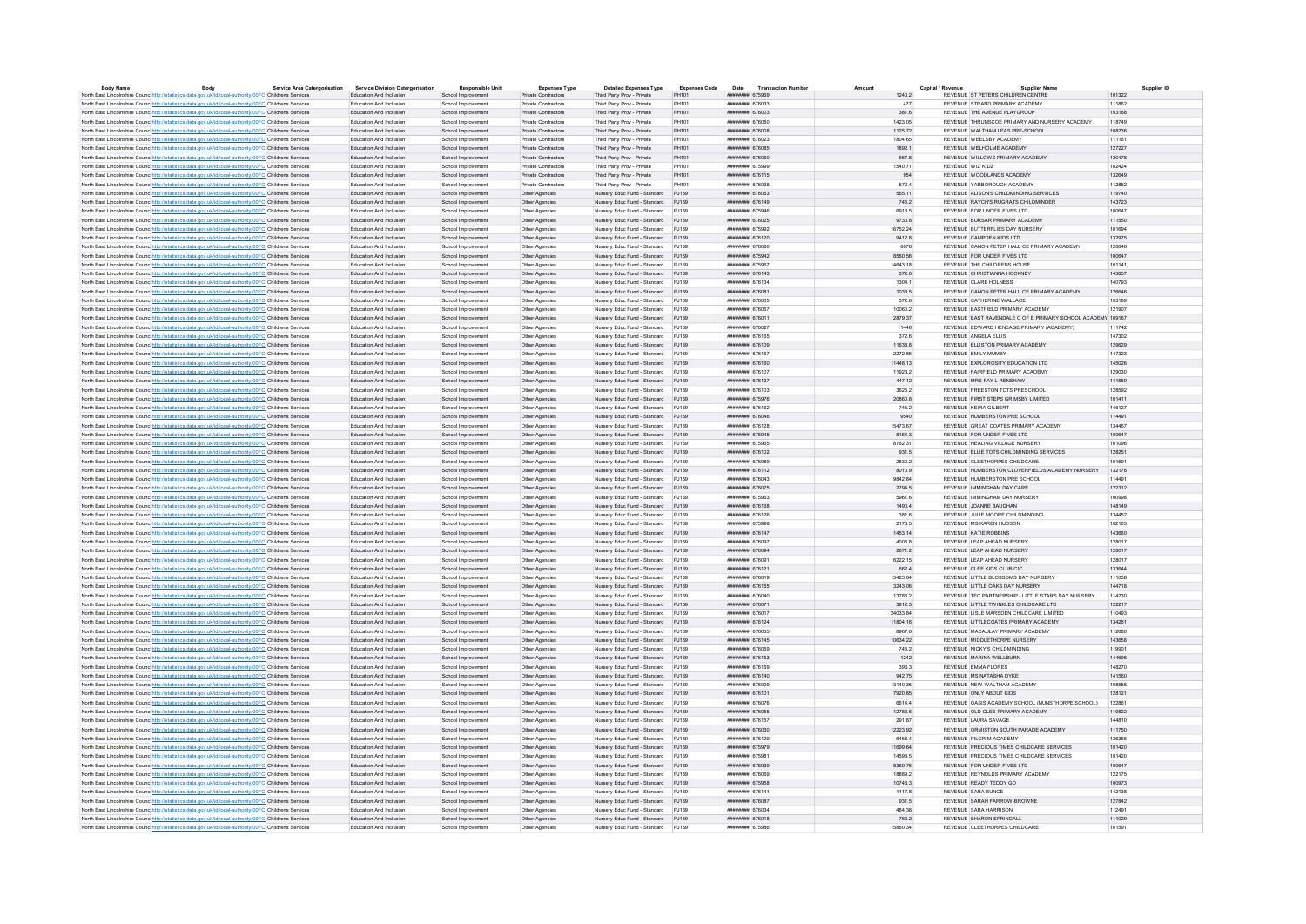| <b>Body Name</b>                                                                                                  | Body | <b>Service Area Catergorisation</b> | <b>Service Division Catergorisation</b> | <b>Responsible Unit</b> | <b>Expenses Type</b>       | <b>Detailed Expenses Type</b>       | <b>Expenses Code</b> | Date<br><b>Transaction Numbe</b> | Amount |          | Capital / Revenue<br><b>Supplier Name</b>                        | Supplier ID |
|-------------------------------------------------------------------------------------------------------------------|------|-------------------------------------|-----------------------------------------|-------------------------|----------------------------|-------------------------------------|----------------------|----------------------------------|--------|----------|------------------------------------------------------------------|-------------|
| North East Lincolnshire Counc http://statistics.data.gov.uk/id/local-authority/00FC Childrens Services            |      |                                     | Education And Inclusion                 | School Improvement      | Private Contractors        | Third Party Prov - Private          | PH101                | ######## 675969                  |        | 1240.2   | REVENUE ST PETERS CHILDREN CENTRE                                | 101322      |
| North East Lincolnshire Counc http://statistics.data.gov.uk/id/local-authority/00FC Childrens Services            |      |                                     | Education And Inclusion                 | School Improvement      | Private Contractors        | Third Party Prov - Private          | PH101                | ######## 676033                  |        | 477      | REVENUE STRAND PRIMARY ACADEMY                                   | 111862      |
| North East Lincolnshire Counc http://statistics.data.gov.uk/id/local-authority/00FC Childrens Services            |      |                                     | Education And Inclusion                 | School Improvement      | <b>Private Contractors</b> | Third Party Prov - Private          | PH101                | <b><i>HNHHHHHH 676003</i></b>    |        | 381.6    | REVENUE THE AVENUE PLAYGROUP                                     | 103168      |
| North East Lincolnshire Counc http://statistics.data.gov.uk/id/local-authority/00FC Childrens Services            |      |                                     | <b>Education And Inclusion</b>          | School Improvement      | Private Contractors        | Third Party Prov - Private          | PH101                | ######## 676050                  |        | 1423.05  | REVENUE THRUNSCOF PRIMARY AND NURSERY ACADEMY                    | 118749      |
| North East Lincolnshire Counc http://statistics.data.gov.uk/id/local-authority/00FC Childrens Services            |      |                                     | Education And Inclusion                 | School Improvement      | <b>Private Contractors</b> | Third Party Prov - Private          | PH101                | ######## 676008                  |        | 1125.72  | REVENUE WALTHAM LEAS PRE-SCHOOL                                  | 108236      |
| North East Lincolnshire Counc http://statistics.data.gov.uk/id/local-authority/00FC Childrens Services            |      |                                     | <b>Education And Inclusion</b>          | School Improvement      | Private Contractors        | Third Party Prov - Private          | PH101                | <b><i>HNHHHHHH 676023</i></b>    |        | 1804 65  | REVENUE WEELSRY ACADEMY                                          | 111161      |
| North East Lincolnshire Counc http://statistics.data.gov.uk/id/local-authority/00FC Childrens Services            |      |                                     | Education And Inclusion                 | School Improvement      | Private Contractors        | Third Party Prov - Private          | PH101                | ####### 676085                   |        | 1892.1   | REVENUE WELHOLME ACADEMY                                         | 127227      |
| North East Lincolnshire Counc http://statistics.data.gov.uk/id/local-authority/00FC Childrens Services            |      |                                     | Education And Inclusion                 | School Improvement      | Private Contractors        | Third Party Prov - Private          | PH101                | <b><i>BRESHBRE 676060</i></b>    |        | 667.8    | REVENUE WILLOWS PRIMARY ACADEMY                                  | 120478      |
| North East Lincolnshire Counc http://statistics.data.gov.uk/id/local-authority/00FC Childrens Services            |      |                                     | Education And Inclusion                 | School Improvement      | Private Contractors        | Third Party Prov - Private          | PH101                | ######## 675999                  |        | 1540.71  | REVENUE WIZ KIDZ                                                 | 102424      |
| North East Lincolnshire Counc http://statistics.data.gov.uk/id/local-authority/00FC Childrens Services            |      |                                     | Education And Inclusion                 | School Improvement      | Private Contractors        | Third Party Prov - Private          | PH101                | ######## 676115                  |        | 954      | REVENUE WOODLANDS ACADEMY                                        | 132649      |
| North East Lincolnshire Counc http://statistics.data.gov.uk/id/local-authority/00FC Childrens Services            |      |                                     | Education And Inclusion                 | School Improvement      | <b>Private Contractors</b> | Third Party Prov - Private          | PH101                | ######## 676038                  |        | 572.4    | REVENUE YARBOROUGH ACADEMY                                       | 112852      |
| North East Lincolnshire Counc <sup>http://statistics.data.gov.uk/id/local-authority/00FC Childrens Services</sup> |      |                                     | Education And Inclusion                 | School Improvement      | Other Agencies             | Nursery Educ Fund - Standard        | PJ139                | ######## 676053                  |        | 565.11   | REVENUE ALISON'S CHILDMINDING SERVICES                           | 119740      |
| North East Lincolnshire Counc http://statistics.data.gov.uk/id/local-authority/00FC Childrens Services            |      |                                     | Education And Inclusion                 | School Improvement      | Other Agencies             | Nursery Educ Fund - Standard PJ139  |                      | ####### 676149                   |        | 745.2    | REVENUE RAYCH'S RUGRATS CHILDMINDER                              | 143723      |
| North East Lincolnshire Counc http://statistics.data.gov.uk/id/local-authority/00FC Childrens Services            |      |                                     | Education And Inclusion                 | School Improvement      | Other Agencies             | Nursery Educ Fund - Standard PJ139  |                      | ####### 675946                   |        | 6913.5   | REVENUE FOR UNDER FIVES LTD                                      | 100647      |
|                                                                                                                   |      |                                     |                                         |                         |                            |                                     |                      | ####### 676025                   |        |          | REVENUE BURSAR PRIMARY ACADEMY                                   |             |
| North East Lincolnshire Counc http://statistics.data.gov.uk/id/local-authority/00FC Childrens Services            |      |                                     | Education And Inclusion                 | School Improvement      | Other Agencies             | Nursery Educ Fund - Standard PJ139  |                      |                                  |        | 9730.8   |                                                                  | 111550      |
| North East Lincolnshire Counc http://statistics.data.gov.uk/id/local-authority/00FC Childrens Services            |      |                                     | Education And Inclusion                 | School Improvement      | Other Agencies             | Nursery Educ Fund - Standard PJ139  |                      | ######## 675992                  |        | 16752.24 | REVENUE BUTTERFLIES DAY NURSERY                                  | 101694      |
| North East Lincolnshire Counc <sup>htto://statistics.data.gov.uk/id/local-authority/00FC Childrens Services</sup> |      |                                     | Education And Inclusion                 | School Improvement      | Other Agencies             | Nursery Educ Fund - Standard        | PJ139                | ######## 676120                  |        | 9412.8   | REVENUE CAMPDEN KIDS LTD                                         | 132975      |
| North East Lincolnshire Counc http://statistics.data.gov.uk/id/local-authority/00FC Childrens Services            |      |                                     | Education And Inclusion                 | School Improvement      | Other Anencies             | Nursery Educ Fund - Standard P.I139 |                      | ######## 676080                  |        | 6678     | REVENUE CANON PETER HALL CE PRIMARY ACADEMY                      | 126646      |
| North East Lincolnshire Counc http://statistics.data.gov.uk/id/local-authority/00FC Childrens Services            |      |                                     | Education And Inclusion                 | School Improvement      | Other Agencies             | Nursery Educ Fund - Standard PJ139  |                      | ######## 675942                  |        | 8560.56  | REVENUE FOR UNDER FIVES LTD                                      | 100647      |
| North East Lincolnshire Counc http://statistics.data.gov.uk/id/local-authority/00FC Childrens Services            |      |                                     | Education And Inclusion                 | School Improvement      | Other Agencies             | Nursery Educ Fund - Standard PJ139  |                      | ######## 675967                  |        | 14643.18 | REVENUE THE CHILDRENS HOUSE                                      | 101141      |
| North East Lincolnshire Counc http://statistics.data.gov.uk/id/local-authority/00FC Childrens Services            |      |                                     | Education And Inclusion                 | School Improvement      | Other Agencies             | Nursery Educ Fund - Standard PJ139  |                      | ######## 676143                  |        | 372.6    | REVENUE CHRISTIANNA HOCKNEY                                      | 143657      |
| North East Lincolnshire Counc http://statistics.data.gov.uk/id/local-authority/00FC Childrens Services            |      |                                     | Education And Inclusion                 | School Improvement      | Other Agencies             | Nursery Educ Fund - Standard PJ139  |                      | <b>HHHHHHHH</b> 676134           |        | 1304 1   | REVENUE CLARE HOLNESS                                            | 140793      |
| North East Lincolnshire Counc http://statistics.data.gov.uk/id/local-authority/00FC Childrens Services            |      |                                     | Education And Inclusion                 | School Improvement      | Other Anencies             | Nursery Educ Fund - Standard P.I139 |                      | ####### 676081                   |        | 1033.5   | REVENUE CANON PETER HALL CE PRIMARY ACADEMY                      | 126646      |
| North East Lincolnshire Counc http://statistics.data.gov.uk/id/local-authority/00FC Childrens Services            |      |                                     | Education And Inclusion                 | School Improvement      | Other Agencies             | Nursery Educ Fund - Standard PJ139  |                      | ######## 676005                  |        | 372.6    | REVENUE CATHERINE WALLACE                                        | 103189      |
| North East Lincolnshire Counc http://statistics.data.gov.uk/id/local-authority/00FC Childrens Services            |      |                                     | Education And Inclusion                 | School Improvement      | Other Agencies             | Nursery Educ Fund - Standard PJ139  |                      | ######## 676067                  |        | 10060.2  | REVENUE FASTEIELD PRIMARY ACADEMY                                | 121907      |
| North East Lincolnshire Counc http://statistics.data.gov.uk/id/local-authority/00FC Childrens Services            |      |                                     | Education And Inclusion                 | School Improvement      | Other Agencies             | Nursery Educ Fund - Standard        | PJ139                | ####### 676011                   |        | 2879.37  | REVENUE EAST RAVENDALE C OF E PRIMARY SCHOOL ACADEMY 109167      |             |
| North East Lincolnshire Counc http://statistics.data.gov.uk/id/local-authority/00FC Childrens Services            |      |                                     | Education And Inclusion                 | School Improvement      | Other Agencies             | Nursery Educ Fund - Standard PJ139  |                      | ######## 676027                  |        | 11448    | REVENUE EDWARD HENEAGE PRIMARY (ACADEMY)                         | 111742      |
| North East Lincolnshire Counc http://statistics.data.gov.uk/id/local-authority/00FC Childrens Services            |      |                                     | Education And Inclusion                 | School Improvement      | Other Agencies             | Nursery Educ Fund - Standard PJ139  |                      | ######## 676165                  |        | 372.6    | REVENUE ANGELA ELLIS                                             | 147302      |
| North East Lincolnshire Counc http://statistics.data.gov.uk/id/local-authority/00FC Childrens Services            |      |                                     | Education And Inclusion                 | School Improvement      | Other Agencies             | Nursery Educ Fund - Standard PJ139  |                      | ######## 676109                  |        | 11638.8  | REVENUE ELLISTON PRIMARY ACADEMY                                 | 129629      |
|                                                                                                                   |      |                                     |                                         |                         |                            |                                     |                      |                                  |        | 2272.86  | <b>REVENUE EMILY MUMBY</b>                                       |             |
| North East Lincolnshire Counc http://statistics.data.gov.uk/id/local-authority/00FC Childrens Services            |      |                                     | Education And Inclusion                 | School Improvement      | Other Agencies             | Nursery Educ Fund - Standard PJ139  |                      | ######## 676167                  |        |          |                                                                  | 147323      |
| North East Lincolnshire Counce http://statistics.data.gov.uk/id/local-authority/00FC Childrens Services           |      |                                     | Education And Inclusion                 | School Improvement      | Other Agencies             | Nursery Educ Fund - Standard        | PJ139                | ####### 676160                   |        | 11448.13 | REVENUE EXPLOROSITY EDUCATION LTD                                | 145026      |
| North East Lincolnshire Counc http://statistics.data.gov.uk/id/local-authority/00FC Childrens Services            |      |                                     | <b>Education And Inclusion</b>          | School Improvement      | Other Anencies             | Nursery Educ Fund - Standard P.J139 |                      | ######## 676107                  |        | 119232   | REVENUE FAIRFIELD PRIMARY ACADEMY                                | 129030      |
| North East Lincolnshire Counc <sup>http://statistics.data.gov.uk/id/local-authority/00FC Childrens Services</sup> |      |                                     | Education And Inclusion                 | School Improvement      | Other Agencies             | Nursery Educ Fund - Standard PJ139  |                      | ######## 676137                  |        | 447.12   | REVENUE MRS FAY L RENSHAW                                        | 141559      |
| North East Lincolnshire Counc http://statistics.data.gov.uk/id/local-authority/00FC Childrens Services            |      |                                     | Education And Inclusion                 | School Improvement      | Other Agencies             | Nursery Educ Fund - Standard PJ139  |                      | ######## 676103                  |        | 3625.2   | REVENUE ERFESTON TOTS PRESCHOOL                                  | 128592      |
| North East Lincolnshire Counc http://statistics.data.gov.uk/id/local-authority/00FC Childrens Services            |      |                                     | Education And Inclusion                 | School Improvement      | Other Agencies             | Nursery Educ Fund - Standard PJ139  |                      | ######## 675976                  |        | 20860.8  | REVENUE FIRST STEPS GRIMSBY LIMITED                              | 101411      |
| North East Lincolnshire Counc <sup>htto://statistics.data.gov.uk/id/local-authority/00FC Childrens Services</sup> |      |                                     | Education And Inclusio                  | School Improvement      | Other Agencies             | Nursery Educ Fund - Standard        | PJ139                | ####### 676162                   |        | 745.2    | REVENUE KEIRA GILBERT                                            | 146127      |
| North East Lincolnshire Counc http://statistics.data.gov.uk/id/local-authority/00FC Childrens Services            |      |                                     | Education And Inclusion                 | School Improvement      | Other Agencies             | Nursery Educ Fund - Standard P.I139 |                      | ниннини втволв                   |        | 9540     | REVENUE HUMBERSTON PRE SCHOOL                                    | 114491      |
| North East Lincolnshire Counc http://statistics.data.gov.uk/id/local-authority/00FC Childrens Services            |      |                                     | Education And Inclusion                 | School Improvement      | Other Agencies             | Nursery Educ Fund - Standard PJ139  |                      | ######## 676128                  |        | 15473.67 | REVENUE GREAT COATES PRIMARY ACADEMY                             | 134467      |
| North East Lincolnshire Counc http://statistics.data.gov.uk/id/local-authority/00FC Childrens Services            |      |                                     | Education And Inclusion                 | School Improvement      | Other Agencies             | Nursery Educ Fund - Standard PJ139  |                      | ####### 675945                   |        | 5154.3   | REVENUE FOR UNDER FIVES LTD.                                     | 100647      |
| North East Lincolnshire Counc http://statistics.data.gov.uk/id/local-authority/00FC Childrens Services            |      |                                     | Education And Inclusion                 | School Improvement      | Other Agencies             | Nursery Educ Fund - Standard        | PJ139                | ######## 675965                  |        | 8762.31  | REVENUE HEALING VILLAGE NURSERY                                  | 101096      |
| North East Lincolnshire Counc <sup>http://statistics.data.gov.uk/id/local-authority/00FC Childrens Services</sup> |      |                                     | Education And Inclusion                 | School Improvement      | Other Agencies             | Nursery Educ Fund - Standard PJ139  |                      | <b><i>BRESHMAN 676102</i></b>    |        | 931.5    | REVENUE ELLIE TOTS CHILDMINDING SERVICES                         | 128251      |
| North East Lincolnshire Counc http://statistics.data.gov.uk/id/local-authority/00FC Childrens Services            |      |                                     | Education And Inclusion                 | School Improvement      | Other Agencies             | Nursery Educ Fund - Standard PJ139  |                      | ######## 675989                  |        | 2830.2   | REVENUE CLEETHORPES CHILDCARE                                    | 101591      |
| North East Lincolnshire Counc http://statistics.data.gov.uk/id/local-authority/00FC Childrens Services            |      |                                     | Education And Inclusion                 | School Improvement      | Other Agencies             | Nursery Educ Fund - Standard PJ139  |                      | ######## 676112                  |        | 8010.9   | REVENUE HUMBERSTON CLOVERFIELDS ACADEMY NURSERY                  | 132178      |
|                                                                                                                   |      |                                     |                                         |                         |                            |                                     |                      |                                  |        |          | REVENUE HUMBERSTON PRE SCHOOL                                    |             |
| North East Lincolnshire Counc <sup>http://statistics.data.gov.uk/id/local-authority/00FC Childrens Services</sup> |      |                                     | Education And Inclusion                 | School Improvement      | Other Agencies             | Nursery Educ Fund - Standard PJ139  |                      | ######## 676043                  |        | 9842.84  |                                                                  | 114491      |
| North East Lincolnshire Counc http://statistics.data.gov.uk/id/local-authority/00FC Childrens Services            |      |                                     | Education And Inclusion                 | School Improvement      | Other Agencies             | Nursery Educ Fund - Standard        | PJ139                | ####### 676075                   |        | 2794.5   | REVENUE IMMINGHAM DAY CARE                                       | 122312      |
| North East Lincolnshire Counc http://statistics.data.gov.uk/id/local-authority/00FC Childrens Services            |      |                                     | <b>Education And Inclusion</b>          | School Improvement      | Other Agencies             | Nursery Educ Fund - Standard P.J139 |                      | ######## 675963                  |        | 5961.6   | REVENUE IMMINGHAM DAY NURSERY                                    | 100998      |
| North East Lincolnshire Counc http://statistics.data.gov.uk/id/local-authority/00FC Childrens Services            |      |                                     | Education And Inclusion                 | School Improvement      | Other Agencies             | Nursery Educ Fund - Standard PJ139  |                      | ######## 676168                  |        | 1490.4   | REVENUE JOANNE BAUGHAN                                           | 148149      |
| North East Lincolnshire Counc http://statistics.data.gov.uk/id/local-authority/00FC Childrens Services            |      |                                     | Education And Inclusion                 | School Improvement      | Other Agencies             | Nursery Educ Fund - Standard PJ139  |                      | ######## 676126                  |        | 381.6    | REVENUE JULIE MOORE CHILDMINDING                                 | 134452      |
| North East Lincolnshire Counc http://statistics.data.gov.uk/id/local-authority/00FC Childrens Services            |      |                                     | Education And Inclusion                 | School Improvement      | Other Agencies             | Nursery Educ Fund - Standard PJ139  |                      | ######## 675998                  |        | 2173.5   | REVENUE MS KAREN HUDSON                                          | 102103      |
| North East Lincolnshire Counc <sup>htto://statistics.data.gov.uk/id/local-authority/00FC Childrens Services</sup> |      |                                     | Education And Inclusion                 | School Improvement      | Other Agencies             | Nursery Educ Fund - Standard        | PJ139                | ####### 676147                   |        | 1453.14  | <b>REVENUE KATIE ROBBINS</b>                                     | 143660      |
| North East Lincolnshire Counc http://statistics.data.gov.uk/id/local-authority/00FC Childrens Services            |      |                                     | <b>Education And Inclusion</b>          | School Improvement      | Other Anencies             | Nursery Educ Fund - Standard P.I139 |                      | ######## 676097                  |        | 4006.8   | REVENUE LEAP AHEAD NURSERY                                       | 128017      |
| North East Lincolnshire Counc http://statistics.data.gov.uk/id/local-authority/00FC Childrens Services            |      |                                     | Education And Inclusion                 | School Improvement      | Other Agencies             | Nursery Educ Fund - Standard PJ139  |                      | ######## 676094                  |        | 2671.2   | REVENUE LEAP AHEAD NURSERY                                       | 128017      |
| North East Lincolnshire Counc http://statistics.data.gov.uk/id/local-authority/00FC Childrens Services            |      |                                     | <b>Education And Inclusion</b>          | School Improvement      | Other Agencies             | Nursery Educ Fund - Standard PJ139  |                      | ####### 676091                   |        | 6222.15  | REVENUE LEAP AHEAD NURSERY                                       | 128017      |
| North East Lincolnshire Counc http://statistics.data.gov.uk/id/local-authority/00FC Childrens Services            |      |                                     | Education And Inclusion                 | School Improvement      | Other Agencies             | Nursery Educ Fund - Standard PJ139  |                      | ######## 676121                  |        | 662.4    | REVENUE CLEE KIDS CLUB CIC                                       | 133644      |
| North East Lincolnshire Counc http://statistics.data.gov.uk/id/local-authority/00FC Childrens Services            |      |                                     | Education And Inclusion                 | School Improvement      | Other Agencies             | Nursery Educ Fund - Standard PJ139  |                      | ######## 676019                  |        | 15425.64 | REVENUE LITTLE BLOSSOMS DAY NURSERY                              | 111058      |
| North East Lincolnshire Counc http://statistics.data.gov.uk/id/local-authority/00FC Childrens Services            |      |                                     | Education And Inclusion                 | School Improvement      | Other Agencies             | Nursery Educ Fund - Standard PJ139  |                      | ######## 676155                  |        | 3243.06  | REVENUE LITTLE OAKS DAY NURSERY                                  | 144718      |
| North East Lincolnshire Counc http://statistics.data.gov.uk/id/local-authority/00FC Childrens Services            |      |                                     | Education And Inclusion                 | School Improvement      | Other Agencies             | Nursery Educ Fund - Standard PJ139  |                      | ######## 676040                  |        | 13786.2  | REVENUE TEC PARTNERSHIP - LITTLE STARS DAY NURSERY               | 114230      |
| North East Lincolnshire Counc http://statistics.data.gov.uk/id/local-authority/00FC Childrens Services            |      |                                     | Education And Inclusion                 | School Improvement      | Other Agencies             | Nursery Educ Fund - Standard PJ139  |                      | ######## 676071                  |        | 3912.3   | REVENUE LITTLE TWINKLES CHILDCARE LTD                            | 122217      |
| North East Lincolnshire Counc http://statistics.data.gov.uk/id/local-authority/00FC Childrens Services            |      |                                     | Education And Inclusion                 | School Improvement      | Other Agencies             | Nursery Educ Fund - Standard        | PJ139                | ######## 676017                  |        | 24033.84 | REVENUE LISLE MARSDEN CHILDCARE LIMITED                          | 110493      |
| North East Lincolnshire Counc http://statistics.data.gov.uk/id/local-authority/00FC Childrens Services            |      |                                     | Education And Inclusion                 | School Improvement      | Other Agencies             | Nursery Educ Fund - Standard PJ139  |                      | ######## 676124                  |        | 11804.16 | REVENUE LITTLECOATES PRIMARY ACADEMY                             | 134261      |
|                                                                                                                   |      |                                     |                                         |                         |                            |                                     |                      |                                  |        |          |                                                                  |             |
| North East Lincolnshire Counc http://statistics.data.gov.uk/id/local-authority/00FC Childrens Services            |      |                                     | Education And Inclusion                 | School Improvement      | Other Agencies             | Nursery Educ Fund - Standard PJ139  |                      | ######## 676035                  |        | 8967.6   | REVENUE MACAULAY PRIMARY ACADEMY<br>REVENUE MIDDLETHORPE NURSERY | 112680      |
| North East Lincolnshire Counc http://statistics.data.gov.uk/id/local-authority/00FC Childrens Services            |      |                                     | Education And Inclusion                 | School Improvement      | Other Agencies             | Nursery Educ Fund - Standard PJ139  |                      | ######## 676145                  |        | 10634.22 |                                                                  | 143658      |
| North East Lincolnshire Counc http://statistics.data.gov.uk/id/local-authority/00FC Childrens Services            |      |                                     | Education And Inclusion                 | School Improvement      | Other Agencies             | Nursery Educ Fund - Standard PJ139  |                      | ######## 676059                  |        | 745.2    | REVENUE NICKY'S CHILDMINDING                                     | 119901      |
| North East Lincolnshire Counc <sup>http://statistics.data.gov.uk/id/local-authority/00FC Childrens Services</sup> |      |                                     | Education And Inclusion                 | School Improvement      | Other Agencies             | Nursery Educ Fund - Standard        | PJ139                | ####### 676153                   |        | 1242     | REVENUE MARINA WELLBURN                                          | 144696      |
| North East Lincolnshire Counc http://statistics.data.gov.uk/id/local-authority/00FC Childrens Services            |      |                                     | Education And Inclusion                 | School Improvement      | Other Agencies             | Nursery Educ Fund - Standard P.I139 |                      | ####### 676169                   |        | 393.3    | REVENUE FMMA FLORES                                              | 148270      |
| North East Lincolnshire Counc <sup>http://statistics.data.gov.uk/id/local-authority/00FC Childrens Services</sup> |      |                                     | Education And Inclusion                 | School Improvement      | Other Agencies             | Nursery Educ Fund - Standard PJ139  |                      | ####### 676140                   |        | 942.75   | REVENUE MS NATASHA DYKE                                          | 141560      |
| North East Lincolnshire Counc http://statistics.data.gov.uk/id/local-authority/00FC Childrens Services            |      |                                     | Education And Inclusion                 | School Improvement      | Other Agencies             | Nursery Educ Fund - Standard PJ139  |                      | ######## 676009                  |        | 13140.36 | REVENUE NEW WAI THAM ACADEMY                                     | 108556      |
| North East Lincolnshire Counc http://statistics.data.gov.uk/id/local-authority/00FC Childrens Services            |      |                                     | Education And Inclusion                 | School Improvement      | Other Agencies             | Nursery Educ Fund - Standard PJ139  |                      | ####### 676101                   |        | 7920.85  | REVENUE ONLY ABOUT KIDS                                          | 128121      |
| North East Lincolnshire Counc <sup>htto://statistics.data.gov.uk/id/local-authority/00FC Childrens Services</sup> |      |                                     | Education And Inclusio                  | School Improvement      | Other Agencies             | Nursery Educ Fund - Standard        | PJ139                | <i><b>WABBARA 676076</b></i>     |        | 6614.4   | REVENUE OASIS ACADEMY SCHOOL (NUNSTHORPE SCHOOL)                 | 122861      |
| North East Lincolnshire Counc http://statistics.data.gov.uk/id/local-authority/00FC Childrens Services            |      |                                     | Education And Inclusion                 | School Improvement      | Other Anencies             | Nursery Educ Fund - Standard P.I139 |                      | ######## 676055                  |        | 12783.6  | REVENUE OLD CLEE PRIMARY ACADEMY                                 | 119822      |
| North East Lincolnshire Counc http://statistics.data.gov.uk/id/local-authority/00FC Childrens Services            |      |                                     | Education And Inclusion                 | School Improvement      | Other Agencies             | Nursery Educ Fund - Standard PJ139  |                      | ####### 676157                   |        | 291.87   | REVENUE LAURA SAVAGE                                             | 144810      |
| North East Lincolnshire Counc http://statistics.data.gov.uk/id/local-authority/00FC Childrens Services            |      |                                     | Education And Inclusion                 | School Improvement      | Other Agencies             | Nursery Educ Fund - Standard PJ139  |                      | ######## 676030                  |        | 12223.92 | REVENUE ORMISTON SOUTH PARADE ACADEMY                            | 111750      |
| North East Lincolnshire Counc http://statistics.data.gov.uk/id/local-authority/00FC Childrens Services            |      |                                     | Education And Inclusion                 | School Improvement      | Other Agencies             | Nursery Educ Fund - Standard        | PJ139                | ######## 676129                  |        | 6458.4   | REVENUE PILGRIM ACADEMY                                          | 136366      |
| North East Lincolnshire Counc. http://statistics.data.gov.uk/id/local-authority/00FC Childrens Services           |      |                                     | Education And Inclusion                 | School Improvement      | Other Agencies             | Nursery Educ Fund - Standard PJ139  |                      | ######## 675979                  |        | 11699.64 | REVENUE PRECIOUS TIMES CHILDCARE SERVICES                        | 101420      |
|                                                                                                                   |      |                                     |                                         |                         |                            |                                     |                      |                                  |        |          |                                                                  |             |
| North East Lincolnshire Counc http://statistics.data.gov.uk/id/local-authority/00FC Childrens Services            |      |                                     | Education And Inclusion                 | School Improvement      | Other Agencies             | Nursery Educ Fund - Standard PJ139  |                      | ######## 675981                  |        | 14593.5  | REVENUE PRECIOUS TIMES CHILDCARE SERVICES                        | 101420      |
| North East Lincolnshire Counc http://statistics.data.gov.uk/id/local-authority/00FC Childrens Services            |      |                                     | Education And Inclusion                 | School Improvement      | Other Agencies             | Nursery Educ Fund - Standard PJ139  |                      | ######## 675939                  |        | 8369.76  | REVENUE FOR UNDER FIVES LTD                                      | 100647      |
| North East Lincolnshire Counc http://statistics.data.gov.uk/id/local-authority/00FC Childrens Services            |      |                                     | Education And Inclusion                 | School Improvement      | Other Agencies             | Nursery Educ Fund - Standard PJ139  |                      | ######## 676069                  |        | 18889.2  | REVENUE REYNOLDS PRIMARY ACADEMY                                 | 122175      |
| North East Lincolnshire Counc http://statistics.data.gov.uk/id/local-authority/00FC Childrens Services            |      |                                     | Education And Inclusion                 | School Improvement      | Other Agencies             | Nursery Educ Fund - Standard PJ139  |                      | ####### 675958                   |        | 10743.3  | REVENUE READY TEDDY GO                                           | 100973      |
| North East Lincolnshire Counc http://statistics.data.gov.uk/id/local-authority/00FC Childrens Services            |      |                                     | Education And Inclusion                 | School Improvement      | Other Agencies             | Nursery Educ Fund - Standard PJ139  |                      | ######## 676141                  |        | 11178    | REVENUE SARA BUNCE                                               | 142138      |
| North East Lincolnshire Counc <sup>http://statistics.data.gov.uk/id/local-authority/00FC Childrens Services</sup> |      |                                     | Education And Inclusion                 | School Improvement      | Other Agencies             | Nursery Educ Fund - Standard PJ139  |                      | ####### 676087                   |        | 931.5    | REVENUE SARAH FARROW-BROWNE                                      | 127842      |
| North East Lincolnshire Counc http://statistics.data.gov.uk/id/local-authority/00FC Childrens Services            |      |                                     | Education And Inclusion                 | School Improvement      | Other Agencies             | Nursery Educ Fund - Standard PJ139  |                      | ######## 676034                  |        | 484.38   | REVENUE SARA HARRISON                                            | 112491      |
| North East Lincolnshire Counc http://statistics.data.gov.uk/id/local-authority/00FC Childrens Services            |      |                                     | Education And Inclusion                 | School Improvement      | Other Agencies             | Nursery Educ Fund - Standard PJ139  |                      | ######## 676018                  |        | 763.2    | REVENUE SHARON SPRINGALL                                         | 111029      |
| North East Lincolnshire Counc <sup>htto://statistics.data.gov.uk/id/local-authority/00FC Childrens Services</sup> |      |                                     | Education And Inclusion                 | School Improvement      | Other Agencies             | Nursery Educ Fund - Standard        |                      | ####### 67598                    |        | 5860.34  | REVENUE CLEETHORPES CHILDCARE                                    | 101591      |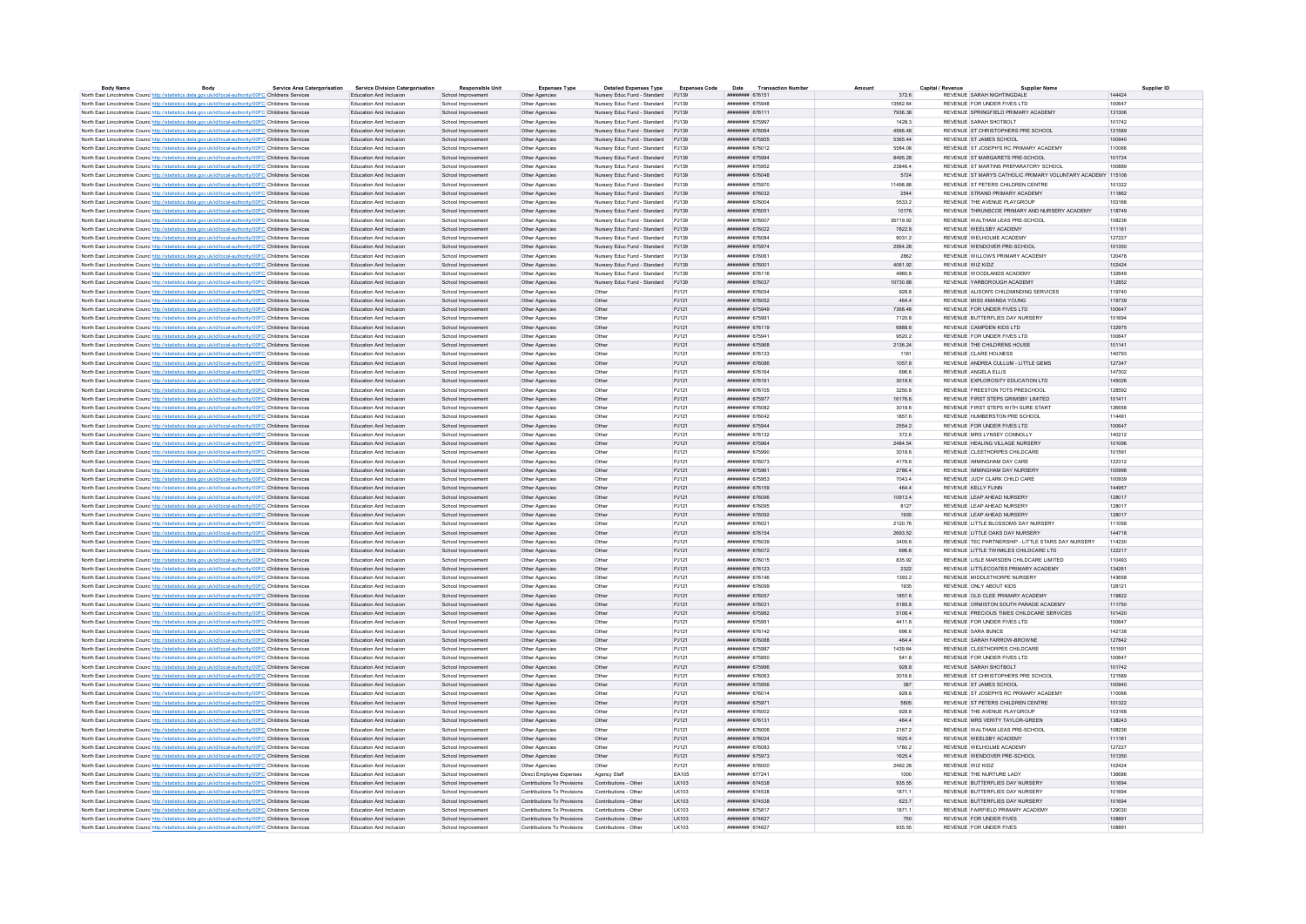| <b>Body Name</b>                                                                                                  | Body | <b>Service Area Catergorisation</b> | <b>Service Division Catergorisation</b> | <b>Responsible Unit</b> | <b>Expenses Type</b>                              | <b>Detailed Expenses Type</b>       | <b>Expenses Code</b> | Date<br><b>Transaction Numbe</b>          |                 | Capital / Revenue<br>Supplier Name                         | Supplier ID |
|-------------------------------------------------------------------------------------------------------------------|------|-------------------------------------|-----------------------------------------|-------------------------|---------------------------------------------------|-------------------------------------|----------------------|-------------------------------------------|-----------------|------------------------------------------------------------|-------------|
| North East Lincolnshire Counc http://statistics.data.gov.uk/id/local-authority/00FC Childrens Services            |      |                                     | Education And Inclusion                 | School Improvement      | Other Agencies                                    | Nursery Educ Fund - Standard PJ139  |                      | ######## 676151                           | 372.6           | REVENUE SARAH NIGHTINGDALE                                 | 144424      |
| North East Lincolnshire Counc http://statistics.data.gov.uk/id/local-authority/00FC Childrens Services            |      |                                     | Education And Inclusion                 | School Improvement      | Other Agencies                                    | Nursery Educ Fund - Standard PJ139  |                      | ининнин 675948                            | 13562.64        | REVENUE FOR UNDER FIVES LTD                                | 100647      |
| North East Lincolnshire Counc http://statistics.data.gov.uk/id/local-authority/00FC Childrens Services            |      |                                     | Education And Inclusion                 | School Improvement      | Other Agencies                                    | Nursery Educ Fund - Standard PJ139  |                      | ######## 676111                           | 7936.38         | REVENUE SPRINGFIELD PRIMARY ACADEMY                        | 131306      |
| North East Lincolnshire Counc http://statistics.data.gov.uk/id/local-authority/00FC Childrens Services            |      |                                     | Education And Inclusion                 | School Improvement      | Other Anencies                                    | Nursery Educ Fund - Standard P.I139 |                      | ######## 675997                           | 14283           | REVENUE SARAH SHOTROLT                                     | 101742      |
| North East Lincolnshire Counc http://statistics.data.gov.uk/id/local-authority/00FC Childrens Services            |      |                                     | Education And Inclusion                 | School Improvement      | Other Agencies                                    | Nursery Educ Fund - Standard PJ139  |                      | ######## 676064                           | 4566.48         | REVENUE ST CHRISTOPHERS PRE SCHOOL                         | 121589      |
| North East Lincolnshire Counc http://statistics.data.gov.uk/id/local-authority/00FC Childrens Services            |      |                                     | Education And Inclusion                 | School Improvement      | Other Agencies                                    | Nursery Educ Fund - Standard PJ139  |                      | ######## 675955                           | 5365.44         | REVENUE ST JAMES SCHOOL                                    | 100940      |
| North East Lincolnshire Counc http://statistics.data.gov.uk/id/local-authority/00FC Childrens Services            |      |                                     | Education And Inclusion                 | School Improvement      | Other Agencies                                    | Nursery Educ Fund - Standard        | PJ139                | ######## 676012                           | 5584.08         | REVENUE ST JOSEPH'S RC PRIMARY ACADEMY                     | 110066      |
| North East Lincolnshire Counc. http://statistics.data.gov.uk/id/local-authority/00FC Childrens Services           |      |                                     | Education And Inclusion                 | School Improvement      | Other Agencies                                    | Nursery Educ Fund - Standard PJ139  |                      | ######## 675994                           | 8495.28         | REVENUE ST MARGARETS PRE-SCHOOL                            | 101724      |
| North East Lincolnshire Counc http://statistics.data.gov.uk/id/local-authority/00FC Childrens Services            |      |                                     | Education And Inclusion                 | School Improvement      | Other Agencies                                    | Nursery Educ Fund - Standard PJ139  |                      | ######## 675952                           | 23846.4         | REVENUE ST MARTINS PREPARATORY SCHOOL                      | 100889      |
| North East Lincolnshire Counc http://statistics.data.gov.uk/id/local-authority/00FC Childrens Services            |      |                                     | Education And Inclusion                 | School Improvement      | Other Agencies                                    | Nursery Educ Fund - Standard PJ139  |                      | ######## 676048                           | 5724            | REVENUE ST MARYS CATHOLIC PRIMARY VOLUNTARY ACADEMY 115108 |             |
| North East Lincolnshire Counc http://statistics.data.gov.uk/id/local-authority/00FC Childrens Services            |      |                                     | Education And Inclusion                 | School Improvement      | Other Agencies                                    | Nursery Educ Fund - Standard PJ139  |                      | ######## 675970                           | 11498.88        | REVENUE ST PETERS CHILDREN CENTRE                          | 101322      |
| North East Lincolnshire Counc http://statistics.data.gov.uk/id/local-authority/00FC Childrens Services            |      |                                     | Education And Inclusion                 | School Improvement      | Other Agencies                                    | Nursery Educ Fund - Standard        | PJ139                | ######## 676032                           | 2544            | REVENUE STRAND PRIMARY ACADEMY                             | 111862      |
| North East Lincolnshire Counc http://statistics.data.gov.uk/id/local-authority/00FC Childrens Services            |      |                                     | <b>Education And Inclusion</b>          | School Improvement      | Other Anencies                                    | Nursery Educ Fund - Standard P.J139 |                      | ######## 676004                           | 5533.2          | REVENUE THE AVENUE PLAYGROUP                               | 103168      |
| North East Lincolnshire Counc http://statistics.data.gov.uk/id/local-authority/00FC Childrens Services            |      |                                     | Education And Inclusion                 | School Improvement      | Other Agencies                                    | Nursery Educ Fund - Standard PJ139  |                      | ######## 676051                           | 10176           | REVENUE THRUNSCOE PRIMARY AND NURSERY ACADEMY              | 118749      |
| North East Lincolnshire Counc http://statistics.data.gov.uk/id/local-authority/00FC Childrens Services            |      |                                     | Education And Inclusion                 | School Improvement      | Other Agencies                                    | Nursery Educ Fund - Standard PJ139  |                      | ######## 676007                           | 35719.92        | REVENUE WALTHAM LEAS PRE-SCHOOL                            | 108236      |
| North East Lincolnshire Counc http://statistics.data.gov.uk/id/local-authority/00FC Childrens Services            |      |                                     | Education And Inclusion                 | School Improvement      | Other Agencies                                    | Nursery Educ Fund - Standard PJ139  |                      | ######## 676022                           | 7822.8          | REVENUE WEELSBY ACADEMY                                    | 111161      |
| North East Lincolnshire Counc <sup>htto://statistics.data.gov.uk/id/local-authority/00FC Childrens Services</sup> |      |                                     | Education And Inclusio                  | School Improvement      | Other Agencies                                    | Nursery Educ Fund - Standard        | PJ139                | <i>www.www.</i> 67608                     | 9031.2          | REVENUE WELHOLME ACADEMY                                   | 127227      |
| North East Lincolnshire Counc. http://statistics.data.gov.uk/id/local-authority/00FC Childrens Services           |      |                                     | Education And Inclusion                 | School Improvement      | Other Agencies                                    | Nursery Educ Fund - Standard P.I139 |                      | ниннини 675974                            | 2564 28         | REVENUE WENDOVER PRE-SCHOOL                                | 101350      |
| North East Lincolnshire Counc http://statistics.data.gov.uk/id/local-authority/00FC Childrens Services            |      |                                     | Education And Inclusion                 | School Improvement      | Other Agencies                                    | Nursery Educ Fund - Standard PJ139  |                      | ######## 676061                           | 2862            | REVENUE WILLOWS PRIMARY ACADEMY                            | 120478      |
| North East Lincolnshire Counc http://statistics.data.gov.uk/id/local-authority/00FC Childrens Services            |      |                                     | Education And Inclusion                 | School Improvement      | Other Agencies                                    | Nursery Educ Fund - Standard PJ139  |                      | ######## 676001                           | 4061.92         | REVENUE WIZ KIDZ                                           | 102424      |
| North East Lincolnshire Counc <sup>http://statistics.data.gov.uk/id/local-authority/00FC Childrens Services</sup> |      |                                     | Education And Inclusion                 | School Improvement      |                                                   | Nursery Educ Fund - Standard        | PJ139                | ####### 676116                            | 4960.8          | REVENUE WOODLANDS ACADEMY                                  | 132649      |
|                                                                                                                   |      |                                     | Education And Inclusion                 | School Improvement      | Other Agencies<br>Other Agencies                  | Nursery Educ Fund - Standard PJ139  |                      | ######## 676037                           | 10730.88        | REVENUE YARROROUGH ACADEMY                                 | 112852      |
| North East Lincolnshire Councint the Material State Add Accord Authority/ODFC Childrens Services                  |      |                                     |                                         |                         |                                                   |                                     |                      |                                           |                 |                                                            |             |
| North East Lincolnshire Counc http://statistics.data.gov.uk/id/local-authority/00FC Childrens Services            |      |                                     | Education And Inclusion                 | School Improvement      | Other Agencies                                    | Other                               | PJ121                | ######## 676054                           | 928.8           | REVENUE ALISON'S CHILDMINDING SERVICES                     | 119740      |
| North East Lincolnshire Counc http://statistics.data.gov.uk/id/local-authority/00FC Childrens Services            |      |                                     | Education And Inclusion                 | School Improvement      | Other Agencies                                    | Other                               | PJ121                | ######## 676052                           | 464.4           | REVENUE MISS AMANDA YOUNG                                  | 119739      |
| North East Lincolnshire Counc http://statistics.data.gov.uk/id/local-authority/00FC Childrens Services            |      |                                     | Education And Inclusion                 | School Improvement      | Other Agencies                                    | Other                               | PJ121                | нивнини 675949                            | 7368.48         | REVENUE FOR UNDER FIVES LTD                                | 100647      |
| North East Lincolnshire Counc http://statistics.data.gov.uk/id/local-authority/00FC Childrens Services            |      |                                     | Education And Inclusion                 | School Improvement      | Other Agencies                                    | Other                               | PJ121                | ####### 67599                             | 7120.8          | REVENUE BUTTERFLIES DAY NURSERY                            | 101694      |
| North East Lincolnshire Counc http://statistics.data.gov.uk/id/local-authority/00FC Childrens Services            |      |                                     | Education And Inclusion                 | School Improvement      | Other Agencies                                    | Other                               | PJ121                | ####### 676119                            | 6888.6          | REVENUE CAMPDEN KIDS I TD                                  | 132975      |
| North East Lincolnshire Counc <sup>http://statistics.data.gov.uk/id/local-authority/00FC Childrens Services</sup> |      |                                     | Education And Inclusion                 | School Improvement      | Other Agencies                                    | Other                               | PJ121                | ######## 675941                           | 9520.2          | REVENUE FOR UNDER FIVES LTD                                | 100647      |
| North East Lincolnshire Counc http://statistics.data.gov.uk/id/local-authority/00FC Childrens Services            |      |                                     | Education And Inclusion                 | School Improvement      | Other Agencies                                    | Other                               | PJ121                | ######## 675968                           | 2136.24         | REVENUE THE CHILDRENS HOUSE                                | 101141      |
| North East Lincolnshire Counc http://statistics.data.gov.uk/id/local-authority/00FC Childrens Services            |      |                                     | Education And Inclusion                 | School Improvement      | Other Agencies                                    | Other                               | PJ121                | ######## 676133                           | 1161            | REVENUE CLARE HOLNESS                                      | 140793      |
| North East Lincolnshire Counc <sup>htto://statistics.data.gov.uk/id/local-authority/00FC Childrens Services</sup> |      |                                     | Education And Inclusion                 | School Improvement      | Other Agencies                                    | Other                               | PJ121                | ####### 676086                            | 1057.8          | REVENUE ANDREA CULLUM - LITTLE GEMS                        | 127347      |
| North East Lincolnshire Counc http://statistics.data.gov.uk/id/local-authority/00FC Childrens Services            |      |                                     | <b>Education And Inclusion</b>          | School Improvement      | Other Anencies                                    | Other                               | P.1121               | ######## 676164                           | 696.6           | REVENUE ANGELA FILIS                                       | 147302      |
| North East Lincolnshire Counc http://statistics.data.gov.uk/id/local-authority/00FC Childrens Services            |      |                                     | Education And Inclusion                 | School Improvement      | Other Agencies                                    | Other                               | PJ121                | ####### 676161                            | 3018.6          | REVENUE EXPLOROSITY EDUCATION LTD                          | 145026      |
| North East Lincolnshire Counc http://statistics.data.gov.uk/id/local-authority/00FC Childrens Services            |      |                                     | Education And Inclusion                 | School Improvement      | Other Agencies                                    | Other                               | PJ121                | $mu$ <sub>EXHIB</sub> H <sub>R76105</sub> | 3250.8          | REVENUE FREESTON TOTS PRESCHOOL                            | 128502      |
| North East Lincolnshire Counc <sup>http://statistics.data.gov.uk/id/local-authority/00FC Childrens Services</sup> |      |                                     | Education And Inclusion                 | School Improvement      | Other Agencies                                    | Other                               | PJ121                | ####### 675977                            | 16176.6         | REVENUE FIRST STEPS GRIMSBY LIMITED                        | 101411      |
| North East Lincolnshire Counc http://statistics.data.gov.uk/id/local-authority/00FC Childrens Services            |      |                                     | Education And Inclusion                 | School Improvement      | Other Agencies                                    | Other                               | PJ121                | ####### 676082                            | 3018.6          | REVENUE FIRST STEPS WITH SURE START                        | 126658      |
| North East Lincolnshire Counc http://statistics.data.gov.uk/id/local-authority/00FC Childrens Services            |      |                                     | Education And Inclusion                 | School Improvement      | Other Agencies                                    | Other                               | PJ121                | ######## 676042                           | 1857.6          | REVENUE HUMBERSTON PRE SCHOOL                              | 114491      |
| North East Lincolnshire Counc http://statistics.data.gov.uk/id/local-authority/00FC Childrens Services            |      |                                     | Education And Inclusion                 | School Improvement      | Other Agencies                                    | Other                               | PJ121                | ####### 675944                            | 2554.2          | REVENUE FOR UNDER FIVES LTD                                | 100647      |
| North East Lincolnshire Counc http://statistics.data.gov.uk/id/local-authority/00FC Childrens Services            |      |                                     | <b>Education And Inclusion</b>          | School Improvement      | Other Agencies                                    | Other                               | P.1121               | ####### 676132                            | 372.6           | REVENUE MRS LYNSEY CONNOLLY                                | 140212      |
| North East Lincolnshire Counc http://statistics.data.gov.uk/id/local-authority/00FC Childrens Services            |      |                                     | Education And Inclusion                 | School Improvement      | Other Agencies                                    | Other                               | PJ121                | ####### 675964                            | 2484.54         | REVENUE HEALING VILLAGE NURSERY                            | 101096      |
| North East Lincolnshire Counc http://statistics.data.gov.uk/id/local-authority/00FC Childrens Services            |      |                                     | Education And Inclusion                 | School Improvement      | Other Agencies                                    | Other                               | PJ121                | ####### 675990                            | 3018.6          | REVENUE CLEETHORPES CHILDCARE                              | 101591      |
| North East Lincolnshire Counc http://statistics.data.gov.uk/id/local-authority/00FC Childrens Services            |      |                                     | Education And Inclusion                 | School Improvement      | Other Agencies                                    | Other                               | PJ121                | ####### 676073                            | 4179.6          | REVENUE IMMINGHAM DAY CARE                                 | 122312      |
| North East Lincolnshire Counc http://statistics.data.gov.uk/id/local-authority/00FC Childrens Services            |      |                                     | Education And Inclusion                 | School Improvement      | Other Agencies                                    | Other                               | PJ121                | ######## 675961                           | 2786.4          | REVENUE IMMINGHAM DAY NURSERY                              | 100998      |
| North East Lincolnshire Counc http://statistics.data.gov.uk/id/local-authority/00FC Childrens Services            |      |                                     | Education And Inclusion                 | School Improvement      | Other Agencies                                    | Other                               | PJ121                | ####### 675953                            | 7043.4          | REVENUE JUDY CLARK CHILD CARE                              | 100939      |
|                                                                                                                   |      |                                     | Education And Inclusion                 | School Improvement      | Other Agencies                                    | Other                               | PJ121                | ####### 676159                            | 464.4           | REVENUE KELLY FLINN                                        | 144957      |
| North East Lincolnshire Counc http://statistics.data.gov.uk/id/local-authority/00FC Childrens Services            |      |                                     | Education And Inclusion                 | School Improvement      |                                                   | Other                               |                      | ######## 676096                           | 109134          | REVENUE LEAP AHEAD NURSERY                                 | 128017      |
| North East Lincolnshire Counc. http://statistics.data.gov.uk/id/local-authority/00FC Childrens Services           |      |                                     |                                         |                         | Other Agencies                                    |                                     | PJ121                | ####### 676095                            |                 | REVENUE LEAP AHEAD NURSERY                                 |             |
| North East Lincolnshire Counc http://statistics.data.gov.uk/id/local-authority/00FC Childrens Services            |      |                                     | Education And Inclusion                 | School Improvement      | Other Agencies                                    | Other                               | PJ121                |                                           | 8127            |                                                            | 128017      |
| North East Lincolnshire Counc http://statistics.data.gov.uk/id/local-authority/00FC Childrens Services            |      |                                     | Education And Inclusion                 | School Improvement      | Other Agencies                                    | Other                               | PJ121                | ######## 676092                           | 1935<br>2120.76 | REVENUE LEAP AHEAD NURSERY                                 | 128017      |
| North East Lincolnshire Counc <sup>http://statistics.data.gov.uk/id/local-authority/00FC Childrens Services</sup> |      |                                     | Education And Inclusion                 | School Improvement      | Other Agencies                                    | Other                               | PJ121                | ####### 676021                            |                 | REVENUE LITTLE BLOSSOMS DAY NURSERY                        | 111058      |
| North East Lincolnshire Counc http://statistics.data.gov.uk/id/local-authority/00FC Childrens Services            |      |                                     | Education And Inclusion                 | School Improvement      | Other Agencies                                    | Other                               | PJ121                | ######## 676154                           | 2693.52         | REVENUE LITTLE OAKS DAY NURSERY                            | 144718      |
| North East Lincolnshire Counc http://statistics.data.gov.uk/id/local-authority/00FC Childrens Services            |      |                                     | Education And Inclusion                 | School Improvement      | Other Agencies                                    | Other                               | PJ121                | ######## 676039                           | 3405.6          | REVENUE TEC PARTNERSHIP - LITTLE STARS DAY NURSERY         | 114230      |
| North East Lincolnshire Counc http://statistics.data.gov.uk/id/local-authority/00FC Childrens Services            |      |                                     | Education And Inclusion                 | School Improvement      | Other Agencies                                    | Other                               | PJ121                | ####### 676072                            | 696.6           | REVENUE LITTLE TWINKLES CHILDCARE LTD                      | 122217      |
| North East Lincolnshire Counc http://statistics.data.gov.uk/id/local-authority/00FC Childrens Services            |      |                                     | Education And Inclusion                 | School Improvement      | Other Agencies                                    | Other                               | PJ121                | ####### 676015                            | 835.92          | REVENUE I ISLE MARSDEN CHILDCARE LIMITED                   | 110493      |
| North East Lincolnshire Counc http://statistics.data.gov.uk/id/local-authority/00FC Childrens Services            |      |                                     | Education And Inclusion                 | School Improvement      | Other Agencies                                    | Other                               | PJ121                | ####### 676123                            | 2322            | REVENUE LITTLECOATES PRIMARY ACADEMY                       | 134261      |
| North East Lincolnshire Counc http://statistics.data.gov.uk/id/local-authority/00FC Childrens Services            |      |                                     | <b>Education And Inclusion</b>          | School Improvement      | Other Agencies                                    | Other                               | PJ121                | ####### 676146                            | 1393.2          | REVENUE MIDDLETHORPE NURSERY                               | 143658      |
| North East Lincolnshire Counc http://statistics.data.gov.uk/id/local-authority/00FC Childrens Services            |      |                                     | Education And Inclusion                 | School Improvement      | Other Agencies                                    | Other                               | PJ121                | ######## 676099                           | 1935            | REVENUE ONLY ABOUT KIDS                                    | 128121      |
| North East Lincolnshire Counc http://statistics.data.gov.uk/id/local-authority/00FC Childrens Services            |      |                                     | Education And Inclusion                 | School Improvement      | Other Agencies                                    | Other                               | PJ121                | ######## 676057                           | 1857.6          | REVENUE OLD CLEE PRIMARY ACADEMY                           | 119822      |
| North East Lincolnshire Counc http://statistics.data.gov.uk/id/local-authority/00FC Childrens Services            |      |                                     | Education And Inclusion                 | School Improvement      | Other Agencies                                    | Other                               | P.1121               | ######## 676031                           | 5185.8          | REVENUE ORMISTON SOUTH PARADE ACADEMY                      | 111750      |
| North East Lincolnshire Counc <sup>htto://statistics.data.gov.uk/id/local-authority/00FC Childrens Services</sup> |      |                                     | Education And Inclusion                 | School Improvement      | Other Agencies                                    | Other                               | PJ121                | ####### 675982                            | 5108.4          | REVENUE PRECIOUS TIMES CHILDCARE SERVICES                  | 101420      |
| North East Lincolnshire Counc http://statistics.data.gov.uk/id/local-authority/00FC Childrens Services            |      |                                     | <b>Education And Inclusion</b>          | School Improvement      | Other Anencies                                    | Other                               | P.1121               | ######## 675951                           | 44118           | REVENUE FOR UNDER FIVES LTD.                               | 100647      |
| North East Lincolnshire Counc http://statistics.data.gov.uk/id/local-authority/00FC Childrens Services            |      |                                     | Education And Inclusion                 | School Improvement      | Other Agencies                                    | Other                               | PJ121                | ####### 676142                            | 696.6           | REVENUE SARA BUNCE                                         | 142138      |
| North East Lincolnshire Counc http://statistics.data.gov.uk/id/local-authority/00FC Childrens Services            |      |                                     | Education And Inclusion                 | School Improvement      | Other Agencies                                    | Other                               | PJ121                | ######## 676088                           | 464.4           | REVENUE SARAH FARROW-BROWNE                                | 127842      |
| North East Lincolnshire Counc <sup>http://statistics.data.gov.uk/id/local-authority/00FC Childrens Services</sup> |      |                                     | Education And Inclusion                 | School Improvement      | Other Agencies                                    | Other                               | PJ121                | ####### 675987                            | 1439.64         | REVENUE CLEETHORPES CHILDCARE                              | 101591      |
| North East Lincolnshire Counc http://statistics.data.gov.uk/id/local-authority/00FC Childrens Services            |      |                                     | Education And Inclusion                 | School Improvement      | Other Agencies                                    | Other                               | PJ121                | ####### 675950                            | 541.8           | REVENUE FOR UNDER FIVES LTD                                | 100647      |
| North East Lincolnshire Counc http://statistics.data.gov.uk/id/local-authority/00FC Childrens Services            |      |                                     | Education And Inclusion                 | School Improvement      | Other Agencies                                    | Other                               | PJ121                | ######## 675996                           | 928.8           | REVENUE SARAH SHOTBOLT                                     | 101742      |
| North East Lincolnshire Counc http://statistics.data.gov.uk/id/local-authority/00FC Childrens Services            |      |                                     | Education And Inclusion                 | School Improvement      | Other Agencies                                    | Other                               | PJ121                | ####### 676063                            | 3018.6          | REVENUE ST CHRISTOPHERS PRE SCHOOL                         | 121589      |
| North East Lincolnshire Counc http://statistics.data.gov.uk/id/local-authority/00FC Childrens Services            |      |                                     | Education And Inclusion                 | School Improvement      | Other Agencies                                    | Other                               | PJ121                | ####### 675956                            | 387             | REVENUE ST JAMES SCHOOL                                    | 100940      |
| North East Lincolnshire Counc http://statistics.data.gov.uk/id/local-authority/00FC Childrens Services            |      |                                     | Education And Inclusion                 | School Improvement      | Other Agencies                                    | Other                               | PJ121                | ####### 676014                            | 928.8           | REVENUE ST JOSEPH'S RC PRIMARY ACADEMY                     | 110066      |
| North East Lincolnshire Counc http://statistics.data.gov.uk/id/local-authority/00FC Childrens Services            |      |                                     | Education And Inclusion                 | School Improvement      | Other Agencies                                    | Other                               | PJ121                | <b><i>HABBARA</i></b> 675971              | 5805            | REVENUE ST PETERS CHILDREN CENTRE                          | 101322      |
| North East Lincolnshire Counc http://statistics.data.gov.uk/id/local-authority/00FC Childrens Services            |      |                                     | Education And Inclusion                 | School Improvement      | Other Agencies                                    | Other                               | PJ121                | ######## 676002                           | 928.8           | REVENUE THE AVENUE PLAYGROUP                               | 103168      |
| North East Lincolnshire Counc http://statistics.data.gov.uk/id/local-authority/00FC Childrens Services            |      |                                     | Education And Inclusion                 | School Improvement      | Other Agencies                                    | Other                               | PJ121                | ####### 676131                            | 464.4           | REVENUE MRS VERITY TAYLOR-GREEN                            | 138243      |
| North East Lincolnshire Counc http://statistics.data.gov.uk/id/local-authority/00FC Childrens Services            |      |                                     | <b>Education And Inclusion</b>          | School Improvement      | Other Anencies                                    | Other                               | P.1121               | ######## 676006                           | 21672           | REVENUE WALTHAM LEAS PRE-SCHOOL                            | 108236      |
| North East Lincolnshire Counc http://statistics.data.gov.uk/id/local-authority/00FC Childrens Services            |      |                                     | Education And Inclusion                 | School Improvement      | Other Agencies                                    | Other                               | PJ121                | ######## 676024                           | 1625.4          | REVENUE WEELSBY ACADEMY                                    | 111161      |
| North East Lincolnshire Counc. http://statistics.data.gov.uk/id/local-authority/00FC Childrens Services           |      |                                     | Education And Inclusion                 | School Improvement      | Other Anencies                                    | Other                               | P.1121               | ######## 676083                           | 1780 2          | REVENUE WELHOLME ACADEMY                                   | 127227      |
| North East Lincolnshire Counc http://statistics.data.gov.uk/id/local-authority/00FC Childrens Services            |      |                                     | Education And Inclusion                 | School Improvement      | Other Agencies                                    | Other                               | PJ121                | ######## 675973                           | 1625.4          | REVENUE WENDOVER PRE-SCHOOL                                | 101350      |
| North East Lincolnshire Councint the Material State Advanced Authority/00FC Childrens Services                    |      |                                     | Education And Inclusion                 | School Improvement      | Other Agencies                                    | Other                               | PJ121                | ######## 676000                           | 2492.28         | REVENUE WIZ KIDZ                                           | 102424      |
| North East Lincolnshire Counc http://statistics.data.gov.uk/id/local-authority/00FC Childrens Services            |      |                                     | Education And Inclusion                 | School Improvement      | Direct Employee Expenses                          | Agency Staff                        | EA105                | ######## 677241                           | 1000            | REVENUE THE NURTURE LADY                                   | 136686      |
| North East Lincolnshire Counc http://statistics.data.gov.uk/id/local-authority/00FC Childrens Services            |      |                                     | Education And Inclusion                 | School Improvement      | Contributions To Provisions                       | Contributions - Other               | LK103                | ######## 674538                           | 935.55          | REVENUE BUTTERFLIES DAY NURSERY                            | 101694      |
| North East Lincolnshire Counc http://statistics.data.gov.uk/id/local-authority/00FC Childrens Services            |      |                                     | Education And Inclusion                 | School Improvement      | Contributions To Provisions                       | Contributions - Other               | LK103                | ######## 674538                           | 1871.1          | REVENUE BUTTERFLIES DAY NURSERY                            | 101694      |
| North East Lincolnshire Counc http://statistics.data.gov.uk/id/local-authority/00FC Childrens Services            |      |                                     | Education And Inclusion                 | School Improvement      | Contributions To Provisions Contributions - Other |                                     | LK103                | ####### 674538                            | 623.7           | REVENUE BUTTERFLIES DAY NURSERY                            | 101694      |
| North East Lincolnshire Counc http://statistics.data.gov.uk/id/local-authority/00FC Childrens Services            |      |                                     | Education And Inclusion                 | School Improvement      | Contributions To Provisions                       | Contributions - Other               | 1 K103               | ######## 675817                           | 1871 1          | REVENUE FAIRFIELD PRIMARY ACADEMY                          | 129030      |
| North East Lincolnshire Counc <sup>http://statistics.data.gov.uk/id/local-authority/00FC Childrens Services</sup> |      |                                     | Education And Inclusion                 | School Improvement      | Contributions To Provisions                       | Contributions - Other               | LK103                | ######## 674627                           | 750             | REVENUE FOR UNDER FIVES                                    | 108891      |
| North East Lincolnshire Counc http://statistics.data.gov.uk/id/local-authority/00FC Childrens Services            |      |                                     | Education And Inclusion                 | School Improvement      | Contributions To Provisions                       | Contributions - Other               |                      | <b><i>HABBRAH 674627</i></b>              | 935.55          | REVENUE FOR UNDER FIVES                                    | 108891      |
|                                                                                                                   |      |                                     |                                         |                         |                                                   |                                     | LK103                |                                           |                 |                                                            |             |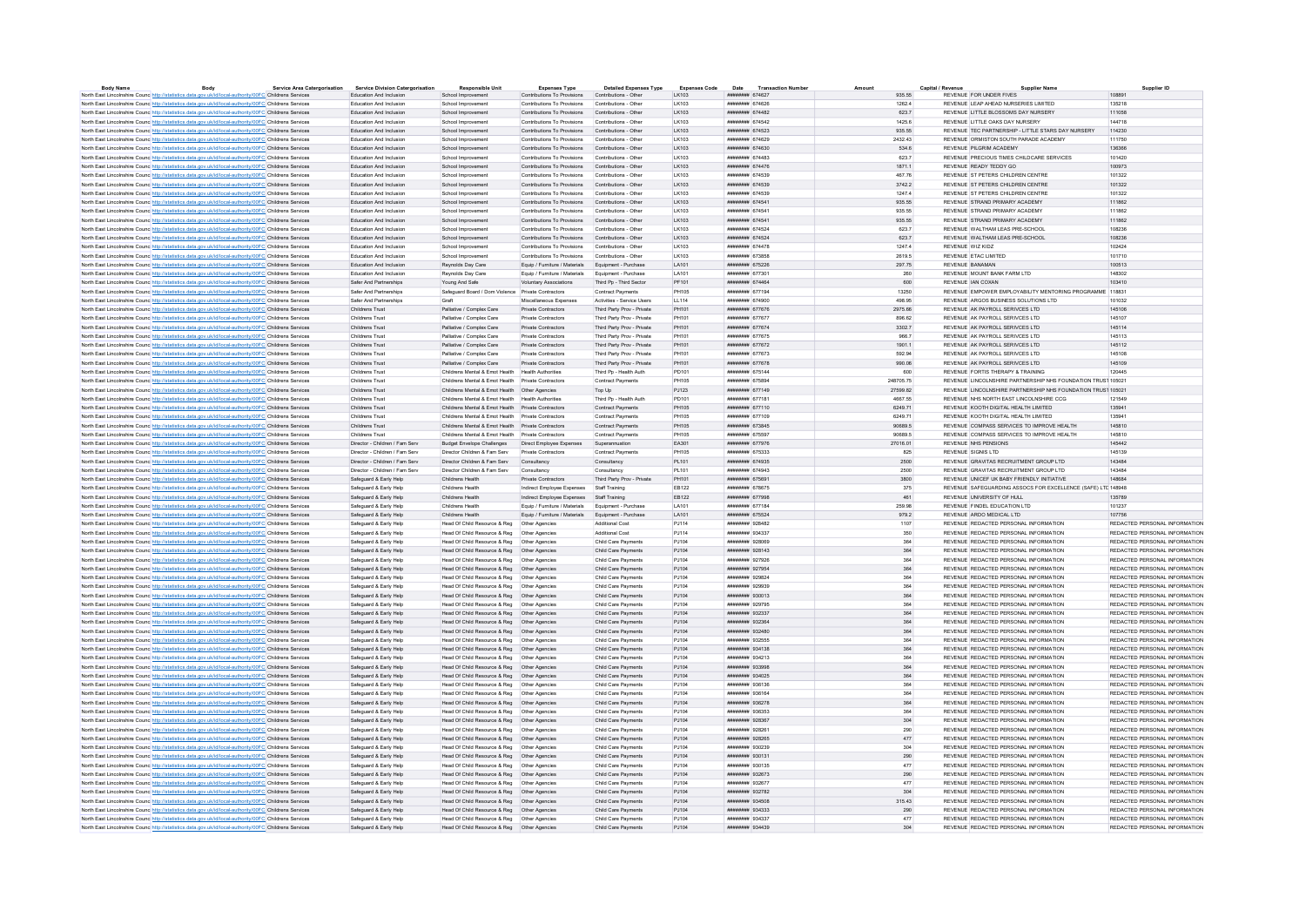| <b>Body Name</b>                                                                                                                                                                                                 | Body | <b>Service Area Catergorisation</b> | <b>Service Division Catergorisation</b>          | <b>Responsible Unit</b>                                                                        | <b>Expenses Type</b>                                                    | <b>Detailed Expenses Type</b>                 | <b>Expenses Code</b> | <b>Transaction Number</b><br>Date  | Amount       | Capital / Revenue<br><b>Supplier Name</b>                                                                  | Supplier ID                                                    |
|------------------------------------------------------------------------------------------------------------------------------------------------------------------------------------------------------------------|------|-------------------------------------|--------------------------------------------------|------------------------------------------------------------------------------------------------|-------------------------------------------------------------------------|-----------------------------------------------|----------------------|------------------------------------|--------------|------------------------------------------------------------------------------------------------------------|----------------------------------------------------------------|
| North East Lincolnshire Counc http://statistics.data.gov.uk/id/local-authority/00FC Childrens Services                                                                                                           |      |                                     | Education And Inclusion                          | School Improvement                                                                             | Contributions To Provisions                                             | Contributions - Other                         | LK103                | ######## 674627                    | 935.55       | REVENUE FOR UNDER FIVES                                                                                    |                                                                |
| North East Lincolnshire Counc http://statistics.data.gov.uk/id/local-authority/00FC Childrens Services                                                                                                           |      |                                     | Education And Inclusion                          | School Improvement                                                                             | Contributions To Provisions                                             | Contributions - Other                         | <b>IK103</b>         | ининнин 674626                     | 12624        | REVENUE I FAP AHEAD NURSERIES LIMITED.                                                                     | 135218                                                         |
| North East Lincolnshire Counc http://statistics.data.gov.uk/id/local-authority/00FC Childrens Services                                                                                                           |      |                                     | Education And Inclusion                          | School Improvement                                                                             | Contributions To Provisions                                             | Contributions - Other                         | LK103                | нивнини 674482                     | 623.7        | REVENUE LITTLE BLOSSOMS DAY NURSERY                                                                        | 111058                                                         |
| North East Lincolnshire Counc http://statistics.data.gov.uk/id/local-authority/00FC Childrens Services                                                                                                           |      |                                     | Education And Inclusion                          | School Improvement                                                                             | Contributions To Provisions                                             | Contributions - Other                         | LK103                | <b><i>HNHHHHHH 674542</i></b>      | 1425 B       | REVENUE LITTLE OAKS DAY NURSERY                                                                            | 144718                                                         |
| North East Lincolnshire Counc http://statistics.data.gov.uk/id/local-authority/00FC Childrens Services                                                                                                           |      |                                     | Education And Inclusion                          | School Improvement                                                                             | Contributions To Provisions Contributions - Other                       |                                               | LK103                | ####### 674523                     | 935.55       | REVENUE TEC PARTNERSHIP - LITTLE STARS DAY NURSERY                                                         | 114230                                                         |
| North East Lincolnshire Counc http://statistics.data.gov.uk/id/local-authority/00FC Childrens Services                                                                                                           |      |                                     | Education And Inclusion                          | School Improvement                                                                             | Contributions To Provisions                                             | Contributions - Other                         | LK103                | ######## 674629                    | 2432.43      | REVENUE ORMISTON SOUTH PARADE ACADEMY                                                                      | 111750                                                         |
| North East Lincolnshire Counc http://statistics.data.gov.uk/id/local-authority/00FC Childrens Services                                                                                                           |      |                                     | Education And Inclusion                          | School Improvement                                                                             | Contributions To Provisions                                             | Contributions - Other                         | LK103                | ######## 674630                    | 534.6        | REVENUE PILGRIM ACADEMY                                                                                    | 136366                                                         |
| North East Lincolnshire Counc http://statistics.data.gov.uk/id/local-authority/00FC Childrens Services                                                                                                           |      |                                     | Education And Inclusion                          | School Improvemen                                                                              | Contributions To Provisions                                             | Contributions - Other                         | LK103                | ######## 674483                    | 623.7        | REVENUE PRECIOUS TIMES CHILDCARE SERVICES                                                                  | 101420                                                         |
| North East Lincolnshire Counc http://statistics.data.gov.uk/id/local-authority/00FC Childrens Services                                                                                                           |      |                                     | <b>Education And Inclusion</b>                   | School Improvement                                                                             | Contributions To Provisions Contributions - Other                       |                                               | LK103                | <b>НИВИНИЯ</b> 674476              | 1871.1       | REVENUE READY TEDDY GO                                                                                     | 100973                                                         |
| North East Lincolnshire Counc http://statistics.data.gov.uk/id/local-authority/00FC Childrens Services                                                                                                           |      |                                     | Education And Inclusion                          | School Improvement                                                                             | Contributions To Provisions                                             | Contributions - Other                         | LK103                | ######## 674539                    | 467.76       | REVENUE ST PETERS CHILDREN CENTRE                                                                          | 101322                                                         |
| North East Lincolnshire Counc http://statistics.data.gov.uk/id/local-authority/00FC Childrens Services                                                                                                           |      |                                     | <b>Education And Inclusion</b>                   | School Improvement                                                                             | Contributions To Provisions Contributions - Other                       |                                               | 1 K103               | ######## 674539                    | 3742.2       | REVENUE ST PETERS CHILDREN CENTRE                                                                          | 101322                                                         |
| North East Lincolnshire Counc http://statistics.data.gov.uk/id/local-authority/00FC Childrens Services                                                                                                           |      |                                     | Education And Inclusion                          | School Improvement                                                                             | Contributions To Provisions                                             | Contributions - Other                         | <b>IK103</b>         | ######## 674539                    | 12474        | REVENUE ST PETERS CHILDREN CENTRE                                                                          | 101322                                                         |
| North East Lincolnshire Counc http://statistics.data.gov.uk/id/local-authority/00FC Childrens Services                                                                                                           |      |                                     | Education And Inclusion                          | School Improvement                                                                             | Contributions To Provisions                                             | Contributions - Other                         | LK103                | ######## 674541                    | 935.55       | REVENUE STRAND PRIMARY ACADEMY                                                                             | 111862                                                         |
| North East Lincolnshire Council http://statistics.data.gov.uk/id/local-authority/00EC Childrens Services                                                                                                         |      |                                     | <b>Education And Inclusion</b>                   | School Improvement                                                                             | Contributions To Provisions                                             | Contributions - Other                         | <b>IK103</b>         | ######## 674541                    | 935.55       | REVENUE STRAND PRIMARY ACADEMY                                                                             | 111862                                                         |
| North East Lincolnshire Counc http://statistics.data.gov.uk/id/local-authority/00FC Childrens Services                                                                                                           |      |                                     | Education And Inclusion                          | School Improvement                                                                             | Contributions To Provisions                                             | Contributions - Other                         | LK103                | ######## 674541                    | 935.55       | REVENUE STRAND PRIMARY ACADEMY                                                                             | 111862                                                         |
| North East Lincolnshire Counc http://statistics.data.gov.uk/id/local-authority/00FC Childrens Services                                                                                                           |      |                                     | Education And Inclusion                          | School Improvement                                                                             | Contributions To Provisions                                             | Contributions - Other                         | <b>IK103</b>         | ининнин 674524                     | 623.7        | REVENUE WALTHAM LEAS PRE-SCHOOL                                                                            | 108236                                                         |
| North East Lincolnshire Counc. http://statistics.data.gov.uk/id/local-authority/00FC Childrens Services                                                                                                          |      |                                     | Education And Inclusion                          | School Improvement                                                                             | Contributions To Provisions                                             | Contributions - Other                         | LK103                | ######## 674524                    | 623.7        | REVENUE WALTHAM LEAS PRE-SCHOOL                                                                            | 108236                                                         |
| North East Lincolnshire Counc http://statistics.data.gov.uk/id/local-authority/00FC Childrens Services                                                                                                           |      |                                     | <b>Education And Inclusion</b>                   | School Improvement                                                                             | Contributions To Provisions                                             | Contributions - Other                         | LK103                | нивнини 674478                     | 12474        | REVENUE WIZ KIDZ                                                                                           | 102424                                                         |
| North East Lincolnshire Counc http://statistics.data.gov.uk/id/local-authority/00FC Childrens Services                                                                                                           |      |                                     | Education And Inclusion                          | School Improvement                                                                             | Contributions To Provisions                                             | Contributions - Other                         | LK103                | ######## 673858                    | 2619.5       | REVENUE ETAC LIMITED                                                                                       | 101710                                                         |
| North East Lincolnshire Counc http://statistics.data.gov.uk/id/local-authority/00FC Childrens Services                                                                                                           |      |                                     | Education And Inclusion                          | Reynolds Day Care                                                                              | Equip / Furniture / Materials Equipment - Purchase                      |                                               | LA101                | ######## 675226                    | 297.75       | REVENUE BANAMAN                                                                                            | 100513                                                         |
| North East Lincolnshire Counc http://statistics.data.gov.uk/id/local-authority/00FC Childrens Services                                                                                                           |      |                                     | Education And Inclusion                          | Revnolds Day Care                                                                              | Equip / Furniture / Materials                                           | Equipment - Purchase                          | LA101                | ######## 677301                    | 260          | REVENUE MOUNT BANK FARM LTD                                                                                | 148302                                                         |
| North East Lincolnshire Counc http://statistics.data.gov.uk/id/local-authority/00FC Childrens Services                                                                                                           |      |                                     | Safer And Partnerships                           | Young And Safe                                                                                 | Voluntary Associations                                                  | Third Po - Third Sector                       | PF101                | ######## 674464                    | 600          | REVENUE JAN COXAN                                                                                          | 103410                                                         |
| North East Lincolnshire Counc http://statistics.data.gov.uk/id/local-authority/00FC Childrens Services                                                                                                           |      |                                     | Safer And Partnershins                           | Safeguard Board / Dom Violence Private Contractors                                             |                                                                         | Contract Payments                             | <b>PH105</b>         | ######## 677194                    | 13250        | REVENUE EMPOWER EMPLOYABILITY MENTORING PROGRAMME 118831                                                   |                                                                |
| North East Lincolnshire Counc <sup>http://statistics.data.gov.uk/id/local-authority/00FC Childrens Services</sup>                                                                                                |      |                                     | Safer And Partnerships                           | Graft                                                                                          | Miscellaneous Expenses                                                  | Activities - Service Users                    | LL114                | ######## 674900                    | 498.95       | REVENUE ARGOS BUSINESS SOLUTIONS LTD                                                                       | 101032                                                         |
| North East Lincolnshire Counc <sup>http://statistics.data.gov.uk/id/local-authority/00FC Childrens Services</sup>                                                                                                |      |                                     | Childrens Trust                                  | Palliative / Complex Care                                                                      | Private Contractors                                                     | Third Party Prov - Private                    | PH101                | ######## 677676                    | 2975.66      | REVENUE AK PAYROLL SERIVCES LTD.                                                                           | 145106                                                         |
| North East Lincolnshire Counc http://statistics.data.gov.uk/id/local-authority/00FC Childrens Services                                                                                                           |      |                                     | Childrens Trust                                  | Palliative / Complex Care                                                                      | Private Contractors                                                     | Third Party Prov - Private                    | PH101                | ####### 677677                     | 896.62       | REVENUE AK PAYROLL SERIVCES LTD                                                                            | 145107                                                         |
| North East Lincolnshire Counc. http://statistics.data.gov.uk/id/local-authority/00FC Childrens Services                                                                                                          |      |                                     | Childrens Trust                                  | Palliative / Complex Care                                                                      | Private Contractors                                                     | Third Party Prov - Private                    | PH101                | нивнини 677674                     | 3302.7       | REVENUE AK PAYROLL SERIVCES LTD.                                                                           | 145114                                                         |
| North East Lincolnshire Counc http://statistics.data.gov.uk/id/local-authority/00FC Childrens Services                                                                                                           |      |                                     | Childrens Trust                                  | Palliative / Complex Care                                                                      | Private Contractors                                                     | Third Party Prov - Private                    | PH101                | ######## 677675                    | 966.7        | REVENUE AK PAYROLL SERIVCES LTD                                                                            | 145113                                                         |
| North East Lincolnshire Counc http://statistics.data.gov.uk/id/local-authority/00FC Childrens Services                                                                                                           |      |                                     | Childrens Trust                                  | Palliative / Complex Care                                                                      | Private Contractors                                                     | Third Party Prov - Private                    | PH101                | ######## 677672                    | 1901.1       | REVENUE AK PAYROLL SERIVCES LTD                                                                            | 145112                                                         |
| North East Lincolnshire Counc http://statistics.data.gov.uk/id/local-authority/00FC Childrens Services                                                                                                           |      |                                     | Childrens Trust                                  | Palliative / Complex Care                                                                      | Private Contractors                                                     | Third Party Prov - Private                    | PH101                | ######## 677673                    | 592.94       | REVENUE AK PAYROLL SERIVCES LTD                                                                            | 145108                                                         |
| North East Lincolnshire Counc. http://statistics.data.gov.uk/id/local-authority/00FC Childrens Services                                                                                                          |      |                                     | Childrens Trust                                  | Palliative / Complex Care                                                                      | Private Contractors                                                     | Third Party Prov - Private                    | PH101                | ######## 677678                    | 990.06       | REVENUE AK PAYROLL SERIVCES LTD                                                                            | 145109                                                         |
| North East Lincolnshire Counc http://statistics.data.gov.uk/id/local-authority/00FC Childrens Services                                                                                                           |      |                                     | Childrens Trust                                  | Childrens Mental & Fmot Health Health Authorities                                              |                                                                         | Third Pn - Health Auth                        | PD101                | ####### 675144                     | 600          | REVENUE FORTIS THERAPY & TRAINING                                                                          | 120445                                                         |
| North East Lincolnshire Counc http://statistics.data.gov.uk/id/local-authority/00FC Childrens Services                                                                                                           |      |                                     | Childrens Trust                                  | Childrens Mental & Emot Health Private Contractors                                             |                                                                         | <b>Contract Payments</b>                      | PH105                | ######## 675894                    | 248705.75    | REVENUE LINCOLNSHIRE PARTNERSHIP NHS FOUNDATION TRUST 105021                                               |                                                                |
| North East Lincolnshire Counc http://statistics.data.gov.uk/id/local-authority/00FC Childrens Services                                                                                                           |      |                                     | Childrens Trust                                  | Childrens Mental & Emot Health  Other Agencies                                                 |                                                                         | Top Up                                        | PJ123                | ####### 677149                     | 27599.82     | REVENUE LINCOLNSHIRE PARTNERSHIP NHS FOUNDATION TRUST 105021                                               |                                                                |
| North East Lincolnshire Counc http://statistics.data.gov.uk/id/local-authority/00FC Childrens Services                                                                                                           |      |                                     | Childrens Trust                                  | Childrens Mental & Emot Health Health Authorities                                              |                                                                         | Third Po - Health Auth                        | PD101                | ######## 677181                    | 4667.55      | REVENUE NHS NORTH EAST LINCOLNSHIRE CCG                                                                    | 121549                                                         |
| North East Lincolnshire Counc http://statistics.data.gov.uk/id/local-authority/00FC Childrens Services                                                                                                           |      |                                     | Childrens Trust                                  | Childrens Mental & Emot Health Private Contractors                                             |                                                                         | Contract Payments                             | PH105                | ######## 677110                    | 6249.71      | REVENUE KOOTH DIGITAL HEALTH LIMITED                                                                       | 135941                                                         |
| North East Lincolnshire Counc http://statistics.data.gov.uk/id/local-authority/00FC Childrens Services                                                                                                           |      |                                     | Childrens Trust                                  | Childrens Mental & Front Health Private Contractors                                            |                                                                         | Contract Payments                             | <b>PH105</b>         | ######## 677109                    | 6249 71      | REVENUE KOOTH DIGITAL HEALTH LIMITED                                                                       | 135941                                                         |
|                                                                                                                                                                                                                  |      |                                     | Childrens Trust                                  | Childrens Mental & Emot Health Private Contractors                                             |                                                                         | Contract Payments                             | PH105                | ######## 673845                    | 90689.5      | REVENUE COMPASS SERVICES TO IMPROVE HEALTH                                                                 | 145810                                                         |
| North East Lincolnshire Counc http://statistics.data.gov.uk/id/local-authority/00FC Childrens Services<br>North East Lincolnshire Counc http://statistics.data.gov.uk/id/local-authority/00FC Childrens Services |      |                                     | Childrens Trust                                  | Childrens Mental & Emot Health Private Contractors                                             |                                                                         | <b>Contract Payments</b>                      | <b>PH105</b>         | ######## 675597                    | 90689.5      | REVENUE COMPASS SERVICES TO IMPROVE HEALTH                                                                 | 145810                                                         |
|                                                                                                                                                                                                                  |      |                                     | Director - Children / Fam Serv                   |                                                                                                |                                                                         |                                               | FA301                | <b>ИНИНИНИ 677976</b>              | 27016.01     | REVENUE NHS PENSIONS                                                                                       | 145442                                                         |
| North East Lincolnshire Counc http://statistics.data.gov.uk/id/local-authority/00FC Childrens Services                                                                                                           |      |                                     | Director - Children / Fam Serv                   | <b>Budget Envelope Challenges</b><br>Director Children & Fam Serv                              | <b>Direct Employee Expenses</b><br>Private Contractors                  | Superannuation<br><b>Contract Payments</b>    | PH105                | ######## 675333                    | 825          | <b>REVENUE SIGNIS LTD</b>                                                                                  | 145130                                                         |
| North East Lincolnshire Counc http://statistics.data.gov.uk/id/local-authority/00FC Childrens Services                                                                                                           |      |                                     |                                                  |                                                                                                |                                                                         |                                               |                      | ####### 674935                     | 2500         | REVENUE GRAVITAS RECRUITMENT GROUP LTD                                                                     | 143484                                                         |
| North East Lincolnshire Counc http://statistics.data.gov.uk/id/local-authority/00FC Childrens Services                                                                                                           |      |                                     | Director - Children / Fam Serv                   | Director Children & Fam Serv Consultancy                                                       |                                                                         | Consultancy                                   | PL101                |                                    |              |                                                                                                            | 143484                                                         |
| North East Lincolnshire Counc http://statistics.data.gov.uk/id/local-authority/00FC Childrens Services                                                                                                           |      |                                     | Director - Children / Fam Serv                   | Director Children & Fam Serv                                                                   | Consultancy                                                             | Consultancy                                   | PL101                | ######## 674943                    | 2500<br>3800 | REVENUE GRAVITAS RECRUITMENT GROUP LTD                                                                     | 148684                                                         |
| North East Lincolnshire Counc <sup>http://statistics.data.gov.uk/id/local-authority/00FC Childrens Services</sup>                                                                                                |      |                                     | Safeguard & Early Help<br>Safeguard & Early Help | Childrens Health                                                                               | Private Contractors                                                     | Third Party Prov - Private                    | PH101<br>EB122       | ######## 675691<br>######## 678675 | 375          | REVENUE UNICEF UK BABY FRIENDLY INITIATIVE<br>REVENUE SAFEGUARDING ASSOCS FOR EXCELLENCE (SAFE) LTD 148948 |                                                                |
| North East Lincolnshire Counc http://statistics.data.gov.uk/id/local-authority/00FC Childrens Services                                                                                                           |      |                                     | Safeguard & Early Help                           | Childrens Health<br>Childrens Health                                                           | Indirect Employee Expenses<br>Indirect Employee Expenses Staff Training | Staff Training                                | EB122                | ######## 677998                    | 461          | REVENUE UNIVERSITY OF HULL                                                                                 | 135789                                                         |
| North East Lincolnshire Counc http://statistics.data.gov.uk/id/local-authority/00FC Childrens Services                                                                                                           |      |                                     |                                                  |                                                                                                | Equip / Furniture / Materials Equipment - Purchase                      |                                               |                      | ######## 677184                    | 259.98       | REVENUE FINDEL EDUCATION LTD                                                                               |                                                                |
| North East Lincolnshire Counc <sup>1</sup> http://statistics.data.gov.uk/id/local-authority/00FC Childrens Services                                                                                              |      |                                     | Safeguard & Early Help                           | Childrens Health                                                                               |                                                                         |                                               | LA101                |                                    |              |                                                                                                            | 101237                                                         |
| North East Lincolnshire Counc http://statistics.data.gov.uk/id/local-authority/00FC Childrens Services                                                                                                           |      |                                     | Safeguard & Early Help                           | Childrens Health                                                                               | Equip / Furniture / Materials Equipment - Purchase                      |                                               | LA101<br>P.1114      | ######## 675524                    | 979.2        | REVENUE ARDO MEDICAL LTD<br>REVENUE REDACTED PERSONAL INFORMATION                                          | 107756<br>REDACTED PERSONAL INFORMATION                        |
| North East Lincolnshire Counc http://statistics.data.gov.uk/id/local-authority/00FC Childrens Services                                                                                                           |      |                                     | Safeguard & Early Help                           | Head Of Child Resource & Reg   Other Agencies                                                  |                                                                         | <b>Additional Cost</b>                        |                      | ####### 928482                     | 1107         |                                                                                                            |                                                                |
| North East Lincolnshire Counc http://statistics.data.gov.uk/id/local-authority/00FC Childrens Services                                                                                                           |      |                                     | Safeguard & Early Help<br>Safenuard & Farly Help | Head Of Child Resource & Reg   Other Agencies<br>Head Of Child Resource & Reg. Other Agencies  |                                                                         | <b>Additional Cost</b><br>Child Care Payments | PJ114<br>P.1104      | ####### 934337<br>######## 928069  | 350<br>364   | REVENUE REDACTED PERSONAL INFORMATION<br>REVENUE REDACTED PERSONAL INFORMATION                             | REDACTED PERSONAL INFORMATION<br>REDACTED PERSONAL INFORMATION |
| North East Lincolnshire Counc http://statistics.data.gov.uk/id/local-authority/00FC Childrens Services                                                                                                           |      |                                     | Safeguard & Early Help                           | Head Of Child Resource & Reg   Other Agencies                                                  |                                                                         | Child Care Payments                           | PJ104                | ####### 928143                     | 364          | REVENUE REDACTED PERSONAL INFORMATION                                                                      | REDACTED PERSONAL INFORMATION                                  |
| North East Lincolnshire Counc http://statistics.data.gov.uk/id/local-authority/00FC Childrens Services                                                                                                           |      |                                     |                                                  |                                                                                                |                                                                         |                                               | P.1104               |                                    |              |                                                                                                            |                                                                |
| North East Lincolnshire Counc http://statistics.data.gov.uk/id/local-authority/00FC Childrens Services                                                                                                           |      |                                     | Safeguard & Early Help                           |                                                                                                |                                                                         | Child Care Payments                           |                      | ######## 927926                    | 364          | REVENUE REDACTED PERSONAL INFORMATION                                                                      | REDACTED PERSONAL INFORMATION                                  |
| North East Lincolnshire Counc http://statistics.data.gov.uk/id/local-authority/00FC Childrens Services                                                                                                           |      |                                     | Safeguard & Early Help                           | Head Of Child Resource & Reg   Other Agencies                                                  |                                                                         | Child Care Payments                           | PJ104                | ######## 927954                    | 364          | REVENUE REDACTED PERSONAL INFORMATION                                                                      | REDACTED PERSONAL INFORMATION                                  |
| North East Lincolnshire Counc http://statistics.data.gov.uk/id/local-authority/00FC Childrens Services                                                                                                           |      |                                     | Safeguard & Early Help                           | Head Of Child Resource & Reg   Other Agencies                                                  |                                                                         | Child Care Payments                           | PJ104                | ######## 929824                    | 364          | REVENUE REDACTED PERSONAL INFORMATION                                                                      | REDACTED PERSONAL INFORMATION                                  |
| North East Lincolnshire Counc http://statistics.data.gov.uk/id/local-authority/00FC Childrens Services                                                                                                           |      |                                     | Safeguard & Early Help                           | Head Of Child Resource & Reg   Other Agencies                                                  |                                                                         | Child Care Payments                           | PJ104                | ######## 929939                    | 364          | REVENUE REDACTED PERSONAL INFORMATION                                                                      | REDACTED PERSONAL INFORMATION                                  |
| North East Lincolnshire Counc http://statistics.data.gov.uk/id/local-authority/00FC Childrens Services                                                                                                           |      |                                     | Safeguard & Early Help                           | Head Of Child Resource & Reg   Other Agencies                                                  |                                                                         | Child Care Payments                           | PJ104                | ######## 930013                    | 364          | REVENUE REDACTED PERSONAL INFORMATION                                                                      | REDACTED PERSONAL INFORMATION                                  |
| North East Lincolnshire Counc http://statistics.data.gov.uk/id/local-authority/00FC Childrens Services                                                                                                           |      |                                     | Safeguard & Early Help<br>Safeguard & Early Help | Head Of Child Resource & Reg   Other Agencies<br>Head Of Child Resource & Reg   Other Agencies |                                                                         | Child Care Payments<br>Child Care Payments    | P.1104<br>PJ104      | ######## 929795<br>####### 932337  | 364<br>364   | REVENUE REDACTED PERSONAL INFORMATION<br>REVENUE REDACTED PERSONAL INFORMATION                             | REDACTED PERSONAL INFORMATION<br>REDACTED PERSONAL INFORMATION |
| North East Lincolnshire Counc http://statistics.data.gov.uk/id/local-authority/00FC Childrens Services                                                                                                           |      |                                     |                                                  |                                                                                                |                                                                         |                                               |                      |                                    |              |                                                                                                            |                                                                |
| North East Lincolnshire Counc http://statistics.data.gov.uk/id/local-authority/00FC Childrens Services                                                                                                           |      |                                     | Safeguard & Early Help                           | Head Of Child Resource & Reg   Other Agencies                                                  |                                                                         | Child Care Payments                           | P.1104               | ######## 932364                    | 364          | REVENUE REDACTED PERSONAL INFORMATION                                                                      | REDACTED PERSONAL INFORMATION                                  |
| North East Lincolnshire Counc http://statistics.data.gov.uk/id/local-authority/00FC Childrens Services                                                                                                           |      |                                     | Safeguard & Early Help                           | Head Of Child Resource & Reg   Other Agencies                                                  |                                                                         | Child Care Payments                           | PJ104                | ######## 932480                    | 364          | REVENUE REDACTED PERSONAL INFORMATION                                                                      | REDACTED PERSONAL INFORMATION                                  |
| North East Lincolnshire Counc http://statistics.data.gov.uk/id/local-authority/00FC Childrens Services                                                                                                           |      |                                     | Safeguard & Early Help                           |                                                                                                |                                                                         | Child Care Payments                           | P.1104               | ######## 932555                    | 364          | REVENUE REDACTED PERSONAL INFORMATION                                                                      | REDACTED PERSONAL INFORMATION<br>REDACTED PERSONAL INFORMATION |
| North East Lincolnshire Counc http://statistics.data.gov.uk/id/local-authority/00FC Childrens Services                                                                                                           |      |                                     | Safeguard & Early Help                           | Head Of Child Resource & Reg   Other Agencies                                                  |                                                                         | Child Care Payments                           | PJ104                | ####### 934138                     | 364          | REVENUE REDACTED PERSONAL INFORMATION                                                                      |                                                                |
| North East Lincolnshire Counc http://statistics.data.gov.uk/id/local-authority/00FC Childrens Services                                                                                                           |      |                                     | Safeguard & Early Help                           | Head Of Child Resource & Reg   Other Agencies                                                  |                                                                         | Child Care Payments                           | PJ104                | ######## 934213                    | 364          | REVENUE REDACTED PERSONAL INFORMATION                                                                      | REDACTED PERSONAL INFORMATION                                  |
| North East Lincolnshire Counc http://statistics.data.gov.uk/id/local-authority/00FC Childrens Services                                                                                                           |      |                                     | Safeguard & Early Help                           | Head Of Child Resource & Reg   Other Agencies                                                  |                                                                         | Child Care Payments                           | PJ104                | ######## 933998                    | 364          | REVENUE REDACTED PERSONAL INFORMATION                                                                      | REDACTED PERSONAL INFORMATION                                  |
| North East Lincolnshire Counc http://statistics.data.gov.uk/id/local-authority/00FC Childrens Services                                                                                                           |      |                                     | Safeguard & Early Help                           | Head Of Child Resource & Reg   Other Agencies                                                  |                                                                         | Child Care Payments                           | PJ104                | ######## 934025                    | 364          | REVENUE REDACTED PERSONAL INFORMATION                                                                      | REDACTED PERSONAL INFORMATION                                  |
| North East Lincolnshire Counc http://statistics.data.gov.uk/id/local-authority/00FC Childrens Services                                                                                                           |      |                                     | Safeguard & Early Help                           |                                                                                                |                                                                         | Child Care Payments                           | P.1104               | ######## 936136                    | 364          | REVENUE REDACTED PERSONAL INFORMATION                                                                      | REDACTED PERSONAL INFORMATION                                  |
| North East Lincolnshire Counc <sup>http://statistics.data.gov.uk/id/local-authority/00FC Childrens Services</sup>                                                                                                |      |                                     | Safeguard & Early Help                           | Head Of Child Resource & Reg   Other Agencies                                                  |                                                                         | Child Care Payments                           | PJ104                | ####### 936164                     | 364          | REVENUE REDACTED PERSONAL INFORMATION                                                                      | REDACTED PERSONAL INFORMATION                                  |
| North East Lincolnshire Counc http://statistics.data.gov.uk/id/local-authority/00FC Childrens Services                                                                                                           |      |                                     | Safeguard & Early Help                           | Head Of Child Resource & Reg   Other Agencies                                                  |                                                                         | Child Care Payments                           | PJ104                | нивнинин 936278                    | 364          | REVENUE REDACTED PERSONAL INFORMATION                                                                      | REDACTED PERSONAL INFORMATION                                  |
| North East Lincolnshire Counc http://statistics.data.gov.uk/id/local-authority/00FC Childrens Services                                                                                                           |      |                                     | Safeguard & Early Help                           | Head Of Child Resource & Reg   Other Agencies                                                  |                                                                         | Child Care Payments                           | PJ104                | ######## 936353                    | 364          | REVENUE REDACTED PERSONAL INFORMATION                                                                      | REDACTED PERSONAL INFORMATION                                  |
| North East Lincolnshire Counc http://statistics.data.gov.uk/id/local-authority/00FC Childrens Services                                                                                                           |      |                                     | Safeguard & Early Help                           | Head Of Child Resource & Reg   Other Agencies                                                  |                                                                         | Child Care Payments                           | PJ104                | ######## 928367                    | 304          | REVENUE REDACTED PERSONAL INFORMATION                                                                      | REDACTED PERSONAL INFORMATION                                  |
| North East Lincolnshire Counc http://statistics.data.gov.uk/id/local-authority/00FC Childrens Services                                                                                                           |      |                                     | Safeguard & Early Help                           | Head Of Child Resource & Reg   Other Agencies                                                  |                                                                         | Child Care Payments                           | P.1104               | ######## 928261                    | 290          | REVENUE REDACTED PERSONAL INFORMATION                                                                      | REDACTED PERSONAL INFORMATION                                  |
| North East Lincolnshire Counc http://statistics.data.gov.uk/id/local-authority/00FC Childrens Services                                                                                                           |      |                                     | Safeguard & Early Help                           | Head Of Child Resource & Reg   Other Agencies                                                  |                                                                         | Child Care Payments                           | PJ104                | ######## 928265                    | 477          | REVENUE REDACTED PERSONAL INFORMATION                                                                      | REDACTED PERSONAL INFORMATION                                  |
| North East Lincolnshire Counc http://statistics.data.gov.uk/id/local-authority/00FC Childrens Services                                                                                                           |      |                                     | Safeguard & Early Help                           | Head Of Child Resource & Reg. Other Agencies                                                   |                                                                         | Child Care Payments                           | P.1104               | ######## 930239                    | 304          | REVENUE REDACTED PERSONAL INFORMATION                                                                      | REDACTED PERSONAL INFORMATION                                  |
| North East Lincolnshire Counc http://statistics.data.gov.uk/id/local-authority/00FC Childrens Services                                                                                                           |      |                                     | Safeguard & Early Help                           | Head Of Child Resource & Reg   Other Agencies                                                  |                                                                         | Child Care Payments                           | PJ104                | ######## 930131                    | 290          | REVENUE REDACTED PERSONAL INFORMATION                                                                      | REDACTED PERSONAL INFORMATION                                  |
| North East Lincolnshire Counc. http://statistics.data.gov.uk/id/local-authority/00FC Childrens Services                                                                                                          |      |                                     | Safeguard & Early Help                           |                                                                                                |                                                                         | Child Care Payments                           | P.1104               | ####### 930135                     | 477          | REVENUE REDACTED PERSONAL INFORMATION                                                                      | REDACTED PERSONAL INFORMATION                                  |
| North East Lincolnshire Counc http://statistics.data.gov.uk/id/local-authority/00FC Childrens Services                                                                                                           |      |                                     | Safeguard & Early Help                           | Head Of Child Resource & Reg   Other Agencies                                                  |                                                                         | Child Care Payments                           | PJ104                | ######## 932673                    | 290          | REVENUE REDACTED PERSONAL INFORMATION                                                                      | REDACTED PERSONAL INFORMATION                                  |
| North East Lincolnshire Counc http://statistics.data.gov.uk/id/local-authority/00FC Childrens Services                                                                                                           |      |                                     | Safeguard & Early Help                           | Head Of Child Resource & Reg   Other Agencies                                                  |                                                                         | Child Care Payments                           | PJ104                | ####### 932677                     | 477          | REVENUE REDACTED PERSONAL INFORMATION                                                                      | REDACTED PERSONAL INFORMATION                                  |
| North East Lincolnshire Counc http://statistics.data.gov.uk/id/local-authority/00FC Childrens Services                                                                                                           |      |                                     | Safeguard & Early Help                           | Head Of Child Resource & Reg   Other Agencies                                                  |                                                                         | Child Care Payments                           | PJ104                | ######## 932782                    | 304          | REVENUE REDACTED PERSONAL INFORMATION                                                                      | REDACTED PERSONAL INFORMATION                                  |
| North East Lincolnshire Counc. http://statistics.data.gov.uk/id/local-authority/00FC Childrens Services                                                                                                          |      |                                     | Safeguard & Early Help                           | Head Of Child Resource & Reg   Other Agencies                                                  |                                                                         | Child Care Payments                           | PJ104                | ######## 934508                    | 315.43       | REVENUE REDACTED PERSONAL INFORMATION                                                                      | REDACTED PERSONAL INFORMATION                                  |
| North East Lincolnshire Counc http://statistics.data.gov.uk/id/local-authority/00FC Childrens Services                                                                                                           |      |                                     | Safeguard & Early Help                           | Head Of Child Resource & Reg   Other Agencies                                                  |                                                                         | Child Care Payments                           | P.1104               | ######## 934333                    | 290          | REVENUE REDACTED PERSONAL INFORMATION                                                                      | REDACTED PERSONAL INFORMATION                                  |
| North East Lincolnshire Counc http://statistics.data.gov.uk/id/local-authority/00FC Childrens Services                                                                                                           |      |                                     | Safeguard & Early Help                           |                                                                                                |                                                                         | Child Care Payments                           | PJ104                | ####### 934337                     | 477          | REVENUE REDACTED PERSONAL INFORMATION                                                                      | REDACTED PERSONAL INFORMATION                                  |
| North East Lincolnshire Counc http://statistics.data.gov.uk/id/local-authority/00FC Childrens Services                                                                                                           |      |                                     | Safeguard & Early Help                           |                                                                                                |                                                                         | Child Care Payments                           | P.1104               | ######## 934439                    | 304          | REVENUE REDACTED PERSONAL INFORMATION                                                                      | REDACTED PERSONAL INFORMATION                                  |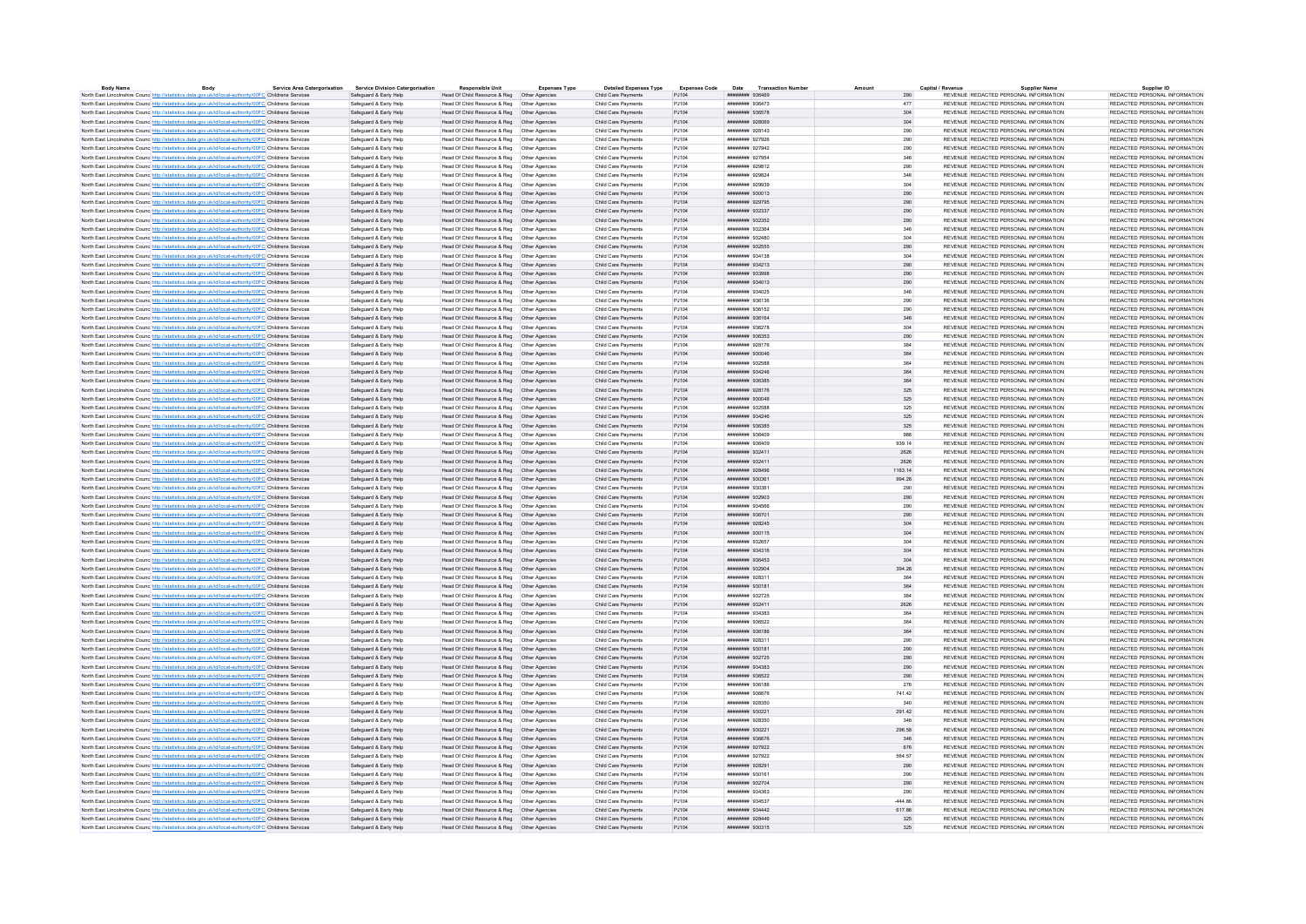| Body                                                                                                              | <b>Service Area Catergorisation</b> | <b>Service Division Catergorisation</b> | <b>Responsible Unit</b>                       | Expenses Type | <b>Detailed Expenses Type</b> | <b>Expenses Code</b> | Date Transaction Numbe        |         | Capital / Revenu | <b>Supplier Name</b>                  | Supplier ID                   |
|-------------------------------------------------------------------------------------------------------------------|-------------------------------------|-----------------------------------------|-----------------------------------------------|---------------|-------------------------------|----------------------|-------------------------------|---------|------------------|---------------------------------------|-------------------------------|
| North East Lincolnshire Counc http://statistics.data.gov.uk/id/local-authority/00FC Childrens Services            |                                     | Safeguard & Early Help                  | Head Of Child Resource & Reg   Other Agencies |               | Child Care Payments           | PJ104                | ######## 936469               |         | 290              | REVENUE REDACTED PERSONAL INFORMATION | REDACTED PERSONAL INFORMATION |
| North East Lincolnshire Counc http://statistics.data.gov.uk/id/local-authority/00FC Childrens Services            |                                     | Safeguard & Early Help                  | Head Of Child Resource & Reg   Other Agencies |               | Child Care Payments           | P.1104               | ######## 936473               |         | 477              | REVENUE REDACTED PERSONAL INFORMATION | REDACTED PERSONAL INFORMATION |
| North East Lincolnshire Counc http://statistics.data.gov.uk/id/local-authority/00FC Childrens Services            |                                     | Safeguard & Early Help                  | Head Of Child Resource & Reg   Other Agencies |               | Child Care Payments           | PJ104                | <b><i>HRBBBBBB</i></b> 936578 |         | 304              | REVENUE REDACTED PERSONAL INFORMATION | REDACTED PERSONAL INFORMATION |
| North East Lincolnshire Counc http://statistics.data.gov.uk/id/local-authority/00FC Childrens Services            |                                     | Safeguard & Early Help                  | Head Of Child Resource & Reg   Other Agencies |               | Child Care Payments           | P.1104               | ######## 928069               |         | 304              | REVENUE REDACTED PERSONAL INFORMATION | REDACTED PERSONAL INFORMATION |
| North East Lincolnshire Counc http://statistics.data.gov.uk/id/local-authority/00FC Childrens Services            |                                     | Safeguard & Early Help                  |                                               |               | Child Care Payments           | PJ104                | ####### 928143                |         | 290              | REVENUE REDACTED PERSONAL INFORMATION | REDACTED PERSONAL INFORMATION |
| North East Lincolnshire Counc http://statistics.data.gov.uk/id/local-authority/00FC Childrens Services            |                                     | Safeguard & Early Help                  |                                               |               | Child Care Payments           | P.1104               | ####### 927926                |         | 290              | REVENUE REDACTED PERSONAL INFORMATION | REDACTED PERSONAL INFORMATION |
| North East Lincolnshire Counc <sup>htto://statistics.data.gov.uk/id/local-authority/00FC Childrens Services</sup> |                                     | Safeguard & Early Help                  | Head Of Child Resource & Reg   Other Agencies |               | Child Care Payments           | PJ104                | ####### 927942                |         | 290              | REVENUE REDACTED PERSONAL INFORMATION | REDACTED PERSONAL INFORMATION |
| North East Lincolnshire Counc http://statistics.data.gov.uk/id/local-authority/00FC Childrens Services            |                                     | Safeguard & Early Help                  | Head Of Child Resource & Reg   Other Agencies |               | Child Care Payments           | PJ104                | ####### 927954                |         | 346              | REVENUE REDACTED PERSONAL INFORMATION | REDACTED PERSONAL INFORMATION |
| North East Lincolnshire Counc http://statistics.data.gov.uk/id/local-authority/00FC Childrens Services            |                                     | Safeguard & Early Help                  | Head Of Child Resource & Reg   Other Agencies |               | Child Care Payments           | PJ104                | ####### 929812                |         | 290              | REVENUE REDACTED PERSONAL INFORMATION | REDACTED PERSONAL INFORMATION |
| North East Lincolnshire Counc http://statistics.data.gov.uk/id/local-authority/00FC Childrens Services            |                                     | Safeguard & Early Help                  | Head Of Child Resource & Reg   Other Agencies |               | Child Care Payments           | PJ104                | ####### 929824                |         | 346              | REVENUE REDACTED PERSONAL INFORMATION | REDACTED PERSONAL INFORMATION |
|                                                                                                                   |                                     | Safeguard & Early Help                  |                                               |               | Child Care Payments           | PJ104                | ######## 929939               |         | 304              | REVENUE REDACTED PERSONAL INFORMATION | REDACTED PERSONAL INFORMATION |
| North East Lincolnshire Counc http://statistics.data.gov.uk/id/local-authority/00FC Childrens Services            |                                     |                                         | Head Of Child Resource & Reg   Other Agencies |               |                               |                      |                               |         |                  |                                       |                               |
| North East Lincolnshire Counc http://statistics.data.gov.uk/id/local-authority/00FC Childrens Services            |                                     | Safeguard & Early Help                  | Head Of Child Resource & Reg   Other Agencies |               | Child Care Payments           | PJ104                | ####### 930013                |         | 290              | REVENUE REDACTED PERSONAL INFORMATION | REDACTED PERSONAL INFORMATION |
| North East Lincolnshire Counc http://statistics.data.gov.uk/id/local-authority/00FC Childrens Services            |                                     | Safeguard & Early Help                  | Head Of Child Resource & Reg   Other Agencies |               | Child Care Payments           | PJ104                | ####### 929795                |         | 290              | REVENUE REDACTED PERSONAL INFORMATION | REDACTED PERSONAL INFORMATION |
| North East Lincolnshire Counc http://statistics.data.gov.uk/id/local-authority/00FC Childrens Services            |                                     | Safeguard & Early Help                  | Head Of Child Resource & Reg   Other Agencies |               | Child Care Payments           | PJ104                | ####### 932337                |         | 290              | REVENUE REDACTED PERSONAL INFORMATION | REDACTED PERSONAL INFORMATION |
| North East Lincolnshire Counc http://statistics.data.gov.uk/id/local-authority/00FC Childrens Services            |                                     | Safeguard & Early Help                  | Head Of Child Resource & Reg   Other Agencies |               | Child Care Payments           | PJ104                | ######## 932352               |         | 290              | REVENUE REDACTED PERSONAL INFORMATION | REDACTED PERSONAL INFORMATION |
| North East Lincolnshire Counc http://statistics.data.gov.uk/id/local-authority/00FC Childrens Services            |                                     | Safeguard & Early Help                  | Head Of Child Resource & Reg   Other Agencies |               | Child Care Payments           | PJ104                | ######## 932364               |         | 346              | REVENUE REDACTED PERSONAL INFORMATION | REDACTED PERSONAL INFORMATION |
| North East Lincolnshire Counc http://statistics.data.gov.uk/id/local-authority/00FC Childrens Services            |                                     | Safeguard & Early Help                  |                                               |               | Child Care Payments           | PJ104                | ####### 932480                |         | 304              | REVENUE REDACTED PERSONAL INFORMATION | REDACTED PERSONAL INFORMATION |
| North East Lincolnshire Counc http://statistics.data.gov.uk/id/local-authority/00FC Childrens Services            |                                     | Safeguard & Early Help                  | Head Of Child Resource & Reg   Other Agencies |               | Child Care Payments           | PJ104                | ######## 932555               |         | 290              | REVENUE REDACTED PERSONAL INFORMATION | REDACTED PERSONAL INFORMATION |
| North East Lincolnshire Counc http://statistics.data.gov.uk/id/local-authority/00FC Childrens Services            |                                     | Safeguard & Early Help                  | Head Of Child Resource & Reg   Other Agencies |               | Child Care Payments           | PJ104                | ####### 934138                |         | 304              | REVENUE REDACTED PERSONAL INFORMATION | REDACTED PERSONAL INFORMATION |
| North East Lincolnshire Counc http://statistics.data.gov.uk/id/local-authority/00FC Childrens Services            |                                     | Safeguard & Early Help                  | Head Of Child Resource & Reg   Other Agencies |               | Child Care Payments           | PJ104                | ####### 934213                |         | 290              | REVENUE REDACTED PERSONAL INFORMATION | REDACTED PERSONAL INFORMATION |
|                                                                                                                   |                                     | Safeguard & Early Help                  | Head Of Child Resource & Reg   Other Agencies |               |                               | PJ104                |                               |         |                  |                                       |                               |
| North East Lincolnshire Counc http://statistics.data.gov.uk/id/local-authority/00FC Childrens Services            |                                     |                                         |                                               |               | Child Care Payments           |                      | ######## 933998               |         | 290              | REVENUE REDACTED PERSONAL INFORMATION | REDACTED PERSONAL INFORMATION |
| North East Lincolnshire Counc http://statistics.data.gov.uk/id/local-authority/00FC Childrens Services            |                                     | Safeguard & Early Help                  | Head Of Child Resource & Reg   Other Agencies |               | Child Care Payments           | PJ104                | ######## 934013               |         | 290              | REVENUE REDACTED PERSONAL INFORMATION | REDACTED PERSONAL INFORMATION |
| North East Lincolnshire Counc http://statistics.data.gov.uk/id/local-authority/00FC Childrens Services            |                                     | Safeguard & Early Help                  | Head Of Child Resource & Reg   Other Agencies |               | Child Care Payments           | P.1104               | <b>######## 934025</b>        |         | 346              | REVENUE REDACTED PERSONAL INFORMATION | REDACTED PERSONAL INFORMATION |
| North East Lincolnshire Counc http://statistics.data.gov.uk/id/local-authority/00FC Childrens Services            |                                     | Safeguard & Early Help                  | Head Of Child Resource & Reg   Other Agencies |               | Child Care Payments           | PJ104                | ######## 936136               |         | 290              | REVENUE REDACTED PERSONAL INFORMATION | REDACTED PERSONAL INFORMATION |
| North East Lincolnshire Counc http://statistics.data.gov.uk/id/local-authority/00FC Childrens Services            |                                     | Safeguard & Early Help                  |                                               |               | Child Care Payments           | P.1104               | ######## 936152               |         | 290              | REVENUE REDACTED PERSONAL INFORMATION | REDACTED PERSONAL INFORMATION |
| North East Lincolnshire Counc http://statistics.data.gov.uk/id/local-authority/00FC Childrens Services            |                                     | Safeguard & Early Help                  | Head Of Child Resource & Reg   Other Agencies |               | Child Care Payments           | PJ104                | ######## 936164               |         | 346              | REVENUE REDACTED PERSONAL INFORMATION | REDACTED PERSONAL INFORMATION |
| North East Lincolnshire Counc http://statistics.data.gov.uk/id/local-authority/00FC Childrens Services            |                                     | Safeguard & Early Help                  | Head Of Child Resource & Reg   Other Agencie  |               | Child Care Payments           | PJ104                | ######## 936278               |         | 304              | REVENUE REDACTED PERSONAL INFORMATION | REDACTED PERSONAL INFORMATION |
| North East Lincolnshire Counc http://statistics.data.gov.uk/id/local-authority/00FC Childrens Services            |                                     | Safeguard & Early Help                  | Head Of Child Resource & Reg   Other Agencies |               | Child Care Payments           | P.1104               | ######## 936353               |         | 290              | REVENUE REDACTED PERSONAL INFORMATION | REDACTED PERSONAL INFORMATION |
| North East Lincolnshire Counc http://statistics.data.gov.uk/id/local-authority/00FC Childrens Services            |                                     | Safeguard & Early Help                  | Head Of Child Resource & Reg   Other Agencies |               | Child Care Payments           | PJ104                | ####### 928176                |         | 364              | REVENUE REDACTED PERSONAL INFORMATION | REDACTED PERSONAL INFORMATION |
|                                                                                                                   |                                     |                                         |                                               |               |                               |                      |                               |         |                  |                                       |                               |
| North East Lincolnshire Counc. http://statistics.data.gov.uk/id/local-authority/00FC Childrens Services           |                                     | Safeguard & Early Help                  | Head Of Child Resource & Reg   Other Agencies |               | Child Care Payments           | PJ104                | ######## 930046               |         | 364              | REVENUE REDACTED PERSONAL INFORMATION | REDACTED PERSONAL INFORMATION |
| North East Lincolnshire Counc http://statistics.data.gov.uk/id/local-authority/00FC Childrens Services            |                                     | Safeguard & Early Help                  | Head Of Child Resource & Reg   Other Agencies |               | Child Care Payments           | PJ104                | ####### 932588                |         | 364              | REVENUE REDACTED PERSONAL INFORMATION | REDACTED PERSONAL INFORMATION |
| North East Lincolnshire Counc http://statistics.data.gov.uk/id/local-authority/00FC Childrens Services            |                                     | Safeguard & Early Help                  | Head Of Child Resource & Reg   Other Agencies |               | Child Care Payments           | PJ104                | ######## 934246               |         | 364              | REVENUE REDACTED PERSONAL INFORMATION | REDACTED PERSONAL INFORMATION |
| North East Lincolnshire Counc <sup>http://statistics.data.gov.uk/id/local-authority/00FC Childrens Services</sup> |                                     | Safeguard & Early Help                  | Head Of Child Resource & Reg   Other Agencies |               | Child Care Payments           | PJ104                | ####### 936385                |         | 364              | REVENUE REDACTED PERSONAL INFORMATION | REDACTED PERSONAL INFORMATION |
| North East Lincolnshire Counc http://statistics.data.gov.uk/id/local-authority/00FC Childrens Services            |                                     | Safeguard & Early Help                  | Head Of Child Resource & Reg   Other Agencies |               | Child Care Payments           | PJ104                | ######## 928176               |         | 325              | REVENUE REDACTED PERSONAL INFORMATION | REDACTED PERSONAL INFORMATION |
| North East Lincolnshire Counc http://statistics.data.gov.uk/id/local-authority/00FC Childrens Services            |                                     | Safeguard & Early Help                  | Head Of Child Resource & Reg   Other Agencies |               | Child Care Payments           | PJ104                | ######## 930046               |         | 325              | REVENUE REDACTED PERSONAL INFORMATION | REDACTED PERSONAL INFORMATION |
| North East Lincolnshire Counc http://statistics.data.gov.uk/id/local-authority/00FC Childrens Services            |                                     | Safeguard & Early Help                  | Head Of Child Resource & Reg   Other Agencies |               | Child Care Payments           | PJ104                | ####### 932588                |         | 325              | REVENUE REDACTED PERSONAL INFORMATION | REDACTED PERSONAL INFORMATION |
| North East Lincolnshire Counc http://statistics.data.gov.uk/id/local-authority/00FC Childrens Services            |                                     | Safeguard & Early Help                  | Head Of Child Resource & Reg   Other Agencies |               | Child Care Payments           | PJ104                | ниннини 934246                |         | 325              | REVENUE REDACTED PERSONAL INFORMATION | REDACTED PERSONAL INFORMATION |
| North East Lincolnshire Counc http://statistics.data.gov.uk/id/local-authority/00FC Childrens Services            |                                     | Safeguard & Early Help                  | Head Of Child Resource & Reg   Other Agencies |               | Child Care Payments           | PJ104                | ####### 936385                |         | 325              | REVENUE REDACTED PERSONAL INFORMATION | REDACTED PERSONAL INFORMATION |
|                                                                                                                   |                                     |                                         |                                               |               |                               |                      | ####### 936409                |         |                  | REVENUE REDACTED PERSONAL INFORMATION |                               |
| North East Lincolnshire Counc http://statistics.data.gov.uk/id/local-authority/00FC Childrens Services            |                                     | Safeguard & Early Help                  |                                               |               | Child Care Payments           | PJ104                |                               |         | 988              |                                       | REDACTED PERSONAL INFORMATION |
| North East Lincolnshire Counc <sup>http://statistics.data.gov.uk/id/local-authority/00FC Childrens Services</sup> |                                     | Safeguard & Early Help                  | Head Of Child Resource & Reg   Other Agencies |               | Child Care Payments           | PJ104                | ######## 936409               |         | 939.14           | REVENUE REDACTED PERSONAL INFORMATION | REDACTED PERSONAL INFORMATION |
| North East Lincolnshire Counc http://statistics.data.gov.uk/id/local-authority/00FC Childrens Services            |                                     | Safeguard & Early Help                  | Head Of Child Resource & Reg   Other Agencies |               | Child Care Payments           | PJ104                | ######## 932411               |         | 2626             | REVENUE REDACTED PERSONAL INFORMATION | REDACTED PERSONAL INFORMATION |
| North East Lincolnshire Counc http://statistics.data.gov.uk/id/local-authority/00FC Childrens Services            |                                     | Safeguard & Early Help                  | Head Of Child Resource & Reg   Other Agencies |               | Child Care Payments           | P.1104               | ######## 932411               |         | 2626             | REVENUE REDACTED PERSONAL INFORMATION | REDACTED PERSONAL INFORMATION |
| North East Lincolnshire Counc http://statistics.data.gov.uk/id/local-authority/00FC Childrens Services            |                                     | Safeguard & Early Help                  | Head Of Child Resource & Reg   Other Agencies |               | Child Care Payments           | PJ104                | ######## 928496               | 1163.14 |                  | REVENUE REDACTED PERSONAL INFORMATION | REDACTED PERSONAL INFORMATION |
| North East Lincolnshire Counc http://statistics.data.gov.uk/id/local-authority/00FC Childrens Services            |                                     | Safeguard & Early Help                  | Head Of Child Resource & Reg   Other Agencies |               | Child Care Payments           | P.1104               | ######## 930361               |         | 994.28           | REVENUE REDACTED PERSONAL INFORMATION | REDACTED PERSONAL INFORMATION |
| North East Lincolnshire Counc http://statistics.data.gov.uk/id/local-authority/00FC Childrens Services            |                                     | Safeguard & Early Help                  | Head Of Child Resource & Reg   Other Agencies |               | Child Care Payments           | P.1104               | ####### 930361                |         | 290              | REVENUE REDACTED PERSONAL INFORMATION | REDACTED PERSONAL INFORMATION |
| North East Lincolnshire Counc http://statistics.data.gov.uk/id/local-authority/00FC Childrens Services            |                                     | Safeguard & Early Help                  | Head Of Child Resource & Reg   Other Agencies |               | Child Care Payments           | PJ104                | ######## 932903               |         | $290\,$          | REVENUE REDACTED PERSONAL INFORMATION | REDACTED PERSONAL INFORMATION |
| North East Lincolnshire Council http://statistics.data.gov.uk/id/local-authority/00EC Childrens Services          |                                     | Safeguard & Early Help                  | Head Of Child Resource & Reg. Other Agencies  |               | Child Care Payments           | P.1104               | нивнини 934566                |         | 290              | REVENUE REDACTED PERSONAL INFORMATION | REDACTED PERSONAL INFORMATION |
|                                                                                                                   |                                     |                                         |                                               |               |                               |                      |                               |         |                  |                                       |                               |
| North East Lincolnshire Counc http://statistics.data.gov.uk/id/local-authority/00FC Childrens Services            |                                     | Safeguard & Early Help                  | Head Of Child Resource & Reg   Other Agencies |               | Child Care Payments           | PJ104                | ######## 936701               |         | 290              | REVENUE REDACTED PERSONAL INFORMATION | REDACTED PERSONAL INFORMATION |
| North East Lincolnshire Counc. http://statistics.data.gov.uk/id/local-authority/00FC Childrens Services           |                                     | Safeguard & Early Help                  | Head Of Child Resource & Reg   Other Agencies |               | Child Care Payments           | P.1104               | нивнинии 928245               |         | 304              | REVENUE REDACTED PERSONAL INFORMATION | REDACTED PERSONAL INFORMATION |
| North East Lincolnshire Counc http://statistics.data.gov.uk/id/local-authority/00FC Childrens Services            |                                     | Safeguard & Early Help                  | Head Of Child Resource & Reg   Other Agencies |               | Child Care Payments           | PJ104                | ####### 930115                |         | 304              | REVENUE REDACTED PERSONAL INFORMATION | REDACTED PERSONAL INFORMATION |
| North East Lincolnshire Counc http://statistics.data.gov.uk/id/local-authority/00FC Childrens Services            |                                     | Safeguard & Early Help                  | Head Of Child Resource & Reg   Other Agencies |               | Child Care Payments           | PJ104                | ######## 932657               |         | 304              | REVENUE REDACTED PERSONAL INFORMATION | REDACTED PERSONAL INFORMATION |
| North East Lincolnshire Counc <sup>http://statistics.data.gov.uk/id/local-authority/00FC Childrens Services</sup> |                                     | Safeguard & Early Help                  | Head Of Child Resource & Reg   Other Agencies |               | Child Care Payments           | PJ104                | ####### 934316                |         | 304              | REVENUE REDACTED PERSONAL INFORMATION | REDACTED PERSONAL INFORMATION |
| North East Lincolnshire Counc http://statistics.data.gov.uk/id/local-authority/00FC Childrens Services            |                                     | Safeguard & Early Help                  | Head Of Child Resource & Reg   Other Agencies |               | Child Care Payments           | PJ104                | ####### 936453                |         | 304              | REVENUE REDACTED PERSONAL INFORMATION | REDACTED PERSONAL INFORMATION |
| North East Lincolnshire Counc http://statistics.data.gov.uk/id/local-authority/00FC Childrens Services            |                                     | Safeguard & Early Help                  | Head Of Child Resource & Reg   Other Agencies |               | Child Care Payments           | PJ104                | ######## 932904               |         | 394.28           | REVENUE REDACTED PERSONAL INFORMATION | REDACTED PERSONAL INFORMATION |
| North East Lincolnshire Counc http://statistics.data.gov.uk/id/local-authority/00FC Childrens Services            |                                     | Safeguard & Early Help                  | Head Of Child Resource & Reg   Other Agencie  |               | Child Care Payments           | PJ104                | ####### 928311                |         | 364              | REVENUE REDACTED PERSONAL INFORMATION | REDACTED PERSONAL INFORMATION |
| North East Lincolnshire Counc http://statistics.data.gov.uk/id/local-authority/00FC Childrens Services            |                                     | Safeguard & Early Help                  | Head Of Child Resource & Reg   Other Agencies |               | Child Care Payments           | PJ104                | ####### 930181                |         | 364              | REVENUE REDACTED PERSONAL INFORMATION | REDACTED PERSONAL INFORMATION |
| North East Lincolnshire Counc http://statistics.data.gov.uk/id/local-authority/00FC Childrens Services            |                                     | Safeguard & Early Help                  |                                               |               | Child Care Payments           | PJ104                | ####### 932725                |         | 364              | REVENUE REDACTED PERSONAL INFORMATION | REDACTED PERSONAL INFORMATION |
|                                                                                                                   |                                     |                                         |                                               |               |                               | PJ104                |                               |         |                  | REVENUE REDACTED PERSONAL INFORMATION |                               |
| North East Lincolnshire Counc http://statistics.data.gov.uk/id/local-authority/00FC Childrens Services            |                                     | Safeguard & Early Help                  | Head Of Child Resource & Reg   Other Agencies |               | Child Care Payments           |                      | ####### 932411                |         | 2626             |                                       | REDACTED PERSONAL INFORMATION |
| North East Lincolnshire Counc http://statistics.data.gov.uk/id/local-authority/00FC Childrens Services            |                                     | Safeguard & Early Help                  | Head Of Child Resource & Reg   Other Agencies |               | Child Care Payments           | PJ104                | ######## 934383               |         | 364              | REVENUE REDACTED PERSONAL INFORMATION | REDACTED PERSONAL INFORMATION |
| North East Lincolnshire Counc http://statistics.data.gov.uk/id/local-authority/00FC Childrens Services            |                                     | Safeguard & Early Help                  | Head Of Child Resource & Reg   Other Agencie  |               | Child Care Payments           | PJ104                | ####### 936522                |         | 364              | REVENUE REDACTED PERSONAL INFORMATION | REDACTED PERSONAL INFORMATION |
| North East Lincolnshire Counc http://statistics.data.gov.uk/id/local-authority/00FC Childrens Services            |                                     | Safeguard & Early Help                  | Head Of Child Resource & Reg   Other Agencies |               | Child Care Payments           | PJ104                | ######## 936186               |         | 364              | REVENUE REDACTED PERSONAL INFORMATION | REDACTED PERSONAL INFORMATION |
| North East Lincolnshire Counc http://statistics.data.gov.uk/id/local-authority/00FC Childrens Services            |                                     | Safeguard & Early Help                  | Head Of Child Resource & Reg   Other Agencies |               | Child Care Payments           | PJ104                | ####### 928311                |         | 290              | REVENUE REDACTED PERSONAL INFORMATION | REDACTED PERSONAL INFORMATION |
| North East Lincolnshire Counc http://statistics.data.gov.uk/id/local-authority/00FC Childrens Services            |                                     | Safeguard & Early Help                  | Head Of Child Resource & Reg   Other Agencies |               | Child Care Payments           | P.1104               | ######## 930181               |         | 290              | REVENUE REDACTED PERSONAL INFORMATION | REDACTED PERSONAL INFORMATION |
| North East Lincolnshire Counc http://statistics.data.gov.uk/id/local-authority/00FC Childrens Services            |                                     | Safeguard & Early Help                  | Head Of Child Resource & Reg   Other Agencies |               | Child Care Payments           | PJ104                | ######## 932725               |         | 290              | REVENUE REDACTED PERSONAL INFORMATION | REDACTED PERSONAL INFORMATION |
| North East Lincolnshire Counc http://statistics.data.gov.uk/id/local-authority/00FC Childrens Services            |                                     | Safeguard & Early Help                  | Head Of Child Resource & Reg   Other Agencies |               | Child Care Payments           | PJ104                | <b>иннинин</b> 934383         |         | 290              | REVENUE REDACTED PERSONAL INFORMATION | REDACTED PERSONAL INFORMATION |
| North East Lincolnshire Counc http://statistics.data.gov.uk/id/local-authority/00FC Childrens Services            |                                     | Safeguard & Early Help                  | Head Of Child Resource & Reg   Other Agencies |               | Child Care Payments           | PJ104                | ######## 936522               |         | 290              | REVENUE REDACTED PERSONAL INFORMATION | REDACTED PERSONAL INFORMATION |
|                                                                                                                   |                                     | Safeguard & Early Help                  |                                               |               | Child Care Payments           | PJ104                | ######## 936186               |         | 276              | REVENUE REDACTED PERSONAL INFORMATION | REDACTED PERSONAL INFORMATION |
| North East Lincolnshire Counc http://statistics.data.gov.uk/id/local-authority/00FC Childrens Services            |                                     |                                         |                                               |               |                               |                      |                               |         |                  |                                       |                               |
| North East Lincolnshire Counc. http://statistics.data.gov.uk/id/local-authority/00FC Childrens Services           |                                     | Safeguard & Early Help                  | Head Of Child Resource & Reg   Other Agencies |               | Child Care Payments           | P.1104               | <b>######## 936676</b>        |         | 741.42           | REVENUE REDACTED PERSONAL INFORMATION | REDACTED PERSONAL INFORMATION |
| North East Lincolnshire Counc http://statistics.data.gov.uk/id/local-authority/00FC Childrens Services            |                                     | Safeguard & Early Help                  | Head Of Child Resource & Reg   Other Agencies |               | Child Care Payments           | PJ104                | ####### 928350                |         | 340              | REVENUE REDACTED PERSONAL INFORMATION | REDACTED PERSONAL INFORMATION |
| North East Lincolnshire Counc http://statistics.data.gov.uk/id/local-authority/00FC Childrens Services            |                                     | Safeguard & Early Help                  | Head Of Child Resource & Reg   Other Agencies |               | Child Care Payments           | PJ104                | ######## 930221               |         | 291.42           | REVENUE REDACTED PERSONAL INFORMATION | REDACTED PERSONAL INFORMATION |
| North East Lincolnshire Counc http://statistics.data.gov.uk/id/local-authority/00FC Childrens Services            |                                     | Safeguard & Early Help                  | Head Of Child Resource & Reg   Other Agencies |               | Child Care Payments           | PJ104                | ####### 928350                |         | 346              | REVENUE REDACTED PERSONAL INFORMATION | REDACTED PERSONAL INFORMATION |
| North East Lincolnshire Counc http://statistics.data.gov.uk/id/local-authority/00FC Childrens Services            |                                     | Safeguard & Early Help                  | Head Of Child Resource & Reg   Other Agencies |               | Child Care Payments           | PJ104                | ######## 930221               |         | 296.58           | REVENUE REDACTED PERSONAL INFORMATION | REDACTED PERSONAL INFORMATION |
| North East Lincolnshire Counc http://statistics.data.gov.uk/id/local-authority/00FC Childrens Services            |                                     | Safeguard & Early Help                  | Head Of Child Resource & Reg   Other Agencies |               | Child Care Payments           | PJ104                | ######## 936676               |         | 346              | REVENUE REDACTED PERSONAL INFORMATION | REDACTED PERSONAL INFORMATION |
| North East Lincolnshire Counc http://statistics.data.gov.uk/id/local-authority/00FC Childrens Services            |                                     | Safeguard & Early Help                  | Head Of Child Resource & Reg   Other Agencies |               | Child Care Payments           | PJ104                | ######## 927922               |         | 676              | REVENUE REDACTED PERSONAL INFORMATION | REDACTED PERSONAL INFORMATION |
| North East Lincolnshire Counc http://statistics.data.gov.uk/id/local-authority/00FC Childrens Services            |                                     | Safeguard & Early Help                  | Head Of Child Resource & Reg   Other Agencies |               | Child Care Payments           | PJ104                | ######## 927922               |         | 564.57           | REVENUE REDACTED PERSONAL INFORMATION | REDACTED PERSONAL INFORMATION |
| North East Lincolnshire Counc http://statistics.data.gov.uk/id/local-authority/00FC Childrens Services            |                                     | Safeguard & Early Help                  | Head Of Child Resource & Reg   Other Agencies |               | Child Care Payments           | PJ104                | ####### 928291                |         | 290              | REVENUE REDACTED PERSONAL INFORMATION | REDACTED PERSONAL INFORMATION |
|                                                                                                                   |                                     | Safeguard & Early Help                  |                                               |               | Child Care Payments           | P.1104               | ####### 930161                |         | 290              | REVENUE REDACTED PERSONAL INFORMATION | REDACTED PERSONAL INFORMATION |
| North East Lincolnshire Counc http://statistics.data.gov.uk/id/local-authority/00FC Childrens Services            |                                     |                                         | Head Of Child Resource & Reg   Other Agencies |               |                               |                      |                               |         |                  |                                       |                               |
| North East Lincolnshire Counc http://statistics.data.gov.uk/id/local-authority/00FC Childrens Services            |                                     | Safeguard & Early Help                  | Head Of Child Resource & Reg   Other Agencies |               | Child Care Payments           | PJ104                | ######## 932704               |         | 290              | REVENUE REDACTED PERSONAL INFORMATION | REDACTED PERSONAL INFORMATION |
| North East Lincolnshire Counc http://statistics.data.gov.uk/id/local-authority/00FC Childrens Services            |                                     | Safeguard & Early Help                  | Head Of Child Resource & Reg   Other Agencie  |               | Child Care Payments           | PJ104                | ######## 934363               |         | 290              | REVENUE REDACTED PERSONAL INFORMATION | REDACTED PERSONAL INFORMATION |
| North East Lincolnshire Counc http://statistics.data.gov.uk/id/local-authority/00FC Childrens Services            |                                     | Safeguard & Early Help                  | Head Of Child Resource & Reg   Other Agencies |               | Child Care Payments           | P.1104               | <b>######## 934537</b>        |         | $-444$ $86$      | REVENUE REDACTED PERSONAL INFORMATION | REDACTED PERSONAL INFORMATION |
| North East Lincolnshire Counc http://statistics.data.gov.uk/id/local-authority/00FC Childrens Services            |                                     | Safeguard & Early Help                  | Head Of Child Resource & Reg   Other Agencies |               | Child Care Payments           | PJ104                | ####### 934442                |         | 617.86           | REVENUE REDACTED PERSONAL INFORMATION | REDACTED PERSONAL INFORMATION |
| North East Lincolnshire Counc http://statistics.data.gov.uk/id/local-authority/00FC Childrens Services            |                                     | Safeguard & Early Help                  | Head Of Child Resource & Reg   Other Agencies |               | Child Care Payments           | P.1104               | ######## 928446               |         | 325              | REVENUE REDACTED PERSONAL INFORMATION | REDACTED PERSONAL INFORMATION |
| North East Lincolnshire Counc http://statistics.data.gov.uk/id/local-authority/00FC Childrens Services            |                                     | Safeguard & Early Help                  | Head Of Child Resource & Reg   Other Agencies |               | Child Care Payments           | PJ104                | ####### 930315                |         | 325              | REVENUE REDACTED PERSONAL INFORMATION | REDACTED PERSONAL INFORMATION |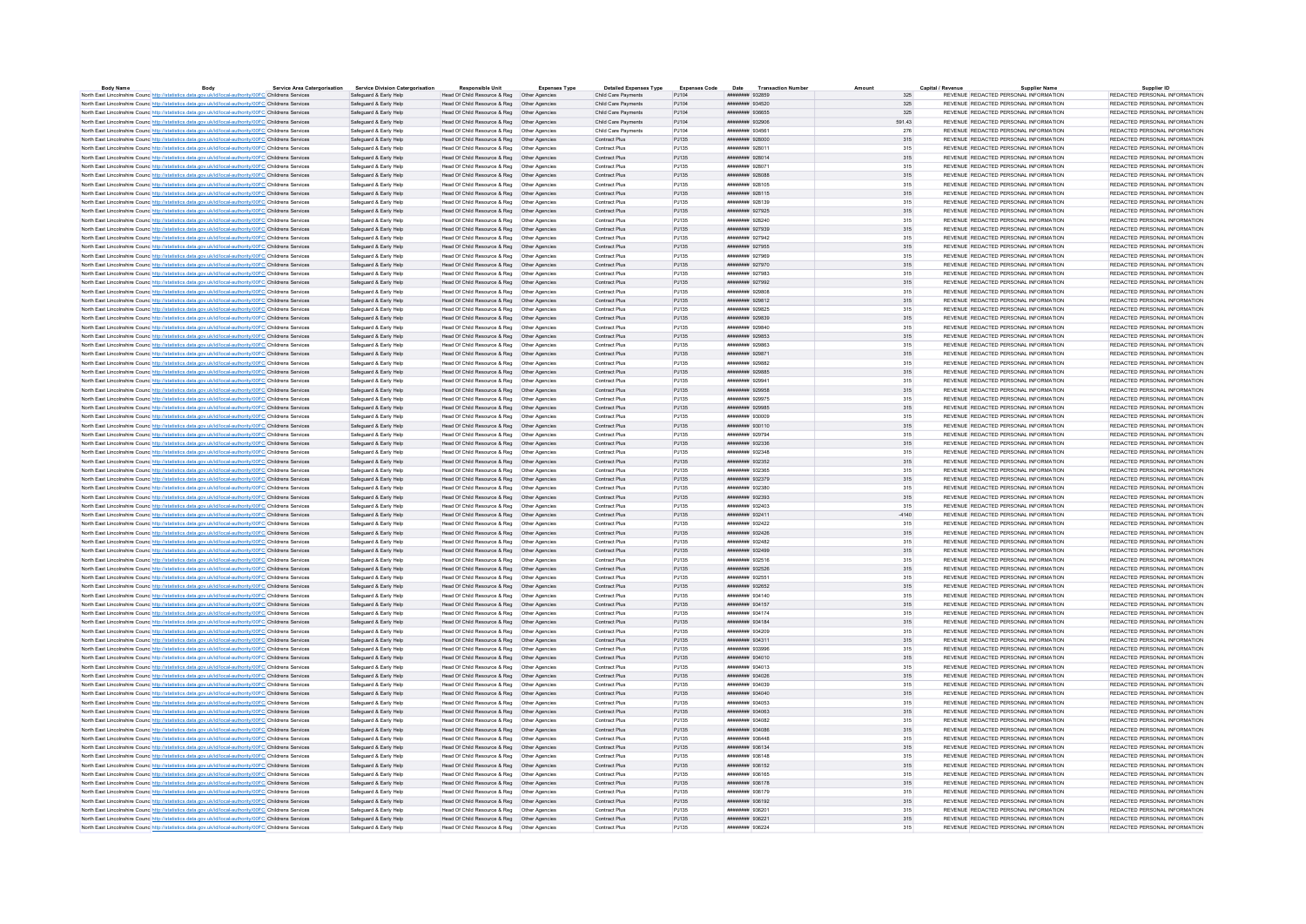| <b>Body Name</b>                                                                                                  | Body | <b>Service Area Catergorisation</b> | <b>Service Division Catergorisation</b> | <b>Responsible Unit</b>                       | Expenses Type | <b>Detailed Expenses Type</b> | <b>Expenses Code</b> |                        | Date Transaction Numbe |         | Capital / Revenu                      | <b>Supplier Name</b> | Supplier ID                   |
|-------------------------------------------------------------------------------------------------------------------|------|-------------------------------------|-----------------------------------------|-----------------------------------------------|---------------|-------------------------------|----------------------|------------------------|------------------------|---------|---------------------------------------|----------------------|-------------------------------|
| North East Lincolnshire Counc http://statistics.data.gov.uk/id/local-authority/00FC Childrens Services            |      |                                     | Safeguard & Early Help                  | Head Of Child Resource & Reg   Other Agencies |               | Child Care Payments           | PJ104                | ######## 932859        |                        | 325     | REVENUE REDACTED PERSONAL INFORMATION |                      | REDACTED PERSONAL INFORMATION |
| North East Lincolnshire Counc http://statistics.data.gov.uk/id/local-authority/00FC Childrens Services            |      |                                     | Safeguard & Early Help                  | Head Of Child Resource & Reg   Other Agencies |               | Child Care Payments           | PJ104                | ####### 934520         |                        | 325     | REVENUE REDACTED PERSONAL INFORMATION |                      | REDACTED PERSONAL INFORMATION |
| North East Lincolnshire Counc http://statistics.data.gov.uk/id/local-authority/00FC Childrens Services            |      |                                     | Safeguard & Early Help                  | Head Of Child Resource & Reg   Other Agencies |               | Child Care Payments           | PJ104                | <b>########</b> 936655 |                        | 325     | REVENUE REDACTED PERSONAL INFORMATION |                      | REDACTED PERSONAL INFORMATION |
| North East Lincolnshire Counc http://statistics.data.gov.uk/id/local-authority/00FC Childrens Services            |      |                                     | Safeguard & Early Help                  | Head Of Child Resource & Reg  Other Agencies  |               | Child Care Payments           | P.1104               | ######## 932906        |                        | 591.43  | REVENUE REDACTED PERSONAL INFORMATION |                      | REDACTED PERSONAL INFORMATION |
| North East Lincolnshire Counc http://statistics.data.gov.uk/id/local-authority/00FC Childrens Services            |      |                                     | Safeguard & Early Help                  | Head Of Child Resource & Reg   Other Agencies |               | Child Care Payments           | PJ104                | ####### 934561         |                        | 276     | REVENUE REDACTED PERSONAL INFORMATION |                      | REDACTED PERSONAL INFORMATION |
| North East Lincolnshire Counc http://statistics.data.gov.uk/id/local-authority/00FC Childrens Services            |      |                                     | Safeguard & Early Help                  | Head Of Child Resource & Reg   Other Agencies |               | Contract Plus                 | PJ135                | ######## 928000        |                        | 315     | REVENUE REDACTED PERSONAL INFORMATION |                      | REDACTED PERSONAL INFORMATION |
| North East Lincolnshire Counc http://statistics.data.gov.uk/id/local-authority/00FC Childrens Services            |      |                                     | Safeguard & Early Help                  | Head Of Child Resource & Reg   Other Agencies |               | Contract Plus                 | PJ135                | ######## 928011        |                        | 315     | REVENUE REDACTED PERSONAL INFORMATION |                      | REDACTED PERSONAL INFORMATION |
| North East Lincolnshire Counc http://statistics.data.gov.uk/id/local-authority/00FC Childrens Services            |      |                                     | Safeguard & Early Help                  | Head Of Child Resource & Reg   Other Agencies |               | Contract Plus                 | PJ135                | <b>NUMBER 128014</b>   |                        | $315\,$ | REVENUE REDACTED PERSONAL INFORMATION |                      | REDACTED PERSONAL INFORMATION |
|                                                                                                                   |      |                                     |                                         |                                               |               | Contract Plus                 |                      | ######## 928071        |                        |         |                                       |                      | REDACTED PERSONAL INFORMATION |
| North East Lincolnshire Counc http://statistics.data.gov.uk/id/local-authority/00FC Childrens Services            |      |                                     | Safeguard & Early Help                  | Head Of Child Resource & Reg   Other Agencies |               |                               | PJ135                |                        |                        | 315     | REVENUE REDACTED PERSONAL INFORMATION |                      |                               |
| North East Lincolnshire Counc http://statistics.data.gov.uk/id/local-authority/00FC Childrens Services            |      |                                     | Safeguard & Early Help                  | Head Of Child Resource & Reg   Other Agencies |               | Contract Plus                 | PJ135                | ######## 928088        |                        | 315     | REVENUE REDACTED PERSONAL INFORMATION |                      | REDACTED PERSONAL INFORMATION |
| North East Lincolnshire Counc http://statistics.data.gov.uk/id/local-authority/00FC Childrens Services            |      |                                     | Safeguard & Early Help                  | Head Of Child Resource & Reg   Other Agencies |               | Contract Plus                 | PJ135                | ######## 928105        |                        | 315     | REVENUE REDACTED PERSONAL INFORMATION |                      | REDACTED PERSONAL INFORMATION |
| North East Lincolnshire Counc http://statistics.data.gov.uk/id/local-authority/00FC Childrens Services            |      |                                     | Safeguard & Early Help                  | Head Of Child Resource & Reg   Other Agencies |               | Contract Plus                 | PJ135                | ####### 928115         |                        | 315     | REVENUE REDACTED PERSONAL INFORMATION |                      | REDACTED PERSONAL INFORMATION |
| North East Lincolnshire Counc http://statistics.data.gov.uk/id/local-authority/00FC Childrens Services            |      |                                     | Safeguard & Early Help                  |                                               |               | Contract Plus                 | PJ135                | ######## 928139        |                        | 315     | REVENUE REDACTED PERSONAL INFORMATION |                      | REDACTED PERSONAL INFORMATION |
| North East Lincolnshire Counc http://statistics.data.gov.uk/id/local-authority/00FC Childrens Services            |      |                                     | Safeguard & Early Help                  | Head Of Child Resource & Reg   Other Agencies |               | Contract Plus                 | PJ135                | ######## 927925        |                        | 315     | REVENUE REDACTED PERSONAL INFORMATION |                      | REDACTED PERSONAL INFORMATION |
| North East Lincolnshire Counc http://statistics.data.gov.uk/id/local-authority/00FC Childrens Services            |      |                                     | Safeguard & Early Help                  | Head Of Child Resource & Reg   Other Agencies |               | Contract Plus                 | PJ135                | ######## 928240        |                        | 315     | REVENUE REDACTED PERSONAL INFORMATION |                      | REDACTED PERSONAL INFORMATION |
| North East Lincolnshire Counc. http://statistics.data.gov.uk/id/local-authority/00FC Childrens Services           |      |                                     | Safeguard & Early Help                  | Head Of Child Resource & Reg   Other Agencies |               | Contract Plus                 | PJ135                | ######## 927939        |                        | 315     | REVENUE REDACTED PERSONAL INFORMATION |                      | REDACTED PERSONAL INFORMATION |
| North East Lincolnshire Counc http://statistics.data.gov.uk/id/local-authority/00FC Childrens Services            |      |                                     | Safeguard & Early Help                  |                                               |               | Contract Plus                 | PJ135                | ######## 927942        |                        | 315     | REVENUE REDACTED PERSONAL INFORMATION |                      | REDACTED PERSONAL INFORMATION |
|                                                                                                                   |      |                                     | Safeguard & Early Help                  | Head Of Child Resource & Reg   Other Agencies |               | Contract Plus                 | PJ135                | ######## 927955        |                        | 315     | REVENUE REDACTED PERSONAL INFORMATION |                      | REDACTED PERSONAL INFORMATION |
| North East Lincolnshire Counc http://statistics.data.gov.uk/id/local-authority/00FC Childrens Services            |      |                                     |                                         |                                               |               |                               |                      |                        |                        |         |                                       |                      |                               |
| North East Lincolnshire Counc http://statistics.data.gov.uk/id/local-authority/00FC Childrens Services            |      |                                     | Safeguard & Early Help                  | Head Of Child Resource & Reg   Other Agencies |               | Contract Plus                 | PJ135                | ####### 927969         |                        | 315     | REVENUE REDACTED PERSONAL INFORMATION |                      | REDACTED PERSONAL INFORMATION |
| North East Lincolnshire Counc http://statistics.data.gov.uk/id/local-authority/00FC Childrens Services            |      |                                     | Safeguard & Early Help                  | Head Of Child Resource & Reg   Other Agencies |               | Contract Plus                 | PJ135                | ####### 927970         |                        | 315     | REVENUE REDACTED PERSONAL INFORMATION |                      | REDACTED PERSONAL INFORMATION |
| North East Lincolnshire Counc http://statistics.data.gov.uk/id/local-authority/00FC Childrens Services            |      |                                     | Safeguard & Early Help                  | Head Of Child Resource & Reg   Other Agencies |               | Contract Plus                 | PJ135                | ######## 927983        |                        | 315     | REVENUE REDACTED PERSONAL INFORMATION |                      | REDACTED PERSONAL INFORMATION |
| North East Lincolnshire Counc http://statistics.data.gov.uk/id/local-authority/00FC Childrens Services            |      |                                     | Safeguard & Early Help                  | Head Of Child Resource & Reg   Other Agencies |               | Contract Plus                 | PJ135                | ######## 927992        |                        | 315     | REVENUE REDACTED PERSONAL INFORMATION |                      | REDACTED PERSONAL INFORMATION |
| North East Lincolnshire Counc http://statistics.data.gov.uk/id/local-authority/00FC Childrens Services            |      |                                     | Safeguard & Early Help                  | Head Of Child Resource & Reg. Other Agencies  |               | Contract Plus                 | P.1135               | ######## 929808        |                        | 315     | REVENUE REDACTED PERSONAL INFORMATION |                      | REDACTED PERSONAL INFORMATION |
| North East Lincolnshire Counc http://statistics.data.gov.uk/id/local-authority/00FC Childrens Services            |      |                                     | Safeguard & Early Help                  | Head Of Child Resource & Reg   Other Agencies |               | Contract Plus                 | PJ135                | ######## 929812        |                        | 315     | REVENUE REDACTED PERSONAL INFORMATION |                      | REDACTED PERSONAL INFORMATION |
| North East Lincolnshire Counc http://statistics.data.gov.uk/id/local-authority/00FC Childrens Services            |      |                                     | Safeguard & Early Help                  | Head Of Child Resource & Reg   Other Agencies |               | Contract Plus                 | PJ135                | ниннини 929825         |                        | 315     | REVENUE REDACTED PERSONAL INFORMATION |                      | REDACTED PERSONAL INFORMATION |
| North East Lincolnshire Counc http://statistics.data.gov.uk/id/local-authority/00FC Childrens Services            |      |                                     | Safeguard & Early Help                  | Head Of Child Resource & Reg   Other Agencies |               | Contract Plus                 | PJ135                | ######## 929839        |                        | 315     | REVENUE REDACTED PERSONAL INFORMATION |                      | REDACTED PERSONAL INFORMATION |
|                                                                                                                   |      |                                     |                                         |                                               |               |                               |                      |                        |                        |         |                                       |                      |                               |
| North East Lincolnshire Counc http://statistics.data.gov.uk/id/local-authority/00FC Childrens Services            |      |                                     | Safeguard & Early Help                  | Head Of Child Resource & Reg  Other Agencies  |               | Contract Plus                 | PJ135                | ######## 929840        |                        | 315     | REVENUE REDACTED PERSONAL INFORMATION |                      | REDACTED PERSONAL INFORMATION |
| North East Lincolnshire Counc http://statistics.data.gov.uk/id/local-authority/00FC Childrens Services            |      |                                     | Saferward & Early Help                  | Head Of Child Resource & Reg   Other Agencies |               | Contract Plus                 | PJ135                | ######## 929853        |                        | 315     | REVENUE REDACTED PERSONAL INFORMATION |                      | REDACTED PERSONAL INFORMATION |
| North East Lincolnshire Counc http://statistics.data.gov.uk/id/local-authority/00FC Childrens Services            |      |                                     | Safeguard & Early Help                  | Head Of Child Resource & Reg   Other Agencies |               | Contract Plus                 | PJ135                | ######## 929863        |                        | 315     | REVENUE REDACTED PERSONAL INFORMATION |                      | REDACTED PERSONAL INFORMATION |
| North East Lincolnshire Counc. http://statistics.data.gov.uk/id/local-authority/00FC Childrens Services           |      |                                     | Safeguard & Early Help                  | Head Of Child Resource & Reg   Other Agencies |               | Contract Plus                 | PJ135                | ######## 929871        |                        | 315     | REVENUE REDACTED PERSONAL INFORMATION |                      | REDACTED PERSONAL INFORMATION |
| North East Lincolnshire Counc <sup>http://statistics.data.gov.uk/id/local-authority/00FC Childrens Services</sup> |      |                                     | Safeguard & Early Help                  | Head Of Child Resource & Reg   Other Agencies |               | Contract Plus                 | PJ135                | ####### 929882         |                        | 315     | REVENUE REDACTED PERSONAL INFORMATION |                      | REDACTED PERSONAL INFORMATION |
| North East Lincolnshire Counc http://statistics.data.gov.uk/id/local-authority/00FC Childrens Services            |      |                                     | Safeguard & Early Help                  | Head Of Child Resource & Reg   Other Agencies |               | Contract Plus                 | PJ135                | ######## 929885        |                        | 315     | REVENUE REDACTED PERSONAL INFORMATION |                      | REDACTED PERSONAL INFORMATION |
| North East Lincolnshire Counc http://statistics.data.gov.uk/id/local-authority/00FC Childrens Services            |      |                                     | Safeguard & Early Help                  | Head Of Child Resource & Reg   Other Agencies |               | Contract Plus                 | PJ135                | ####### 929941         |                        | 315     | REVENUE REDACTED PERSONAL INFORMATION |                      | REDACTED PERSONAL INFORMATION |
| North East Lincolnshire Counc http://statistics.data.gov.uk/id/local-authority/00FC Childrens Services            |      |                                     | Safeguard & Early Help                  | Head Of Child Resource & Reg   Other Agencies |               | Contract Plus                 | PJ135                | ######## 929958        |                        | 315     | REVENUE REDACTED PERSONAL INFORMATION |                      | REDACTED PERSONAL INFORMATION |
| North East Lincolnshire Counc http://statistics.data.gov.uk/id/local-authority/00FC Childrens Services            |      |                                     | Safeguard & Early Help                  | Head Of Child Resource & Reg   Other Agencies |               | Contract Plus                 | PJ135                | ######## 929975        |                        | 315     | REVENUE REDACTED PERSONAL INFORMATION |                      | REDACTED PERSONAL INFORMATION |
|                                                                                                                   |      |                                     |                                         |                                               |               | Contract Plus                 | PJ135                | ######## 929985        |                        |         | REVENUE REDACTED PERSONAL INFORMATION |                      | REDACTED PERSONAL INFORMATION |
| North East Lincolnshire Counc http://statistics.data.gov.uk/id/local-authority/00FC Childrens Services            |      |                                     | Safeguard & Early Help                  | Head Of Child Resource & Reg   Other Agencies |               |                               |                      |                        |                        | 315     |                                       |                      |                               |
| North East Lincolnshire Counc http://statistics.data.gov.uk/id/local-authority/00FC Childrens Services            |      |                                     | Safeguard & Early Help                  | Head Of Child Resource & Reg   Other Agencies |               | Contract Plus                 | PJ135                | ниннини взоор          |                        | 315     | REVENUE REDACTED PERSONAL INFORMATION |                      | REDACTED PERSONAL INFORMATION |
| North East Lincolnshire Counc http://statistics.data.gov.uk/id/local-authority/00FC Childrens Services            |      |                                     | Safeguard & Early Help                  | Head Of Child Resource & Reg   Other Agencies |               | Contract Plus                 | PJ135                | ####### 930110         |                        | 315     | REVENUE REDACTED PERSONAL INFORMATION |                      | REDACTED PERSONAL INFORMATION |
| North East Lincolnshire Counc http://statistics.data.gov.uk/id/local-authority/00FC Childrens Services            |      |                                     | Safeguard & Early Help                  | Head Of Child Resource & Reg   Other Agencies |               | Contract Plus                 | PJ135                | ######## 929794        |                        | 315     | REVENUE REDACTED PERSONAL INFORMATION |                      | REDACTED PERSONAL INFORMATION |
| North East Lincolnshire Counc http://statistics.data.gov.uk/id/local-authority/00FC Childrens Services            |      |                                     | Safeguard & Early Help                  | Head Of Child Resource & Reg   Other Agencies |               | Contract Plus                 | PJ135                | ######## 932336        |                        | 315     | REVENUE REDACTED PERSONAL INFORMATION |                      | REDACTED PERSONAL INFORMATION |
| North East Lincolnshire Counc http://statistics.data.gov.uk/id/local-authority/00FC Childrens Service             |      |                                     | Safeguard & Early Help                  | Head Of Child Resource & Reg                  | Other Agencie | Contract Plus                 | PJ135                | ######## 932348        |                        | 315     | REVENUE REDACTED PERSONAL INFORMATION |                      | REDACTED PERSONAL INFORMATION |
| North East Lincolnshire Counc http://statistics.data.gov.uk/id/local-authority/00FC Childrens Services            |      |                                     | Safeguard & Early Help                  | Head Of Child Resource & Reg   Other Agencies |               | Contract Plus                 | PJ135                | ######## 932352        |                        | 315     | REVENUE REDACTED PERSONAL INFORMATION |                      | REDACTED PERSONAL INFORMATION |
| North East Lincolnshire Counc http://statistics.data.gov.uk/id/local-authority/00FC Childrens Services            |      |                                     | Safeguard & Early Help                  | Head Of Child Resource & Reg   Other Agencies |               | Contract Plus                 | PJ135                | ######## 932365        |                        | 315     | REVENUE REDACTED PERSONAL INFORMATION |                      | REDACTED PERSONAL INFORMATION |
| North East Lincolnshire Counc http://statistics.data.gov.uk/id/local-authority/00FC Childrens Services            |      |                                     | Safeguard & Early Help                  | Head Of Child Resource & Reg   Other Agencies |               | Contract Plus                 | PJ135                | ######## 932379        |                        | 315     | REVENUE REDACTED PERSONAL INFORMATION |                      | REDACTED PERSONAL INFORMATION |
| North East Lincolnshire Counc http://statistics.data.gov.uk/id/local-authority/00FC Childrens Services            |      |                                     | Safeguard & Early Help                  | Head Of Child Resource & Reg   Other Agencies |               | Contract Plus                 | PJ135                | ######## 932380        |                        | 315     | REVENUE REDACTED PERSONAL INFORMATION |                      | REDACTED PERSONAL INFORMATION |
| North East Lincolnshire Counc http://statistics.data.gov.uk/id/local-authority/00FC Childrens Services            |      |                                     | Safeguard & Early Help                  | Head Of Child Resource & Reg   Other Agencies |               | Contract Plus                 | PJ135                | ######## 932393        |                        | $315\,$ | REVENUE REDACTED PERSONAL INFORMATION |                      | REDACTED PERSONAL INFORMATION |
|                                                                                                                   |      |                                     |                                         |                                               |               | Contract Plus                 |                      |                        |                        |         |                                       |                      |                               |
| North East Lincolnshire Council http://statistics.data.gov.uk/id/local-authority/00EC Childrens Services          |      |                                     | Saferward & Early Help                  | Head Of Child Resource & Reg. Other Agencies  |               |                               | P.1135               | ######## 932403        |                        | 315     | REVENUE REDACTED PERSONAL INFORMATION |                      | REDACTED PERSONAL INFORMATION |
| North East Lincolnshire Counc http://statistics.data.gov.uk/id/local-authority/00FC Childrens Services            |      |                                     | Safeguard & Early Help                  | Head Of Child Resource & Reg   Other Agencies |               | Contract Plus                 | PJ135                | ######## 932411        |                        | $-4140$ | REVENUE REDACTED PERSONAL INFORMATION |                      | REDACTED PERSONAL INFORMATION |
| North East Lincolnshire Counc. http://statistics.data.gov.uk/id/local-authority/00FC Childrens Services           |      |                                     | Safeguard & Early Help                  | Head Of Child Resource & Reg   Other Agencies |               | Contract Plus                 | P.1135               | <b>инвинин 932422</b>  |                        | 315     | REVENUE REDACTED PERSONAL INFORMATION |                      | REDACTED PERSONAL INFORMATION |
| North East Lincolnshire Counc http://statistics.data.gov.uk/id/local-authority/00FC Childrens Services            |      |                                     | Safeguard & Early Help                  | Head Of Child Resource & Reg   Other Agencies |               | Contract Plus                 | PJ135                | ######## 932426        |                        | 315     | REVENUE REDACTED PERSONAL INFORMATION |                      | REDACTED PERSONAL INFORMATION |
| North East Lincolnshire Counc http://statistics.data.gov.uk/id/local-authority/00FC Childrens Services            |      |                                     | Safeguard & Early Help                  | Head Of Child Resource & Reg   Other Agencies |               | Contract Plus                 | PJ135                | ######## 932482        |                        | 315     | REVENUE REDACTED PERSONAL INFORMATION |                      | REDACTED PERSONAL INFORMATION |
| North East Lincolnshire Counc http://statistics.data.gov.uk/id/local-authority/00FC Childrens Services            |      |                                     | Safeguard & Early Help                  | Head Of Child Resource & Reg   Other Agencies |               | Contract Plus                 | PJ135                | ######## 932499        |                        | 315     | REVENUE REDACTED PERSONAL INFORMATION |                      | REDACTED PERSONAL INFORMATION |
| North East Lincolnshire Counc http://statistics.data.gov.uk/id/local-authority/00FC Childrens Services            |      |                                     | Safeguard & Early Help                  | Head Of Child Resource & Reg   Other Agencies |               | Contract Plus                 | PJ135                | ######## 932516        |                        | 315     | REVENUE REDACTED PERSONAL INFORMATION |                      | REDACTED PERSONAL INFORMATION |
| North East Lincolnshire Counc http://statistics.data.gov.uk/id/local-authority/00FC Childrens Services            |      |                                     | Safeguard & Early Help                  | Head Of Child Resource & Reg   Other Agencies |               | Contract Plus                 | PJ135                | ######## 932526        |                        | 315     | REVENUE REDACTED PERSONAL INFORMATION |                      | REDACTED PERSONAL INFORMATION |
| North East Lincolnshire Counc http://statistics.data.gov.uk/id/local-authority/00FC Childrens Service             |      |                                     | Safeguard & Early Help                  | Head Of Child Resource & Reg                  | Other Agencie | Contract Plus                 | PJ135                | ######## 932551        |                        | 315     | REVENUE REDACTED PERSONAL INFORMATION |                      | REDACTED PERSONAL INFORMATION |
|                                                                                                                   |      |                                     |                                         |                                               |               | Contract Plus                 |                      | ######## 932652        |                        |         | REVENUE REDACTED PERSONAL INFORMATION |                      | REDACTED PERSONAL INFORMATION |
| North East Lincolnshire Counc http://statistics.data.gov.uk/id/local-authority/00FC Childrens Services            |      |                                     | Safeguard & Early Help                  | Head Of Child Resource & Reg   Other Agencies |               |                               | PJ135                |                        |                        | 315     |                                       |                      |                               |
| North East Lincolnshire Counc http://statistics.data.gov.uk/id/local-authority/00FC Childrens Services            |      |                                     | Safeguard & Early Help                  | Head Of Child Resource & Reg   Other Agencies |               | Contract Plus                 | PJ135                | ####### 934140         |                        | 315     | REVENUE REDACTED PERSONAL INFORMATION |                      | REDACTED PERSONAL INFORMATION |
| North East Lincolnshire Counc. http://statistics.data.gov.uk/id/local-authority/00FC Childrens Services           |      |                                     | Safeguard & Early Help                  | Head Of Child Resource & Reg   Other Agencies |               | Contract Plus                 | PJ135                | ####### 934157         |                        | 315     | REVENUE REDACTED PERSONAL INFORMATION |                      | REDACTED PERSONAL INFORMATION |
| North East Lincolnshire Counc http://statistics.data.gov.uk/id/local-authority/00FC Childrens Services            |      |                                     | Safeguard & Early Help                  |                                               |               | Contract Plus                 | PJ135                | ######## 934174        |                        | 315     | REVENUE REDACTED PERSONAL INFORMATION |                      | REDACTED PERSONAL INFORMATION |
| North East Lincolnshire Counc http://statistics.data.gov.uk/id/local-authority/00FC Childrens Services            |      |                                     | Safeguard & Early Help                  | Head Of Child Resource & Reg   Other Agencies |               | Contract Plus                 | PJ135                | ######## 934184        |                        | 315     | REVENUE REDACTED PERSONAL INFORMATION |                      | REDACTED PERSONAL INFORMATION |
| North East Lincolnshire Counc http://statistics.data.gov.uk/id/local-authority/00FC Childrens Services            |      |                                     | Safeguard & Early Help                  | Head Of Child Resource & Reg. Other Agencies  |               | Contract Plus                 | P.1135               | <i>инванния</i> 934209 |                        | 315     | REVENUE REDACTED PERSONAL INFORMATION |                      | REDACTED PERSONAL INFORMATION |
| North East Lincolnshire Counc http://statistics.data.gov.uk/id/local-authority/00FC Childrens Services            |      |                                     | Safeguard & Early Help                  | Head Of Child Resource & Reg   Other Agencies |               | Contract Plus                 | PJ135                | ######## 934311        |                        | 315     | REVENUE REDACTED PERSONAL INFORMATION |                      | REDACTED PERSONAL INFORMATION |
| North East Lincolnshire Counc http://statistics.data.gov.uk/id/local-authority/00FC Childrens Services            |      |                                     | Safeguard & Early Help                  | Head Of Child Resource & Reg   Other Agencies |               | Contract Plus                 | P.1135               | HUBUHUH 933996         |                        | 315     | REVENUE REDACTED PERSONAL INFORMATION |                      | REDACTED PERSONAL INFORMATION |
| North East Lincolnshire Counc http://statistics.data.gov.uk/id/local-authority/00FC Childrens Services            |      |                                     | Safeguard & Early Help                  | Head Of Child Resource & Reg   Other Agencies |               | Contract Plus                 | PJ135                | ######## 934010        |                        | 315     | REVENUE REDACTED PERSONAL INFORMATION |                      | REDACTED PERSONAL INFORMATION |
|                                                                                                                   |      |                                     |                                         |                                               |               |                               |                      |                        |                        |         |                                       |                      |                               |
| North East Lincolnshire Counc http://statistics.data.gov.uk/id/local-authority/00FC Childrens Services            |      |                                     | Safeguard & Early Help                  | Head Of Child Resource & Reg   Other Agencies |               | Contract Plus                 | PJ135                | ######## 934013        |                        | 315     | REVENUE REDACTED PERSONAL INFORMATION |                      | REDACTED PERSONAL INFORMATION |
| North East Lincolnshire Counc http://statistics.data.gov.uk/id/local-authority/00FC Childrens Services            |      |                                     | Safeguard & Early Help                  | Head Of Child Resource & Reg   Other Agencies |               | Contract Plus                 | PJ135                | ######## 934026        |                        | 315     | REVENUE REDACTED PERSONAL INFORMATION |                      | REDACTED PERSONAL INFORMATION |
| North East Lincolnshire Counc http://statistics.data.gov.uk/id/local-authority/00FC Childrens Services            |      |                                     | Safeguard & Early Help                  | Head Of Child Resource & Reg   Other Agencies |               | Contract Plus                 | PJ135                | ######## 934039        |                        | 315     | REVENUE REDACTED PERSONAL INFORMATION |                      | REDACTED PERSONAL INFORMATION |
| North East Lincolnshire Counc. http://statistics.data.gov.uk/id/local-authority/00FC Childrens Services           |      |                                     | Safeguard & Early Help                  | Head Of Child Resource & Reg   Other Agencies |               | Contract Plus                 | P.1135               | ######## 934040        |                        | 315     | REVENUE REDACTED PERSONAL INFORMATION |                      | REDACTED PERSONAL INFORMATION |
| North East Lincolnshire Counc http://statistics.data.gov.uk/id/local-authority/00FC Childrens Services            |      |                                     | Safeguard & Early Help                  | Head Of Child Resource & Reg   Other Agencies |               | Contract Plus                 | PJ135                | ######## 934053        |                        | 315     | REVENUE REDACTED PERSONAL INFORMATION |                      | REDACTED PERSONAL INFORMATION |
| North East Lincolnshire Counc http://statistics.data.gov.uk/id/local-authority/00FC Childrens Services            |      |                                     | Safeguard & Early Help                  | Head Of Child Resource & Reg   Other Agencies |               | Contract Plus                 | PJ135                | ######## 934063        |                        | 315     | REVENUE REDACTED PERSONAL INFORMATION |                      | REDACTED PERSONAL INFORMATION |
| North East Lincolnshire Counc http://statistics.data.gov.uk/id/local-authority/00FC Childrens Services            |      |                                     | Safeguard & Early Help                  | Head Of Child Resource & Reg   Other Agencies |               | Contract Plus                 | PJ135                | ####### 934082         |                        | 315     | REVENUE REDACTED PERSONAL INFORMATION |                      | REDACTED PERSONAL INFORMATION |
| North East Lincolnshire Counc. http://statistics.data.gov.uk/id/local-authority/00FC Childrens Services           |      |                                     | Safeguard & Early Help                  | Head Of Child Resource & Reg   Other Agencies |               | Contract Plus                 | PJ135                | ######## 934086        |                        | 315     | REVENUE REDACTED PERSONAL INFORMATION |                      | REDACTED PERSONAL INFORMATION |
|                                                                                                                   |      |                                     | Safeguard & Early Help                  | Head Of Child Resource & Reg   Other Agencies |               | Contract Plus                 | PJ135                | ######## 936448        |                        | 315     | REVENUE REDACTED PERSONAL INFORMATION |                      | REDACTED PERSONAL INFORMATION |
| North East Lincolnshire Counc. http://statistics.data.gov.uk/id/local-authority/00FC Childrens Services           |      |                                     |                                         |                                               |               |                               |                      |                        |                        |         |                                       |                      |                               |
| North East Lincolnshire Counc http://statistics.data.gov.uk/id/local-authority/00FC Childrens Services            |      |                                     | Safeguard & Early Help                  | Head Of Child Resource & Reg   Other Agencies |               | Contract Plus                 | PJ135                | ######## 936134        |                        | 315     | REVENUE REDACTED PERSONAL INFORMATION |                      | REDACTED PERSONAL INFORMATION |
| North East Lincolnshire Counc http://statistics.data.gov.uk/id/local-authority/00FC Childrens Services            |      |                                     | Safeguard & Early Help                  | Head Of Child Resource & Reg   Other Agencies |               | Contract Plus                 | PJ135                | нивнини 936148         |                        | 315     | REVENUE REDACTED PERSONAL INFORMATION |                      | REDACTED PERSONAL INFORMATION |
| North East Lincolnshire Counc http://statistics.data.gov.uk/id/local-authority/00FC Childrens Services            |      |                                     | Safeguard & Early Help                  | Head Of Child Resource & Reg   Other Agencies |               | Contract Plus                 | PJ135                | ####### 936152         |                        | 315     | REVENUE REDACTED PERSONAL INFORMATION |                      | REDACTED PERSONAL INFORMATION |
| North East Lincolnshire Counc http://statistics.data.gov.uk/id/local-authority/00FC Childrens Services            |      |                                     | Safeguard & Early Help                  | Head Of Child Resource & Reg   Other Agencies |               | Contract Plus                 | PJ135                | ####### 936165         |                        | 315     | REVENUE REDACTED PERSONAL INFORMATION |                      | REDACTED PERSONAL INFORMATION |
| North East Lincolnshire Counc http://statistics.data.gov.uk/id/local-authority/00FC Childrens Services            |      |                                     | Safeguard & Early Help                  | Head Of Child Resource & Reg   Other Agencies |               | Contract Plus                 | PJ135                | ######## 936178        |                        | 315     | REVENUE REDACTED PERSONAL INFORMATION |                      | REDACTED PERSONAL INFORMATION |
| North East Lincolnshire Counc http://statistics.data.gov.uk/id/local-authority/00FC Childrens Service             |      |                                     | Safeguard & Early Help                  | Head Of Child Resource & Reg   Other Agencie  |               | Contract Plus                 | PJ135                | ######## 936179        |                        | 315     | REVENUE REDACTED PERSONAL INFORMATION |                      | REDACTED PERSONAL INFORMATION |
| North East Lincolnshire Counc http://statistics.data.gov.uk/id/local-authority/00FC Childrens Services            |      |                                     | Safeguard & Early Help                  | Head Of Child Resource & Reg   Other Agencies |               | Contract Plus                 | PJ135                | ######## 936192        |                        | 315     | REVENUE REDACTED PERSONAL INFORMATION |                      | REDACTED PERSONAL INFORMATION |
| North East Lincolnshire Counc <sup>http://statistics.data.gov.uk/id/local-authority/00FC Childrens Services</sup> |      |                                     | Safeguard & Early Help                  | Head Of Child Resource & Reg   Other Agencies |               | Contract Plus                 | PJ135                | ####### 936201         |                        | 315     | REVENUE REDACTED PERSONAL INFORMATION |                      | REDACTED PERSONAL INFORMATION |
| North East Lincolnshire Counc http://statistics.data.gov.uk/id/local-authority/00FC Childrens Services            |      |                                     | Safeguard & Early Help                  | Head Of Child Resource & Reg   Other Agencies |               | Contract Plus                 | PJ135                | ######## 936221        |                        | 315     | REVENUE REDACTED PERSONAL INFORMATION |                      | REDACTED PERSONAL INFORMATION |
|                                                                                                                   |      |                                     |                                         |                                               |               |                               |                      |                        |                        |         |                                       |                      |                               |
| North East Lincolnshire Counc http://statistics.data.gov.uk/id/local-authority/00FC Childrens Services            |      |                                     | Safeguard & Early Help                  |                                               |               | Contract Plus                 | PJ135                | ######## 936224        |                        | 315     | REVENUE REDACTED PERSONAL INFORMATION |                      | REDACTED PERSONAL INFORMATION |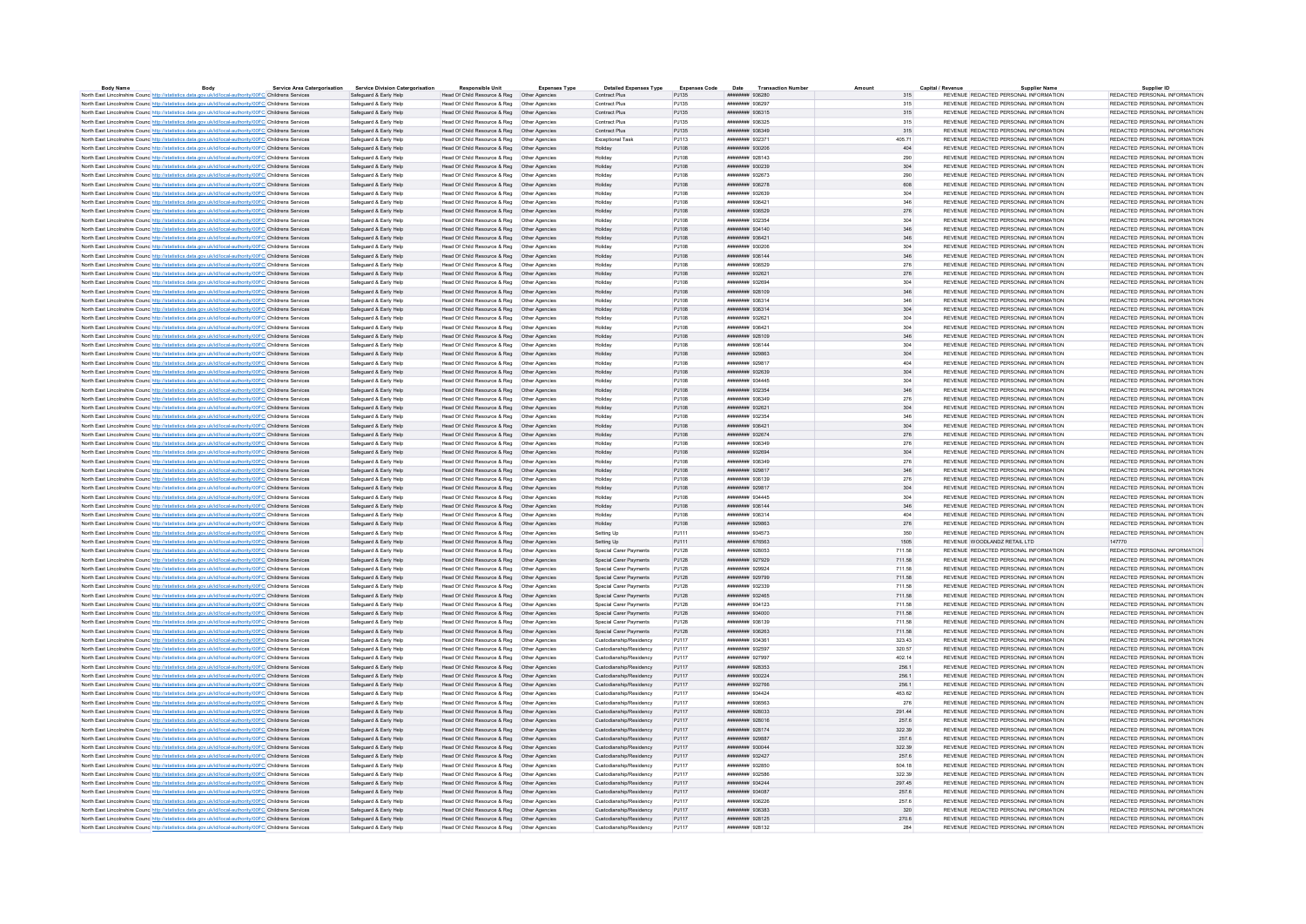| Body                                                                                                              | <b>Service Area Catergorisation</b> | <b>Service Division Catergorisation</b> | <b>Responsible Unit</b>                       | <b>Expenses Type</b> | <b>Detailed Expenses Type</b> | <b>Expenses Code</b> |                        | Date Transaction Numbe |        | Capital / Revenue                     | <b>Supplier Name</b> | Supplier ID                   |
|-------------------------------------------------------------------------------------------------------------------|-------------------------------------|-----------------------------------------|-----------------------------------------------|----------------------|-------------------------------|----------------------|------------------------|------------------------|--------|---------------------------------------|----------------------|-------------------------------|
| North East Lincolnshire Counc http://statistics.data.gov.uk/id/local-authority/00FC Childrens Services            |                                     | Safeguard & Early Help                  | Head Of Child Resource & Reg   Other Agencies |                      | Contract Plus                 | PJ135                | ######## 936280        |                        | 315    | REVENUE REDACTED PERSONAL INFORMATION |                      | REDACTED PERSONAL INFORMATION |
| North East Lincolnshire Counc http://statistics.data.gov.uk/id/local-authority/00FC Childrens Services            |                                     | Safeguard & Early Help                  | Head Of Child Resource & Reg   Other Agencies |                      | Contract Plus                 | PJ135                | ######## 936297        |                        | 315    | REVENUE REDACTED PERSONAL INFORMATION |                      | REDACTED PERSONAL INFORMATION |
| North East Lincolnshire Counc http://statistics.data.gov.uk/id/local-authority/00FC Childrens Services            |                                     | Safeguard & Early Help                  | Head Of Child Resource & Reg   Other Agencies |                      | Contract Plus                 | PJ135                | ######## 936315        |                        | 315    | REVENUE REDACTED PERSONAL INFORMATION |                      | REDACTED PERSONAL INFORMATION |
| North East Lincolnshire Counc http://statistics.data.gov.uk/id/local-authority/00FC Childrens Services            |                                     | Safeguard & Farly Help                  | Head Of Child Resource & Reg. Other Agencies  |                      | Contract Plus                 | P.1135               | ######## 936325        |                        | 315    | REVENUE REDACTED PERSONAL INFORMATION |                      | REDACTED PERSONAL INFORMATION |
| North East Lincolnshire Counc http://statistics.data.gov.uk/id/local-authority/00FC Childrens Services            |                                     | Safeguard & Early Help                  | Head Of Child Resource & Reg   Other Agencies |                      | Contract Plus                 | PJ135                | ######## 936349        |                        | 315    | REVENUE REDACTED PERSONAL INFORMATION |                      | REDACTED PERSONAL INFORMATION |
| North East Lincolnshire Counc http://statistics.data.gov.uk/id/local-authority/00FC Childrens Services            |                                     | Safeguard & Early Help                  |                                               |                      | Exceptional Task              | PJ113                | ######## 932371        |                        | 405.71 | REVENUE REDACTED PERSONAL INFORMATION |                      | REDACTED PERSONAL INFORMATION |
| North East Lincolnshire Counc <sup>htto://statistics.data.gov.uk/id/local-authority/00FC Childrens Services</sup> |                                     | Safeguard & Early Help                  | Head Of Child Resource & Reg   Other Agencies |                      | Holiday                       | PJ108                | ######## 930206        |                        | 404    | REVENUE REDACTED PERSONAL INFORMATION |                      | REDACTED PERSONAL INFORMATION |
| North East Lincolnshire Counc http://statistics.data.gov.uk/id/local-authority/00FC Childrens Services            |                                     | Safeguard & Early Help                  | Head Of Child Resource & Reg   Other Agencies |                      | Holiday                       | PJ108                | <b>иннинин</b> 928143  |                        | 290    | REVENUE REDACTED PERSONAL INFORMATION |                      | REDACTED PERSONAL INFORMATION |
|                                                                                                                   |                                     | Safeguard & Early Help                  | Head Of Child Resource & Reg   Other Agencies |                      |                               |                      | ######## 930239        |                        |        | REVENUE REDACTED PERSONAL INFORMATION |                      | REDACTED PERSONAL INFORMATION |
| North East Lincolnshire Counc http://statistics.data.gov.uk/id/local-authority/00FC Childrens Services            |                                     |                                         |                                               |                      | Holiday                       | PJ108                |                        |                        | 304    |                                       |                      |                               |
| North East Lincolnshire Counc http://statistics.data.gov.uk/id/local-authority/00FC Childrens Services            |                                     | Safeguard & Early Help                  | Head Of Child Resource & Reg   Other Agencies |                      | Holiday                       | PJ108                | ######## 932673        |                        | 290    | REVENUE REDACTED PERSONAL INFORMATION |                      | REDACTED PERSONAL INFORMATION |
| North East Lincolnshire Counc http://statistics.data.gov.uk/id/local-authority/00FC Childrens Services            |                                     | Safeguard & Early Help                  | Head Of Child Resource & Reg   Other Agencies |                      | Holiday                       | PJ108                | ######## 936278        |                        | 608    | REVENUE REDACTED PERSONAL INFORMATION |                      | REDACTED PERSONAL INFORMATION |
| North East Lincolnshire Counc <sup>http://statistics.data.gov.uk/id/local-authority/00FC Childrens Services</sup> |                                     | Safeguard & Early Help                  |                                               |                      | Holiday                       | PJ108                | ####### 932639         |                        | 304    | REVENUE REDACTED PERSONAL INFORMATION |                      | REDACTED PERSONAL INFORMATION |
| North East Lincolnshire Counc http://statistics.data.gov.uk/id/local-authority/00FC Childrens Services            |                                     | Safeguard & Early Help                  | Head Of Child Resource & Reg   Other Agencies |                      | Holiday                       | PJ108                | ######## 936421        |                        | 346    | REVENUE REDACTED PERSONAL INFORMATION |                      | REDACTED PERSONAL INFORMATION |
| North East Lincolnshire Counc http://statistics.data.gov.uk/id/local-authority/00FC Childrens Services            |                                     | Safeguard & Early Help                  | Head Of Child Resource & Reg   Other Agencies |                      | Holiday                       | PJ108                | ######## 936529        |                        | 276    | REVENUE REDACTED PERSONAL INFORMATION |                      | REDACTED PERSONAL INFORMATION |
| North East Lincolnshire Counc http://statistics.data.gov.uk/id/local-authority/00FC Childrens Services            |                                     | Safeguard & Early Help                  | Head Of Child Resource & Reg   Other Agencies |                      | Holiday                       | PJ108                | ######## 932354        |                        | 304    | REVENUE REDACTED PERSONAL INFORMATION |                      | REDACTED PERSONAL INFORMATION |
| North East Lincolnshire Counc http://statistics.data.gov.uk/id/local-authority/00FC Childrens Services            |                                     | Safeguard & Early Help                  | Head Of Child Resource & Reg   Other Agencies |                      | Holiday                       | PJ108                | ######## 934140        |                        | 346    | REVENUE REDACTED PERSONAL INFORMATION |                      | REDACTED PERSONAL INFORMATION |
| North East Lincolnshire Counc http://statistics.data.gov.uk/id/local-authority/00FC Childrens Services            |                                     | Safeguard & Early Help                  | Head Of Child Resource & Reg   Other Agencies |                      | Holiday                       | PJ108                | ####### 936421         |                        | 346    | REVENUE REDACTED PERSONAL INFORMATION |                      | REDACTED PERSONAL INFORMATION |
| North East Lincolnshire Counc http://statistics.data.gov.uk/id/local-authority/00FC Childrens Services            |                                     | Safeguard & Early Help                  | Head Of Child Resource & Reg   Other Agencies |                      | Holiday                       | PJ108                | ниннини 930206         |                        | 304    | REVENUE REDACTED PERSONAL INFORMATION |                      | REDACTED PERSONAL INFORMATION |
|                                                                                                                   |                                     |                                         |                                               |                      |                               |                      |                        |                        |        |                                       |                      |                               |
| North East Lincolnshire Counc http://statistics.data.gov.uk/id/local-authority/00FC Childrens Services            |                                     | Safeguard & Early Help                  | Head Of Child Resource & Reg   Other Agencies |                      | Holiday                       | PJ108                | ####### 936144         |                        | 346    | REVENUE REDACTED PERSONAL INFORMATION |                      | REDACTED PERSONAL INFORMATION |
| North East Lincolnshire Counc http://statistics.data.gov.uk/id/local-authority/00FC Childrens Services            |                                     | Safeguard & Early Help                  | Head Of Child Resource & Reg   Other Agencies |                      | Holiday                       | PJ108                | ######## 936529        |                        | 276    | REVENUE REDACTED PERSONAL INFORMATION |                      | REDACTED PERSONAL INFORMATION |
| North East Lincolnshire Counc http://statistics.data.gov.uk/id/local-authority/00FC Childrens Services            |                                     | Safeguard & Early Help                  | Head Of Child Resource & Reg   Other Agencies |                      | Holiday                       | PJ108                | ######## 932621        |                        | 276    | REVENUE REDACTED PERSONAL INFORMATION |                      | REDACTED PERSONAL INFORMATION |
| North East Lincolnshire Counc http://statistics.data.gov.uk/id/local-authority/00FC Childrens Services            |                                     | Safeguard & Early Help                  | Head Of Child Resource & Reg   Other Agencie  |                      | Holiday                       | PJ108                | ####### 932694         |                        | 304    | REVENUE REDACTED PERSONAL INFORMATION |                      | REDACTED PERSONAL INFORMATION |
| North East Lincolnshire Counc http://statistics.data.gov.uk/id/local-authority/00FC Childrens Services            |                                     | Safeguard & Early Help                  | Head Of Child Resource & Reg   Other Agencies |                      | Holiday                       | P.1108               | ######## 928109        |                        | 346    | REVENUE REDACTED PERSONAL INFORMATION |                      | REDACTED PERSONAL INFORMATION |
| North East Lincolnshire Counc http://statistics.data.gov.uk/id/local-authority/00FC Childrens Services            |                                     | Safeguard & Early Help                  | Head Of Child Resource & Reg   Other Agencies |                      | Holiday                       | PJ108                | ######## 936314        |                        | 346    | REVENUE REDACTED PERSONAL INFORMATION |                      | REDACTED PERSONAL INFORMATION |
| North East Lincolnshire Counc http://statistics.data.gov.uk/id/local-authority/00FC Childrens Services            |                                     | Safeguard & Early Help                  | Head Of Child Resource & Reg   Other Agencies |                      | Holiday                       | PJ108                | ######## 936314        |                        | 304    | REVENUE REDACTED PERSONAL INFORMATION |                      | REDACTED PERSONAL INFORMATION |
| North East Lincolnshire Counc http://statistics.data.gov.uk/id/local-authority/00FC Childrens Services            |                                     | Safeguard & Early Help                  | Head Of Child Resource & Reg   Other Agencies |                      | Holiday                       | PJ108                | ######## 932621        |                        | 304    | REVENUE REDACTED PERSONAL INFORMATION |                      | REDACTED PERSONAL INFORMATION |
|                                                                                                                   |                                     | Safeguard & Early Help                  |                                               |                      |                               | PJ108                | ######## 936421        |                        | 304    |                                       |                      | REDACTED PERSONAL INFORMATION |
| North East Lincolnshire Counc http://statistics.data.gov.uk/id/local-authority/00FC Childrens Services            |                                     |                                         | Head Of Child Resource & Reg   Other Agencies |                      | Holiday                       |                      |                        |                        |        | REVENUE REDACTED PERSONAL INFORMATION |                      |                               |
| North East Lincolnshire Counc http://statistics.data.gov.uk/id/local-authority/00FC Childrens Services            |                                     | Safeguard & Early Help                  | Head Of Child Resource & Reg   Other Agencies |                      | Holiday                       | P.1108               | ######## 928109        |                        | 346    | REVENUE REDACTED PERSONAL INFORMATION |                      | REDACTED PERSONAL INFORMATION |
| North East Lincolnshire Counc http://statistics.data.gov.uk/id/local-authority/00FC Childrens Services            |                                     | Safeguard & Early Help                  | Head Of Child Resource & Reg   Other Agencies |                      | Holiday                       | PJ108                | ######## 936144        |                        | 304    | REVENUE REDACTED PERSONAL INFORMATION |                      | REDACTED PERSONAL INFORMATION |
| North East Lincolnshire Counc. http://statistics.data.gov.uk/id/local-authority/00FC Childrens Services           |                                     | Safeguard & Early Help                  | Head Of Child Resource & Reg   Other Agencies |                      | Holiday                       | PJ108                | ######## 929863        |                        | 304    | REVENUE REDACTED PERSONAL INFORMATION |                      | REDACTED PERSONAL INFORMATION |
| North East Lincolnshire Counc http://statistics.data.gov.uk/id/local-authority/00FC Childrens Services            |                                     | Safeguard & Early Help                  |                                               |                      | Holiday                       | PJ108                | ####### 929817         |                        | 404    | REVENUE REDACTED PERSONAL INFORMATION |                      | REDACTED PERSONAL INFORMATION |
| North East Lincolnshire Counc http://statistics.data.gov.uk/id/local-authority/00FC Childrens Services            |                                     | Safeguard & Early Help                  | Head Of Child Resource & Reg   Other Agencies |                      | Holiday                       | PJ108                | ######## 932639        |                        | 304    | REVENUE REDACTED PERSONAL INFORMATION |                      | REDACTED PERSONAL INFORMATION |
| North East Lincolnshire Counc <sup>http://statistics.data.gov.uk/id/local-authority/00FC Childrens Services</sup> |                                     | Safeguard & Early Help                  | Head Of Child Resource & Reg   Other Agencies |                      | Holiday                       | PJ108                | ####### 934445         |                        | 304    | REVENUE REDACTED PERSONAL INFORMATION |                      | REDACTED PERSONAL INFORMATION |
| North East Lincolnshire Counc http://statistics.data.gov.uk/id/local-authority/00FC Childrens Services            |                                     | Safeguard & Early Help                  | Head Of Child Resource & Reg   Other Agencies |                      | Holiday                       | PJ108                | ####### 932354         |                        | 346    | REVENUE REDACTED PERSONAL INFORMATION |                      | REDACTED PERSONAL INFORMATION |
| North East Lincolnshire Counc http://statistics.data.gov.uk/id/local-authority/00FC Childrens Services            |                                     | Safeguard & Early Help                  | Head Of Child Resource & Reg   Other Agencies |                      | Holiday                       | PJ108                | ######## 936349        |                        | 276    | REVENUE REDACTED PERSONAL INFORMATION |                      | REDACTED PERSONAL INFORMATION |
|                                                                                                                   |                                     |                                         |                                               |                      |                               | PJ108                | ######## 932621        |                        | 304    | REVENUE REDACTED PERSONAL INFORMATION |                      | REDACTED PERSONAL INFORMATION |
| North East Lincolnshire Counc <sup>http://statistics.data.gov.uk/id/local-authority/00FC Childrens Services</sup> |                                     | Safeguard & Early Help                  | Head Of Child Resource & Reg   Other Agencies |                      | Holiday                       |                      |                        |                        |        |                                       |                      |                               |
| North East Lincolnshire Counc http://statistics.data.gov.uk/id/local-authority/00FC Childrens Services            |                                     | Safeguard & Early Help                  | Head Of Child Resource & Reg   Other Agencies |                      | Holiday                       | P.1108               | ######## 932354        |                        | 346    | REVENUE REDACTED PERSONAL INFORMATION |                      | REDACTED PERSONAL INFORMATION |
| North East Lincolnshire Counc http://statistics.data.gov.uk/id/local-authority/00FC Childrens Services            |                                     | Safeguard & Early Help                  | Head Of Child Resource & Reg   Other Agencies |                      | Holiday                       | PJ108                | ####### 936421         |                        | 304    | REVENUE REDACTED PERSONAL INFORMATION |                      | REDACTED PERSONAL INFORMATION |
| North East Lincolnshire Counc http://statistics.data.gov.uk/id/local-authority/00FC Childrens Services            |                                     | Safeguard & Early Help                  | Head Of Child Resource & Reg   Other Agencies |                      | Holiday                       | PJ108                | ####### 932674         |                        | 276    | REVENUE REDACTED PERSONAL INFORMATION |                      | REDACTED PERSONAL INFORMATION |
| North East Lincolnshire Counc http://statistics.data.gov.uk/id/local-authority/00FC Childrens Services            |                                     | Safeguard & Early Help                  | Head Of Child Resource & Reg   Other Agencies |                      | Holiday                       | PJ108                | ######## 936349        |                        | 276    | REVENUE REDACTED PERSONAL INFORMATION |                      | REDACTED PERSONAL INFORMATION |
| North East Lincolnshire Counc http://statistics.data.gov.uk/id/local-authority/00FC Childrens Services            |                                     | Safeguard & Early Help                  | Head Of Child Resource & Reg   Other Agencies |                      | Holiday                       | PJ108                | ######## 932694        |                        | 304    | REVENUE REDACTED PERSONAL INFORMATION |                      | REDACTED PERSONAL INFORMATION |
| North East Lincolnshire Counc http://statistics.data.gov.uk/id/local-authority/00FC Childrens Services            |                                     | Safeguard & Farly Help                  | Head Of Child Resource & Reg. Other Agencies  |                      | Holiday                       | P.1108               | RESSER BRUNNER         |                        | 276    | REVENUE REDACTED PERSONAL INFORMATION |                      | REDACTED PERSONAL INFORMATION |
| North East Lincolnshire Counc http://statistics.data.gov.uk/id/local-authority/00FC Childrens Services            |                                     | Safeguard & Early Help                  | Head Of Child Resource & Reg   Other Agencies |                      | Holiday                       | PJ108                | ######## 929817        |                        | 346    | REVENUE REDACTED PERSONAL INFORMATION |                      | REDACTED PERSONAL INFORMATION |
| North East Lincolnshire Counc http://statistics.data.gov.uk/id/local-authority/00FC Childrens Services            |                                     | Safeguard & Early Help                  | Head Of Child Resource & Reg   Other Agencies |                      | Holiday                       | P.1108               | ######## 936139        |                        | 276    | REVENUE REDACTED PERSONAL INFORMATION |                      | REDACTED PERSONAL INFORMATION |
| North East Lincolnshire Counc http://statistics.data.gov.uk/id/local-authority/00FC Childrens Services            |                                     | Safeguard & Early Help                  | Head Of Child Resource & Reg   Other Agencies |                      | Holiday                       | PJ108                | ######## 929817        |                        | 304    | REVENUE REDACTED PERSONAL INFORMATION |                      | REDACTED PERSONAL INFORMATION |
|                                                                                                                   |                                     |                                         |                                               |                      | Holiday                       | PJ108                | ######## 934445        |                        | 304    | REVENUE REDACTED PERSONAL INFORMATION |                      | REDACTED PERSONAL INFORMATION |
| North East Lincolnshire Counc http://statistics.data.gov.uk/id/local-authority/00FC Childrens Services            |                                     | Safeguard & Early Help                  |                                               |                      |                               |                      |                        |                        |        |                                       |                      |                               |
| North East Lincolnshire Council http://statistics.data.gov.uk/id/local-authority/00EC.Childrens.Services          |                                     | Safeguard & Early Help                  | Head Of Child Resource & Reg   Other Agencies |                      | Holiday                       | P.1108               | ######## 936144        |                        | 346    | REVENUE REDACTED PERSONAL INFORMATION |                      | REDACTED PERSONAL INFORMATION |
| North East Lincolnshire Counc http://statistics.data.gov.uk/id/local-authority/00FC Childrens Services            |                                     | Safeguard & Early Help                  |                                               |                      | Holiday                       | PJ108                | ######## 936314        |                        | 404    | REVENUE REDACTED PERSONAL INFORMATION |                      | REDACTED PERSONAL INFORMATION |
| North East Lincolnshire Counc. http://statistics.data.gov.uk/id/local-authority/00FC Childrens Services           |                                     | Safeguard & Early Help                  | Head Of Child Resource & Reg   Other Agencies |                      | Holiday                       | P.1108               | ######## 929863        |                        | 276    | REVENUE REDACTED PERSONAL INFORMATION |                      | REDACTED PERSONAL INFORMATION |
| North East Lincolnshire Counc <sup>http://statistics.data.gov.uk/id/local-authority/00FC Childrens Services</sup> |                                     | Safeguard & Early Help                  |                                               |                      | Setting Up                    | PJ111                | ####### 934573         |                        | 350    | REVENUE REDACTED PERSONAL INFORMATION |                      | REDACTED PERSONAL INFORMATION |
| North East Lincolnshire Counc http://statistics.data.gov.uk/id/local-authority/00FC Childrens Services            |                                     | Safeguard & Early Help                  | Head Of Child Resource & Reg   Other Agencies |                      | Setting Up                    | PJ111                | ####### 676563         |                        | 1505   | REVENUE WOODLANDZ RETAIL LTD          |                      | 147770                        |
| North East Lincolnshire Counc <sup>http://statistics.data.gov.uk/id/local-authority/00FC Childrens Services</sup> |                                     | Safeguard & Early Help                  | Head Of Child Resource & Reg   Other Agencies |                      | Special Carer Payments        | PJ128                | ######## 928053        |                        | 711.58 | REVENUE REDACTED PERSONAL INFORMATION |                      | REDACTED PERSONAL INFORMATION |
| North East Lincolnshire Counc http://statistics.data.gov.uk/id/local-authority/00FC Childrens Services            |                                     | Safeguard & Early Help                  | Head Of Child Resource & Reg   Other Agencies |                      | Special Carer Payments        | PJ128                | ######## 927929        |                        | 711.58 | REVENUE REDACTED PERSONAL INFORMATION |                      | REDACTED PERSONAL INFORMATION |
| North East Lincolnshire Counc http://statistics.data.gov.uk/id/local-authority/00FC Childrens Services            |                                     | Safeguard & Early Help                  | Head Of Child Resource & Reg   Other Agencies |                      | Special Carer Payments        | PJ128                | ######## 929924        |                        | 711.58 | REVENUE REDACTED PERSONAL INFORMATION |                      | REDACTED PERSONAL INFORMATION |
| North East Lincolnshire Counc http://statistics.data.gov.uk/id/local-authority/00FC Childrens Services            |                                     | Safeguard & Early Help                  | Head Of Child Resource & Reg   Other Agencies |                      | Special Carer Payments        | PJ128                | ######## 929799        |                        | 711.58 | REVENUE REDACTED PERSONAL INFORMATION |                      | REDACTED PERSONAL INFORMATION |
|                                                                                                                   |                                     | Safeguard & Early Help                  | Head Of Child Resource & Reg   Other Agencies |                      | Snecial Carer Payments        | PJ128                | ######## 932339        |                        | 711.58 | REVENUE REDACTED PERSONAL INFORMATION |                      | REDACTED PERSONAL INFORMATION |
| North East Lincolnshire Counc http://statistics.data.gov.uk/id/local-authority/00FC Childrens Services            |                                     |                                         |                                               |                      |                               |                      |                        |                        |        |                                       |                      |                               |
| North East Lincolnshire Counc http://statistics.data.gov.uk/id/local-authority/00FC Childrens Services            |                                     | Safeguard & Early Help                  | Head Of Child Resource & Reg   Other Agencies |                      | Special Carer Payments        | PJ128                | ####### 932465         |                        | 711.58 | REVENUE REDACTED PERSONAL INFORMATION |                      | REDACTED PERSONAL INFORMATION |
| North East Lincolnshire Counc http://statistics.data.gov.uk/id/local-authority/00FC Childrens Services            |                                     | Safeguard & Early Help                  | Head Of Child Resource & Reg   Other Agencies |                      | Special Carer Payments        | PJ128                | ######## 934123        |                        | 711.58 | REVENUE REDACTED PERSONAL INFORMATION |                      | REDACTED PERSONAL INFORMATION |
| North East Lincolnshire Counc http://statistics.data.gov.uk/id/local-authority/00FC Childrens Services            |                                     | Safeguard & Early Help                  | Head Of Child Resource & Reg   Other Agencies |                      | Special Carer Payments        | PJ128                | ######## 934000        |                        | 711.58 | REVENUE REDACTED PERSONAL INFORMATION |                      | REDACTED PERSONAL INFORMATION |
| North East Lincolnshire Counc http://statistics.data.gov.uk/id/local-authority/00FC Childrens Services            |                                     | Safeguard & Early Help                  | Head Of Child Resource & Reg                  | Other Agencie        | Special Carer Payments        | PJ128                | ######## 936139        |                        | 711.58 | REVENUE REDACTED PERSONAL INFORMATION |                      | REDACTED PERSONAL INFORMATION |
| North East Lincolnshire Council http://statistics.data.gov.uk/id/local-authority/00EC.Childrens.Services          |                                     | Safeguard & Early Help                  | Head Of Child Resource & Reg   Other Agencies |                      | Special Carer Payments        | PJ128                | нивнини 936263         |                        | 711.58 | REVENUE REDACTED PERSONAL INFORMATION |                      | REDACTED PERSONAL INFORMATION |
| North East Lincolnshire Counc http://statistics.data.gov.uk/id/local-authority/00FC Childrens Services            |                                     | Safeguard & Early Help                  | Head Of Child Resource & Reg   Other Agencies |                      | Custodianship/Residency       | PJ117                | ######## 934361        |                        | 323.43 | REVENUE REDACTED PERSONAL INFORMATION |                      | REDACTED PERSONAL INFORMATION |
| North East Lincolnshire Counc http://statistics.data.gov.uk/id/local-authority/00FC Childrens Services            |                                     | Safeguard & Early Help                  | Head Of Child Resource & Reg   Other Agencies |                      | Custodianship/Residency       | P.I117               | ######## 932597        |                        | 320.57 | REVENUE REDACTED PERSONAL INFORMATION |                      | REDACTED PERSONAL INFORMATION |
| North East Lincolnshire Counc http://statistics.data.gov.uk/id/local-authority/00FC Childrens Services            |                                     | Safeguard & Early Help                  | Head Of Child Resource & Reg   Other Agencies |                      | Custodianship/Residency       | P.I117               | ######## 927997        |                        | 402.14 | REVENUE REDACTED PERSONAL INFORMATION |                      | REDACTED PERSONAL INFORMATION |
|                                                                                                                   |                                     | Safeguard & Early Help                  |                                               |                      | Custodianship/Residency       | PJ117                | ######## 928353        |                        |        | REVENUE REDACTED PERSONAL INFORMATION |                      | REDACTED PERSONAL INFORMATION |
| North East Lincolnshire Counc http://statistics.data.gov.uk/id/local-authority/00FC Childrens Services            |                                     |                                         | Head Of Child Resource & Reg   Other Agencies |                      |                               |                      |                        |                        | 256.1  |                                       |                      |                               |
| North East Lincolnshire Counc http://statistics.data.gov.uk/id/local-authority/00FC Childrens Services            |                                     | Safeguard & Early Help                  | Head Of Child Resource & Reg   Other Agencies |                      | Custodianship/Residency       | PJ117                | ниннинин 930224        |                        | 256.1  | REVENUE REDACTED PERSONAL INFORMATION |                      | REDACTED PERSONAL INFORMATION |
| North East Lincolnshire Counc http://statistics.data.gov.uk/id/local-authority/00FC Childrens Services            |                                     | Safeguard & Early Help                  | Head Of Child Resource & Reg   Other Agencies |                      | Custodianship/Residency       | PJ117                | ######## 932766        |                        | 256.1  | REVENUE REDACTED PERSONAL INFORMATION |                      | REDACTED PERSONAL INFORMATION |
| North East Lincolnshire Counc. http://statistics.data.gov.uk/id/local-authority/00FC Childrens Services           |                                     | Safeguard & Early Help                  | Head Of Child Resource & Reg   Other Agencies |                      | Custodianship/Residency       | P.1117               | <b>инвиннии</b> 934424 |                        | 463.62 | REVENUE REDACTED PERSONAL INFORMATION |                      | REDACTED PERSONAL INFORMATION |
| North East Lincolnshire Counc http://statistics.data.gov.uk/id/local-authority/00FC Childrens Services            |                                     | Safeguard & Early Help                  | Head Of Child Resource & Reg   Other Agencies |                      | Custodianship/Residency       | PJ117                | ####### 936563         |                        | 276    | REVENUE REDACTED PERSONAL INFORMATION |                      | REDACTED PERSONAL INFORMATION |
| North East Lincolnshire Counc http://statistics.data.gov.uk/id/local-authority/00FC Childrens Services            |                                     | Safeguard & Early Help                  | Head Of Child Resource & Reg   Other Agencies |                      | Custodianship/Residency       | PJ117                | ######## 928033        |                        | 291.44 | REVENUE REDACTED PERSONAL INFORMATION |                      | REDACTED PERSONAL INFORMATION |
| North East Lincolnshire Counc http://statistics.data.gov.uk/id/local-authority/00FC Childrens Services            |                                     | Safeguard & Early Help                  | Head Of Child Resource & Reg   Other Agencies |                      | Custodianship/Residency       | PJ117                | ####### 928016         |                        | 257.6  | REVENUE REDACTED PERSONAL INFORMATION |                      | REDACTED PERSONAL INFORMATION |
| North East Lincolnshire Counc http://statistics.data.gov.uk/id/local-authority/00FC Childrens Services            |                                     | Safeguard & Early Help                  | Head Of Child Resource & Reg   Other Agencies |                      | Custodianship/Residency       | PJ117                | ######## 928174        |                        | 322.39 | REVENUE REDACTED PERSONAL INFORMATION |                      | REDACTED PERSONAL INFORMATION |
| North East Lincolnshire Counc http://statistics.data.gov.uk/id/local-authority/00FC Childrens Services            |                                     | Safeguard & Early Help                  | Head Of Child Resource & Reg   Other Agencies |                      | Custodianship/Residency       | PJ117                | ######## 929887        |                        | 257.6  | REVENUE REDACTED PERSONAL INFORMATION |                      | REDACTED PERSONAL INFORMATION |
| North East Lincolnshire Counc http://statistics.data.gov.uk/id/local-authority/00FC Childrens Services            |                                     | Safeguard & Early Help                  | Head Of Child Resource & Reg   Other Agencies |                      | Custodianship/Residency       | PJ117                | ######## 930044        |                        | 322.39 | REVENUE REDACTED PERSONAL INFORMATION |                      | REDACTED PERSONAL INFORMATION |
|                                                                                                                   |                                     |                                         |                                               |                      |                               |                      |                        |                        |        |                                       |                      |                               |
| North East Lincolnshire Counc http://statistics.data.gov.uk/id/local-authority/00FC Childrens Services            |                                     | Safeguard & Early Help                  | Head Of Child Resource & Reg   Other Agencies |                      | Custodianship/Residency       | PJ117                | ######## 932427        |                        | 257.6  | REVENUE REDACTED PERSONAL INFORMATION |                      | REDACTED PERSONAL INFORMATION |
| North East Lincolnshire Counc http://statistics.data.gov.uk/id/local-authority/00FC Childrens Services            |                                     | Safeguard & Early Help                  |                                               |                      | Custodianship/Residency       | PJ117                | ####### 932850         |                        | 504.18 | REVENUE REDACTED PERSONAL INFORMATION |                      | REDACTED PERSONAL INFORMATION |
| North East Lincolnshire Counc http://statistics.data.gov.uk/id/local-authority/00FC Childrens Services            |                                     | Safeguard & Early Help                  | Head Of Child Resource & Reg   Other Agencies |                      | Custodianship/Residency       | P.1117               | ######## 932586        |                        | 322.39 | REVENUE REDACTED PERSONAL INFORMATION |                      | REDACTED PERSONAL INFORMATION |
| North East Lincolnshire Counc http://statistics.data.gov.uk/id/local-authority/00FC Childrens Services            |                                     | Safeguard & Early Help                  | Head Of Child Resource & Reg   Other Agencies |                      | Custodianship/Residency       | PJ117                | ######## 934244        |                        | 297.45 | REVENUE REDACTED PERSONAL INFORMATION |                      | REDACTED PERSONAL INFORMATION |
| North East Lincolnshire Counc http://statistics.data.gov.uk/id/local-authority/00FC Childrens Services            |                                     | Safeguard & Early Help                  | Head Of Child Resource & Reg   Other Agencies |                      | Custodianship/Residency       | PJ117                | ######## 934087        |                        | 257.6  | REVENUE REDACTED PERSONAL INFORMATION |                      | REDACTED PERSONAL INFORMATION |
| North East Lincolnshire Counc http://statistics.data.gov.uk/id/local-authority/00FC Childrens Services            |                                     | Safeguard & Early Help                  | Head Of Child Resource & Reg   Other Agencies |                      | Custodianship/Residency       | P.1117               | <b>ИНИИНИИ 936226</b>  |                        | 257.6  | REVENUE REDACTED PERSONAL INFORMATION |                      | REDACTED PERSONAL INFORMATION |
| North East Lincolnshire Counc <sup>http://statistics.data.gov.uk/id/local-authority/00FC Childrens Services</sup> |                                     | Safeguard & Early Help                  | Head Of Child Resource & Reg   Other Agencies |                      | Custodianship/Residency       | PJ117                | ######## 936383        |                        | 320    | REVENUE REDACTED PERSONAL INFORMATION |                      | REDACTED PERSONAL INFORMATION |
| North East Lincolnshire Counc http://statistics.data.gov.uk/id/local-authority/00FC Childrens Services            |                                     | Safeguard & Early Help                  | Head Of Child Resource & Reg   Other Agencies |                      | Custodianship/Residency       | PJ117                | ######## 928125        |                        | 270.6  | REVENUE REDACTED PERSONAL INFORMATION |                      | REDACTED PERSONAL INFORMATION |
|                                                                                                                   |                                     |                                         |                                               |                      |                               |                      |                        |                        |        |                                       |                      |                               |
| North East Lincolnshire Counc http://statistics.data.gov.uk/id/local-authority/00FC Childrens Services            |                                     | Safeguard & Early Help                  |                                               |                      | Custodianship/Residency       | PJ117                | ######## 928132        |                        | 284    | REVENUE REDACTED PERSONAL INFORMATION |                      | REDACTED PERSONAL INFORMATION |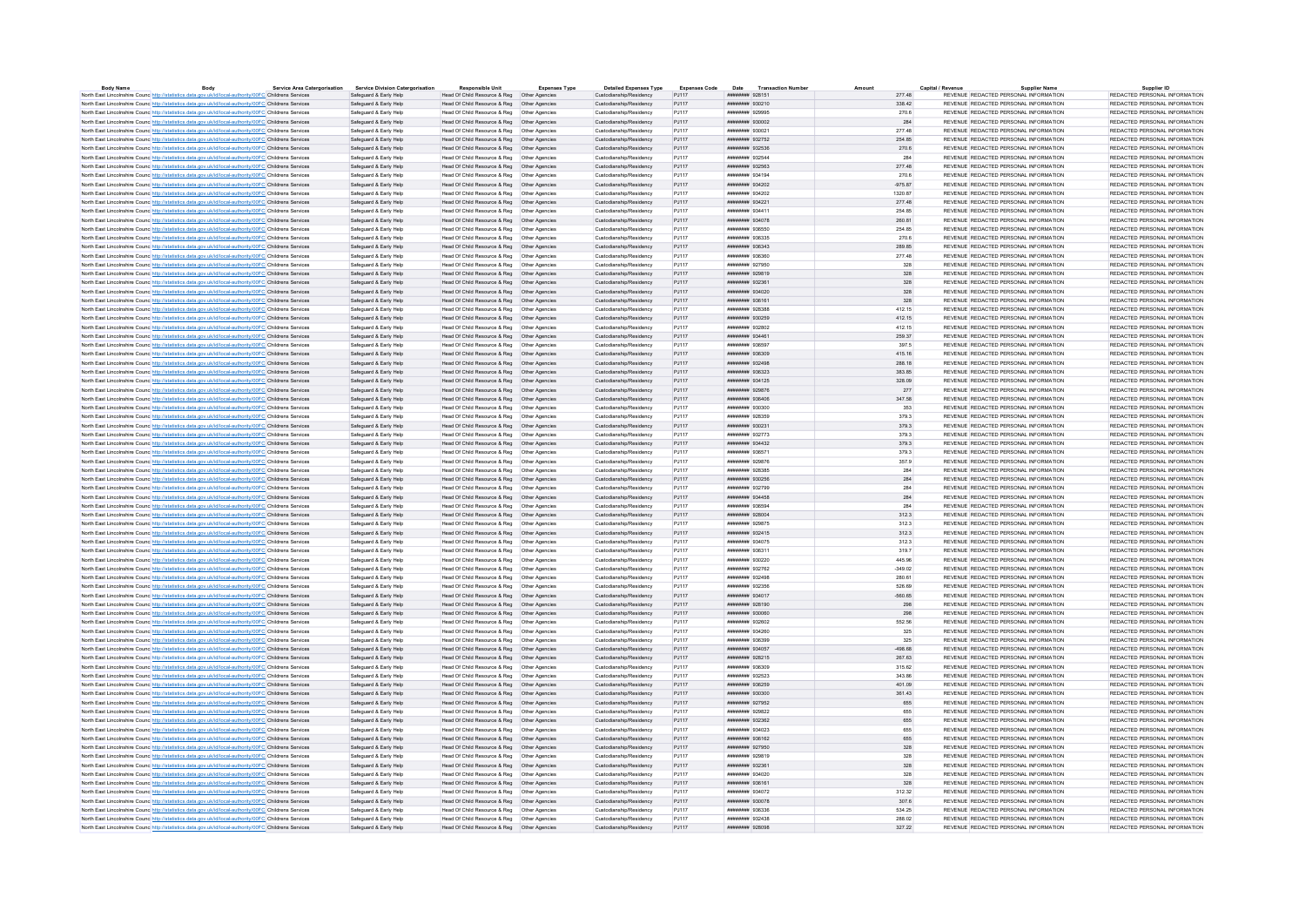| Body                                                                                                              | <b>Service Area Catergorisation</b> | <b>Service Division Catergorisation</b>          | <b>Responsible Unit</b>                       | <b>Expenses Type</b> | <b>Detailed Expenses Type</b> | <b>Expenses Code</b> |                         | Date Transaction Numbe |            | Capital / Revenu                      | <b>Supplier Name</b> | Supplier ID                   |
|-------------------------------------------------------------------------------------------------------------------|-------------------------------------|--------------------------------------------------|-----------------------------------------------|----------------------|-------------------------------|----------------------|-------------------------|------------------------|------------|---------------------------------------|----------------------|-------------------------------|
| North East Lincolnshire Counc http://statistics.data.gov.uk/id/local-authority/00FC Childrens Services            |                                     | Safeguard & Early Help                           | Head Of Child Resource & Reg   Other Agencies |                      | Custodianship/Residency       | PJ117                | ######## 928151         |                        | 277.48     | REVENUE REDACTED PERSONAL INFORMATION |                      | REDACTED PERSONAL INFORMATION |
| North East Lincolnshire Counc http://statistics.data.gov.uk/id/local-authority/00FC Childrens Services            |                                     | Safeguard & Early Help                           | Head Of Child Resource & Reg   Other Agencies |                      | Custodianship/Residency       | PJ117                | ######## 930210         |                        | 338.42     | REVENUE REDACTED PERSONAL INFORMATION |                      | REDACTED PERSONAL INFORMATION |
| North East Lincolnshire Counc http://statistics.data.gov.uk/id/local-authority/00FC Childrens Services            |                                     | Safeguard & Early Help                           | Head Of Child Resource & Reg   Other Agencie  |                      | Custodianship/Residency       | P.1117               | <b>########</b> 929995  |                        | 270.6      | REVENUE REDACTED PERSONAL INFORMATION |                      | REDACTED PERSONAL INFORMATION |
| North East Lincolnshire Counc http://statistics.data.gov.uk/id/local-authority/00FC Childrens Services            |                                     | Safeguard & Early Help                           | Head Of Child Resource & Reg   Other Agencies |                      | Custodianship/Residency       | P.I117               |                         |                        | 284        | REVENUE REDACTED PERSONAL INFORMATION |                      | REDACTED PERSONAL INFORMATION |
| North East Lincolnshire Counc http://statistics.data.gov.uk/id/local-authority/00FC Childrens Services            |                                     | Safeguard & Early Help                           | Head Of Child Resource & Reg   Other Agencies |                      | Custodianship/Residency       | PJ117                | ######## 930021         |                        | 277.48     | REVENUE REDACTED PERSONAL INFORMATION |                      | REDACTED PERSONAL INFORMATION |
| North East Lincolnshire Counc http://statistics.data.gov.uk/id/local-authority/00FC Childrens Services            |                                     | Safeguard & Early Help                           | Head Of Child Resource & Reg   Other Agencies |                      | Custodianship/Residency       | P.1117               | ######## 932752         |                        | 254.85     | REVENUE REDACTED PERSONAL INFORMATION |                      | REDACTED PERSONAL INFORMATION |
| North East Lincolnshire Counc http://statistics.data.gov.uk/id/local-authority/00FC Childrens Services            |                                     | Safeguard & Early Help                           | Head Of Child Resource & Reg   Other Agencies |                      | Custodianship/Residency       | P.1117               | ######## 932536         |                        | 270.6      | REVENUE REDACTED PERSONAL INFORMATION |                      | REDACTED PERSONAL INFORMATION |
| North East Lincolnshire Counc http://statistics.data.gov.uk/id/local-authority/00FC Childrens Services            |                                     | Safeguard & Early Help                           | Head Of Child Resource & Reg   Other Agencies |                      | Custodianship/Residency       | P.1117               | ######## 932544         |                        | 284        | REVENUE REDACTED PERSONAL INFORMATION |                      | REDACTED PERSONAL INFORMATION |
| North East Lincolnshire Counc http://statistics.data.gov.uk/id/local-authority/00FC Childrens Services            |                                     | Safeguard & Early Help                           | Head Of Child Resource & Reg   Other Agencies |                      | Custodianship/Residency       | PJ117                | ######## 932563         |                        | 277.48     | REVENUE REDACTED PERSONAL INFORMATION |                      | REDACTED PERSONAL INFORMATION |
| North East Lincolnshire Counc http://statistics.data.gov.uk/id/local-authority/00FC Childrens Services            |                                     | Safeguard & Early Help                           | Head Of Child Resource & Reg   Other Agencies |                      | Custodianship/Residency       | PJ117                | ######## 934194         |                        | 270.6      | REVENUE REDACTED PERSONAL INFORMATION |                      | REDACTED PERSONAL INFORMATION |
| North East Lincolnshire Counc http://statistics.data.gov.uk/id/local-authority/00FC Childrens Services            |                                     | Safeguard & Early Help                           | Head Of Child Resource & Reg   Other Agencies |                      | Custodianship/Residency       | PJ117                | ######## 934202         |                        | $-975.87$  | REVENUE REDACTED PERSONAL INFORMATION |                      | REDACTED PERSONAL INFORMATION |
| North East Lincolnshire Counc http://statistics.data.gov.uk/id/local-authority/00FC Childrens Services            |                                     | Safeguard & Early Help                           | Head Of Child Resource & Reg   Other Agencies |                      | Custodianship/Residency       | PJ117                | ######## 934202         |                        | 1320.87    | REVENUE REDACTED PERSONAL INFORMATION |                      | REDACTED PERSONAL INFORMATION |
| North East Lincolnshire Counc http://statistics.data.gov.uk/id/local-authority/00FC Childrens Services            |                                     | Safeguard & Early Help                           | Head Of Child Resource & Reg   Other Agencies |                      | Custodianship/Residency       | PJ117                | ######## 934221         |                        | 277.48     | REVENUE REDACTED PERSONAL INFORMATION |                      | REDACTED PERSONAL INFORMATION |
| North East Lincolnshire Counc http://statistics.data.gov.uk/id/local-authority/00FC Childrens Services            |                                     | Safeguard & Early Help                           | Head Of Child Resource & Reg   Other Agencies |                      | Custodianship/Residency       | PJ117                | ######## 934411         |                        | 254.85     | REVENUE REDACTED PERSONAL INFORMATION |                      | REDACTED PERSONAL INFORMATION |
| North East Lincolnshire Counc http://statistics.data.gov.uk/id/local-authority/00FC Childrens Services            |                                     | Safeguard & Early Help                           | Head Of Child Resource & Reg   Other Agencies |                      | Custodianship/Residency       | PJ117                | ######## 934078         |                        | 260.81     | REVENUE REDACTED PERSONAL INFORMATION |                      | REDACTED PERSONAL INFORMATION |
| North East Lincolnshire Counc http://statistics.data.gov.uk/id/local-authority/00FC Childrens Services            |                                     | Safeguard & Early Help                           |                                               |                      | Custodianship/Residency       | PJ117                | ######## 936550         |                        | 254.85     | REVENUE REDACTED PERSONAL INFORMATION |                      | REDACTED PERSONAL INFORMATION |
| North East Lincolnshire Counce http://statistics.data.gov.uk/id/local-authority/00FC Childrens Services           |                                     | Safeguard & Early Help                           |                                               |                      | Custodianship/Residency       | PJ117                | ######## 936335         |                        | 270.6      | REVENUE REDACTED PERSONAL INFORMATION |                      | REDACTED PERSONAL INFORMATION |
| North East Lincolnshire Counc http://statistics.data.gov.uk/id/local-authority/00FC Childrens Services            |                                     | Safeguard & Early Help                           | Head Of Child Resource & Reg   Other Agencies |                      | Custodianship/Residency       | PJ117                | ######## 936343         |                        | 289.85     | REVENUE REDACTED PERSONAL INFORMATION |                      | REDACTED PERSONAL INFORMATION |
| North East Lincolnshire Counc http://statistics.data.gov.uk/id/local-authority/00FC Childrens Services            |                                     | Safeguard & Early Help                           |                                               |                      | Custodianship/Residency       | PJ117                | ####### 936360          |                        | 277.48     | REVENUE REDACTED PERSONAL INFORMATION |                      | REDACTED PERSONAL INFORMATION |
| North East Lincolnshire Counc http://statistics.data.gov.uk/id/local-authority/00FC Childrens Services            |                                     | Safeguard & Early Help                           | Head Of Child Resource & Reg   Other Agencies |                      | Custodianship/Residency       | PJ117                | ######## 927950         |                        | 328        | REVENUE REDACTED PERSONAL INFORMATION |                      | REDACTED PERSONAL INFORMATION |
| North East Lincolnshire Counc http://statistics.data.gov.uk/id/local-authority/00FC Childrens Services            |                                     | Safeguard & Early Help                           | Head Of Child Resource & Reg   Other Agencies |                      | Custodianship/Residency       | PJ117                | ######## 929819         |                        | 328        | REVENUE REDACTED PERSONAL INFORMATION |                      | REDACTED PERSONAL INFORMATION |
|                                                                                                                   |                                     |                                                  |                                               |                      | Custodianship/Residency       | PJ117                | ######## 932361         |                        |            | REVENUE REDACTED PERSONAL INFORMATION |                      | REDACTED PERSONAL INFORMATION |
| North East Lincolnshire Counc http://statistics.data.gov.uk/id/local-authority/00FC Childrens Services            |                                     | Safeguard & Early Help                           | Head Of Child Resource & Reg   Other Agencies |                      |                               |                      |                         |                        | 328        |                                       |                      |                               |
| North East Lincolnshire Counc http://statistics.data.gov.uk/id/local-authority/00FC Childrens Services            |                                     | Safeguard & Early Help                           | Head Of Child Resource & Reg   Other Agencies |                      | Custodianship/Residency       | P.I117               | ######## 934020         |                        | 328        | REVENUE REDACTED PERSONAL INFORMATION |                      | REDACTED PERSONAL INFORMATION |
| North East Lincolnshire Counc http://statistics.data.gov.uk/id/local-authority/00FC Childrens Services            |                                     | Safeguard & Early Help                           | Head Of Child Resource & Reg   Other Agencies |                      | Custodianship/Residency       | PJ117                | ######## 936161         |                        | 328        | REVENUE REDACTED PERSONAL INFORMATION |                      | REDACTED PERSONAL INFORMATION |
| North East Lincolnshire Counc http://statistics.data.gov.uk/id/local-authority/00FC Childrens Services            |                                     | Safeguard & Early Help                           |                                               |                      | Custodianship/Residency       | P.1117               | <b>ИНИНИНИ 928388</b>   |                        | 412.15     | REVENUE REDACTED PERSONAL INFORMATION |                      | REDACTED PERSONAL INFORMATION |
| North East Lincolnshire Counc http://statistics.data.gov.uk/id/local-authority/00FC Childrens Services            |                                     | Safeguard & Early Help                           | Head Of Child Resource & Reg   Other Agencies |                      | Custodianship/Residency       | P.I117               | ######## 930259         |                        | 412.15     | REVENUE REDACTED PERSONAL INFORMATION |                      | REDACTED PERSONAL INFORMATION |
| North East Lincolnshire Counc http://statistics.data.gov.uk/id/local-authority/00FC Childrens Services            |                                     | Safeguard & Early Help                           | Head Of Child Resource & Reg   Other Agencie  |                      | Custodianship/Residency       | PJ117                | ######## 932802         |                        | 412.15     | REVENUE REDACTED PERSONAL INFORMATION |                      | REDACTED PERSONAL INFORMATION |
| North East Lincolnshire Counc http://statistics.data.gov.uk/id/local-authority/00FC Childrens Services            |                                     | Safeguard & Early Help                           | Head Of Child Resource & Reg   Other Agencies |                      | Custodianship/Residency       | P.I117               | ######## 934461         |                        | 259.37     | REVENUE REDACTED PERSONAL INFORMATION |                      | REDACTED PERSONAL INFORMATION |
| North East Lincolnshire Counc http://statistics.data.gov.uk/id/local-authority/00FC Childrens Services            |                                     | Safeguard & Early Help                           | Head Of Child Resource & Reg   Other Agencies |                      | Custodianship/Residency       | PJ117                | ######## 936597         |                        | 397.5      | REVENUE REDACTED PERSONAL INFORMATION |                      | REDACTED PERSONAL INFORMATION |
| North East Lincolnshire Counc http://statistics.data.gov.uk/id/local-authority/00FC Childrens Services            |                                     | Safeguard & Early Help                           |                                               |                      | Custodianship/Residency       | PJ117                | ######## 936309         |                        | 415.16     | REVENUE REDACTED PERSONAL INFORMATION |                      | REDACTED PERSONAL INFORMATION |
| North East Lincolnshire Counc http://statistics.data.gov.uk/id/local-authority/00FC Childrens Services            |                                     | Safeguard & Early Help                           | Head Of Child Resource & Reg   Other Agencies |                      | Custodianship/Residency       | PJ117                | ######## 932498         |                        | 288.18     | REVENUE REDACTED PERSONAL INFORMATION |                      | REDACTED PERSONAL INFORMATION |
| North East Lincolnshire Counc http://statistics.data.gov.uk/id/local-authority/00FC Childrens Services            |                                     | Safeguard & Early Help                           | Head Of Child Resource & Reg   Other Agencies |                      | Custodianship/Residency       | PJ117                | ######## 936323         |                        | 383.85     | REVENUE REDACTED PERSONAL INFORMATION |                      | REDACTED PERSONAL INFORMATION |
| North East Lincolnshire Counc <sup>http://statistics.data.gov.uk/id/local-authority/00FC Childrens Services</sup> |                                     | Safeguard & Early Help                           | Head Of Child Resource & Reg   Other Agencies |                      | Custodianship/Residency       | PJ117                | ####### 934125          |                        | 328.09     | REVENUE REDACTED PERSONAL INFORMATION |                      | REDACTED PERSONAL INFORMATION |
| North East Lincolnshire Counc http://statistics.data.gov.uk/id/local-authority/00FC Childrens Services            |                                     | Safeguard & Early Help                           | Head Of Child Resource & Reg   Other Agencies |                      | Custodianship/Residency       | PJ117                | ######## 929876         |                        | 277        | REVENUE REDACTED PERSONAL INFORMATION |                      | REDACTED PERSONAL INFORMATION |
| North East Lincolnshire Counc http://statistics.data.gov.uk/id/local-authority/00FC Childrens Services            |                                     | Safeguard & Early Help                           | Head Of Child Resource & Reg   Other Agencies |                      | Custodianship/Residency       | PJ117                | ######## 936406         |                        | 347.58     | REVENUE REDACTED PERSONAL INFORMATION |                      | REDACTED PERSONAL INFORMATION |
| North East Lincolnshire Counc http://statistics.data.gov.uk/id/local-authority/00FC Childrens Services            |                                     | Safeguard & Early Help                           |                                               |                      | Custodianship/Residency       | PJ117                | ######## 930300         |                        | 353        | REVENUE REDACTED PERSONAL INFORMATION |                      | REDACTED PERSONAL INFORMATION |
| North East Lincolnshire Counc http://statistics.data.gov.uk/id/local-authority/00FC Childrens Services            |                                     | Safeguard & Early Help                           | Head Of Child Resource & Reg   Other Agencies |                      | Custodianship/Residency       | P.1117               | ниннини 928359          |                        | 379.3      | REVENUE REDACTED PERSONAL INFORMATION |                      | REDACTED PERSONAL INFORMATION |
| North East Lincolnshire Counc http://statistics.data.gov.uk/id/local-authority/00FC Childrens Services            |                                     | Safeguard & Early Help                           | Head Of Child Resource & Reg   Other Agencies |                      | Custodianship/Residency       | PJ117                | ####### 930231          |                        | 379.3      | REVENUE REDACTED PERSONAL INFORMATION |                      | REDACTED PERSONAL INFORMATION |
| North East Lincolnshire Counc http://statistics.data.gov.uk/id/local-authority/00FC Childrens Services            |                                     | Safeguard & Early Help                           | Head Of Child Resource & Reg   Other Agencies |                      | Custodianship/Residency       | PJ117                | ######## 932773         |                        | 379.3      | REVENUE REDACTED PERSONAL INFORMATION |                      | REDACTED PERSONAL INFORMATION |
| North East Lincolnshire Counc http://statistics.data.gov.uk/id/local-authority/00FC Childrens Services            |                                     | Safeguard & Early Help                           | Head Of Child Resource & Reg   Other Agencies |                      | Custodianship/Residency       | PJ117                | ######## 934432         |                        | 379.3      | REVENUE REDACTED PERSONAL INFORMATION |                      | REDACTED PERSONAL INFORMATION |
| North East Lincolnshire Counc http://statistics.data.gov.uk/id/local-authority/00FC Childrens Services            |                                     | Safeguard & Early Help                           | Head Of Child Resource & Reg   Other Agencie  |                      | Custodianship/Residency       | PJ117                | ######## 936571         |                        | 379.3      | REVENUE REDACTED PERSONAL INFORMATION |                      | REDACTED PERSONAL INFORMATION |
|                                                                                                                   |                                     |                                                  |                                               |                      | Custodianship/Residency       | P.1117               | <b>########</b> 929876  |                        | 3579       | REVENUE REDACTED PERSONAL INFORMATION |                      | REDACTED PERSONAL INFORMATION |
| North East Lincolnshire Counc http://statistics.data.gov.uk/id/local-authority/00FC Childrens Services            |                                     | Safeguard & Early Help                           | Head Of Child Resource & Reg   Other Agencies |                      |                               |                      |                         |                        |            |                                       |                      |                               |
| North East Lincolnshire Counc http://statistics.data.gov.uk/id/local-authority/00FC Childrens Services            |                                     | Safeguard & Early Help                           | Head Of Child Resource & Reg   Other Agencies |                      | Custodianship/Residency       | PJ117                | ######## 928385         |                        | 284        | REVENUE REDACTED PERSONAL INFORMATION |                      | REDACTED PERSONAL INFORMATION |
| North East Lincolnshire Counc http://statistics.data.gov.uk/id/local-authority/00FC Childrens Services            |                                     | Safeguard & Early Help                           | Head Of Child Resource & Reg   Other Agencies |                      | Custodianship/Residency       | P.I117               | нивниния 930256         |                        | 284        | REVENUE REDACTED PERSONAL INFORMATION |                      | REDACTED PERSONAL INFORMATION |
| North East Lincolnshire Counc http://statistics.data.gov.uk/id/local-authority/00FC Childrens Services            |                                     | Safeguard & Early Help                           | Head Of Child Resource & Reg   Other Agencies |                      | Custodianship/Residency       | P.1117               | ######## 932799         |                        | <b>284</b> | REVENUE REDACTED PERSONAL INFORMATION |                      | REDACTED PERSONAL INFORMATION |
| North East Lincolnshire Counc http://statistics.data.gov.uk/id/local-authority/00FC Childrens Services            |                                     | Safeguard & Early Help                           | Head Of Child Resource & Reg   Other Agencies |                      | Custodianship/Residency       | PJ117                | ######## 934458         |                        | 284        | REVENUE REDACTED PERSONAL INFORMATION |                      | REDACTED PERSONAL INFORMATION |
| North East Lincolnshire Council http://statistics.data.gov.uk/id/local-authority/00EC Childrens Services          |                                     | Safeguard & Farly Help                           | Head Of Child Resource & Reg. Other Agencies  |                      | Custodianship/Residency       | P.1117               | ######## 936594         |                        | 284        | REVENUE REDACTED PERSONAL INFORMATION |                      | REDACTED PERSONAL INFORMATION |
| North East Lincolnshire Counc http://statistics.data.gov.uk/id/local-authority/00FC Childrens Services            |                                     | Safeguard & Early Help                           | Head Of Child Resource & Reg   Other Agencies |                      | Custodianship/Residency       | PJ117                | ######## 928004         |                        | 312.3      | REVENUE REDACTED PERSONAL INFORMATION |                      | REDACTED PERSONAL INFORMATION |
| North East Lincolnshire Counc http://statistics.data.gov.uk/id/local-authority/00FC Childrens Services            |                                     | Safeguard & Early Help                           | Head Of Child Resource & Reg   Other Agencies |                      | Custodianship/Residency       | P.1117               | <b>########</b> 929875  |                        | 312.3      | REVENUE REDACTED PERSONAL INFORMATION |                      | REDACTED PERSONAL INFORMATION |
| North East Lincolnshire Counc http://statistics.data.gov.uk/id/local-authority/00FC Childrens Services            |                                     | Safeguard & Early Help                           | Head Of Child Resource & Reg   Other Agencies |                      | Custodianship/Residency       | PJ117                | ####### 932415          |                        | 312.3      | REVENUE REDACTED PERSONAL INFORMATION |                      | REDACTED PERSONAL INFORMATION |
| North East Lincolnshire Counc http://statistics.data.gov.uk/id/local-authority/00FC Childrens Services            |                                     | Safeguard & Early Help                           | Head Of Child Resource & Reg   Other Agencies |                      | Custodianship/Residency       | PJ117                | ######## 934075         |                        | 312.3      | REVENUE REDACTED PERSONAL INFORMATION |                      | REDACTED PERSONAL INFORMATION |
| North East Lincolnshire Counc <sup>http://statistics.data.gov.uk/id/local-authority/00FC Childrens Services</sup> |                                     | Safeguard & Early Help                           | Head Of Child Resource & Reg   Other Agencies |                      | Custodianship/Residency       | PJ117                | ####### 936311          |                        | 319.7      | REVENUE REDACTED PERSONAL INFORMATION |                      | REDACTED PERSONAL INFORMATION |
| North East Lincolnshire Counc http://statistics.data.gov.uk/id/local-authority/00FC Childrens Services            |                                     | Safeguard & Early Help                           | Head Of Child Resource & Reg   Other Agencies |                      | Custodianship/Residency       | PJ117                | ######## 930220         |                        | 445.96     | REVENUE REDACTED PERSONAL INFORMATION |                      | REDACTED PERSONAL INFORMATION |
| North East Lincolnshire Counc http://statistics.data.gov.uk/id/local-authority/00FC Childrens Services            |                                     | Safeguard & Early Help                           |                                               |                      | Custodianship/Residency       | PJ117                | ######## 932762         |                        | $-349.02$  | REVENUE REDACTED PERSONAL INFORMATION |                      | REDACTED PERSONAL INFORMATION |
| North East Lincolnshire Counc http://statistics.data.gov.uk/id/local-authority/00FC Childrens Services            |                                     | Safeguard & Early Help                           | Head Of Child Resource & Reg   Other Agencies |                      | Custodianship/Residency       | PJ117                | ######## 932498         |                        | 280.61     | REVENUE REDACTED PERSONAL INFORMATION |                      | REDACTED PERSONAL INFORMATION |
| North East Lincolnshire Counc http://statistics.data.gov.uk/id/local-authority/00FC Childrens Services            |                                     | Safeguard & Early Help                           | Head Of Child Resource & Reg   Other Agencies |                      | Custodianship/Residency       | P.1117               | ######## 932356         |                        | 526.69     | REVENUE REDACTED PERSONAL INFORMATION |                      | REDACTED PERSONAL INFORMATION |
| North East Lincolnshire Counc http://statistics.data.gov.uk/id/local-authority/00FC Childrens Services            |                                     | Safeguard & Early Help                           | Head Of Child Resource & Reg   Other Agencies |                      | Custodianship/Residency       | PJ117                | ####### 934017          |                        | $-560.65$  | REVENUE REDACTED PERSONAL INFORMATION |                      | REDACTED PERSONAL INFORMATION |
| North East Lincolnshire Counc http://statistics.data.gov.uk/id/local-authority/00FC Childrens Services            |                                     | Safeguard & Early Help                           | Head Of Child Resource & Reg   Other Agencies |                      | Custodianship/Residency       | PJ117                | ######## 928190         |                        | 298        | REVENUE REDACTED PERSONAL INFORMATION |                      | REDACTED PERSONAL INFORMATION |
| North East Lincolnshire Counc http://statistics.data.gov.uk/id/local-authority/00FC Childrens Services            |                                     | Safeguard & Early Help                           | Head Of Child Resource & Reg   Other Agencies |                      | Custodianship/Residency       | PJ117                | ######## 930060         |                        | 298        | REVENUE REDACTED PERSONAL INFORMATION |                      | REDACTED PERSONAL INFORMATION |
| North East Lincolnshire Counc http://statistics.data.gov.uk/id/local-authority/00FC Childrens Services            |                                     | Safeguard & Early Help                           | Head Of Child Resource & Reg   Other Agencie  |                      | Custodianship/Residency       | PJ117                | ######## 932602         |                        | 552.56     | REVENUE REDACTED PERSONAL INFORMATION |                      | REDACTED PERSONAL INFORMATION |
| North East Lincolnshire Council http://statistics.data.gov.uk/id/local-authority/00EC Childrens Services          |                                     | Safeguard & Early Help                           | Head Of Child Resource & Reg   Other Agencies |                      | Custodianship/Residency       | P.1117               | <b>инвиннии</b> 934260  |                        | 325        | REVENUE REDACTED PERSONAL INFORMATION |                      | REDACTED PERSONAL INFORMATION |
| North East Lincolnshire Counc http://statistics.data.gov.uk/id/local-authority/00FC Childrens Services            |                                     | Safeguard & Early Help                           | Head Of Child Resource & Reg   Other Agencies |                      | Custodianship/Residency       | PJ117                | ######## 936399         |                        | 325        | REVENUE REDACTED PERSONAL INFORMATION |                      | REDACTED PERSONAL INFORMATION |
| North East Lincolnshire Counc http://statistics.data.gov.uk/id/local-authority/00FC Childrens Services            |                                     | Safeguard & Early Help                           | Head Of Child Resource & Reg   Other Agencies |                      | Custodianship/Residency       | P.I117               | ######## 934057         |                        | $-49868$   | REVENUE REDACTED PERSONAL INFORMATION |                      | REDACTED PERSONAL INFORMATION |
| North East Lincolnshire Counc http://statistics.data.gov.uk/id/local-authority/00FC Childrens Services            |                                     | Safeguard & Early Help                           | Head Of Child Resource & Reg   Other Agencies |                      | Custodianship/Residency       | PJ117                | ######## 928215         |                        | 267.63     | REVENUE REDACTED PERSONAL INFORMATION |                      | REDACTED PERSONAL INFORMATION |
| North East Lincolnshire Counc http://statistics.data.gov.uk/id/local-authority/00FC Childrens Services            |                                     |                                                  | Head Of Child Resource & Reg   Other Agencies |                      | Custodianship/Residency       | PJ117                | <b>########</b> 936309  |                        | 315.62     | REVENUE REDACTED PERSONAL INFORMATION |                      | REDACTED PERSONAL INFORMATION |
|                                                                                                                   |                                     | Safeguard & Early Help<br>Safeguard & Early Help |                                               |                      | Custodianship/Residency       | P.1117               | ######## 932523         |                        | 343.86     | REVENUE REDACTED PERSONAL INFORMATION |                      | REDACTED PERSONAL INFORMATION |
| North East Lincolnshire Counc http://statistics.data.gov.uk/id/local-authority/00FC Childrens Services            |                                     |                                                  |                                               |                      |                               |                      |                         |                        |            |                                       |                      |                               |
| North East Lincolnshire Counc http://statistics.data.gov.uk/id/local-authority/00FC Childrens Services            |                                     | Safeguard & Early Help                           | Head Of Child Resource & Reg   Other Agencies |                      | Custodianship/Residency       | PJ117                | ######## 936259         |                        | 401.09     | REVENUE REDACTED PERSONAL INFORMATION |                      | REDACTED PERSONAL INFORMATION |
| North East Lincolnshire Counc. http://statistics.data.gov.uk/id/local-authority/00FC Childrens Services           |                                     | Safeguard & Early Help                           | Head Of Child Resource & Reg   Other Agencies |                      | Custodianship/Residency       | P.1117               | 00202011000000000000000 |                        | 361.43     | REVENUE REDACTED PERSONAL INFORMATION |                      | REDACTED PERSONAL INFORMATION |
| North East Lincolnshire Counc <sup>http://statistics.data.gov.uk/id/local-authority/00FC Childrens Services</sup> |                                     | Safeguard & Early Help                           | Head Of Child Resource & Reg   Other Agencies |                      | Custodianship/Residency       | PJ117                | ######## 927952         |                        | 655        | REVENUE REDACTED PERSONAL INFORMATION |                      | REDACTED PERSONAL INFORMATION |
| North East Lincolnshire Counc http://statistics.data.gov.uk/id/local-authority/00FC Childrens Services            |                                     | Safeguard & Early Help                           | Head Of Child Resource & Reg   Other Agencie  |                      | Custodianship/Residency       | PJ117                | ######## 929822         |                        | 655        | REVENUE REDACTED PERSONAL INFORMATION |                      | REDACTED PERSONAL INFORMATION |
| North East Lincolnshire Counc http://statistics.data.gov.uk/id/local-authority/00FC Childrens Services            |                                     | Safeguard & Early Help                           | Head Of Child Resource & Reg   Other Agencies |                      | Custodianship/Residency       | PJ117                | ####### 932362          |                        | 655        | REVENUE REDACTED PERSONAL INFORMATION |                      | REDACTED PERSONAL INFORMATION |
| North East Lincolnshire Counc http://statistics.data.gov.uk/id/local-authority/00FC Childrens Services            |                                     | Safeguard & Early Help                           | Head Of Child Resource & Reg   Other Agencies |                      | Custodianship/Residency       | PJ117                | ######## 934023         |                        | 655        | REVENUE REDACTED PERSONAL INFORMATION |                      | REDACTED PERSONAL INFORMATION |
| North East Lincolnshire Counc http://statistics.data.gov.uk/id/local-authority/00FC Childrens Services            |                                     | Safeguard & Early Help                           | Head Of Child Resource & Reg   Other Agencies |                      | Custodianship/Residency       | PJ117                | ######## 936162         |                        | 655        | REVENUE REDACTED PERSONAL INFORMATION |                      | REDACTED PERSONAL INFORMATION |
| North East Lincolnshire Counc http://statistics.data.gov.uk/id/local-authority/00FC Childrens Services            |                                     | Safeguard & Early Help                           | Head Of Child Resource & Reg   Other Agencies |                      | Custodianship/Residency       | PJ117                | ######## 927950         |                        | 328        | REVENUE REDACTED PERSONAL INFORMATION |                      | REDACTED PERSONAL INFORMATION |
| North East Lincolnshire Counc http://statistics.data.gov.uk/id/local-authority/00FC Childrens Services            |                                     | Safeguard & Early Help                           | Head Of Child Resource & Reg   Other Agencies |                      | Custodianship/Residency       | P.1117               | ######## 929819         |                        | 328        | REVENUE REDACTED PERSONAL INFORMATION |                      | REDACTED PERSONAL INFORMATION |
| North East Lincolnshire Counc http://statistics.data.gov.uk/id/local-authority/00FC Childrens Services            |                                     | Safeguard & Early Help                           | Head Of Child Resource & Reg   Other Agencies |                      | Custodianship/Residency       | PJ117                | ####### 932361          |                        | 328        | REVENUE REDACTED PERSONAL INFORMATION |                      | REDACTED PERSONAL INFORMATION |
| North East Lincolnshire Counc http://statistics.data.gov.uk/id/local-authority/00FC Childrens Services            |                                     | Safeguard & Early Help                           | Head Of Child Resource & Reg   Other Agencies |                      | Custodianship/Residency       | P.1117               | ######## 934020         |                        | 328        | REVENUE REDACTED PERSONAL INFORMATION |                      | REDACTED PERSONAL INFORMATION |
| North East Lincolnshire Counc http://statistics.data.gov.uk/id/local-authority/00FC Childrens Services            |                                     | Safeguard & Early Help                           | Head Of Child Resource & Reg   Other Agencies |                      | Custodianship/Residency       | PJ117                | ######## 936161         |                        | 328        | REVENUE REDACTED PERSONAL INFORMATION |                      | REDACTED PERSONAL INFORMATION |
| North East Lincolnshire Counc http://statistics.data.gov.uk/id/local-authority/00FC Childrens Services            |                                     | Safeguard & Early Help                           | Head Of Child Resource & Reg   Other Agencie  |                      | Custodianship/Residency       | PJ117                | ######## 934072         |                        | 312.32     | REVENUE REDACTED PERSONAL INFORMATION |                      | REDACTED PERSONAL INFORMATION |
| North East Lincolnshire Counc http://statistics.data.gov.uk/id/local-authority/00EC Childrens Services            |                                     | Safeguard & Early Help                           | Head Of Child Resource & Reg   Other Agencies |                      | Custodianship/Residency       | PJ117                | ######## 930078         |                        | 307.6      | REVENUE REDACTED PERSONAL INFORMATION |                      | REDACTED PERSONAL INFORMATION |
| North East Lincolnshire Counc <sup>http://statistics.data.gov.uk/id/local-authority/00FC Childrens Services</sup> |                                     | Safeguard & Early Help                           |                                               |                      | Custodianship/Residency       | PJ117                | <b>инвинин</b> 936336   |                        | 534.25     | REVENUE REDACTED PERSONAL INFORMATION |                      | REDACTED PERSONAL INFORMATION |
| North East Lincolnshire Counc http://statistics.data.gov.uk/id/local-authority/00FC Childrens Services            |                                     | Safeguard & Early Help                           | Head Of Child Resource & Reg   Other Agencies |                      | Custodianship/Residency       | P.1117               | нивниния 932438         |                        | 288.02     | REVENUE REDACTED PERSONAL INFORMATION |                      | REDACTED PERSONAL INFORMATION |
| North East Lincolnshire Counc http://statistics.data.gov.uk/id/local-authority/00FC Childrens Services            |                                     | Safeguard & Early Help                           | Head Of Child Resource & Reg   Other Agencies |                      | Custodianship/Residency       | PJ117                | ######## 928098         |                        | 327.22     | REVENUE REDACTED PERSONAL INFORMATION |                      | REDACTED PERSONAL INFORMATION |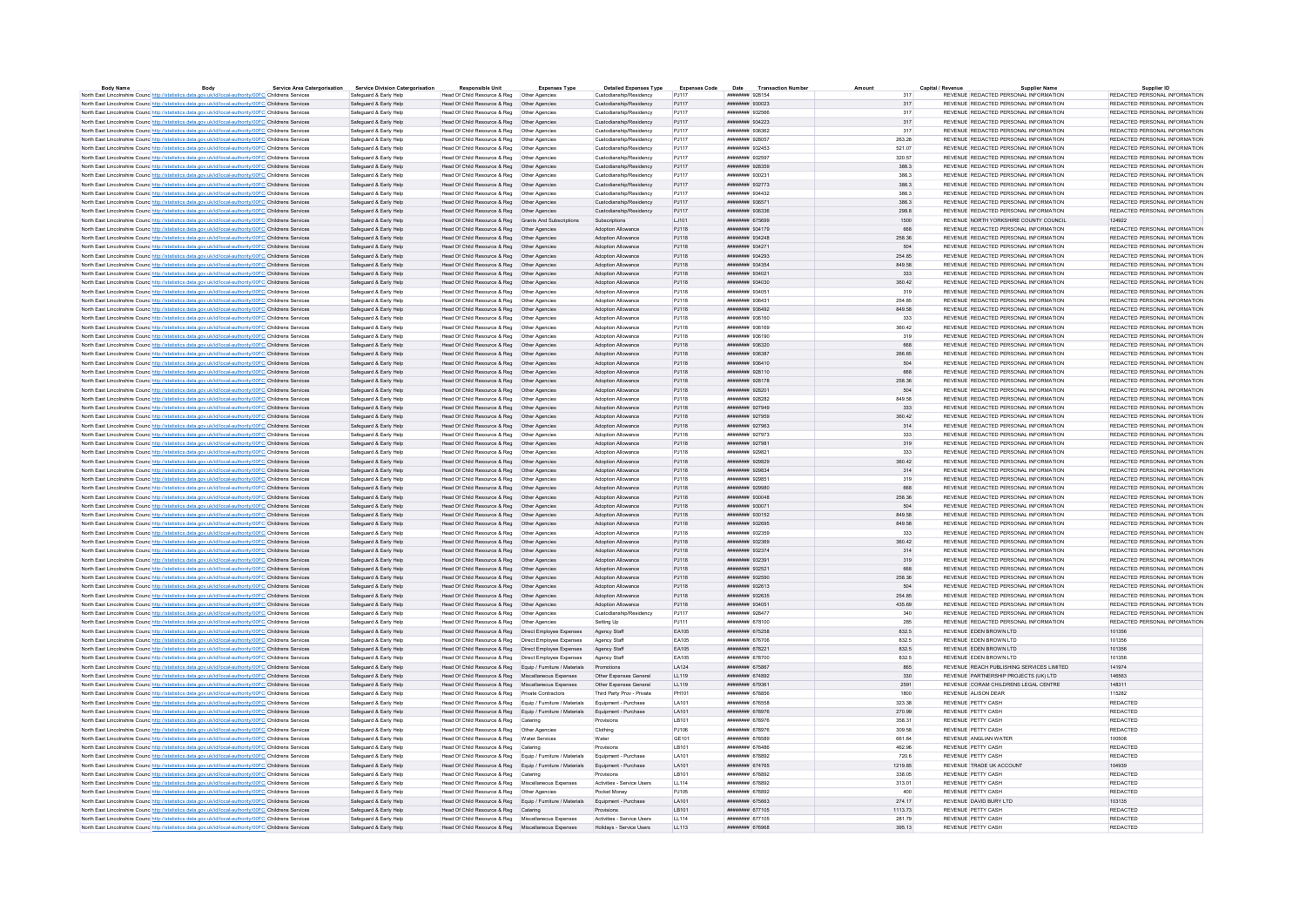|                                                                                                                   | Body | <b>Service Area Catergorisation</b> | <b>Service Division Catergorisation</b> | <b>Responsible Unit</b>                                                         | <b>Expenses Type</b> | <b>Detailed Expenses Type</b> | <b>Expenses Code</b> | Date<br><b>Transaction Numbe</b>     |         | Capital / Revenu | <b>Supplier Name</b>                       | Supplier ID                   |
|-------------------------------------------------------------------------------------------------------------------|------|-------------------------------------|-----------------------------------------|---------------------------------------------------------------------------------|----------------------|-------------------------------|----------------------|--------------------------------------|---------|------------------|--------------------------------------------|-------------------------------|
| North East Lincolnshire Counc http://statistics.data.gov.uk/id/local-authority/00FC Childrens Services            |      |                                     | Safeguard & Early Help                  | Head Of Child Resource & Reg   Other Agencies                                   |                      | Custodianship/Residency       | P.1117               | ######## 928154                      | 317     |                  | REVENUE REDACTED PERSONAL INFORMATION      | REDACTED PERSONAL INFORMATION |
| North East Lincolnshire Counc http://statistics.data.gov.uk/id/local-authority/00FC Childrens Services            |      |                                     | Safeguard & Early Help                  | Head Of Child Resource & Reg   Other Agencies                                   |                      | Custodianship/Residency       | P.I117               | ######## 930023                      | 317     |                  | REVENUE REDACTED PERSONAL INFORMATION      | REDACTED PERSONAL INFORMATION |
| North East Lincolnshire Counc http://statistics.data.gov.uk/id/local-authority/00FC Childrens Services            |      |                                     | Safeguard & Early Help                  | Head Of Child Resource & Reg   Other Agencie                                    |                      | Custodianship/Residency       | P.1117               | ######## 932566                      | 317     |                  | REVENUE REDACTED PERSONAL INFORMATION      | REDACTED PERSONAL INFORMATION |
| North East Lincolnshire Counc http://statistics.data.gov.uk/id/local-authority/00FC Childrens Services            |      |                                     | Safeguard & Early Help                  | Head Of Child Resource & Reg   Other Agencies                                   |                      | Custodianship/Residency       | P.1117               | ######## 934223                      | 317     |                  | REVENUE REDACTED PERSONAL INFORMATION      | REDACTED PERSONAL INFORMATION |
| North East Lincolnshire Counc http://statistics.data.gov.uk/id/local-authority/00FC Childrens Services            |      |                                     | Safeguard & Early Help                  | Head Of Child Resource & Reg   Other Agencies                                   |                      | Custodianship/Residency       | PJ117                | ######## 936362                      | 317     |                  | REVENUE REDACTED PERSONAL INFORMATION      | REDACTED PERSONAL INFORMATION |
| North East Lincolnshire Counc http://statistics.data.gov.uk/id/local-authority/00FC Childrens Services            |      |                                     | Safeguard & Early Help                  | Head Of Child Resource & Reg   Other Agencies                                   |                      | Custodianship/Residency       | P.1117               | ######## 928057                      | 263.28  |                  | REVENUE REDACTED PERSONAL INFORMATION      | REDACTED PERSONAL INFORMATION |
| North East Lincolnshire Counc <sup>htto://statistics.data.gov.uk/id/local-authority/00FC Childrens Services</sup> |      |                                     | Safeguard & Early Help                  | Head Of Child Resource & Reg   Other Agencies                                   |                      | Custodianship/Residency       | P.1117               | ######## 932453                      | 521.07  |                  | REVENUE REDACTED PERSONAL INFORMATION      | REDACTED PERSONAL INFORMATION |
| North East Lincolnshire Counc http://statistics.data.gov.uk/id/local-authority/00FC Childrens Services            |      |                                     | Safeguard & Early Help                  |                                                                                 |                      | Custodianship/Residency       | P.1117               | ######## 932597                      | 320.57  |                  | REVENUE REDACTED PERSONAL INFORMATION      | REDACTED PERSONAL INFORMATION |
| North East Lincolnshire Counc http://statistics.data.gov.uk/id/local-authority/00FC Childrens Services            |      |                                     | Safeguard & Early Help                  | Head Of Child Resource & Reg   Other Agencies                                   |                      | Custodianship/Residency       | PJ117                | ######## 928359                      | 386.3   |                  | REVENUE REDACTED PERSONAL INFORMATION      | REDACTED PERSONAL INFORMATION |
| North East Lincolnshire Counc http://statistics.data.gov.uk/id/local-authority/00FC Childrens Services            |      |                                     | Safeguard & Early Help                  | Head Of Child Resource & Reg   Other Agencies                                   |                      | Custodianship/Residency       | PJ117                | ######## 930231                      | 386.3   |                  | REVENUE REDACTED PERSONAL INFORMATION      | REDACTED PERSONAL INFORMATION |
| North East Lincolnshire Counc http://statistics.data.gov.uk/id/local-authority/00FC Childrens Services            |      |                                     | Safeguard & Early Help                  | Head Of Child Resource & Reg   Other Agencies                                   |                      | Custodianship/Residency       | PJ117                | ######## 932773                      | 386.3   |                  | REVENUE REDACTED PERSONAL INFORMATION      | REDACTED PERSONAL INFORMATION |
| North East Lincolnshire Counc http://statistics.data.gov.uk/id/local-authority/00FC Childrens Services            |      |                                     | Safeguard & Early Help                  | Head Of Child Resource & Reg   Other Agencies                                   |                      | Custodianship/Residency       | PJ117                | ######## 934432                      | 386.3   |                  | REVENUE REDACTED PERSONAL INFORMATION      | REDACTED PERSONAL INFORMATION |
| North East Lincolnshire Counc http://statistics.data.gov.uk/id/local-authority/00FC Childrens Services            |      |                                     | Safeguard & Early Help                  | Head Of Child Resource & Reg   Other Agencies                                   |                      | Custodianship/Residency       | PJ117                | ######## 936571                      | 386.3   |                  | REVENUE REDACTED PERSONAL INFORMATION      | REDACTED PERSONAL INFORMATION |
| North East Lincolnshire Counc http://statistics.data.gov.uk/id/local-authority/00FC Childrens Services            |      |                                     | Safeguard & Early Help                  | Head Of Child Resource & Reg   Other Agencies                                   |                      | Custodianship/Residency       | PJ117                | ######## 936336                      | 298.8   |                  | REVENUE REDACTED PERSONAL INFORMATION      | REDACTED PERSONAL INFORMATION |
| North East Lincolnshire Counc http://statistics.data.gov.uk/id/local-authority/00FC Childrens Services            |      |                                     | Safeguard & Early Help                  | Head Of Child Resource & Reg Grants And Subscriptions                           |                      | Subscriptions                 | LJ101                | ######## 675699                      | 1500    |                  | REVENUE NORTH YORKSHIRE COUNTY COUNCIL     | 124922                        |
| North East Lincolnshire Counc <sup>http://statistics.data.gov.uk/id/local-authority/00FC Childrens Services</sup> |      |                                     | Safeguard & Early Help                  | Head Of Child Resource & Reg   Other Agencies                                   |                      | Adoption Allowance            | PJ118                | ######## 934179                      | 668     |                  | REVENUE REDACTED PERSONAL INFORMATION      | REDACTED PERSONAL INFORMATION |
| North East Lincolnshire Counce http://statistics.data.gov.uk/id/local-authority/00FC Childrens Services           |      |                                     | Safeguard & Early Help                  | Head Of Child Resource & Reg   Other Agencies                                   |                      | Adoption Allowance            | PJ118                | ######## 934248                      | 258.36  |                  | REVENUE REDACTED PERSONAL INFORMATION      | REDACTED PERSONAL INFORMATION |
| North East Lincolnshire Counc http://statistics.data.gov.uk/id/local-authority/00FC Childrens Services            |      |                                     | Safeguard & Early Help                  | Head Of Child Resource & Reg   Other Agencies                                   |                      | Adoption Allowance            | P.I118               | ######## 934271                      | 504     |                  | REVENUE REDACTED PERSONAL INFORMATION      | REDACTED PERSONAL INFORMATION |
| North East Lincolnshire Counc http://statistics.data.gov.uk/id/local-authority/00FC Childrens Services            |      |                                     | Safeguard & Early Help                  | Head Of Child Resource & Reg   Other Agencies                                   |                      | Adoption Allowance            | PJ118                | ######## 934293                      | 254.85  |                  | REVENUE REDACTED PERSONAL INFORMATION      | REDACTED PERSONAL INFORMATION |
| North East Lincolnshire Counc http://statistics.data.gov.uk/id/local-authority/00FC Childrens Services            |      |                                     | Safeguard & Early Help                  | Head Of Child Resource & Reg   Other Agencies                                   |                      | Adoption Allowance            | PJ118                | ######## 934354                      | 849.58  |                  | REVENUE REDACTED PERSONAL INFORMATION      | REDACTED PERSONAL INFORMATION |
| North East Lincolnshire Counc http://statistics.data.gov.uk/id/local-authority/00FC Childrens Services            |      |                                     | Safeguard & Early Help                  | Head Of Child Resource & Reg   Other Agencies                                   |                      | Adoption Allowance            | PJ118                | ######## 934021                      | 333     |                  | REVENUE REDACTED PERSONAL INFORMATION      | REDACTED PERSONAL INFORMATION |
|                                                                                                                   |      |                                     |                                         |                                                                                 |                      | Adoption Allowance            | PJ118                | ######## 934030                      | 360.42  |                  | REVENUE REDACTED PERSONAL INFORMATION      | REDACTED PERSONAL INFORMATION |
| North East Lincolnshire Counc http://statistics.data.gov.uk/id/local-authority/00FC Childrens Services            |      |                                     | Safeguard & Early Help                  | Head Of Child Resource & Reg   Other Agencies                                   |                      |                               |                      |                                      |         |                  |                                            |                               |
| North East Lincolnshire Counc http://statistics.data.gov.uk/id/local-authority/00FC Childrens Services            |      |                                     | Safeguard & Early Help                  | Head Of Child Resource & Reg   Other Agencies                                   |                      | <b>Adoption Allowance</b>     | P.1118               | ######## 934051                      | 319     |                  | REVENUE REDACTED PERSONAL INFORMATION      | REDACTED PERSONAL INFORMATION |
| North East Lincolnshire Counc http://statistics.data.gov.uk/id/local-authority/00FC Childrens Services            |      |                                     | Safeguard & Early Help                  | Head Of Child Resource & Reg   Other Agencies                                   |                      | <b>Adoption Allowance</b>     | PJ118                | ######## 936431                      | 254.85  |                  | REVENUE REDACTED PERSONAL INFORMATION      | REDACTED PERSONAL INFORMATION |
| North East Lincolnshire Counc http://statistics.data.gov.uk/id/local-authority/00FC Childrens Services            |      |                                     | Safeguard & Early Help                  | Head Of Child Resource & Reg   Other Agencies                                   |                      | Adoption Allowance            | PJ118                | ######## 936492                      | 849.58  |                  | REVENUE REDACTED PERSONAL INFORMATION      | REDACTED PERSONAL INFORMATION |
| North East Lincolnshire Counc <sup>htto://statistics.data.gov.uk/id/local-authority/00FC Childrens Services</sup> |      |                                     | Safeguard & Early Help                  | Head Of Child Resource & Reg   Other Agencies                                   |                      | Adoption Allowance            | P.I118               | ######## 936160                      | 333     |                  | REVENUE REDACTED PERSONAL INFORMATION      | REDACTED PERSONAL INFORMATION |
| North East Lincolnshire Counc http://statistics.data.gov.uk/id/local-authority/00FC Childrens Services            |      |                                     | Safeguard & Early Help                  | Head Of Child Resource & Reg   Other Agencies                                   |                      | <b>Adoption Allowance</b>     | PJ118                | ######## 936169                      | 360.42  |                  | REVENUE REDACTED PERSONAL INFORMATION      | REDACTED PERSONAL INFORMATION |
| North East Lincolnshire Council http://statistics.data.gov.uk/id/local-authority/00EC Childrens Services          |      |                                     | Safenuard & Farly Help                  | Head Of Child Resource & Reg. Other Agencies                                    |                      | <b>Adoption Allowance</b>     | P.1118               | ######## 936190                      | 319     |                  | REVENUE REDACTED PERSONAL INFORMATION      | REDACTED PERSONAL INFORMATION |
| North East Lincolnshire Counc http://statistics.data.gov.uk/id/local-authority/00FC Childrens Services            |      |                                     | Safeguard & Early Help                  | Head Of Child Resource & Reg   Other Agencies                                   |                      | Adoption Allowance            | PJ118                | ######## 936320                      | 668     |                  | REVENUE REDACTED PERSONAL INFORMATION      | REDACTED PERSONAL INFORMATION |
| North East Lincolnshire Counc http://statistics.data.gov.uk/id/local-authority/00FC Childrens Services            |      |                                     | Safeguard & Early Help                  | Head Of Child Resource & Reg   Other Agencies                                   |                      | Adoption Allowance            | PJ118                | ######## 936387                      | 266.65  |                  | REVENUE REDACTED PERSONAL INFORMATION      | REDACTED PERSONAL INFORMATION |
| North East Lincolnshire Counc. http://statistics.data.gov.uk/id/local-authority/00FC Childrens Services           |      |                                     | Safeguard & Early Help                  | Head Of Child Resource & Reg   Other Agencies                                   |                      | Adoption Allowance            | PJ118                | ######## 936410                      | 504     |                  | REVENUE REDACTED PERSONAL INFORMATION      | REDACTED PERSONAL INFORMATION |
| North East Lincolnshire Counc http://statistics.data.gov.uk/id/local-authority/00FC Childrens Services            |      |                                     | Safeguard & Early Help                  | Head Of Child Resource & Reg   Other Agencies                                   |                      | Adoption Allowance            | PJ118                | ######## 928110                      | 668     |                  | REVENUE REDACTED PERSONAL INFORMATION      | REDACTED PERSONAL INFORMATION |
| North East Lincolnshire Counc http://statistics.data.gov.uk/id/local-authority/00FC Childrens Services            |      |                                     | Safeguard & Early Help                  | Head Of Child Resource & Reg   Other Agencies                                   |                      | Adoption Allowance            | PJ118                | ####### 928178                       | 258.36  |                  | REVENUE REDACTED PERSONAL INFORMATION      | REDACTED PERSONAL INFORMATION |
| North East Lincolnshire Counc http://statistics.data.gov.uk/id/local-authority/00FC Childrens Services            |      |                                     | Safeguard & Early Help                  | Head Of Child Resource & Reg   Other Agencies                                   |                      | Adoption Allowance            | PJ118                | ######## 928201                      | 504     |                  | REVENUE REDACTED PERSONAL INFORMATION      | REDACTED PERSONAL INFORMATION |
| North East Lincolnshire Counc <sup>http://statistics.data.gov.uk/id/local-authority/00FC Childrens Services</sup> |      |                                     | Safeguard & Early Help                  | Head Of Child Resource & Reg   Other Agencies                                   |                      | Adoption Allowance            | PJ118                | ######## 928282                      | 849.58  |                  | REVENUE REDACTED PERSONAL INFORMATION      | REDACTED PERSONAL INFORMATION |
| North East Lincolnshire Counc <sup>http://statistics.data.gov.uk/id/local-authority/00FC Childrens Services</sup> |      |                                     | Safeguard & Early Help                  | Head Of Child Resource & Reg   Other Agencies                                   |                      | Adoption Allowance            | PJ118                | ######## 927949                      | 333     |                  | REVENUE REDACTED PERSONAL INFORMATION      | REDACTED PERSONAL INFORMATION |
| North East Lincolnshire Counc http://statistics.data.gov.uk/id/local-authority/00FC Childrens Services            |      |                                     | Safeguard & Early Help                  | Head Of Child Resource & Reg   Other Agencies                                   |                      | Adoption Allowance            | P.I118               | ######## 927959                      | 360.42  |                  | REVENUE REDACTED PERSONAL INFORMATION      | REDACTED PERSONAL INFORMATION |
| North East Lincolnshire Counc http://statistics.data.gov.uk/id/local-authority/00FC Childrens Services            |      |                                     | Safeguard & Early Help                  | Head Of Child Resource & Reg   Other Agencies                                   |                      | Adoption Allowance            | PJ118                | ######## 927963                      | 314     |                  | REVENUE REDACTED PERSONAL INFORMATION      | REDACTED PERSONAL INFORMATION |
| North East Lincolnshire Counc http://statistics.data.gov.uk/id/local-authority/00FC Childrens Services            |      |                                     | Safeguard & Early Help                  |                                                                                 |                      | Adoption Allowance            | PJ118                | ######## 927973                      | 333     |                  | REVENUE REDACTED PERSONAL INFORMATION      | REDACTED PERSONAL INFORMATION |
| North East Lincolnshire Counc http://statistics.data.gov.uk/id/local-authority/00FC Childrens Services            |      |                                     | Safeguard & Early Help                  | Head Of Child Resource & Reg   Other Agencies                                   |                      | Adoption Allowance            | PJ118                | ######## 927981                      | 319     |                  | REVENUE REDACTED PERSONAL INFORMATION      | REDACTED PERSONAL INFORMATION |
| North East Lincolnshire Counc http://statistics.data.gov.uk/id/local-authority/00FC Childrens Services            |      |                                     | Safeguard & Early Help                  | Head Of Child Resource & Reg   Other Agencie                                    |                      | Adoption Allowance            | PJ118                | ######## 929821                      | 333     |                  | REVENUE REDACTED PERSONAL INFORMATION      | REDACTED PERSONAL INFORMATION |
|                                                                                                                   |      |                                     | Saferward & Farly Help                  | Head Of Child Resource & Reg   Other Agencies                                   |                      | <b>Adoption Allowance</b>     | P.I118               | ######## 929829                      | 360.42  |                  | REVENUE REDACTED PERSONAL INFORMATION      | REDACTED PERSONAL INFORMATION |
| North East Lincolnshire Counc http://statistics.data.gov.uk/id/local-authority/00FC Childrens Services            |      |                                     | Safeguard & Early Help                  |                                                                                 |                      | Adoption Allowance            | PJ118                | ######## 929834                      | 314     |                  | REVENUE REDACTED PERSONAL INFORMATION      | REDACTED PERSONAL INFORMATION |
| North East Lincolnshire Counc http://statistics.data.gov.uk/id/local-authority/00FC Childrens Services            |      |                                     |                                         | Head Of Child Resource & Reg   Other Agencies                                   |                      | <b>Adoption Allowance</b>     | P.1118               | ######## 929851                      | 319     |                  | REVENUE REDACTED PERSONAL INFORMATION      | REDACTED PERSONAL INFORMATION |
| North East Lincolnshire Counc http://statistics.data.gov.uk/id/local-authority/00FC Childrens Services            |      |                                     | Safeguard & Early Help                  | Head Of Child Resource & Reg   Other Agencies                                   |                      |                               |                      |                                      |         |                  |                                            |                               |
| North East Lincolnshire Counc http://statistics.data.gov.uk/id/local-authority/00FC Childrens Services            |      |                                     | Safeguard & Early Help                  | Head Of Child Resource & Reg   Other Agencies                                   |                      | Adoption Allowance            | P.I118               | ######## 929980                      | 668     |                  | REVENUE REDACTED PERSONAL INFORMATION      | REDACTED PERSONAL INFORMATION |
| North East Lincolnshire Counc http://statistics.data.gov.uk/id/local-authority/00FC Childrens Services            |      |                                     | Safeguard & Early Help                  | Head Of Child Resource & Reg   Other Agencies                                   |                      | Adoption Allowance            | PJ118                | ниннини язопав                       | 258.36  |                  | REVENUE REDACTED PERSONAL INFORMATION      | REDACTED PERSONAL INFORMATION |
| North East Lincolnshire Council http://statistics.data.gov.uk/id/local-authority/00EC.Childrens.Services          |      |                                     | Saferward & Farly Help                  | Head Of Child Resource & Reg   Other Agencies                                   |                      | <b>Adoption Allowance</b>     | P.I118               | ######## 930071                      | 504     |                  | REVENUE REDACTED PERSONAL INFORMATION      | REDACTED PERSONAL INFORMATION |
| North East Lincolnshire Counc http://statistics.data.gov.uk/id/local-authority/00FC Childrens Services            |      |                                     | Safeguard & Early Help                  | Head Of Child Resource & Reg   Other Agencies                                   |                      | Adoption Allowance            | PJ118                | ######## 930152                      | 849.58  |                  | REVENUE REDACTED PERSONAL INFORMATION      | REDACTED PERSONAL INFORMATION |
| North East Lincolnshire Counc. http://statistics.data.gov.uk/id/local-authority/00FC Childrens Services           |      |                                     | Safeguard & Early Help                  | Head Of Child Resource & Reg   Other Agencies                                   |                      | Adoption Allowance            | P.I118               | ######## 932695                      | 849.58  |                  | REVENUE REDACTED PERSONAL INFORMATION      | REDACTED PERSONAL INFORMATION |
| North East Lincolnshire Counc http://statistics.data.gov.uk/id/local-authority/00FC Childrens Services            |      |                                     | Safeguard & Early Help                  | Head Of Child Resource & Reg   Other Agencies                                   |                      | <b>Adoption Allowance</b>     | PJ118                | ######## 932359                      | 333     |                  | REVENUE REDACTED PERSONAL INFORMATION      | REDACTED PERSONAL INFORMATION |
| North East Lincolnshire Counc http://statistics.data.gov.uk/id/local-authority/00FC Childrens Services            |      |                                     | Safeguard & Early Help                  | Head Of Child Resource & Reg   Other Agencies                                   |                      | Adoption Allowance            | PJ118                | ######## 932369                      | 360.42  |                  | REVENUE REDACTED PERSONAL INFORMATION      | REDACTED PERSONAL INFORMATION |
| North East Lincolnshire Counc http://statistics.data.gov.uk/id/local-authority/00FC Childrens Services            |      |                                     | Safeguard & Early Help                  | Head Of Child Resource & Reg   Other Agencies                                   |                      | Adoption Allowance            | PJ118                | ######## 932374                      | 314     |                  | REVENUE REDACTED PERSONAL INFORMATION      | REDACTED PERSONAL INFORMATION |
| North East Lincolnshire Counc http://statistics.data.gov.uk/id/local-authority/00FC Childrens Services            |      |                                     | Safeguard & Early Help                  | Head Of Child Resource & Reg   Other Agencies                                   |                      | Adoption Allowance            | PJ118                | ######## 932391                      | 319     |                  | REVENUE REDACTED PERSONAL INFORMATION      | REDACTED PERSONAL INFORMATION |
| North East Lincolnshire Counc http://statistics.data.gov.uk/id/local-authority/00FC Childrens Services            |      |                                     | Safeguard & Early Help                  | Head Of Child Resource & Reg   Other Agencies                                   |                      | Adoption Allowance            | PJ118                | ######## 932521                      | 668     |                  | REVENUE REDACTED PERSONAL INFORMATION      | REDACTED PERSONAL INFORMATION |
| North East Lincolnshire Counc http://statistics.data.gov.uk/id/local-authority/00FC Childrens Services            |      |                                     | Safeguard & Early Help                  | Head Of Child Resource & Reg   Other Agencies                                   |                      | Adoption Allowance            | PJ118                | ######## 932590                      | 258.36  |                  | REVENUE REDACTED PERSONAL INFORMATION      | REDACTED PERSONAL INFORMATION |
| North East Lincolnshire Counc http://statistics.data.gov.uk/id/local-authority/00FC Childrens Services            |      |                                     | Safeguard & Early Help                  | Head Of Child Resource & Reg   Other Agencies                                   |                      | Adoption Allowance            | PJ118                | ######## 932613                      | 504     |                  | REVENUE REDACTED PERSONAL INFORMATION      | REDACTED PERSONAL INFORMATION |
| North East Lincolnshire Counc http://statistics.data.gov.uk/id/local-authority/00FC Childrens Services            |      |                                     | Safeguard & Early Help                  | Head Of Child Resource & Reg   Other Agencies                                   |                      | Adoption Allowance            | PJ118                | ######## 932635                      | 254.85  |                  | REVENUE REDACTED PERSONAL INFORMATION      | REDACTED PERSONAL INFORMATION |
| North East Lincolnshire Counc http://statistics.data.gov.uk/id/local-authority/00FC Childrens Services            |      |                                     | Safeguard & Early Help                  | Head Of Child Resource & Reg   Other Agencies                                   |                      | Adoption Allowance            | PJ118                | ######## 934051                      | 435.69  |                  | REVENUE REDACTED PERSONAL INFORMATION      | REDACTED PERSONAL INFORMATION |
| North East Lincolnshire Counc http://statistics.data.gov.uk/id/local-authority/00FC Childrens Services            |      |                                     | Safeguard & Early Help                  | Head Of Child Resource & Reg   Other Agencies                                   |                      | Custodianship/Residency       | PJ117                | ######## 928477                      | 340     |                  | REVENUE REDACTED PERSONAL INFORMATION      | REDACTED PERSONAL INFORMATION |
| North East Lincolnshire Counc http://statistics.data.gov.uk/id/local-authority/00FC Childrens Services            |      |                                     | Safeguard & Early Help                  | Head Of Child Resource & Reg                                                    | Other Agencie        | Setting Up                    | PJ111                | ####### 678100                       | 285     |                  | REVENUE REDACTED PERSONAL INFORMATION      | REDACTED PERSONAL INFORMATION |
| North East Lincolnshire Council http://statistics.data.gov.uk/id/local-authority/00EC.Childrens.Services          |      |                                     | Safeguard & Early Help                  | Head Of Child Resource & Reg   Direct Employee Expenses                         |                      | Agency Staff                  | FA105                | нивниния 675258                      | 832.5   |                  | REVENUE EDEN BROWN LTD                     | 101356                        |
| North East Lincolnshire Counc http://statistics.data.gov.uk/id/local-authority/00FC Childrens Services            |      |                                     | Safeguard & Early Help                  | Head Of Child Resource & Reg   Direct Employee Expenses                         |                      | Agency Staff                  | EA105                | ######## 676706                      | 832.5   |                  | REVENUE EDEN BROWN LTD                     | 101356                        |
| North East Lincolnshire Counc http://statistics.data.gov.uk/id/local-authority/00FC Childrens Services            |      |                                     | Safeguard & Early Help                  | Head Of Child Resource & Reg   Direct Employee Expenses                         |                      | Agency Staff                  | FA105                | <b>ИНИНИНИ 678221</b>                | 832.5   |                  | REVENUE EDEN BROWN LTD                     | 101356                        |
| North East Lincolnshire Counc http://statistics.data.gov.uk/id/local-authority/00FC Childrens Services            |      |                                     | Safeguard & Early Help                  | Head Of Child Resource & Reg  Direct Employee Expenses                          |                      | Agency Staff                  | EA105                | ####### 678700                       | 832.5   |                  | REVENUE FDEN BROWN LTD                     | 101356                        |
| North East Lincolnshire Counc http://statistics.data.gov.uk/id/local-authority/00FC Childrens Services            |      |                                     | Safeguard & Early Help                  | Head Of Child Resource & Reg Equip / Furniture / Materials                      |                      | Promotione                    | LA124                | <b><i>HNHHHHHH 675867</i></b>        | 865     |                  | REVENUE REACH PUBLISHING SERVICES LIMITED. | 141974                        |
| North East Lincolnshire Counc http://statistics.data.gov.uk/id/local-authority/00FC Childrens Services            |      |                                     | Safeguard & Early Help                  | Head Of Child Resource & Reg Miscellaneous Expenses                             |                      | Other Expenses General        | LL119                | ######## 674892                      | 330     |                  | REVENUE PARTNERSHIP PROJECTS (UK) LTD      | 146563                        |
| North East Lincolnshire Counc http://statistics.data.gov.uk/id/local-authority/00FC Childrens Services            |      |                                     | Safeguard & Early Help                  | Head Of Child Resource & Reg Miscellaneous Expenses                             |                      | Other Expenses General        | LL119                | ######## 679361                      | 2591    |                  | REVENUE CORAM CHILDRENS LEGAL CENTRE       | 148311                        |
| North East Lincolnshire Counc http://statistics.data.gov.uk/id/local-authority/00FC Childrens Services            |      |                                     | Safeguard & Early Help                  | Head Of Child Resource & Reg Private Contractors                                |                      | Third Party Prov - Private    | PH101                | <b><i><u>HARRAHAN</u></i></b> 678856 | 1800    |                  | REVENUE ALISON DEAR                        | 115282                        |
| North East Lincolnshire Counc http://statistics.data.gov.uk/id/local-authority/00FC Childrens Services            |      |                                     | Safeguard & Early Help                  | Head Of Child Resource & Reg Equip / Furniture / Materials                      |                      | Equipment - Purchase          | LA101                | ######## 676558                      | 323.38  |                  | REVENUE PETTY CASH                         | REDACTED                      |
| North East Lincolnshire Counc http://statistics.data.gov.uk/id/local-authority/00FC Childrens Services            |      |                                     | Safeguard & Early Help                  | Head Of Child Resource & Reg Equip / Furniture / Materials                      |                      | Equipment - Purchase          | LA101                | ######## 678976                      | 270.99  |                  | REVENUE PETTY CASH                         | REDACTED                      |
| North East Lincolnshire Counc http://statistics.data.gov.uk/id/local-authority/00FC Childrens Services            |      |                                     | Safeguard & Early Help                  | Head Of Child Resource & Reg Catering                                           |                      |                               | LB101                | ####### 678976                       | 358.31  |                  | REVENUE PETTY CASH                         | REDACTED                      |
|                                                                                                                   |      |                                     |                                         |                                                                                 |                      | Provisions                    |                      |                                      |         |                  |                                            |                               |
| North East Lincolnshire Counc http://statistics.data.gov.uk/id/local-authority/00FC Childrens Services            |      |                                     | Safeguard & Early Help                  | Head Of Child Resource & Reg   Other Agencies                                   |                      | Clothing                      | PJ106                | ######## 678976                      | 309.58  |                  | REVENUE PETTY CASH                         | REDACTED                      |
| North East Lincolnshire Counc http://statistics.data.gov.uk/id/local-authority/00FC Childrens Services            |      |                                     | Safeguard & Early Help                  | Head Of Child Resource & Reg   Water Services                                   |                      | Water                         | GE101                | ######## 678589                      | 661.84  |                  | REVENUE ANGLIAN WATER                      | 100508                        |
| North East Lincolnshire Counc http://statistics.data.gov.uk/id/local-authority/00FC Childrens Services            |      |                                     | Safeguard & Early Help                  | Head Of Child Resource & Reg Catering                                           |                      | Provisions                    | LB101                | ####### 676486                       | 462.96  |                  | REVENUE PETTY CASH                         | REDACTED                      |
| North East Lincolnshire Counc http://statistics.data.gov.uk/id/local-authority/00FC Childrens Services            |      |                                     | Safeguard & Early Help                  | Head Of Child Resource & Reg Equip / Furniture / Materials                      |                      | Foujoment - Purchase          | <b>LA101</b>         | нивниния 678892                      | 720.6   |                  | REVENUE PETTY CASH                         | <b>REDACTED</b>               |
| North East Lincolnshire Counc http://statistics.data.gov.uk/id/local-authority/00FC Childrens Services            |      |                                     | Safeguard & Early Help                  | Head Of Child Resource & Reg Equip / Furniture / Materials Equipment - Purchase |                      |                               | LA101                | ####### 674765                       | 1219.85 |                  | REVENUE TRADE UK ACCOUNT                   | 104939                        |
| North East Lincolnshire Counc http://statistics.data.gov.uk/id/local-authority/00FC Childrens Services            |      |                                     | Safeguard & Early Help                  | Head Of Child Resource & Reg Catering                                           |                      | Provisions                    | I R101               | ######## 678892                      | 338.05  |                  | REVENUE PETTY CASH                         | <b>REDACTED</b>               |
| North East Lincolnshire Counc http://statistics.data.gov.uk/id/local-authority/00FC Childrens Services            |      |                                     | Safeguard & Early Help                  | Head Of Child Resource & Reg   Miscellaneous Expenses                           |                      | Activities - Service Users    | LL114                | ######## 678892                      | 313.01  |                  | REVENUE PETTY CASH                         | <b>REDACTED</b>               |
| North East Lincolnshire Counc http://statistics.data.gov.uk/id/local-authority/00FC Childrens Services            |      |                                     | Safeguard & Early Help                  | Head Of Child Resource & Reg   Other Agencies                                   |                      | Pocket Money                  | PJ105                | ######## 678892                      | 400     |                  | REVENUE PETTY CASH                         | REDACTED                      |
| North East Lincolnshire Counc http://statistics.data.gov.uk/id/local-authority/00EC Childrens Services            |      |                                     | Safeguard & Early Help                  | Head Of Child Resource & Reg Equip / Furniture / Materials Equipment - Purchase |                      |                               | <b>LA101</b>         | <b><i><u>HHHHHHH</u></i></b> 675663  | 274 17  |                  | REVENUE DAVID BURY LTD                     | 103135                        |
| North East Lincolnshire Counc http://statistics.data.gov.uk/id/local-authority/00FC Childrens Services            |      |                                     | Safeguard & Early Help                  | Head Of Child Resource & Reg Catering                                           |                      | Provisions                    | LB101                | ####### 677105                       | 1113.73 |                  | REVENUE PETTY CASH                         | REDACTED                      |
| North East Lincolnshire Counc http://statistics.data.gov.uk/id/local-authority/00FC Childrens Services            |      |                                     | Safeguard & Early Help                  | Head Of Child Resource & Reg Miscellaneous Expenses                             |                      | Activities - Service Users    | 11114                | ####### 677105                       | 281 79  |                  | REVENUE PETTY CASH                         | <b>REDACTED</b>               |
| North East Lincolnshire Councintto://statistics.data.gov.uk/id/local-authority/00FC Childrens Services            |      |                                     | Safeguard & Early Help                  | Head Of Child Resource & Reg Miscellaneous Expenses                             |                      | Holidays - Service Users      | LL113                | ######## 676968                      | 395.13  |                  | REVENUE PETTY CASH                         | REDACTED                      |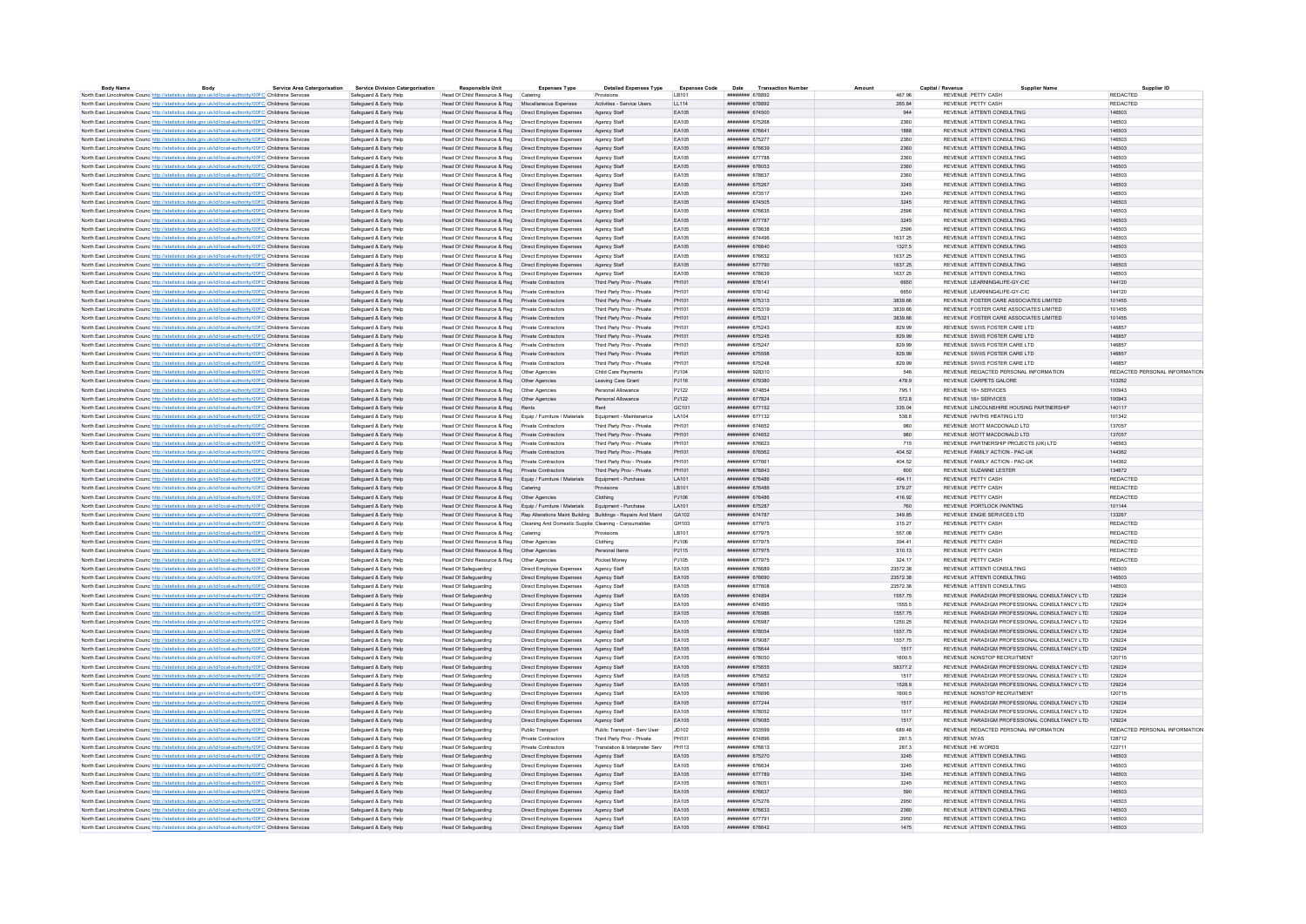| <b>Body Name</b>                                                                                                  | Body                                                                                                   | <b>Service Area Catergorisation</b> | <b>Service Division Catergorisation</b> | <b>Responsible Unit</b>                                                                   | <b>Expenses Type</b>                                 | <b>Detailed Expenses Type</b>  | <b>Expenses Code</b> | Date<br><b>Transaction Numbe</b>      |          | <b>Supplier Name</b>                           | Supplier ID                   |
|-------------------------------------------------------------------------------------------------------------------|--------------------------------------------------------------------------------------------------------|-------------------------------------|-----------------------------------------|-------------------------------------------------------------------------------------------|------------------------------------------------------|--------------------------------|----------------------|---------------------------------------|----------|------------------------------------------------|-------------------------------|
| North East Lincolnshire Counc http://statistics.data.gov.uk/id/local-authority/00FC Childrens Services            |                                                                                                        |                                     | Safeguard & Early Help                  | Head Of Child Resource & Reg Catering                                                     |                                                      | Provisions                     | I B101               | <b>ИНИНИИН</b> 678892                 | 467.96   | REVENUE PETTY CASH                             | <b>REDACTED</b>               |
| North East Lincolnshire Counc http://statistics.data.gov.uk/id/local-authority/00FC Childrens Services            |                                                                                                        |                                     | Safeguard & Early Help                  | Head Of Child Resource & Reg Miscellaneous Expenses                                       |                                                      | Activities - Service Users     | LL114                | ######## 678892                       | 265.84   | REVENUE PETTY CASH                             | <b>REDACTED</b>               |
| North East Lincolnshire Counc http://statistics.data.gov.uk/id/local-authority/00FC Childrens Services            |                                                                                                        |                                     | Safeguard & Early Help                  | Head Of Child Resource & Reg   Direct Employee Expenses                                   |                                                      |                                | EA105                | <b><i><u>HNSSHHHHH</u> 674500</i></b> | 944      | REVENUE ATTENTI CONSULTING                     | 146503                        |
| North East Lincolnshire Counc. http://statistics.data.gov.uk/id/local-authority/00FC Childrens Services           |                                                                                                        |                                     | Safeguard & Early Help                  | Head Of Child Resource & Reg  Direct Employee Expenses                                    |                                                      | Agency Staff                   | FA105                | ининнин 675268                        | 2360     | REVENUE ATTENTI CONSULTING                     | 1,46503                       |
| North East Lincolnshire Counc http://statistics.data.gov.uk/id/local-authority/00FC Childrens Services            |                                                                                                        |                                     | Safeguard & Early Help                  | Head Of Child Resource & Reg   Direct Employee Expenses                                   |                                                      | Agency Staff                   | EA105                | ######## 676641                       | 1888     | REVENUE ATTENTI CONSULTING                     | 146503                        |
| North East Lincolnshire Counc http://statistics.data.gov.uk/id/local-authority/00FC Childrens Services            |                                                                                                        |                                     | Safeguard & Early Help                  | Head Of Child Resource & Reg   Direct Employee Expenses                                   |                                                      | Agency Staff                   | EA105                | ######## 675277                       | 2360     | REVENUE ATTENTI CONSULTING                     | 146503                        |
| North East Lincolnshire Counc http://statistics.data.gov.uk/id/local-authority/00FC Childrens Services            |                                                                                                        |                                     | Safeguard & Early Help                  | Head Of Child Resource & Reg   Direct Employee Expenses                                   |                                                      | Agency Staff                   | EA105                | ######## 676639                       | 2360     | REVENUE ATTENTI CONSULTING                     | 146503                        |
| North East Lincolnshire Councint the Material State Advanced Authority/00FC Childrens Services                    |                                                                                                        |                                     | Safeguard & Early Help                  | Head Of Child Resource & Reg   Direct Employee Expenses                                   |                                                      | Agency Staff                   | EA105                | нивнини 677788                        | 2360     | REVENUE ATTENTI CONSULTING                     | 146503                        |
| North East Lincolnshire Counc http://statistics.data.gov.uk/id/local-authority/00FC Childrens Services            |                                                                                                        |                                     | Safeguard & Early Help                  | Head Of Child Resource & Reg  Direct Employee Expenses                                    |                                                      | Agency Staff                   | EA105                | ######## 678053                       | 2360     | REVENUE ATTENTI CONSULTING                     | 146503                        |
| North East Lincolnshire Counc http://statistics.data.gov.uk/id/local-authority/00FC Childrens Services            |                                                                                                        |                                     | Safeguard & Early Help                  | Head Of Child Resource & Reg   Direct Employee Expenses                                   |                                                      | Agency Staff                   | EA105                | ######## 678637                       | 2360     | REVENUE ATTENTI CONSULTING                     | 146503                        |
| North East Lincolnshire Counc http://statistics.data.gov.uk/id/local-authority/00FC Childrens Services            |                                                                                                        |                                     | Safeguard & Early Help                  | Head Of Child Resource & Reg  Direct Employee Expenses                                    |                                                      | Agency Staff                   | EA105                | ######## 675267                       | 3245     | REVENUE ATTENTI CONSULTING                     | 146503                        |
| North East Lincolnshire Counc http://statistics.data.gov.uk/id/local-authority/00FC Childrens Services            |                                                                                                        |                                     | Safeguard & Early Help                  | Head Of Child Resource & Reg   Direct Employee Expenses                                   |                                                      | Agency Staf                    | EA105                | ####### 67351                         | 3245     | REVENUE ATTENTI CONSULTING                     | 146503                        |
| North East Lincolnshire Counc http://statistics.data.gov.uk/id/local-authority/00FC Childrens Services            |                                                                                                        |                                     | Safeguard & Early Help                  | Head Of Child Resource & Reg  Direct Employee Expenses                                    |                                                      | Agency Staff                   | FA105                | ######## 674505                       | 3245     | REVENUE ATTENTI CONSULTING                     | 146503                        |
| North East Lincolnshire Counc http://statistics.data.gov.uk/id/local-authority/00FC Childrens Services            |                                                                                                        |                                     | Safeguard & Early Help                  | Head Of Child Resource & Reg   Direct Employee Expenses                                   |                                                      |                                | EA105                | ######## 676635                       | 2596     | REVENUE ATTENTI CONSULTING                     | 146503                        |
|                                                                                                                   |                                                                                                        |                                     |                                         |                                                                                           |                                                      | Agency Staff                   | EA105                | ######## 677787                       |          | REVENUE ATTENTI CONSULTING                     | 1,46503                       |
| North East Lincolnshire Counc http://statistics.data.gov.uk/id/local-authority/00FC Childrens Services            |                                                                                                        |                                     | Safeguard & Early Help                  | Head Of Child Resource & Reg   Direct Employee Expenses                                   |                                                      | Agency Staff                   |                      |                                       | 3245     |                                                | 146503                        |
| North East Lincolnshire Counc http://statistics.data.gov.uk/id/local-authority/00FC Childrens Services            |                                                                                                        |                                     | Safeguard & Early Help                  | Head Of Child Resource & Reg   Direct Employee Expenses                                   |                                                      | Agency Staff                   | EA105                | ######## 678638                       | 2596     | REVENUE ATTENTI CONSULTING                     |                               |
| North East Lincolnshire Counc http://statistics.data.gov.uk/id/local-authority/00FC Childrens Services            |                                                                                                        |                                     | Safeguard & Early Help                  | Head Of Child Resource & Reg   Direct Employee Expenses                                   |                                                      | Agency Staf                    | EA105                | ######## 674496                       | 1637.25  | REVENUE ATTENTI CONSULTING                     | 146503                        |
| North East Lincolnshire Counc http://statistics.data.gov.uk/id/local-authority/00FC Childrens Services            |                                                                                                        |                                     | Safeguard & Early Help                  | Head Of Child Resource & Reg  Direct Employee Expenses                                    |                                                      | Agency Staff                   | EA105                | ######## 676640                       | 1327.5   | REVENUE ATTENTI CONSULTING                     | 146503                        |
| North East Lincolnshire Counc http://statistics.data.gov.uk/id/local-authority/00FC Childrens Services            |                                                                                                        |                                     | Safeguard & Early Help                  | Head Of Child Resource & Reg   Direct Employee Expenses                                   |                                                      | Agency Staff                   | EA105                | ######## 676632                       | 1637.25  | REVENUE ATTENTI CONSULTING                     | 146503                        |
| North East Lincolnshire Counc. http://statistics.data.gov.uk/id/local-authority/00FC Childrens Services           |                                                                                                        |                                     | Safeguard & Early Help                  | Head Of Child Resource & Reg   Direct Employee Expenses                                   |                                                      | Agency Staff                   | EA105                | ######## 677790                       | 1637.25  | REVENUE ATTENTI CONSULTING                     | 146503                        |
| North East Lincolnshire Counce http://statistics.data.gov.uk/id/local-authority/00FC Childrens Services           |                                                                                                        |                                     | Safeguard & Early Help                  | Head Of Child Resource & Reg   Direct Employee Expenses                                   |                                                      | Agency Staf                    | EA105                | ######## 678639                       | 1637.25  | REVENUE ATTENTI CONSULTING                     | 146503                        |
| North East Lincolnshire Councint the Material State Add According Material Analysis of Childrens Services         |                                                                                                        |                                     | Safeguard & Early Help                  | Head Of Child Resource & Reg Private Contractors                                          |                                                      | Third Party Prov - Private     | PH101                | ######## 678141                       | 6650     | REVENUE LEARNING4LIFE-GY-CIC                   | 144120                        |
| North East Lincolnshire Counc http://statistics.data.gov.uk/id/local-authority/00FC Childrens Services            |                                                                                                        |                                     | Safeguard & Early Help                  | Head Of Child Resource & Reg Private Contractors                                          |                                                      | Third Party Prov - Private     | PH101                | ######## 678142                       | 6650     | REVENUE LEARNING4LIFE-GY-CIC                   | 144120                        |
| North East Lincolnshire Counc http://statistics.data.gov.uk/id/local-authority/00FC Childrens Services            |                                                                                                        |                                     | Safeguard & Early Help                  | Head Of Child Resource & Reg Private Contractors                                          |                                                      | Third Party Prov - Private     | PH101                | ######## 675313                       | 3839.66  | REVENUE FOSTER CARE ASSOCIATES LIMITED         | 101455                        |
| North East Lincolnshire Counc http://statistics.data.gov.uk/id/local-authority/00FC Childrens Services            |                                                                                                        |                                     | Safeguard & Early Help                  | Head Of Child Resource & Reg Private Contractors                                          |                                                      | Third Party Prov - Private     | PH101                | ######## 675319                       | 3839.66  | REVENUE FOSTER CARE ASSOCIATES LIMITED         | 101455                        |
| North East Lincolnshire Counc <sup>http://statistics.data.gov.uk/id/local-authority/00FC Childrens Services</sup> |                                                                                                        |                                     | Safeguard & Early Help                  | Head Of Child Resource & Reg Private Contractors                                          |                                                      | Third Party Prov - Private     | PH101                | ######## 675321                       | 3839.66  | REVENUE FOSTER CARE ASSOCIATES LIMITED         | 101455                        |
| North East Lincolnshire Counc http://statistics.data.gov.uk/id/local-authority/00FC Childrens Services            |                                                                                                        |                                     | Safeguard & Early Help                  | Head Of Child Resource & Reg Private Contractors                                          |                                                      | Third Party Prov - Private     | PH101                | нивнини 675243                        | 829.99   | REVENUE SWIJS FOSTER CARE LTD                  | 146857                        |
|                                                                                                                   |                                                                                                        |                                     |                                         | Head Of Child Resource & Reg Private Contractors                                          |                                                      | Third Party Prov - Private     | PH101                | ######## 675245                       | 829.99   | REVENUE SWIIS FOSTER CARE LTD                  | 146857                        |
| North East Lincolnshire Counc http://statistics.data.gov.uk/id/local-authority/00FC Childrens Services            |                                                                                                        |                                     | Safeguard & Early Help                  |                                                                                           |                                                      |                                | <b>PH101</b>         | ######## 675247                       |          | REVENUE SWIIS FOSTER CARE LTD                  | 146857                        |
| North East Lincolnshire Counc. http://statistics.data.gov.uk/id/local-authority/00FC Childrens Services           |                                                                                                        |                                     | Safeguard & Early Help                  | Head Of Child Resource & Reg Private Contractors                                          |                                                      | Third Party Prov - Private     |                      |                                       | 829.99   |                                                |                               |
| North East Lincolnshire Counc http://statistics.data.gov.uk/id/local-authority/00FC Childrens Services            |                                                                                                        |                                     | Safeguard & Early Help                  | Head Of Child Resource & Reg Private Contractors                                          |                                                      | Third Party Prov - Private     | PH101                | ######## 675598                       | 829.99   | REVENUE SWIIS FOSTER CARE LTD                  | 146857                        |
| North East Lincolnshire Counc. http://statistics.data.gov.uk/id/local-authority/00FC Childrens Services           |                                                                                                        |                                     | Safeguard & Early Help                  | Head Of Child Resource & Reg    Private Contractors                                       |                                                      | Third Party Prov - Private     | PH101                | ######## 675248                       | 829.99   | REVENUE SWIIS FOSTER CARE LTD                  | 146857                        |
| North East Lincolnshire Counc http://statistics.data.gov.uk/id/local-authority/00FC Childrens Services            |                                                                                                        |                                     | Safeguard & Early Help                  | Head Of Child Resource & Reg   Other Agencies                                             |                                                      | Child Care Payments            | PJ104                | ######## 928310                       | 546      | REVENUE REDACTED PERSONAL INFORMATION          | REDACTED PERSONAL INFORMATION |
| North East Lincolnshire Counc http://statistics.data.gov.uk/id/local-authority/00FC Childrens Services            |                                                                                                        |                                     | Safeguard & Early Help                  | Head Of Child Resource & Reg   Other Agencies                                             |                                                      | Leaving Care Grant             | PJ116                | ######## 679380                       | 478.9    | REVENUE CARPETS GALORE                         | 103262                        |
| North East Lincolnshire Counc http://statistics.data.gov.uk/id/local-authority/00FC Childrens Services            |                                                                                                        |                                     | Safeguard & Early Help                  |                                                                                           |                                                      | Personal Allowance             | P.1122               | ######## 674854                       | 795 1    | REVENUE 16+ SERVICES                           | 100943                        |
| North East Lincolnshire Counc http://statistics.data.gov.uk/id/local-authority/00FC Childrens Services            |                                                                                                        |                                     | Safeguard & Early Help                  | Head Of Child Resource & Reg   Other Agencies                                             |                                                      | Personal Allowance             | PJ122                | ####### 677824                        | 572.8    | REVENUE 16+ SERVICES                           | 100943                        |
| North East Lincolnshire Counc http://statistics.data.gov.uk/id/local-authority/00FC Childrens Services            |                                                                                                        |                                     | Safeguard & Early Help                  | Head Of Child Resource & Reg Rents                                                        |                                                      | Rent                           | GC101                | ######## 677152                       | 335.04   | REVENUE LINCOLNSHIRE HOUSING PARTNERSHIP       | 140117                        |
| North East Lincolnshire Counc http://statistics.data.gov.uk/id/local-authority/00FC Childrens Services            |                                                                                                        |                                     | Safeguard & Early Help                  | Head Of Child Resource & Reg Equip / Furniture / Materials                                |                                                      | Equipment - Maintenance        | LA104                | ######## 677132                       | 538.6    | REVENUE HAITHS HEATING LTD                     | 101342                        |
| North East Lincolnshire Counc http://statistics.data.gov.uk/id/local-authority/00FC Childrens Services            |                                                                                                        |                                     | Safeguard & Early Help                  | Head Of Child Resource & Reg    Private Contractors                                       |                                                      | Third Party Prov - Private     | PH101                | ######## 674652                       | 980      | REVENUE MOTT MACDONALD LTD                     | 137057                        |
| North East Lincolnshire Counc http://statistics.data.gov.uk/id/local-authority/00FC Childrens Services            |                                                                                                        |                                     | Safeguard & Early Help                  | Head Of Child Resource & Reg Private Contractors                                          |                                                      | Third Party Prov - Private     | PH101                | ининнин 674652                        | 980      | REVENUE MOTT MACDONALD LTD.                    | 137057                        |
| North East Lincolnshire Counc http://statistics.data.gov.uk/id/local-authority/00FC Childrens Services            |                                                                                                        |                                     | Safeguard & Early Help                  | Head Of Child Resource & Reg Private Contractors                                          |                                                      | Third Party Prov - Private     | PH101                | ######## 676623                       | 715      | REVENUE PARTNERSHIP PROJECTS (UK) LTD          | 146563                        |
| North East Lincolnshire Counc http://statistics.data.gov.uk/id/local-authority/00FC Childrens Services            |                                                                                                        |                                     | Safeguard & Early Help                  | Head Of Child Resource & Reg Private Contractors                                          |                                                      | Third Party Prov - Private     | PH101                | ######## 676562                       | 404.52   | REVENUE FAMILY ACTION - PAC-UK                 | 144362                        |
|                                                                                                                   |                                                                                                        |                                     |                                         | Head Of Child Resource & Reg Private Contractors                                          |                                                      | Third Party Prov - Private     | PH101                | ######## 677661                       | 404.52   | REVENUE FAMILY ACTION - PAC-UK                 | 144362                        |
| North East Lincolnshire Counc <sup>http://statistics.data.gov.uk/id/local-authority/00FC Childrens Services</sup> |                                                                                                        |                                     | Safeguard & Early Help                  |                                                                                           |                                                      |                                | PH101                | ######## 678843                       | 600      | REVENUE SUZANNE LESTER                         | 134872                        |
| North East Lincolnshire Counc http://statistics.data.gov.uk/id/local-authority/00FC Childrens Services            |                                                                                                        |                                     | Safeguard & Early Help                  | Head Of Child Resource & Reg Private Contractors                                          |                                                      | Third Party Prov - Private     |                      |                                       |          |                                                |                               |
| North East Lincolnshire Counc http://statistics.data.gov.uk/id/local-authority/00FC Childrens Services            |                                                                                                        |                                     | Safeguard & Early Help                  | Head Of Child Resource & Reg Equip / Furniture / Materials                                |                                                      | Equipment - Purchase           | LA101                | ######## 676486                       | 494.11   | REVENUE PETTY CASH                             | REDACTED                      |
| North East Lincolnshire Counc http://statistics.data.gov.uk/id/local-authority/00FC Childrens Services            |                                                                                                        |                                     | Safeguard & Early Help                  | Head Of Child Resource & Reg Catering                                                     |                                                      | Provisions                     | LB101                | ######## 676486                       | 379.27   | REVENUE PETTY CASH                             | REDACTED                      |
| North East Lincolnshire Counc http://statistics.data.gov.uk/id/local-authority/00FC Childrens Services            |                                                                                                        |                                     | Safeguard & Early Help                  | Head Of Child Resource & Reg   Other Agencies                                             |                                                      | Clothing                       | PJ106                | ######## 676486                       | 416.92   | REVENUE PETTY CASH                             | REDACTED                      |
| North East Lincolnshire Counc <sup>http://statistics.data.gov.uk/id/local-authority/00FC Childrens Services</sup> |                                                                                                        |                                     | Safeguard & Early Help                  | Head Of Child Resource & Reg Equip / Furniture / Materials Equipment - Purchase           |                                                      |                                | LA101                | ####### 675287                        | 760      | REVENUE PORTLOCK PAINTING                      | 101144                        |
| North East Lincolnshire Counc http://statistics.data.gov.uk/id/local-authority/00FC Childrens Services            |                                                                                                        |                                     | Safeguard & Early Help                  | Head Of Child Resource & Reg Rep Alterations Maint Building Buildings - Repairs And Maint |                                                      |                                | GA102                | нивнини 674787                        | 349.85   | REVENUE ENGIE SERVICES LTD                     | 133267                        |
| North East Lincolnshire Counc http://statistics.data.gov.uk/id/local-authority/00FC Childrens Services            |                                                                                                        |                                     | Safeguard & Early Help                  | Head Of Child Resource & Reg  Cleaning And Domestic Supplie Cleaning - Consumables        |                                                      |                                | GH103                | ######## 677975                       | 315.27   | REVENUE PETTY CASH                             | REDACTED                      |
| North East Lincolnshire Counc http://statistics.data.gov.uk/id/local-authority/00FC Childrens Services            |                                                                                                        |                                     | Safeguard & Early Help                  | Head Of Child Resource & Reg Catering                                                     |                                                      | <b>Provisions</b>              | LB101                | ######## 677975                       | 557.08   | REVENUE PETTY CASH                             | <b>REDACTED</b>               |
| North East Lincolnshire Counc http://statistics.data.gov.uk/id/local-authority/00FC Childrens Services            |                                                                                                        |                                     | Safeguard & Early Help                  | Head Of Child Resource & Reg   Other Agencies                                             |                                                      | Clothing                       | PJ106                | ######## 677975                       | 394 41   | REVENUE PETTY CASH                             | <b>REDACTED</b>               |
| North East Lincolnshire Counc. http://statistics.data.gov.uk/id/local-authority/00FC Childrens Services           |                                                                                                        |                                     | Safeguard & Early Help                  | Head Of Child Resource & Reg   Other Agencies                                             |                                                      | Personal Items                 | PJ115                | ######## 677975                       | 310.13   | REVENUE PETTY CASH                             | <b>REDACTED</b>               |
| North East Lincolnshire Counc. http://statistics.data.gov.uk/id/local-authority/00FC Childrens Services           |                                                                                                        |                                     | Safeguard & Early Help                  | Head Of Child Resource & Reg   Other Agencies                                             |                                                      | Pocket Money                   | PJ105                | ######## 677975                       | 324.17   | REVENUE PETTY CASH                             | REDACTED                      |
| North East Lincolnshire Counc http://statistics.data.gov.uk/id/local-authority/00FC Childrens Services            |                                                                                                        |                                     | Safeguard & Early Help                  | <b>Head Of Safeguarding</b>                                                               | Direct Employee Expenses                             | Agency Stat                    | EA105                | ######## 676689                       | 23572.38 | REVENUE ATTENTI CONSULTING                     | 146503                        |
| North East Lincolnshire Counc http://statistics.data.gov.uk/id/local-authority/00FC Childrens Services            |                                                                                                        |                                     | Safeguard & Early Help                  | Head Of Safeguarding                                                                      | Direct Employee Expenses                             | Agency Staff                   | EA105                | ######## 676690                       | 23572.38 | REVENUE ATTENTI CONSULTING                     | 146503                        |
| North East Lincolnshire Counc http://statistics.data.gov.uk/id/local-authority/00FC Childrens Services            |                                                                                                        |                                     | Safeguard & Early Help                  | <b>Head Of Safeguarding</b>                                                               | Direct Employee Expenses                             | Agency Staff                   | EA105                | ######## 677608                       | 23572.38 | REVENUE ATTENTI CONSULTING                     | 146503                        |
|                                                                                                                   |                                                                                                        |                                     |                                         |                                                                                           |                                                      |                                | EA105                | ######## 674894                       | 1557.75  | REVENUE PARADIGM PROFESSIONAL CONSULTANCY LTD  | 129224                        |
| North East Lincolnshire Counc. http://statistics.data.gov.uk/id/local-authority/00FC Childrens Services           |                                                                                                        |                                     | Safeguard & Early Help                  | Head Of Safeguarding                                                                      | Direct Employee Expenses                             | Agency Staff                   |                      |                                       |          |                                                |                               |
| North East Lincolnshire Counc http://statistics.data.gov.uk/id/local-authority/00FC Childrens Services            |                                                                                                        |                                     | Safeguard & Early Help                  | Head Of Safeguarding                                                                      | Direct Employee Expenses                             | Agency Staff                   | EA105                | ######## 674895<br>######## 676986    | 1555.5   | REVENUE PARADIGM PROFESSIONAL CONSULTANCY LTD  | 129224                        |
| North East Lincolnshire Counc http://statistics.data.gov.uk/id/local-authority/00FC Childrens Services            |                                                                                                        |                                     | Safeguard & Early Help                  | <b>Head Of Safeguarding</b>                                                               | Direct Employee Expenses                             | Agency Staff                   | EA105                |                                       | 1557.75  | REVENUE PARADIGM PROFESSIONAL CONSULTANCY LTD  | 129224                        |
| North East Lincolnshire Counc http://statistics.data.gov.uk/id/local-authority/00FC Childrens Services            |                                                                                                        |                                     | Safeguard & Early Help                  | <b>Head Of Safeguarding</b>                                                               | Direct Employee Expenses                             | Agency Staf                    | EA105                | ######## 676987                       | 1250.25  | REVENUE PARADIGM PROFESSIONAL CONSULTANCY LTD  | 129224                        |
| North East Lincolnshire Counc <sup>htto://statistics.data.gov.uk/id/local-authority/00FC Childrens Services</sup> |                                                                                                        |                                     | Safeguard & Early Help                  | Head Of Safeguarding                                                                      | Direct Employee Expenses                             | Agency Staff                   | EA105                | ######## 678054                       | 1557.75  | REVENUE PARADIGM PROFESSIONAL CONSULTANCY LTD  | 129224                        |
| North East Lincolnshire Counc http://statistics.data.gov.uk/id/local-authority/00FC Childrens Services            |                                                                                                        |                                     | Safeguard & Early Help                  | <b>Head Of Safeguarding</b>                                                               | Direct Employee Expenses                             | Agency Staff                   | FA105                | ######## 679087                       | 1557 75  | REVENUE PARADIGM PROFESSIONAL CONSULTANCY LTD. | 129224                        |
| North East Lincolnshire Counc http://statistics.data.gov.uk/id/local-authority/00FC Childrens Services            |                                                                                                        |                                     | Safeguard & Early Help                  | <b>Head Of Safeguarding</b>                                                               | Direct Employee Expenses                             | Agency Staff                   | EA105                | ######## 678644                       | 1517     | REVENUE PARADIGM PROFESSIONAL CONSULTANCY LTD  | 129224                        |
| North East Lincolnshire Counc http://statistics.data.gov.uk/id/local-authority/00FC Childrens Services            |                                                                                                        |                                     | Safeguard & Early Help                  | <b>Head Of Safeguarding</b>                                                               | Direct Employee Expenses                             | Agency Staff                   | <b>FA105</b>         | <b><i>HNNHHHHH 678050</i></b>         | 1600 5   | REVENUE NONSTOR RECRUITMENT                    | 120715                        |
| North East Lincolnshire Counc http://statistics.data.gov.uk/id/local-authority/00FC Childrens Services            |                                                                                                        |                                     | Safeguard & Early Help                  | <b>Head Of Safeguarding</b>                                                               | Direct Employee Expenses                             | Agency Staff                   | EA105                | ####### 675655                        | 583772   | REVENUE PARADIGM PROFESSIONAL CONSULTANCY LTD  | 129224                        |
| North East Lincolnshire Counc. http://statistics.data.gov.uk/id/local-authority/00FC Childrens Services           |                                                                                                        |                                     | Safeguard & Early Help                  | <b>Head Of Safeguarding</b>                                                               | Direct Employee Expenses                             | Agency Staff                   | EA105                | ######## 675652                       | 1517     | REVENUE PARADIGM PROFESSIONAL CONSULTANCY LTD  | 129224                        |
| North East Lincolnshire Counc http://statistics.data.gov.uk/id/local-authority/00FC Childrens Services            |                                                                                                        |                                     | Safeguard & Early Help                  | <b>Head Of Safeguarding</b>                                                               | Direct Employee Expenses                             | Agency Staff                   | EA105                | ######## 675651                       | 1528.9   | REVENUE PARADIGM PROFESSIONAL CONSULTANCY LTD  | 129224                        |
| North East Lincolnshire Counce http://statistics.data.gov.uk/id/local-authority/00FC Childrens Services           |                                                                                                        |                                     | Safeguard & Early Help                  | <b>Head Of Safeguarding</b>                                                               | Direct Employee Expenses                             | Agency Stat                    | EA105                | ######## 676696                       | 1600.5   | REVENUE NONSTOP RECRUITMEN                     | 120715                        |
| North East Lincolnshire Counc <sup>htto://statistics.data.gov.uk/id/local-authority/00FC Childrens Services</sup> |                                                                                                        |                                     | Safeguard & Early Help                  | <b>Head Of Safeguarding</b>                                                               | Direct Employee Expenses                             | Agency Staff                   | EA105                | ниннинин 677244                       | 1517     | REVENUE PARADIGM PROFESSIONAL CONSULTANCY LTD. | 129224                        |
| North East Lincolnshire Counc http://statistics.data.gov.uk/id/local-authority/00FC Childrens Services            |                                                                                                        |                                     | Safeguard & Early Help                  | <b>Head Of Safeguarding</b>                                                               | Direct Employee Expenses                             | Agency Staf                    | EA105                | ####### 678052                        | 1517     | REVENUE PARADIGM PROFESSIONAL CONSULTANCY LTD  | 129224                        |
| North East Lincolnshire Counc http://statistics.data.gov.uk/id/local-authority/00FC Childrens Services            |                                                                                                        |                                     | Safeguard & Early Help                  | <b>Head Of Safeguarding</b>                                                               | Direct Employee Expenses                             | Agency Staff                   | EA105                | ######## 679085                       | 1517     | REVENUE PARADIGM PROFESSIONAL CONSULTANCY LTD  | 129224                        |
| North East Lincolnshire Counc http://statistics.data.gov.uk/id/local-authority/00FC Childrens Services            |                                                                                                        |                                     | Safeguard & Early Help                  | <b>Head Of Safeguarding</b>                                                               | Public Transport                                     | Public Transport - Serv User   | JD102                | ######## 933599                       | 689.48   | REVENUE REDACTED PERSONAL INFORMATION          | REDACTED PERSONAL INFORMATION |
| North East Lincolnshire Counc http://statistics.data.gov.uk/id/local-authority/00FC Childrens Services            |                                                                                                        |                                     | Safeguard & Early Help                  | Head Of Safeguarding                                                                      | Private Contractors                                  | Third Party Prov - Private     | PH101                | <b>ИНИННИН</b> 674896                 | 281.5    | <b>REVENUE NYAS</b>                            | 128712                        |
|                                                                                                                   |                                                                                                        |                                     |                                         |                                                                                           |                                                      |                                |                      | ######## 676613                       |          | REVENUE HE WORDS                               |                               |
| North East Lincolnshire Counc http://statistics.data.gov.uk/id/local-authority/00FC Childrens Services            |                                                                                                        |                                     | Safeguard & Early Help                  | <b>Head Of Safeguarding</b>                                                               | <b>Private Contractors</b>                           | Translation & Interpreter Serv | PH113                |                                       | 287.3    |                                                | 122711                        |
| North East Lincolnshire Counc http://statistics.data.gov.uk/id/local-authority/00FC Childrens Services            |                                                                                                        |                                     | Safeguard & Early Help                  | Head Of Safeguarding                                                                      | Direct Employee Expenses                             | Agency Staff                   | EA105                | ######## 675270                       | 3245     | REVENUE ATTENTI CONSULTING                     | 146503                        |
| North East Lincolnshire Counc. http://statistics.data.gov.uk/id/local-authority/00FC Childrens Services           |                                                                                                        |                                     | Safeguard & Early Help                  | <b>Head Of Safeguarding</b>                                                               | Direct Employee Expenses                             | Agency Staff                   | FA105                | ининнин 676634                        | 3245     | REVENUE ATTENTI CONSULTING                     | 146503                        |
| North East Lincolnshire Counc http://statistics.data.gov.uk/id/local-authority/00FC Childrens Services            |                                                                                                        |                                     | Safeguard & Early Help                  | <b>Head Of Safeguarding</b>                                                               | Direct Employee Expenses                             | Agency Staff                   | EA105                | ######## 677789                       | 3245     | REVENUE ATTENTI CONSULTING                     | 146503                        |
| North East Lincolnshire Counc http://statistics.data.gov.uk/id/local-authority/00FC Childrens Services            |                                                                                                        |                                     | Safeguard & Early Help                  | <b>Head Of Safeguarding</b>                                                               | Direct Employee Expenses                             | Agency Staff                   | <b>FA105</b>         | ######## 678051                       | 3245     | REVENUE ATTENTI CONSULTING                     | 146503                        |
| North East Lincolnshire Counc http://statistics.data.gov.uk/id/local-authority/00FC Childrens Services            |                                                                                                        |                                     | Safeguard & Early Help                  | <b>Head Of Safeguarding</b>                                                               | Direct Employee Expenses                             | Agency Staff                   | EA105                | ####### 676637                        | 590      | REVENUE ATTENTI CONSULTING                     | 146503                        |
|                                                                                                                   |                                                                                                        |                                     |                                         |                                                                                           | Direct Employee Expenses                             | Agency Staff                   | EA105                | ######## 675276                       | 2950     | REVENUE ATTENTI CONSULTING                     | 146503                        |
|                                                                                                                   | North East Lincolnshire Counc http://statistics.data.gov.uk/id/local-authority/00FC Childrens Services |                                     | Safeguard & Early Help                  | <b>Head Of Safeguarding</b>                                                               |                                                      |                                |                      |                                       |          |                                                |                               |
| North East Lincolnshire Counc http://statistics.data.gov.uk/id/local-authority/00FC Childrens Services            |                                                                                                        |                                     | Safeguard & Early Help                  | <b>Head Of Safeguarding</b>                                                               | Direct Employee Expenses                             | Agency Staff                   | EA105                | ######## 676633                       | 2360     | REVENUE ATTENTI CONSULTING                     | 146503                        |
| North East Lincolnshire Counc http://statistics.data.gov.uk/id/local-authority/00FC Childrens Services            |                                                                                                        |                                     | Safeguard & Early Help                  | <b>Head Of Safeguarding</b>                                                               | Direct Employee Expenses<br>Direct Employee Expenses | Agency Staff                   | EA105                | <b>ининнин</b> 677791                 | 2950     | REVENUE ATTENTI CONSULTING                     | 146503                        |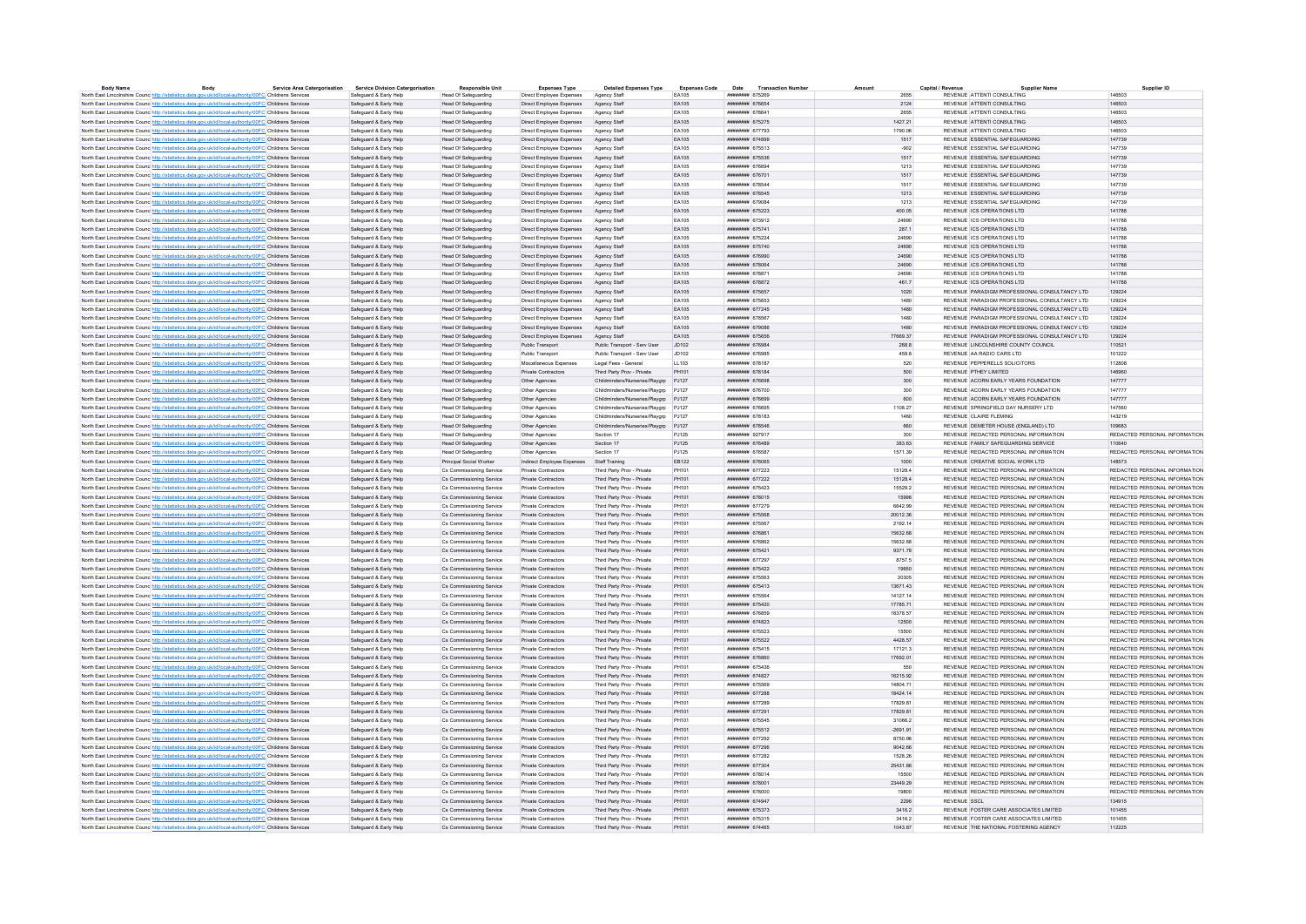| <b>Body Name</b>                                                                                                  | Body | <b>Service Area Catergorisation</b> | <b>Service Division Catergorisation</b> | <b>Responsible Unit</b>     | <b>Expenses Type</b>                      | <b>Detailed Expenses Type</b>        | <b>Expenses Code</b> | Date<br><b>Transaction Numbe</b>     |            | Capital / Revenu                               | Supplier ID                   |
|-------------------------------------------------------------------------------------------------------------------|------|-------------------------------------|-----------------------------------------|-----------------------------|-------------------------------------------|--------------------------------------|----------------------|--------------------------------------|------------|------------------------------------------------|-------------------------------|
| North East Lincolnshire Counc http://statistics.data.gov.uk/id/local-authority/00FC Childrens Services            |      |                                     | Safeguard & Early Help                  | <b>Head Of Safeguarding</b> | Direct Employee Expenses                  | Agency Staff                         | FA105                | ####### 675269                       | 2855       | REVENUE ATTENTI CONSULTING                     | 146503                        |
| North East Lincolnshire Counc http://statistics.data.gov.uk/id/local-authority/00FC Childrens Services            |      |                                     | Safeguard & Early Help                  | Head Of Safeguarding        | Direct Employee Expenses                  | Agency Staff                         | EA105                | <b><i><u>########</u> 676654</i></b> | 2124       | REVENUE ATTENTI CONSULTING                     | 146503                        |
| North East Lincolnshire Counc http://statistics.data.gov.uk/id/local-authority/00FC Childrens Services            |      |                                     | Safeguard & Early Help                  | <b>Head Of Safeguarding</b> | Direct Employee Expenses                  | Agency Staff                         | FA105                | <b><i><u>HNNHHHHH</u></i></b> 678641 | 2655       | REVENUE ATTENTI CONSULTING                     | 146503                        |
| North East Lincolnshire Counc. http://statistics.data.gov.uk/id/local-authority/00FC Childrens Services           |      |                                     | Safenuard & Farly Help                  | Head Of Safeguarding        | Direct Employee Expenses                  | Agency Staff                         | FA105                | ######## 675275                      | 1427 21    | REVENUE ATTENTI CONSULTING                     | 146503                        |
| North East Lincolnshire Counc http://statistics.data.gov.uk/id/local-authority/00FC Childrens Services            |      |                                     | Safeguard & Early Help                  | Head Of Safeguarding        | Direct Employee Expenses                  | Agency Staff                         | EA105                | ######## 677793                      | 1790.06    | REVENUE ATTENTI CONSULTING                     | 146503                        |
| North East Lincolnshire Counc. http://statistics.data.gov.uk/id/local-authority/00FC Childrens Services           |      |                                     | Safeguard & Early Help                  | <b>Head Of Safeguarding</b> | Direct Employee Expenses                  | Agency Staff                         | EA105                | ######## 674899                      | 1517       | REVENUE ESSENTIAL SAFEGUARDING                 | 147739                        |
| North East Lincolnshire Counc http://statistics.data.gov.uk/id/local-authority/00FC Childrens Services            |      |                                     | Safeguard & Early Help                  | <b>Head Of Safeguarding</b> | Direct Employee Expenses                  | Agency Staff                         | EA105                | ######## 675513                      | $-902$     | REVENUE ESSENTIAL SAFEGUARDING                 | 147739                        |
| North East Lincolnshire Counc http://statistics.data.gov.uk/id/local-authority/00FC Childrens Services            |      |                                     | Safeguard & Early Help                  | <b>Head Of Safeguarding</b> | Direct Employee Expenses                  | Agency Staff                         | EA105                | ######## 675536                      | 1517       | REVENUE ESSENTIAL SAFEGUARDING                 | 147739                        |
| North East Lincolnshire Counc http://statistics.data.gov.uk/id/local-authority/00FC Childrens Services            |      |                                     | Safeguard & Early Help                  | <b>Head Of Safeguarding</b> | Direct Employee Expenses                  | Agency Staff                         | EA105                | ######## 676694                      | 1213       | REVENUE ESSENTIAL SAFEGUARDING                 | 147739                        |
|                                                                                                                   |      |                                     |                                         |                             |                                           |                                      |                      |                                      |            |                                                |                               |
| North East Lincolnshire Counc http://statistics.data.gov.uk/id/local-authority/00FC Childrens Services            |      |                                     | Safeguard & Early Help                  | <b>Head Of Safeguarding</b> | Direct Employee Expenses                  | Agency Staff                         | EA105                | ####### 676701                       | 1517       | REVENUE ESSENTIAL SAFEGUARDING                 | 147739                        |
| North East Lincolnshire Counc http://statistics.data.gov.uk/id/local-authority/00FC Childrens Services            |      |                                     | Safeguard & Early Help                  | <b>Head Of Safeguarding</b> | Direct Employee Expenses                  | Agency Staff                         | EA105                | ######## 678544                      | 1517       | REVENUE ESSENTIAL SAFEGUARDING                 | 147739                        |
| North East Lincolnshire Counc http://statistics.data.gov.uk/id/local-authority/00FC Childrens Services            |      |                                     | Safeguard & Early Help                  | <b>Head Of Safeguarding</b> | Direct Employee Expenses                  | Agency Staff                         | EA105                | ######## 678545                      | 1213       | REVENUE ESSENTIAL SAFEGUARDING                 | 147739                        |
| North East Lincolnshire Counc http://statistics.data.gov.uk/id/local-authority/00FC Childrens Services            |      |                                     | Safeguard & Early Help                  | Head Of Safeguarding        | Direct Employee Expenses                  | Agency Staff                         | <b>FA105</b>         | ######## 679084                      | 1213       | REVENUE ESSENTIAL SAFEGUARDING                 | 147739                        |
| North East Lincolnshire Counc http://statistics.data.gov.uk/id/local-authority/00FC Childrens Services            |      |                                     | Safeguard & Early Help                  | Head Of Safeguarding        | Direct Employee Expenses                  | Agency Staff                         | EA105                | ######## 675223                      | 400.05     | REVENUE ICS OPERATIONS LTD                     | 141788                        |
| North East Lincolnshire Counc http://statistics.data.gov.uk/id/local-authority/00FC Childrens Services            |      |                                     | Safeguard & Early Help                  | <b>Head Of Safeguarding</b> | Direct Employee Expenses                  | Agency Staff                         | EA105                | ######## 673912                      | 24690      | REVENUE ICS OPERATIONS LTD                     | 141788                        |
| North East Lincolnshire Counc http://statistics.data.gov.uk/id/local-authority/00FC Childrens Services            |      |                                     | Safeguard & Early Help                  | Head Of Safeguarding        | Direct Employee Expenses                  | Agency Staff                         | EA105                | ######## 675741                      | 287.1      | REVENUE ICS OPERATIONS LTD                     | 141788                        |
| North East Lincolnshire Counc http://statistics.data.gov.uk/id/local-authority/00FC Childrens Services            |      |                                     | Safeguard & Early Help                  | <b>Head Of Safeguarding</b> | Direct Employee Expenses                  | Agency Staf                          | EA105                | ######## 675224                      | 24690      | REVENUE ICS OPERATIONS LTD                     | 141788                        |
|                                                                                                                   |      |                                     | Safeguard & Early Help                  | Head Of Safeguarding        | Direct Employee Expenses                  | Agency Staff                         | FA105                | ######## 675740                      | 24690      | REVENUE ICS OPERATIONS LTD                     | 141788                        |
| North East Lincolnshire Counc. http://statistics.data.gov.uk/id/local-authority/00FC Childrens Services           |      |                                     | Safeguard & Early Help                  |                             |                                           |                                      |                      | ######## 676990                      |            | REVENUE ICS OPERATIONS LTD                     |                               |
| North East Lincolnshire Counc http://statistics.data.gov.uk/id/local-authority/00FC Childrens Services            |      |                                     |                                         | <b>Head Of Safeguarding</b> | Direct Employee Expenses                  | Agency Staff                         | EA105                |                                      | 24690      |                                                | 141788                        |
| North East Lincolnshire Counc. http://statistics.data.gov.uk/id/local-authority/00FC Childrens Services           |      |                                     | Safeguard & Early Help                  | <b>Head Of Safeguarding</b> | Direct Employee Expenses                  | Agency Staff                         | EA105                | ######## 678064                      | 24690      | REVENUE ICS OPERATIONS LTD                     | 141788                        |
| North East Lincolnshire Counc http://statistics.data.gov.uk/id/local-authority/00FC Childrens Services            |      |                                     | Safeguard & Early Help                  | <b>Head Of Safeguarding</b> | Direct Employee Expenses                  | Agency Staf                          | EA105                | ######## 678871                      | 24690      | REVENUE ICS OPERATIONS LTD                     | 141788                        |
| North East Lincolnshire Councint the Material State Add According Material Analysis of Childrens Services         |      |                                     | Safeguard & Early Help                  | <b>Head Of Safeguarding</b> | Direct Employee Expenses                  | Agency Staff                         | EA105                | ниннини 678872                       | 461.7      | REVENUE ICS OPERATIONS LTD                     | 141788                        |
| North East Lincolnshire Counc http://statistics.data.gov.uk/id/local-authority/00FC Childrens Services            |      |                                     | Safeguard & Early Help                  | Head Of Safeguarding        | Direct Employee Expenses                  | Agency Staff                         | EA105                | ######## 675657                      | 1020       | REVENUE PARADIGM PROFESSIONAL CONSULTANCY LTD  | 129224                        |
| North East Lincolnshire Counc http://statistics.data.gov.uk/id/local-authority/00FC Childrens Services            |      |                                     | Safeguard & Early Help                  | <b>Head Of Safeguarding</b> | Direct Employee Expenses                  | Agency Staff                         | EA105                | ######## 675653                      | 1480       | REVENUE PARADIGM PROFESSIONAL CONSULTANCY LTD  | 129224                        |
| North East Lincolnshire Counc. http://statistics.data.gov.uk/id/local-authority/00FC Childrens Services           |      |                                     | Safeguard & Early Help                  | <b>Head Of Safeguarding</b> | Direct Employee Expenses                  | Agency Staff                         | EA105                | <b>ИНИНИИН</b> 677245                | 1480       | REVENUE PARADIGM PROFESSIONAL CONSULTANCY LTD. | 129224                        |
| North East Lincolnshire Counc http://statistics.data.gov.uk/id/local-authority/00FC Childrens Services            |      |                                     | Safeguard & Early Help                  | <b>Head Of Safeguarding</b> | Direct Employee Expenses                  | Agency Staf                          | EA105                | ####### 67856                        | 1480       | REVENUE PARADIGM PROFESSIONAL CONSULTANCY LTD  | 129224                        |
| North East Lincolnshire Counc http://statistics.data.gov.uk/id/local-authority/00FC Childrens Services            |      |                                     | Safeguard & Early Help                  | Head Of Safeguarding        | Direct Employee Expenses                  | Agency Staff                         | FA105                | ######## 679086                      | 1480       | REVENUE PARADIGM PROFESSIONAL CONSULTANCY LTD. | 129224                        |
|                                                                                                                   |      |                                     |                                         |                             |                                           |                                      |                      |                                      |            |                                                |                               |
| North East Lincolnshire Counc http://statistics.data.gov.uk/id/local-authority/00FC Childrens Services            |      |                                     | Safeguard & Early Help                  | Head Of Safeguarding        | Direct Employee Expenses                  | Agency Staff                         | EA105                | ######## 675656                      | 77669.37   | REVENUE PARADIGM PROFESSIONAL CONSULTANCY LTD  | 129224                        |
| North East Lincolnshire Counc http://statistics.data.gov.uk/id/local-authority/00FC Childrens Services            |      |                                     | Safeguard & Early Help                  | <b>Head Of Safeguarding</b> | Public Transport                          | Public Transport - Serv User         | JD102                | ######## 676984                      | 268.8      | REVENUE LINCOLNSHIRE COUNTY COUNCIL            | 110521                        |
| North East Lincolnshire Counc http://statistics.data.gov.uk/id/local-authority/00FC Childrens Services            |      |                                     | Safeguard & Early Help                  | <b>Head Of Safeguarding</b> | Public Transport                          | Public Transport - Serv User         | JD102                | ######## 676985                      | 459.8      | REVENUE AA RADIO CARS LTD                      | 101222                        |
| North East Lincolnshire Counc http://statistics.data.gov.uk/id/local-authority/00FC Childrens Services            |      |                                     | Safeguard & Early Help                  | Head Of Safeguarding        | Miscellaneous Expenses                    | Legal Fees - Genera                  | LL103                | <b>ИНИНИНИ 678187</b>                | 520        | REVENUE PEPPERELLS SOLICITORS                  | 112808                        |
| North East Lincolnshire Counc. http://statistics.data.gov.uk/id/local-authority/00FC Childrens Services           |      |                                     | Safeguard & Early Help                  | Head Of Safeguarding        | Private Contractors                       | Third Party Prov - Private           | PH101                | иннинин 678184                       | 500        | REVENUE PTHEY LIMITED.                         | 146960                        |
| North East Lincolnshire Counc http://statistics.data.gov.uk/id/local-authority/00FC Childrens Services            |      |                                     | Safeguard & Early Help                  | <b>Head Of Safeguarding</b> | Other Agencies                            | Childminders/Nurseries/Playgrp PJ127 |                      | ######## 676698                      | 300        | REVENUE ACORN EARLY YEARS FOUNDATION           | 147777                        |
| North East Lincolnshire Counc http://statistics.data.gov.uk/id/local-authority/00FC Childrens Services            |      |                                     | Safeguard & Early Help                  | <b>Head Of Safeguarding</b> | Other Agencies                            | Childminders/Nurseries/Playgrp PJ127 |                      | ######## 676700                      | 300        | REVENUE ACORN EARLY YEARS FOUNDATION           | 147777                        |
| North East Lincolnshire Counc http://statistics.data.gov.uk/id/local-authority/00FC Childrens Services            |      |                                     | Safeguard & Early Help                  | <b>Head Of Safeguarding</b> | Other Agencies                            | Childminders/Nurseries/Playgrp PJ127 |                      | ######## 676699                      | 600        | REVENUE ACORN EARLY YEARS FOUNDATION           | 147777                        |
| North East Lincolnshire Counc http://statistics.data.gov.uk/id/local-authority/00FC Childrens Services            |      |                                     | Safeguard & Early Help                  | <b>Head Of Safeguarding</b> | Other Agencies                            | Childminders/Nurseries/Playgrp PJ127 |                      | ######## 676695                      | 1108.27    | REVENUE SPRINGFIELD DAY NURSERY LTD            | 147560                        |
|                                                                                                                   |      |                                     |                                         |                             |                                           |                                      |                      | ######## 678183                      |            |                                                |                               |
| North East Lincolnshire Counc http://statistics.data.gov.uk/id/local-authority/00FC Childrens Services            |      |                                     | Safeguard & Early Help                  | <b>Head Of Safeguarding</b> | Other Agencies                            | Childminders/Nurseries/Playarp PJ127 |                      |                                      | 1460       | REVENUE CLAIRE FLEMING                         | 143219                        |
| North East Lincolnshire Counc http://statistics.data.gov.uk/id/local-authority/00FC Childrens Services            |      |                                     | Safeguard & Early Help                  | <b>Head Of Safeguarding</b> | Other Agencies                            | Childminders/Nurseries/Playgrp PJ127 |                      | ####### 678546                       | 660        | REVENUE DEMETER HOUSE (ENGLAND) LTD            | 109683                        |
| North East Lincolnshire Counc <sup>htto://statistics.data.gov.uk/id/local-authority/00FC Childrens Services</sup> |      |                                     | Safeguard & Early Help                  | <b>Head Of Safeguarding</b> | Other Agencies                            | Section 17                           | P.1125               | ######## 927917                      | 300        | REVENUE REDACTED PERSONAL INFORMATION          | REDACTED PERSONAL INFORMATION |
| North East Lincolnshire Counc http://statistics.data.gov.uk/id/local-authority/00FC Childrens Services            |      |                                     | Safeguard & Early Help                  | Head Of Safeguarding        | Other Agencies                            | Section 17                           | PJ125                | ####### 676489                       | 383.63     | REVENUE FAMILY SAFEGUARDING SERVICE            | 110640                        |
| North East Lincolnshire Counc http://statistics.data.gov.uk/id/local-authority/00FC Childrens Services            |      |                                     | Safeguard & Early Help                  | <b>Head Of Safeguarding</b> | Other Agencies                            | Section 17                           | P.1125               | ######## 676587                      | 1571.39    | REVENUE REDACTED PERSONAL INFORMATION          | REDACTED PERSONAL INFORMATION |
| North East Lincolnshire Counc http://statistics.data.gov.uk/id/local-authority/00FC Childrens Services            |      |                                     | Safeguard & Early Help                  | Principal Social Worker     | Indirect Employee Expenses Staff Training |                                      | EB122                | ######## 678065                      | 1000       | REVENUE CREATIVE SOCIAL WORK LTD               | 148573                        |
| North East Lincolnshire Counc http://statistics.data.gov.uk/id/local-authority/00FC Childrens Services            |      |                                     | Safeguard & Early Help                  | Cs Commissioning Service    | Private Contractors                       | Third Party Prov - Private           | PH101                | ######## 677223                      | 15128.4    | REVENUE REDACTED PERSONAL INFORMATION          | REDACTED PERSONAL INFORMATION |
| North East Lincolnshire Counc http://statistics.data.gov.uk/id/local-authority/00FC Childrens Services            |      |                                     | Safeguard & Early Help                  | Cs Commissioning Service    | <b>Private Contractors</b>                | Third Party Prov - Private           | PH101                | ######## 677222                      | 15128.4    | REVENUE REDACTED PERSONAL INFORMATION          | REDACTED PERSONAL INFORMATION |
| North East Lincolnshire Counc http://statistics.data.gov.uk/id/local-authority/00FC Childrens Services            |      |                                     | Safeguard & Early Help                  | Cs Commissioning Service    | Private Contractors                       | Third Party Prov - Private           | PH101                | ######## 675423                      | 15529.2    | REVENUE REDACTED PERSONAL INFORMATION          | REDACTED PERSONAL INFORMATION |
|                                                                                                                   |      |                                     | Safeguard & Early Help                  | Cs Commissioning Service    | Private Contractors                       | Third Party Prov - Private           | PH101                | ######## 678015                      | 15996      | REVENUE REDACTED PERSONAL INFORMATION          | REDACTED PERSONAL INFORMATION |
| North East Lincolnshire Counc. http://statistics.data.gov.uk/id/local-authority/00FC Childrens Services           |      |                                     |                                         |                             |                                           |                                      |                      |                                      |            |                                                |                               |
| North East Lincolnshire Counc. http://statistics.data.gov.uk/id/local-authority/00FC Childrens Services           |      |                                     | Safeguard & Early Help                  | Cs Commissioning Service    | Private Contractors                       | Third Party Prov - Private           | PH101                | ######## 677279                      | 6642.99    | REVENUE REDACTED PERSONAL INFORMATION          | REDACTED PERSONAL INFORMATION |
| North East Lincolnshire Counc http://statistics.data.gov.uk/id/local-authority/00FC Childrens Services            |      |                                     | Safeguard & Early Help                  | Cs Commissioning Service    | Private Contractors                       | Third Party Prov - Private           | PH101                | ######## 675568                      | 20012.36   | REVENUE REDACTED PERSONAL INFORMATION          | REDACTED PERSONAL INFORMATION |
| North East Lincolnshire Counc http://statistics.data.gov.uk/id/local-authority/00FC Childrens Services            |      |                                     | Safeguard & Early Help                  | Cs Commissioning Service    | Private Contractors                       | Third Party Prov - Private           | PH101                | ######## 675567                      | 2192.14    | REVENUE REDACTED PERSONAL INFORMATION          | REDACTED PERSONAL INFORMATION |
| North East Lincolnshire Counc. http://statistics.data.gov.uk/id/local-authority/00FC Childrens Services           |      |                                     | Safeguard & Early Help                  | Cs Commissioning Service    | Private Contractors                       | Third Party Prov - Private           | PH101                | ######## 676861                      | 15632.68   | REVENUE REDACTED PERSONAL INFORMATION          | REDACTED PERSONAL INFORMATION |
| North East Lincolnshire Counc http://statistics.data.gov.uk/id/local-authority/00FC Childrens Services            |      |                                     | Safeguard & Early Help                  | Cs Commissioning Service    | Private Contractors                       | Third Party Prov - Private           | PH101                | ######## 676862                      | 15632.68   | REVENUE REDACTED PERSONAL INFORMATION          | REDACTED PERSONAL INFORMATION |
| North East Lincolnshire Counc http://statistics.data.gov.uk/id/local-authority/00FC Childrens Services            |      |                                     | Safeguard & Early Help                  | Cs Commissioning Service    | Private Contractors                       | Third Party Prov - Private           | PH101                | ######## 675421                      | 9371.78    | REVENUE REDACTED PERSONAL INFORMATION          | REDACTED PERSONAL INFORMATION |
| North East Lincolnshire Counc http://statistics.data.gov.uk/id/local-authority/00FC Childrens Services            |      |                                     | Safeguard & Early Help                  | Cs Commissioning Service    | Private Contractors                       | Third Party Prov - Private           | PH101                | ######## 677297                      | 8757.5     | REVENUE REDACTED PERSONAL INFORMATION          | REDACTED PERSONAL INFORMATION |
| North East Lincolnshire Counc http://statistics.data.gov.uk/id/local-authority/00FC Childrens Services            |      |                                     | Safeguard & Early Help                  | Cs Commissioning Service    | Private Contractors                       | Third Party Prov - Private           | PH101                | ######## 675422                      | 19650      | REVENUE REDACTED PERSONAL INFORMATION          | REDACTED PERSONAL INFORMATION |
| North East Lincolnshire Counc http://statistics.data.gov.uk/id/local-authority/00FC Childrens Services            |      |                                     | Safeguard & Early Help                  | Cs Commissioning Service    | Private Contractors                       | Third Party Prov - Private           | PH101                | ######## 675563                      | 20305      | REVENUE REDACTED PERSONAL INFORMATION          | REDACTED PERSONAL INFORMATION |
|                                                                                                                   |      |                                     |                                         |                             |                                           |                                      |                      |                                      |            |                                                |                               |
| North East Lincolnshire Counc http://statistics.data.gov.uk/id/local-authority/00FC Childrens Services            |      |                                     | Safeguard & Early Help                  | Cs Commissioning Service    | Private Contractors                       | Third Party Prov - Private           | PH101                | ######## 675413                      | 13671.43   | REVENUE REDACTED PERSONAL INFORMATION          | REDACTED PERSONAL INFORMATION |
| North East Lincolnshire Counc http://statistics.data.gov.uk/id/local-authority/00FC Childrens Services            |      |                                     | Safeguard & Early Help                  | Cs Commissioning Service    | Private Contractors                       | Third Party Prov - Private           | PH101                | ######## 675564                      | 14127.14   | REVENUE REDACTED PERSONAL INFORMATION          | REDACTED PERSONAL INFORMATION |
| North East Lincolnshire Counc http://statistics.data.gov.uk/id/local-authority/00FC Childrens Services            |      |                                     | Safeguard & Early Help                  | Cs Commissioning Service    | Private Contractors                       | Third Party Prov - Private           | PH101                | <b>ИНИНИНИИ</b> 675420               | 17785 71   | REVENUE REDACTED PERSONAL INFORMATION          | REDACTED PERSONAL INFORMATION |
| North East Lincolnshire Counc http://statistics.data.gov.uk/id/local-authority/00FC Childrens Services            |      |                                     | Safeguard & Early Help                  | Cs Commissioning Service    | Private Contractors                       | Third Party Prov - Private           | PH101                | ######## 676859                      | 18378.57   | REVENUE REDACTED PERSONAL INFORMATION          | REDACTED PERSONAL INFORMATION |
| North East Lincolnshire Counc. http://statistics.data.gov.uk/id/local-authority/00FC Childrens Services           |      |                                     | Safeguard & Early Help                  | Cs Commissioning Service    | Private Contractors                       | Third Party Prov - Private           | PH101                | ниннини 674823                       | 12500      | REVENUE REDACTED PERSONAL INFORMATION          | REDACTED PERSONAL INFORMATION |
| North East Lincolnshire Counc. http://statistics.data.gov.uk/id/local-authority/00FC Childrens Services           |      |                                     | Safeguard & Early Help                  | Cs Commissioning Service    | Private Contractors                       | Third Party Prov - Private           | PH101                | ####### 675523                       | 15500      | REVENUE REDACTED PERSONAL INFORMATION          | REDACTED PERSONAL INFORMATION |
| North East Lincolnshire Counc http://statistics.data.gov.uk/id/local-authority/00FC Childrens Services            |      |                                     | Safeguard & Early Help                  | Cs Commissioning Service    | Private Contractors                       | Third Party Prov - Private           | PH101                | ######## 675522                      | 4428.57    | REVENUE REDACTED PERSONAL INFORMATION          | REDACTED PERSONAL INFORMATION |
| North East Lincolnshire Counc http://statistics.data.gov.uk/id/local-authority/00FC Childrens Services            |      |                                     | Safeguard & Early Help                  | Cs Commissioning Service    | Private Contractors                       | Third Party Prov - Private           | PH101                | ####### 675415                       | 17121.3    | REVENUE REDACTED PERSONAL INFORMATION          | REDACTED PERSONAL INFORMATION |
|                                                                                                                   |      |                                     |                                         |                             |                                           |                                      |                      | ######## 676860                      |            |                                                |                               |
| North East Lincolnshire Counc http://statistics.data.gov.uk/id/local-authority/00FC Childrens Services            |      |                                     | Safeguard & Early Help                  | Cs Commissioning Service    | Private Contractors                       | Third Party Prov - Private           | PH101                |                                      | 17692.01   | REVENUE REDACTED PERSONAL INFORMATION          | REDACTED PERSONAL INFORMATION |
| North East Lincolnshire Counc http://statistics.data.gov.uk/id/local-authority/00FC Childrens Services            |      |                                     | Safeguard & Early Help                  | Cs Commissioning Service    | Private Contractors                       | Third Party Prov - Private           | PH101                | ######## 675436                      | 550        | REVENUE REDACTED PERSONAL INFORMATION          | REDACTED PERSONAL INFORMATION |
| North East Lincolnshire Counc http://statistics.data.gov.uk/id/local-authority/00FC Childrens Services            |      |                                     | Safeguard & Early Help                  | Cs Commissioning Service    | Private Contractors                       | Third Party Prov - Private           | PH101                | ######## 674827                      | 16215.92   | REVENUE REDACTED PERSONAL INFORMATION          | REDACTED PERSONAL INFORMATION |
| North East Lincolnshire Counc http://statistics.data.gov.uk/id/local-authority/00FC Childrens Services            |      |                                     | Safeguard & Early Help                  | Cs Commissioning Service    | Private Contractors                       | Third Party Prov - Private           | PH101                | ####### 675569                       | 14804 71   | REVENUE REDACTED PERSONAL INFORMATION          | REDACTED PERSONAL INFORMATION |
| North East Lincolnshire Counc http://statistics.data.gov.uk/id/local-authority/00FC Childrens Services            |      |                                     | Safeguard & Early Help                  | Cs Commissioning Service    | Private Contractors                       | Third Party Prov - Private           | PH101                | ####### 677288                       | 18424.14   | REVENUE REDACTED PERSONAL INFORMATION          | REDACTED PERSONAL INFORMATION |
| North East Lincolnshire Counc http://statistics.data.gov.uk/id/local-authority/00FC Childrens Services            |      |                                     | Safeguard & Early Help                  | Cs Commissioning Service    | Private Contractors                       | Third Party Prov - Private           | PH101                | <b>ИНИННИН</b> 677289                | 17829.81   | REVENUE REDACTED PERSONAL INFORMATION          | REDACTED PERSONAL INFORMATION |
| North East Lincolnshire Counc http://statistics.data.gov.uk/id/local-authority/00FC Childrens Services            |      |                                     | Safeguard & Early Help                  | Cs Commissioning Service    | Private Contractors                       | Third Party Prov - Private           | PH101                | ######## 677291                      | 17829.81   | REVENUE REDACTED PERSONAL INFORMATION          | REDACTED PERSONAL INFORMATION |
| North East Lincolnshire Counc http://statistics.data.gov.uk/id/local-authority/00FC Childrens Services            |      |                                     | Safeguard & Early Help                  | Cs Commissioning Service    | Private Contractors                       | Third Party Prov - Private           | PH101                | ######## 675545                      | 31066.2    | REVENUE REDACTED PERSONAL INFORMATION          | REDACTED PERSONAL INFORMATION |
| North East Lincolnshire Counc http://statistics.data.gov.uk/id/local-authority/00FC Childrens Services            |      |                                     | Safeguard & Early Help                  | Cs Commissioning Service    | Private Contractors                       | Third Party Prov - Private           | PH101                | ######## 675512                      | $-2691.91$ | REVENUE REDACTED PERSONAL INFORMATION          | REDACTED PERSONAL INFORMATION |
|                                                                                                                   |      |                                     | Safeguard & Early Help                  | Cs Commissioning Service    | Private Contractors                       | Third Party Prov - Private           | PH101                | ######## 677292                      | 8750.96    | REVENUE REDACTED PERSONAL INFORMATION          | REDACTED PERSONAL INFORMATION |
| North East Lincolnshire Counc http://statistics.data.gov.uk/id/local-authority/00FC Childrens Services            |      |                                     |                                         | Cs Commissioning Service    | Private Contractors                       | Third Party Prov - Private           | PH101                | ининнин 677296                       | 9042.66    | REVENUE REDACTED PERSONAL INFORMATION          | REDACTED PERSONAL INFORMATION |
| North East Lincolnshire Counc. http://statistics.data.gov.uk/id/local-authority/00FC Childrens Services           |      |                                     | Safeguard & Early Help                  |                             |                                           |                                      |                      |                                      |            |                                                |                               |
| North East Lincolnshire Counc http://statistics.data.gov.uk/id/local-authority/00FC Childrens Services            |      |                                     | Safeguard & Early Help                  | Cs Commissioning Service    | Private Contractors                       | Third Party Prov - Private           | PH101                | ####### 677282                       | 1528.26    | REVENUE REDACTED PERSONAL INFORMATION          | REDACTED PERSONAL INFORMATION |
| North East Lincolnshire Counc. http://statistics.data.gov.uk/id/local-authority/00FC Childrens Services           |      |                                     | Safeguard & Early Help                  | Cs Commissioning Service    | Private Contractors                       | Third Party Prov - Private           | PH101                | ######## 677304                      | 25431.86   | REVENUE REDACTED PERSONAL INFORMATION          | REDACTED PERSONAL INFORMATION |
| North East Lincolnshire Counc http://statistics.data.gov.uk/id/local-authority/00FC Childrens Services            |      |                                     | Safeguard & Early Help                  | Cs Commissioning Service    | Private Contractors                       | Third Party Prov - Private           | PH101                | ######## 678014                      | 15500      | REVENUE REDACTED PERSONAL INFORMATION          | REDACTED PERSONAL INFORMATION |
| North East Lincolnshire Counc http://statistics.data.gov.uk/id/local-authority/00FC Childrens Services            |      |                                     | Safeguard & Early Help                  | Cs Commissioning Service    | Private Contractors                       | Third Party Prov - Private           | PH101                | ######## 678001                      | 23449.29   | REVENUE REDACTED PERSONAL INFORMATION          | REDACTED PERSONAL INFORMATION |
| North East Lincolnshire Counc http://statistics.data.gov.uk/id/local-authority/00FC Childrens Services            |      |                                     | Safeguard & Early Help                  | Cs Commissioning Service    | Private Contractors                       | Third Party Prov - Private           | PH101                | ######## 678000                      | 19800      | REVENUE REDACTED PERSONAL INFORMATION          | REDACTED PERSONAL INFORMATION |
| North East Lincolnshire Counc. http://statistics.data.gov.uk/id/local-authority/00FC Childrens Services           |      |                                     | Safeguard & Early Help                  | Cs Commissioning Service    | <b>Private Contractors</b>                | Third Party Prov - Private           | PH101                | ####### 674947                       | 2296       | <b>REVENUE SSCL</b>                            | 134915                        |
| North East Lincolnshire Counc http://statistics.data.gov.uk/id/local-authority/00FC Childrens Services            |      |                                     | Safeguard & Early Help                  | Cs Commissioning Service    | Private Contractors                       | Third Party Prov - Private           | PH101                | ######## 675373                      | 3416.2     | REVENUE FOSTER CARE ASSOCIATES LIMITED         | 101455                        |
| North East Lincolnshire Counc. http://statistics.data.gov.uk/id/local-authority/00FC Childrens Services           |      |                                     | Safeguard & Early Help                  | Cs Commissioning Service    | Private Contractors                       | Third Party Prov - Private           | PH101                | ####### 675315                       | 3416.2     | REVENUE FOSTER CARE ASSOCIATES LIMITED         | 101455                        |
|                                                                                                                   |      |                                     |                                         |                             |                                           |                                      |                      |                                      | 1043.87    | REVENUE THE NATIONAL FOSTERING AGENCY          |                               |
| North East Lincolnshire Counc http://statistics.data.gov.uk/id/local-authority/00FC Childrens Services            |      |                                     | Safeguard & Early Help                  | Cs Commissioning Service    | <b>Private Contractors</b>                | Third Party Prov - Private           | PH101                | ######## 674465                      |            |                                                | 112225                        |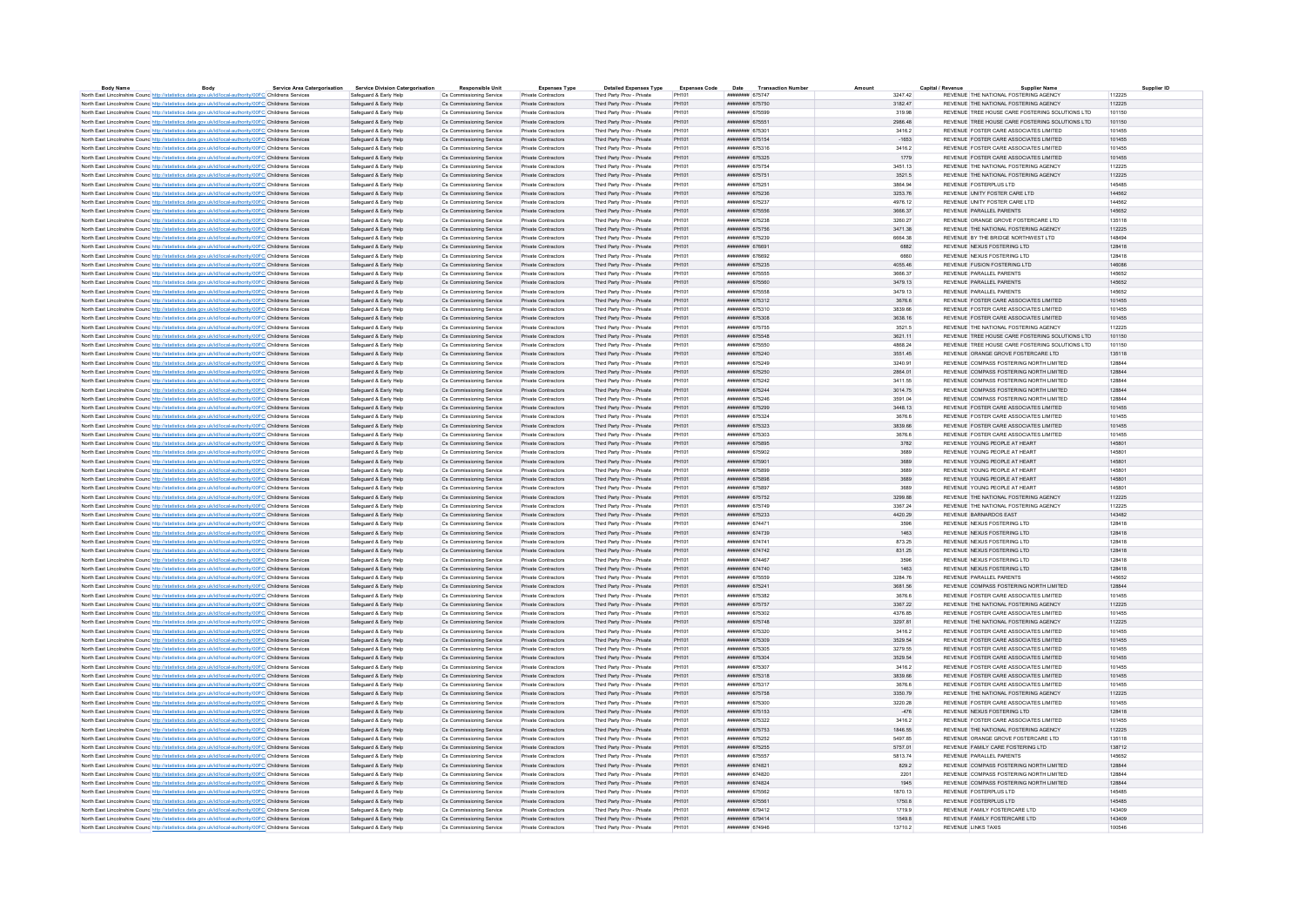| <b>Body Name</b> | Body                                                                                                              | <b>Service Area Catergorisation</b> | <b>Service Division Catergorisation</b> | <b>Responsible Unit</b>  | <b>Expenses Type</b>       | <b>Detailed Expenses Type</b> | <b>Expenses Code</b> | Date                                 | <b>Transaction Numbe</b> |         | Capital / Revenue          | Supplier Name                                    |        | Supplier ID |
|------------------|-------------------------------------------------------------------------------------------------------------------|-------------------------------------|-----------------------------------------|--------------------------|----------------------------|-------------------------------|----------------------|--------------------------------------|--------------------------|---------|----------------------------|--------------------------------------------------|--------|-------------|
|                  | North East Lincolnshire Counc http://statistics.data.gov.uk/id/local-authority/00FC Childrens Services            |                                     | Safeguard & Early Help                  | Cs Commissioning Service | Private Contractors        | Third Party Prov - Private    | PH101                | <b>ИНИНИНИ 675747</b>                |                          | 3247.42 |                            | REVENUE THE NATIONAL FOSTERING AGENCY            | 112225 |             |
|                  | North East Lincolnshire Counc http://statistics.data.gov.uk/id/local-authority/00FC Childrens Services            |                                     | Safeguard & Early Help                  | Cs Commissioning Service | Private Contractors        | Third Party Prov - Private    | PH101                | ####### 675750                       |                          | 3182.47 |                            | REVENUE THE NATIONAL FOSTERING AGENCY            | 112225 |             |
|                  | North East Lincolnshire Counc http://statistics.data.gov.uk/id/local-authority/00FC Childrens Service             |                                     | Safeguard & Early Help                  | Cs Commissioning Service | Private Contractors        | Third Party Prov - Private    | PH101                | <b><i><u>HNHHHHHH</u> 675500</i></b> |                          | 319.98  |                            | REVENUE TREE HOUSE CARE FOSTERING SOLUTIONS LTD. | 101150 |             |
|                  | North East Lincolnshire Counc. http://statistics.data.gov.uk/id/local-authority/00FC Childrens Services           |                                     | Safeguard & Farly Help                  | Cs Commissioning Service | Private Contractors        | Third Party Prov - Private    | PH101                | ####### 675551                       |                          | 2986 48 |                            | REVENUE TREE HOUSE CARE FOSTERING SOLUTIONS LTD. | 101150 |             |
|                  | North East Lincolnshire Counc http://statistics.data.gov.uk/id/local-authority/00FC Childrens Services            |                                     | Safeguard & Early Help                  | Cs Commissioning Service | Private Contractors        | Third Party Prov - Private    | PH101                | ######## 675301                      |                          | 3416.2  |                            | REVENUE FOSTER CARE ASSOCIATES LIMITED           | 101455 |             |
|                  | North East Lincolnshire Counc. http://statistics.data.gov.uk/id/local-authority/00FC Childrens Services           |                                     | Safeguard & Early Help                  | Cs Commissioning Service | Private Contractors        | Third Party Prov - Private    | PH101                | ######## 675154                      |                          | $-1653$ |                            | REVENUE FOSTER CARE ASSOCIATES LIMITED           | 101455 |             |
|                  | North East Lincolnshire Counc http://statistics.data.gov.uk/id/local-authority/00FC Childrens Services            |                                     | Safeguard & Early Help                  | Cs Commissioning Service | Private Contractors        | Third Party Prov - Private    | PH101                | ######## 675316                      |                          | 3416.2  |                            | REVENUE FOSTER CARE ASSOCIATES LIMITED           | 101455 |             |
|                  | North East Lincolnshire Counc http://statistics.data.gov.uk/id/local-authority/00FC Childrens Services            |                                     | Safeguard & Early Help                  | Cs Commissioning Service | Private Contractors        | Third Party Prov - Private    | PH101                | ######## 675325                      |                          | 1779    |                            | REVENUE FOSTER CARE ASSOCIATES LIMITED           | 101455 |             |
|                  | North East Lincolnshire Counc http://statistics.data.gov.uk/id/local-authority/00FC Childrens Services            |                                     | Safeguard & Early Help                  | Cs Commissioning Service | Private Contractors        | Third Party Prov - Private    | PH101                | ######## 675754                      |                          | 3451.13 |                            | REVENUE THE NATIONAL FOSTERING AGENCY            | 112225 |             |
|                  | North East Lincolnshire Counc http://statistics.data.gov.uk/id/local-authority/00FC Childrens Services            |                                     | Safeguard & Early Help                  | Cs Commissioning Service | Private Contractors        | Third Party Prov - Private    | PH101                | ####### 675751                       |                          | 3521.5  |                            | REVENUE THE NATIONAL FOSTERING AGENCY            | 112225 |             |
|                  | North East Lincolnshire Counc http://statistics.data.gov.uk/id/local-authority/00FC Childrens Services            |                                     | Safeguard & Early Help                  | Cs Commissioning Service | Private Contractors        | Third Party Prov - Private    | PH101                | ######## 675251                      |                          | 3864.94 |                            | REVENUE FOSTERPLUS LTD                           | 145485 |             |
|                  | North East Lincolnshire Counc http://statistics.data.gov.uk/id/local-authority/00FC Childrens Services            |                                     | Safeguard & Early Help                  | Cs Commissioning Service | Private Contractors        | Third Party Prov - Private    | PH101                | ######## 675236                      |                          | 3253.76 |                            | REVENUE UNITY FOSTER CARE LTD                    | 144562 |             |
|                  | North East Lincolnshire Counc http://statistics.data.gov.uk/id/local-authority/00FC Childrens Services            |                                     | Safeguard & Early Help                  | Cs Commissioning Service | Private Contractors        | Third Party Prov - Private    | PH101                | ######## 675237                      |                          | 4976.12 |                            | REVENUE UNITY FOSTER CARE LTD                    | 144562 |             |
|                  | North East Lincolnshire Counc http://statistics.data.gov.uk/id/local-authority/00FC Childrens Services            |                                     | Safeguard & Early Help                  | Cs Commissioning Service | Private Contractors        | Third Party Prov - Private    | PH101                | ######## 675556                      |                          | 3666.37 |                            | REVENUE PARALLEL PARENTS                         | 145652 |             |
|                  | North East Lincolnshire Counc http://statistics.data.gov.uk/id/local-authority/00FC Childrens Services            |                                     | Safeguard & Early Help                  | Cs Commissioning Service | <b>Private Contractors</b> | Third Party Prov - Private    | PH101                | ######## 675238                      |                          | 3260.27 |                            | REVENUE ORANGE GROVE FOSTERCARE LTD              | 135118 |             |
|                  | North East Lincolnshire Counc http://statistics.data.gov.uk/id/local-authority/00FC Childrens Services            |                                     | Safeguard & Early Help                  | Cs Commissioning Service | Private Contractors        | Third Party Prov - Private    | PH101                | ######## 675756                      |                          | 3471.38 |                            | REVENUE THE NATIONAL FOSTERING AGENCY            | 112225 |             |
|                  | North East Lincolnshire Counc http://statistics.data.gov.uk/id/local-authority/00FC Childrens Services            |                                     | Safeguard & Early Help                  | Cs Commissioning Service | Private Contractors        | Third Party Prov - Private    | PH101                | ######## 675239                      |                          | 6664.38 |                            | REVENUE BY THE BRIDGE NORTHWEST LTD              | 148494 |             |
|                  |                                                                                                                   |                                     | Safeguard & Early Help                  | Cs Commissioning Service | Private Contractors        | Third Party Prov - Private    | PH101                | ######## 676691                      |                          | 6882    |                            | REVENUE NEXUS FOSTERING LTD.                     | 128418 |             |
|                  | North East Lincolnshire Counc. http://statistics.data.gov.uk/id/local-authority/00FC Childrens Services           |                                     | Safeguard & Early Help                  | Cs Commissioning Service | Private Contractors        | Third Party Prov - Private    | PH101                | ######## 676692                      |                          | 6660    |                            | REVENUE NEXUS FOSTERING LTD                      | 128418 |             |
|                  | North East Lincolnshire Counc http://statistics.data.gov.uk/id/local-authority/00FC Childrens Services            |                                     |                                         |                          |                            |                               |                      |                                      |                          |         |                            |                                                  | 146086 |             |
|                  | North East Lincolnshire Counc http://statistics.data.gov.uk/id/local-authority/00FC Childrens Services            |                                     | Safeguard & Early Help                  | Cs Commissioning Service | Private Contractors        | Third Party Prov - Private    | PH101                | ######## 675235                      |                          | 4055.46 |                            | REVENUE FUSION FOSTERING LTD                     |        |             |
|                  | North East Lincolnshire Counc http://statistics.data.gov.uk/id/local-authority/00FC Childrens Services            |                                     | Safeguard & Early Help                  | Cs Commissioning Service | Private Contractors        | Third Party Prov - Private    | PH101                | ######## 675555                      |                          | 3666.37 |                            | REVENUE PARALLEL PARENTS                         | 145652 |             |
|                  | North East Lincolnshire Councint the Material State Add According Material Analysis of Childrens Services         |                                     | Safeguard & Early Help                  | Cs Commissioning Service | Private Contractors        | Third Party Prov - Private    | PH101                | ####### 675560                       |                          | 3479.13 |                            | REVENUE PARALLEL PARENTS                         | 145652 |             |
|                  | North East Lincolnshire Counc http://statistics.data.gov.uk/id/local-authority/00FC Childrens Services            |                                     | Safeguard & Early Help                  | Cs Commissioning Service | Private Contractors        | Third Party Prov - Private    | PH101                | ######## 675558                      |                          | 3479.13 |                            | REVENUE PARALLEL PARENTS                         | 145652 |             |
|                  | North East Lincolnshire Counc http://statistics.data.gov.uk/id/local-authority/00FC Childrens Services            |                                     | Safeguard & Early Help                  | Cs Commissioning Service | Private Contractors        | Third Party Prov - Private    | PH101                | ######## 675312                      |                          | 3676.6  |                            | REVENUE FOSTER CARE ASSOCIATES LIMITED           | 101455 |             |
|                  | North East Lincolnshire Counc. http://statistics.data.gov.uk/id/local-authority/00FC Childrens Services           |                                     | Safeguard & Early Help                  | Cs Commissioning Service | Private Contractors        | Third Party Prov - Private    | PH101                | ####### 675310                       |                          | 3839.66 |                            | REVENUE FOSTER CARE ASSOCIATES LIMITED.          | 101455 |             |
|                  | North East Lincolnshire Counc <sup>http://statistics.data.gov.uk/id/local-authority/00FC Childrens Services</sup> |                                     | Safeguard & Early Help                  | Cs Commissioning Service | Private Contractors        | Third Party Prov - Private    | PH101                | ######## 675308                      |                          | 3638.16 |                            | REVENUE FOSTER CARE ASSOCIATES LIMITED           | 101455 |             |
|                  | North East Lincolnshire Counc http://statistics.data.gov.uk/id/local-authority/00FC Childrens Services            |                                     | Safeguard & Early Help                  | Cs Commissioning Service | Private Contractors        | Third Party Prov - Private    | PH101                | ####### 675755                       |                          | 3521.5  |                            | REVENUE THE NATIONAL FOSTERING AGENCY            | 112225 |             |
|                  | North East Lincolnshire Counc http://statistics.data.gov.uk/id/local-authority/00FC Childrens Services            |                                     | Safeguard & Early Help                  | Cs Commissioning Service | Private Contractors        | Third Party Prov - Private    | PH101                | ######## 675548                      |                          | 3621.11 |                            | REVENUE TREE HOUSE CARE FOSTERING SOLUTIONS LTD  | 101150 |             |
|                  | North East Lincolnshire Counc http://statistics.data.gov.uk/id/local-authority/00FC Childrens Services            |                                     | Safeguard & Early Help                  | Cs Commissioning Service | Private Contractors        | Third Party Prov - Private    | PH101                | ######## 675550                      |                          | 4868.24 |                            | REVENUE TREE HOUSE CARE FOSTERING SOLUTIONS LTD  | 101150 |             |
|                  | North East Lincolnshire Counc http://statistics.data.gov.uk/id/local-authority/00FC Childrens Services            |                                     | Safeguard & Early Help                  | Cs Commissioning Service | Private Contractors        | Third Party Prov - Private    | PH101                | ######## 675240                      |                          | 3551.45 |                            | REVENUE ORANGE GROVE FOSTERCARE LTD              | 135118 |             |
|                  | North East Lincolnshire Counc http://statistics.data.gov.uk/id/local-authority/00FC Childrens Services            |                                     | Safeguard & Early Help                  | Cs Commissioning Service | Private Contractors        | Third Party Prov - Private    | PH101                | ######## 675249                      |                          | 3240.91 |                            | REVENUE COMPASS FOSTERING NORTH LIMITED          | 128844 |             |
|                  | North East Lincolnshire Counc http://statistics.data.gov.uk/id/local-authority/00FC Childrens Services            |                                     | Safeguard & Farly Help                  | Cs Commissioning Service | Private Contractors        | Third Party Prov - Private    | PH101                | ######## 675250                      |                          | 2864.01 |                            | REVENUE COMPASS FOSTERING NORTH LIMITED          | 128844 |             |
|                  | North East Lincolnshire Counc http://statistics.data.gov.uk/id/local-authority/00FC Childrens Services            |                                     | Safeguard & Early Help                  | Cs Commissioning Service | Private Contractors        | Third Party Prov - Private    | PH101                | ######## 675242                      |                          | 3411.55 |                            | REVENUE COMPASS FOSTERING NORTH LIMITED          | 128844 |             |
|                  | North East Lincolnshire Counc http://statistics.data.gov.uk/id/local-authority/00FC Childrens Services            |                                     | Safeguard & Early Help                  | Cs Commissioning Service | Private Contractors        | Third Party Prov - Private    | PH101                | ######## 675244                      |                          | 3014.75 |                            | REVENUE COMPASS FOSTERING NORTH LIMITED          | 128844 |             |
|                  | North East Lincolnshire Counc http://statistics.data.gov.uk/id/local-authority/00FC Childrens Services            |                                     | Safeguard & Early Help                  | Cs Commissioning Service | Private Contractors        | Third Party Prov - Private    | PH101                | ######## 675246                      |                          | 3591.04 |                            | REVENUE COMPASS FOSTERING NORTH LIMITED          | 128844 |             |
|                  |                                                                                                                   |                                     |                                         |                          |                            |                               |                      |                                      |                          |         |                            |                                                  |        |             |
|                  | North East Lincolnshire Counc http://statistics.data.gov.uk/id/local-authority/00FC Childrens Services            |                                     | Safeguard & Early Help                  | Cs Commissioning Service | Private Contractors        | Third Party Prov - Private    | PH101                | ######## 675299                      |                          | 3448.13 |                            | REVENUE FOSTER CARE ASSOCIATES LIMITED           | 101455 |             |
|                  | North East Lincolnshire Counc http://statistics.data.gov.uk/id/local-authority/00FC Childrens Services            |                                     | Safeguard & Early Help                  | Cs Commissioning Service | Private Contractors        | Third Party Prov - Private    | PH101                | ######## 675324                      |                          | 3676.6  |                            | REVENUE FOSTER CARE ASSOCIATES LIMITED           | 101455 |             |
|                  | North East Lincolnshire Counc http://statistics.data.gov.uk/id/local-authority/00FC Childrens Services            |                                     | Safeguard & Early Help                  | Cs Commissioning Service | Private Contractors        | Third Party Prov - Private    | PH101                | ######## 675323                      |                          | 3839.66 |                            | REVENUE FOSTER CARE ASSOCIATES LIMITED           | 101455 |             |
|                  | North East Lincolnshire Counc. http://statistics.data.gov.uk/id/local-authority/00FC Childrens Services           |                                     | Safeguard & Early Help                  | Cs Commissioning Service | Private Contractors        | Third Party Prov - Private    | PH101                | ######## 675303                      |                          | 3676.6  |                            | REVENUE FOSTER CARE ASSOCIATES LIMITED.          | 101455 |             |
|                  | North East Lincolnshire Counc http://statistics.data.gov.uk/id/local-authority/00FC Childrens Services            |                                     | Safeguard & Early Help                  | Cs Commissioning Service | Private Contractors        | Third Party Prov - Private    | PH101                | ####### 675895                       |                          | 3782    |                            | REVENUE YOUNG PEOPLE AT HEART                    | 145801 |             |
|                  | North East Lincolnshire Counc http://statistics.data.gov.uk/id/local-authority/00FC Childrens Services            |                                     | Safeguard & Early Help                  | Cs Commissioning Service | Private Contractors        | Third Party Prov - Private    | PH101                | ######## 675902                      |                          | 3689    |                            | REVENUE YOUNG PEOPLE AT HEART                    | 145801 |             |
|                  | North East Lincolnshire Counc http://statistics.data.gov.uk/id/local-authority/00FC Childrens Services            |                                     | Safeguard & Early Help                  | Cs Commissioning Service | Private Contractors        | Third Party Prov - Private    | PH101                | ######## 675901                      |                          | 3689    |                            | REVENUE YOUNG PEOPLE AT HEART                    | 145801 |             |
|                  | North East Lincolnshire Counc http://statistics.data.gov.uk/id/local-authority/00FC Childrens Services            |                                     | Safeguard & Early Help                  | Cs Commissioning Service | <b>Private Contractors</b> | Third Party Prov - Private    | PH101                | ######## 675899                      |                          | 3689    |                            | REVENUE YOUNG PEOPLE AT HEART                    | 145801 |             |
|                  | North East Lincolnshire Counc http://statistics.data.gov.uk/id/local-authority/00FC Childrens Services            |                                     | Safeguard & Early Help                  | Cs Commissioning Service | Private Contractors        | Third Party Prov - Private    | PH101                | ######## 675898                      |                          | 3689    |                            | REVENUE YOUNG PEOPLE AT HEART                    | 145801 |             |
|                  | North East Lincolnshire Counc http://statistics.data.gov.uk/id/local-authority/00FC Childrens Services            |                                     | Safeguard & Early Help                  | Cs Commissioning Service | Private Contractors        | Third Party Prov - Private    | PH101                | ######## 675897                      |                          | 3689    |                            | REVENUE YOUNG PEOPLE AT HEART                    | 14580  |             |
|                  | North East Lincolnshire Counc. http://statistics.data.gov.uk/id/local-authority/00FC Childrens Services           |                                     | Safeguard & Early Help                  | Cs Commissioning Service | Private Contractors        | Third Party Prov - Private    | PH101                | <b><i>HHBHHHHH</i></b> 675752        |                          | 3299 88 |                            | REVENUE THE NATIONAL FOSTERING AGENCY            | 112225 |             |
|                  | North East Lincolnshire Counc. http://statistics.data.gov.uk/id/local-authority/00FC Childrens Services           |                                     | Safeguard & Early Help                  | Cs Commissioning Service | Private Contractors        | Third Party Prov - Private    | PH101                | ####### 675749                       |                          | 3367.24 |                            | REVENUE THE NATIONAL FOSTERING AGENCY            | 112225 |             |
|                  | North East Lincolnshire Counc http://statistics.data.gov.uk/id/local-authority/00FC Childrens Services            |                                     | Safeguard & Early Help                  | Cs Commissioning Service | Private Contractors        | Third Party Prov - Private    | PH101                | ######## 675233                      |                          | 4420.29 |                            | REVENUE BARNARDOS EAST                           | 143482 |             |
|                  | North East Lincolnshire Counc http://statistics.data.gov.uk/id/local-authority/00FC Childrens Services            |                                     | Safeguard & Early Help                  | Cs Commissioning Service | Private Contractors        | Third Party Prov - Private    | PH101                | ####### 67447                        |                          | 3596    |                            | REVENUE NEXUS FOSTERING LTD                      | 128418 |             |
|                  | North East Lincolnshire Counc http://statistics.data.gov.uk/id/local-authority/00FC Childrens Services            |                                     | Safeguard & Early Help                  | Cs Commissioning Service | Private Contractors        | Third Party Prov - Private    | PH101                | ######## 674739                      |                          | 1463    |                            | REVENUE NEXUS FOSTERING LTD                      | 128418 |             |
|                  | North East Lincolnshire Counc http://statistics.data.gov.uk/id/local-authority/00FC Childrens Services            |                                     | Safeguard & Early Help                  | Cs Commissioning Service | Private Contractors        | Third Party Prov - Private    | PH101                | ######## 674741                      |                          | 873.25  |                            | REVENUE NEXUS FOSTERING LTD                      | 128418 |             |
|                  | North East Lincolnshire Counc http://statistics.data.gov.uk/id/local-authority/00FC Childrens Services            |                                     | Safeguard & Early Help                  | Cs Commissioning Service | Private Contractors        | Third Party Prov - Private    | PH101                | ######## 674742                      |                          | 831.25  |                            | REVENUE NEXUS FOSTERING LTD                      | 128418 |             |
|                  | North East Lincolnshire Counc http://statistics.data.gov.uk/id/local-authority/00FC Childrens Services            |                                     | Safeguard & Early Help                  | Cs Commissioning Service | Private Contractors        | Third Party Prov - Private    | PH101                | <b>ИНИНИИН</b> 674467                |                          | 3596    |                            | REVENUE NEXUS FOSTERING LTD                      | 128418 |             |
|                  | North East Lincolnshire Counc http://statistics.data.gov.uk/id/local-authority/00FC Childrens Services            |                                     | Safeguard & Early Help                  | Cs Commissioning Service | Private Contractors        | Third Party Prov - Private    | PH101                | ####### 674740                       |                          | 1463    |                            | REVENUE NEXUS FOSTERING LTD                      | 128418 |             |
|                  | North East Lincolnshire Counc http://statistics.data.gov.uk/id/local-authority/00FC Childrens Services            |                                     | Safeguard & Early Help                  | Cs Commissioning Service | Private Contractors        | Third Party Prov - Private    | PH101                | ####### 675559                       |                          | 3284.76 |                            | REVENUE PARALLEL PARENTS                         | 145652 |             |
|                  |                                                                                                                   |                                     |                                         | Cs Commissioning Service | Private Contractors        | Third Party Prov - Private    |                      | ######## 675241                      |                          | 3681.56 |                            | REVENUE COMPASS FOSTERING NORTH LIMITED          | 128844 |             |
|                  | North East Lincolnshire Counc http://statistics.data.gov.uk/id/local-authority/00FC Childrens Services            |                                     | Safeguard & Early Help                  |                          |                            |                               | PH101                |                                      |                          |         |                            | REVENUE FOSTER CARE ASSOCIATES LIMITED           |        |             |
|                  | North East Lincolnshire Counc http://statistics.data.gov.uk/id/local-authority/00FC Childrens Services            |                                     | Safeguard & Early Help                  | Cs Commissioning Service | Private Contractors        | Third Party Prov - Private    | PH101                | ######## 675382                      |                          | 3676.6  |                            |                                                  | 101455 |             |
|                  | North East Lincolnshire Counc http://statistics.data.gov.uk/id/local-authority/00FC Childrens Services            |                                     | Safeguard & Early Help                  | Cs Commissioning Service | Private Contractors        | Third Party Prov - Private    | PH101                | <b><i>HHBHHHHH</i></b> 675757        |                          | 3367.22 |                            | REVENUE THE NATIONAL FOSTERING AGENCY.           | 112225 |             |
|                  | North East Lincolnshire Counc http://statistics.data.gov.uk/id/local-authority/00FC Childrens Services            |                                     | Safeguard & Early Help                  | Cs Commissioning Service | Private Contractors        | Third Party Prov - Private    | PH101                | ######## 675302                      |                          | 4376.85 |                            | REVENUE FOSTER CARE ASSOCIATES LIMITED           | 101455 |             |
|                  | North East Lincolnshire Counc. http://statistics.data.gov.uk/id/local-authority/00FC Childrens Services           |                                     | Safeguard & Early Help                  | Cs Commissioning Service | Private Contractors        | Third Party Prov - Private    | PH101                | <b>ИНИНИНИ 675748</b>                |                          | 3297 81 |                            | REVENUE THE NATIONAL FOSTERING AGENCY.           | 112225 |             |
|                  | North East Lincolnshire Counc. http://statistics.data.gov.uk/id/local-authority/00FC Childrens Services           |                                     | Safeguard & Early Help                  | Cs Commissioning Service | Private Contractors        | Third Party Prov - Private    | PH101                | ######## 675320                      |                          | 3416.2  |                            | REVENUE FOSTER CARE ASSOCIATES LIMITED           | 101455 |             |
|                  | North East Lincolnshire Counc http://statistics.data.gov.uk/id/local-authority/00FC Childrens Services            |                                     | Safeguard & Early Help                  | Cs Commissioning Service | Private Contractors        | Third Party Prov - Private    | PH101                | ######## 675309                      |                          | 3529.54 |                            | REVENUE FOSTER CARE ASSOCIATES LIMITED           | 101455 |             |
|                  | North East Lincolnshire Counc <sup>http://statistics.data.gov.uk/id/local-authority/00FC Childrens Services</sup> |                                     | Safeguard & Early Help                  | Cs Commissioning Service | Private Contractors        | Third Party Prov - Private    | PH101                | ######## 675305                      |                          | 3279.55 |                            | REVENUE FOSTER CARE ASSOCIATES LIMITED           | 101455 |             |
|                  | North East Lincolnshire Counc http://statistics.data.gov.uk/id/local-authority/00FC Childrens Services            |                                     | Safeguard & Early Help                  | Cs Commissioning Service | Private Contractors        | Third Party Prov - Private    | PH101                | ######## 675304                      |                          | 3529.54 |                            | REVENUE FOSTER CARE ASSOCIATES LIMITED           | 101455 |             |
|                  | North East Lincolnshire Counc http://statistics.data.gov.uk/id/local-authority/00FC Childrens Services            |                                     | Safeguard & Early Help                  | Cs Commissioning Service | Private Contractors        | Third Party Prov - Private    | PH101                | ######## 675307                      |                          | 3416.2  |                            | REVENUE FOSTER CARE ASSOCIATES LIMITED           | 101455 |             |
|                  | North East Lincolnshire Counc http://statistics.data.gov.uk/id/local-authority/00FC Childrens Services            |                                     | Safeguard & Early Help                  | Cs Commissioning Service | Private Contractors        | Third Party Prov - Private    | PH101                | ######## 675318                      |                          | 3839.66 |                            | REVENUE FOSTER CARE ASSOCIATES LIMITED           | 101455 |             |
|                  | North East Lincolnshire Counc http://statistics.data.gov.uk/id/local-authority/00FC Childrens Services            |                                     | Safeguard & Early Help                  | Cs Commissioning Service | Private Contractors        | Third Party Prov - Private    | PH101                | ######## 675317                      |                          | 3676.6  |                            | REVENUE FOSTER CARE ASSOCIATES LIMITED.          | 101455 |             |
|                  | North East Lincolnshire Counc http://statistics.data.gov.uk/id/local-authority/00FC Childrens Services            |                                     | Safeguard & Early Help                  | Cs Commissioning Service | Private Contractors        | Third Party Prov - Private    | PH101                | ####### 675758                       |                          | 3350.79 |                            | REVENUE THE NATIONAL FOSTERING AGENCY            | 112225 |             |
|                  | North East Lincolnshire Counc http://statistics.data.gov.uk/id/local-authority/00FC Childrens Services            |                                     | Safeguard & Early Help                  | Cs Commissioning Service | Private Contractors        | Third Party Prov - Private    | PH101                | ######## 675300                      |                          | 3220.28 |                            | REVENUE FOSTER CARE ASSOCIATES LIMITED           | 101455 |             |
|                  | North East Lincolnshire Counc http://statistics.data.gov.uk/id/local-authority/00FC Childrens Services            |                                     | Safeguard & Early Help                  | Cs Commissioning Service | Private Contractors        | Third Party Prov - Private    | PH101                | ######## 675153                      |                          | $-476$  |                            | REVENUE NEXUS FOSTERING LTD                      | 128418 |             |
|                  | North East Lincolnshire Counc http://statistics.data.gov.uk/id/local-authority/00FC Childrens Services            |                                     | Safeguard & Early Help                  | Cs Commissioning Service | <b>Private Contractors</b> | Third Party Prov - Private    | PH101                | ######## 675322                      |                          | 3416.2  |                            | REVENUE FOSTER CARE ASSOCIATES LIMITED           | 101455 |             |
|                  | North East Lincolnshire Counc http://statistics.data.gov.uk/id/local-authority/00FC Childrens Services            |                                     | Safeguard & Early Help                  | Cs Commissioning Service | Private Contractors        | Third Party Prov - Private    | PH101                | ######## 675753                      |                          | 1846.55 |                            | REVENUE THE NATIONAL FOSTERING AGENCY            | 112225 |             |
|                  | North East Lincolnshire Counc http://statistics.data.gov.uk/id/local-authority/00FC Childrens Services            |                                     | Safeguard & Early Help                  | Cs Commissioning Service | Private Contractors        | Third Party Prov - Private    | PH101                | ######## 675252                      |                          | 5497.85 |                            | REVENUE ORANGE GROVE FOSTERCARE LTD              | 135118 |             |
|                  | North East Lincolnshire Counc. http://statistics.data.gov.uk/id/local-authority/00FC Childrens Services           |                                     | Safeguard & Early Help                  | Cs Commissioning Service | Private Contractors        | Third Party Prov - Private    | PH101                | <b><i>HABBARA 675255</i></b>         |                          | 5757.01 |                            | REVENUE FAMILY CARE FOSTERING LTD.               | 138712 |             |
|                  | North East Lincolnshire Counc http://statistics.data.gov.uk/id/local-authority/00FC Childrens Services            |                                     | Safeguard & Early Help                  | Cs Commissioning Service | Private Contractors        | Third Party Prov - Private    | PH101                | ######## 675557                      |                          | 5813.74 |                            | REVENUE PARALLEL PARENTS                         | 145652 |             |
|                  | North East Lincolnshire Counc http://statistics.data.gov.uk/id/local-authority/00FC Childrens Services            |                                     | Safeguard & Early Help                  | Cs Commissioning Service | Private Contractors        | Third Party Prov - Private    | PH101                | ######## 674821                      |                          | 829.2   |                            | REVENUE COMPASS FOSTERING NORTH LIMITED          | 128844 |             |
|                  | North East Lincolnshire Counc http://statistics.data.gov.uk/id/local-authority/00FC Childrens Services            |                                     | Safeguard & Early Help                  | Cs Commissioning Service | <b>Private Contractors</b> | Third Party Prov - Private    | PH101                | ######## 674820                      |                          | 2201    |                            | REVENUE COMPASS FOSTERING NORTH LIMITED          | 128844 |             |
|                  |                                                                                                                   |                                     |                                         |                          |                            |                               |                      | ######## 674824                      |                          |         |                            |                                                  | 128844 |             |
|                  | North East Lincolnshire Counce http://statistics.data.gov.uk/id/local-authority/00FC Childrens Services           |                                     | Safeguard & Early Help                  | Cs Commissioning Service | Private Contractors        | Third Party Prov - Private    | PH101                |                                      |                          | 1945    |                            | REVENUE COMPASS FOSTERING NORTH LIMITED          |        |             |
|                  | North East Lincolnshire Counc http://statistics.data.gov.uk/id/local-authority/00FC Childrens Services            |                                     | Safeguard & Early Help                  | Cs Commissioning Service | Private Contractors        | Third Party Prov - Private    | PH101                | ######## 675562                      |                          | 1870.13 |                            | REVENUE FOSTERPLUS LTD                           | 145485 |             |
|                  | North East Lincolnshire Counc http://statistics.data.gov.uk/id/local-authority/00FC Childrens Services            |                                     | Safeguard & Early Help                  | Cs Commissioning Service | Private Contractors        | Third Party Prov - Private    | PH101                | ####### 675561                       |                          | 1750.8  |                            | REVENUE FOSTERPLUS LTD                           | 145485 |             |
|                  | North East Lincolnshire Counc http://statistics.data.gov.uk/id/local-authority/00FC Childrens Services            |                                     | Safeguard & Early Help                  | Cs Commissioning Service | Private Contractors        | Third Party Prov - Private    | PH101                | ######## 679412                      |                          | 17199   |                            | REVENUE FAMILY FOSTERCARE LTD                    | 143409 |             |
|                  | North East Lincolnshire Counc http://statistics.data.gov.uk/id/local-authority/00FC Childrens Services            |                                     | Safeguard & Early Help                  | Cs Commissioning Service | Private Contractors        | Third Party Prov - Private    | PH101                | ######## 679414                      |                          | 1549.8  |                            | REVENUE FAMILY FOSTERCARE LTD                    | 143409 |             |
|                  | North East Lincolnshire Counc http://statistics.data.gov.uk/id/local-authority/00FC Childrens Services            |                                     | Safeguard & Early Help                  | Cs Commissioning Service | Private Contractors        | Third Party Prov - Private    | PH101                | ининнин 674946                       |                          | 13710.2 | <b>REVENUE LINKS TAXIS</b> |                                                  | 100546 |             |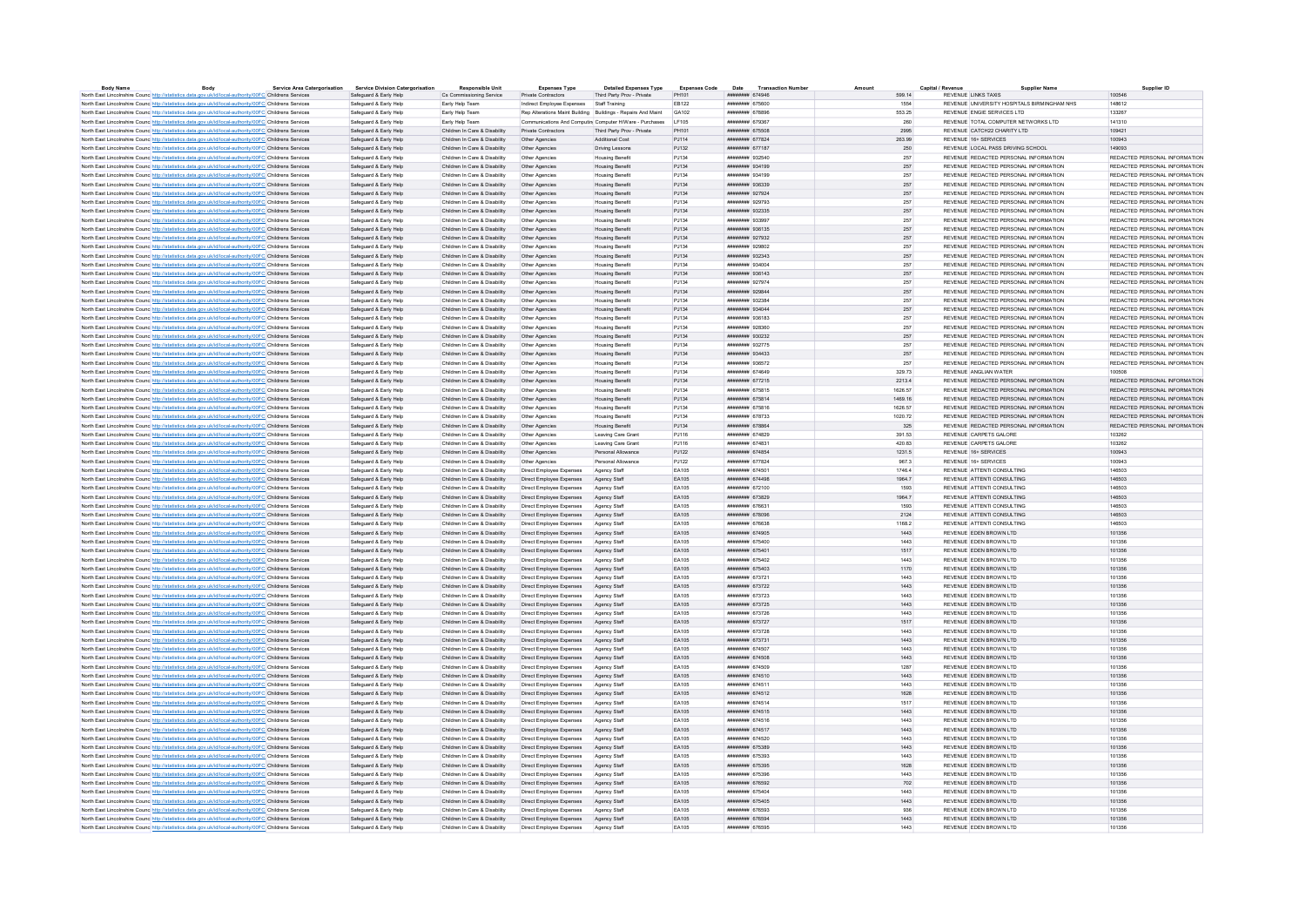| <b>Body Name</b> | Body                                                                                                              | <b>Service Area Catergorisation</b> | <b>Service Division Catergorisation</b> | <b>Responsible Unit</b>       | <b>Expenses Type</b>            | <b>Detailed Expenses Type</b>                                | <b>Expenses Code</b> | Date Transaction Numbe        |         | Capital / Revenu | Supplier Name                               | Supplier ID                   |
|------------------|-------------------------------------------------------------------------------------------------------------------|-------------------------------------|-----------------------------------------|-------------------------------|---------------------------------|--------------------------------------------------------------|----------------------|-------------------------------|---------|------------------|---------------------------------------------|-------------------------------|
|                  | North East Lincolnshire Counc http://statistics.data.gov.uk/id/local-authority/00FC Childrens Services            |                                     | Safeguard & Early Help                  | Cs Commissioning Service      | Private Contractors             | Third Party Prov - Private                                   | PH101                | нивниния 674946               | 599.14  |                  | REVENUE LINKS TAXIS                         | 100546                        |
|                  | North East Lincolnshire Counc http://statistics.data.gov.uk/id/local-authority/00FC Childrens Services            |                                     | Safeguard & Early Help                  | Early Help Team               | Indirect Employee Expenses      | Staff Training                                               | FR122                | ######## 675600               | 1554    |                  | REVENUE UNIVERSITY HOSPITALS BIRMINGHAM NHS | 148612                        |
|                  | North East Lincolnshire Counc http://statistics.data.gov.uk/id/local-authority/00FC Childrens Services            |                                     | Safeguard & Early Help                  | Early Help Team               |                                 | Rep Alterations Maint Building Buildings - Repairs And Maint | GA102                | <b><i>HNHHHHHH 678896</i></b> | 553.25  |                  | REVENUE ENGIE SERVICES LTD                  | 133267                        |
|                  | North East Lincolnshire Counc. http://statistics.data.gov.uk/id/local-authority/00FC Childrens Services           |                                     | Safenuard & Farly Help                  | Farly Help Team               |                                 | Communications And Computing Computer H/Ware - Purchases     | <b>IF105</b>         | ######## 679367               | 260     |                  | REVENUE TOTAL COMPUTER NETWORKS LTD         | 141310                        |
|                  | North East Lincolnshire Counc http://statistics.data.gov.uk/id/local-authority/00FC Childrens Services            |                                     | Safeguard & Early Help                  | Children In Care & Disability | Private Contractors             | Third Party Prov - Private                                   | PH101                | ######## 675508               | 2995    |                  | REVENUE CATCH22 CHARITY LTD                 | 109421                        |
|                  | North East Lincolnshire Counc http://statistics.data.gov.uk/id/local-authority/00FC Childrens Services            |                                     | Safeguard & Early Help                  | Children In Care & Disability | Other Agencies                  | Additional Cost                                              | PJ114                | ######## 677824               | 263.99  |                  | REVENUE 16+ SERVICES                        | 100943                        |
|                  | North East Lincolnshire Counc http://statistics.data.gov.uk/id/local-authority/00FC Childrens Services            |                                     | Safeguard & Early Help                  | Children In Care & Disability | Other Agencies                  | <b>Driving Lessons</b>                                       | PJ132                | ####### 677187                | 250     |                  | REVENUE LOCAL PASS DRIVING SCHOOL           | 149093                        |
|                  |                                                                                                                   |                                     | Safeguard & Early Help                  | Children In Care & Disability |                                 |                                                              | PJ134                | ######## 932540               | 257     |                  | REVENUE REDACTED PERSONAL INFORMATION       | REDACTED PERSONAL INFORMATION |
|                  | North East Lincolnshire Counc http://statistics.data.gov.uk/id/local-authority/00FC Childrens Services            |                                     |                                         |                               | Other Agencies                  | <b>Housing Benefit</b>                                       |                      |                               |         |                  |                                             |                               |
|                  | North East Lincolnshire Counc http://statistics.data.gov.uk/id/local-authority/00FC Childrens Services            |                                     | Safeguard & Early Help                  | Children In Care & Disability | Other Agencies                  | Housing Benefit                                              | PJ134                | ####### 934199                | 257     |                  | REVENUE REDACTED PERSONAL INFORMATION       | REDACTED PERSONAL INFORMATION |
|                  | North East Lincolnshire Counc http://statistics.data.gov.uk/id/local-authority/00FC Childrens Services            |                                     | Safeguard & Early Help                  | Children In Care & Disability | Other Agencies                  | <b>Housing Benefit</b>                                       | PJ134                | ######## 934199               | 257     |                  | REVENUE REDACTED PERSONAL INFORMATION       | REDACTED PERSONAL INFORMATION |
|                  | North East Lincolnshire Counc http://statistics.data.gov.uk/id/local-authority/00FC Childrens Services            |                                     | Safeguard & Early Help                  | Children In Care & Disability | Other Agencies                  | Housing Benefit                                              | PJ134                | ######## 936339               | 257     |                  | REVENUE REDACTED PERSONAL INFORMATION       | REDACTED PERSONAL INFORMATION |
|                  | North East Lincolnshire Counc http://statistics.data.gov.uk/id/local-authority/00FC Childrens Services            |                                     | Safeguard & Early Help                  | Children In Care & Disability | Other Agencies                  | Housing Benefit                                              | PJ134                | ######## 927924               | 257     |                  | REVENUE REDACTED PERSONAL INFORMATION       | REDACTED PERSONAL INFORMATION |
|                  | North East Lincolnshire Counc http://statistics.data.gov.uk/id/local-authority/00FC Childrens Services            |                                     | Safeguard & Early Help                  | Children In Care & Disability | Other Anencies                  | Housing Benefit                                              | P.1134               | ######## 929793               | 257     |                  | REVENUE REDACTED PERSONAL INFORMATION       | REDACTED PERSONAL INFORMATION |
|                  | North East Lincolnshire Counc http://statistics.data.gov.uk/id/local-authority/00FC Childrens Services            |                                     | Safeguard & Early Help                  | Children In Care & Disability | Other Agencies                  | Housing Benefit                                              | PJ134                | ####### 932335                | 257     |                  | REVENUE REDACTED PERSONAL INFORMATION       | REDACTED PERSONAL INFORMATION |
|                  |                                                                                                                   |                                     |                                         |                               |                                 |                                                              |                      |                               |         |                  |                                             | REDACTED PERSONAL INFORMATION |
|                  | North East Lincolnshire Counc http://statistics.data.gov.uk/id/local-authority/00FC Childrens Services            |                                     | Safeguard & Early Help                  | Children In Care & Disability | Other Agencies                  | <b>Housing Benefit</b>                                       | PJ134                | ######## 933997               | 257     |                  | REVENUE REDACTED PERSONAL INFORMATION       |                               |
|                  | North East Lincolnshire Counc http://statistics.data.gov.uk/id/local-authority/00FC Childrens Services            |                                     | Safeguard & Early Help                  | Children In Care & Disability | Other Agencies                  | Housing Benefit                                              | PJ134                | ######## 936135               | 257     |                  | REVENUE REDACTED PERSONAL INFORMATION       | REDACTED PERSONAL INFORMATION |
|                  | North East Lincolnshire Counc http://statistics.data.gov.uk/id/local-authority/00FC Childrens Services            |                                     | Safeguard & Early Help                  | Children In Care & Disability | Other Agencies                  | Housing Benefit                                              | PJ134                | ######## 927932               | 257     |                  | REVENUE REDACTED PERSONAL INFORMATION       | REDACTED PERSONAL INFORMATION |
|                  | North East Lincolnshire Counc http://statistics.data.gov.uk/id/local-authority/00FC Childrens Services            |                                     | Safenuard & Farly Help                  | Children In Care & Disability | Other Anencies                  | <b>Housing Benefit</b>                                       | P.1134               | <b><i>BRESHBAR 929802</i></b> | 257     |                  | REVENUE REDACTED PERSONAL INFORMATION       | REDACTED PERSONAL INFORMATION |
|                  | North East Lincolnshire Counc http://statistics.data.gov.uk/id/local-authority/00FC Childrens Services            |                                     | Safeguard & Early Help                  | Children In Care & Disability | Other Agencies                  | Housing Benefit                                              | PJ134                | ######## 932343               | 257     |                  | REVENUE REDACTED PERSONAL INFORMATION       | REDACTED PERSONAL INFORMATION |
|                  | North East Lincolnshire Counc. http://statistics.data.gov.uk/id/local-authority/00FC Childrens Services           |                                     | Safeguard & Early Help                  | Children In Care & Disability | Other Agencies                  | <b>Housing Benefit</b>                                       | PJ134                | ######## 934004               | 257     |                  | REVENUE REDACTED PERSONAL INFORMATION       | REDACTED PERSONAL INFORMATION |
|                  | North East Lincolnshire Counc http://statistics.data.gov.uk/id/local-authority/00FC Childrens Services            |                                     | Safeguard & Early Help                  | Children In Care & Disability | Other Agencies                  | <b>Housing Benefit</b>                                       | PJ134                | ####### 936143                | 257     |                  | REVENUE REDACTED PERSONAL INFORMATION       | REDACTED PERSONAL INFORMATION |
|                  |                                                                                                                   |                                     |                                         |                               |                                 |                                                              | P.1134               | ######## 927974               |         |                  | REVENUE REDACTED PERSONAL INFORMATION       | REDACTED PERSONAL INFORMATION |
|                  | North East Lincolnshire Counc http://statistics.data.gov.uk/id/local-authority/00FC Childrens Services            |                                     | Safeguard & Early Help                  | Children In Care & Disability | Other Agencies                  | <b>Housing Benefit</b>                                       |                      |                               | 257     |                  |                                             |                               |
|                  | North East Lincolnshire Counc http://statistics.data.gov.uk/id/local-authority/00FC Childrens Services            |                                     | Safeguard & Early Help                  | Children In Care & Disability | Other Agencies                  | Housing Benefit                                              | PJ134                | ######## 929844               | 257     |                  | REVENUE REDACTED PERSONAL INFORMATION       | REDACTED PERSONAL INFORMATION |
|                  | North East Lincolnshire Counc http://statistics.data.gov.uk/id/local-authority/00FC Childrens Services            |                                     | Safeguard & Early Help                  | Children In Care & Disability | Other Agencies                  | <b>Housing Benefit</b>                                       | PJ134                | ######## 932384               | 257     |                  | REVENUE REDACTED PERSONAL INFORMATION       | REDACTED PERSONAL INFORMATION |
|                  | North East Lincolnshire Counc http://statistics.data.gov.uk/id/local-authority/00FC Childrens Services            |                                     | Safeguard & Early Help                  | Children In Care & Disability | Other Agencies                  | <b>Housing Benefit</b>                                       | P.1134               | ниннини 934044                | 257     |                  | REVENUE REDACTED PERSONAL INFORMATION       | REDACTED PERSONAL INFORMATION |
|                  | North East Lincolnshire Counc <sup>http://statistics.data.gov.uk/id/local-authority/00FC Childrens Services</sup> |                                     | Safeguard & Early Help                  | Children In Care & Disability | Other Agencies                  | <b>Housing Benefit</b>                                       | PJ134                | ######## 936183               | 257     |                  | REVENUE REDACTED PERSONAL INFORMATION       | REDACTED PERSONAL INFORMATION |
|                  | North East Lincolnshire Counc http://statistics.data.gov.uk/id/local-authority/00FC Childrens Services            |                                     | Safeguard & Early Help                  | Children In Care & Disability | Other Agencies                  | <b>Housing Benefit</b>                                       | P.1134               | nassa masarat                 | 257     |                  | REVENUE REDACTED PERSONAL INFORMATION       | REDACTED PERSONAL INFORMATION |
|                  | North East Lincolnshire Counc http://statistics.data.gov.uk/id/local-authority/00FC Childrens Services            |                                     | Safeguard & Early Help                  | Children In Care & Disability | Other Agencies                  | Housing Benefit                                              | PJ134                | ######## 930232               | 257     |                  | REVENUE REDACTED PERSONAL INFORMATION       | REDACTED PERSONAL INFORMATION |
|                  |                                                                                                                   |                                     |                                         |                               |                                 |                                                              |                      |                               |         |                  |                                             |                               |
|                  | North East Lincolnshire Counc http://statistics.data.gov.uk/id/local-authority/00FC Childrens Services            |                                     | Safeguard & Early Help                  | Children In Care & Disability | Other Agencies                  | <b>Housing Benefit</b>                                       | PJ134                | ######## 932775               | 257     |                  | REVENUE REDACTED PERSONAL INFORMATION       | REDACTED PERSONAL INFORMATION |
|                  | North East Lincolnshire Counc http://statistics.data.gov.uk/id/local-authority/00FC Childrens Services            |                                     | Safeguard & Early Help                  | Children In Care & Disability | Other Agencies                  | Housing Benefit                                              | PJ134                | ######## 934433               | 257     |                  | REVENUE REDACTED PERSONAL INFORMATION       | REDACTED PERSONAL INFORMATION |
|                  | North East Lincolnshire Counc http://statistics.data.gov.uk/id/local-authority/00FC Childrens Services            |                                     | Safeguard & Early Help                  | Children In Care & Disability | Other Agencies                  | <b>Housing Benefit</b>                                       | PJ134                | ######## 936572               | 257     |                  | REVENUE REDACTED PERSONAL INFORMATION       | REDACTED PERSONAL INFORMATION |
|                  | North East Lincolnshire Counc. http://statistics.data.gov.uk/id/local-authority/00FC Childrens Services           |                                     | Safeguard & Early Help                  | Children In Care & Disability | Other Anencies                  | <b>Housing Benefit</b>                                       | P.1134               | ининнин 674649                | 329 73  |                  | REVENUE ANGLIAN WATER                       | 100508                        |
|                  | North East Lincolnshire Counc http://statistics.data.gov.uk/id/local-authority/00FC Childrens Services            |                                     | Safeguard & Early Help                  | Children In Care & Disability | Other Agencies                  | <b>Housing Benefit</b>                                       | PJ134                | ######## 677215               | 2213.4  |                  | REVENUE REDACTED PERSONAL INFORMATION       | REDACTED PERSONAL INFORMATION |
|                  | North East Lincolnshire Counc http://statistics.data.gov.uk/id/local-authority/00FC Childrens Services            |                                     | Safeguard & Early Help                  | Children In Care & Disability | Other Agencies                  | <b>Housing Benefit</b>                                       | PJ134                | ####### 675815                | 1626.57 |                  | REVENUE REDACTED PERSONAL INFORMATION       | REDACTED RERSONAL INFORMATION |
|                  |                                                                                                                   |                                     |                                         |                               |                                 |                                                              | PJ134                | ######## 675814               | 1469.16 |                  | REVENUE REDACTED PERSONAL INFORMATION       | REDACTED PERSONAL INFORMATION |
|                  | North East Lincolnshire Counc http://statistics.data.gov.uk/id/local-authority/00FC Childrens Services            |                                     | Safeguard & Early Help                  | Children In Care & Disability | Other Agencies                  | <b>Housing Benefit</b>                                       |                      |                               |         |                  |                                             |                               |
|                  | North East Lincolnshire Counc http://statistics.data.gov.uk/id/local-authority/00FC Childrens Services            |                                     | Safeguard & Early Help                  | Children In Care & Disability | Other Agencies                  | <b>Housing Benefit</b>                                       | PJ134                | ######## 675816               | 1626.57 |                  | REVENUE REDACTED PERSONAL INFORMATION       | REDACTED PERSONAL INFORMATION |
|                  | North East Lincolnshire Counc http://statistics.data.gov.uk/id/local-authority/00FC Childrens Services            |                                     | Safeguard & Early Help                  | Children In Care & Disability | Other Agencies                  | Housing Benefit                                              | PJ134                | ######## 678733               | 1020.72 |                  | REVENUE REDACTED PERSONAL INFORMATION       | REDACTED PERSONAL INFORMATION |
|                  | North East Lincolnshire Counc http://statistics.data.gov.uk/id/local-authority/00FC Childrens Services            |                                     | Safeguard & Early Help                  | Children In Care & Disability | Other Agencies                  | <b>Housing Benefit</b>                                       | PJ134                | ####### 678864                | 325     |                  | REVENUE REDACTED PERSONAL INFORMATION       | REDACTED PERSONAL INFORMATION |
|                  | North East Lincolnshire Counc http://statistics.data.gov.uk/id/local-authority/00FC Childrens Services            |                                     | Safeguard & Early Help                  | Children In Care & Disability | Other Agencies                  | Leaving Care Grant                                           | P.1116               | ######## 674829               | 391.53  |                  | REVENUE CARPETS GALORE                      | 103262                        |
|                  | North East Lincolnshire Counc <sup>http://statistics.data.gov.uk/id/local-authority/00FC Childrens Services</sup> |                                     | Safeguard & Early Help                  | Children In Care & Disability | Other Agencies                  | Leaving Care Gran                                            | PJ116                | ####### 674831                | 420.83  |                  | REVENUE CARPETS GALORE                      | 103262                        |
|                  | North East Lincolnshire Counc http://statistics.data.gov.uk/id/local-authority/00FC Childrens Services            |                                     | Safeguard & Early Help                  | Children In Care & Disability | Other Anencies                  | Personal Allowance                                           | PJ122                | ######## 674854               | 1231.5  |                  | REVENUE 16+ SERVICES                        | 100943                        |
|                  |                                                                                                                   |                                     |                                         |                               |                                 | Personal Allowance                                           |                      | ######## 677824               | 9673    |                  | REVENUE 16+ SERVICES                        | 100943                        |
|                  | North East Lincolnshire Counc http://statistics.data.gov.uk/id/local-authority/00FC Childrens Services            |                                     | Safeguard & Early Help                  | Children In Care & Disability | Other Agencies                  |                                                              | PJ122                |                               |         |                  |                                             |                               |
|                  | North East Lincolnshire Counc http://statistics.data.gov.uk/id/local-authority/00FC Childrens Services            |                                     | Safeguard & Early Help                  | Children In Care & Disability | Direct Employee Expenses        | Agency Staff                                                 | EA105                | ######## 674501               | 1746.4  |                  | REVENUE ATTENTI CONSULTING                  | 1,46503                       |
|                  | North East Lincolnshire Counc <sup>htto://statistics.data.gov.uk/id/local-authority/00FC Childrens Services</sup> |                                     | Safeguard & Early Help                  | Children In Care & Disability | Direct Employee Expenses        | Agency Staff                                                 | EA105                | ######## 674498               | 1964.7  |                  | REVENUE ATTENTI CONSULTING                  | 146503                        |
|                  | North East Lincolnshire Counc http://statistics.data.gov.uk/id/local-authority/00FC Childrens Services            |                                     | Safeguard & Early Help                  | Children In Care & Disability | Direct Employee Expenses        | Agency Staf                                                  | EA105                | ######## 672100               | 1593    |                  | REVENUE ATTENTI CONSULTING                  | 146503                        |
|                  | North East Lincolnshire Counc http://statistics.data.gov.uk/id/local-authority/00FC Childrens Services            |                                     | Safeguard & Early Help                  | Children In Care & Disability | Direct Employee Expenses        | Agency Staff                                                 | FA105                | нивниния 673829               | 1964 7  |                  | REVENUE ATTENTI CONSULTING                  | 146503                        |
|                  | North East Lincolnshire Counc. http://statistics.data.gov.uk/id/local-authority/00FC Childrens Services           |                                     | Safeguard & Early Help                  | Children In Care & Disability | Direct Employee Expenses        | Agency Staff                                                 | EA105                | ######## 676631               | 1593    |                  | REVENUE ATTENTI CONSULTING                  | 146503                        |
|                  | North East Lincolnshire Counc http://statistics.data.gov.uk/id/local-authority/00FC Childrens Services            |                                     | Safeguard & Early Help                  | Children In Care & Disability | Direct Employee Expenses        | Agency Staff                                                 | EA105                | ######## 678096               | 2124    |                  | REVENUE ATTENTI CONSULTING                  | 146503                        |
|                  | North East Lincolnshire Counc <sup>http://statistics.data.gov.uk/id/local-authority/00FC Childrens Services</sup> |                                     | Safeguard & Early Help                  | Children In Care & Disability | Direct Employee Expenses        | Agency Staff                                                 | EA105                | ######## 676638               | 1168.2  |                  | REVENUE ATTENTI CONSULTING                  | 146503                        |
|                  |                                                                                                                   |                                     |                                         |                               |                                 |                                                              |                      |                               |         |                  |                                             |                               |
|                  | North East Lincolnshire Counc http://statistics.data.gov.uk/id/local-authority/00FC Childrens Services            |                                     | Safeguard & Early Help                  | Children In Care & Disability | Direct Employee Expenses        | Agency Staff                                                 | EA105                | ######## 674905               | 1443    |                  | REVENUE EDEN BROWN LTD                      | 101356                        |
|                  | North East Lincolnshire Counc http://statistics.data.gov.uk/id/local-authority/00FC Childrens Services            |                                     | Safeguard & Early Help                  | Children In Care & Disability | Direct Employee Expenses        | Agency Staf                                                  | EA105                | ######## 675400               | 1443    |                  | REVENUE EDEN BROWN LTD                      | 101356                        |
|                  | North East Lincolnshire Counc http://statistics.data.gov.uk/id/local-authority/00FC Childrens Services            |                                     | Safeguard & Early Help                  | Children In Care & Disability | Direct Employee Expenses        | Agency Staff                                                 | EA105                | ######## 675401               | 1517    |                  | REVENUE EDEN BROWN LTD                      | 101356                        |
|                  | North East Lincolnshire Counc http://statistics.data.gov.uk/id/local-authority/00FC Childrens Services            |                                     | Safeguard & Early Help                  | Children In Care & Disability | Direct Employee Expenses        | Agency Staff                                                 | <b>FA105</b>         | ######## 675402               | 1443    |                  | REVENUE FDEN BROWN LTD                      | 101356                        |
|                  | North East Lincolnshire Counc http://statistics.data.gov.uk/id/local-authority/00FC Childrens Services            |                                     | Safeguard & Early Help                  | Children In Care & Disability | Direct Employee Expenses        | Agency Staff                                                 | EA105                | ######## 675403               | 1170    |                  | REVENUE EDEN BROWN LTD                      | 101356                        |
|                  | North East Lincolnshire Counc http://statistics.data.gov.uk/id/local-authority/00FC Childrens Services            |                                     | Safeguard & Early Help                  | Children In Care & Disability | Direct Employee Expenses        | Agency Staff                                                 | <b>FA105</b>         | ######## 673721               | 1443    |                  | REVENUE FDEN BROWN LTD                      | 101356                        |
|                  | North East Lincolnshire Counc http://statistics.data.gov.uk/id/local-authority/00FC Childrens Services            |                                     | Safeguard & Early Help                  | Children In Care & Disability | Direct Employee Expenses        | Agency Staff                                                 | EA105                | ######## 673722               | 1443    |                  | REVENUE EDEN BROWN LTD                      | 101356                        |
|                  |                                                                                                                   |                                     |                                         |                               |                                 |                                                              | EA105                | ######## 673723               | 1443    |                  | REVENUE EDEN BROWN LTD                      | 101356                        |
|                  | North East Lincolnshire Counc http://statistics.data.gov.uk/id/local-authority/00FC Childrens Services            |                                     | Safeguard & Early Help                  | Children In Care & Disability | Direct Employee Expenses        | Agency Staff                                                 |                      |                               |         |                  |                                             |                               |
|                  | North East Lincolnshire Counc http://statistics.data.gov.uk/id/local-authority/00FC Childrens Services            |                                     | Safeguard & Early Help                  | Children In Care & Disability | Direct Employee Expenses        | Agency Staff                                                 | FA105                | ######## 673725               | 1443    |                  | REVENUE FOEN BROWN LTD                      | 101356                        |
|                  | North East Lincolnshire Counc http://statistics.data.gov.uk/id/local-authority/00FC Childrens Services            |                                     | Safeguard & Early Help                  | Children In Care & Disability | Direct Employee Expenses        | Agency Staf                                                  | EA105                | ######## 673726               | 1443    |                  | REVENUE EDEN BROWN LTD                      | 101356                        |
|                  | North East Lincolnshire Counc. http://statistics.data.gov.uk/id/local-authority/00FC Childrens Services           |                                     | Safeguard & Early Help                  | Children In Care & Disability | Direct Employee Expenses        | Agency Staff                                                 | FA105                | <b><i>HUBBHHHH 673727</i></b> | 1517    |                  | REVENUE EDEN BROWN LTD                      | 101356                        |
|                  | North East Lincolnshire Counc. http://statistics.data.gov.uk/id/local-authority/00FC Childrens Services           |                                     | Safeguard & Early Help                  | Children In Care & Disability | Direct Employee Expenses        | Agency Staff                                                 | EA105                | ######## 673728               | 1443    |                  | REVENUE EDEN BROWN LTD                      | 101356                        |
|                  | North East Lincolnshire Counc http://statistics.data.gov.uk/id/local-authority/00FC Childrens Services            |                                     | Safeguard & Early Help                  | Children In Care & Disability | Direct Employee Expenses        | Agency Staff                                                 | EA105                | ######## 673731               | 1443    |                  | REVENUE EDEN BROWN LTD                      | 101356                        |
|                  | North East Lincolnshire Counc http://statistics.data.gov.uk/id/local-authority/00FC Childrens Services            |                                     | Safeguard & Early Help                  | Children In Care & Disability | Direct Employee Expenses        | Agency Staff                                                 | EA105                | ######## 674507               | 1443    |                  | REVENUE EDEN BROWN LTD                      | 101356                        |
|                  | North East Lincolnshire Counc http://statistics.data.gov.uk/id/local-authority/00FC Childrens Services            |                                     | Safeguard & Early Help                  | Children In Care & Disability | Direct Employee Expenses        | Agency Staff                                                 | EA105                | ######## 674508               | 1443    |                  | REVENUE EDEN BROWN LTD                      | 101356                        |
|                  |                                                                                                                   |                                     |                                         |                               |                                 |                                                              |                      | ######## 674509               |         |                  | REVENUE EDEN BROWN LTD                      |                               |
|                  | North East Lincolnshire Counc http://statistics.data.gov.uk/id/local-authority/00FC Childrens Services            |                                     | Safeguard & Early Help                  | Children In Care & Disability | Direct Employee Expenses        | Agency Staff                                                 | EA105                |                               | 1287    |                  |                                             | 101356                        |
|                  | North East Lincolnshire Counc http://statistics.data.gov.uk/id/local-authority/00FC Childrens Services            |                                     | Safeguard & Early Help                  | Children In Care & Disability | Direct Employee Expenses        | Agency Staff                                                 | EA105                | ####### 674510                | 1443    |                  | REVENUE EDEN BROWN LTD                      | 101356                        |
|                  | North East Lincolnshire Counc http://statistics.data.gov.uk/id/local-authority/00FC Childrens Services            |                                     | Safeguard & Early Help                  | Children In Care & Disability | Direct Employee Expenses        | Agency Staff                                                 | <b>FA105</b>         | ######## 674511               | 1443    |                  | REVENUE FDEN BROWN LTD                      | 101356                        |
|                  | North East Lincolnshire Counc http://statistics.data.gov.uk/id/local-authority/00FC Childrens Services            |                                     | Safeguard & Early Help                  | Children In Care & Disability | Direct Employee Expenses        | Agency Staff                                                 | EA105                | ####### 674512                | 1628    |                  | REVENUE EDEN BROWN LTD                      | 101356                        |
|                  | North East Lincolnshire Counc http://statistics.data.gov.uk/id/local-authority/00FC Childrens Services            |                                     | Safeguard & Early Help                  | Children In Care & Disability | <b>Direct Employee Expenses</b> | Agency Staf                                                  | EA105                | ######## 674514               | 1517    |                  | REVENUE FOEN BROWN LTD                      | 101356                        |
|                  | North East Lincolnshire Counc http://statistics.data.gov.uk/id/local-authority/00FC Childrens Services            |                                     | Safeguard & Early Help                  | Children In Care & Disability | Direct Employee Expenses        | Agency Staff                                                 | EA105                | ######## 674515               | 1443    |                  | REVENUE EDEN BROWN LTD                      | 101356                        |
|                  | North East Lincolnshire Counc http://statistics.data.gov.uk/id/local-authority/00FC Childrens Services            |                                     | Safeguard & Early Help                  | Children In Care & Disability | Direct Employee Expenses        | Agency Staff                                                 | EA105                | ######## 674516               | 1443    |                  | REVENUE FDEN BROWN LTD                      | 101356                        |
|                  |                                                                                                                   |                                     |                                         |                               |                                 |                                                              |                      |                               |         |                  |                                             |                               |
|                  | North East Lincolnshire Counc http://statistics.data.gov.uk/id/local-authority/00FC Childrens Services            |                                     | Safeguard & Early Help                  | Children In Care & Disability | Direct Employee Expenses        | Agency Staff                                                 | FA105                | <b><i>HUBBHHHH</i></b> 674517 | 1443    |                  | REVENUE FOEN BROWN LTD                      | 101356                        |
|                  | North East Lincolnshire Counc http://statistics.data.gov.uk/id/local-authority/00FC Childrens Services            |                                     | Safeguard & Early Help                  | Children In Care & Disability | Direct Employee Expenses        | Agency Staf                                                  | EA105                | ######## 674520               | 1443    |                  | REVENUE EDEN BROWN LTD                      | 101356                        |
|                  | North East Lincolnshire Counc. http://statistics.data.gov.uk/id/local-authority/00FC Childrens Services           |                                     | Safeguard & Early Help                  | Children In Care & Disability | Direct Employee Expenses        | Agency Staff                                                 | FA105                | ######## 675389               | 1443    |                  | REVENUE EDEN BROWN LTD                      | 101356                        |
|                  | North East Lincolnshire Counc http://statistics.data.gov.uk/id/local-authority/00FC Childrens Services            |                                     | Safeguard & Early Help                  | Children In Care & Disability | Direct Employee Expenses        | Agency Staff                                                 | EA105                | ######## 675393               | 1443    |                  | REVENUE EDEN BROWN LTD                      | 101356                        |
|                  | North East Lincolnshire Counc http://statistics.data.gov.uk/id/local-authority/00FC Childrens Services            |                                     | Safeguard & Early Help                  | Children In Care & Disability | Direct Employee Expenses        | Agency Staff                                                 | EA105                | ######## 675395               | 1628    |                  | REVENUE EDEN BROWN LTD                      | 101356                        |
|                  | North East Lincolnshire Counc <sup>http://statistics.data.gov.uk/id/local-authority/00FC Childrens Services</sup> |                                     | Safeguard & Early Help                  | Children In Care & Disability | Direct Employee Expenses        | Agency Staf                                                  | EA105                | ######## 675396               | 1443    |                  | REVENUE EDEN BROWN LTD                      | 101356                        |
|                  | North East Lincolnshire Counc http://statistics.data.gov.uk/id/local-authority/00FC Childrens Services            |                                     | Safeguard & Early Help                  | Children In Care & Disability | Direct Employee Expenses        | Agency Staff                                                 | EA105                | ######## 676592               | 702     |                  | REVENUE EDEN BROWN LTD                      | 101356                        |
|                  |                                                                                                                   |                                     |                                         |                               |                                 |                                                              |                      |                               |         |                  |                                             |                               |
|                  | North East Lincolnshire Counc http://statistics.data.gov.uk/id/local-authority/00FC Childrens Services            |                                     | Safeguard & Early Help                  | Children In Care & Disability | Direct Employee Expenses        | Agency Staff                                                 | EA105                | ######## 675404               | 1443    |                  | REVENUE EDEN BROWN LTD                      | 101356                        |
|                  | North East Lincolnshire Counc. http://statistics.data.gov.uk/id/local-authority/00FC Childrens Services           |                                     | Safeguard & Early Help                  | Children In Care & Disability | Direct Employee Expenses        | Agency Staff                                                 | EA105                | ####### 675405                | 1443    |                  | REVENUE EDEN BROWN LTD                      | 101356                        |
|                  | North East Lincolnshire Counc http://statistics.data.gov.uk/id/local-authority/00FC Childrens Services            |                                     | Safeguard & Early Help                  | Children In Care & Disability | Direct Employee Expenses        | Agency Staff                                                 | <b>FA105</b>         | ######## 676593               | 936     |                  | REVENUE FDEN BROWN LTD                      | 101356                        |
|                  | North East Lincolnshire Counc http://statistics.data.gov.uk/id/local-authority/00FC Childrens Services            |                                     | Safeguard & Early Help                  | Children In Care & Disability | Direct Employee Expenses        | Agency Staff                                                 | EA105                | ######## 676594               | 1443    |                  | REVENUE EDEN BROWN LTD                      | 101356                        |
|                  | North East Lincolnshire Counc http://statistics.data.gov.uk/id/local-authority/00FC Childrens Services            |                                     | Safeguard & Early Help                  | Children In Care & Disability | Direct Employee Expenses        | Agency Staff                                                 | EA105                | ######## 676595               | 1443    |                  | REVENUE EDEN BROWN LTD                      | 101356                        |
|                  |                                                                                                                   |                                     |                                         |                               |                                 |                                                              |                      |                               |         |                  |                                             |                               |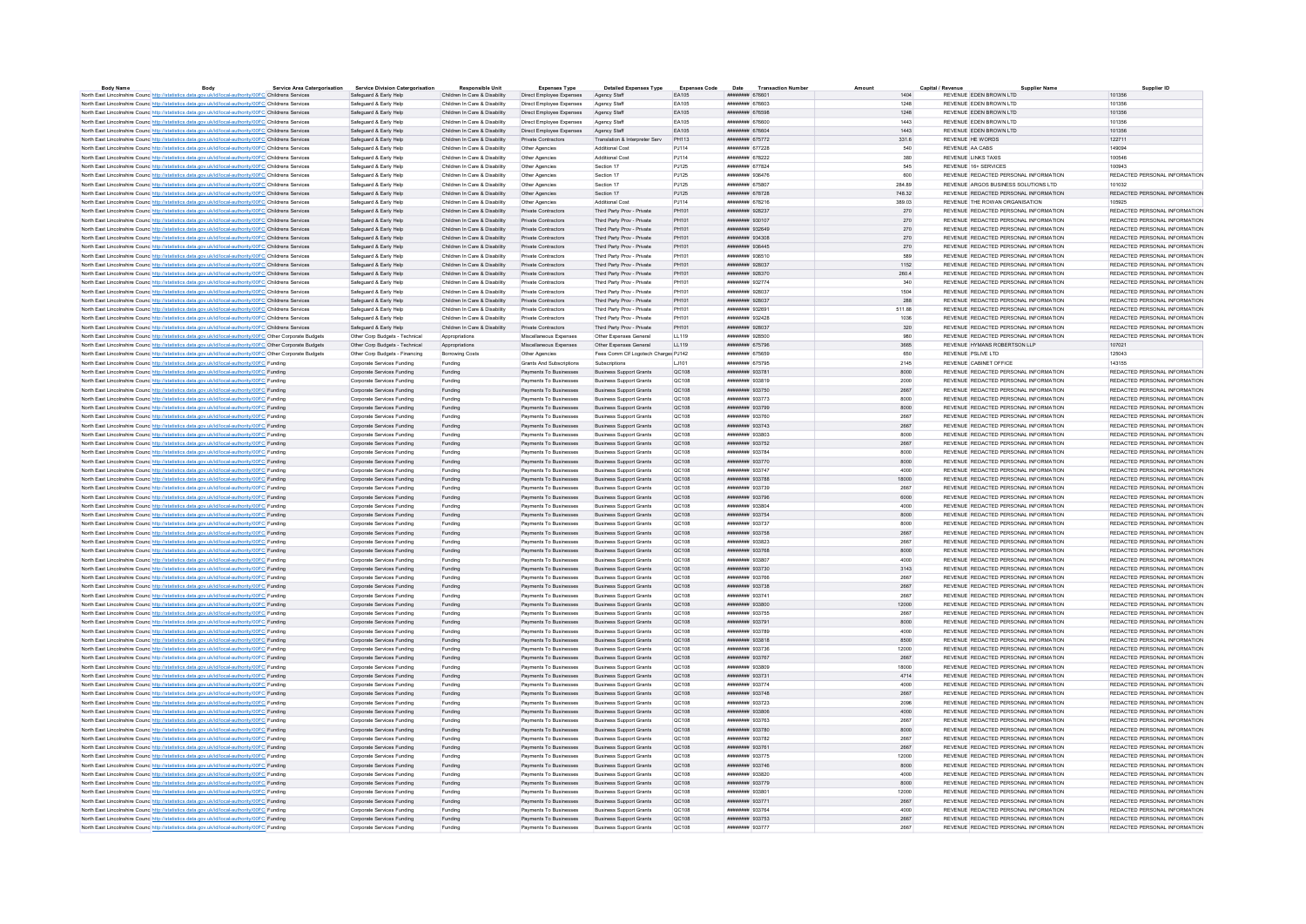| <b>Body Name</b>                                                                                                  | Body | <b>Service Area Catergorisation</b> | <b>Service Division Catergorisation</b> | <b>Responsible Unit</b>       | <b>Expenses Type</b>       | <b>Detailed Expenses Type</b>        | <b>Expenses Code</b> | Date<br><b>Transaction Number</b> | Amount  | Capital / Revenu<br><b>Supplier Name</b> | Supplier ID                   |
|-------------------------------------------------------------------------------------------------------------------|------|-------------------------------------|-----------------------------------------|-------------------------------|----------------------------|--------------------------------------|----------------------|-----------------------------------|---------|------------------------------------------|-------------------------------|
| North East Lincolnshire Counc http://statistics.data.gov.uk/id/local-authority/00FC Childrens Services            |      |                                     | Safeguard & Early Help                  | Children In Care & Disability | Direct Employee Expenses   | Agency Staff                         | EA105                | ######## 676601                   | 1404    | REVENUE EDEN BROWN LTD                   | 101356                        |
| North East Lincolnshire Counc http://statistics.data.gov.uk/id/local-authority/00FC Childrens Services            |      |                                     | Safeguard & Early Help                  | Children In Care & Disability | Direct Employee Expenses   | Agency Staff                         | FA105                | EDBREAM BARBARA                   | 1248    | REVENUE FDEN BROWN LTD                   | 101356                        |
| North East Lincolnshire Counc http://statistics.data.gov.uk/id/local-authority/00FC Childrens Services            |      |                                     | Safeguard & Early Help                  | Children In Care & Disability | Direct Employee Expenses   | Agency Staff                         | EA105                | ######## 676598                   | 1248    | REVENUE FOEN BROWN LTD                   | 101356                        |
| North East Lincolnshire Counc http://statistics.data.gov.uk/id/local-authority/00FC Childrens Services            |      |                                     | Safeguard & Early Help                  | Children In Care & Disability | Direct Employee Expenses   | Agency Staff                         | EA105                | <b><i>HNHHHHHH 676600</i></b>     | 1443    | REVENUE EDEN BROWN LTD                   | 101356                        |
| North East Lincolnshire Counc http://statistics.data.gov.uk/id/local-authority/00FC Childrens Services            |      |                                     | Safeguard & Early Help                  | Children In Care & Disability | Direct Employee Expenses   | Agency Staff                         | EA105                | ####### 676604                    | 1443    | REVENUE EDEN BROWN LTD                   | 101356                        |
| North East Lincolnshire Counc http://statistics.data.gov.uk/id/local-authority/00FC Childrens Services            |      |                                     | Safeguard & Early Help                  | Children In Care & Disability | Private Contractors        | Translation & Interpreter Serv       | PH113                | ######## 675772                   | 331.6   | REVENUE HE WORDS                         | 122711                        |
| North East Lincolnshire Counc http://statistics.data.gov.uk/id/local-authority/00FC Childrens Services            |      |                                     | Safeguard & Early Help                  | Children In Care & Disability | Other Agencies             | <b>Additional Cost</b>               | PJ114                | ######## 677228                   | 540     | REVENUE AA CABS                          | 149094                        |
|                                                                                                                   |      |                                     |                                         |                               |                            |                                      |                      |                                   |         |                                          |                               |
| North East Lincolnshire Counc http://statistics.data.gov.uk/id/local-authority/00FC Childrens Services            |      |                                     | Safeguard & Early Help                  | Children In Care & Disability | Other Agencies             | Additional Cos                       | PJ114                | ######## 678222                   | 380     | <b>REVENUE LINKS TAXIS</b>               | 100546                        |
| North East Lincolnshire Counc <sup>htto://statistics.data.gov.uk/id/local-authority/00FC Childrens Services</sup> |      |                                     | Safeguard & Early Help                  | Children In Care & Disability | Other Agencies             | Section 17                           | PJ125                | <b>инвинин</b> 677824             | 545     | REVENUE 16+ SERVICES                     | 100943                        |
| North East Lincolnshire Counc http://statistics.data.gov.uk/id/local-authority/00FC Childrens Services            |      |                                     | Safeguard & Early Help                  | Children In Care & Disability | Other Agencies             | Section 17                           | PJ125                | ####### 936476                    | 600     | REVENUE REDACTED PERSONAL INFORMATION    | REDACTED PERSONAL INFORMATION |
| North East Lincolnshire Counc http://statistics.data.gov.uk/id/local-authority/00FC Childrens Services            |      |                                     | Safeguard & Early Help                  | Children In Care & Disability | Other Agencies             | Section 17                           | P.1125               | ######## 675807                   | 284.89  | REVENUE ARGOS BUSINESS SOLUTIONS LTD.    | 101032                        |
| North East Lincolnshire Counc http://statistics.data.gov.uk/id/local-authority/00FC Childrens Services            |      |                                     | Safeguard & Early Help                  | Children In Care & Disability | Other Agencies             | Section 17                           | PJ125                | ######## 678728                   | 748.32  | REVENUE REDACTED PERSONAL INFORMATION    | REDACTED PERSONAL INFORMATION |
| North East Lincolnshire Counc http://statistics.data.gov.uk/id/local-authority/00FC Childrens Services            |      |                                     | Safeguard & Early Help                  | Children In Care & Disability | Other Agencies             | <b>Additional Cos</b>                | P.1114               | ####### 678216                    | 389.03  | REVENUE THE ROWAN ORGANISATION           | 105925                        |
| North East Lincolnshire Council http://statistics.data.gov.uk/id/local-authority/00EC Childrens Services          |      |                                     | Safeguard & Early Help                  | Children In Care & Disability | Private Contractors        | Third Party Prov - Private           | PH101                | нивниния 928237                   | 270     | REVENUE REDACTED PERSONAL INFORMATION    | REDACTED PERSONAL INFORMATION |
| North East Lincolnshire Counc http://statistics.data.gov.uk/id/local-authority/00FC Childrens Services            |      |                                     | Safeguard & Early Help                  | Children In Care & Disability | Private Contractors        | Third Party Prov - Private           | PH101                | ######## 930107                   | 270     | REVENUE REDACTED PERSONAL INFORMATION    | REDACTED PERSONAL INFORMATION |
|                                                                                                                   |      |                                     | Safeguard & Early Help                  | Children In Care & Disability | Private Contractors        | Third Party Prov - Private           | PH101                | иннинии 932649                    | 270     | REVENUE REDACTED PERSONAL INFORMATION    | REDACTED PERSONAL INFORMATION |
| North East Lincolnshire Counc http://statistics.data.gov.uk/id/local-authority/00FC Childrens Services            |      |                                     |                                         |                               |                            |                                      |                      |                                   |         |                                          |                               |
| North East Lincolnshire Counc. http://statistics.data.gov.uk/id/local-authority/00FC Childrens Services           |      |                                     | Safeguard & Early Help                  | Children In Care & Disability | Private Contractors        | Third Party Prov - Private           | PH101                | ######## 934308                   | 270     | REVENUE REDACTED PERSONAL INFORMATION    | REDACTED PERSONAL INFORMATION |
| North East Lincolnshire Counc http://statistics.data.gov.uk/id/local-authority/00FC Childrens Services            |      |                                     | Safeguard & Early Help                  | Children In Care & Disability | Private Contractors        | Third Party Prov - Private           | PH101                | нивнини 936445                    | 270     | REVENUE REDACTED PERSONAL INFORMATION    | REDACTED PERSONAL INFORMATION |
| North East Lincolnshire Counc http://statistics.data.gov.uk/id/local-authority/00FC Childrens Services            |      |                                     | Safeguard & Early Help                  | Children In Care & Disability | Private Contractors        | Third Party Prov - Private           | PH101                | ######## 936510                   | 589     | REVENUE REDACTED PERSONAL INFORMATION    | REDACTED PERSONAL INFORMATION |
| North East Lincolnshire Counc http://statistics.data.gov.uk/id/local-authority/00FC Childrens Services            |      |                                     | Safeguard & Early Help                  | Children In Care & Disability | Private Contractors        | Third Party Prov - Private           | PH101                | ####### 928037                    | 1152    | REVENUE REDACTED PERSONAL INFORMATION    | REDACTED PERSONAL INFORMATION |
| North East Lincolnshire Counc http://statistics.data.gov.uk/id/local-authority/00FC Childrens Services            |      |                                     | Safeguard & Early Help                  | Children In Care & Disability | <b>Private Contractors</b> | Third Party Prov - Private           | PH101                | ######## 928370                   | 260.4   | REVENUE REDACTED PERSONAL INFORMATION    | REDACTED PERSONAL INFORMATION |
| North East Lincolnshire Counc http://statistics.data.gov.uk/id/local-authority/00FC Childrens Services            |      |                                     | Safeguard & Early Help                  | Children In Care & Disability | <b>Private Contractors</b> | Third Party Prov - Private           | PH101                | ######## 932774                   | 340     | REVENUE REDACTED PERSONAL INFORMATION    | REDACTED PERSONAL INFORMATION |
| North East Lincolnshire Counc http://statistics.data.gov.uk/id/local-authority/00FC Childrens Services            |      |                                     | Safeguard & Early Help                  | Children In Care & Disability | Private Contractors        | Third Party Prov - Private           | PH101                | ######## 928037                   | 1504    | REVENUE REDACTED PERSONAL INFORMATION    | REDACTED PERSONAL INFORMATION |
| North East Lincolnshire Counc <sup>http://statistics.data.gov.uk/id/local-authority/00FC Childrens Services</sup> |      |                                     | Safeguard & Early Help                  | Children In Care & Disability | Private Contractors        | Third Party Prov - Private           | PH101                | ######## 928037                   | 288     | REVENUE REDACTED PERSONAL INFORMATION    | REDACTED PERSONAL INFORMATION |
| North East Lincolnshire Counc <sup>htto://statistics.data.gov.uk/id/local-authority/00FC Childrens Services</sup> |      |                                     |                                         | Children In Care & Disability |                            | Third Party Prov - Private           | PH101                | ######## 932691                   |         | REVENUE REDACTED PERSONAL INFORMATION    | REDACTED PERSONAL INFORMATION |
|                                                                                                                   |      |                                     | Safeguard & Early Help                  |                               | Private Contractors        |                                      |                      |                                   | 511.88  |                                          |                               |
| North East Lincolnshire Counc http://statistics.data.gov.uk/id/local-authority/00FC Childrens Services            |      |                                     | Safeguard & Early Help                  | Children In Care & Disability | Private Contractors        | Third Party Prov - Private           | PH101                | ######## 932428                   | 1036    | REVENUE REDACTED PERSONAL INFORMATION    | REDACTED PERSONAL INFORMATION |
| North East Lincolnshire Counc http://statistics.data.gov.uk/id/local-authority/00FC Childrens Services            |      |                                     | Safeguard & Early Help                  | Children In Care & Disability | Private Contractors        | Third Party Prov - Private           | PH101                | ######## 928037                   | $320\,$ | REVENUE REDACTED PERSONAL INFORMATION    | REDACTED PERSONAL INFORMATION |
| North East Lincolnshire Counc http://statistics.data.gov.uk/id/local-authority/00FC Other Corporate Budgets       |      |                                     | Other Corp Budgets - Technical          | Appropriations                | Miscellaneous Expenses     | Other Expenses General               | LL119                | ######## 928500                   | 980     | REVENUE REDACTED PERSONAL INFORMATION    | REDACTED PERSONAL INFORMATION |
| North East Lincolnshire Counc http://statistics.data.gov.uk/id/local-authority/00FC Other Corporate Budgets       |      |                                     | Other Corp Budgets - Technical          | Appropriations                | Miscellaneous Expenses     | Other Expenses General               | LL119                | ######## 675796                   | 3665    | REVENUE HYMANS ROBERTSON LLP             | 107021                        |
| North East Lincolnshire Counc http://statistics.data.gov.uk/id/local-authority/00FC Other Corporate Budgets       |      |                                     | Other Corp Budgets - Financing          | Borrowing Costs               | Other Agencies             | Fees Comm Clf Logotech Charges PJ142 |                      | ######## 675659                   | 650     | REVENUE PSLIVE LTD                       | 125043                        |
| North East Lincolnshire Counc http://statistics.data.gov.uk/id/local-authority/00FC Funding                       |      |                                     | Corporate Services Funding              | Funding                       | Grants And Subscriptions   | Subscriptions                        | LJ101                | ####### 675795                    | 2145    | REVENUE CABINET OFFICE                   | 143155                        |
| North East Lincolnshire Counc http://statistics.data.gov.uk/id/local-authority/00FC Funding                       |      |                                     | Corporate Services Funding              | Funding                       | Payments To Businesses     | <b>Business Support Grants</b>       | QC108                | ######## 933781                   | 8000    | REVENUE REDACTED PERSONAL INFORMATION    | REDACTED PERSONAL INFORMATION |
| North East Lincolnshire Counc http://statistics.data.gov.uk/id/local-authority/00FC Funding                       |      |                                     | Corporate Services Funding              | Funding                       | Payments To Businesses     | <b>Business Support Grants</b>       | QC108                | ######## 933819                   | 2000    | REVENUE REDACTED PERSONAL INFORMATION    | REDACTED PERSONAL INFORMATION |
|                                                                                                                   |      |                                     |                                         |                               |                            |                                      |                      |                                   |         |                                          |                               |
| North East Lincolnshire Counc http://statistics.data.gov.uk/id/local-authority/00FC Funding                       |      |                                     | Corporate Services Funding              | Funding                       | Payments To Businesses     | <b>Business Support Grants</b>       | QC108                | ######## 933750                   | 2667    | REVENUE REDACTED PERSONAL INFORMATION    | REDACTED PERSONAL INFORMATION |
| North East Lincolnshire Counc http://statistics.data.gov.uk/id/local-authority/00FC Funding                       |      |                                     | Corporate Services Funding              | Funding                       | Payments To Businesses     | <b>Business Support Grants</b>       | QC108                | ######## 933773                   | 8000    | REVENUE REDACTED PERSONAL INFORMATION    | REDACTED PERSONAL INFORMATION |
| North East Lincolnshire Counc http://statistics.data.gov.uk/id/local-authority/00FC Funding                       |      |                                     | Corporate Services Funding              | Funding                       | Payments To Businesses     | <b>Business Support Grants</b>       | QC108                | ######## 933799                   | 8000    | REVENUE REDACTED PERSONAL INFORMATION    | REDACTED PERSONAL INFORMATION |
| North East Lincolnshire Counc http://statistics.data.gov.uk/id/local-authority/00FC Funding                       |      |                                     | Cornorate Services Funding              | Funding                       | Payments To Businesses     | <b>Business Sunnort Grants</b>       | OC108                | ######## 933760                   | 2667    | REVENUE REDACTED PERSONAL INFORMATION    | REDACTED PERSONAL INFORMATION |
| North East Lincolnshire Counc http://statistics.data.gov.uk/id/local-authority/00FC Funding                       |      |                                     | Corporate Services Funding              | Funding                       | Payments To Businesses     | Business Support Grants              | QC108                | ######## 933743                   | 2667    | REVENUE REDACTED PERSONAL INFORMATION    | REDACTED PERSONAL INFORMATION |
| North East Lincolnshire Counc http://statistics.data.gov.uk/id/local-authority/00FC Funding                       |      |                                     | Corporate Services Funding              | Funding                       | Payments To Businesses     | <b>Business Support Grants</b>       | QC108                | EDSEEP MANAGEMENT                 | 8000    | REVENUE REDACTED PERSONAL INFORMATION    | REDACTED PERSONAL INFORMATION |
| North East Lincolnshire Counc http://statistics.data.gov.uk/id/local-authority/00FC Funding                       |      |                                     | Corporate Services Funding              | Funding                       | Payments To Businesses     | <b>Business Support Grants</b>       | OC108                | ######## 933752                   | 2667    | REVENUE REDACTED PERSONAL INFORMATION    | REDACTED PERSONAL INFORMATION |
| North East Lincolnshire Counc http://statistics.data.gov.uk/id/local-authority/00FC Funding                       |      |                                     | Corporate Services Funding              | Funding                       | Payments To Businesses     | <b>Business Support Grants</b>       | QC108                | ######## 933784                   | 8000    | REVENUE REDACTED PERSONAL INFORMATION    | REDACTED PERSONAL INFORMATION |
|                                                                                                                   |      |                                     |                                         |                               |                            |                                      |                      |                                   |         |                                          |                               |
| North East Lincolnshire Counc http://statistics.data.gov.uk/id/local-authority/00FC Funding                       |      |                                     | Corporate Services Funding              | Funding                       | Payments To Businesses     | <b>Business Support Grants</b>       | QC108                | ######## 933770                   | 8000    | REVENUE REDACTED PERSONAL INFORMATION    | REDACTED PERSONAL INFORMATION |
| North East Lincolnshire Counc http://statistics.data.gov.uk/id/local-authority/00FC Funding                       |      |                                     | Corporate Services Funding              | Funding                       | Payments To Businesses     | <b>Business Support Grants</b>       | QC108                | ######## 933747                   | 4000    | REVENUE REDACTED PERSONAL INFORMATION    | REDACTED PERSONAL INFORMATION |
| North East Lincolnshire Counc http://statistics.data.gov.uk/id/local-authority/00FC Funding                       |      |                                     | Corporate Services Funding              | Funding                       | Payments To Businesses     | <b>Business Support Grants</b>       | QC108                | ######## 933788                   | 18000   | REVENUE REDACTED PERSONAL INFORMATION    | REDACTED PERSONAL INFORMATION |
| North East Lincolnshire Counc http://statistics.data.gov.uk/id/local-authority/00FC Funding                       |      |                                     | Corporate Services Funding              | Funding                       | Payments To Businesses     | <b>Business Support Grants</b>       | QC108                | ######## 933739                   | 2667    | REVENUE REDACTED PERSONAL INFORMATION    | REDACTED PERSONAL INFORMATION |
| North East Lincolnshire Counc http://statistics.data.gov.uk/id/local-authority/00FC Funding                       |      |                                     | Corporate Services Funding              | Funding                       | Payments To Businesses     | <b>Business Sunnort Grants</b>       | QC108                | ######## 933796                   | 6000    | REVENUE REDACTED PERSONAL INFORMATION    | REDACTED PERSONAL INFORMATION |
| North East Lincolnshire Counc http://statistics.data.gov.uk/id/local-authority/00FC Funding                       |      |                                     | Corporate Services Funding              | Funding                       | Payments To Businesses     | Business Support Grants              | QC108                | ######## 933804                   | 4000    | REVENUE REDACTED PERSONAL INFORMATION    | REDACTED PERSONAL INFORMATION |
| North East Lincolnshire Counc http://statistics.data.gov.uk/id/local-authority/00FC Funding                       |      |                                     | Corporate Services Funding              | Funding                       | Payments To Businesses     | <b>Business Support Grants</b>       | QC108                | ######## 933754                   | 8000    | REVENUE REDACTED PERSONAL INFORMATION    | REDACTED PERSONAL INFORMATION |
| North East Lincolnshire Counc http://statistics.data.gov.uk/id/local-authority/00FC Funding                       |      |                                     | Corporate Services Funding              | Funding                       | Payments To Businesses     | <b>Business Support Grants</b>       | QC108                | ######## 933737                   | 8000    | REVENUE REDACTED PERSONAL INFORMATION    | REDACTED PERSONAL INFORMATION |
| North East Lincolnshire Counc http://statistics.data.gov.uk/id/local-authority/00FC Funding                       |      |                                     | Corporate Services Funding              | Funding                       | Payments To Businesses     | <b>Business Support Grants</b>       | QC108                | ######## 933758                   | 2667    | REVENUE REDACTED PERSONAL INFORMATION    | REDACTED PERSONAL INFORMATION |
|                                                                                                                   |      |                                     |                                         |                               |                            |                                      |                      |                                   |         |                                          |                               |
| North East Lincolnshire Counc http://statistics.data.gov.uk/id/local-authority/00FC Funding                       |      |                                     | Cornorate Services Funding              | Funding                       | Payments To Businesses     | <b>Business Sunnort Grants</b>       | OC108                | ниннини 933823                    | 2667    | REVENUE REDACTED PERSONAL INFORMATION    | REDACTED PERSONAL INFORMATION |
| North East Lincolnshire Counc http://statistics.data.gov.uk/id/local-authority/00FC Funding                       |      |                                     | Corporate Services Funding              | Funding                       | Payments To Businesses     | <b>Business Support Grants</b>       | QC108                | ######## 933768                   | 8000    | REVENUE REDACTED PERSONAL INFORMATION    | REDACTED PERSONAL INFORMATION |
| North East Lincolnshire Counc http://statistics.data.gov.uk/id/local-authority/00FC Funding                       |      |                                     | Corporate Services Funding              | Funding                       | Payments To Businesses     | <b>Business Support Grants</b>       | QC108                | ######## 933807                   | 4000    | REVENUE REDACTED PERSONAL INFORMATION    | REDACTED PERSONAL INFORMATION |
| North East Lincolnshire Counc http://statistics.data.gov.uk/id/local-authority/00FC Funding                       |      |                                     | Corporate Services Funding              | Funding                       | Payments To Businesses     | <b>Business Support Grants</b>       | QC108                | ######## 933730                   | 3143    | REVENUE REDACTED PERSONAL INFORMATION    | REDACTED PERSONAL INFORMATION |
| North East Lincolnshire Counc http://statistics.data.gov.uk/id/local-authority/00FC Funding                       |      |                                     | Corporate Services Funding              | Funding                       | Payments To Businesses     | <b>Business Support Grants</b>       | QC108                | ######## 933766                   | 2667    | REVENUE REDACTED PERSONAL INFORMATION    | REDACTED PERSONAL INFORMATION |
| North East Lincolnshire Counc http://statistics.data.gov.uk/id/local-authority/00FC Funding                       |      |                                     | Corporate Services Funding              | Funding                       | Payments To Businesses     | <b>Business Support Grants</b>       | QC108                | ######## 933738                   | 2667    | REVENUE REDACTED PERSONAL INFORMATION    | REDACTED PERSONAL INFORMATION |
| North East Lincolnshire Counc http://statistics.data.gov.uk/id/local-authority/00FC Funding                       |      |                                     | Corporate Services Funding              | Funding                       | Payments To Businesses     | <b>Business Support Grants</b>       | QC108                | ######## 933741                   | 2667    | REVENUE REDACTED PERSONAL INFORMATION    | REDACTED PERSONAL INFORMATION |
|                                                                                                                   |      |                                     |                                         |                               |                            |                                      |                      | <b>ливнини 933800</b>             | 12000   | REVENUE REDACTED PERSONAL INFORMATION    |                               |
| North East Lincolnshire Counc http://statistics.data.gov.uk/id/local-authority/00FC Funding                       |      |                                     | Corporate Services Funding              | Funding                       | Payments To Businesses     | <b>Business Support Grants</b>       | QC108                |                                   |         |                                          | REDACTED PERSONAL INFORMATION |
| North East Lincolnshire Counce http://statistics.data.gov.uk/id/local-authority/00FC Funding                      |      |                                     | Corporate Services Funding              | Funding                       | Payments To Businesses     | <b>Business Support Grants</b>       | QC108                | ######## 933755                   | 2667    | REVENUE REDACTED PERSONAL INFORMATION    | REDACTED PERSONAL INFORMATION |
| North East Lincolnshire Counc http://statistics.data.gov.uk/id/local-authority/00FC Funding                       |      |                                     | Cornorate Services Funding              | Funding                       | Payments To Businesses     | <b>Business Sunnort Grants</b>       | OC108                | ######## 933791                   | 8000    | REVENUE REDACTED PERSONAL INFORMATION    | REDACTED PERSONAL INFORMATION |
| North East Lincolnshire Counc http://statistics.data.gov.uk/id/local-authority/00FC Funding                       |      |                                     | Corporate Services Funding              | Funding                       | Payments To Businesses     | <b>Business Support Grants</b>       | QC108                | ######## 933789                   | 4000    | REVENUE REDACTED PERSONAL INFORMATION    | REDACTED PERSONAL INFORMATION |
| North East Lincolnshire Counc http://statistics.data.gov.uk/id/local-authority/00FC Funding                       |      |                                     | Corporate Services Funding              | Funding                       | Payments To Businesses     | <b>Business Support Grants</b>       | QC108                | ######## 933818                   | 8500    | REVENUE REDACTED PERSONAL INFORMATION    | REDACTED PERSONAL INFORMATION |
| North East Lincolnshire Counc http://statistics.data.gov.uk/id/local-authority/00FC Funding                       |      |                                     | Corporate Services Funding              | Funding                       | Payments To Businesses     | <b>Business Support Grants</b>       | QC108                | ######## 933736                   | 12000   | REVENUE REDACTED PERSONAL INFORMATION    | REDACTED PERSONAL INFORMATION |
| North East Lincolnshire Counc http://statistics.data.gov.uk/id/local-authority/00FC Funding                       |      |                                     | Corporate Services Funding              | Funding                       | Payments To Businesses     | <b>Business Support Grants</b>       | QC108                | ######## 933767                   | 2667    | REVENUE REDACTED PERSONAL INFORMATION    | REDACTED PERSONAL INFORMATION |
| North East Lincolnshire Counc http://statistics.data.gov.uk/id/local-authority/00FC Funding                       |      |                                     | Corporate Services Funding              | Funding                       | Payments To Businesses     | <b>Business Support Grants</b>       | QC108                | ######## 933809                   | 18000   | REVENUE REDACTED PERSONAL INFORMATION    | REDACTED PERSONAL INFORMATION |
|                                                                                                                   |      |                                     |                                         |                               |                            |                                      |                      |                                   |         |                                          |                               |
| North East Lincolnshire Counc http://statistics.data.gov.uk/id/local-authority/00FC Funding                       |      |                                     | Corporate Services Funding              | Funding                       | Payments To Businesses     | <b>Business Support Grants</b>       | QC108                | ######## 933731                   | 4714    | REVENUE REDACTED PERSONAL INFORMATION    | REDACTED PERSONAL INFORMATION |
| North East Lincolnshire Counc http://statistics.data.gov.uk/id/local-authority/00FC Funding                       |      |                                     | Corporate Services Funding              | Funding                       | Payments To Businesses     | <b>Business Support Grants</b>       | QC108                | ######## 933774                   | 4000    | REVENUE REDACTED PERSONAL INFORMATION    | REDACTED PERSONAL INFORMATION |
| North East Lincolnshire Counc http://statistics.data.gov.uk/id/local-authority/00FC Funding                       |      |                                     | Corporate Services Funding              | Funding                       | Payments To Businesses     | <b>Business Support Grants</b>       | QC108                | ######## 933748                   | 2667    | REVENUE REDACTED PERSONAL INFORMATION    | REDACTED PERSONAL INFORMATION |
| North East Lincolnshire Counc http://statistics.data.gov.uk/id/local-authority/00FC Funding                       |      |                                     | Corporate Services Funding              | Funding                       | Payments To Businesses     | <b>Business Support Grants</b>       | QC108                | ######## 933723                   | 2096    | REVENUE REDACTED PERSONAL INFORMATION    | REDACTED PERSONAL INFORMATION |
| North East Lincolnshire Counc http://statistics.data.gov.uk/id/local-authority/00FC Funding                       |      |                                     | Corporate Services Funding              | Funding                       | Payments To Businesses     | <b>Business Support Grants</b>       | QC108                | ######## 933806                   | 4000    | REVENUE REDACTED PERSONAL INFORMATION    | REDACTED PERSONAL INFORMATION |
| North East Lincolnshire Counc http://statistics.data.gov.uk/id/local-authority/00FC Funding                       |      |                                     | Corporate Services Funding              | Funding                       | Payments To Businesses     | <b>Business Support Grants</b>       | QC108                | ######## 933763                   | 2667    | REVENUE REDACTED PERSONAL INFORMATION    | REDACTED PERSONAL INFORMATION |
| North East Lincolnshire Counc http://statistics.data.gov.uk/id/local-authority/00FC Funding                       |      |                                     | Corporate Services Funding              | Funding                       | Payments To Businesses     | <b>Business Sunnort Grants</b>       | OC108                | ######## 933780                   | 8000    | REVENUE REDACTED PERSONAL INFORMATION    | REDACTED PERSONAL INFORMATION |
| North East Lincolnshire Counc http://statistics.data.gov.uk/id/local-authority/00FC Funding                       |      |                                     | Corporate Services Funding              |                               | Payments To Businesses     | <b>Business Support Grants</b>       | QC108                | ######## 933782                   | 2667    | REVENUE REDACTED PERSONAL INFORMATION    | REDACTED PERSONAL INFORMATION |
|                                                                                                                   |      |                                     |                                         | Funding                       |                            |                                      |                      |                                   |         |                                          |                               |
| North East Lincolnshire Counc http://statistics.data.gov.uk/id/local-authority/00FC Funding                       |      |                                     | Corporate Services Funding              | Funding                       | Payments To Businesses     | <b>Business Sunnort Grants</b>       | OC108                | ######## 933761                   | 2667    | REVENUE REDACTED PERSONAL INFORMATION    | REDACTED PERSONAL INFORMATION |
| North East Lincolnshire Counc. http://statistics.data.gov.uk/id/local-authority/00FC Funding                      |      |                                     | Corporate Services Funding              | Funding                       | Payments To Businesses     | Business Support Grants              | OC108                | ######## 933775                   | 12000   | REVENUE REDACTED PERSONAL INFORMATION    | REDACTED PERSONAL INFORMATION |
| North East Lincolnshire Counc http://statistics.data.gov.uk/id/local-authority/00FC Funding                       |      |                                     | Corporate Services Funding              | Funding                       | Payments To Businesses     | <b>Business Support Grants</b>       | QC108                | ниннини 933746                    | 8000    | REVENUE REDACTED PERSONAL INFORMATION    | REDACTED PERSONAL INFORMATION |
| North East Lincolnshire Counc http://statistics.data.gov.uk/id/local-authority/00FC Funding                       |      |                                     | Corporate Services Funding              | Funding                       | Payments To Businesses     | <b>Business Support Grants</b>       | QC108                | ######## 933820                   | 4000    | REVENUE REDACTED PERSONAL INFORMATION    | REDACTED PERSONAL INFORMATION |
| North East Lincolnshire Counc http://statistics.data.gov.uk/id/local-authority/00FC Funding                       |      |                                     | Corporate Services Funding              | Funding                       | Payments To Businesses     | <b>Business Support Grants</b>       | QC108                | ######## 933779                   | 8000    | REVENUE REDACTED PERSONAL INFORMATION    | REDACTED PERSONAL INFORMATION |
| North East Lincolnshire Counc http://statistics.data.gov.uk/id/local-authority/00FC Funding                       |      |                                     | Corporate Services Funding              | Funding                       | Payments To Businesses     | <b>Business Support Grants</b>       | QC108                | ######## 933801                   | 12000   | REVENUE REDACTED PERSONAL INFORMATION    | REDACTED PERSONAL INFORMATION |
| North East Lincolnshire Counc http://statistics.data.gov.uk/id/local-authority/00FC Funding                       |      |                                     | Corporate Services Funding              | Funding                       | Payments To Businesses     | <b>Business Support Grants</b>       | QC108                | ######## 933771                   | 2667    | REVENUE REDACTED PERSONAL INFORMATION    | REDACTED PERSONAL INFORMATION |
|                                                                                                                   |      |                                     |                                         |                               |                            |                                      |                      |                                   |         |                                          |                               |
| North East Lincolnshire Counc http://statistics.data.gov.uk/id/local-authority/00FC Funding                       |      |                                     | Corporate Services Funding              | Funding                       | Payments To Businesses     | <b>Business Support Grants</b>       | OC108                | ниннини 933764                    | 4000    | REVENUE REDACTED PERSONAL INFORMATION    | REDACTED PERSONAL INFORMATION |
| North East Lincolnshire Counc http://statistics.data.gov.uk/id/local-authority/00FC Funding                       |      |                                     | Corporate Services Funding              | Funding                       | Payments To Businesses     | <b>Business Support Grants</b>       | QC108                | ######## 933753                   | 2667    | REVENUE REDACTED PERSONAL INFORMATION    | REDACTED PERSONAL INFORMATION |
| North East Lincolnshire Counce http://statistics.data.gov.uk/id/local-authority/00FC Funding                      |      |                                     | Corporate Services Funding              | Funding                       | Payments To Businesses     | <b>Business Support Grants</b>       | QC108                | ######## 933777                   | 2667    | REVENUE REDACTED PERSONAL INFORMATION    | REDACTED PERSONAL INFORMATION |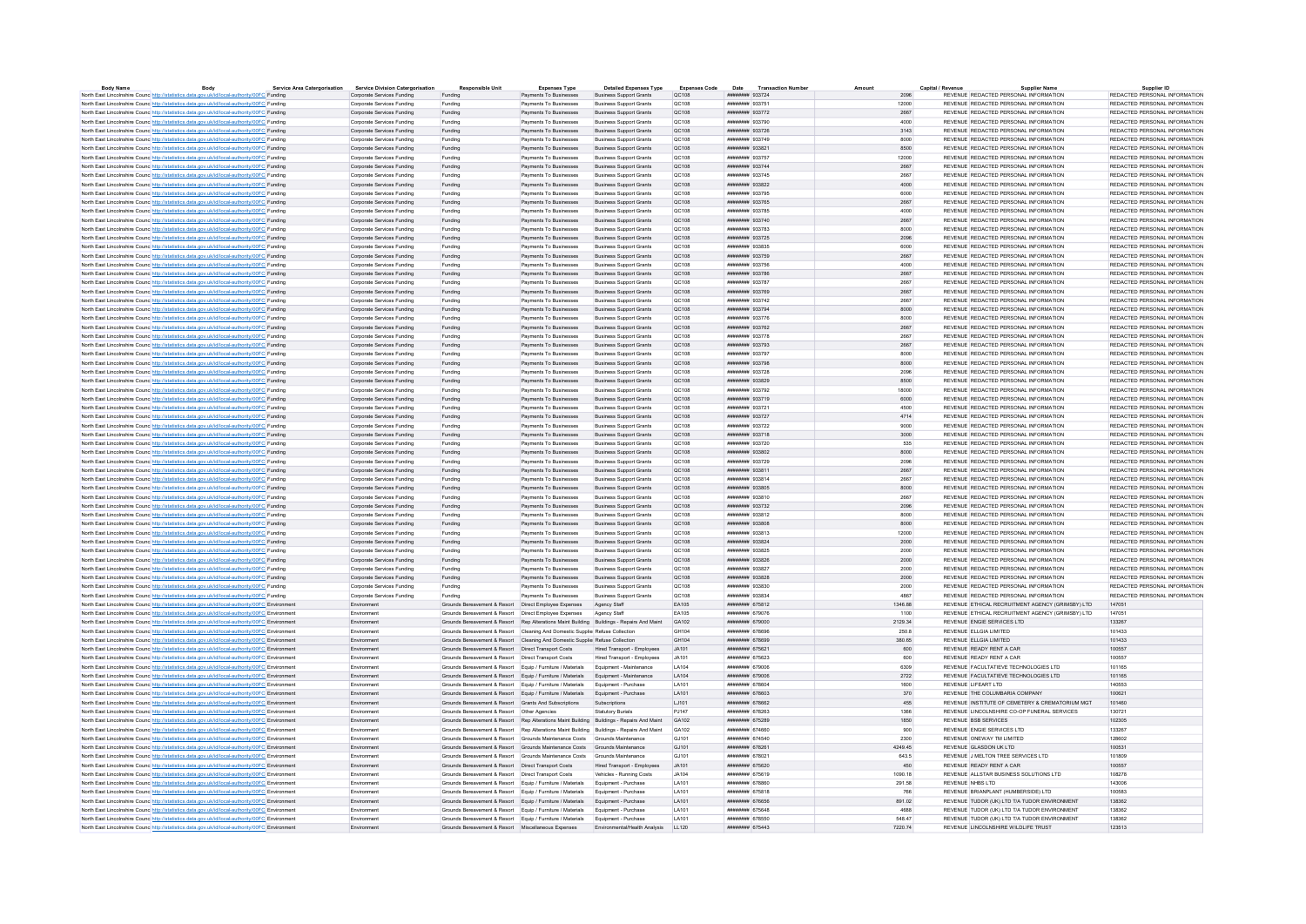| <b>Body Name</b>                                                                                                                                                                           | Body | <b>Service Area Catergorisation</b> | <b>Service Division Catergorisation</b> | <b>Responsible Unit</b>                                                                   | <b>Expenses Type</b>   | <b>Detailed Expenses Type</b>  | <b>Expenses Code</b> | <b>Transaction Number</b><br>Date | Amount  | Capital / Revenu | <b>Supplier Name</b>                             | Supplier ID                   |
|--------------------------------------------------------------------------------------------------------------------------------------------------------------------------------------------|------|-------------------------------------|-----------------------------------------|-------------------------------------------------------------------------------------------|------------------------|--------------------------------|----------------------|-----------------------------------|---------|------------------|--------------------------------------------------|-------------------------------|
| North East Lincolnshire Counc http://statistics.data.gov.uk/id/local-authority/00FC Funding                                                                                                |      |                                     | Corporate Services Funding              | Funding                                                                                   | Payments To Businesses | <b>Business Support Grants</b> | QC108                | ######## 933724                   |         |                  | REVENUE REDACTED PERSONAL INFORMATION            | REDACTED PERSONAL INFORMATION |
| North East Lincolnshire Counc http://statistics.data.gov.uk/id/local-authority/00FC Funding                                                                                                |      |                                     | Cornorate Services Funding              | Funding                                                                                   | Payments To Businesses | <b>Business Sunnort Grants</b> | OC108                | ######## 933751                   | 12000   |                  | REVENUE REDACTED PERSONAL INFORMATION            | REDACTED PERSONAL INFORMATION |
| North East Lincolnshire Counc http://statistics.data.gov.uk/id/local-authority/00FC Funding                                                                                                |      |                                     | Corporate Services Funding              | Funding                                                                                   | Payments To Businesses | <b>Business Support Grants</b> | QC108                | ######## 933772                   | 2667    |                  | REVENUE REDACTED PERSONAL INFORMATION            | REDACTED PERSONAL INFORMATION |
| North East Lincolnshire Counc http://statistics.data.gov.uk/id/local-authority/00FC Funding                                                                                                |      |                                     | Cornorate Services Funding              | Funding                                                                                   | Payments To Businesses | <b>Business Sunnort Grants</b> | OC108                | <b><i>HNHHHHHH</i></b> Q337QO     | 4000    |                  | REVENUE REDACTED RERSONAL INFORMATION            | REDACTED RERSONAL INFORMATION |
| North East Lincolnshire Counc http://statistics.data.gov.uk/id/local-authority/00FC Funding                                                                                                |      |                                     | Corporate Services Funding              | Funding                                                                                   | Payments To Businesses | <b>Business Support Grants</b> | OC108                | ниннини 933726                    | 3143    |                  | REVENUE REDACTED PERSONAL INFORMATION            | REDACTED PERSONAL INFORMATION |
| North East Lincolnshire Counc http://statistics.data.gov.uk/id/local-authority/00FC Funding                                                                                                |      |                                     | Corporate Services Funding              | Funding                                                                                   | Payments To Businesses | <b>Business Support Grants</b> | QC108                | ######## 933749                   | 8000    |                  | REVENUE REDACTED PERSONAL INFORMATION            | REDACTED PERSONAL INFORMATION |
| North East Lincolnshire Counc http://statistics.data.gov.uk/id/local-authority/00FC Funding                                                                                                |      |                                     | Corporate Services Funding              | Funding                                                                                   | Payments To Businesses | <b>Business Support Grants</b> | QC108                | ######## 933821                   | 8500    |                  | REVENUE REDACTED PERSONAL INFORMATION            | REDACTED PERSONAL INFORMATION |
| North East Lincolnshire Counc http://statistics.data.gov.uk/id/local-authority/00FC Funding                                                                                                |      |                                     | Corporate Services Funding              | Funding                                                                                   | Payments To Businesses | <b>Business Support Grants</b> | QC108                | ######## 933757                   | 12000   |                  | REVENUE REDACTED PERSONAL INFORMATION            | REDACTED PERSONAL INFORMATION |
| North East Lincolnshire Counc http://statistics.data.gov.uk/id/local-authority/00FC Funding                                                                                                |      |                                     | Corporate Services Funding              | Funding                                                                                   | Payments To Businesses | Business Support Grants        | QC108                | <b>иннинин</b> 933744             | 2667    |                  | REVENUE REDACTED PERSONAL INFORMATION            | REDACTED PERSONAL INFORMATION |
| North East Lincolnshire Counc http://statistics.data.gov.uk/id/local-authority/00FC Funding                                                                                                |      |                                     | Corporate Services Funding              | Funding                                                                                   | Payments To Businesses | <b>Business Support Grants</b> | QC108                | ######## 933745                   | 2667    |                  | REVENUE REDACTED PERSONAL INFORMATION            | REDACTED PERSONAL INFORMATION |
| North East Lincolnshire Counc http://statistics.data.gov.uk/id/local-authority/00FC Funding                                                                                                |      |                                     | Corporate Services Funding              | Funding                                                                                   | Payments To Businesses | <b>Business Support Grants</b> | QC108                | ######## 933822                   | 4000    |                  | REVENUE REDACTED PERSONAL INFORMATION            | REDACTED PERSONAL INFORMATION |
| North East Lincolnshire Counc http://statistics.data.gov.uk/id/local-authority/00FC Funding                                                                                                |      |                                     | Corporate Services Funding              | Funding                                                                                   | Payments To Businesses | <b>Business Support Grants</b> | QC108                | ######## 933795                   | 6000    |                  | REVENUE REDACTED PERSONAL INFORMATION            | REDACTED PERSONAL INFORMATION |
| North East Lincolnshire Counc http://statistics.data.gov.uk/id/local-authority/00FC Funding                                                                                                |      |                                     | Corporate Services Funding              | Funding                                                                                   | Payments To Businesses | <b>Business Support Grants</b> | QC108                | ######## 933765                   | 2667    |                  | REVENUE REDACTED PERSONAL INFORMATION            | REDACTED PERSONAL INFORMATION |
| North East Lincolnshire Council http://statistics.data.gov.uk/id/local-authority/00EC Funding                                                                                              |      |                                     | Cornorate Services Funding              | Funding                                                                                   | Payments To Businesses | <b>Business Sunnort Grants</b> | OC108                | ######## 933785                   | 4000    |                  | REVENUE REDACTED PERSONAL INFORMATION            | REDACTED PERSONAL INFORMATION |
| North East Lincolnshire Counc http://statistics.data.gov.uk/id/local-authority/00FC Funding                                                                                                |      |                                     | Corporate Services Funding              | Funding                                                                                   | Payments To Businesses | <b>Business Support Grants</b> | QC108                | ######## 933740                   | 2667    |                  | REVENUE REDACTED PERSONAL INFORMATION            | REDACTED PERSONAL INFORMATION |
| North East Lincolnshire Counc http://statistics.data.gov.uk/id/local-authority/00FC Funding                                                                                                |      |                                     | Corporate Services Funding              | Funding                                                                                   | Payments To Businesses | <b>Business Sunnort Grants</b> | OC108                | ######## 933783                   | 8000    |                  | REVENUE REDACTED PERSONAL INFORMATION            | REDACTED PERSONAL INFORMATION |
| North East Lincolnshire Counc http://statistics.data.gov.uk/id/local-authority/00FC Funding                                                                                                |      |                                     | Corporate Services Funding              | Funding                                                                                   | Payments To Businesses | <b>Business Support Grants</b> | QC108                | ######## 933725                   | 2096    |                  | REVENUE REDACTED PERSONAL INFORMATION            | REDACTED PERSONAL INFORMATION |
| North East Lincolnshire Counc http://statistics.data.gov.uk/id/local-authority/00FC Funding                                                                                                |      |                                     | Corporate Services Funding              | Funding                                                                                   | Payments To Businesses | <b>Business Support Grants</b> | OC108                | ниннини 933835                    | 6000    |                  | REVENUE REDACTED PERSONAL INFORMATION            | REDACTED PERSONAL INFORMATION |
| North East Lincolnshire Counc http://statistics.data.gov.uk/id/local-authority/00FC Funding                                                                                                |      |                                     | Corporate Services Funding              | Funding                                                                                   | Payments To Businesses | Business Support Grants        | QC108                | ####### 933759                    | 2667    |                  | REVENUE REDACTED PERSONAL INFORMATION            | REDACTED PERSONAL INFORMATION |
| North East Lincolnshire Counc http://statistics.data.gov.uk/id/local-authority/00FC Funding                                                                                                |      |                                     | Corporate Services Funding              | Funding                                                                                   | Payments To Businesses | <b>Business Support Grants</b> | QC108                | ######## 933756                   | 4000    |                  | REVENUE REDACTED PERSONAL INFORMATION            | REDACTED PERSONAL INFORMATION |
| North East Lincolnshire Counc http://statistics.data.gov.uk/id/local-authority/00FC Funding                                                                                                |      |                                     | Corporate Services Funding              | Funding                                                                                   | Payments To Businesses | <b>Business Sunnort Grants</b> | OC108                | иннинии 933786                    | 2667    |                  | REVENUE REDACTED PERSONAL INFORMATION            | REDACTED PERSONAL INFORMATION |
| North East Lincolnshire Counc http://statistics.data.gov.uk/id/local-authority/00FC Funding                                                                                                |      |                                     | Corporate Services Funding              | Funding                                                                                   | Payments To Businesses | <b>Business Support Grants</b> | QC108                | ######## 933787                   | 2667    |                  | REVENUE REDACTED PERSONAL INFORMATION            | REDACTED PERSONAL INFORMATION |
| North East Lincolnshire Counc http://statistics.data.gov.uk/id/local-authority/00FC Funding                                                                                                |      |                                     | Corporate Services Funding              | Funding                                                                                   | Payments To Businesses | <b>Business Support Grants</b> | QC108                | <b><i>HNHHHHHH</i></b> Q3376Q     | 2667    |                  | REVENUE REDACTED RERSONAL INFORMATION            | REDACTED RERSONAL INFORMATION |
| North East Lincolnshire Counc http://statistics.data.gov.uk/id/local-authority/00FC Funding                                                                                                |      |                                     | Corporate Services Funding              | Funding                                                                                   | Payments To Businesses | <b>Business Support Grants</b> | QC108                | ######## 933742                   | 2667    |                  | REVENUE REDACTED PERSONAL INFORMATION            | REDACTED PERSONAL INFORMATION |
| North East Lincolnshire Counc http://statistics.data.gov.uk/id/local-authority/00FC Funding                                                                                                |      |                                     | Corporate Services Funding              | Funding                                                                                   | Payments To Businesses | <b>Business Support Grants</b> | QC108                | ######## 933794                   | 8000    |                  | REVENUE REDACTED PERSONAL INFORMATION            | REDACTED PERSONAL INFORMATION |
| North East Lincolnshire Counc http://statistics.data.gov.uk/id/local-authority/00FC Funding                                                                                                |      |                                     | Corporate Services Funding              | Funding                                                                                   | Payments To Businesses | <b>Business Support Grants</b> | QC108                | ######## 933776                   | 8000    |                  | REVENUE REDACTED PERSONAL INFORMATION            | REDACTED PERSONAL INFORMATION |
| North East Lincolnshire Counc http://statistics.data.gov.uk/id/local-authority/00FC Funding                                                                                                |      |                                     | Corporate Services Funding              | Funding                                                                                   | Payments To Businesses | <b>Business Support Grants</b> | QC108                | ######## 933762                   | 2667    |                  | REVENUE REDACTED PERSONAL INFORMATION            | REDACTED PERSONAL INFORMATION |
| North East Lincolnshire Counc http://statistics.data.gov.uk/id/local-authority/00FC Funding                                                                                                |      |                                     | Cornorate Services Funding              | Funding                                                                                   | Payments To Businesses | <b>Business Sunnort Grants</b> | OC108                | ######## 933778                   | 2667    |                  | REVENUE REDACTED PERSONAL INFORMATION            | REDACTED PERSONAL INFORMATION |
| North East Lincolnshire Counc http://statistics.data.gov.uk/id/local-authority/00FC Funding                                                                                                |      |                                     | Corporate Services Funding              | Funding                                                                                   | Payments To Businesses | <b>Business Support Grants</b> | QC108                | ######## 933793                   | 2667    |                  | REVENUE REDACTED PERSONAL INFORMATION            | REDACTED PERSONAL INFORMATION |
| North East Lincolnshire Counc http://statistics.data.gov.uk/id/local-authority/00FC Funding                                                                                                |      |                                     | Corporate Services Funding              | Funding                                                                                   | Payments To Businesses | <b>Business Support Grants</b> | QC108                | ######## 933797                   | 8000    |                  | REVENUE REDACTED PERSONAL INFORMATION            | REDACTED PERSONAL INFORMATION |
| North East Lincolnshire Counc http://statistics.data.gov.uk/id/local-authority/00FC Funding                                                                                                |      |                                     | Corporate Services Funding              | Funding                                                                                   | Payments To Businesses | <b>Business Support Grants</b> | QC108                | ######## 933798                   | 8000    |                  | REVENUE REDACTED PERSONAL INFORMATION            | REDACTED PERSONAL INFORMATION |
| North East Lincolnshire Counc http://statistics.data.gov.uk/id/local-authority/00FC Funding                                                                                                |      |                                     | Corporate Services Funding              | Funding                                                                                   | Payments To Businesses | <b>Business Support Grants</b> | QC108                | ######## 933728                   | 2096    |                  | REVENUE REDACTED PERSONAL INFORMATION            | REDACTED PERSONAL INFORMATION |
| North East Lincolnshire Counc http://statistics.data.gov.uk/id/local-authority/00FC Funding                                                                                                |      |                                     | Corporate Services Funding              | Funding                                                                                   | Payments To Businesses | <b>Business Support Grants</b> | QC108                | ####### 933829                    | 8500    |                  | REVENUE REDACTED PERSONAL INFORMATION            | REDACTED PERSONAL INFORMATION |
| North East Lincolnshire Counc http://statistics.data.gov.uk/id/local-authority/00FC Funding                                                                                                |      |                                     | Corporate Services Funding              | Funding                                                                                   | Payments To Businesses | <b>Business Support Grants</b> | QC108                | ######## 933792                   | 18000   |                  | REVENUE REDACTED PERSONAL INFORMATION            | REDACTED PERSONAL INFORMATION |
| North East Lincolnshire Counc http://statistics.data.gov.uk/id/local-authority/00FC Funding                                                                                                |      |                                     | Corporate Services Funding              | Funding                                                                                   | Payments To Businesses | <b>Business Sunnort Grants</b> | OC108                | ######## 933719                   | 6000    |                  | REVENUE REDACTED PERSONAL INFORMATION            | REDACTED PERSONAL INFORMATION |
| North East Lincolnshire Counc http://statistics.data.gov.uk/id/local-authority/00FC Funding                                                                                                |      |                                     | Corporate Services Funding              | Funding                                                                                   | Payments To Businesses | <b>Business Support Grants</b> | OC108                | ######## 933721                   | 4500    |                  | REVENUE REDACTED PERSONAL INFORMATION            | REDACTED PERSONAL INFORMATION |
| North East Lincolnshire Counc http://statistics.data.gov.uk/id/local-authority/00FC Funding                                                                                                |      |                                     | Corporate Services Funding              | Funding                                                                                   | Payments To Businesses | <b>Business Support Grants</b> | OC108                | ######## 933727                   | 4714    |                  | REVENUE REDACTED PERSONAL INFORMATION            | REDACTED PERSONAL INFORMATION |
| North East Lincolnshire Counc http://statistics.data.gov.uk/id/local-authority/00FC Funding                                                                                                |      |                                     | Cornorate Services Funding              | Funding                                                                                   | Payments To Businesses | <b>Business Support Grants</b> | OC108                | ######## 933722                   | 9000    |                  | REVENUE REDACTED PERSONAL INFORMATION            | REDACTED PERSONAL INFORMATION |
| North East Lincolnshire Counc http://statistics.data.gov.uk/id/local-authority/00FC Funding                                                                                                |      |                                     | Corporate Services Funding              | Funding                                                                                   | Payments To Businesses | <b>Business Support Grants</b> | QC108                | ######## 933718                   | 3000    |                  | REVENUE REDACTED PERSONAL INFORMATION            | REDACTED PERSONAL INFORMATION |
|                                                                                                                                                                                            |      |                                     | Corporate Services Funding              | Funding                                                                                   | Payments To Businesses | Business Support Grants        | QC108                | ######## 933720                   | 535     |                  | REVENUE REDACTED PERSONAL INFORMATION            | REDACTED PERSONAL INFORMATION |
| North East Lincolnshire Counc http://statistics.data.gov.uk/id/local-authority/00FC Funding<br>North East Lincolnshire Counc http://statistics.data.gov.uk/id/local-authority/00FC Funding |      |                                     | Corporate Services Funding              | Funding                                                                                   | Payments To Businesses | <b>Business Support Grants</b> | QC108                | ######## 933802                   | 8000    |                  | REVENUE REDACTED PERSONAL INFORMATION            | REDACTED PERSONAL INFORMATION |
|                                                                                                                                                                                            |      |                                     | Cornorate Services Funding              |                                                                                           | Payments To Businesses | <b>Business Sunnort Grants</b> | OC108                | ######## 933729                   | 2096    |                  | REVENUE REDACTED PERSONAL INFORMATION            | REDACTED PERSONAL INFORMATION |
| North East Lincolnshire Counc http://statistics.data.gov.uk/id/local-authority/00FC Funding                                                                                                |      |                                     | Corporate Services Funding              | Funding<br>Funding                                                                        | Payments To Businesses | <b>Business Support Grants</b> | QC108                | ####### 933811                    | 2667    |                  | REVENUE REDACTED PERSONAL INFORMATION            | REDACTED PERSONAL INFORMATION |
| North East Lincolnshire Counc http://statistics.data.gov.uk/id/local-authority/00FC Funding                                                                                                |      |                                     |                                         |                                                                                           | Payments To Businesses |                                | <b>QC108</b>         | <b>инвинин</b> 933814             | 2667    |                  | REVENUE REDACTED PERSONAL INFORMATION            | REDACTED PERSONAL INFORMATION |
| North East Lincolnshire Counc http://statistics.data.gov.uk/id/local-authority/00FC Funding                                                                                                |      |                                     | Corporate Services Funding              | Funding                                                                                   |                        | <b>Business Support Grants</b> |                      |                                   |         |                  |                                                  |                               |
| North East Lincolnshire Counc http://statistics.data.gov.uk/id/local-authority/00FC Funding                                                                                                |      |                                     | Corporate Services Funding              | Funding                                                                                   | Payments To Businesses | <b>Business Support Grants</b> | QC108                | ######## 933805                   | 8000    |                  | REVENUE REDACTED PERSONAL INFORMATION            | REDACTED PERSONAL INFORMATION |
| North East Lincolnshire Counc http://statistics.data.gov.uk/id/local-authority/00FC Funding                                                                                                |      |                                     | Corporate Services Funding              | Funding                                                                                   | Payments To Businesses | <b>Business Support Grants</b> | QC108                | ######## 933810                   | 2667    |                  | REVENUE REDACTED PERSONAL INFORMATION            | REDACTED PERSONAL INFORMATION |
| North East Lincolnshire Councilistor//statistics.data.oov.uk/id/local-authority/00EC Eunding                                                                                               |      |                                     | Corporate Services Funding              | Funding                                                                                   | Payments To Businesses | <b>Business Sunnort Grants</b> | OC108                | ######## 933732                   | 2096    |                  | REVENUE REDACTED PERSONAL INFORMATION            | REDACTED PERSONAL INFORMATION |
| North East Lincolnshire Counc http://statistics.data.gov.uk/id/local-authority/00FC Funding                                                                                                |      |                                     | Corporate Services Funding              | Funding                                                                                   | Payments To Businesses | <b>Business Support Grants</b> | QC108                | ######## 933812                   | 8000    |                  | REVENUE REDACTED PERSONAL INFORMATION            | REDACTED PERSONAL INFORMATION |
| North East Lincolnshire Counc http://statistics.data.gov.uk/id/local-authority/00FC Funding                                                                                                |      |                                     | Corporate Services Funding              | Funding                                                                                   | Payments To Businesses | Business Support Grants        | OC108                | ниннини 933808                    | 8000    |                  | REVENUE REDACTED PERSONAL INFORMATION            | REDACTED PERSONAL INFORMATION |
| North East Lincolnshire Counc http://statistics.data.gov.uk/id/local-authority/00FC Funding                                                                                                |      |                                     | Corporate Services Funding              | Funding                                                                                   | Payments To Businesses | <b>Business Support Grants</b> | OC108                | ######## 933813                   | 12000   |                  | REVENUE REDACTED PERSONAL INFORMATION            | REDACTED PERSONAL INFORMATION |
| North East Lincolnshire Counc http://statistics.data.gov.uk/id/local-authority/00FC Funding                                                                                                |      |                                     | Corporate Services Funding              | Funding                                                                                   | Payments To Businesses | <b>Business Support Grants</b> | OC108                | ниннини 933824                    | 2000    |                  | REVENUE REDACTED PERSONAL INFORMATION            | REDACTED PERSONAL INFORMATION |
| North East Lincolnshire Counc http://statistics.data.gov.uk/id/local-authority/00FC Funding                                                                                                |      |                                     | Corporate Services Funding              | Funding                                                                                   | Payments To Businesses | <b>Business Sunnort Grants</b> | OC108                | нивнини 933825                    | 2000    |                  | REVENUE REDACTED PERSONAL INFORMATION            | REDACTED PERSONAL INFORMATION |
| North East Lincolnshire Counc http://statistics.data.gov.uk/id/local-authority/00FC Funding                                                                                                |      |                                     | Corporate Services Funding              | Funding                                                                                   | Payments To Businesses | <b>Business Support Grants</b> | QC108                | ######## 933826                   | 2000    |                  | REVENUE REDACTED PERSONAL INFORMATION            | REDACTED PERSONAL INFORMATION |
| North East Lincolnshire Counc http://statistics.data.gov.uk/id/local-authority/00FC Funding                                                                                                |      |                                     | Cornorate Services Funding              | Funding                                                                                   | Payments To Businesses | <b>Business Sunnort Grants</b> | OC108                | ниннини 933827                    | 2000    |                  | REVENUE REDACTED PERSONAL INFORMATION            | REDACTED PERSONAL INFORMATION |
| North East Lincolnshire Counc http://statistics.data.gov.uk/id/local-authority/00FC Funding                                                                                                |      |                                     | Corporate Services Funding              | Funding                                                                                   | Payments To Businesses | <b>Business Support Grants</b> | QC108                | ######## 933828                   | 2000    |                  | REVENUE REDACTED PERSONAL INFORMATION            | REDACTED PERSONAL INFORMATION |
| North East Lincolnshire Counc http://statistics.data.gov.uk/id/local-authority/00FC Funding                                                                                                |      |                                     | Corporate Services Funding              | Funding                                                                                   | Payments To Businesses | <b>Business Sunnort Grants</b> | QC108                | ######## 933830                   | 2000    |                  | REVENUE REDACTED PERSONAL INFORMATION            | REDACTED PERSONAL INFORMATION |
| North East Lincolnshire Counc http://statistics.data.gov.uk/id/local-authority/00FC Funding                                                                                                |      |                                     | Corporate Services Funding              | Funding                                                                                   | Payments To Businesses | <b>Business Support Grants</b> | QC108                | ######## 933834                   | 4867    |                  | REVENUE REDACTED PERSONAL INFORMATION            | REDACTED PERSONAL INFORMATION |
| North East Lincolnshire Counc http://statistics.data.gov.uk/id/local-authority/00FC Environment                                                                                            |      |                                     | Environment                             | Grounds Bereavement & Resort  Direct Employee Expenses                                    |                        | Agency Staff                   | EA105                | ######## 675812                   | 1346.88 |                  | REVENUE ETHICAL RECRUITMENT AGENCY (GRIMSBY) LTD | 147051                        |
| North East Lincolnshire Counc http://statistics.data.gov.uk/id/local-authority/00FC Environment                                                                                            |      |                                     | Environment                             | Grounds Bereavement & Resort  Direct Employee Expenses                                    |                        | Agency Staff                   | EA105                | ######## 679076                   | 1100    |                  | REVENUE ETHICAL RECRUITMENT AGENCY (GRIMSBY) LTD | 147051                        |
| North East Lincolnshire Counc http://statistics.data.gov.uk/id/local-authority/00FC Environment                                                                                            |      |                                     | Environment                             | Grounds Bereavement & Resort Rep Alterations Maint Building Buildings - Repairs And Maint |                        |                                | GA102                | ######## 679000                   | 2129.34 |                  | REVENUE ENGIE SERVICES LTD                       | 133267                        |
| North East Lincolnshire Counc http://statistics.data.gov.uk/id/local-authority/00FC Environment                                                                                            |      |                                     | Fnvironment                             | Grounds Bereavement & Resort Cleaning And Domestic Supplier Refuse Collection             |                        |                                | GH104                | <b>ИНИНИНИ 678696</b>             | 250.8   |                  | REVENUE FLI GIA LIMITED                          | 101433                        |
| North East Lincolnshire Counc http://statistics.data.gov.uk/id/local-authority/00FC Environment                                                                                            |      |                                     | Environment                             | Grounds Bereavement & Resort Cleaning And Domestic Supplier Refuse Collection             |                        |                                | GH104                | ######## 678699                   | 380.65  |                  | REVENUE ELLGIA LIMITED                           | 101433                        |
| North East Lincolnshire Counc http://statistics.data.gov.uk/id/local-authority/00FC Environment                                                                                            |      |                                     | Environment                             | Grounds Bereavement & Resort  Direct Transport Costs                                      |                        | Hired Transport - Employees    | .14101               | ####### 675621                    | 600     |                  | REVENUE READY RENT A CAR                         | 100557                        |
| North East Lincolnshire Counc http://statistics.data.gov.uk/id/local-authority/00FC Environment                                                                                            |      |                                     | Environment                             | Grounds Bereavement & Resort  Direct Transport Costs                                      |                        | Hired Transport - Employees    | JA101                | ######## 675623                   | 600     |                  | REVENUE READY RENT A CAR                         | 100557                        |
| North East Lincolnshire Counc http://statistics.data.gov.uk/id/local-authority/00FC Environment                                                                                            |      |                                     | Environmen                              | Grounds Bereavement & Resort Equip / Furniture / Materials                                |                        | Equipment - Maintenance        | LA104                | ######## 679006                   | 6309    |                  | REVENUE FACULTATIEVE TECHNOLOGIES LTD            | 101165                        |
| North East Lincolnshire Counc http://statistics.data.gov.uk/id/local-authority/00FC Environment                                                                                            |      |                                     | Environment                             | Grounds Bereavement & Resort Equip / Furniture / Materials Equipment - Maintenance        |                        |                                | LA104                | ######## 679006                   | 2722    |                  | REVENUE FACULTATIEVE TECHNOLOGIES LTD            | 101165                        |
| North East Lincolnshire Counc http://statistics.data.gov.uk/id/local-authority/00FC Environment                                                                                            |      |                                     | Environment                             | Grounds Bereavement & Resort Equip / Furniture / Materials Equipment - Purchase           |                        |                                | LA101                | ######## 678604                   | 1600    |                  | REVENUE LIFEART LTD                              | 140553                        |
| North East Lincolnshire Counc http://statistics.data.gov.uk/id/local-authority/00FC Environment                                                                                            |      |                                     | Environment                             | Grounds Bereavement & Resort Foujo / Furniture / Materials Foujoment - Purchase           |                        |                                | <b>LA101</b>         | ######## 678603                   | 370     |                  | REVENUE THE COLUMBARIA COMPANY                   | 100621                        |
| North East Lincolnshire Counc http://statistics.data.gov.uk/id/local-authority/00FC Environment                                                                                            |      |                                     | Environment                             | Grounds Bereavement & Resort Grants And Subscriptions                                     |                        | Subscriptions                  | 1.1101               | иннинин 678662                    | 455     |                  | REVENUE INSTITUTE OF CEMETERY & CREMATORIUM MGT  | 101460                        |
| North East Lincolnshire Counc http://statistics.data.gov.uk/id/local-authority/00FC Environment                                                                                            |      |                                     | Emironman                               | Grounds Bereavement & Resort Other Anencies                                               |                        | Statutory Buriale              | <b>P1147</b>         | нивнини 678263                    | 1366    |                  | REVENUE LINCOLNSHIRE CO-OP FUNERAL SERVICES      | 130721                        |
| North East Lincolnshire Counc http://statistics.data.gov.uk/id/local-authority/00FC Environment                                                                                            |      |                                     | Environment                             | Grounds Bereavement & Resort Rep Alterations Maint Building Buildings - Repairs And Maint |                        |                                | GA102                | ####### 675289                    | 1850    |                  | REVENUE BSB SERVICES                             | 102305                        |
| North East Lincolnshire Counc <sup>http://statistics.data.gov.uk/id/local-authority/00FC Environmen</sup>                                                                                  |      |                                     | Environmen                              | Grounds Bereavement & Resort Rep Alterations Maint Building Buildings - Repairs And Maint |                        |                                | GA102                | ######## 674660                   | 900     |                  | REVENUE ENGIE SERVICES LTD                       | 133267                        |
| North East Lincolnshire Counc http://statistics.data.gov.uk/id/local-authority/00FC Environment                                                                                            |      |                                     | Environment                             | Grounds Bereavement & Resort Grounds Maintenance Costs Grounds Maintenance                |                        |                                | GJ101                | ######## 674540                   | 2300    |                  | REVENUE ONEWAY TM LIMITED                        | 128602                        |
| North East Lincolnshire Counc http://statistics.data.gov.uk/id/local-authority/00FC Environment                                                                                            |      |                                     | Environmen                              | Grounds Bereavement & Resort Grounds Maintenance Costs                                    |                        | Grounds Maintenance            | GJ101                | ######## 678261                   | 4249.45 |                  | REVENUE GLASDON UK LTD                           | 100531                        |
| North East Lincolnshire Counc http://statistics.data.gov.uk/id/local-authority/00FC Environment                                                                                            |      |                                     | Fnvironment                             | Grounds Bereavement & Resort Grounds Maintenance Costs Grounds Maintenance                |                        |                                | G.1101               | <b>ИНИНИНИ 678021</b>             | 643.5   |                  | REVENUE J MELTON TREE SERVICES LTD               | 101809                        |
| North East Lincolnshire Counc http://statistics.data.gov.uk/id/local-authority/00FC Environment                                                                                            |      |                                     | Environment                             | Grounds Bereavement & Resort  Direct Transport Costs                                      |                        | Hired Transport - Employees    | JA101                | ####### 675620                    | 450     |                  | REVENUE READY RENT A CAR                         | 100557                        |
| North East Lincolnshire Counc http://statistics.data.gov.uk/id/local-authority/00FC Environment                                                                                            |      |                                     | Environment                             | Grounds Bereavement & Resort   Direct Transport Costs                                     |                        | Vehicles - Running Costs       | .IA104               | ####### 675619                    | 1090.18 |                  | REVENUE ALLSTAR BUSINESS SOLUTIONS LTD           | 108278                        |
| North East Lincolnshire Counc http://statistics.data.gov.uk/id/local-authority/00FC Environment                                                                                            |      |                                     | Environment                             | Grounds Bereavement & Resort Equip / Furniture / Materials                                |                        | Equipment - Purchase           | LA101                | ######## 678860                   | 291.58  |                  | REVENUE NHBS LTD                                 | 143006                        |
| North East Lincolnshire Counc http://statistics.data.gov.uk/id/local-authority/00FC Environmen                                                                                             |      |                                     | Environmen                              | Grounds Bereavement & Resort Equip / Furniture / Materials                                |                        | Equipment - Purchase           | LA101                | ######## 675818                   | 766     |                  | REVENUE BRIANPLANT (HUMBERSIDE) LTD              | 100583                        |
| North East Lincolnshire Counc.http://statistics.data.gov.uk/id/local-authority/00EC.Environment                                                                                            |      |                                     | Fryironment                             | Grounds Bereavement & Resort Fouin / Furniture / Materials Fouinment - Purchase           |                        |                                | <b>LA101</b>         | ####### 676656                    | 891.02  |                  | REVENUE TUDOR (UK) I TD T/A TUDOR ENVIRONMENT    | 138362                        |
| North East Lincolnshire Counc http://statistics.data.gov.uk/id/local-authority/00FC Environment                                                                                            |      |                                     | Environmen                              | Grounds Bereavement & Resort Equip / Furniture / Materials Equipment - Purchase           |                        |                                | LA101                | ####### 675648                    | 4688    |                  | REVENUE TUDOR (UK) LTD T/A TUDOR ENVIRONMENT     | 138362                        |
| North East Lincolnshire Counc http://statistics.data.gov.uk/id/local-authority/00FC Environment                                                                                            |      |                                     | Fryironment                             | Grounds Bereavement & Resort Fouin / Furniture / Materials Foulnment - Purchase           |                        |                                | <b>LA101</b>         | ######## 678550                   | 548 47  |                  | REVENUE TUDOR (UK) I TD T/A TUDOR ENVIRONMENT    | 138362                        |
| North East Lincolnshire Counc http://statistics.data.gov.uk/id/local-authority/00FC Environment                                                                                            |      |                                     | Environment                             | Grounds Bereavement & Resort Miscellaneous Expenses                                       |                        | Environmental/Health Analysis  | 11120                | ######## 675443                   | 7220.74 |                  | REVENUE LINCOLNSHIRE WILDLIFE TRUST              | 123513                        |
|                                                                                                                                                                                            |      |                                     |                                         |                                                                                           |                        |                                |                      |                                   |         |                  |                                                  |                               |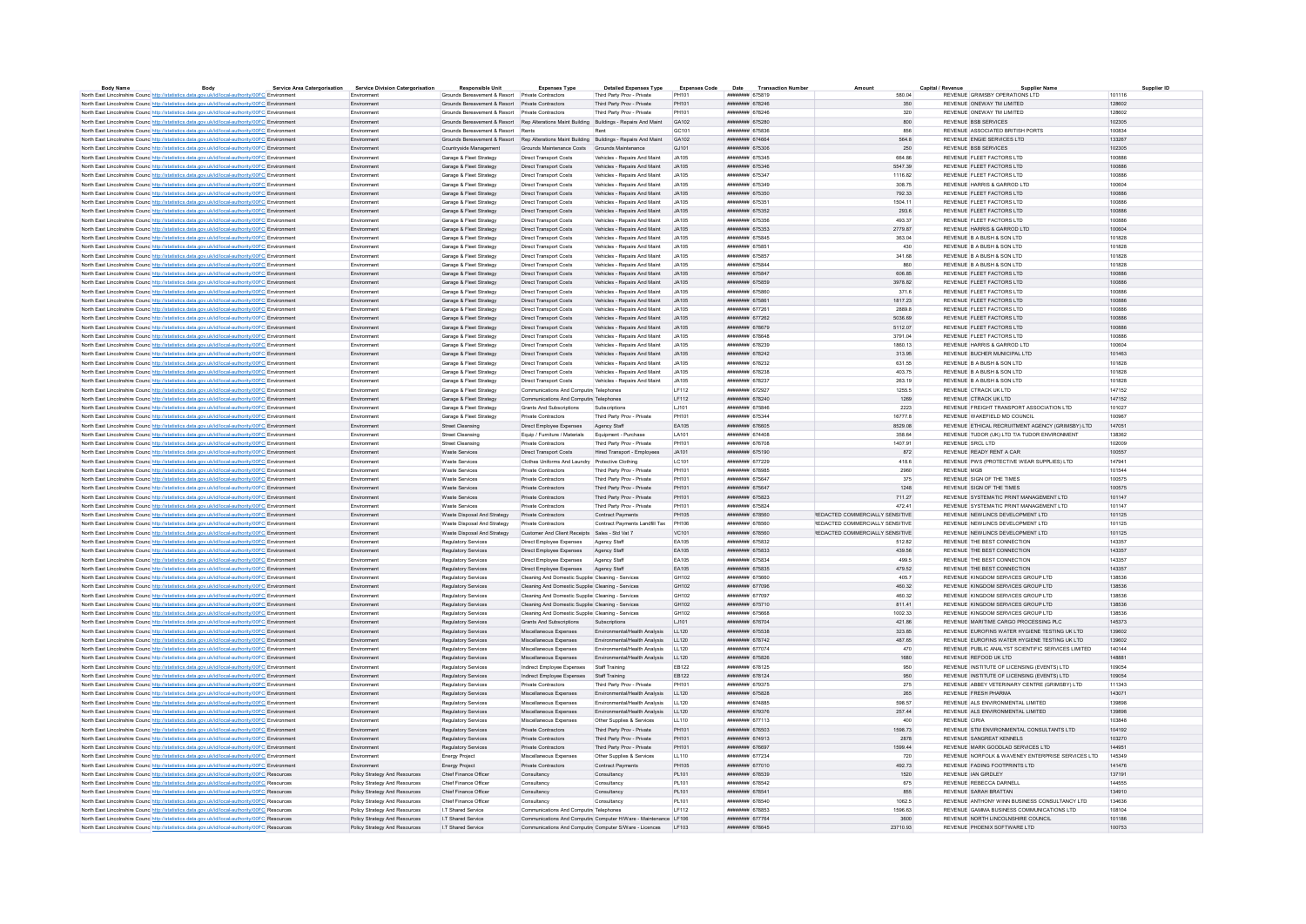| <b>Body Name</b> | Body                                                                                                                                                                                               | <b>Service Area Catergorisation</b> | <b>Service Division Catergorisation</b> | <b>Responsible Unit</b>                                                                   | <b>Expenses Type</b>                                    | <b>Detailed Expenses Type</b>                                   | <b>Expenses Code</b> | Date                                 | <b>Transaction Numbe</b> |                                 |                                                    | Supplier ID |
|------------------|----------------------------------------------------------------------------------------------------------------------------------------------------------------------------------------------------|-------------------------------------|-----------------------------------------|-------------------------------------------------------------------------------------------|---------------------------------------------------------|-----------------------------------------------------------------|----------------------|--------------------------------------|--------------------------|---------------------------------|----------------------------------------------------|-------------|
|                  | North East Lincolnshire Counc http://statistics.data.gov.uk/id/local-authority/00FC Environmen                                                                                                     |                                     | Environment                             | Grounds Bereavement & Resort Private Contractors                                          |                                                         | Third Party Prov - Private                                      | PH101                | ####### 675819                       |                          | 580.04                          | REVENUE GRIMSBY OPERATIONS LTD                     | 101116      |
|                  | North East Lincolnshire Counc http://statistics.data.gov.uk/id/local-authority/00FC Environment                                                                                                    |                                     | Environment                             | Grounds Bereavement & Resort Private Contractors                                          |                                                         | Third Party Prov - Private                                      | PH101                | ######## 678246                      |                          | 350                             | REVENUE ONEWAY TM LIMITED                          | 128602      |
|                  | North East Lincolnshire Counc http://statistics.data.gov.uk/id/local-authority/00FC Environmen                                                                                                     |                                     | Environmen                              | Grounds Bereavement & Resort Private Contractors                                          |                                                         | Third Party Prov - Private                                      | PH101                | <b><i>HHHHHHH 678246</i></b>         |                          | 320                             | REVENUE ONEWAY TM LIMITED                          | 128602      |
|                  | North East Lincolnshire Counc http://statistics.data.gov.uk/id/local-authority/00FC Environment                                                                                                    |                                     | Fnvironment                             | Grounds Bereavement & Resort Rep Alterations Maint Building Buildings - Repairs And Maint |                                                         |                                                                 | GA102                | ######## 675280                      |                          | 800                             | REVENUE BSB SERVICES                               | 102305      |
|                  | North East Lincolnshire Counc http://statistics.data.gov.uk/id/local-authority/00FC Environment                                                                                                    |                                     | Environment                             | Grounds Bereavement & Resort Rents                                                        |                                                         |                                                                 | GC101                | ######## 675836                      |                          | 856                             | REVENUE ASSOCIATED BRITISH PORTS                   | 100834      |
|                  | North East Lincolnshire Counc http://statistics.data.gov.uk/id/local-authority/00FC Environment                                                                                                    |                                     | Environment                             | Grounds Bereavement & Resort Rep Alterations Maint Building Buildings - Repairs And Maint |                                                         |                                                                 | GA102                | ######## 674664                      |                          | 564.8                           | REVENUE ENGIE SERVICES LTD                         | 133267      |
|                  | North East Lincolnshire Counc http://statistics.data.gov.uk/id/local-authority/00FC Environment                                                                                                    |                                     | Environment                             | Countryside Management                                                                    | Grounds Maintenance Costs Grounds Maintenance           |                                                                 | GJ101                | ######## 675306                      |                          | 250                             | REVENUE BSB SERVICES                               | 102305      |
|                  | North East Lincolnshire Counc http://statistics.data.gov.uk/id/local-authority/00FC Environment                                                                                                    |                                     | Environment                             | Garage & Fleet Strategy                                                                   | <b>Direct Transport Costs</b>                           | Vehicles - Repairs And Maint                                    | LIA105               | ######## 675345                      |                          | 664.86                          | REVENUE FLEET FACTORS LTD                          | 100886      |
|                  | North East Lincolnshire Counc http://statistics.data.gov.uk/id/local-authority/00FC Environment                                                                                                    |                                     | Environment                             | Garage & Fleet Strategy                                                                   | <b>Direct Transport Costs</b>                           | Vehicles - Repairs And Maint                                    | JA105                | ######## 675346                      |                          | 5547.39                         | REVENUE FLEET FACTORS LTD                          | 100886      |
|                  | North East Lincolnshire Counc http://statistics.data.gov.uk/id/local-authority/00FC Environmen                                                                                                     |                                     | Environmen                              | Garage & Fleet Strategy                                                                   | Direct Transport Costs                                  | Vehicles - Repairs And Maint                                    | JA105                | ######## 675347                      |                          | 1116.82                         | REVENUE FLEET FACTORS LTD                          | 100886      |
|                  | North East Lincolnshire Counc http://statistics.data.gov.uk/id/local-authority/00FC Environment                                                                                                    |                                     | Environment                             | Garage & Fleet Strategy                                                                   | <b>Direct Transport Costs</b>                           | Vehicles - Repairs And Maint                                    | JA105                | ######## 675349                      |                          | 308.75                          | REVENUE HARRIS & GARROD LTD                        | 100604      |
|                  | North East Lincolnshire Counc http://statistics.data.gov.uk/id/local-authority/00FC Environment                                                                                                    |                                     | Environment                             | Garage & Fleet Strategy                                                                   | <b>Direct Transport Costs</b>                           | Vehicles - Repairs And Maint                                    | <b>JA105</b>         | ######## 675350                      |                          | 792.33                          | REVENUE FLEET FACTORS LTD                          | 100886      |
|                  | North East Lincolnshire Councint http://statistics.data.gov.uk/id/local-authority/00FC Environment                                                                                                 |                                     | Environment                             | Garage & Fleet Strategy                                                                   | <b>Direct Transport Costs</b>                           | Vehicles - Renairs And Maint                                    | .JA105               | ####### 675351                       |                          | 1504 11                         | REVENUE ELEFT FACTORS LTD                          | 100886      |
|                  | North East Lincolnshire Counc http://statistics.data.gov.uk/id/local-authority/00FC Environment                                                                                                    |                                     | Environment                             | Garage & Fleet Strategy                                                                   | <b>Direct Transport Costs</b>                           | Vehicles - Repairs And Maint                                    | .14105               | ######## 675352                      |                          | 293.6                           | REVENUE FLEET FACTORS LTD                          | 100886      |
|                  | North East Lincolnshire Counc http://statistics.data.gov.uk/id/local-authority/00FC Environment                                                                                                    |                                     | Environmen                              | Garage & Fleet Strategy                                                                   | <b>Direct Transport Costs</b>                           | Vehicles - Repairs And Maint                                    | JA105                | ######## 675356                      |                          | 493.37                          | REVENUE FLEET FACTORS LTD                          | 100886      |
|                  | North East Lincolnshire Counc http://statistics.data.gov.uk/id/local-authority/00FC Environment                                                                                                    |                                     | Environment                             | Garage & Fleet Strategy                                                                   | <b>Direct Transport Costs</b>                           | Vehicles - Repairs And Maint                                    | JA105                | ######## 675353                      |                          | 2779.87                         | REVENUE HARRIS & GARROD LTD                        | 100604      |
|                  | North East Lincolnshire Counc http://statistics.data.gov.uk/id/local-authority/00FC Environment                                                                                                    |                                     | Environmen                              | Garage & Fleet Strategy                                                                   | <b>Direct Transport Costs</b>                           | Vehicles - Repairs And Maint                                    | JA105                | ######## 67584                       |                          | 363.04                          | REVENUE B A BUSH & SON LTD                         | 101828      |
|                  | North East Lincolnshire Counc http://statistics.data.gov.uk/id/local-authority/00FC Environment                                                                                                    |                                     | Fnvironment                             | Garage & Fleet Strategy                                                                   | Direct Transport Costs                                  | Vehicles - Renairs And Maint                                    | LIA105               | ######## 675851                      |                          | 430                             | REVENUE B A BUSH & SON LTD.                        | 101828      |
|                  | North East Lincolnshire Counc <sup>http://statistics.data.gov.uk/id/local-authority/00FC Environment</sup>                                                                                         |                                     | Environmen                              | Garage & Fleet Strategy                                                                   | <b>Direct Transport Costs</b>                           | Vehicles - Repairs And Maint                                    | JA105                | ######## 675857                      |                          | 341.68                          | REVENUE B A BUSH & SON LTD                         | 101828      |
|                  |                                                                                                                                                                                                    |                                     | Environment                             |                                                                                           |                                                         |                                                                 | JA105                | ######## 675844                      |                          | 860                             | REVENUE B A BUSH & SON LTD                         | 101828      |
|                  | North East Lincolnshire Counce http://statistics.data.gov.uk/id/local-authority/00FC Environment                                                                                                   |                                     |                                         | Garage & Fleet Strategy                                                                   | Direct Transport Costs                                  | Vehicles - Repairs And Maint<br>Vehicles - Repairs And Maint    | JA105                | ######## 675847                      |                          | 606.85                          | REVENUE FLEET FACTORS LTD                          | 100886      |
|                  | North East Lincolnshire Counc http://statistics.data.gov.uk/id/local-authority/00FC Environment                                                                                                    |                                     | Environment                             | Garage & Fleet Strategy                                                                   | <b>Direct Transport Costs</b>                           |                                                                 | .14105               | ######## 675859                      |                          | 3978.82                         | REVENUE FLEET FACTORS LTD                          | 100886      |
|                  | North East Lincolnshire Counc http://statistics.data.gov.uk/id/local-authority/00FC Environment                                                                                                    |                                     | Environment                             | Garage & Fleet Strategy                                                                   | <b>Direct Transport Costs</b>                           | Vehicles - Repairs And Maint                                    |                      |                                      |                          |                                 |                                                    |             |
|                  | North East Lincolnshire Counc http://statistics.data.gov.uk/id/local-authority/00FC Environment                                                                                                    |                                     | Environment                             | Garage & Fleet Strategy                                                                   | <b>Direct Transport Costs</b>                           | Vehicles - Repairs And Maint                                    | LIA105               | ######## 675860                      |                          | 371.6                           | REVENUE FLEET FACTORS LTD                          | 100886      |
|                  | North East Lincolnshire Counc http://statistics.data.gov.uk/id/local-authority/00FC Environment                                                                                                    |                                     | Environmen                              | Garage & Fleet Strategy                                                                   | <b>Direct Transport Costs</b>                           | Vehicles - Repairs And Maint                                    | JA105                | ######## 675861                      |                          | 1817.23                         | REVENUE FLEET FACTORS LTD                          | 100886      |
|                  | North East Lincolnshire Counc http://statistics.data.gov.uk/id/local-authority/00FC Environment                                                                                                    |                                     | Environment                             | Garage & Fleet Strategy                                                                   | <b>Direct Transport Costs</b>                           | Vehicles - Repairs And Maint                                    | .JA105               | <b>инвинин</b> 677261                |                          | 2889.8                          | REVENUE ELEFT FACTORS LTD                          | 100886      |
|                  | North East Lincolnshire Counc http://statistics.data.gov.uk/id/local-authority/00FC Environment                                                                                                    |                                     | Environment                             | Garage & Fleet Strategy                                                                   | Direct Transport Costs                                  | Vehicles - Repairs And Maint                                    | <b>JA105</b>         | ####### 677262                       |                          | 5036.69                         | REVENUE FLEET FACTORS LTD                          | 100886      |
|                  | North East Lincolnshire Counc http://statistics.data.gov.uk/id/local-authority/00FC Environment                                                                                                    |                                     | Fnvironment                             | Garage & Fleet Strategy                                                                   | <b>Direct Transport Costs</b>                           | Vehicles - Repairs And Maint                                    | .14105               | ######## 678679                      |                          | 5112.07                         | REVENUE FLEET FACTORS LTD                          | 100886      |
|                  | North East Lincolnshire Counc http://statistics.data.gov.uk/id/local-authority/00FC Environment                                                                                                    |                                     | Environment                             | Garage & Fleet Strategy                                                                   | <b>Direct Transport Costs</b>                           | Vehicles - Repairs And Maint                                    | .14105               | ######## 678648                      |                          | 3791.04                         | REVENUE FLEET FACTORS LTD                          | 100886      |
|                  | North East Lincolnshire Counc http://statistics.data.gov.uk/id/local-authority/00FC Environment                                                                                                    |                                     | Environment                             | Garage & Fleet Strategy                                                                   | <b>Direct Transport Costs</b>                           | Vehicles - Repairs And Maint                                    | JA105                | ######## 678239                      |                          | 1860.13                         | REVENUE HARRIS & GARROD LTD                        | 100604      |
|                  | North East Lincolnshire Counc http://statistics.data.gov.uk/id/local-authority/00FC Environment                                                                                                    |                                     | Environment                             | Garage & Fleet Strategy                                                                   | <b>Direct Transport Costs</b>                           | Vehicles - Repairs And Maint                                    | JA105                | ######## 678242                      |                          | 313.95                          | REVENUE BUCHER MUNICIPAL LTD                       | 101463      |
|                  | North East Lincolnshire Counc http://statistics.data.gov.uk/id/local-authority/00FC Environment                                                                                                    |                                     | Environment                             | Garage & Fleet Strategy                                                                   | <b>Direct Transport Costs</b>                           | Vehicles - Repairs And Maint                                    | <b>JA105</b>         | ######## 678232                      |                          | 631.55                          | REVENUE B A BUSH & SON LTD                         | 101828      |
|                  | North East Lincolnshire Counc http://statistics.data.gov.uk/id/local-authority/00FC Environment                                                                                                    |                                     | Fnvironment                             | Garage & Fleet Strategy                                                                   | Direct Transport Costs                                  | Vehicles - Renairs And Maint                                    | LIA105               | ининнин 678238                       |                          | 403 75                          | REVENUE B A BUSH & SON LTD.                        | 101828      |
|                  | North East Lincolnshire Counc http://statistics.data.gov.uk/id/local-authority/00FC Environment                                                                                                    |                                     | Environmen                              | Garage & Fleet Strategy                                                                   | <b>Direct Transport Costs</b>                           | Vehicles - Repairs And Maint                                    | JA105                | ######## 678237                      |                          | 263.19                          | REVENUE B A BUSH & SON LTD                         | 101828      |
|                  | North East Lincolnshire Counc http://statistics.data.gov.uk/id/local-authority/00FC Environment                                                                                                    |                                     | Environment                             | Garage & Fleet Strategy                                                                   | Communications And Computing Telephones                 |                                                                 | <b>IF112</b>         | ######## 672927                      |                          | 1255.5                          | REVENUE CTRACK UK LTD                              | 147152      |
|                  | North East Lincolnshire Counc http://statistics.data.gov.uk/id/local-authority/00FC Environment                                                                                                    |                                     | Environment                             | Garage & Fleet Strategy                                                                   | Communications And Computin Telephones                  |                                                                 | LF112                | ######## 678240                      |                          | 1269                            | REVENUE CTRACK UK LTD                              | 147152      |
|                  | North East Lincolnshire Counc <sup>http://statistics.data.gov.uk/id/local-authority/00FC Environmen</sup>                                                                                          |                                     | Environmen                              | Garage & Fleet Strategy                                                                   | Grants And Subscriptions                                | Subscriptions                                                   | LJ101                | ####### 675846                       |                          | 2223                            | REVENUE FREIGHT TRANSPORT ASSOCIATION LTD          | 101027      |
|                  | North East Lincolnshire Counc http://statistics.data.gov.uk/id/local-authority/00FC Environment                                                                                                    |                                     | Environment                             | Garage & Fleet Strategy                                                                   | Private Contractors                                     | Third Party Prov - Private                                      | PH101                | ######## 675344                      |                          | 16777.8                         | REVENUE WAKEFIELD MD COUNCIL                       | 100967      |
|                  | North East Lincolnshire Counc http://statistics.data.gov.uk/id/local-authority/00FC Environment                                                                                                    |                                     | Environment                             | Street Cleansing                                                                          | Direct Employee Expenses                                | Agency Staff                                                    | EA105                | ######## 676605                      |                          | 8529.08                         | REVENUE ETHICAL RECRUITMENT AGENCY (GRIMSBY) LTD   | 147051      |
|                  | North East Lincolnshire Counc http://statistics.data.gov.uk/id/local-authority/00FC Environment                                                                                                    |                                     | Fryironment                             | Street Cleansing                                                                          | Equip / Furniture / Materials                           | Equipment - Purchase                                            | <b>LA101</b>         | ######## 674408                      |                          | 358.64                          | REVENUE TUDOR (UK) LTD T/A TUDOR ENVIRONMENT       | 138362      |
|                  |                                                                                                                                                                                                    |                                     | Environment                             | <b>Street Cleansing</b>                                                                   | Private Contractors                                     | Third Party Prov - Private                                      | PH101                | ######## 676708                      |                          | 1407.91                         | REVENUE SRCL LTD                                   | 102009      |
|                  | North East Lincolnshire Counc http://statistics.data.gov.uk/id/local-authority/00FC Environment                                                                                                    |                                     | Fryironment                             | Waste Services                                                                            | Direct Transport Costs                                  | Hired Transport - Employees                                     | .14101               | ####### 675190                       |                          | 872                             | REVENUE READY RENT A CAR                           | 100557      |
|                  | North East Lincolnshire Counc http://statistics.data.gov.uk/id/local-authority/00FC Environment                                                                                                    |                                     |                                         |                                                                                           |                                                         |                                                                 |                      |                                      |                          |                                 |                                                    |             |
|                  | North East Lincolnshire Counc http://statistics.data.gov.uk/id/local-authority/00FC Environment                                                                                                    |                                     | Environment                             | Waste Services                                                                            | Clothes Uniforms And Laundry Protective Clothing        |                                                                 | LC101                | ######## 677229                      |                          | 418.6                           | REVENUE PWS (PROTECTIVE WEAR SUPPLIES) LTD         | 147941      |
|                  | North East Lincolnshire Counc http://statistics.data.gov.uk/id/local-authority/00FC Environment                                                                                                    |                                     | Environmen                              | Waste Service                                                                             | <b>Private Contractors</b>                              | Third Party Prov - Private                                      | PH101                | ######## 678985                      |                          | 2960                            | <b>REVENUE MGB</b>                                 | 101544      |
|                  | North East Lincolnshire Counc http://statistics.data.gov.uk/id/local-authority/00FC Environment                                                                                                    |                                     | Environment                             | <b>Waste Services</b>                                                                     | <b>Private Contractors</b>                              | Third Party Prov - Private                                      | PH101                | ######## 675647                      |                          | 375                             | REVENUE SIGN OF THE TIMES                          | 100575      |
|                  | North East Lincolnshire Counc http://statistics.data.gov.uk/id/local-authority/00FC Environmen                                                                                                     |                                     | Environment                             | Waste Services                                                                            | Private Contractors                                     | Third Party Prov - Private                                      | PH101                | ######## 675647                      |                          | 1248                            | REVENUE SIGN OF THE TIMES                          | 100575      |
|                  | North East Lincolnshire Counc http://statistics.data.gov.uk/id/local-authority/00FC Environment                                                                                                    |                                     | Fnvironment                             | Waste Services                                                                            | Private Contractors                                     | Third Party Prov - Private                                      | PH101                | <b>инвинин</b> 675823                |                          | 711 27                          | REVENUE SYSTEMATIC PRINT MANAGEMENT I TD           | 101147      |
|                  | North East Lincolnshire Counc http://statistics.data.gov.uk/id/local-authority/00FC Environment                                                                                                    |                                     | Environment                             | Waste Services                                                                            | Private Contractors                                     | Third Party Prov - Private                                      | PH101                | ######## 675824                      |                          | 472.41                          | REVENUE SYSTEMATIC PRINT MANAGEMENT LTD            | 101147      |
|                  | North East Lincolnshire Counc http://statistics.data.gov.uk/id/local-authority/00FC Environment                                                                                                    |                                     | Environment                             | Waste Disposal And Strategy Private Contractors                                           |                                                         | Contract Payments                                               | PH105                | ####### 678560                       |                          | REDACTED COMMERCIALLY SENSITIVE | REVENUE NEWLINCS DEVELOPMENT LTD                   | 101125      |
|                  | North East Lincolnshire Counc. http://statistics.data.gov.uk/id/local-authority/00FC Environment                                                                                                   |                                     | Environment                             | Waste Disposal And Strategy                                                               | Private Contractors                                     | Contract Payments Landfill Tax                                  | PH106                | ####### 678560                       |                          | REDACTED COMMERCIALLY SENSITIVE | REVENUE NEWLINCS DEVELOPMENT LTD                   | 101125      |
|                  | North East Lincolnshire Counc. http://statistics.data.gov.uk/id/local-authority/00FC Environment                                                                                                   |                                     | Environment                             | Waste Disposal And Strategy                                                               | Customer And Client Receipts Sales - Std Vat 7          |                                                                 | VC101                | ######## 678560                      |                          | REDACTED COMMERCIALLY SENSITIVE | REVENUE NEWLINCS DEVELOPMENT LTD                   | 101125      |
|                  | North East Lincolnshire Counc http://statistics.data.gov.uk/id/local-authority/00FC Environment                                                                                                    |                                     | Environment                             | Regulatory Services                                                                       | Direct Employee Expenses                                | Agency Staff                                                    | EA105                | ######## 675832                      |                          | 512.82                          | REVENUE THE BEST CONNECTION                        | 143357      |
|                  | North East Lincolnshire Counc http://statistics.data.gov.uk/id/local-authority/00FC Environment                                                                                                    |                                     | Environment                             | Regulatory Services                                                                       | Direct Employee Expenses                                | Agency Staff                                                    | EA105                | ######## 675833                      |                          | 439.56                          | REVENUE THE BEST CONNECTION                        | 143357      |
|                  | North East Lincolnshire Counc http://statistics.data.gov.uk/id/local-authority/00FC Environment                                                                                                    |                                     | Environment                             | Regulatory Services                                                                       | Direct Employee Expenses                                | Agency Staff                                                    | <b>FA105</b>         | ######## 675834                      |                          | 499.5                           | REVENUE THE REST CONNECTION                        | 143357      |
|                  | North East Lincolnshire Counc http://statistics.data.gov.uk/id/local-authority/00FC Environment                                                                                                    |                                     | Environment                             | Regulatory Services                                                                       | Direct Employee Expenses                                | Agency Staff                                                    | EA105                | ####### 675835                       |                          | 479.52                          | REVENUE THE BEST CONNECTION                        | 143357      |
|                  | North East Lincolnshire Counc http://statistics.data.gov.uk/id/local-authority/00FC Environment                                                                                                    |                                     | Environment                             | Regulatory Services                                                                       | Cleaning And Domestic Supplier Cleaning - Services      |                                                                 | GH102                | ####### 675660                       |                          | 405.7                           | REVENUE KINGDOM SERVICES GROUP LTD                 | 138536      |
|                  | North East Lincolnshire Counc http://statistics.data.gov.uk/id/local-authority/00FC Environment                                                                                                    |                                     | Environment                             | Regulatory Services                                                                       | Cleaning And Domestic Supplier Cleaning - Services      |                                                                 | GH102                | ####### 677096                       |                          | 460.32                          | REVENUE KINGDOM SERVICES GROUP LTD                 | 138536      |
|                  | North East Lincolnshire Counc http://statistics.data.gov.uk/id/local-authority/00FC Environmen                                                                                                     |                                     | Environment                             | Regulatory Services                                                                       | Cleaning And Domestic Supplie: Cleaning - Services      |                                                                 | GH102                | ######## 677097                      |                          | 460.32                          | REVENUE KINGDOM SERVICES GROUP LTD                 | 138536      |
|                  | North East Lincolnshire Counc http://statistics.data.gov.uk/id/local-authority/00FC Environment                                                                                                    |                                     | Fnvironment                             | Regulatory Services                                                                       | Cleaning And Domestic Supplie: Cleaning - Services      |                                                                 | GH102                | ######## 675710                      |                          | 811 41                          | REVENUE KINGDOM SERVICES GROUP I TD                | 138536      |
|                  | North East Lincolnshire Counc http://statistics.data.gov.uk/id/local-authority/00FC Environment                                                                                                    |                                     | Environmen                              | Regulatory Services                                                                       | Cleaning And Domestic Supplier Cleaning - Services      |                                                                 | GH102                | ####### 675661                       |                          | 1002.33                         | REVENUE KINGDOM SERVICES GROUP LTD                 | 138536      |
|                  | North East Lincolnshire Counc http://statistics.data.gov.uk/id/local-authority/00FC Environment                                                                                                    |                                     | Fnvironment                             | Regulatory Services                                                                       | Grants And Subscriptions Subscriptions                  |                                                                 | 1.1101               | ниннини 676704                       |                          | 421.86                          | REVENUE MARITIME CARGO PROCESSING PLC.             | 145373      |
|                  | North East Lincolnshire Counc http://statistics.data.gov.uk/id/local-authority/00FC Environment                                                                                                    |                                     | Environment                             | Regulatory Services                                                                       | Miscellaneous Expenses                                  | Environmental/Health Analysis LL120                             |                      | ######## 675538                      |                          | 323.85                          | REVENUE EUROFINS WATER HYGIENE TESTING UK LTD      | 139602      |
|                  | North East Lincolnshire Counc http://statistics.data.gov.uk/id/local-authority/00FC Environment                                                                                                    |                                     | Environment                             | Regulatory Services                                                                       | Miscellaneous Expenses                                  | Environmental/Health Analysis LL120                             |                      | ######## 678742                      |                          | 487.65                          | REVENUE EUROFINS WATER HYGIENE TESTING UK LTD      | 139602      |
|                  | North East Lincolnshire Counc http://statistics.data.gov.uk/id/local-authority/00FC Environment                                                                                                    |                                     | Environment                             | Regulatory Services                                                                       | Miscellaneous Expenses                                  | Environmental/Health Analysis                                   | LL120                | ######## 677074                      |                          | 470                             | REVENUE PUBLIC ANALYST SCIENTIFIC SERVICES LIMITED | 140144      |
|                  | North East Lincolnshire Counc http://statistics.data.gov.uk/id/local-authority/00FC Environment                                                                                                    |                                     | Environment                             | Regulatory Services                                                                       | Miscellaneous Expenses                                  | Environmental/Health Analysis                                   | LL120                | ######## 675826                      |                          | 1680                            | REVENUE REFOOD UK LTD                              | 148881      |
|                  | North East Lincolnshire Counc http://statistics.data.gov.uk/id/local-authority/00FC Environment                                                                                                    |                                     | Environment                             | Regulatory Services                                                                       | Indirect Employee Expenses Staff Training               |                                                                 | EB122                | ######## 678125                      |                          | 950                             | REVENUE INSTITUTE OF LICENSING (EVENTS) LTD        | 109054      |
|                  | North East Lincolnshire Counc http://statistics.data.gov.uk/id/local-authority/00FC Environment                                                                                                    |                                     | Environmen                              | Regulatory Services                                                                       | Indirect Employee Expenses Staff Training               |                                                                 | EB122                | ####### 678124                       |                          | 950                             | REVENUE INSTITUTE OF LICENSING (EVENTS) LTD        | 109054      |
|                  |                                                                                                                                                                                                    |                                     | Environment                             | Regulatory Services                                                                       | Private Contractors                                     | Third Party Prov - Private                                      | PH101                | ######## 679375                      |                          | 275                             | REVENUE ABBEY VETERINARY CENTRE (GRIMSBY) LTD      | 111343      |
|                  | North East Lincolnshire Counc http://statistics.data.gov.uk/id/local-authority/00FC Environment<br>North East Lincolnshire Counc http://statistics.data.gov.uk/id/local-authority/00FC Environment |                                     | Environment                             | Regulatory Services                                                                       | Miscellaneous Expenses                                  | Environmental/Health Analysis                                   | LL120                | ####### 675828                       |                          | 265                             | REVENUE FRESH PHARMA                               | 143071      |
|                  |                                                                                                                                                                                                    |                                     |                                         |                                                                                           |                                                         |                                                                 |                      | <b><i>HABBRAH 674885</i></b>         |                          |                                 |                                                    |             |
|                  | North East Lincolnshire Counc http://statistics.data.gov.uk/id/local-authority/00FC Environment                                                                                                    |                                     | Environmen                              | Regulatory Services                                                                       | Miscellaneous Expenses                                  | Environmental/Health Analysis                                   | LL120                |                                      |                          | 598.57                          | REVENUE ALS ENVIRONMENTAL LIMITED                  | 139898      |
|                  | North East Lincolnshire Counc http://statistics.data.gov.uk/id/local-authority/00FC Environment                                                                                                    |                                     | Environment                             | Regulatory Services                                                                       | Miscellaneous Expenses                                  | Environmental/Health Analysis LL120                             |                      | ######## 679376                      |                          | 257.44                          | REVENUE ALS ENVIRONMENTAL LIMITED                  | 139898      |
|                  | North East Lincolnshire Counc http://statistics.data.gov.uk/id/local-authority/00FC Environment                                                                                                    |                                     | Environment                             | Regulatory Services                                                                       | Miscellaneous Expenses                                  | Other Supplies & Services                                       | LL110                | ######## 677113                      |                          | 400                             | <b>REVENUE CIRIA</b>                               | 103848      |
|                  | North East Lincolnshire Counc http://statistics.data.gov.uk/id/local-authority/00FC Environment                                                                                                    |                                     | Fnvironment                             | Regulatory Services                                                                       | Private Contractors                                     | Third Party Prov - Private                                      | PH101                | <b><i><u>HRHHHHHH</u> 676503</i></b> |                          | 1598 73                         | REVENUE STM ENVIRONMENTAL CONSULTANTS LTD.         | 104192      |
|                  | North East Lincolnshire Counc http://statistics.data.gov.uk/id/local-authority/00FC Environment                                                                                                    |                                     | Environment                             | Regulatory Services                                                                       | Private Contractors                                     | Third Party Prov - Private                                      | PH101                | ######## 674913                      |                          | 2878                            | REVENUE SANGREAT KENNELS                           | 103270      |
|                  | North East Lincolnshire Counc http://statistics.data.gov.uk/id/local-authority/00FC Environment                                                                                                    |                                     | Fnvironment                             | Regulatory Services                                                                       | Private Contractors                                     | Third Party Prov - Private                                      | PH101                | <b><i><u>HREBHHHH</u></i></b> 676697 |                          | 1599 44                         | REVENUE, MARK GOODLAD SERVICES LTD.                | 144951      |
|                  | North East Lincolnshire Counc http://statistics.data.gov.uk/id/local-authority/00FC Environment                                                                                                    |                                     | Environment                             | <b>Energy Project</b>                                                                     | Miscellaneous Expenses                                  | Other Supplies & Services                                       | LL110                | ######## 677234                      |                          | 720                             | REVENUE NORFOLK & WAVENEY ENTERPRISE SERVICES LTD  | 145349      |
|                  | North East Lincolnshire Counc http://statistics.data.gov.uk/id/local-authority/00FC Environment                                                                                                    |                                     | Environment                             | Energy Project                                                                            | Private Contractors                                     | Contract Payments                                               | PH105                | ######## 677010                      |                          | 492.73                          | REVENUE FADING FOOTPRINTS LTD                      | 141476      |
|                  | North East Lincolnshire Counc http://statistics.data.gov.uk/id/local-authority/00FC Resources                                                                                                      |                                     | Policy Strategy And Resources           | Chief Finance Officer                                                                     | Consultancy                                             | Consultancy                                                     | PL101                | ######## 678539                      |                          | 1520                            | REVENUE IAN GIRDLEY                                | 137191      |
|                  | North East Lincolnshire Counc http://statistics.data.gov.uk/id/local-authority/00FC Resources                                                                                                      |                                     | Policy Strategy And Resources           | Chief Finance Office                                                                      | Consultancy                                             | Consultancy                                                     | PL 101               | ####### 678542                       |                          | 675                             | REVENUE REBECCA DARNELL                            | 144555      |
|                  | North East Lincolnshire Counc http://statistics.data.gov.uk/id/local-authority/00FC Resources                                                                                                      |                                     | Policy Strategy And Resources           | Chief Finance Officer                                                                     | Consultancy                                             | Consultancy                                                     | PL101                | ######## 678541                      |                          | 855                             | REVENUE SARAH BRATTAN                              | 134910      |
|                  | North East Lincolnshire Counc http://statistics.data.gov.uk/id/local-authority/00FC Resources                                                                                                      |                                     | Policy Strategy And Resources           | Chief Finance Officer                                                                     | Consultancy                                             | Consultancy                                                     | PL101                | ######## 678540                      |                          | 1062.5                          | REVENUE ANTHONY WINN BUSINESS CONSULTANCY LTD      | 134636      |
|                  | North East Lincolnshire Counc http://statistics.data.gov.uk/id/local-authority/00FC Resources                                                                                                      |                                     | Policy Strategy And Resources           | <b>IT Shared Service</b>                                                                  | Communications And Computing Telephones                 |                                                                 | IF112                | ######## 678853                      |                          | 1596.63                         | REVENUE GAMMA BUSINESS COMMUNICATIONS LTD.         | 108104      |
|                  | North East Lincolnshire Counc http://statistics.data.gov.uk/id/local-authority/00FC Resources                                                                                                      |                                     | Policy Strategy And Resources           | I.T Shared Service                                                                        |                                                         | Communications And Computin Computer H/Ware - Maintenance LF106 |                      | ######## 677764                      |                          | 3600                            | REVENUE NORTH LINCOLNSHIRE COUNCIL                 | 101186      |
|                  | North East Lincolnshire Counc http://statistics.data.gov.uk/id/local-authority/00FC Resources                                                                                                      |                                     | Policy Strategy And Resources           | I.T Shared Service                                                                        | Communications And Computing Computer S/Ware - Licences |                                                                 | IF103                | ининнин 678645                       |                          | 23710.93                        | REVENUE PHOENIX SOFTWARE ITD                       | 100753      |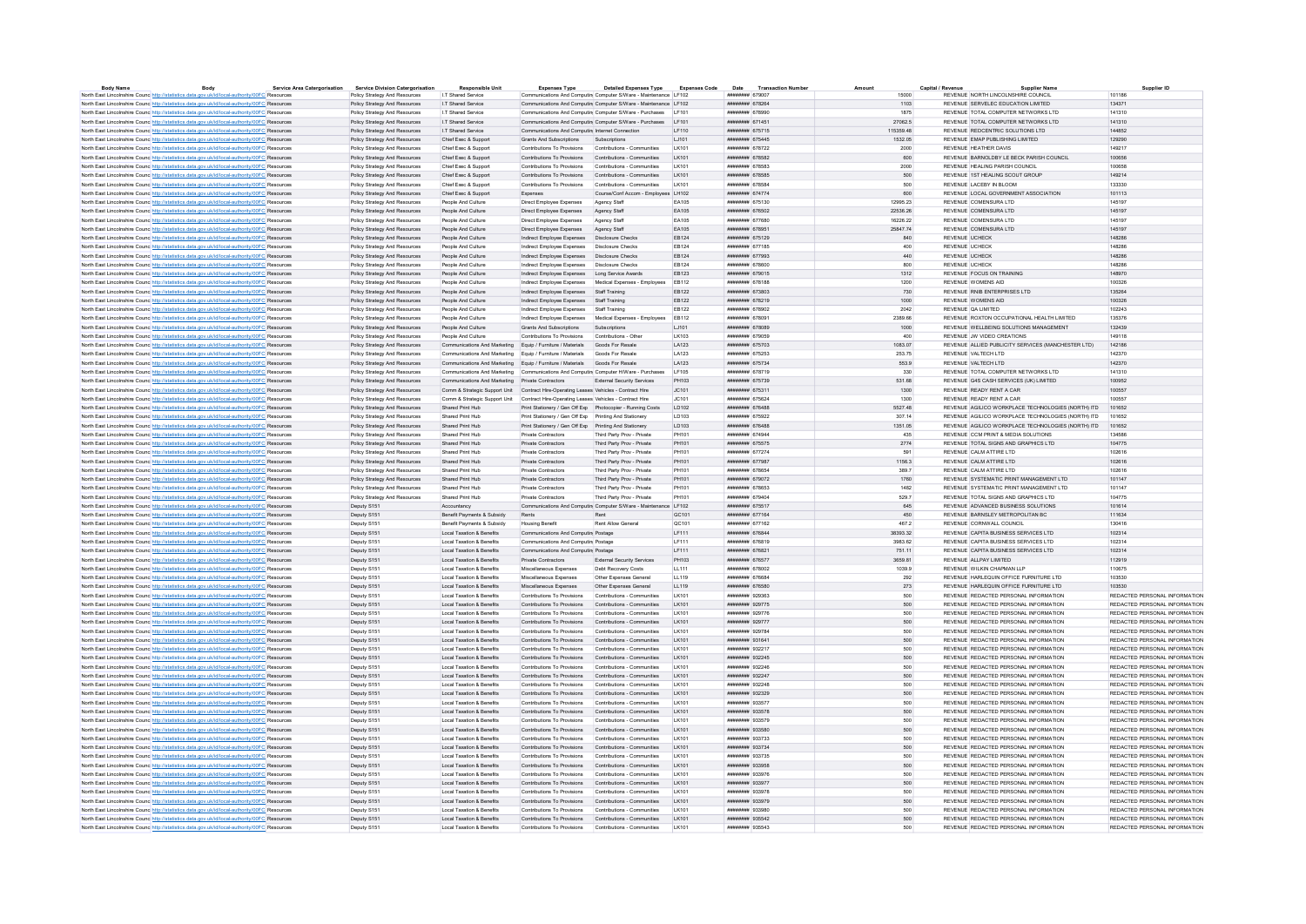| Body                                                                                                     | <b>Service Area Catergorisation</b> | <b>Service Division Catergorisation</b> | <b>Responsible Unit</b>                                                               | <b>Expenses Type</b>                                       | <b>Detailed Expenses Type</b>                                   | <b>Expenses Code</b> | Date<br><b>Transaction Numbe</b>    |           | Capital / Revenu    | Supplier Name                                      | Supplier ID                   |
|----------------------------------------------------------------------------------------------------------|-------------------------------------|-----------------------------------------|---------------------------------------------------------------------------------------|------------------------------------------------------------|-----------------------------------------------------------------|----------------------|-------------------------------------|-----------|---------------------|----------------------------------------------------|-------------------------------|
| North East Lincolnshire Counc http://statistics.data.gov.uk/id/local-authority/00FC Resources            |                                     | Policy Strategy And Resources           | I.T Shared Service                                                                    |                                                            | Communications And Computin Computer S/Ware - Maintenance LF102 |                      | ######## 679007                     | 15000     |                     | REVENUE NORTH LINCOLNSHIRE COUNCIL                 | 101186                        |
| North East Lincolnshire Counc http://statistics.data.gov.uk/id/local-authority/00FC Resources            |                                     | Policy Strategy And Resources           | I.T Shared Service                                                                    |                                                            | Communications And Computin Computer S/Ware - Maintenance LF102 |                      | ######## 678264                     | 1103      |                     | REVENUE SERVELEC EDUCATION LIMITED                 | 134371                        |
| North East Lincolnshire Counc http://statistics.data.gov.uk/id/local-authority/00FC Resource             |                                     | Policy Strategy And Resources           | <b>IT Shared Service</b>                                                              |                                                            | Communications And Computin Computer S/Ware - Purchases   LF101 |                      | <b><i>HNHHHHHH 678990</i></b>       | 1875      |                     | REVENUE TOTAL COMPUTER NETWORKS LTD                | 141310                        |
| North East Lincolnshire Counc http://statistics.data.gov.uk/id/local-authority/00FC Resources            |                                     | Policy Strategy And Resources           | I T Shared Service                                                                    |                                                            | Communications And Computing Computer S/Ware - Purchases   F101 |                      | ######## 671451                     | 27062.5   |                     | REVENUE TOTAL COMPUTER NETWORKS LTD                | 141310                        |
| North East Lincolnshire Counc <sup>http://statistics.data.gov.uk/id/local-authority/00FC Resources</sup> |                                     | Policy Strategy And Resources           | I.T Shared Service                                                                    | Communications And Computing Internet Connection           |                                                                 | LF110                | ######## 675715                     | 115359.48 |                     | REVENUE REDCENTRIC SOLUTIONS LTD                   | 144852                        |
| North East Lincolnshire Counc <sup>http://statistics.data.gov.uk/id/local-authority/00FC Resources</sup> |                                     | Policy Strategy And Resources           | Chief Exec & Support                                                                  | Grants And Subscriptions                                   | Subscriptions                                                   | LJ101                | ######## 675445                     | 1532.05   |                     | REVENUE EMAP PUBLISHING LIMITED                    | 129290                        |
| North East Lincolnshire Counc <sup>http://statistics.data.gov.uk/id/local-authority/00FC Resources</sup> |                                     | Policy Strategy And Resources           | Chief Exec & Support                                                                  | Contributions To Provisions                                | Contributions - Communities                                     | LK101                | ######## 678722                     | 2000      |                     | REVENUE HEATHER DAVIS                              | 149217                        |
| North East Lincolnshire Counc http://statistics.data.gov.uk/id/local-authority/00FC Resources            |                                     | Policy Strategy And Resources           | Chief Exec & Support                                                                  | Contributions To Provisions Contributions - Communities    |                                                                 | LK101                | ######## 678582                     | 600       |                     | REVENUE BARNOLDRY LE BECK PARISH COUNCIL           | 100656                        |
| North East Lincolnshire Counc http://statistics.data.gov.uk/id/local-authority/00FC Resources            |                                     | Policy Strategy And Resources           | Chief Exec & Support                                                                  | Contributions To Provisions                                | Contributions - Communities                                     | <b>IK101</b>         | ####### 678583                      | 2000      |                     | REVENUE HEALING PARISH COUNCIL                     | 100658                        |
|                                                                                                          |                                     |                                         |                                                                                       |                                                            |                                                                 |                      |                                     |           |                     |                                                    |                               |
| North East Lincolnshire Counc <sup>http://statistics.data.gov.uk/id/local-authority/00FC Resources</sup> |                                     | Policy Strategy And Resources           | Chief Exec & Support                                                                  | Contributions To Provisions                                | Contributions - Communities                                     | LK101                | ####### 678585                      | 500       |                     | REVENUE 1ST HEALING SCOUT GROUP                    | 149214                        |
| North East Lincolnshire Counc http://statistics.data.gov.uk/id/local-authority/00FC Resources            |                                     | Policy Strategy And Resources           | Chief Exec & Support                                                                  | Contributions To Provisions                                | Contributions - Communities                                     | <b>IK101</b>         | ######## 678584                     | 500       |                     | REVENUE LACEBY IN BLOOM                            | 133330                        |
| North East Lincolnshire Counc http://statistics.data.gov.uk/id/local-authority/00FC Resources            |                                     | Policy Strategy And Resources           | Chief Exec & Support                                                                  | Expenses                                                   | Course/Conf Accom - Employees LH102                             |                      | ######## 674774                     | 600       |                     | REVENUE LOCAL GOVERNMENT ASSOCIATION               | 101113                        |
| North East Lincolnshire Counc http://statistics.data.gov.uk/id/local-authority/00FC Resources            |                                     | Policy Strategy And Resources           | People And Culture                                                                    | Direct Employee Expenses                                   | Agency Staff                                                    | FA105                | ######## 675130                     | 12995 23  |                     | REVENUE COMENSURATTD                               | 145197                        |
| North East Lincolnshire Counc http://statistics.data.gov.uk/id/local-authority/00FC Resources            |                                     | Policy Strategy And Resources           | People And Culture                                                                    | Direct Employee Expenses                                   | Agency Staff                                                    | EA105                | ######## 676502                     | 22536.26  |                     | REVENUE COMENSURA LTD                              | 145197                        |
| North East Lincolnshire Counc http://statistics.data.gov.uk/id/local-authority/00FC Resources            |                                     | Policy Strategy And Resources           | People And Culture                                                                    | Direct Employee Expenses                                   | Agency Staff                                                    | FA105                | ининнин 677680                      | 16226.22  |                     | REVENUE COMENSURA LTD                              | 145197                        |
| North East Lincolnshire Counc http://statistics.data.gov.uk/id/local-authority/00FC Resources            |                                     | Policy Strategy And Resources           | People And Culture                                                                    | Direct Employee Expenses                                   | Agency Staff                                                    | EA105                | ######## 678951                     | 2584774   |                     | REVENUE COMENSURA LTD                              | 145197                        |
| North East Lincolnshire Counc <sup>http://statistics.data.gov.uk/id/local-authority/00FC Resources</sup> |                                     | Policy Strategy And Resources           | People And Culture                                                                    | Indirect Employee Expenses                                 | <b>Disclosure Checks</b>                                        | EB124                | ######## 675129                     | 840       | REVENUE UCHECK      |                                                    | 148286                        |
| North East Lincolnshire Counc http://statistics.data.gov.uk/id/local-authority/00FC Resources            |                                     | Policy Strategy And Resources           | People And Culture                                                                    | Indirect Employee Expenses                                 | <b>Disclosure Checks</b>                                        | EB124                | ######## 677185                     | 400       | REVENUE UCHECK      |                                                    | 148286                        |
|                                                                                                          |                                     |                                         |                                                                                       |                                                            |                                                                 |                      |                                     |           |                     |                                                    |                               |
| North East Lincolnshire Counc <sup>http://statistics.data.gov.uk/id/local-authority/00FC Resources</sup> |                                     | Policy Strategy And Resources           | People And Culture                                                                    | Indirect Employee Expenses   Disclosure Checks             |                                                                 | EB124                | ######## 677993                     | 440       | REVENUE UCHECK      |                                                    | 148286                        |
| North East Lincolnshire Counc http://statistics.data.gov.uk/id/local-authority/00FC Resources            |                                     | Policy Strategy And Resources           | People And Culture                                                                    | Indirect Employee Expenses   Disclosure Checks             |                                                                 | FR124                | ######## 678600                     | 800       | REVENUE UCHECK      |                                                    | 148286                        |
| North East Lincolnshire Counc <sup>http://statistics.data.gov.uk/id/local-authority/00FC Resources</sup> |                                     | Policy Strategy And Resources           | People And Culture                                                                    | Indirect Employee Expenses                                 | Long Service Awards                                             | EB123                | ####### 679015                      | 1312      |                     | REVENUE FOCUS ON TRAINING                          | 148970                        |
| North East Lincolnshire Counc <sup>http://statistics.data.gov.uk/id/local-authority/00FC Resources</sup> |                                     | Policy Strategy And Resources           | People And Culture                                                                    | Indirect Employee Expenses                                 | Medical Expenses - Employees                                    | FR112                | нивниния 678188                     | 1200      | REVENUE WOMENS AID  |                                                    | 100326                        |
| North East Lincolnshire Counc http://statistics.data.gov.uk/id/local-authority/00FC Resources            |                                     | Policy Strategy And Resources           | People And Culture                                                                    | Indirect Employee Expenses Staff Training                  |                                                                 | EB122                | ######## 673803                     | 730       |                     | REVENUE RNIB ENTERPRISES LTD                       | 135264                        |
| North East Lincolnshire Counc http://statistics.data.gov.uk/id/local-authority/00FC Resources            |                                     | Policy Strategy And Resources           | People And Culture                                                                    | Indirect Employee Expenses                                 | Staff Training                                                  | EB122                | ######## 678219                     | 1000      | REVENUE WOMENS AID  |                                                    | 100326                        |
| North East Lincolnshire Councibito://statistics.data.oov.uk/id/local-authority/00EC Resources            |                                     | Policy Strategy And Resources           | People And Culture                                                                    | Indirect Employee Expenses                                 | Staff Training                                                  | FR122                | ######## 678902                     | 2042      | REVENUE OA LIMITED  |                                                    | 102243                        |
| North East Lincolnshire Counc http://statistics.data.gov.uk/id/local-authority/00FC Resources            |                                     | Policy Strategy And Resources           | People And Culture                                                                    | Indirect Employee Expenses                                 | Medical Expenses - Employees                                    | EB112                | ######## 67809                      | 2389.66   |                     | REVENUE ROXTON OCCUPATIONAL HEALTH LIMITED         | 135376                        |
|                                                                                                          |                                     | Policy Strategy And Resources           | People And Culture                                                                    | Grants And Subscriptions                                   | Subscriptions                                                   | 1.1101               | ######## 678089                     | 1000      |                     | REVENUE WELLBEING SOLUTIONS MANAGEMENT             | 132439                        |
| North East Lincolnshire Counc http://statistics.data.gov.uk/id/local-authority/00FC Resources            |                                     |                                         |                                                                                       |                                                            |                                                                 |                      |                                     |           |                     | REVENUE . IW VIDEO CREATIONS                       |                               |
| North East Lincolnshire Counc http://statistics.data.gov.uk/id/local-authority/00FC Resources            |                                     | Policy Strategy And Resources           | People And Culture                                                                    | Contributions To Provisions                                | Contributions - Other                                           | <b>IK103</b>         | ####### 679059                      | 400       |                     |                                                    | 149118                        |
| North East Lincolnshire Counc http://statistics.data.gov.uk/id/local-authority/00FC Resources            |                                     | Policy Strategy And Resources           | Communications And Marketing Equip / Furniture / Materials                            |                                                            | Goods For Resale                                                | LA123                | ######## 675703                     | 1083.07   |                     | REVENUE ALLIED PUBLICITY SERVICES (MANCHESTER LTD) | 142186                        |
| North East Lincolnshire Counc http://statistics.data.gov.uk/id/local-authority/00FC Resources            |                                     | Policy Strategy And Resources           | Communications And Marketing Equip / Furniture / Materials                            |                                                            | Goods For Resale                                                | LA123                | ######## 675253                     | 253.75    | REVENUE VALTECH LTD |                                                    | 142370                        |
| North East Lincolnshire Counc <sup>http://statistics.data.gov.uk/id/local-authority/00FC Resources</sup> |                                     | Policy Strategy And Resources           | Communications And Marketing Equip / Furniture / Materials                            |                                                            | Goods For Resale                                                | LA123                | ######## 675734                     | 553.9     | REVENUE VALTECH LTD |                                                    | 142370                        |
| North East Lincolnshire Counc http://statistics.data.gov.uk/id/local-authority/00FC Resources            |                                     | Policy Strategy And Resources           | Communications And Marketing Communications And Computing Computer H/Ware - Purchases |                                                            |                                                                 | LF105                | ####### 678719                      | 330       |                     | REVENUE TOTAL COMPUTER NETWORKS LTD                | 141310                        |
| North East Lincolnshire Counc <sup>http://statistics.data.gov.uk/id/local-authority/00FC Resources</sup> |                                     | Policy Strategy And Resources           | Communications And Marketing Private Contractors                                      |                                                            | External Security Services                                      | PH103                | ######## 675739                     | 531.68    |                     | REVENUE G4S CASH SERVICES (UK) LIMITED             | 100952                        |
| North East Lincolnshire Counc http://statistics.data.gov.uk/id/local-authority/00FC Resources            |                                     | Policy Strategy And Resources           | Comm & Strategic Support Unit Contract Hire-Operating Leases Vehicles - Contract Hire |                                                            |                                                                 | JC101                | ######## 675311                     | 1300      |                     | REVENUE READY RENT A CAR                           | 100557                        |
| North East Lincolnshire Counc <sup>http://statistics.data.gov.uk/id/local-authority/00FC Resources</sup> |                                     | Policy Strategy And Resources           | Comm & Strategic Support Unit Contract Hire-Operating Leases Vehicles - Contract Hire |                                                            |                                                                 | JC101                | ####### 67562                       | 1300      |                     | REVENUE READY RENT A CAR                           | 100557                        |
| North East Lincolnshire Counc http://statistics.data.gov.uk/id/local-authority/00FC Resources            |                                     | Policy Strategy And Resources           | Shared Print Hub                                                                      | Print Stationery / Gen Off Exp Photocopier - Running Costs |                                                                 | LD102                | ######## 676488                     | 5527.48   |                     | REVENUE AGILICO WORKPLACE TECHNOLOGIES (NORTH) ITD | 101652                        |
| North East Lincolnshire Counc http://statistics.data.gov.uk/id/local-authority/00FC Resources            |                                     | Policy Strategy And Resources           | Shared Print Hub                                                                      | Print Stationery / Gen Off Exp Printing And Stationery     |                                                                 | <b>ID103</b>         | ######## 675922                     | 307 14    |                     | REVENUE AGILICO WORKPLACE TECHNOLOGIES (NORTH) ITD | 101652                        |
|                                                                                                          |                                     |                                         |                                                                                       |                                                            |                                                                 |                      |                                     |           |                     |                                                    |                               |
| North East Lincolnshire Counc http://statistics.data.gov.uk/id/local-authority/00FC Resources            |                                     | Policy Strategy And Resources           | Shared Print Hub                                                                      | Print Stationery / Gen Off Exp Printing And Stationery     |                                                                 | LD103                | ######## 676488                     | 1351.05   |                     | REVENUE AGILICO WORKPLACE TECHNOLOGIES (NORTH) ITD | 101652                        |
| North East Lincolnshire Councibito://statistics.data.gov.uk/id/local-authority/00EC Resources            |                                     | Policy Strategy And Resources           | Shared Print Hub                                                                      | Private Contractors                                        | Third Party Prov - Private                                      | PH101                | ниннини 674944                      | 435       |                     | REVENUE COM PRINT & MEDIA SOLUTIONS                | 134586                        |
| North East Lincolnshire Counc http://statistics.data.gov.uk/id/local-authority/00FC Resources            |                                     | Policy Strategy And Resources           | Shared Print Hub                                                                      | <b>Private Contractors</b>                                 | Third Party Prov - Private                                      | PH101                | ####### 675575                      | 2774      |                     | REVENUE TOTAL SIGNS AND GRAPHICS LTD               | 104775                        |
| North East Lincolnshire Counc http://statistics.data.gov.uk/id/local-authority/00FC Resources            |                                     | Policy Strategy And Resources           | Shared Print Hub                                                                      | Private Contractors                                        | Third Party Prov - Private                                      | PH101                | нивниния 677274                     | 591       |                     | REVENUE CALM ATTIRE LTD                            | 102616                        |
| North East Lincolnshire Counc http://statistics.data.gov.uk/id/local-authority/00FC Resources            |                                     | Policy Strategy And Resources           | Shared Print Hub                                                                      | Private Contractors                                        | Third Party Prov - Private                                      | PH101                | ######## 677987                     | 1156.3    |                     | REVENUE CALM ATTIRE LTD                            | 102616                        |
| North East Lincolnshire Counc http://statistics.data.gov.uk/id/local-authority/00FC Resources            |                                     | Policy Strategy And Resources           | Shared Print Hub                                                                      | Private Contractors                                        | Third Party Prov - Private                                      | PH101                | ######## 678654                     | 389.7     |                     | REVENUE CALM ATTIRE LTD.                           | 102616                        |
| North East Lincolnshire Counc http://statistics.data.gov.uk/id/local-authority/00FC Resources            |                                     | Policy Strategy And Resources           | Shared Print Hub                                                                      | Private Contractors                                        | Third Party Prov - Private                                      | PH101                | ######## 679072                     | 1760      |                     | REVENUE SYSTEMATIC PRINT MANAGEMENT LTD            | 101147                        |
| North East Lincolnshire Counc <sup>http://statistics.data.gov.uk/id/local-authority/00FC Resources</sup> |                                     | Policy Strategy And Resources           | Shared Print Hub                                                                      | Private Contractors                                        | Third Party Prov - Private                                      | PH101                | ######## 678653                     | 1482      |                     | REVENUE SYSTEMATIC PRINT MANAGEMENT LTD            | 101147                        |
| North East Lincolnshire Counc http://statistics.data.gov.uk/id/local-authority/00FC Resources            |                                     | Policy Strategy And Resources           | Shared Print Hub                                                                      | Private Contractors                                        | Third Party Prov - Private                                      | PH101                | ######## 679404                     | 529.7     |                     | REVENUE TOTAL SIGNS AND GRAPHICS LTD               | 104775                        |
|                                                                                                          |                                     |                                         |                                                                                       |                                                            |                                                                 |                      |                                     |           |                     |                                                    |                               |
| North East Lincolnshire Counce http://statistics.data.gov.uk/id/local-authority/00FC Resources           |                                     | Deputy S151                             | Accountancy                                                                           |                                                            | Communications And Computin Computer S/Ware - Maintenance LF102 |                      | ####### 675517                      | 645       |                     | REVENUE ADVANCED BUSINESS SOLUTIONS                | 101614                        |
| North East Lincolnshire Counc http://statistics.data.gov.uk/id/local-authority/00FC Resources            |                                     | Deputy S151                             | Benefit Payments & Subsidy                                                            | Rents                                                      | Rent                                                            | GC <sub>101</sub>    | <b><i><u>HHHHHHH</u></i></b> 677164 | 450       |                     | REVENUE BARNSLEY METROPOLITAN BC.                  | 111634                        |
| North East Lincolnshire Counc http://statistics.data.gov.uk/id/local-authority/00FC Resources            |                                     | Deputy S151                             | Benefit Payments & Subsidy                                                            | <b>Housing Benefit</b>                                     | Rent Allow General                                              | QC101                | ####### 677162                      | 467.2     |                     | REVENUE CORNWALL COUNCIL                           | 130416                        |
| North East Lincolnshire Counc http://statistics.data.gov.uk/id/local-authority/00FC Resources            |                                     | Deputy S151                             | Local Taxation & Benefits                                                             | Communications And Computin Postage                        |                                                                 | LF111                | ниннинин 676844                     | 38393.32  |                     | REVENUE CAPITA BUSINESS SERVICES LTD.              | 102314                        |
| North East Lincolnshire Counc http://statistics.data.gov.uk/id/local-authority/00FC Resources            |                                     | Deputy S151                             | Local Taxation & Benefits                                                             | Communications And Computin Postage                        |                                                                 | <b>IF111</b>         | ######## 676819                     | 3983.62   |                     | REVENUE CAPITA BUSINESS SERVICES LTD               | 102314                        |
| North East Lincolnshire Counc http://statistics.data.gov.uk/id/local-authority/00FC Resources            |                                     | Deputy S151                             | Local Taxation & Benefits                                                             | Communications And Computin Postage                        |                                                                 | IF111                | ######## 676821                     | 751.11    |                     | REVENUE CAPITA BUSINESS SERVICES LTD.              | 102314                        |
| North East Lincolnshire Counc http://statistics.data.gov.uk/id/local-authority/00FC Resources            |                                     | Deputy S151                             | Local Taxation & Benefits                                                             | Private Contractors                                        | External Security Services                                      | PH103                | ######## 676577                     | 3659.81   |                     | REVENUE ALLPAY LIMITED                             | 112919                        |
| North East Lincolnshire Counc <sup>http://statistics.data.gov.uk/id/local-authority/00FC Resource</sup>  |                                     | Deputy S151                             | Local Taxation & Benefits                                                             | Miscellaneous Expenses                                     | Debt Recovery Costs                                             | LL111                | ######## 678002                     | 1039.9    |                     | REVENUE WILKIN CHAPMAN LLF                         | 110675                        |
| North East Lincolnshire Counc http://statistics.data.gov.uk/id/local-authority/00FC Resources            |                                     | Deputy S151                             | Local Taxation & Benefits                                                             | Miscellaneous Expenses                                     | Other Expenses General                                          | LL119                | ######## 676684                     | 292       |                     | REVENUE HARLEQUIN OFFICE FURNITURE LTD             | 103530                        |
|                                                                                                          |                                     |                                         | Local Taxation & Benefits                                                             | Miscellaneous Expenses                                     |                                                                 |                      | ######## 676580                     |           |                     | REVENUE HARLEQUIN OFFICE FURNITURE LTD             | 103530                        |
| North East Lincolnshire Counc http://statistics.data.gov.uk/id/local-authority/00FC Resources            |                                     | Deputy S151                             |                                                                                       |                                                            | Other Expenses General                                          | LL119                |                                     | 273       |                     |                                                    |                               |
| North East Lincolnshire Counc http://statistics.data.gov.uk/id/local-authority/00FC Resources            |                                     | Deputy S151                             | Local Taxation & Benefits                                                             | Contributions To Provisions                                | Contributions - Communities                                     | I K101               | ######## 929363                     | 500       |                     | REVENUE REDACTED PERSONAL INFORMATION              | REDACTED PERSONAL INFORMATION |
| North East Lincolnshire Counc <sup>http://statistics.data.gov.uk/id/local-authority/00FC Resources</sup> |                                     | Deputy S151                             | Local Taxation & Benefits                                                             | Contributions To Provisions                                | Contributions - Communities                                     | LK101                | ######## 929775                     | 500       |                     | REVENUE REDACTED PERSONAL INFORMATION              | REDACTED PERSONAL INFORMATION |
| North East Lincolnshire Counc <sup>http://statistics.data.gov.uk/id/local-authority/00FC Resource</sup>  |                                     | Deputy S151                             | Local Taxation & Benefits                                                             | Contributions To Provisions                                | Contributions - Communities                                     | LK101                | ######## 929776                     | 500       |                     | REVENUE REDACTED PERSONAL INFORMATION              | REDACTED PERSONAL INFORMATION |
| North East Lincolnshire Counc http://statistics.data.gov.uk/id/local-authority/00FC Resources            |                                     | Deputy S151                             | Local Taxation & Benefits                                                             | Contributions To Provisions Contributions - Communities    |                                                                 | LK101                | ######## 929777                     | 500       |                     | REVENUE REDACTED PERSONAL INFORMATION              | REDACTED PERSONAL INFORMATION |
| North East Lincolnshire Counc http://statistics.data.gov.uk/id/local-authority/00FC Resources            |                                     | Deputy S151                             | Local Taxation & Benefits                                                             | Contributions To Provisions                                | Contributions - Communities                                     | LK101                | ######## 929784                     | 500       |                     | REVENUE REDACTED PERSONAL INFORMATION              | REDACTED PERSONAL INFORMATION |
| North East Lincolnshire Counc http://statistics.data.gov.uk/id/local-authority/00FC Resources            |                                     | Deputy S151                             | Local Taxation & Benefits                                                             | Contributions To Provisions                                | Contributions - Communities                                     | <b>IK101</b>         | ######## 931641                     | 500       |                     | REVENUE REDACTED PERSONAL INFORMATION              | REDACTED PERSONAL INFORMATION |
| North East Lincolnshire Counc http://statistics.data.gov.uk/id/local-authority/00FC Resource             |                                     | Deputy S151                             | Local Taxation & Benefits                                                             | Contributions To Provisions                                | Contributions - Communities                                     | LK101                | ######## 932217                     | 500       |                     | REVENUE REDACTED PERSONAL INFORMATION              | REDACTED PERSONAL INFORMATION |
| North East Lincolnshire Counc http://statistics.data.gov.uk/id/local-authority/00FC Resources            |                                     | Deputy S151                             | Local Taxation & Benefits                                                             | Contributions To Provisions                                | Contributions - Communities                                     | I K101               | ниннини 932245                      | 500       |                     | REVENUE REDACTED PERSONAL INFORMATION              | REDACTED PERSONAL INFORMATION |
| North East Lincolnshire Counc http://statistics.data.gov.uk/id/local-authority/00FC Resources            |                                     | Deputy S15                              | Local Taxation & Benefits                                                             | Contributions To Provisions                                | Contributions - Communities                                     | <b>IK101</b>         | нивниния 932246                     | 500       |                     | REVENUE REDACTED PERSONAL INFORMATION              | REDACTED PERSONAL INFORMATION |
|                                                                                                          |                                     |                                         |                                                                                       |                                                            |                                                                 |                      |                                     |           |                     |                                                    |                               |
| North East Lincolnshire Counc http://statistics.data.gov.uk/id/local-authority/00FC Resources            |                                     | Deputy S151                             | Local Taxation & Benefits                                                             | Contributions To Provisions Contributions - Communities    |                                                                 | LK101                | ######## 932247                     | 500       |                     | REVENUE REDACTED PERSONAL INFORMATION              | REDACTED PERSONAL INFORMATION |
| North East Lincolnshire Counc http://statistics.data.gov.uk/id/local-authority/00FC Resources            |                                     | Deputy S151                             | Local Taxation & Benefits                                                             | Contributions To Provisions                                | Contributions - Communities                                     | LK101                | ######## 932248                     | 500       |                     | REVENUE REDACTED PERSONAL INFORMATION              | REDACTED PERSONAL INFORMATION |
| North East Lincolnshire Counc <sup>http://statistics.data.gov.uk/id/local-authority/00FC Resources</sup> |                                     | Deputy S151                             | Local Taxation & Benefits                                                             | Contributions To Provisions                                | Contributions - Communities                                     | LK101                | ######## 932329                     | 500       |                     | REVENUE REDACTED PERSONAL INFORMATION              | REDACTED PERSONAL INFORMATION |
| North East Lincolnshire Counc <sup>http://statistics.data.gov.uk/id/local-authority/00FC Resources</sup> |                                     | Deputy S151                             | Local Taxation & Benefits                                                             | Contributions To Provisions                                | Contributions - Communities                                     | LK101                | ######## 933577                     | 500       |                     | REVENUE REDACTED PERSONAL INFORMATION              | REDACTED PERSONAL INFORMATION |
| North East Lincolnshire Counc http://statistics.data.gov.uk/id/local-authority/00FC Resources            |                                     | Deputy S151                             | Local Taxation & Benefits                                                             | Contributions To Provisions Contributions - Communities    |                                                                 | LK101                | ######## 933578                     | 500       |                     | REVENUE REDACTED PERSONAL INFORMATION              | REDACTED PERSONAL INFORMATION |
| North East Lincolnshire Counc http://statistics.data.gov.uk/id/local-authority/00FC Resources            |                                     | Deputy S151                             | Local Taxation & Benefits                                                             | Contributions To Provisions                                | Contributions - Communities                                     | I K101               | ######## 933579                     | 500       |                     | REVENUE REDACTED PERSONAL INFORMATION              | REDACTED PERSONAL INFORMATION |
| North East Lincolnshire Counc http://statistics.data.gov.uk/id/local-authority/00FC Resources            |                                     | Deputy S151                             | Local Taxation & Benefits                                                             | Contributions To Provisions                                | Contributions - Communities                                     | I K101               | ######## 933580                     | 500       |                     | REVENUE REDACTED PERSONAL INFORMATION              | REDACTED PERSONAL INFORMATION |
| North East Lincolnshire Counc http://statistics.data.gov.uk/id/local-authority/00FC Resource             |                                     | Deputy S151                             | Local Taxation & Benefits                                                             | Contributions To Provisions                                | Contributions - Communities                                     | LK101                | ######## 933733                     | 500       |                     | REVENUE REDACTED PERSONAL INFORMATION              | REDACTED PERSONAL INFORMATION |
| North East Lincolnshire Counc http://statistics.data.gov.uk/id/local-authority/00FC Resources            |                                     | Deputy S151                             | Local Taxation & Benefits                                                             | Contributions To Provisions Contributions - Communities    |                                                                 | <b>IK101</b>         | ######## 933734                     | 500       |                     | REVENUE REDACTED PERSONAL INFORMATION              | REDACTED PERSONAL INFORMATION |
|                                                                                                          |                                     |                                         |                                                                                       |                                                            |                                                                 |                      |                                     |           |                     |                                                    |                               |
| North East Lincolnshire Counc http://statistics.data.gov.uk/id/local-authority/00FC Resources            |                                     | Deputy S151                             | Local Taxation & Benefits                                                             | Contributions To Provisions                                | Contributions - Communities                                     | LK101                | ######## 933735                     | 500       |                     | REVENUE REDACTED PERSONAL INFORMATION              | REDACTED PERSONAL INFORMATION |
| North East Lincolnshire Counc http://statistics.data.gov.uk/id/local-authority/00FC Resources            |                                     | Deputy S151                             | Local Taxation & Benefits                                                             | Contributions To Provisions                                | Contributions - Communities                                     | <b>IK101</b>         | ######## 933958                     | 500       |                     | REVENUE REDACTED PERSONAL INFORMATION              | REDACTED PERSONAL INFORMATION |
| North East Lincolnshire Counc http://statistics.data.gov.uk/id/local-authority/00FC Resource             |                                     | Deputy S15                              | Local Taxation & Benefits                                                             | Contributions To Provisions                                | Contributions - Communities                                     | LK101                | ######## 933976                     | 500       |                     | REVENUE REDACTED PERSONAL INFORMATION              | REDACTED PERSONAL INFORMATION |
| North East Lincolnshire Counc http://statistics.data.gov.uk/id/local-authority/00FC Resources            |                                     | Deputy S151                             | Local Taxation & Benefits                                                             | Contributions To Provisions Contributions - Communities    |                                                                 | LK101                | ######## 933977                     | 500       |                     | REVENUE REDACTED PERSONAL INFORMATION              | REDACTED PERSONAL INFORMATION |
| North East Lincolnshire Counc http://statistics.data.gov.uk/id/local-authority/00FC Resources            |                                     | Deputy S151                             | Local Taxation & Benefits                                                             | Contributions To Provisions                                | Contributions - Communities                                     | LK101                | ######## 933978                     | 500       |                     | REVENUE REDACTED PERSONAL INFORMATION              | REDACTED PERSONAL INFORMATION |
| North East Lincolnshire Counc <sup>http://statistics.data.gov.uk/id/local-authority/00FC Resources</sup> |                                     | Deputy S151                             | Local Taxation & Benefits                                                             | Contributions To Provisions Contributions - Communities    |                                                                 | LK101                | ######## 933979                     | 500       |                     | REVENUE REDACTED PERSONAL INFORMATION              | REDACTED PERSONAL INFORMATION |
| North East Lincolnshire Counc http://statistics.data.gov.uk/id/local-authority/00FC Resources            |                                     | Deputy S151                             | Local Taxation & Benefits                                                             | Contributions To Provisions                                | Contributions - Communities                                     | LK101                | ######## 933980                     | 500       |                     | REVENUE REDACTED PERSONAL INFORMATION              | REDACTED PERSONAL INFORMATION |
| North East Lincolnshire Counc <sup>http://statistics.data.gov.uk/id/local-authority/00FC Resources</sup> |                                     | Deputy S151                             | Local Taxation & Benefits                                                             | Contributions To Provisions Contributions - Communities    |                                                                 | LK101                | ######## 935542                     | 500       |                     | REVENUE REDACTED PERSONAL INFORMATION              | REDACTED PERSONAL INFORMATION |
| North East Lincolnshire Counc http://statistics.data.gov.uk/id/local-authority/00FC Resources            |                                     | Deputy S151                             | Local Taxation & Benefits                                                             | Contributions To Provisions                                | Contributions - Communities                                     | LK101                | ######## 935543                     | 500       |                     | REVENUE REDACTED PERSONAL INFORMATION              | REDACTED PERSONAL INFORMATION |
|                                                                                                          |                                     |                                         |                                                                                       |                                                            |                                                                 |                      |                                     |           |                     |                                                    |                               |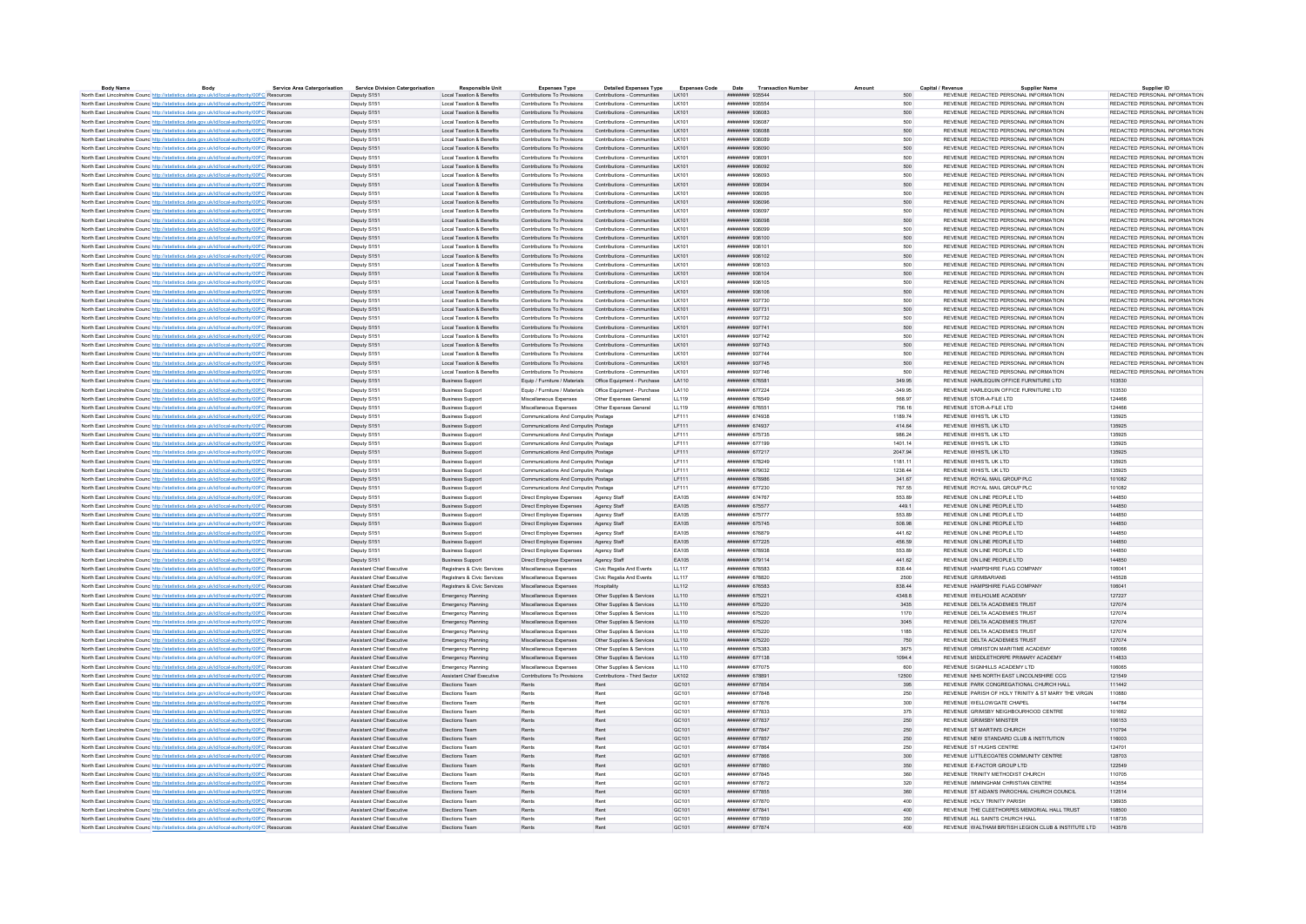|                                                                                                          | Body | <b>Service Area Catergorisation</b> | <b>Service Division Catergorisatio</b> | <b>Responsible Unit</b>          | <b>Expenses Type</b>                                    | <b>Detailed Expenses Type</b> | <b>Expenses Code</b> | Date<br><b>Transaction Numbe</b>    |           | Capital / Revenu | <b>Supplier Name</b>                                 | Supplier ID                   |
|----------------------------------------------------------------------------------------------------------|------|-------------------------------------|----------------------------------------|----------------------------------|---------------------------------------------------------|-------------------------------|----------------------|-------------------------------------|-----------|------------------|------------------------------------------------------|-------------------------------|
| North East Lincolnshire Counc http://statistics.data.gov.uk/id/local-authority/00FC Resources            |      |                                     | Deputy S151                            | Local Taxation & Benefits        | Contributions To Provisions                             | Contributions - Communities   | LK101                | ######## 935544                     | 500       |                  | REVENUE REDACTED PERSONAL INFORMATION                | REDACTED PERSONAL INFORMATION |
| North East Lincolnshire Counc http://statistics.data.gov.uk/id/local-authority/00FC Resources            |      |                                     | Deputy S151                            | Local Taxation & Benefits        | Contributions To Provisions                             | Contributions - Communities   | <b>IK101</b>         | ######## 935554                     | 500       |                  | REVENUE REDACTED PERSONAL INFORMATION                | REDACTED PERSONAL INFORMATION |
| North East Lincolnshire Counc http://statistics.data.gov.uk/id/local-authority/00FC Resources            |      |                                     | Deputy S151                            | Local Taxation & Benefits        | Contributions To Provisions                             | Contributions - Communities   | <b>IK101</b>         | иннинин озяляз                      | 500       |                  | REVENUE REDACTED PERSONAL INFORMATION                | REDACTED PERSONAL INFORMATION |
| North East Lincolnshire Counc http://statistics.data.gov.uk/id/local-authority/00FC Resources            |      |                                     | Denuty S151                            | Local Taxation & Benefits        | Contributions To Provisions                             | Contributions - Communities   | <b>IK101</b>         | <b><i>BRESHBAR 936087</i></b>       | 500       |                  | REVENUE REDACTED PERSONAL INFORMATION                | REDACTED PERSONAL INFORMATION |
| North East Lincolnshire Counc http://statistics.data.gov.uk/id/local-authority/00FC Resources            |      |                                     | Deputy S151                            | Local Taxation & Benefits        | Contributions To Provisions                             | Contributions - Communities   | LK101                | ######## 936088                     | 500       |                  | REVENUE REDACTED PERSONAL INFORMATION                | REDACTED PERSONAL INFORMATION |
| North East Lincolnshire Counc http://statistics.data.gov.uk/id/local-authority/00FC Resources            |      |                                     | Deputy S151                            | Local Taxation & Benefits        | Contributions To Provisions                             | Contributions - Communities   | <b>IK101</b>         | HUUUHUU 936089                      | 500       |                  | REVENUE REDACTED PERSONAL INFORMATION                | REDACTED PERSONAL INFORMATION |
| North East Lincolnshire Counc http://statistics.data.gov.uk/id/local-authority/00FC Resources            |      |                                     | Deputy S151                            | Local Taxation & Benefits        | Contributions To Provisions                             | Contributions - Communities   | I K101               | ######## 936090                     | 500       |                  | REVENUE REDACTED PERSONAL INFORMATION                | REDACTED PERSONAL INFORMATION |
| North East Lincolnshire Counc http://statistics.data.gov.uk/id/local-authority/00FC Resources            |      |                                     | Deputy S151                            | Local Taxation & Benefits        | Contributions To Provisions                             | Contributions - Communities   | <b>IK101</b>         | conser nassanas                     | 500       |                  | REVENUE REDACTED PERSONAL INFORMATION                | REDACTED PERSONAL INFORMATION |
|                                                                                                          |      |                                     |                                        |                                  |                                                         |                               |                      | ######## 936092                     | 500       |                  |                                                      | REDACTED PERSONAL INFORMATION |
| North East Lincolnshire Counc http://statistics.data.gov.uk/id/local-authority/00FC Resources            |      |                                     | Deputy S151                            | Local Taxation & Benefits        | Contributions To Provisions Contributions - Communities |                               | LK101                |                                     |           |                  | REVENUE REDACTED PERSONAL INFORMATION                |                               |
| North East Lincolnshire Counc <sup>http://statistics.data.gov.uk/id/local-authority/00FC Resources</sup> |      |                                     | Deputy S151                            | Local Taxation & Benefits        | Contributions To Provisions                             | Contributions - Communities   | LK101                | ######## 936093                     | 500       |                  | REVENUE REDACTED PERSONAL INFORMATION                | REDACTED PERSONAL INFORMATION |
| North East Lincolnshire Counc http://statistics.data.gov.uk/id/local-authority/00FC Resources            |      |                                     | Deputy S151                            | Local Taxation & Benefits        | Contributions To Provisions                             | Contributions - Communities   | LK101                | ######## 936094                     | 500       |                  | REVENUE REDACTED PERSONAL INFORMATION                | REDACTED PERSONAL INFORMATION |
| North East Lincolnshire Counc http://statistics.data.gov.uk/id/local-authority/00FC Resources            |      |                                     | Deputy S151                            | Local Taxation & Benefits        | Contributions To Provisions                             | Contributions - Communities   | LK101                | ######## 936095                     | 500       |                  | REVENUE REDACTED PERSONAL INFORMATION                | REDACTED PERSONAL INFORMATION |
| North East Lincolnshire Counc http://statistics.data.gov.uk/id/local-authority/00FC Resources            |      |                                     | Deputy S151                            | Local Taxation & Benefits        | Contributions To Provisions                             | Contributions - Communities   | I K101               | <b>инвиния</b> 936096               | 500       |                  | REVENUE REDACTED PERSONAL INFORMATION                | REDACTED PERSONAL INFORMATION |
| North East Lincolnshire Counc http://statistics.data.gov.uk/id/local-authority/00FC Resources            |      |                                     | Deputy S151                            | Local Taxation & Benefits        | Contributions To Provisions                             | Contributions - Communities   | LK101                | ######## 936097                     | 500       |                  | REVENUE REDACTED PERSONAL INFORMATION                | REDACTED PERSONAL INFORMATION |
| North East Lincolnshire Counc <sup>http://statistics.data.gov.uk/id/local-authority/00FC Resources</sup> |      |                                     | Deputy S151                            | Local Taxation & Benefits        | Contributions To Provisions                             | Contributions - Communities   | LK101                | ######## 936098                     | 500       |                  | REVENUE REDACTED PERSONAL INFORMATION                | REDACTED PERSONAL INFORMATION |
| North East Lincolnshire Counc http://statistics.data.gov.uk/id/local-authority/00FC Resources            |      |                                     | Deputy S151                            | Local Taxation & Benefits        | Contributions To Provisions                             | Contributions - Communities   | LK101                | ######## 936099                     | 500       |                  | REVENUE REDACTED PERSONAL INFORMATION                | REDACTED PERSONAL INFORMATION |
| North East Lincolnshire Counce http://statistics.data.gov.uk/id/local-authority/00FC Resources           |      |                                     | Deputy S151                            | Local Taxation & Benefits        | Contributions To Provisions                             | Contributions - Communities   | LK101                | ######## 936100                     | 500       |                  | REVENUE REDACTED PERSONAL INFORMATION                | REDACTED PERSONAL INFORMATION |
| North East Lincolnshire Counc <sup>http://statistics.data.gov.uk/id/local-authority/00FC Resources</sup> |      |                                     | Deputy S151                            | Local Taxation & Benefits        | Contributions To Provisions                             | Contributions - Communities   | I K101               | ######## 936101                     | 500       |                  | REVENUE REDACTED PERSONAL INFORMATION                | REDACTED PERSONAL INFORMATION |
|                                                                                                          |      |                                     | Deputy S151                            | Local Taxation & Benefits        | Contributions To Provisions Contributions - Communities |                               | LK101                | ######## 936102                     | 500       |                  | REVENUE REDACTED PERSONAL INFORMATION                | REDACTED PERSONAL INFORMATION |
| North East Lincolnshire Counc <sup>http://statistics.data.gov.uk/id/local-authority/00FC Resources</sup> |      |                                     |                                        |                                  |                                                         |                               |                      |                                     |           |                  |                                                      |                               |
| North East Lincolnshire Counc http://statistics.data.gov.uk/id/local-authority/00FC Resources            |      |                                     | Deputy S151                            | Local Taxation & Benefits        | Contributions To Provisions                             | Contributions - Communities   | LK101                | ######## 936103                     | 500       |                  | REVENUE REDACTED PERSONAL INFORMATION                | REDACTED PERSONAL INFORMATION |
| North East Lincolnshire Counc http://statistics.data.gov.uk/id/local-authority/00FC Resources            |      |                                     | Deputy S151                            | Local Taxation & Benefits        | Contributions To Provisions                             | Contributions - Communities   | I K101               | ######## 936104                     | 500       |                  | REVENUE REDACTED PERSONAL INFORMATION                | REDACTED PERSONAL INFORMATION |
| North East Lincolnshire Counc http://statistics.data.gov.uk/id/local-authority/00FC Resource             |      |                                     | Deputy S151                            | Local Taxation & Benefits        | Contributions To Provisions                             | Contributions - Communities   | <b>IK101</b>         | ######## 936105                     | 500       |                  | REVENUE REDACTED PERSONAL INFORMATION                | REDACTED PERSONAL INFORMATION |
| North East Lincolnshire Counc http://statistics.data.gov.uk/id/local-authority/00FC Resources            |      |                                     | Deputy S151                            | Local Taxation & Benefits        | Contributions To Provisions                             | Contributions - Communities   | <b>IK101</b>         | ######## 936106                     | 500       |                  | REVENUE REDACTED PERSONAL INFORMATION                | REDACTED PERSONAL INFORMATION |
| North East Lincolnshire Counc http://statistics.data.gov.uk/id/local-authority/00FC Resources            |      |                                     | Deputy S151                            | Local Taxation & Benefits        | Contributions To Provisions                             | Contributions - Communities   | LK101                | ######## 937730                     | 500       |                  | REVENUE REDACTED PERSONAL INFORMATION                | REDACTED PERSONAL INFORMATION |
| North East Lincolnshire Counc http://statistics.data.gov.uk/id/local-authority/00FC Resources            |      |                                     | Deputy S151                            | Local Taxation & Benefits        | Contributions To Provisions                             | Contributions - Communities   | <b>IK101</b>         | ######## 937731                     | 500       |                  | REVENUE REDACTED PERSONAL INFORMATION                | REDACTED PERSONAL INFORMATION |
| North East Lincolnshire Counc <sup>http://statistics.data.gov.uk/id/local-authority/00FC Resources</sup> |      |                                     | Deputy S151                            | Local Taxation & Benefits        | Contributions To Provisions                             | Contributions - Communities   | I K101               | ######## 937732                     | 500       |                  | REVENUE REDACTED PERSONAL INFORMATION                | REDACTED PERSONAL INFORMATION |
|                                                                                                          |      |                                     |                                        | Local Taxation & Benefits        | Contributions To Provisions                             | Contributions - Communities   | I K101               | ######## 937741                     | 500       |                  | REVENUE REDACTED PERSONAL INFORMATION                | REDACTED PERSONAL INFORMATION |
| North East Lincolnshire Counc http://statistics.data.gov.uk/id/local-authority/00FC Resources            |      |                                     | Deputy S151                            |                                  |                                                         |                               |                      |                                     |           |                  |                                                      |                               |
| North East Lincolnshire Councibito://statistics.data.gov.uk/id/local-authority/00EC Resources            |      |                                     | Denuty S151                            | Local Taxation & Benefits        | Contributions To Provisions                             | Contributions - Communities   | <b>IK101</b>         | <b>НИВНИНИЯ</b> 937742              | 500       |                  | REVENUE REDACTED PERSONAL INFORMATION                | REDACTED PERSONAL INFORMATION |
| North East Lincolnshire Counc <sup>http://statistics.data.gov.uk/id/local-authority/00FC Resources</sup> |      |                                     | Deputy S151                            | Local Taxation & Benefits        | Contributions To Provisions Contributions - Communities |                               | LK101                | ######## 937743                     | 500       |                  | REVENUE REDACTED PERSONAL INFORMATION                | REDACTED PERSONAL INFORMATION |
| North East Lincolnshire Counc http://statistics.data.gov.uk/id/local-authority/00FC Resources            |      |                                     | Deputy S151                            | Local Taxation & Benefits        | Contributions To Provisions                             | Contributions - Communities   | LK101                | ######## 937744                     | 500       |                  | REVENUE REDACTED PERSONAL INFORMATION                | REDACTED PERSONAL INFORMATION |
| North East Lincolnshire Counc http://statistics.data.gov.uk/id/local-authority/00FC Resources            |      |                                     | Deputy S151                            | Local Taxation & Benefits        | Contributions To Provisions                             | Contributions - Communities   | LK101                | ######## 937745                     | 500       |                  | REVENUE REDACTED PERSONAL INFORMATION                | REDACTED PERSONAL INFORMATION |
| North East Lincolnshire Counc http://statistics.data.gov.uk/id/local-authority/00FC Resources            |      |                                     | Deputy S151                            | Local Taxation & Benefits        | Contributions To Provisions                             | Contributions - Communities   | I K101               | нивниния 937746                     | 500       |                  | REVENUE REDACTED PERSONAL INFORMATION                | REDACTED PERSONAL INFORMATION |
| North East Lincolnshire Counc http://statistics.data.gov.uk/id/local-authority/00FC Resources            |      |                                     | Deputy S151                            | <b>Business Support</b>          |                                                         |                               | LA110                | ######## 676581                     | 349.95    |                  | REVENUE HARLEQUIN OFFICE FURNITURE LTD               | 103530                        |
| North East Lincolnshire Counc <sup>http://statistics.data.gov.uk/id/local-authority/00FC Resources</sup> |      |                                     | Deputy S151                            | <b>Business Support</b>          | Equip / Furniture / Materials                           | Office Equipment - Purchase   | LA110                | ######## 677224                     | $-349.95$ |                  | REVENUE HARLEQUIN OFFICE FURNITURE LTD               | 103530                        |
| North East Lincolnshire Counc http://statistics.data.gov.uk/id/local-authority/00FC Resources            |      |                                     | Deputy S151                            | <b>Business Support</b>          | Miscellaneous Expenses                                  | Other Expenses General        | LL119                | ######## 676549                     | 568.97    |                  | REVENUE STOR-A-FILE LTD                              | 124466                        |
| North East Lincolnshire Counc http://statistics.data.gov.uk/id/local-authority/00FC Resources            |      |                                     | Deputy S151                            | <b>Business Support</b>          | Miscellaneous Expenses                                  | Other Expenses General        | LL119                | ######## 676551                     | 756.16    |                  | REVENUE STOR-A-FILE LTD                              | 124466                        |
|                                                                                                          |      |                                     |                                        |                                  |                                                         |                               |                      |                                     |           |                  |                                                      |                               |
| North East Lincolnshire Counc http://statistics.data.gov.uk/id/local-authority/00FC Resources            |      |                                     | Denuty S151                            | <b>Business Support</b>          | Communications And Computin Postage                     |                               | <b>IF111</b>         | ######## 674938                     | 1189.74   |                  | REVENUE WHISTLUK ITD                                 | 135925                        |
| North East Lincolnshire Counc <sup>http://statistics.data.gov.uk/id/local-authority/00FC Resources</sup> |      |                                     | Deputy S151                            | <b>Business Support</b>          | Communications And Computin Postage                     |                               | LF111                | ######## 674937                     | 414.64    |                  | REVENUE WHISTL UK LTD                                | 135925                        |
| North East Lincolnshire Counce http://statistics.data.gov.uk/id/local-authority/00FC Resources           |      |                                     | Deputy S151                            | <b>Business Support</b>          | Communications And Computin Postage                     |                               | LF111                | ######## 675735                     | 986.24    |                  | REVENUE WHISTL UK LTD                                | 135925                        |
| North East Lincolnshire Counc http://statistics.data.gov.uk/id/local-authority/00FC Resources            |      |                                     | Deputy S151                            | <b>Business Support</b>          | Communications And Computini Postage                    |                               | LF111                | ######## 677199                     | 1401.14   |                  | REVENUE WHISTL UK LTD                                | 135925                        |
| North East Lincolnshire Counc http://statistics.data.gov.uk/id/local-authority/00FC Resources            |      |                                     | Deputy S151                            | <b>Business Support</b>          | Communications And Computin Postage                     |                               | LF111                | ######## 677217                     | 2047.94   |                  | REVENUE WHISTL UK LTD                                | 135925                        |
| North East Lincolnshire Counc http://statistics.data.gov.uk/id/local-authority/00FC Resources            |      |                                     | Denuty S151                            | <b>Business Sunnort</b>          | Communications And Computing Postage                    |                               | <b>IF111</b>         | ининнин 678249                      | 1181 11   |                  | REVENUE WHISTLUK LTD                                 | 135925                        |
| North East Lincolnshire Counc http://statistics.data.gov.uk/id/local-authority/00FC Resources            |      |                                     | Deputy S151                            | <b>Business Support</b>          | Communications And Computing Postage                    |                               | LF111                | ######## 679032                     | 1238.44   |                  | REVENUE WHISTL UK LTD                                | 135925                        |
| North East Lincolnshire Counc http://statistics.data.gov.uk/id/local-authority/00FC Resources            |      |                                     | Deputy S151                            | <b>Business Support</b>          | Communications And Computin Postage                     |                               | <b>IF111</b>         | <b>ИНИНИНИ 678986</b>               | 341.67    |                  | REVENUE ROYAL MAIL GROUP PLC.                        | 101082                        |
|                                                                                                          |      |                                     | Deputy S151                            | <b>Business Support</b>          | Communications And Computing Postage                    |                               | <b>IF111</b>         | ######## 677230                     | 767 55    |                  | REVENUE ROYAL MAIL GROUP PLC                         | 101082                        |
| North East Lincolnshire Counc http://statistics.data.gov.uk/id/local-authority/00FC Resources            |      |                                     |                                        |                                  |                                                         |                               |                      |                                     |           |                  |                                                      |                               |
| North East Lincolnshire Counc http://statistics.data.gov.uk/id/local-authority/00FC Resources            |      |                                     | Deputy S151                            | <b>Business Support</b>          | Direct Employee Expenses                                | Agency Staf                   | EA105                | <b>инвинин</b> 674767               | 553 89    |                  | REVENUE ON LINE PEOPLE LTD                           | 144850                        |
| North East Lincolnshire Councibito://statistics.data.gov.uk/id/local-authority/00EC Resources            |      |                                     | Deputy S151                            | <b>Business Support</b>          | Direct Employee Expenses                                | Agency Staff                  | FA105                | ######## 675577                     | 4491      |                  | REVENUE ON LINE PEOPLE LTD.                          | 144850                        |
| North East Lincolnshire Counc <sup>http://statistics.data.gov.uk/id/local-authority/00FC Resources</sup> |      |                                     | Deputy S151                            | <b>Business Support</b>          | Direct Employee Expenses                                | Agency Staf                   | EA105                | ######## 675777                     | 553.89    |                  | REVENUE ON LINE PEOPLE LTD                           | 144850                        |
| North East Lincolnshire Counc http://statistics.data.gov.uk/id/local-authority/00FC Resources            |      |                                     | Deputy S151                            | <b>Business Support</b>          | Direct Employee Expenses                                | Agency Staff                  | FA105                | <b><i><u>HHHHHHH</u></i></b> 675745 | 508.98    |                  | REVENUE ON LINE PEOPLE LTD.                          | 144850                        |
| North East Lincolnshire Counc http://statistics.data.gov.uk/id/local-authority/00FC Resources            |      |                                     | Deputy S151                            | <b>Business Support</b>          | Direct Employee Expenses                                | Agency Staff                  | EA105                | ######## 676879                     | 441.62    |                  | REVENUE ON LINE PEOPLE LTD                           | 144850                        |
| North East Lincolnshire Counc http://statistics.data.gov.uk/id/local-authority/00FC Resources            |      |                                     | Deputy S151                            | <b>Rusiness Support</b>          | Direct Employee Expenses                                | Agency Staff                  | EA105                | ######## 677225                     | 456.59    |                  | REVENUE ON LINE PEOPLE LTD.                          | 144850                        |
| North East Lincolnshire Counc http://statistics.data.gov.uk/id/local-authority/00FC Resources            |      |                                     | Deputy S151                            | <b>Business Support</b>          | Direct Employee Expenses                                | Agency Staf                   | EA105                | ######## 678938                     | 553.89    |                  | REVENUE ON LINE PEOPLE LTD                           | 144850                        |
| North East Lincolnshire Counc <sup>http://statistics.data.gov.uk/id/local-authority/00FC Resources</sup> |      |                                     | Deputy S151                            | <b>Business Support</b>          | Direct Employee Expenses                                | Agency Staff                  | EA105                | ######## 679114                     | 441.62    |                  | REVENUE ON LINE PEOPLE LTD                           | 144850                        |
| North East Lincolnshire Counc http://statistics.data.gov.uk/id/local-authority/00FC Resources            |      |                                     | Assistant Chief Executive              | Registrars & Civic Services      | Miscellaneous Expenses                                  | Civic Regalia And Events      | LL117                | ######## 676583                     | 838.44    |                  | REVENUE HAMPSHIRE FLAG COMPANY                       | 106041                        |
| North East Lincolnshire Counc <sup>http://statistics.data.gov.uk/id/local-authority/00FC Resource</sup>  |      |                                     | Assistant Chief Executive              | Registrars & Civic Services      | Miscellaneous Expenses                                  | Civic Regalia And Events      | LL117                | ######## 678820                     | 2500      |                  | <b>REVENUE GRIMBARIANS</b>                           | 145528                        |
|                                                                                                          |      |                                     |                                        |                                  |                                                         |                               |                      |                                     |           |                  |                                                      |                               |
| North East Lincolnshire Counc http://statistics.data.gov.uk/id/local-authority/00FC Resources            |      |                                     | Assistant Chief Executive              | Registrars & Civic Services      | Miscellaneous Expenses                                  | Hospitality                   | LL112                | ######## 676583                     | 838 44    |                  | REVENUE HAMPSHIRE ELAG COMPANY                       | 106041                        |
| North East Lincolnshire Counc <sup>http://statistics.data.gov.uk/id/local-authority/00FC Resources</sup> |      |                                     | Assistant Chief Executive              | Emergency Planning               | Miscellaneous Expenses                                  | Other Supplies & Services     | LL110                | ######## 675221                     | 4348.8    |                  | REVENUE WELHOLME ACADEMY                             | 127227                        |
| North East Lincolnshire Counc <sup>http://statistics.data.gov.uk/id/local-authority/00FC Resources</sup> |      |                                     | Assistant Chief Executive              | Emergency Planning               | Miscellaneous Expenses                                  | Other Supplies & Services     | LL110                | ######## 675220                     | 3435      |                  | REVENUE DELTA ACADEMIES TRUST                        | 127074                        |
| North East Lincolnshire Counc http://statistics.data.gov.uk/id/local-authority/00FC Resources            |      |                                     | Assistant Chief Executive              | Emergency Planning               | Miscellaneous Expenses                                  | Other Supplies & Services     | LL110                | ######## 675220                     | 1170      |                  | REVENUE DELTA ACADEMIES TRUST                        | 127074                        |
| North East Lincolnshire Counc <sup>http://statistics.data.gov.uk/id/local-authority/00FC Resources</sup> |      |                                     | Assistant Chief Executive              | Emergency Planning               | Miscellaneous Expenses                                  | Other Supplies & Services     | LL110                | ######## 675220                     | 3045      |                  | REVENUE DELTA ACADEMIES TRUST                        | 127074                        |
| North East Lincolnshire Councibito://statistics.data.oov.uk/id/local-authority/00EC Resources            |      |                                     | Assistant Chief Executive              | Emergency Planning               | Miscellaneous Expenses                                  | Other Sunnlies & Services     | 11110                | ######## 675220                     | 1185      |                  | REVENUE DELTA ACADEMIES TRUST                        | 127074                        |
| North East Lincolnshire Counc http://statistics.data.gov.uk/id/local-authority/00FC Resources            |      |                                     | Assistant Chief Executive              | Emergency Planning               | Miscellaneous Expenses                                  | Other Supplies & Services     | LL110                | ######## 675220                     | 750       |                  | REVENUE DELTA ACADEMIES TRUST                        | 127074                        |
| North East Lincolnshire Counc http://statistics.data.gov.uk/id/local-authority/00FC Resources            |      |                                     | Assistant Chief Executive              | Emergency Planning               | Miscellaneous Expenses                                  | Other Sunnlies & Services     | 111110               | ######## 675383                     | 3675      |                  | REVENUE ORMISTON MARITIME ACADEMY                    | 106066                        |
| North East Lincolnshire Counc http://statistics.data.gov.uk/id/local-authority/00FC Resources            |      |                                     | Assistant Chief Executive              | Emergency Planning               | Miscellaneous Expenses                                  | Other Supplies & Services     | LL110                | ######## 677138                     | 1094.4    |                  | REVENUE MIDDLETHORPE PRIMARY ACADEMY                 | 114833                        |
|                                                                                                          |      |                                     | <b>Assistant Chief Executive</b>       |                                  | Miscellaneous Expenses                                  | Other Sunnlies & Services     | 11110                | <b><i>HNHHHHHH 677075</i></b>       |           |                  | REVENUE SIGNHULS ACADEMY LTD                         | 106065                        |
| North East Lincolnshire Counc http://statistics.data.gov.uk/id/local-authority/00FC Resources            |      |                                     |                                        | Emergency Planning               |                                                         |                               |                      |                                     | 600       |                  |                                                      |                               |
| North East Lincolnshire Counc http://statistics.data.gov.uk/id/local-authority/00FC Resources            |      |                                     | Assistant Chief Executive              | <b>Assistant Chief Executive</b> | Contributions To Provisions                             | Contributions - Third Sector  | LK102                | ####### 678891                      | 12500     |                  | REVENUE NHS NORTH EAST LINCOLNSHIRE CCG              | 121549                        |
| North East Lincolnshire Counc http://statistics.data.gov.uk/id/local-authority/00FC Resources            |      |                                     | Assistant Chief Executive              | Elections Team                   | Rents                                                   | Rent                          | GC101                | ######## 677854                     | 395       |                  | REVENUE PARK CONGREGATIONAL CHURCH HALL              | 111442                        |
| North East Lincolnshire Counc http://statistics.data.gov.uk/id/local-authority/00FC Resources            |      |                                     | Assistant Chief Executive              | <b>Flections Team</b>            | Rents                                                   | Rent                          | GC <sub>101</sub>    | иннинин 677848                      | 250       |                  | REVENUE PARISH OF HOLY TRINITY & ST MARY THE VIRGIN. | 110880                        |
| North East Lincolnshire Counc http://statistics.data.gov.uk/id/local-authority/00FC Resources            |      |                                     | Assistant Chief Executive              | Elections Team                   | Rents                                                   | Rent                          | GC101                | ######## 677876                     | 300       |                  | REVENUE WELLOWGATE CHAPEL                            | 144784                        |
| North East Lincolnshire Counc <sup>http://statistics.data.gov.uk/id/local-authority/00FC Resources</sup> |      |                                     | Aggletant Chief Evenutive              | <b>Elections Team</b>            | Pente                                                   | <b>Pant</b>                   | GC101                | <b><i>HNHHHHHH 677833</i></b>       | 375       |                  | REVENUE GRIMSBY NEIGHBOURHOOD CENTRE                 | 101662                        |
| North East Lincolnshire Counc http://statistics.data.gov.uk/id/local-authority/00FC Resources            |      |                                     | Assistant Chief Executive              | Elections Team                   | Rents                                                   | Rent                          | GC101                | ####### 677837                      | 250       |                  | REVENUE GRIMSBY MINSTER                              | 106153                        |
| North East Lincolnshire Counc <sup>http://statistics.data.gov.uk/id/local-authority/00FC Resources</sup> |      |                                     | Assistant Chief Executive              | Elections Team                   | Rents                                                   | Rent                          | GC101                | ######## 677847                     | 250       |                  | REVENUE ST MARTIN'S CHURCH                           | 110794                        |
| North East Lincolnshire Counc http://statistics.data.gov.uk/id/local-authority/00FC Resources            |      |                                     | Assistant Chief Executive              | Elections Team                   | Rents                                                   | Rent                          | GC101                | ######## 677857                     | 250       |                  | REVENUE NEW STANDARD CLUB & INSTITUTION              | 116003                        |
| North East Lincolnshire Counc http://statistics.data.gov.uk/id/local-authority/00FC Resource             |      |                                     | <b>Assistant Chief Executive</b>       | Elections Tear                   |                                                         | Ren                           | GC101                | ####### 677864                      | 250       |                  | REVENUE ST HUGHS CENTRE                              | 124701                        |
|                                                                                                          |      |                                     |                                        |                                  |                                                         |                               |                      |                                     |           |                  |                                                      |                               |
| North East Lincolnshire Counc http://statistics.data.gov.uk/id/local-authority/00FC Resources            |      |                                     | Assistant Chief Executive              | <b>Flections Team</b>            | Rents                                                   | Rent                          | GC101                | ######## 677866                     | 300       |                  | REVENUE LITTLECOATES COMMUNITY CENTRE                | 128703                        |
| North East Lincolnshire Counc <sup>http://statistics.data.gov.uk/id/local-authority/00FC Resources</sup> |      |                                     | Assistant Chief Executive              | Elections Team                   | Rents                                                   | Rent                          | GC101                | ####### 677860                      | 350       |                  | REVENUE E-FACTOR GROUP LTD                           | 122549                        |
| North East Lincolnshire Counces http://statistics.data.gov.uk/id/local-authority/00FC Resources          |      |                                     | <b>Assistant Chief Executive</b>       | <b>Flections Team</b>            | Rents                                                   | Rent                          | GC101                | ####### 677845                      | 360       |                  | REVENUE TRINITY METHODIST CHURCH                     | 110705                        |
| North East Lincolnshire Counc http://statistics.data.gov.uk/id/local-authority/00FC Resources            |      |                                     | Assistant Chief Executive              | <b>Flections Team</b>            | Rents                                                   | Rent                          | GC101                | ####### 677872                      | 320       |                  | REVENUE IMMINGHAM CHRISTIAN CENTRE                   | 143554                        |
| North East Lincolnshire Counc <sup>http://statistics.data.gov.uk/id/local-authority/00FC Resources</sup> |      |                                     | Assistant Chief Executive              | Elections Team                   | Rents                                                   | Rent                          | GC101                | ####### 677855                      | 360       |                  | REVENUE ST AIDAN'S PAROCHIAL CHURCH COUNCIL          | 112514                        |
| North East Lincolnshire Councibito://statistics.data.oov.uk/id/local-authority/00EC Resources            |      |                                     | Assistant Chief Executive              | <b>Flections Team</b>            | Rents                                                   | Rent                          | GC101                | ######## 677870                     | 400       |                  | REVENUE HOLY TRINITY PARISH                          | 136935                        |
| North East Lincolnshire Counc http://statistics.data.gov.uk/id/local-authority/00FC Resources            |      |                                     | Assistant Chief Executive              | Elections Team                   | Rents                                                   | Rent                          | GC101                | ####### 677841                      | 400       |                  | REVENUE THE CLEETHORPES MEMORIAL HALL TRUST          | 108500                        |
| North East Lincolnshire Counc http://statistics.data.gov.uk/id/local-authority/00FC Resources            |      |                                     | Assistant Chief Executive              | <b>Flections Team</b>            | Rents                                                   | Rent                          | GC <sub>101</sub>    | ######## 677859                     | 350       |                  | REVENUE ALL SAINTS CHURCH HALL                       | 118735                        |
|                                                                                                          |      |                                     |                                        |                                  |                                                         | Rent                          | GC <sub>101</sub>    |                                     |           |                  | REVENUE WALTHAM BRITISH LEGION CLUB & INSTITUTE LTD. | 143578                        |
| North East Lincolnshire Counc http://statistics.data.gov.uk/id/local-authority/00FC Resources            |      |                                     | Assistant Chief Executive              | Elections Team                   | Rents                                                   |                               |                      | ######## 677874                     | 400       |                  |                                                      |                               |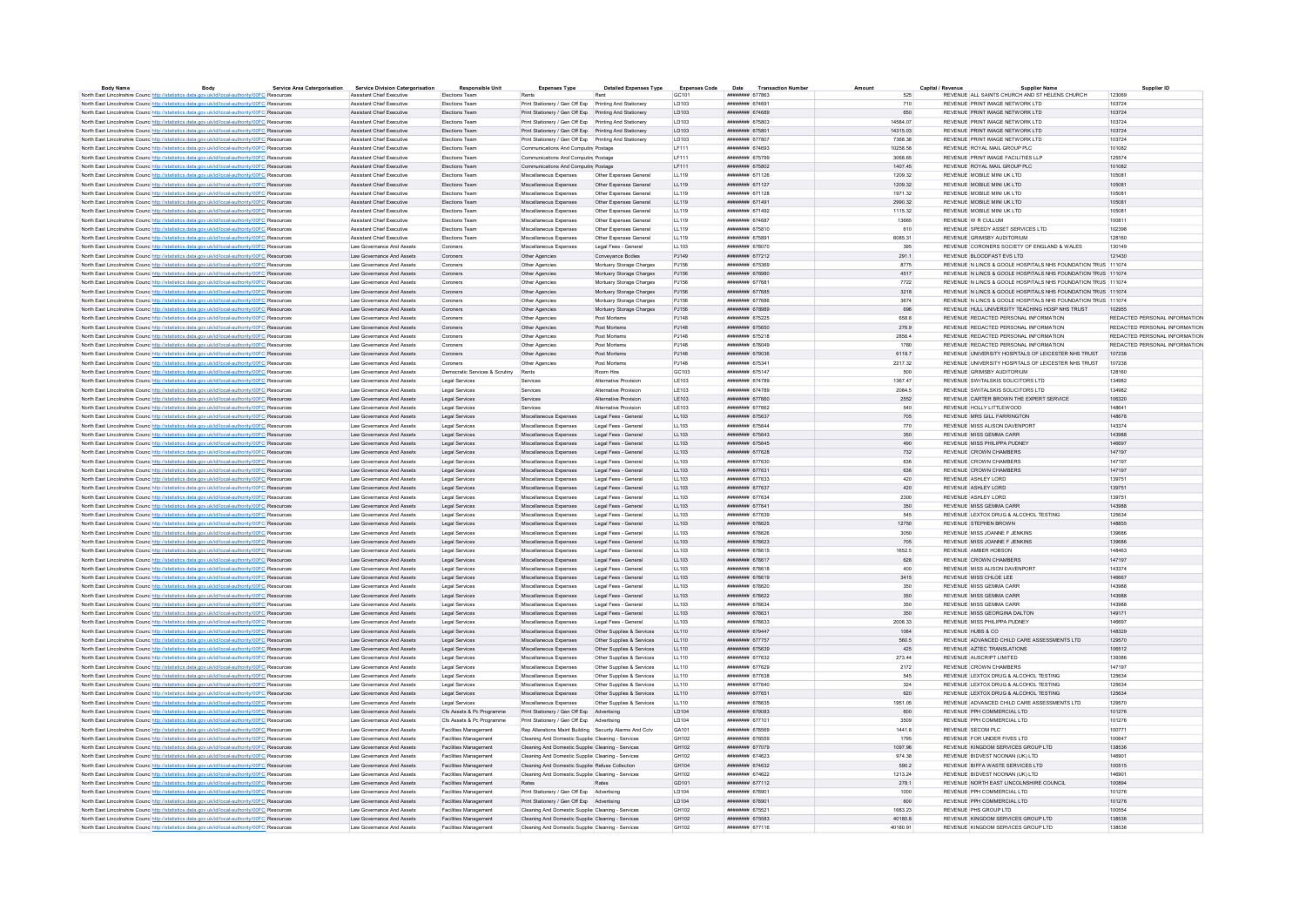| <b>Body Name</b>                                                                                         | Body | <b>Service Area Catergorisation</b> | <b>Service Division Catergorisation</b> | <b>Responsible Unit</b>              | <b>Expenses Type</b>                                    | <b>Detailed Expenses Type</b> | <b>Expenses Code</b> | <b>Transaction Number</b><br>Date   | Amount     | Capital / Revenue        | <b>Supplier Name</b>                                         | Supplier ID                   |
|----------------------------------------------------------------------------------------------------------|------|-------------------------------------|-----------------------------------------|--------------------------------------|---------------------------------------------------------|-------------------------------|----------------------|-------------------------------------|------------|--------------------------|--------------------------------------------------------------|-------------------------------|
| North East Lincolnshire Counc http://statistics.data.gov.uk/id/local-authority/00FC Resources            |      |                                     | Assistant Chief Executive               | Elections Team                       |                                                         |                               | GC101                | ####### 677863                      | 525        |                          | REVENUE ALL SAINTS CHURCH AND ST HELENS CHURCH               | 123069                        |
| North East Lincolnshire Counc http://statistics.data.gov.uk/id/local-authority/00FC Resources            |      |                                     | Assistant Chief Executive               | <b>Flections Team</b>                | Print Stationery / Gen Off Fxn Printing And Stationery  |                               | <b>ID103</b>         | ######## 674691                     | 710        |                          | REVENUE PRINT IMAGE NETWORK I TD                             | 103724                        |
| North East Lincolnshire Counc http://statistics.data.gov.uk/id/local-authority/00FC Resources            |      |                                     | <b>Assistant Chief Executive</b>        | Elections Team                       | Print Stationery / Gen Off Exo Printing And Stationery  |                               | LD103                | ######## 674689                     | 650        |                          | REVENUE PRINT IMAGE NETWORK LTD                              | 103724                        |
| North East Lincolnshire Counc http://statistics.data.gov.uk/id/local-authority/00FC Resources            |      |                                     | <b>Assistant Chief Executive</b>        | <b>Elections Team</b>                | Print Stationery / Gen Off Exp Printing And Stationery  |                               | LD103                | <b><i>HNHHHHHH 675803</i></b>       | 14584.07   |                          | REVENUE PRINT IMAGE NETWORK LTD                              | 103724                        |
| North East Lincolnshire Counc http://statistics.data.gov.uk/id/local-authority/00FC Resources            |      |                                     | <b>Assistant Chief Executive</b>        | Elections Team                       | Print Stationery / Gen Off Exp Printing And Stationery  |                               | LD103                | ####### 675801                      | 14315.03   |                          | REVENUE PRINT IMAGE NETWORK LTD                              | 103724                        |
| North East Lincolnshire Counc <sup>http://statistics.data.gov.uk/id/local-authority/00FC Resources</sup> |      |                                     | <b>Assistant Chief Executive</b>        | Elections Team                       | Print Stationery / Gen Off Exp Printing And Stationery  |                               | LD103                | ######## 677807                     | 7368.38    |                          | REVENUE PRINT IMAGE NETWORK LTD                              | 103724                        |
| North East Lincolnshire Counc http://statistics.data.gov.uk/id/local-authority/00FC Resources            |      |                                     | Assistant Chief Executive               | Elections Team                       | Communications And Computin Postage                     |                               | LF111                | ######## 674693                     | 10258.58   |                          | REVENUE ROYAL MAIL GROUP PLC                                 | 101082                        |
| North East Lincolnshire Counc http://statistics.data.gov.uk/id/local-authority/00FC Resource             |      |                                     | Assistant Chief Executive               | Elections Tean                       | Communications And Computing Postage                    |                               | LF111                | ######## 675799                     | 3068.65    |                          | REVENUE PRINT IMAGE FACILITIES LLP                           | 125574                        |
| North East Lincolnshire Counc http://statistics.data.gov.uk/id/local-authority/00FC Resources            |      |                                     | <b>Assistant Chief Executive</b>        | Flections Team                       | Communications And Computing Postage                    |                               | LF111                | ######## 675802                     | 1407 45    |                          | REVENUE ROYAL MAIL GROUP PLC.                                | 101082                        |
| North East Lincolnshire Counc http://statistics.data.gov.uk/id/local-authority/00FC Resources            |      |                                     | <b>Assistant Chief Executive</b>        | Elections Team                       | Miscellaneous Expenses                                  | Other Expenses General        | LL119                | ####### 671126                      | 1209.32    |                          | REVENUE MOBILE MINI UK LTD                                   | 105081                        |
| North East Lincolnshire Counc http://statistics.data.gov.uk/id/local-authority/00FC Resources            |      |                                     | Assistant Chief Executive               | <b>Flections Team</b>                | Miscellaneous Expenses                                  | Other Expenses General        | 11119                | ######## 671127                     | 1209 32    |                          | REVENUE MOBILE MINI UK LTD                                   | 105081                        |
| North East Lincolnshire Counc http://statistics.data.gov.uk/id/local-authority/00FC Resources            |      |                                     | Assistant Chief Executive               | Elections Team                       | Miscellaneous Expenses                                  | Other Expenses General        | 11119                | ######## 671128                     | 1971.32    |                          | REVENUE MOBILE MINI UK LTD                                   | 105081                        |
| North East Lincolnshire Counc http://statistics.data.gov.uk/id/local-authority/00FC Resources            |      |                                     | Assistant Chief Executive               | Elections Team                       | Miscellaneous Expenses                                  | Other Expenses General        | LL119                | <b><i><u>HHHHHHH</u></i></b> 671491 | 2990.32    |                          | REVENUE MOBILE MINI UK LTD                                   | 105081                        |
| North East Lincolnshire Councilitto://statistics.data.cov.uk/id/local-authority/00EC Resources           |      |                                     | <b>Assistant Chief Executive</b>        | <b>Flections Team</b>                | Miscellaneous Expenses                                  | Other Expenses General        | 11119                | ######## 671492                     | 1115 32    |                          | REVENUE MOBILE MINI UK LTD                                   | 105081                        |
| North East Lincolnshire Counc http://statistics.data.gov.uk/id/local-authority/00FC Resources            |      |                                     | <b>Assistant Chief Executive</b>        | Elections Team                       | Miscellaneous Expenses                                  | Other Expenses General        | LL119                | ######## 674687                     | 13665      | REVENUE W R CULLUM       |                                                              | 100811                        |
| North East Lincolnshire Counc http://statistics.data.gov.uk/id/local-authority/00FC Resources            |      |                                     | Assistant Chief Executive               | <b>Flections Team</b>                | Miscellaneous Expenses                                  | Other Expenses General        | 11119                | ######## 675810                     | 610        |                          | REVENUE SPEEDY ASSET SERVICES LTD.                           | 102398                        |
| North East Lincolnshire Counc http://statistics.data.gov.uk/id/local-authority/00FC Resources            |      |                                     | <b>Assistant Chief Executive</b>        | Elections Team                       | Miscellaneous Expenses                                  | Other Expenses General        | LL119                | ######## 675891                     | 6085.31    |                          | REVENUE GRIMSBY AUDITORIUM                                   | 128160                        |
| North East Lincolnshire Counc http://statistics.data.gov.uk/id/local-authority/00FC Resources            |      |                                     | Law Governance And Assets               | Coroners                             | Miscellaneous Expenses                                  | Legal Fees - General          | LL103                | ######## 678070                     | 395        |                          | REVENUE CORONERS SOCIETY OF ENGLAND & WALES                  | 130149                        |
| North East Lincolnshire Counc http://statistics.data.gov.uk/id/local-authority/00FC Resources            |      |                                     | Law Governance And Assets               | Coroners                             | Other Agencies                                          | Conveyance Bodies             | PJ149                | ######## 677212                     | 291.1      |                          | REVENUE BLOODFAST EVS LTD                                    | 121430                        |
| North East Lincolnshire Counc <sup>http://statistics.data.gov.uk/id/local-authority/00FC Resources</sup> |      |                                     | Law Governance And Assets               | Coroners                             | Other Agencies                                          | Mortuary Storage Charges      | PJ156                | ######## 675369                     | 8775       |                          | REVENUE N LINCS & GOOLE HOSPITALS NHS FOUNDATION TRUS 111074 |                               |
|                                                                                                          |      |                                     |                                         |                                      |                                                         |                               | PJ156                |                                     | 4517       |                          | REVENUE N LINCS & GOOLE HOSPITALS NHS FOUNDATION TRUS 111074 |                               |
| North East Lincolnshire Counc http://statistics.data.gov.uk/id/local-authority/00FC Resources            |      |                                     | Law Governance And Assets               | Coroners                             | Other Agencies                                          | Mortuary Storage Charges      |                      | ######## 676980                     |            |                          |                                                              |                               |
| North East Lincolnshire Counc http://statistics.data.gov.uk/id/local-authority/00FC Resource             |      |                                     | Law Governance And Assets               | Coroners                             | Other Agencie                                           | Mortuary Storage Charges      | PJ156                | ####### 677681                      | 7722       |                          | REVENUE N LINCS & GOOLE HOSPITALS NHS FOUNDATION TRUS 111074 |                               |
| North East Lincolnshire Counc http://statistics.data.gov.uk/id/local-authority/00FC Resources            |      |                                     | I aw Governance And Assets              | Coroners                             | Other Agencies                                          | Mortuary Storage Charges      | P.1156               | ######## 677685                     | 3218       |                          | REVENUE N LINCS & GOOLE HOSPITALS NHS FOUNDATION TRUS 111074 |                               |
| North East Lincolnshire Counc http://statistics.data.gov.uk/id/local-authority/00FC Resources            |      |                                     | Law Governance And Assets               | Coroners                             | Other Agencies                                          | Mortuary Storage Charges      | PJ156                | ######## 677686                     | 3674       |                          | REVENUE N LINCS & GOOLE HOSPITALS NHS FOUNDATION TRUS 111074 |                               |
| North East Lincolnshire Counc http://statistics.data.gov.uk/id/local-authority/00FC Resources            |      |                                     | Law Governance And Assets               | Coroners                             | Other Agencies                                          | Mortuary Storage Charges      | PJ156                | ######## 678989                     | 696        |                          | REVENUE HULL UNIVERSITY TEACHING HOSP NHS TRUST              | 102955                        |
| North East Lincolnshire Counc http://statistics.data.gov.uk/id/local-authority/00FC Resources            |      |                                     | Law Governance And Assets               | Coroners                             | Other Agencies                                          | Post Mortems                  | P.1148               | ######## 675225                     | 658.8      |                          | REVENUE REDACTED PERSONAL INFORMATION                        | REDACTED PERSONAL INFORMATION |
| North East Lincolnshire Counc http://statistics.data.gov.uk/id/local-authority/00FC Resources            |      |                                     | Law Governance And Assets               | Coroners                             | Other Agencies                                          | Post Mortems                  | PJ148                | ####### 675650                      | 276.9      |                          | REVENUE REDACTED PERSONAL INFORMATION                        | REDACTED PERSONAL INFORMATION |
| North East Lincolnshire Counc http://statistics.data.gov.uk/id/local-authority/00FC Resources            |      |                                     | Law Governance And Assets               | Coroners                             | Other Agencies                                          | Post Mortems                  | PJ148                | ######## 675218                     | 2856.4     |                          | REVENUE REDACTED PERSONAL INFORMATION                        | REDACTED PERSONAL INFORMATION |
| North East Lincolnshire Counc http://statistics.data.gov.uk/id/local-authority/00FC Resources            |      |                                     | Law Governance And Assets               | Coroners                             | Other Agencies                                          | Post Mortems                  | PJ148                | ######## 678049                     | 1780       |                          | REVENUE REDACTED PERSONAL INFORMATION                        | REDACTED PERSONAL INFORMATION |
| North East Lincolnshire Counc http://statistics.data.gov.uk/id/local-authority/00FC Resources            |      |                                     | Law Governance And Assets               | Coroners                             | Other Agencies                                          | Post Mortems                  | PJ148                | ######## 679036                     | 6118.7     |                          | REVENUE UNIVERSITY HOSPITALS OF LEICESTER NHS TRUST          | 107238                        |
| North East Lincolnshire Counc http://statistics.data.gov.uk/id/local-authority/00FC Resources            |      |                                     | Law Governance And Assets               | Coroners                             | Other Agencies                                          | Post Mortems                  | PJ148                | ######## 675341                     | 2217.32    |                          | REVENUE UNIVERSITY HOSPITALS OF LEICESTER NHS TRUST          | 107238                        |
| North East Lincolnshire Counc http://statistics.data.gov.uk/id/local-authority/00FC Resources            |      |                                     | I aw Governance And Assets              | Democratic Services & Scrutiny Rents |                                                         | Room Hire                     | GC <sub>103</sub>    | ######## 675147                     | 500        |                          | REVENUE GRIMSRY AUDITORIUM                                   | 128160                        |
| North East Lincolnshire Counc http://statistics.data.gov.uk/id/local-authority/00FC Resources            |      |                                     | Law Governance And Assets               | Legal Services                       | Services                                                | Alternative Provision         | LE103                | ####### 674789                      | 1367.47    |                          | REVENUE SWITALSKIS SOLICITORS LTD                            | 134982                        |
| North East Lincolnshire Counc http://statistics.data.gov.uk/id/local-authority/00FC Resources            |      |                                     | Law Governance And Assets               | Legal Services                       | Services                                                | Alternative Provision         | LE103                | ######## 674789                     | 2084.5     |                          | REVENUE SWITALSKIS SOLICITORS LTD                            | 134982                        |
| North East Lincolnshire Counc http://statistics.data.gov.uk/id/local-authority/00FC Resources            |      |                                     | Law Governance And Assets               | Legal Services                       | Services                                                | Alternative Provision         | LE103                | ######## 677660                     | 2552       |                          | REVENUE CARTER BROWN THE EXPERT SERVICE                      | 106320                        |
| North East Lincolnshire Counc http://statistics.data.gov.uk/id/local-authority/00FC Resources            |      |                                     | Law Governance And Assets               | Legal Services                       | Services                                                | Alternative Provision         | LE103                | ######## 677662                     | 540        |                          | REVENUE HOLLY LITTLEWOOD                                     | 148641                        |
| North East Lincolnshire Counc http://statistics.data.gov.uk/id/local-authority/00FC Resources            |      |                                     | I aw Governance And Assets              | Legal Services                       | Miscellaneous Expenses                                  | Legal Fees - General          | LL103                | <b><i><u>HHHHHHH</u></i></b> 675637 | 705        |                          | REVENUE MRS GILL FARRINGTON                                  | 148678                        |
| North East Lincolnshire Counc http://statistics.data.gov.uk/id/local-authority/00FC Resources            |      |                                     | Law Governance And Assets               | Legal Services                       | Miscellaneous Expenses                                  | Legal Fees - Genera           | LL103                | ######## 675644                     | 770        |                          | REVENUE MISS ALISON DAVENPORT                                | 143374                        |
| North East Lincolnshire Counc http://statistics.data.gov.uk/id/local-authority/00FC Resources            |      |                                     | Law Governance And Assets               | Legal Services                       | Miscellaneous Expenses                                  | Legal Fees - General          | 11.103               | <b>инвинин</b> 675643               | 350        |                          | REVENUE MISS GEMMA CARR                                      | 143088                        |
| North East Lincolnshire Counc http://statistics.data.gov.uk/id/local-authority/00FC Resources            |      |                                     | Law Governance And Assets               | Legal Services                       | Miscellaneous Expenses                                  | Legal Fees - General          | 11.103               | ######## 675645                     | 490        |                          | REVENUE MISS PHILIPPA PUDNEY                                 | 146697                        |
| North East Lincolnshire Counc http://statistics.data.gov.uk/id/local-authority/00FC Resources            |      |                                     | Law Governance And Assets               | <b>Legal Services</b>                | Miscellaneous Expenses                                  | Legal Fees - General          | LL103                | ######## 677628                     | 732        |                          | <b>REVENUE CROWN CHAMBERS</b>                                | 147107                        |
| North East Lincolnshire Counc http://statistics.data.gov.uk/id/local-authority/00FC Resources            |      |                                     | Law Governance And Assets               | Legal Services                       | Miscellaneous Expenses                                  | Legal Fees - General          | LL103                | ######## 677630                     | 636        |                          | REVENUE CROWN CHAMBERS                                       | 147197                        |
| North East Lincolnshire Counc http://statistics.data.gov.uk/id/local-authority/00FC Resources            |      |                                     | Law Governance And Assets               | Legal Services                       | Miscellaneous Expenses                                  | Legal Fees - General          | LL103                | ######## 677631                     | 636        |                          | REVENUE CROWN CHAMBERS                                       | 147197                        |
| North East Lincolnshire Counc http://statistics.data.gov.uk/id/local-authority/00FC Resources            |      |                                     | Law Governance And Assets               | Legal Services                       | Miscellaneous Expenses                                  | Legal Fees - General          | LL103                | ######## 677633                     | 420        | REVENUE ASHLEY LORD      |                                                              | 139751                        |
| North East Lincolnshire Counc http://statistics.data.gov.uk/id/local-authority/00FC Resources            |      |                                     | Law Governance And Assets               | Legal Services                       | Miscellaneous Expenses                                  | Legal Fees - General          | LL103                | ####### 677637                      | 420        | REVENUE ASHLEY LORD      |                                                              | 139751                        |
|                                                                                                          |      |                                     | I aw Governance And Assets              | Legal Services                       | Miscellaneous Expenses                                  | Legal Fees - General          | LL103                | <b>инвинин 677634</b>               | 2300       | REVENUE ASHLEY LORD      |                                                              | 139751                        |
| North East Lincolnshire Counc http://statistics.data.gov.uk/id/local-authority/00FC Resources            |      |                                     |                                         |                                      |                                                         |                               |                      | ####### 677641                      |            |                          | REVENUE MISS GEMMA CARR                                      |                               |
| North East Lincolnshire Counc <sup>http://statistics.data.gov.uk/id/local-authority/00FC Resources</sup> |      |                                     | Law Governance And Assets               | Legal Services                       | Miscellaneous Expenses                                  | Legal Fees - General          | LL103                | ######## 677639                     | 350<br>545 |                          |                                                              | 143988<br>125634              |
| North East Lincolnshire Counc http://statistics.data.gov.uk/id/local-authority/00FC Resources            |      |                                     | Law Governance And Assets               | Legal Services                       | Miscellaneous Expenses                                  | Legal Fees - General          | LL103<br>LL103       | ######## 678625                     | 12750      | REVENUE STEPHEN BROWN    | REVENUE LEXTOX DRUG & ALCOHOL TESTING                        | 148855                        |
| North East Lincolnshire Counc http://statistics.data.gov.uk/id/local-authority/00FC Resources            |      |                                     | Law Governance And Assets               | Legal Services                       | Miscellaneous Expenses                                  | Legal Fees - General          |                      |                                     |            |                          |                                                              |                               |
| North East Lincolnshire Counc http://statistics.data.gov.uk/id/local-authority/00FC Resources            |      |                                     | Law Governance And Assets               | Legal Services                       | Miscellaneous Expenses                                  | Legal Fees - Genera           | LL103                | ######## 678626                     | 3050       |                          | REVENUE MISS JOANNE F JENKINS                                | 139686                        |
| North East Lincolnshire Counc http://statistics.data.gov.uk/id/local-authority/00FC Resources            |      |                                     | I aw Governance And Assets              | Legal Services                       | Miscellaneous Expenses                                  | Legal Fees - General          | 11.103               | ининнии 678623                      | 705        |                          | REVENUE MISS JOANNE E JENKINS                                | 139686<br>148463              |
| North East Lincolnshire Counc http://statistics.data.gov.uk/id/local-authority/00FC Resources            |      |                                     | Law Governance And Assets               | Legal Services                       | Miscellaneous Expenses                                  | Legal Fees - Genera           | LL103                | ######## 678615                     | 1652.5     | REVENUE AMBER HOBSON     |                                                              |                               |
| North East Lincolnshire Counc http://statistics.data.gov.uk/id/local-authority/00FC Resources            |      |                                     | Law Governance And Assets               | Legal Services                       | Miscellaneous Expenses                                  | Legal Fees - General          | LL103                | ######## 678617                     | 628        |                          | REVENUE CROWN CHAMBERS                                       | 147197                        |
| North East Lincolnshire Counc http://statistics.data.gov.uk/id/local-authority/00FC Resources            |      |                                     | Law Governance And Assets               | <b>Legal Services</b>                | Miscellaneous Expenses                                  | Legal Fees - General          | LL103                | ######## 678618                     | 400        |                          | REVENUE MISS ALISON DAVENPORT                                | 143374                        |
| North East Lincolnshire Counc http://statistics.data.gov.uk/id/local-authority/00FC Resources            |      |                                     | Law Governance And Assets               | <b>Legal Services</b>                | Miscellaneous Expenses                                  | Legal Fees - General          | LL103                | ######## 678619                     | 3415       | REVENUE MISS CHLOF LEE   |                                                              | 146667                        |
| North East Lincolnshire Counc http://statistics.data.gov.uk/id/local-authority/00FC Resources            |      |                                     | Law Governance And Assets               | Legal Services                       | Miscellaneous Expenses                                  | Legal Fees - General          | LL103                | ######## 678620                     | 350        |                          | REVENUE MISS GEMMA CARR                                      | 143988                        |
| North East Lincolnshire Counc http://statistics.data.gov.uk/id/local-authority/00FC Resources            |      |                                     | Law Governance And Assets               | Legal Services                       | Miscellaneous Expenses                                  | Legal Fees - General          | LL103                | ######## 678622                     | 350        |                          | REVENUE MISS GEMMA CARR                                      | 143988                        |
| North East Lincolnshire Counc <sup>http://statistics.data.gov.uk/id/local-authority/00FC Resources</sup> |      |                                     | Law Governance And Assets               | Legal Services                       | Miscellaneous Expenses                                  | Legal Fees - General          | 11.103               | нивнини 678634                      | 350        |                          | REVENUE MISS GEMMA CARR                                      | 143988                        |
| North East Lincolnshire Counc http://statistics.data.gov.uk/id/local-authority/00FC Resources            |      |                                     | Law Governance And Assets               | Legal Services                       | Miscellaneous Expenses                                  | Legal Fees - General          | LL103                | ####### 678631                      | 350        |                          | REVENUE MISS GEORGINA DALTON                                 | 149171                        |
| North East Lincolnshire Counc http://statistics.data.gov.uk/id/local-authority/00FC Resources            |      |                                     | I aw Governance And Assets              | Legal Services                       | Miscellaneous Expenses                                  | Legal Fees - General          | 11.103               | ######## 678633                     | 2008.33    |                          | REVENUE MISS PHILIPPA PUDNEY                                 | 146697                        |
| North East Lincolnshire Counc <sup>http://statistics.data.gov.uk/id/local-authority/00FC Resources</sup> |      |                                     | Law Governance And Assets               | Legal Services                       | Miscellaneous Expenses                                  | Other Supplies & Services     | 11110                | нивнинин 679447                     | 1064       | REVENUE HUBS & CO.       |                                                              | 148329                        |
| North East Lincolnshire Counc http://statistics.data.gov.uk/id/local-authority/00FC Resources            |      |                                     | Law Governance And Assets               | <b>Legal Services</b>                | Miscellaneous Expenses                                  | Other Supplies & Services     | LL110                | ######## 677757                     | 560.5      |                          | REVENUE ADVANCED CHILD CARE ASSESSMENTS LTD                  | 129570                        |
| North East Lincolnshire Counc http://statistics.data.gov.uk/id/local-authority/00FC Resources            |      |                                     | Law Governance And Assets               | Legal Services                       | Miscellaneous Expenses                                  | Other Supplies & Services     | LL110                | ######## 675639                     | 425        |                          | REVENUE AZTEC TRANSLATIONS                                   | 106512                        |
| North East Lincolnshire Counc http://statistics.data.gov.uk/id/local-authority/00FC Resource             |      |                                     | Law Governance And Assets               | <b>Legal Services</b>                | Miscellaneous Expenses                                  | Other Supplies & Services     | LL110                | ######## 677632                     | 273.44     | REVENUE AUSCRIPT LIMITED |                                                              | 139386                        |
| North East Lincolnshire Counc http://statistics.data.gov.uk/id/local-authority/00FC Resources            |      |                                     | Law Governance And Assets               | Legal Services                       | Miscellaneous Expenses                                  | Other Supplies & Services     | LL110                | ######## 677629                     | 2172       |                          | REVENUE CROWN CHAMBERS                                       | 147197                        |
| North East Lincolnshire Counc http://statistics.data.gov.uk/id/local-authority/00FC Resources            |      |                                     | Law Governance And Assets               | <b>Legal Services</b>                | Miscellaneous Expenses                                  | Other Supplies & Services     | LL110                | ######## 677638                     | 545        |                          | REVENUE LEXTOX DRUG & ALCOHOL TESTING                        | 125634                        |
| North East Lincolnshire Counc http://statistics.data.gov.uk/id/local-authority/00FC Resources            |      |                                     | Law Governance And Assets               | Legal Services                       | Miscellaneous Expenses                                  | Other Supplies & Services     | 11110                | ######## 677640                     | 324        |                          | REVENUE LEXTOX DRUG & ALCOHOL TESTING                        | 125634                        |
| North East Lincolnshire Counc <sup>http://statistics.data.gov.uk/id/local-authority/00FC Resources</sup> |      |                                     | Law Governance And Assets               | Legal Services                       | Miscellaneous Expenses                                  | Other Supplies & Services     | LL110                | ######## 677651                     | 620        |                          | REVENUE LEXTOX DRUG & ALCOHOL TESTING                        | 125634                        |
| North East Lincolnshire Counc <sup>htto://statistics.data.gov.uk/id/local-authority/00FC Resource</sup>  |      |                                     | Law Governance And Assets               | Legal Services                       | Miscellaneous Expenses                                  | Other Supplies & Services     | LL110                | ######## 678635                     | 1951.05    |                          | REVENUE ADVANCED CHILD CARE ASSESSMENTS LTD                  | 129570                        |
| North East Lincolnshire Counc http://statistics.data.gov.uk/id/local-authority/00FC Resources            |      |                                     | Law Governance And Assets               | Cfs Assets & Pc Programme            | Print Stationery / Gen Off Exp Advertising              |                               | LD104                | ######## 679083                     | 600        |                          | REVENUE PPH COMMERCIAL LTD                                   | 101276                        |
| North East Lincolnshire Counc http://statistics.data.gov.uk/id/local-authority/00FC Resource             |      |                                     | Law Governance And Assets               | Cfs Assets & Pc Programme            | Print Stationery / Gen Off Exp Advertising              |                               | LD104                | ######## 677101                     | 3509       |                          | REVENUE PPH COMMERCIAL LTD                                   | 101276                        |
| North East Lincolnshire Counc http://statistics.data.gov.uk/id/local-authority/00FC Resources            |      |                                     | Law Governance And Assets               | Facilities Management                | Rep Alterations Maint Building Security Alarms And Cctv |                               | GA101                | ######## 678569                     | 14418      | REVENUE SECOM PLC.       |                                                              | 100771                        |
| North East Lincolnshire Counc http://statistics.data.gov.uk/id/local-authority/00FC Resources            |      |                                     | Law Governance And Assets               | Facilities Management                | Cleaning And Domestic Supplier Cleaning - Services      |                               | GH102                | ######## 676559                     | 1795       |                          | REVENUE FOR UNDER FIVES LTD                                  | 100647                        |
| North East Lincolnshire Counc http://statistics.data.gov.uk/id/local-authority/00FC Resources            |      |                                     | I aw Governance And Assets              | Facilities Management                | Cleaning And Domestic Supplier Cleaning - Services      |                               | GH102                | ######## 677079                     | 1097.96    |                          | REVENUE KINGDOM SERVICES GROUP ITD                           | 138536                        |
| North East Lincolnshire Counc http://statistics.data.gov.uk/id/local-authority/00FC Resources            |      |                                     | Law Governance And Assets               | Facilities Management                | Cleaning And Domestic Supplier Cleaning - Services      |                               | GH102                | ######## 674623                     | 974.38     |                          | REVENUE BIDVEST NOONAN (UK) I TD                             | 146901                        |
| North East Lincolnshire Counc http://statistics.data.gov.uk/id/local-authority/00FC Resources            |      |                                     | Law Governance And Assets               | Facilities Management                | Cleaning And Domestic Supplier Refuse Collection        |                               | GH <sub>104</sub>    | ######## 674632                     | 590.2      |                          | REVENUE BIFFA WASTE SERVICES LTD                             | 100515                        |
| North East Lincolnshire Counc http://statistics.data.gov.uk/id/local-authority/00FC Resources            |      |                                     | Law Governance And Assets               | <b>Facilities Management</b>         | Cleaning And Domestic Supplier Cleaning - Services      |                               | GH102                | ######## 674622                     | 1213.24    |                          | REVENUE BIDVEST NOONAN (UK) LTD                              | 146901                        |
| North East Lincolnshire Counc http://statistics.data.gov.uk/id/local-authority/00FC Resources            |      |                                     | Law Governance And Assets               | Facilities Management                | Rates                                                   | Rates                         | GD101                | ######## 677112                     | 278.1      |                          | REVENUE NORTH EAST LINCOLNSHIRE COUNCIL                      | 100894                        |
| North East Lincolnshire Counc http://statistics.data.gov.uk/id/local-authority/00FC Resources            |      |                                     | Law Governance And Assets               | Facilities Management                | Print Stationery / Gen Off Exp Advertising              |                               | LD104                | ######## 678901                     | 1000       |                          | REVENUE PPH COMMERCIAL LTD                                   | 101276                        |
| North East Lincolnshire Counc http://statistics.data.gov.uk/id/local-authority/00FC Resources            |      |                                     | Law Governance And Assets               | Facilities Management                | Print Stationery / Gen Off Exp Advertising              |                               | LD104                | ####### 678901                      | 600        |                          | REVENUE PPH COMMERCIAL LTD                                   | 101276                        |
| North East Lincolnshire Counc http://statistics.data.gov.uk/id/local-authority/00FC Resources            |      |                                     | I aw Governance And Assets              | Facilities Management                | Cleaning And Domestic Supplier Cleaning - Services      |                               | GH102                | ######## 675521                     | 1683 23    | REVENUE PHS GROUP LTD.   |                                                              | 100554                        |
| North East Lincolnshire Counc http://statistics.data.gov.uk/id/local-authority/00FC Resources            |      |                                     | Law Governance And Assets               | Facilities Management                | Cleaning And Domestic Supplier Cleaning - Services      |                               | GH102                | ####### 675583                      | 40180.8    |                          | REVENUE KINGDOM SERVICES GROUP LTD                           | 138536                        |
| North East Lincolnshire Counc http://statistics.data.gov.uk/id/local-authority/00FC Resources            |      |                                     | Law Governance And Assets               | <b>Facilities Management</b>         | Cleaning And Domestic Supplie: Cleaning - Services      |                               | GH102                | ######## 677116                     | 40180.91   |                          | REVENUE KINGDOM SERVICES GROUP LTD.                          | 138536                        |
|                                                                                                          |      |                                     |                                         |                                      |                                                         |                               |                      |                                     |            |                          |                                                              |                               |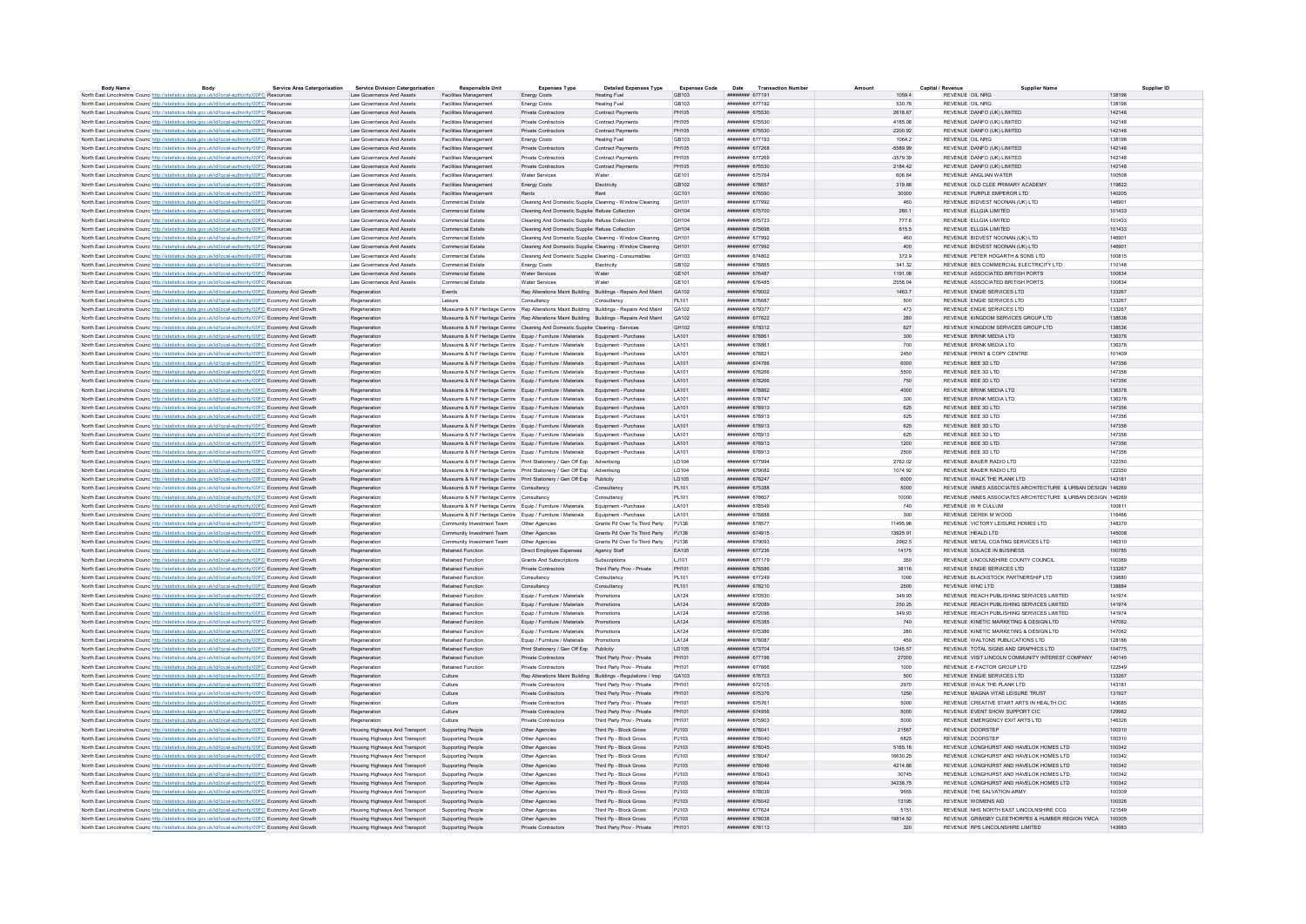| <b>Body Name</b>                                                                                                       | Body | <b>Service Area Catergorisation</b> | <b>Service Division Catergorisation</b> | <b>Responsible Unit</b>                                                                    | <b>Expenses Type</b>                                          | <b>Detailed Expenses Type</b> | <b>Expenses Code</b> | <b>Transaction Numbe</b><br>Date | Amount     | Capital / Revenue          | <b>Supplier Name</b>                                        | Supplier ID      |
|------------------------------------------------------------------------------------------------------------------------|------|-------------------------------------|-----------------------------------------|--------------------------------------------------------------------------------------------|---------------------------------------------------------------|-------------------------------|----------------------|----------------------------------|------------|----------------------------|-------------------------------------------------------------|------------------|
| North East Lincolnshire Counc http://statistics.data.gov.uk/id/local-authority/00FC Resources                          |      |                                     | Law Governance And Assets               | Facilities Management                                                                      | <b>Energy Costs</b>                                           | <b>Heating Fuel</b>           | GB103                | ####### 677191                   | 1059.4     | REVENUE OIL NRG            |                                                             | 138198           |
| North East Lincolnshire Counc http://statistics.data.gov.uk/id/local-authority/00FC Resources                          |      |                                     | Law Governance And Assets               | Facilities Management                                                                      | Energy Costs                                                  | Heating Fuel                  | GB103                | ######## 677192                  | 530.76     | REVENUE OIL NRG            |                                                             | 138198           |
| North East Lincolnshire Counc http://statistics.data.gov.uk/id/local-authority/00FC Resources                          |      |                                     | Law Governance And Assets               | Facilities Management                                                                      | Private Contractors                                           | <b>Contract Payments</b>      | PH105                | ######## 675530                  | 2618.67    |                            | REVENUE DANFO (UK) LIMITED                                  | 142148           |
| North East Lincolnshire Counc http://statistics.data.gov.uk/id/local-authority/00FC Resources                          |      |                                     | Law Governance And Assets               | Facilities Managemen                                                                       | Private Contractors                                           | Contract Payments             | <b>PH105</b>         | <b><i>BRESHBER</i></b> 675530    | 4185.08    | REVENUE DANEO (UK) LIMITED |                                                             | 142148           |
| North East Lincolnshire Counc http://statistics.data.gov.uk/id/local-authority/00FC Resources                          |      |                                     | Law Governance And Assets               | <b>Facilities Management</b>                                                               | Private Contractors                                           | Contract Payments             | <b>PH105</b>         | ####### 675530                   | 2200.92    | REVENUE DANFO (UK) LIMITED |                                                             | 142148           |
| North East Lincolnshire Counc http://statistics.data.gov.uk/id/local-authority/00FC Resources                          |      |                                     | Law Governance And Assets               | Facilities Managemen                                                                       | Energy Costs                                                  | <b>Heating Fuel</b>           | GB103                | ####### 677193                   | 1064.2     | REVENUE OIL NRG            |                                                             | 138198           |
| North East Lincolnshire Counc http://statistics.data.gov.uk/id/local-authority/00FC Resources                          |      |                                     | Law Governance And Assets               | Facilities Management                                                                      | Private Contractors                                           | <b>Contract Payments</b>      | PH105                | ######## 677268                  | $-5589.99$ | REVENUE DANFO (UK) LIMITED |                                                             | 142148           |
| North East Lincolnshire Counc http://statistics.data.gov.uk/id/local-authority/00FC Resources                          |      |                                     | Law Governance And Assets               | Facilities Managemen                                                                       | Private Contractors                                           | Contract Payments             | PH105                | ######## 677269                  | 3579.39    | REVENUE DANFO (UK) LIMITED |                                                             | 142148           |
| North East Lincolnshire Counc http://statistics.data.gov.uk/id/local-authority/00FC Resources                          |      |                                     | Law Governance And Assets               | Facilities Management                                                                      | Private Contractors                                           | Contract Payments             | <b>PH105</b>         | ######## 675530                  | 2184.42    | REVENUE DANFO (UK) LIMITED |                                                             | 142148           |
| North East Lincolnshire Counc http://statistics.data.gov.uk/id/local-authority/00FC Resources                          |      |                                     | Law Governance And Assets               | Facilities Management                                                                      | Water Services                                                | Water                         | GE101                | ####### 675764                   | 606.64     | REVENUE ANGLIAN WATER      |                                                             | 100508           |
| North East Lincolnshire Counc http://statistics.data.gov.uk/id/local-authority/00FC Resources                          |      |                                     | Law Governance And Assets               | Facilities Management                                                                      | Energy Costs                                                  | Electricity                   | GR102                | ######## 678657                  | 319.88     |                            | REVENUE OLD CLEE PRIMARY ACADEMY                            | 119822           |
| North East Lincolnshire Counc http://statistics.data.gov.uk/id/local-authority/00FC Resources                          |      |                                     | Law Governance And Assets               | Facilities Management                                                                      | Rents                                                         | Rent                          | GC101                | ######## 676590                  | 30000      |                            | REVENUE PURPLE EMPEROR LTD                                  | 140205           |
| North East Lincolnshire Counc http://statistics.data.gov.uk/id/local-authority/00FC Resource                           |      |                                     | Law Governance And Assets               | Commercial Estate                                                                          | Cleaning And Domestic Supplie: Cleaning - Window Cleaning     |                               | GH101                | *********** 677992               | 460        |                            | REVENUE BIDVEST NOONAN (UK) LTD                             | 146901           |
| North East Lincolnshire Counc <sup>http://statistics.data.gov.uk/id/local-authority/00FC Resources</sup>               |      |                                     | Law Governance And Assets               | Commercial Estate                                                                          | Cleaning And Domestic Supplier Refuse Collection              |                               | GH104                | ######## 675700                  | 260.1      | REVENUE ELIGIA UMITED      |                                                             | 101433           |
| North East Lincolnshire Counc http://statistics.data.gov.uk/id/local-authority/00FC Resources                          |      |                                     | Law Governance And Assets               | Commercial Estate                                                                          | Cleaning And Domestic Supplier Refuse Collection              |                               | GH104                | ####### 675723                   | 777.6      | REVENUE ELLGIA LIMITED     |                                                             | 101433           |
| North East Lincolnshire Counc http://statistics.data.gov.uk/id/local-authority/00FC Resources                          |      |                                     | Law Governance And Assets               | Commercial Estate                                                                          | Cleaning And Domestic Supplier Refuse Collection              |                               | GH104                | <b>NUMBER 675698</b>             | 615.5      | REVENUE FLIGIA UMITED.     |                                                             | 101433           |
|                                                                                                                        |      |                                     |                                         |                                                                                            |                                                               |                               |                      |                                  | 460        |                            |                                                             | 146901           |
| North East Lincolnshire Counc http://statistics.data.gov.uk/id/local-authority/00FC Resources                          |      |                                     | Law Governance And Assets               | Commercial Estate                                                                          | Cleaning And Domestic Supplier Cleaning - Window Cleaning     |                               | GH101                | ######## 677992                  |            |                            | REVENUE BIDVEST NOONAN (UK) LTD                             | 1,46901          |
| North East Lincolnshire Counc http://statistics.data.gov.uk/id/local-authority/00FC Resources                          |      |                                     | Law Governance And Assets               | Commercial Estate                                                                          | Cleaning And Domestic Supplie: Cleaning - Window Cleaning     |                               | GH101                | ######## 677992                  | 400        |                            | REVENUE BIDVEST NOONAN (UK) LTD                             |                  |
| North East Lincolnshire Counc http://statistics.data.gov.uk/id/local-authority/00FC Resources                          |      |                                     | Law Governance And Assets               | Commercial Estate                                                                          | Cleaning And Domestic Supplier Cleaning - Consumables         |                               | GH103                | нивнини 674802                   | 372.9      |                            | REVENUE PETER HOGARTH & SONS LTD                            | 100815           |
| North East Lincolnshire Counc http://statistics.data.gov.uk/id/local-authority/00FC Resources                          |      |                                     | Law Governance And Assets               | Commercial Estate                                                                          | Energy Costs                                                  | Electricity                   | GB102                | ####### 678865                   | 341.32     |                            | REVENUE BES COMMERCIAL ELECTRICITY LTD                      | 110148           |
| North East Lincolnshire Counc http://statistics.data.gov.uk/id/local-authority/00FC Resources                          |      |                                     | Law Governance And Assets               | Commercial Estate                                                                          | Water Services                                                | Water                         | GF101                | <b>ИНИНИНИ 676487</b>            | 1191.08    |                            | REVENUE ASSOCIATED BRITISH PORTS                            | 100834           |
| North East Lincolnshire Counc http://statistics.data.gov.uk/id/local-authority/00FC Resources                          |      |                                     | Law Governance And Assets               | Commercial Estate                                                                          | Water Services                                                |                               | GE101                | ####### 67648                    | 2558.04    |                            | REVENUE ASSOCIATED BRITISH PORTS                            | 100834           |
| North East Lincolnshire Counc. http://statistics.data.gov.uk/id/local-authority/00FC Economy And Growth                |      |                                     | Regeneration                            | Events                                                                                     | Rep Alterations Maint Building Buildings - Repairs And Maint  |                               | GA102                | ######## 679002                  | 1463.7     |                            | REVENUE ENGIE SERVICES LTD                                  | 133267           |
| North East Lincolnshire Counc http://statistics.data.gov.uk/id/local-authority/00FC Economy And Growth                 |      |                                     | Regeneration                            | Leisure                                                                                    | Consultancy                                                   | Consultancy                   | PL101                | ######## 676687                  | 500        |                            | REVENUE ENGIE SERVICES LTD                                  | 133267           |
| North East Lincolnshire Counc. http://statistics.data.gov.uk/id/local-authority/00FC Economy And Growth                |      |                                     | Regeneration                            | Museums & N F Heritage Centre Rep Alterations Maint Building Buildings - Repairs And Maint |                                                               |                               | GA102                | ######## 679377                  | 473        |                            | REVENUE ENGIE SERVICES LTD                                  | 133267           |
| North East Lincolnshire Counc http://statistics.data.gov.uk/id/local-authority/00FC Economy And Growth                 |      |                                     | Regeneration                            | Museums & N F Heritage Centre Rep Alterations Maint Building Buildings - Repairs And Maint |                                                               |                               | GA102                | ######## 677622                  | 280        |                            | REVENUE KINGDOM SERVICES GROUP LTD                          | 138536           |
| North East Lincolnshire Counc http://statistics.data.gov.uk/id/local-authority/00FC Economy And Growth                 |      |                                     | Regeneration                            | Museums & N F Heritage Centre Cleaning And Domestic Supplier Cleaning - Services           |                                                               |                               | GH102                | ######## 678312                  | 627        |                            | REVENUE KINGDOM SERVICES GROUP LTD                          | 138536           |
| North East Lincolnshire Counc http://statistics.data.gov.uk/id/local-authority/00FC Economy And Growth                 |      |                                     | Regeneration                            | Museums & N F Heritage Centre Equip / Furniture / Materials Equipment - Purchase           |                                                               |                               | <b>LA101</b>         | ######## 678861                  | 300        | REVENUE BRINK MEDIA I TD   |                                                             | 136378           |
| North East Lincolnshire Counc http://statistics.data.gov.uk/id/local-authority/00FC Economy And Growth                 |      |                                     | Regeneration                            | Museums & N F Heritage Centre Equip / Furniture / Materials Equipment - Purchase           |                                                               |                               | LA101                | ####### 678861                   | 700        | REVENUE BRINK MEDIA LTD    |                                                             | 136378           |
| North East Lincolnshire Councint the Materia and Articles and Articles Assembly and Street and Articles Art and Growth |      |                                     | Regeneration                            | Museums & N F Heritage Centre Equip / Furniture / Materials Equipment - Purchase           |                                                               |                               | <b>LA101</b>         | ######## 678821                  | 2450       |                            | REVENUE PRINT & COPY CENTRE                                 | 101409           |
| North East Lincolnshire Counc http://statistics.data.gov.uk/id/local-authority/00FC Economy And Growth                 |      |                                     | Regeneration                            | Museums & N F Heritage Centre Equip / Furniture / Materials Equipment - Purchase           |                                                               |                               | LA101                | ####### 674766                   | 6000       | REVENUE BEE 3D LTD         |                                                             | 147356           |
| North East Lincolnshire Counc http://statistics.data.gov.uk/id/local-authority/00FC Economy And Growth                 |      |                                     | Regeneration                            | Museums & N F Heritage Centre Equip / Furniture / Materials                                |                                                               | Equipment - Purchase          | LA101                | ######## 678266                  | 5500       | REVENUE BEE 3D LTD         |                                                             | 147356           |
| North East Lincolnshire Counc http://statistics.data.gov.uk/id/local-authority/00FC Economy And Growth                 |      |                                     | Regeneration                            | Museums & N F Heritage Centre Equip / Furniture / Materials Equipment - Purchase           |                                                               |                               | LA101                | ######## 678266                  | 750        | REVENUE BEE 3D LTD         |                                                             | 147356           |
|                                                                                                                        |      |                                     |                                         | Museums & N F Heritage Centre Equip / Furniture / Materials Equipment - Purchase           |                                                               |                               | LA101                | ######## 678862                  | 4000       | REVENUE BRINK MEDIA LTD    |                                                             | 136378           |
| North East Lincolnshire Counc <sup>http://statistics.data.gov.uk/id/local-authority/00FC Economy And Growth</sup>      |      |                                     | Regeneration                            |                                                                                            |                                                               |                               |                      |                                  |            |                            |                                                             |                  |
| North East Lincolnshire Counc http://statistics.data.gov.uk/id/local-authority/00FC Economy And Growth                 |      |                                     | Regeneration                            | Museums & N F Heritage Centre Equip / Furniture / Materials Equipment - Purchase           |                                                               |                               | <b>LA101</b>         | нивнини 678747                   | 300        | REVENUE BRINK MEDIA I TD   |                                                             | 136378           |
| North East Lincolnshire Counc http://statistics.data.gov.uk/id/local-authority/00FC Economy And Growth                 |      |                                     | Regeneration                            | Museums & N F Heritage Centre Equip / Furniture / Materials                                |                                                               | Foujoment - Purchase          | LA101                | ######## 678913                  | 625        | REVENUE REE 3D LTD         |                                                             | 147356           |
| North East Lincolnshire Counc. http://statistics.data.gov.uk/id/local-authority/00FC Economy And Growth                |      |                                     | Regeneration                            | Museums & N F Heritage Centre Equip / Furniture / Materials                                |                                                               | Foujoment - Purchase          | <b>LA101</b>         | ######## 678913                  | 625        | <b>REVENUE REE 3D LTD.</b> |                                                             | 147356           |
| North East Lincolnshire Counc http://statistics.data.gov.uk/id/local-authority/00FC Economy And Growth                 |      |                                     | Regeneration                            | Museums & N F Heritage Centre Equip / Furniture / Materials Equipment - Purchase           |                                                               |                               | LA101                | ######## 678913                  | 625        | REVENUE BEE 3D LTD         |                                                             | 147356           |
| North East Lincolnshire Counc. http://statistics.data.gov.uk/id/local-authority/00FC Economy And Growth                |      |                                     | Regeneration                            | Museums & N F Heritage Centre Equip / Furniture / Materials Equipment - Purchase           |                                                               |                               | LA101                | ######## 678913                  | 625        | REVENUE BEE 3D LTD         |                                                             | 147356           |
| North East Lincolnshire Counc http://statistics.data.gov.uk/id/local-authority/00FC Economy And Growth                 |      |                                     | Regeneration                            | Museums & N F Heritage Centre Equip / Furniture / Materials Equipment - Purchase           |                                                               |                               | LA101                | ######## 678913                  | 1200       | REVENUE BEE 3D LTD         |                                                             | 147356           |
| North East Lincolnshire Counc http://statistics.data.gov.uk/id/local-authority/00FC Economy And Growth                 |      |                                     | Regeneration                            | Museums & N F Heritage Centre Equip / Furniture / Materials                                |                                                               | Equipment - Purchase          | LA101                | <i>vannanan</i> 678913           | 2500       | REVENUE BEE 3D LTD         |                                                             | 147356           |
| North East Lincolnshire Counc. http://statistics.data.gov.uk/id/local-authority/00FC Economy And Growth                |      |                                     | Regeneration                            | Museums & N F Heritage Centre Print Stationery / Gen Off Exp Advertising                   |                                                               |                               | <b>ID104</b>         | ######## 677994                  | 2762.02    | REVENUE BAUER RADIO LTD    |                                                             | 122350           |
| North East Lincolnshire Counc http://statistics.data.gov.uk/id/local-authority/00FC Economy And Growth                 |      |                                     | Regeneration                            | Museums & N F Heritage Centre Print Stationery / Gen Off Exp Advertising                   |                                                               |                               | LD104                | ####### 679082                   | 1074.92    | REVENUE BAUER RADIO LTD    |                                                             | 122350           |
| North East Lincolnshire Counc. http://statistics.data.gov.uk/id/local-authority/00FC Economy And Growth                |      |                                     | Regeneration                            | Museums & N F Heritage Centre Print Stationery / Gen Off Exp Publicity                     |                                                               |                               | <b>ID105</b>         | нивнини 678247                   | 6000       |                            | REVENUE WALK THE PLANK LTD                                  | 143181           |
| North East Lincolnshire Counc http://statistics.data.gov.uk/id/local-authority/00FC Economy And Growth                 |      |                                     | Regeneration                            | Museums & N F Heritage Centre Consultancy                                                  |                                                               | Consultancy                   | PL101                | ######## 675388                  | 5000       |                            | REVENUE INNES ASSOCIATES ARCHITECTURE & URBAN DESIGN 146269 |                  |
| North East Lincolnshire Counc http://statistics.data.gov.uk/id/local-authority/00FC Economy And Growth                 |      |                                     | Regeneration                            | Museums & N F Heritage Centre Consultancy                                                  |                                                               |                               | PL101                | ######## 678607                  | 10000      |                            | REVENUE INNES ASSOCIATES ARCHITECTURE & URBAN DESIGN 146269 |                  |
| North East Lincolnshire Counc. http://statistics.data.gov.uk/id/local-authority/00FC Economy And Growth                |      |                                     | Regeneration                            | Museums & N F Heritage Centre Equip / Furniture / Materials                                |                                                               | Foujoment - Purchase          | <b>LA101</b>         | ######## 678549                  | 740        | REVENUE W R CULLUM         |                                                             | 100811           |
| North East Lincolnshire Counc http://statistics.data.gov.uk/id/local-authority/00FC Economy And Growth                 |      |                                     | Regeneration                            | Museums & N F Heritage Centre Equip / Furniture / Materials Equipment - Purchase           |                                                               |                               | LA101                | ####### 678888                   | 300        | REVENUE DEREK M WOOD       |                                                             | 116466           |
| North East Lincolnshire Counc http://statistics.data.gov.uk/id/local-authority/00FC Economy And Growth                 |      |                                     | Regeneration                            | Community Investment Team   Other Agencies                                                 |                                                               | Grants Pd Over To Third Party | P.1138               | <b><i>HUBBHHH 678577</i></b>     | 11495.96   |                            | REVENUE VICTORY LEISURE HOMES LTD                           | 148370           |
| North East Lincolnshire Counc http://statistics.data.gov.uk/id/local-authority/00FC Economy And Growth                 |      |                                     | Regeneration                            | Community Investment Team                                                                  | Other Agencies                                                | Grants Pd Over To Third Party | P.1138               | ####### 674915                   | 13925.91   | REVENUE HEALD LTD          |                                                             | 145008           |
| North East Lincolnshire Counc http://statistics.data.gov.uk/id/local-authority/00FC Economy And Growth                 |      |                                     | Regeneration                            | Community Investment Team                                                                  | Other Agencies                                                | Grants Pd Over To Third Party | P.1138               | <b>CROCCO MANAGEMENT</b>         | 2962.5     |                            | REVENUE METAL COATING SERVICES LTD                          | 146310           |
| North East Lincolnshire Counc http://statistics.data.gov.uk/id/local-authority/00FC Economy And Growth                 |      |                                     | Regeneration                            | Retained Function                                                                          | Direct Employee Expenses                                      | Agency Staff                  | EA105                | <b>инвинин</b> 677236            | 14175      |                            | REVENUE SOLACE IN BUSINESS                                  | 100785           |
|                                                                                                                        |      |                                     | Regeneration                            | Retained Function                                                                          | Grants And Subscriptions                                      | Subscriptions                 | LJ101                | ####### 677179                   | 350        |                            | REVENUE LINCOLNSHIRE COUNTY COUNCIL                         | 100389           |
| North East Lincolnshire Counc http://statistics.data.gov.uk/id/local-authority/00FC Economy And Growth                 |      |                                     |                                         | Retained Function                                                                          | Private Contractors                                           | Third Party Prov - Private    | PH101                | <b><i>HUBBURG</i></b> 676586     | 38116      |                            | REVENUE ENGIE SERVICES LTD                                  | 133267           |
| North East Lincolnshire Counc. http://statistics.data.gov.uk/id/local-authority/00FC Economy And Growth                |      |                                     | Regeneration                            |                                                                                            |                                                               |                               |                      |                                  |            |                            |                                                             |                  |
| North East Lincolnshire Counc http://statistics.data.gov.uk/id/local-authority/00FC Economy And Growth                 |      |                                     | Regeneration                            | Retained Function                                                                          | Consultancy                                                   | Consultancy                   | PL101                | wwwwwww 677249                   | 1000       |                            | REVENUE BLACKSTOCK PARTNERSHIP LTD                          | 139880           |
| North East Lincolnshire Counc. http://statistics.data.gov.uk/id/local-authority/00FC Economy And Growth                |      |                                     | Regeneration                            | Retained Function                                                                          | Consultancy                                                   | Consultancy                   | PL101                | ######## 678210                  | 2500       | REVENUE WNC.LTD            |                                                             | 138884           |
| North East Lincolnshire Counc http://statistics.data.gov.uk/id/local-authority/00FC Economy And Growth                 |      |                                     | Regeneration                            | Retained Function                                                                          | Equip / Furniture / Materials                                 | Promotions                    | LA124                | ######## 670530                  | 349.93     |                            | REVENUE REACH PUBLISHING SERVICES LIMITED                   | 141974           |
| North East Lincolnshire Counc. http://statistics.data.gov.uk/id/local-authority/00FC Economy And Growth                |      |                                     | Regeneration                            | Retained Function                                                                          | Equip / Furniture / Materials Promotions                      |                               | LA124                | ######## 672089                  | 250.25     |                            | REVENUE REACH PUBLISHING SERVICES LIMITED                   | 141974           |
| North East Lincolnshire Counc http://statistics.data.gov.uk/id/local-authority/00FC Economy And Growth                 |      |                                     | Regeneration                            | Retained Function                                                                          | Equip / Furniture / Materials                                 | Promotions                    | LA124                | ######## 672096                  | 349.93     |                            | REVENUE REACH PUBLISHING SERVICES LIMITED                   | 141974           |
| North East Lincolnshire Counc http://statistics.data.gov.uk/id/local-authority/00FC Economy And Growth                 |      |                                     | Regeneration                            | Retained Function                                                                          | Equip / Furniture / Materials                                 |                               | LA124                | ####### 675385                   | 740        |                            | REVENUE KINETIC MARKETING & DESIGN LTD                      | 147062           |
| North East Lincolnshire Counc <sup>htto://statistics.data.gov.uk/id/local-authority/00FC Economy And Growth</sup>      |      |                                     | Regeneration                            | <b>Retained Function</b>                                                                   | Fouin / Furniture / Materials                                 | Promotions                    | <b>1A124</b>         | ####### 675386                   | 280        |                            | REVENUE KINETIC MARKETING & DESIGN LTD.                     | 147062           |
| North East Lincolnshire Counc http://statistics.data.gov.uk/id/local-authority/00FC Economy And Growth                 |      |                                     | Regeneration                            | Retained Function                                                                          | Equip / Furniture / Materials                                 | Promotions                    | LA124                | ####### 678087                   | 450        |                            | REVENUE WALTONS PUBLICATIONS LTD                            | 128186           |
| North East Lincolnshire Councint the Material State Advanced Authority/00FC Economy And Growth                         |      |                                     | Regeneration                            | Retained Function                                                                          | Print Stationery / Gen Off Exp Publicity                      |                               | <b>ID105</b>         | ######## 673704                  | 1245 57    |                            | REVENUE TOTAL SIGNS AND GRAPHICS LTD                        | 104775           |
| North East Lincolnshire Counc http://statistics.data.gov.uk/id/local-authority/00FC Economy And Growth                 |      |                                     | Regeneration                            | Retained Function                                                                          | <b>Private Contractors</b>                                    | Third Party Prov - Private    | PH101                | ######## 677196                  | 27000      |                            | REVENUE VISIT LINCOLN COMMUNITY INTEREST COMPANY            | 140145           |
| North East Lincolnshire Counc http://statistics.data.gov.uk/id/local-authority/00FC Economy And Growth                 |      |                                     | Regeneration                            | Retained Functio                                                                           | Private Contractors                                           | Third Party Prov - Private    | PH101                | ######## 677666                  | 1000       |                            | REVENUE E-FACTOR GROUP LTD                                  | 122549           |
| North East Lincolnshire Counc http://statistics.data.gov.uk/id/local-authority/00FC Economy And Growth                 |      |                                     | Regeneration                            | Culture                                                                                    | Rep Alterations Maint Building Buildings - Regulations / Insp |                               | GA103                | ######## 676703                  | 500        |                            | REVENUE ENGIE SERVICES LTD                                  | 133267           |
| North East Lincolnshire Counc http://statistics.data.gov.uk/id/local-authority/00FC Economy And Growth                 |      |                                     | Regeneration                            | Culture                                                                                    | Private Contractors                                           | Third Party Prov - Private    | PH101                | ####### 672105                   | 2970       |                            | REVENUE WALK THE PLANK LTD                                  | 143181           |
| North East Lincolnshire Counc http://statistics.data.gov.uk/id/local-authority/00FC Economy And Growth                 |      |                                     | Regeneration                            | Culture                                                                                    | Private Contractors                                           | Third Party Prov - Private    | PH101                | <b>####### 675376</b>            | 1250       |                            | REVENUE MAGNA VITAE LEISURE TRUST                           | 131927           |
| North East Lincolnshire Counc http://statistics.data.gov.uk/id/local-authority/00FC Economy And Growth                 |      |                                     | Regeneration                            | Culture                                                                                    | Private Contractors                                           | Third Party Prov - Private    | PH101                | <b>####### 675761</b>            | 5000       |                            | REVENUE CREATIVE START ARTS IN HEALTH CIC                   | 143685           |
| North East Lincolnshire Counc. http://statistics.data.gov.uk/id/local-authority/00FC Economy And Growth                |      |                                     | Regeneration                            | Culture                                                                                    | Private Contractors                                           | Third Party Prov - Private    | PH101                | <b><i>HNHHHHHH 674956</i></b>    | 5000       |                            | REVENUE EVENT SHOW SUPPORT CIC.                             | 129982           |
| North East Lincolnshire Counc http://statistics.data.gov.uk/id/local-authority/00FC Economy And Growth                 |      |                                     | Regeneration                            | Culture                                                                                    | Private Contractors                                           | Third Party Prov - Private    | PH101                | ######## 675903                  | 5000       |                            | REVENUE EMERGENCY EXIT ARTS LTD                             | 146326           |
| North East Lincolnshire Counc. http://statistics.data.gov.uk/id/local-authority/00FC Economy And Growth                |      |                                     | Housing Highways And Transport          | Supporting People                                                                          | Other Agencies                                                | Third Pp - Block Gross        | PJ103                | ####### 678041                   | 21567      | REVENUE DOORSTEP           |                                                             | 100310           |
| North East Lincolnshire Counc. http://statistics.data.gov.uk/id/local-authority/00FC Economy And Growth                |      |                                     | Housing Highways And Transport          | Supporting People                                                                          | Other Agencies                                                | Third Po - Block Gross        | PJ103                | ######## 678040                  | 6825       | REVENUE DOORSTEP           |                                                             | 100310           |
|                                                                                                                        |      |                                     | Housing Highways And Transport          | Supporting People                                                                          | Other Agencies                                                | Third Pp - Block Gross        | PJ103                | ####### 678045                   | 5165.16    |                            | REVENUE LONGHURST AND HAVELOK HOMES LTD                     | 100342           |
| North East Lincolnshire Councint the Material State Advanced Authority/00FC Economy And Growth                         |      |                                     |                                         |                                                                                            | Other Agencies                                                | Third Pn - Block Gross        | P.1103               | нивнинин 678047                  | 16630.25   |                            | REVENUE I ONGHURST AND HAVELOK HOMES ITD                    | 100342           |
| North East Lincolnshire Counc. http://statistics.data.gov.uk/id/local-authority/00FC Economy And Growth                |      |                                     | Housing Highways And Transport          | Supporting People                                                                          |                                                               |                               |                      | ####### 678046                   |            |                            | REVENUE LONGHURST AND HAVELOK HOMES LTD                     |                  |
| North East Lincolnshire Counc http://statistics.data.gov.uk/id/local-authority/00FC Economy And Growth                 |      |                                     | Housing Highways And Transport          | Supporting People                                                                          | Other Agencies                                                | Third Pp - Block Gross        | PJ103                |                                  | 4214.86    |                            |                                                             | 100342<br>100342 |
| North East Lincolnshire Counc. http://statistics.data.gov.uk/id/local-authority/00FC Economy And Growth                |      |                                     | Housing Highways And Transport          | Supporting People                                                                          | Other Agencies                                                | Third Pp - Block Gross        | PJ103                | ####### 678043                   | 30745      |                            | REVENUE LONGHURST AND HAVELOK HOMES LTD                     |                  |
| North East Lincolnshire Counc http://statistics.data.gov.uk/id/local-authority/00FC Economy And Growth                 |      |                                     | Housing Highways And Transport          | Supporting People                                                                          | Other Agencies                                                | Third Pp - Block Gross        | PJ103                | ######## 678044                  | 34238.75   |                            | REVENUE LONGHURST AND HAVELOK HOMES LTD                     | 100342           |
| North East Lincolnshire Counc http://statistics.data.gov.uk/id/local-authority/00FC Economy And Growt                  |      |                                     | Housing Highways And Transport          | Supporting People                                                                          | Other Agencie                                                 | Third Pp - Block Gross        | PJ103                | ********** 678039                | 9555       |                            | REVENUE THE SALVATION ARMY                                  | 100309           |
| North East Lincolnshire Counc http://statistics.data.gov.uk/id/local-authority/00FC Economy And Growth                 |      |                                     | Housing Highways And Transport          | Supporting People                                                                          | Other Agencies                                                | Third Pn - Block Gross        | P.1103               | ######## 678042                  | 13195      | REVENUE WOMENS AID         |                                                             | 100326           |
| North East Lincolnshire Counc http://statistics.data.gov.uk/id/local-authority/00FC Economy And Growth                 |      |                                     | Housing Highways And Transport          | Supporting People                                                                          | Other Agencies                                                | Third Po - Block Gross        | PJ103                | ####### 677624                   | 5151       |                            | REVENUE NHS NORTH EAST LINCOLNSHIRE CCG                     | 121549           |
| North East Lincolnshire Counc http://statistics.data.gov.uk/id/local-authority/00FC Economy And Growth                 |      |                                     | Housing Highways And Transport          | Supporting People                                                                          | Other Agencies                                                | Third Po - Block Gross        | P.1103               | ######## 678038                  | 19814 52   |                            | REVENUE GRIMSRY CLEETHORPES & HUMBER REGION YMCA            | 100305           |
| North East Lincolnshire Counc http://statistics.data.gov.uk/id/local-authority/00FC Economy And Growth                 |      |                                     | Housing Highways And Transport          | Supporting People                                                                          | <b>Private Contractors</b>                                    | Third Party Prov - Private    | PH101                | ######## 678113                  | 320        |                            | REVENUE RPS LINCOLNSHIRE LIMITED                            | 143983           |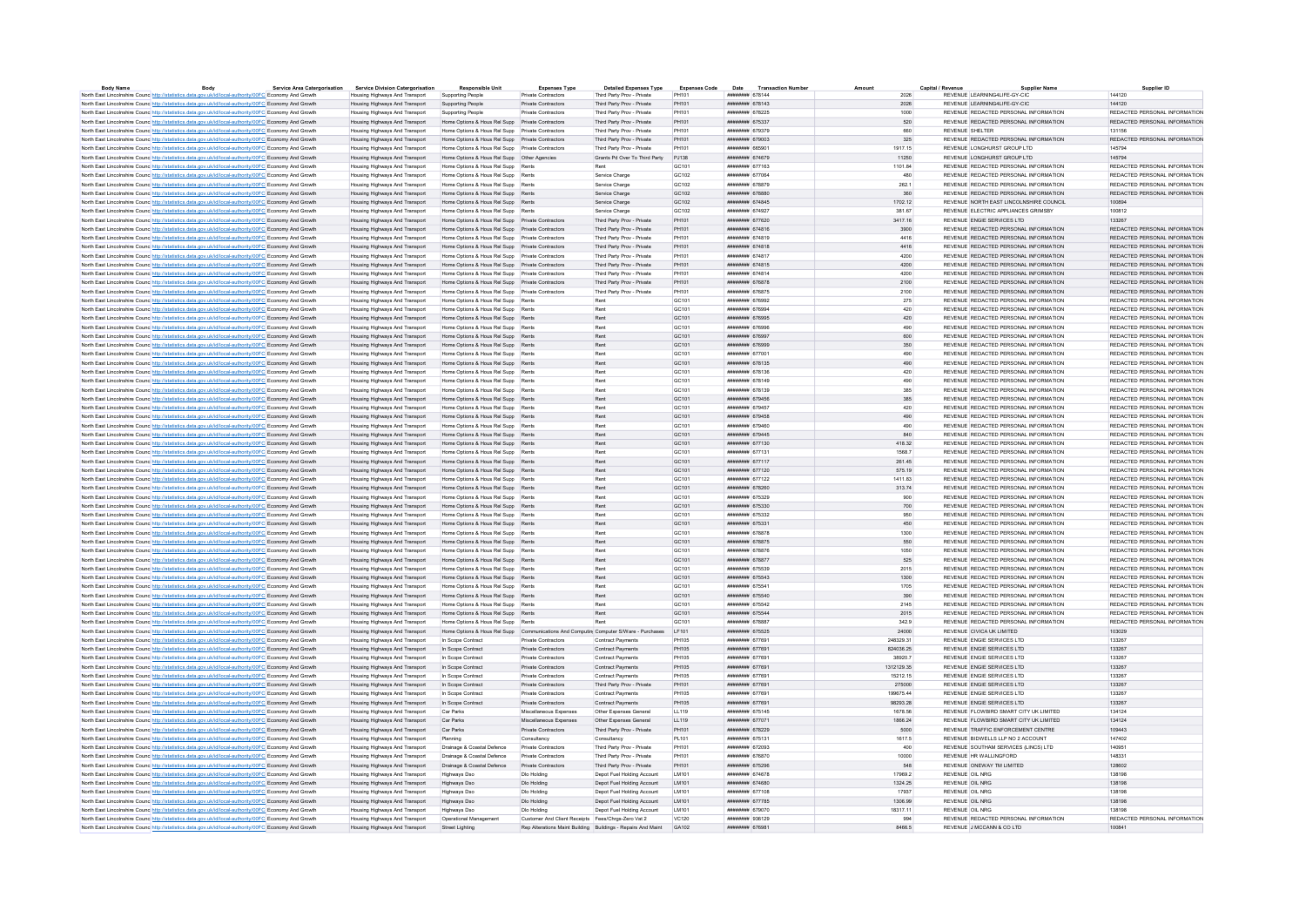| <b>Body Name</b>                                                                                                  | Body | <b>Service Area Catergorisation</b> | <b>Service Division Catergorisation</b> | <b>Responsible Unit</b>                                                                    | <b>Expenses Type</b>                                         | <b>Detailed Expenses Type</b> | <b>Expenses Code</b> | Date<br><b>Transaction Numbe</b>     |            | Capital / Revenu | <b>Supplier Name</b>                    | Supplier ID                   |
|-------------------------------------------------------------------------------------------------------------------|------|-------------------------------------|-----------------------------------------|--------------------------------------------------------------------------------------------|--------------------------------------------------------------|-------------------------------|----------------------|--------------------------------------|------------|------------------|-----------------------------------------|-------------------------------|
| North East Lincolnshire Counc http://statistics.data.gov.uk/id/local-authority/00FC Economy And Growth            |      |                                     | Housing Highways And Transport          | Supporting People                                                                          | Private Contractors                                          | Third Party Prov - Private    | PH101                | ######## 678144                      | 2026       |                  | REVENUE I FARNING4LIFF-GY-CIC           | 144120                        |
| North East Lincolnshire Counc http://statistics.data.gov.uk/id/local-authority/00FC Economy And Growth            |      |                                     | Housing Highways And Transport          | Supporting People                                                                          | Private Contractors                                          | Third Party Prov - Private    | PH101                | ######## 678143                      | 2026       |                  | REVENUE LEARNING4LIFE-GY-CIC            | 144120                        |
| North East Lincolnshire Counc http://statistics.data.gov.uk/id/local-authority/00FC Economy And Growth            |      |                                     | Housing Highways And Transport          | Supporting People                                                                          | <b>Private Contractors</b>                                   | Third Party Prov - Private    | <b>PH101</b>         | <b>НИНИНИН 678225</b>                | 1000       |                  | REVENUE REDACTED PERSONAL INFORMATION   | REDACTED PERSONAL INFORMATION |
| North East Lincolnshire Counc http://statistics.data.gov.uk/id/local-authority/00FC Economy And Growth            |      |                                     | Housing Highways And Transport          | Home Ontions & Hous Rel Supp Private Contractors                                           |                                                              | Third Party Prov - Private    | PH101                | ######## 675337                      | 520        |                  | REVENUE REDACTED PERSONAL INFORMATION   | REDACTED PERSONAL INFORMATION |
| North East Lincolnshire Counc http://statistics.data.gov.uk/id/local-authority/00FC Economy And Growth            |      |                                     | Housing Highways And Transport          | Home Options & Hous Rel Supp Private Contractors                                           |                                                              | Third Party Prov - Private    | PH101                | ######## 679379                      | 660        | REVENUE SHELTER  |                                         | 131156                        |
| North East Lincolnshire Counc. http://statistics.data.gov.uk/id/local-authority/00FC Economy And Growth           |      |                                     | Housing Highways And Transport          | Home Options & Hous Rel Supp Private Contractors                                           |                                                              | Third Party Prov - Private    | PH101                | ######## 679003                      | 325        |                  | REVENUE REDACTED PERSONAL INFORMATION   | REDACTED PERSONAL INFORMATION |
| North East Lincolnshire Counc http://statistics.data.gov.uk/id/local-authority/00FC Economy And Growth            |      |                                     | Housing Highways And Transport          | Home Options & Hous Rel Supp Private Contractors                                           |                                                              | Third Party Prov - Private    | PH101                | ######## 665901                      | 1917.15    |                  | REVENUE LONGHURST GROUP LTD             | 145794                        |
| North East Lincolnshire Counc http://statistics.data.gov.uk/id/local-authority/00FC Economy And Growth            |      |                                     | Housing Highways And Transport          | Home Options & Hous Rel Supp    Other Agencies                                             |                                                              | Grants Pd Over To Third Party | PJ138                | ######## 674679                      | 11250      |                  | REVENUE LONGHURST GROUP LTD             | 145794                        |
| North East Lincolnshire Counc http://statistics.data.gov.uk/id/local-authority/00FC Economy And Growth            |      |                                     | Housing Highways And Transport          | Home Options & Hous Rel Supp Rents                                                         |                                                              | Rent                          | GC101                | ######## 677163                      | 1101.84    |                  | REVENUE REDACTED PERSONAL INFORMATION   | REDACTED PERSONAL INFORMATION |
| North East Lincolnshire Counc http://statistics.data.gov.uk/id/local-authority/00FC Economy And Growth            |      |                                     | Housing Highways And Transport          | Home Options & Hous Rel Supp Rents                                                         |                                                              | Service Charge                | GC102                | ######## 677064                      | 480        |                  | REVENUE REDACTED PERSONAL INFORMATION   | REDACTED PERSONAL INFORMATION |
| North East Lincolnshire Counc http://statistics.data.gov.uk/id/local-authority/00FC Economy And Growth            |      |                                     | Housing Highways And Transport          | Home Options & Hous Rel Supp Rents                                                         |                                                              | Service Charge                | GC102                | ######## 678879                      | 262.1      |                  | REVENUE REDACTED PERSONAL INFORMATION   | REDACTED PERSONAL INFORMATION |
| North East Lincolnshire Counc http://statistics.data.gov.uk/id/local-authority/00FC Economy And Growth            |      |                                     | Housing Highways And Transport          | Home Options & Hous Rel Supp Rents                                                         |                                                              | Service Charge                | GC102                | ####### 678880                       | 360        |                  | REVENUE REDACTED PERSONAL INFORMATION   | REDACTED PERSONAL INFORMATION |
| North East Lincolnshire Counc http://statistics.data.gov.uk/id/local-authority/00FC Economy And Growth            |      |                                     | Housing Highways And Transport          | Home Ontions & Hous Rel Supp Rents                                                         |                                                              | Service Charge                | GC102                | нивнини 674845                       | 1702 12    |                  | REVENUE NORTH FAST LINCOLNSHIRE COUNCIL | 100894                        |
| North East Lincolnshire Counc http://statistics.data.gov.uk/id/local-authority/00FC Economy And Growth            |      |                                     | Housing Highways And Transport          | Home Options & Hous Rel Supp Rents                                                         |                                                              | Service Charge                | GC102                | ######## 674927                      | 381.67     |                  | REVENUE ELECTRIC APPLIANCES GRIMSBY     | 100812                        |
| North East Lincolnshire Counc http://statistics.data.gov.uk/id/local-authority/00FC Economy And Growth            |      |                                     | Housing Highways And Transport          | Home Options & Hous Rel Supp Private Contractors                                           |                                                              | Third Party Prov - Private    | PH101                | ######## 677620                      | 3417.16    |                  | REVENUE ENGIE SERVICES LTD              | 133267                        |
| North East Lincolnshire Counc http://statistics.data.gov.uk/id/local-authority/00FC Economy And Growth            |      |                                     | Housing Highways And Transport          | Home Options & Hous Rel Supp Private Contractors                                           |                                                              | Third Party Prov - Private    | PH101                | ######## 674816                      | 3900       |                  | REVENUE REDACTED PERSONAL INFORMATION   | REDACTED PERSONAL INFORMATION |
| North East Lincolnshire Counc http://statistics.data.gov.uk/id/local-authority/00FC Economy And Growth            |      |                                     | Housing Highways And Transport          | Home Options & Hous Rel Supp Private Contractors                                           |                                                              | Third Party Prov - Private    | PH101                | ######## 674819                      | 4416       |                  | REVENUE REDACTED PERSONAL INFORMATION   | REDACTED PERSONAL INFORMATION |
| North East Lincolnshire Counc http://statistics.data.gov.uk/id/local-authority/00FC Economy And Growth            |      |                                     | Housing Highways And Transport          | Home Ontions & Hous Rel Supp Private Contractors                                           |                                                              | Third Party Prov - Private    | PH101                | <b>ИНИНИНИ 674818</b>                | 4416       |                  | REVENUE REDACTED PERSONAL INFORMATION   | REDACTED PERSONAL INFORMATION |
| North East Lincolnshire Counc http://statistics.data.gov.uk/id/local-authority/00FC Economy And Growth            |      |                                     | Housing Highways And Transport          | Home Options & Hous Rel Supp Private Contractors                                           |                                                              | Third Party Prov - Private    | PH101                | ######## 674817                      | 4200       |                  | REVENUE REDACTED PERSONAL INFORMATION   | REDACTED PERSONAL INFORMATION |
| North East Lincolnshire Counc. http://statistics.data.gov.uk/id/local-authority/00FC Economy And Growth           |      |                                     | Housing Highways And Transport          | Home Options & Hous Rel Supp Private Contractors                                           |                                                              | Third Party Prov - Private    | PH101                | ######## 674815                      | 4200       |                  | REVENUE REDACTED PERSONAL INFORMATION   | REDACTED PERSONAL INFORMATION |
| North East Lincolnshire Counc http://statistics.data.gov.uk/id/local-authority/00FC Economy And Growth            |      |                                     | Housing Highways And Transport          |                                                                                            |                                                              | Third Party Prov - Private    | PH101                | ######## 674814                      | 4200       |                  | REVENUE REDACTED PERSONAL INFORMATION   | REDACTED PERSONAL INFORMATION |
| North East Lincolnshire Counc http://statistics.data.gov.uk/id/local-authority/00FC Economy And Growth            |      |                                     | Housing Highways And Transport          | Home Options & Hous Rel Supp Private Contractors                                           |                                                              | Third Party Prov - Private    | PH101                | ######## 676878                      | 2100       |                  | REVENUE REDACTED PERSONAL INFORMATION   | REDACTED PERSONAL INFORMATION |
| North East Lincolnshire Counc http://statistics.data.gov.uk/id/local-authority/00FC Economy And Growth            |      |                                     | Housing Highways And Transport          | Home Options & Hous Rel Supp Private Contractors                                           |                                                              | Third Party Prov - Private    | PH101                | ######## 676875                      | 2100       |                  | REVENUE REDACTED PERSONAL INFORMATION   | REDACTED PERSONAL INFORMATION |
|                                                                                                                   |      |                                     | Housing Highways And Transport          | Home Options & Hous Rel Supp Rents                                                         |                                                              | Rent                          | GC101                | ######## 676992                      | 275        |                  | REVENUE REDACTED PERSONAL INFORMATION   | REDACTED PERSONAL INFORMATION |
| North East Lincolnshire Counc http://statistics.data.gov.uk/id/local-authority/00FC Economy And Growth            |      |                                     |                                         | Home Options & Hous Rel Supp Rents                                                         |                                                              | Rent                          | GC101                | ######## 676994                      | 420        |                  | REVENUE REDACTED PERSONAL INFORMATION   | REDACTED PERSONAL INFORMATION |
| North East Lincolnshire Counc. http://statistics.data.gov.uk/id/local-authority/00FC Economy And Growth           |      |                                     | Housing Highways And Transport          | Home Options & Hous Rel Supp Rents                                                         |                                                              | Rent                          | GC101                | ######## 676995                      | 420        |                  | REVENUE REDACTED PERSONAL INFORMATION   | REDACTED PERSONAL INFORMATION |
| North East Lincolnshire Counc <sup>http://statistics.data.gov.uk/id/local-authority/00FC Economy And Growth</sup> |      |                                     | Housing Highways And Transport          |                                                                                            |                                                              |                               |                      |                                      |            |                  |                                         |                               |
| North East Lincolnshire Counc http://statistics.data.gov.uk/id/local-authority/00FC Economy And Growth            |      |                                     | Housing Highways And Transport          | Home Ontions & Hous Rel Supp Rents                                                         |                                                              | Rent                          | GC <sub>101</sub>    | ######## 676996                      | 490        |                  | REVENUE REDACTED PERSONAL INFORMATION   | REDACTED PERSONAL INFORMATION |
| North East Lincolnshire Counc http://statistics.data.gov.uk/id/local-authority/00FC Economy And Growth            |      |                                     | Housing Highways And Transport          | Home Options & Hous Rel Supp Rents                                                         |                                                              | Rent                          | GC101                | ######## 676997                      | 600        |                  | REVENUE REDACTED PERSONAL INFORMATION   | REDACTED PERSONAL INFORMATION |
| North East Lincolnshire Counc http://statistics.data.gov.uk/id/local-authority/00FC Economy And Growth            |      |                                     | Housing Highways And Transport          | Home Options & Hous Rel Supp Rents                                                         |                                                              | Rent                          | GC101                | ######## 676999                      | 350        |                  | REVENUE REDACTED PERSONAL INFORMATION   | REDACTED PERSONAL INFORMATION |
| North East Lincolnshire Counc http://statistics.data.gov.uk/id/local-authority/00FC Economy And Growth            |      |                                     | Housing Highways And Transport          | Home Options & Hous Rel Supp Rents                                                         |                                                              | Rent                          | GC <sub>101</sub>    | ######## 677001                      | 490        |                  | REVENUE REDACTED PERSONAL INFORMATION   | REDACTED PERSONAL INFORMATION |
| North East Lincolnshire Counc http://statistics.data.gov.uk/id/local-authority/00FC Economy And Growth            |      |                                     | Housing Highways And Transport          | Home Options & Hous Rel Supp Rents                                                         |                                                              | Rent                          | GC101                | ######## 678135                      | 490        |                  | REVENUE REDACTED PERSONAL INFORMATION   | REDACTED PERSONAL INFORMATION |
| North East Lincolnshire Counc http://statistics.data.gov.uk/id/local-authority/00FC Economy And Growth            |      |                                     | Housing Highways And Transport          | Home Ontions & Hous Rel Supp Rents                                                         |                                                              | Rent                          | GC <sub>101</sub>    | ######## 678136                      | 420        |                  | REVENUE REDACTED PERSONAL INFORMATION   | REDACTED PERSONAL INFORMATION |
| North East Lincolnshire Counc http://statistics.data.gov.uk/id/local-authority/00FC Economy And Growth            |      |                                     | Housing Highways And Transport          | Home Options & Hous Rel Supp Rents                                                         |                                                              | Ren                           | GC101                | ######## 678149                      | 490        |                  | REVENUE REDACTED PERSONAL INFORMATION   | REDACTED PERSONAL INFORMATION |
| North East Lincolnshire Counc http://statistics.data.gov.uk/id/local-authority/00FC Economy And Growth            |      |                                     | Housing Highways And Transport          | Home Options & Hous Rel Supp Rents                                                         |                                                              | Pent                          | GC101                | ######## 678139                      | 385        |                  | REVENUE REDACTED PERSONAL INFORMATION   | REDACTED PERSONAL INFORMATION |
| North East Lincolnshire Counc http://statistics.data.gov.uk/id/local-authority/00FC Economy And Growth            |      |                                     | Housing Highways And Transport          | Home Options & Hous Rel Supp Rents                                                         |                                                              | Rent                          | GC101                | ######## 679456                      | 385        |                  | REVENUE REDACTED PERSONAL INFORMATION   | REDACTED PERSONAL INFORMATION |
| North East Lincolnshire Counc. http://statistics.data.gov.uk/id/local-authority/00FC Economy And Growth           |      |                                     | <b>Housing Highways And Transport</b>   | Home Options & Hous Rel Supp Rents                                                         |                                                              | Ren                           | GC101                | ######## 679457                      | 420        |                  | REVENUE REDACTED PERSONAL INFORMATION   | REDACTED PERSONAL INFORMATION |
| North East Lincolnshire Counc http://statistics.data.gov.uk/id/local-authority/00FC Economy And Growth            |      |                                     | Housing Highways And Transport          | Home Options & Hous Rel Supp Rents                                                         |                                                              | Rent                          | GC101                | ######## 679458                      | 490        |                  | REVENUE REDACTED PERSONAL INFORMATION   | REDACTED PERSONAL INFORMATION |
| North East Lincolnshire Counc http://statistics.data.gov.uk/id/local-authority/00FC Economy And Growth            |      |                                     | Housing Highways And Transport          | Home Options & Hous Rel Supp Rents                                                         |                                                              | Rent                          | GC101                | ######## 679460                      | 490        |                  | REVENUE REDACTED PERSONAL INFORMATION   | REDACTED PERSONAL INFORMATION |
| North East Lincolnshire Counc http://statistics.data.gov.uk/id/local-authority/00FC Economy And Growth            |      |                                     | Housing Highways And Transport          | Home Options & Hous Rel Supp Rents                                                         |                                                              | Rent                          | GC <sub>101</sub>    | нивнини 679445                       | 840        |                  | REVENUE REDACTED PERSONAL INFORMATION   | REDACTED PERSONAL INFORMATION |
| North East Lincolnshire Counc http://statistics.data.gov.uk/id/local-authority/00FC Economy And Growth            |      |                                     | Housing Highways And Transport          | Home Options & Hous Rel Supp Rents                                                         |                                                              | Rent                          | GC101                | ####### 677130                       | 418.32     |                  | REVENUE REDACTED PERSONAL INFORMATION   | REDACTED PERSONAL INFORMATION |
| North East Lincolnshire Counc <sup>htto://statistics.data.gov.uk/id/local-authority/00FC Economy And Growth</sup> |      |                                     | Housing Highways And Transport          | Home Ontions & Hous Rel Supp Rents                                                         |                                                              | Rent                          | GC <sub>101</sub>    | ######## 677131                      | 1568.7     |                  | REVENUE REDACTED PERSONAL INFORMATION   | REDACTED PERSONAL INFORMATION |
|                                                                                                                   |      |                                     | Housing Highways And Transport          | Home Options & Hous Rel Supp Rents                                                         |                                                              | Rent                          | GC101                | ######## 677117                      | 261.45     |                  | REVENUE REDACTED PERSONAL INFORMATION   | REDACTED PERSONAL INFORMATION |
| North East Lincolnshire Counc http://statistics.data.gov.uk/id/local-authority/00FC Economy And Growth            |      |                                     |                                         |                                                                                            |                                                              |                               |                      |                                      |            |                  | REVENUE REDACTED PERSONAL INFORMATION   | REDACTED PERSONAL INFORMATION |
| North East Lincolnshire Counc http://statistics.data.gov.uk/id/local-authority/00FC Economy And Growth            |      |                                     | Housing Highways And Transport          | Home Options & Hous Rel Supp Rents                                                         |                                                              | Rent                          | GC101                | ######## 677120                      | 575.19     |                  |                                         | REDACTED PERSONAL INFORMATION |
| North East Lincolnshire Counc http://statistics.data.gov.uk/id/local-authority/00FC Economy And Growth            |      |                                     | Housing Highways And Transport          | Home Options & Hous Rel Supp Rents                                                         |                                                              | Rent                          | GC101                | ####### 677122                       | 1411.83    |                  | REVENUE REDACTED PERSONAL INFORMATION   |                               |
| North East Lincolnshire Counc <sup>htto://statistics.data.gov.uk/id/local-authority/00FC Economy And Growth</sup> |      |                                     | Housing Highways And Transport          | Home Options & Hous Rel Supp Rents                                                         |                                                              | Rent                          | GC101                | ######## 678260                      | 313.74     |                  | REVENUE REDACTED PERSONAL INFORMATION   | REDACTED PERSONAL INFORMATION |
| North East Lincolnshire Counc http://statistics.data.gov.uk/id/local-authority/00FC Economy And Growth            |      |                                     | Housing Highways And Transport          | Home Ontions & Hous Rel Supp Rents                                                         |                                                              | Rent                          | GC <sub>101</sub>    | ######## 675329                      | 900        |                  | REVENUE REDACTED PERSONAL INFORMATION   | REDACTED PERSONAL INFORMATION |
| North East Lincolnshire Counc. http://statistics.data.gov.uk/id/local-authority/00FC Economy And Growth           |      |                                     | Housing Highways And Transport          | Home Options & Hous Rel Supp Rents                                                         |                                                              | Rent                          | GC101                | ####### 675330                       | 700        |                  | REVENUE REDACTED PERSONAL INFORMATION   | REDACTED PERSONAL INFORMATION |
| North East Lincolnshire Counc http://statistics.data.gov.uk/id/local-authority/00FC Economy And Growth            |      |                                     | Housing Highways And Transport          | Home Options & Hous Rel Supp Rents                                                         |                                                              | <b>Pant</b>                   | GC101                | ######## 675332                      | 950        |                  | REVENUE REDACTED PERSONAL INFORMATION   | REDACTED PERSONAL INFORMATION |
| North East Lincolnshire Counc http://statistics.data.gov.uk/id/local-authority/00FC Economy And Growth            |      |                                     | Housing Highways And Transport          | Home Options & Hous Rel Supp Rents                                                         |                                                              | Rent                          | GC101                | ######## 675331                      | 450        |                  | REVENUE REDACTED PERSONAL INFORMATION   | REDACTED PERSONAL INFORMATION |
| North East Lincolnshire Counce http://statistics.data.gov.uk/id/local-authority/00FC Economy And Growth           |      |                                     | <b>Housing Highways And Transport</b>   | Home Options & Hous Rel Supp Rents                                                         |                                                              | Ren                           | GC101                | ######## 678878                      | 1300       |                  | REVENUE REDACTED PERSONAL INFORMATION   | REDACTED PERSONAL INFORMATION |
| North East Lincolnshire Counc http://statistics.data.gov.uk/id/local-authority/00FC Economy And Growth            |      |                                     | Housing Highways And Transport          | Home Options & Hous Rel Supp Rents                                                         |                                                              | Rent                          | GC101                | ######## 678875                      | 550        |                  | REVENUE REDACTED PERSONAL INFORMATION   | REDACTED PERSONAL INFORMATION |
| North East Lincolnshire Counc http://statistics.data.gov.uk/id/local-authority/00FC Economy And Growth            |      |                                     | Housing Highways And Transport          | Home Options & Hous Rel Supp Rents                                                         |                                                              | Rent                          | GC101                | ######## 678876                      | 1050       |                  | REVENUE REDACTED PERSONAL INFORMATION   | REDACTED PERSONAL INFORMATION |
| North East Lincolnshire Counc http://statistics.data.gov.uk/id/local-authority/00FC Economy And Growth            |      |                                     | Housing Highways And Transport          | Home Options & Hous Rel Supp Rents                                                         |                                                              | Rent                          | GC <sub>101</sub>    | ######## 678877                      | 525        |                  | REVENUE REDACTED PERSONAL INFORMATION   | REDACTED PERSONAL INFORMATION |
| North East Lincolnshire Counc http://statistics.data.gov.uk/id/local-authority/00FC Economy And Growth            |      |                                     | Housing Highways And Transport          | Home Options & Hous Rel Supp Rents                                                         |                                                              |                               | GC101                | ####### 675539                       | 2015       |                  | REVENUE REDACTED PERSONAL INFORMATION   | REDACTED PERSONAL INFORMATION |
| North East Lincolnshire Counc http://statistics.data.gov.uk/id/local-authority/00FC Economy And Growth            |      |                                     | Housing Highways And Transport          | Home Ontions & Hous Rel Supp Rents                                                         |                                                              | Rent                          | GC101                | ######## 675543                      | 1300       |                  | REVENUE REDACTED PERSONAL INFORMATION   | REDACTED PERSONAL INFORMATION |
| North East Lincolnshire Counc http://statistics.data.gov.uk/id/local-authority/00FC Economy And Growth            |      |                                     | Housing Highways And Transport          | Home Options & Hous Rel Supp Rents                                                         |                                                              | Rent                          | GC101                | ######## 675541                      | 1705       |                  | REVENUE REDACTED PERSONAL INFORMATION   | REDACTED PERSONAL INFORMATION |
| North East Lincolnshire Counc http://statistics.data.gov.uk/id/local-authority/00FC Economy And Growth            |      |                                     | Housing Highways And Transport          | Home Options & Hous Rel Supp Rents                                                         |                                                              | Rent                          | GC101                | ######## 675540                      | 390        |                  | REVENUE REDACTED PERSONAL INFORMATION   | REDACTED PERSONAL INFORMATION |
| North East Lincolnshire Counc http://statistics.data.gov.uk/id/local-authority/00FC Economy And Growth            |      |                                     | Housing Highways And Transport          | Home Options & Hous Rel Supp Rents                                                         |                                                              | Pent                          | GC <sub>101</sub>    | ининнин 675542                       | 2145       |                  | REVENUE REDACTED PERSONAL INFORMATION   | REDACTED PERSONAL INFORMATION |
| North East Lincolnshire Counc http://statistics.data.gov.uk/id/local-authority/00FC Economy And Growth            |      |                                     | Housing Highways And Transport          | Home Options & Hous Rel Supp Rents                                                         |                                                              | Rent                          | GC101                | ######## 675544                      | 2015       |                  | REVENUE REDACTED PERSONAL INFORMATION   | REDACTED PERSONAL INFORMATION |
| North East Lincolnshire Counc http://statistics.data.gov.uk/id/local-authority/00FC Economy And Growth            |      |                                     | Housing Highways And Transport          | Home Ontions & Hous Rel Supp Rents                                                         |                                                              | Pent                          | GC <sub>101</sub>    | иннинин 678887                       | 342.9      |                  | REVENUE REDACTED PERSONAL INFORMATION   | REDACTED PERSONAL INFORMATION |
| North East Lincolnshire Counc. http://statistics.data.gov.uk/id/local-authority/00FC Economy And Growth           |      |                                     | Housing Highways And Transport          | Home Options & Hous Rel Supp Communications And Computin Computer S/Ware - Purchases LF101 |                                                              |                               |                      | ####### 675525                       | 24000      |                  | REVENUE CIVICA UK LIMITED               | 103029                        |
| North East Lincolnshire Counc http://statistics.data.gov.uk/id/local-authority/00FC Economy And Growth            |      |                                     | Housing Highways And Transport          | In Scope Contract                                                                          | Private Contractors                                          | Contract Payments             | PH105                | ######## 677691                      | 248329.31  |                  | REVENUE ENGIE SERVICES LTD              | 133267                        |
| North East Lincolnshire Counc http://statistics.data.gov.uk/id/local-authority/00FC Economy And Growth            |      |                                     | Housing Highways And Transport          | In Scope Contract                                                                          | Private Contractors                                          | Contract Payments             | PH105                | ######## 677691                      | 824036.25  |                  | REVENUE ENGIE SERVICES LTD              | 133267                        |
| North East Lincolnshire Counc http://statistics.data.gov.uk/id/local-authority/00FC Economy And Growth            |      |                                     | Housing Highways And Transport          | In Scope Contract                                                                          | Private Contractors                                          | Contract Payments             | PH105                | ######## 677691                      | 38920.7    |                  | REVENUE ENGIE SERVICES LTD              | 133267                        |
| North East Lincolnshire Counc http://statistics.data.gov.uk/id/local-authority/00FC Economy And Growth            |      |                                     | Housing Highways And Transport          | In Scope Contract                                                                          | Private Contractors                                          | Contract Payments             | PH105                | ######## 677691                      | 1312129.35 |                  | REVENUE ENGIE SERVICES LTD              | 133267                        |
|                                                                                                                   |      |                                     | Housing Highways And Transport          | In Scope Contract                                                                          | Private Contractors                                          | Contract Payments             | PH105                | ######## 677691                      | 15212.15   |                  | REVENUE ENGIE SERVICES LTD              | 133267                        |
| North East Lincolnshire Counc http://statistics.data.gov.uk/id/local-authority/00FC Economy And Growth            |      |                                     |                                         |                                                                                            | Private Contractors                                          |                               | PH101                | ######## 677691                      | 275000     |                  |                                         | 133267                        |
| North East Lincolnshire Counc http://statistics.data.gov.uk/id/local-authority/00FC Economy And Growth            |      |                                     | Housing Highways And Transport          | In Scope Contract                                                                          |                                                              | Third Party Prov - Private    |                      |                                      |            |                  | REVENUE ENGIE SERVICES LTD              |                               |
| North East Lincolnshire Counc http://statistics.data.gov.uk/id/local-authority/00FC Economy And Growth            |      |                                     | Housing Highways And Transport          | In Scope Contract                                                                          | Private Contractors                                          | <b>Contract Payments</b>      | <b>PH105</b>         | ####### 67769                        | 199675.44  |                  | REVENUE ENGIE SERVICES LTD              | 133267                        |
| North East Lincolnshire Counc http://statistics.data.gov.uk/id/local-authority/00FC Economy And Growth            |      |                                     | Housing Highways And Transport          | In Scope Contract                                                                          | Private Contractors                                          | Contract Payments             | PH105                | <b><i><u>########</u></i></b> 677691 | 98293.28   |                  | REVENUE ENGIE SERVICES LTD              | 133267                        |
| North East Lincolnshire Councintto://statistics.data.gov.uk/id/local-authority/00FC Economy And Growth            |      |                                     | Housing Highways And Transport          | Car Parks                                                                                  | Miscellaneous Expenses                                       | Other Expenses General        | LL119                | ####### 675145                       | 1678.56    |                  | REVENUE FLOWBIRD SMART CITY UK LIMITED  | 134124                        |
| North East Lincolnshire Counc http://statistics.data.gov.uk/id/local-authority/00FC Economy And Growth            |      |                                     | Housing Highways And Transport          | Car Parks                                                                                  | Miscellaneous Expenses                                       | Other Expenses General        | LL119                | ######## 677071                      | 1866.24    |                  | REVENUE FLOWBIRD SMART CITY UK LIMITED  | 134124                        |
| North East Lincolnshire Counc http://statistics.data.gov.uk/id/local-authority/00FC Economy And Growth            |      |                                     | Housing Highways And Transport          | Car Parks                                                                                  | Private Contractors                                          | Third Party Prov - Private    | PH101                | ининнин 678229                       | 5000       |                  | REVENUE TRAFFIC ENFORCEMENT CENTRE      | 109443                        |
| North East Lincolnshire Counc <sup>htto://statistics.data.gov.uk/id/local-authority/00FC Economy And Growth</sup> |      |                                     | Housing Highways And Transport          | Planning                                                                                   | Consultancy                                                  | Consultancy                   | PL101                | ######## 675131                      | 1617.5     |                  | REVENUE BIDWELLS LLP NO 2 ACCOUNT       | 147402                        |
| North East Lincolnshire Counc http://statistics.data.gov.uk/id/local-authority/00FC Economy And Growth            |      |                                     | Housing Highways And Transport          | Drainage & Coastal Defence                                                                 | Private Contractors                                          | Third Party Prov - Private    | PH101                | ######## 672093                      | 400        |                  | REVENUE SOUTHAM SERVICES (LINCS) LTD    | 140951                        |
| North East Lincolnshire Counc http://statistics.data.gov.uk/id/local-authority/00FC Economy And Growth            |      |                                     | Housing Highways And Transport          | Drainage & Coastal Defence                                                                 | Private Contractors                                          | Third Party Prov - Private    | PH101                | ####### 676870                       | 10000      |                  | REVENUE HR WALLINGFORD                  | 148331                        |
| North East Lincolnshire Counc http://statistics.data.gov.uk/id/local-authority/00FC Economy And Growth            |      |                                     | Housing Highways And Transport          | Drainage & Coastal Defence                                                                 | Private Contractors                                          | Third Party Prov - Private    | PH101                | ######## 675296                      | 548        |                  | REVENUE ONEWAY TM LIMITED               | 128602                        |
| North East Lincolnshire Counc. http://statistics.data.gov.uk/id/local-authority/00FC Economy And Growth           |      |                                     | Housing Highways And Transport          | Highways Dso                                                                               | Dio Holding                                                  | Depot Fuel Holding Account    | LM101                | ######## 674678                      | 17969.2    | REVENUE OIL NRG  |                                         | 138198                        |
| North East Lincolnshire Counc http://statistics.data.gov.uk/id/local-authority/00FC Economy And Growth            |      |                                     | Housing Highways And Transport          | Highways Dso                                                                               | Dlo Holding                                                  | Depot Fuel Holding Account    | LM101                | ######## 674680                      | 1324.25    | REVENUE OIL NRG  |                                         | 138198                        |
| North East Lincolnshire Counc http://statistics.data.gov.uk/id/local-authority/00FC Economy And Growth            |      |                                     | Housing Highways And Transport          | Highways Dso                                                                               | Dlo Holding                                                  | Depot Fuel Holding Account    | LM101                | ######## 677108                      | 17937      | REVENUE OIL NRG  |                                         | 138198                        |
| North East Lincolnshire Counc. http://statistics.data.gov.uk/id/local-authority/00FC Economy And Growth           |      |                                     | Housing Highways And Transport          | <b>Highways Dso</b>                                                                        | Dlo Holding                                                  | Depot Fuel Holding Account    | LM101                | ######## 677785                      | 1306.99    | REVENUE OIL NRG  |                                         | 138198                        |
| North East Lincolnshire Counc http://statistics.data.gov.uk/id/local-authority/00FC Economy And Growth            |      |                                     | Housing Highways And Transport          | Highways Dso                                                                               | Dlo Holding                                                  | Depot Fuel Holding Account    | <b>IM101</b>         | ######## 679070                      | 18317 11   | REVENUE OIL NRG  |                                         | 138198                        |
| North East Lincolnshire Counc http://statistics.data.gov.uk/id/local-authority/00FC Economy And Growth            |      |                                     | Housing Highways And Transport          | Operational Management                                                                     | Customer And Client Receipts Fees/Chros-Zero Vat 2           |                               | <b>VC120</b>         | ####### 936129                       | 994        |                  | REVENUE REDACTED PERSONAL INFORMATION   | REDACTED PERSONAL INFORMATION |
| North East Lincolnshire Counce http://statistics.data.gov.uk/id/local-authority/00FC Economy And Growth           |      |                                     | Housing Highways And Transport          | <b>Street Lighting</b>                                                                     | Rep Alterations Maint Building Buildings - Repairs And Maint |                               | GA102                | ######## 676981                      | 8466.5     |                  | REVENUE J MCCANN & CO LTD               | 100841                        |
|                                                                                                                   |      |                                     |                                         |                                                                                            |                                                              |                               |                      |                                      |            |                  |                                         |                               |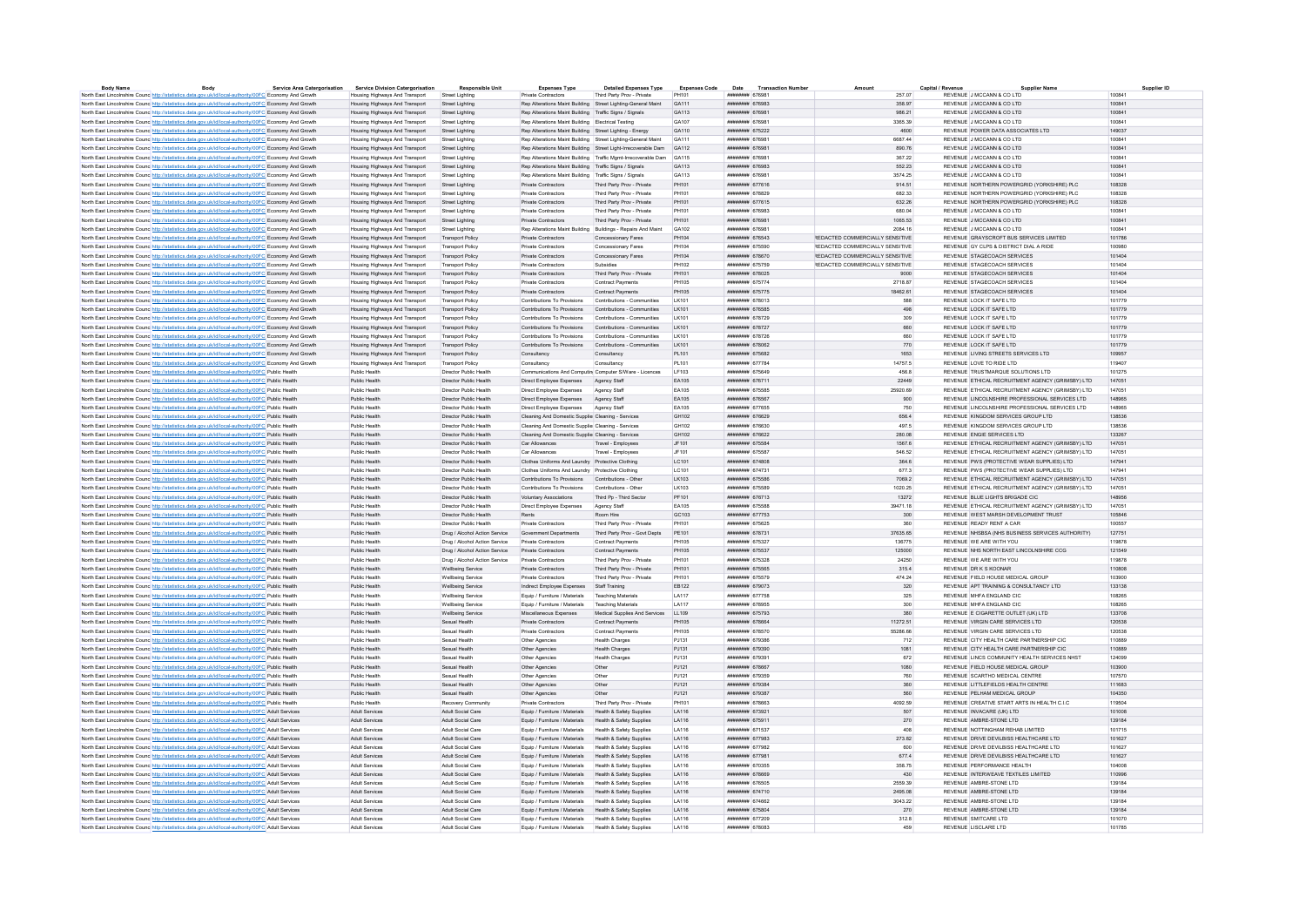| <b>Body Name</b>                                                                                                  | Body | <b>Service Area Catergorisation</b> | <b>Service Division Catergorisation</b> | <b>Responsible Unit</b>       | <b>Expenses Type</b>                                         | <b>Detailed Expenses Type</b>                                 | <b>Expenses Code</b> | Date                                 | <b>Transaction Numbe</b> | Amount                          | Capital / Revenu |                              |                                                   | Supplier ID |
|-------------------------------------------------------------------------------------------------------------------|------|-------------------------------------|-----------------------------------------|-------------------------------|--------------------------------------------------------------|---------------------------------------------------------------|----------------------|--------------------------------------|--------------------------|---------------------------------|------------------|------------------------------|---------------------------------------------------|-------------|
| North East Lincolnshire Counc http://statistics.data.gov.uk/id/local-authority/00FC Economy And Growth            |      |                                     | Housing Highways And Transport          | Street Lighting               | Private Contractor                                           | Third Party Prov - Private                                    | PH101                | ######## 676981                      |                          |                                 | 257.07           | REVENUE J MCCANN & CO LTD    |                                                   | 100841      |
| North East Lincolnshire Counc http://statistics.data.gov.uk/id/local-authority/00FC Economy And Growth            |      |                                     | Housing Highways And Transport          | Street Lighting               | Rep Alterations Maint Building Street Lighting-General Maint |                                                               | GA111                | ######## 676983                      |                          |                                 | 358.97           | REVENUE J MCCANN & CO LTD    |                                                   | 100841      |
| North East Lincolnshire Counc http://statistics.data.gov.uk/id/local-authority/00FC Economy And Growth            |      |                                     | Housing Highways And Transport          | Street Lighting               | Rep Alterations Maint Building Traffic Signs / Signals       |                                                               | GA113                | <b><i>HNHHHHHH G7GOR1</i></b>        |                          |                                 | 986.21           | REVENUE J MCCANN & CO LTD    |                                                   | 100841      |
| North East Lincolnshire Counc http://statistics.data.gov.uk/id/local-authority/00FC Economy And Growth            |      |                                     | Housing Highways And Transport          | Street Lighting               | Ren Alterations Maint Building Flectrical Testing            |                                                               | GA107                | ######## 676981                      |                          |                                 | 3365.39          | REVENUE JIMCCANN & CO LTD    |                                                   | 100841      |
| North East Lincolnshire Counc http://statistics.data.gov.uk/id/local-authority/00FC Economy And Growth            |      |                                     | Housing Highways And Transport          | <b>Street Lighting</b>        | Rep Alterations Maint Building Street Lighting - Energy      |                                                               | GA110                | ######## 675222                      |                          |                                 | 4600             |                              | REVENUE POWER DATA ASSOCIATES LTD                 | 149037      |
| North East Lincolnshire Counc. http://statistics.data.gov.uk/id/local-authority/00FC Economy And Growth           |      |                                     | Housing Highways And Transport          | Street Lighting               | Rep Alterations Maint Building Street Lighting-General Maint |                                                               | GA111                | ######## 676981                      |                          |                                 | 6687.44          | REVENUE J MCCANN & CO LTD    |                                                   | 100841      |
| North East Lincolnshire Counc http://statistics.data.gov.uk/id/local-authority/00FC Economy And Growth            |      |                                     | Housing Highways And Transport          | <b>Street Lighting</b>        |                                                              | Rep Alterations Maint Building Street Light-Irrecoverable Dam | GA112                | ####### 676981                       |                          |                                 | 890.76           | REVENUE J MCCANN & CO LTD    |                                                   | 100841      |
| North East Lincolnshire Counc http://statistics.data.gov.uk/id/local-authority/00FC Economy And Growth            |      |                                     | Housing Highways And Transport          | Street Lightin                |                                                              | Rep Alterations Maint Building Traffic Mgmt-Irrecoverable Dam | GA115                | ######## 676981                      |                          |                                 | 367.22           | REVENUE J MCCANN & CO LTD    |                                                   | 100841      |
| North East Lincolnshire Counc http://statistics.data.gov.uk/id/local-authority/00FC Economy And Growth            |      |                                     | Housing Highways And Transport          | Street Lighting               | Rep Alterations Maint Building Traffic Signs / Signals       |                                                               | GA113                | ######## 676983                      |                          |                                 | 552.23           | REVENUE J MCCANN & CO LTD    |                                                   | 100841      |
| North East Lincolnshire Counc http://statistics.data.gov.uk/id/local-authority/00FC Economy And Growth            |      |                                     | Housing Highways And Transport          | Street Lighting               | Rep Alterations Maint Building Traffic Signs / Signals       |                                                               | GA113                | ####### 676981                       |                          |                                 | 3574.25          | REVENUE J MCCANN & CO LTD    |                                                   | 100841      |
| North East Lincolnshire Counc http://statistics.data.gov.uk/id/local-authority/00FC Economy And Growth            |      |                                     | Housing Highways And Transport          | Street Lighting               | Private Contractors                                          | Third Party Prov - Private                                    | PH101                | ####### 677616                       |                          |                                 | 914.51           |                              | REVENUE NORTHERN POWERGRID (YORKSHIRE) PLC        | 108328      |
| North East Lincolnshire Counc <sup>http://statistics.data.gov.uk/id/local-authority/00FC Economy And Growth</sup> |      |                                     | Housing Highways And Transport          | Street Lighting               | Private Contractors                                          | Third Party Prov - Private                                    | PH101                | ####### 678829                       |                          |                                 | 682.33           |                              | REVENUE NORTHERN POWERGRID (YORKSHIRE) PLC        | 108328      |
| North East Lincolnshire Counc http://statistics.data.gov.uk/id/local-authority/00FC Economy And Growth            |      |                                     | Housing Highways And Transport          | Street Lighting               | Private Contractors                                          | Third Party Prov - Private                                    | PH101                | <b><i><u>HHHHHHHH</u></i></b> 677615 |                          |                                 | 632.26           |                              | REVENUE NORTHERN POWERGRID (YORKSHIRE) PLC        | 108328      |
| North East Lincolnshire Counc http://statistics.data.gov.uk/id/local-authority/00FC Economy And Growth            |      |                                     | Housing Highways And Transport          |                               | Private Contractors                                          | Third Party Prov - Private                                    | PH101                | нивнини 676983                       |                          |                                 | 680.04           | REVENUE J MCCANN & CO LTD    |                                                   | 100841      |
|                                                                                                                   |      |                                     |                                         | Street Lighting               |                                                              |                                                               | PH101                |                                      |                          |                                 | 1065.53          | REVENUE J MCCANN & CO LTD    |                                                   | 100841      |
| North East Lincolnshire Counc http://statistics.data.gov.uk/id/local-authority/00FC Economy And Growth            |      |                                     | Housing Highways And Transport          | <b>Street Lighting</b>        | Private Contractors                                          | Third Party Prov - Private                                    |                      | ######## 676981                      |                          |                                 | 2084 16          | REVENUE J MCCANN & CO LTD    |                                                   | 100841      |
| North East Lincolnshire Counc http://statistics.data.gov.uk/id/local-authority/00FC Economy And Growth            |      |                                     | Housing Highways And Transport          | Street Lighting               | Rep Alterations Maint Building Buildings - Repairs And Maint |                                                               | GA102                | <b><i><u>HABBANA</u></i></b> 676981  |                          |                                 |                  |                              |                                                   |             |
| North East Lincolnshire Counc. http://statistics.data.gov.uk/id/local-authority/00FC Economy And Growth           |      |                                     | Housing Highways And Transport          | <b>Transport Policy</b>       | Private Contractors                                          | Concessionary Fares                                           | PH104                | ######## 676543                      |                          | REDACTED COMMERCIALLY SENSITIVE |                  |                              | REVENUE GRAYSCROFT BUS SERVICES LIMITED           | 101786      |
| North East Lincolnshire Counc http://statistics.data.gov.uk/id/local-authority/00FC Economy And Growth            |      |                                     | Housing Highways And Transport          | <b>Transport Policy</b>       | Private Contractors                                          | Concessionary Fares                                           | PH104                | ######## 675590                      |                          | REDACTED COMMERCIALLY SENSITIVE |                  |                              | REVENUE GY CLPS & DISTRICT DIAL A RIDE            | 100980      |
| North East Lincolnshire Counc http://statistics.data.gov.uk/id/local-authority/00FC Economy And Growth            |      |                                     | Housing Highways And Transport          | <b>Transport Policy</b>       | Private Contractors                                          | Concessionary Fares                                           | PH104                | ######## 678670                      |                          | REDACTED COMMERCIALLY SENSITIVE |                  | REVENUE STAGECOACH SERVICES  |                                                   | 101404      |
| North East Lincolnshire Counc. http://statistics.data.gov.uk/id/local-authority/00FC Economy And Growth           |      |                                     | Housing Highways And Transport          | <b>Transport Policy</b>       | <b>Private Contractors</b>                                   | Subsidies                                                     | PH102                | ####### 675759                       |                          | REDACTED COMMERCIALLY SENSITIVE |                  | REVENUE STAGECOACH SERVICES  |                                                   | 101404      |
| North East Lincolnshire Counc http://statistics.data.gov.uk/id/local-authority/00FC Economy And Growth            |      |                                     | Housing Highways And Transport          | <b>Transport Policy</b>       | Private Contractors                                          | Third Party Prov - Private                                    | PH101                | ####### 678025                       |                          |                                 | 9000             | REVENUE STAGECOACH SERVICES  |                                                   | 101404      |
| North East Lincolnshire Counc http://statistics.data.gov.uk/id/local-authority/00FC Economy And Growth            |      |                                     | Housing Highways And Transport          | <b>Transport Policy</b>       | Private Contractors                                          | Contract Payments                                             | <b>PH105</b>         | ######## 675774                      |                          |                                 | 2718.87          | REVENUE STAGECOACH SERVICES  |                                                   | 101404      |
| North East Lincolnshire Counc http://statistics.data.gov.uk/id/local-authority/00FC Economy And Growth            |      |                                     | Housing Highways And Transport          | <b>Transport Policy</b>       | Private Contractors                                          | Contract Payments                                             | PH105                | ####### 675775                       |                          |                                 | 18462.61         | REVENUE STAGECOACH SERVICES  |                                                   | 101404      |
| North East Lincolnshire Counc http://statistics.data.gov.uk/id/local-authority/00FC Economy And Growth            |      |                                     | Housing Highways And Transport          | <b>Transport Policy</b>       | Contributions To Provisions                                  | Contributions - Communities                                   | LK101                | ######## 678013                      |                          |                                 | 588              | REVENUE LOCK IT SAFE LTD     |                                                   | 101779      |
| North East Lincolnshire Counc http://statistics.data.gov.uk/id/local-authority/00FC Economy And Growth            |      |                                     | Housing Highways And Transport          | <b>Transport Policy</b>       | Contributions To Provisions                                  | Contributions - Communities                                   | I K101               | ######## 676585                      |                          |                                 | 498              | REVENUE LOCK IT SAFE LTD     |                                                   | 101779      |
| North East Lincolnshire Counc <sup>htto://statistics.data.gov.uk/id/local-authority/00FC Economy And Growth</sup> |      |                                     | Housing Highways And Transport          | <b>Transport Policy</b>       | Contributions To Provisions                                  | Contributions - Communities                                   | LK101                | ######## 678729                      |                          |                                 | 309              | REVENUE LOCK IT SAFE LTD     |                                                   | 101779      |
| North East Lincolnshire Counc http://statistics.data.gov.uk/id/local-authority/00FC Economy And Growth            |      |                                     | Housing Highways And Transport          | <b>Transport Policy</b>       | Contributions To Provisions Contributions - Communities      |                                                               | I K101               | нивнини 678727                       |                          |                                 | 660              | REVENUE LOCK IT SAFE LTD.    |                                                   | 101779      |
| North East Lincolnshire Counc http://statistics.data.gov.uk/id/local-authority/00FC Economy And Growth            |      |                                     | Housing Highways And Transport          | <b>Transport Policy</b>       | Contributions To Provisions                                  | Contributions - Communities                                   | LK101                | <b>инвинин</b> 678726                |                          |                                 | 660              | REVENUE LOCK IT SAFE LTD     |                                                   | 101779      |
| North East Lincolnshire Counc http://statistics.data.gov.uk/id/local-authority/00FC Economy And Growth            |      |                                     | Housing Highways And Transport          | <b>Transport Policy</b>       | Contributions To Provisions                                  | Contributions - Communities                                   | LK101                | ######## 678062                      |                          |                                 | 770              | REVENUE LOCK IT SAFE LTD     |                                                   | 101779      |
| North East Lincolnshire Counc http://statistics.data.gov.uk/id/local-authority/00FC Economy And Growth            |      |                                     | Housing Highways And Transport          | <b>Transport Policy</b>       | Consultancy                                                  | Consultancy                                                   | PL101                | ######## 675682                      |                          |                                 | 1653             |                              | REVENUE LIVING STREETS SERVICES LTD               | 109957      |
| North East Lincolnshire Counc. http://statistics.data.gov.uk/id/local-authority/00FC Economy And Growth           |      |                                     | Housing Highways And Transport          | <b>Transport Policy</b>       |                                                              | Consultancy                                                   | PL 101               | ######## 677784                      |                          |                                 | 14757.5          | REVENUE LOVE TO RIDE LTD     |                                                   | 119407      |
|                                                                                                                   |      |                                     |                                         |                               | Consultancy                                                  |                                                               |                      |                                      |                          |                                 |                  |                              |                                                   |             |
| North East Lincolnshire Counc http://statistics.data.gov.uk/id/local-authority/00FC Public Health                 |      |                                     | Public Health                           | Director Public Health        | Communications And Computini Computer S/Ware - Licences      |                                                               | LF103                | ######## 675649                      |                          |                                 | 456.8            |                              | REVENUE TRUSTMARQUE SOLUTIONS LTD                 | 101275      |
| North East Lincolnshire Counc http://statistics.data.gov.uk/id/local-authority/00FC Public Health                 |      |                                     | Public Health                           | Director Public Health        | Direct Employee Expenses                                     | Agency Staff                                                  | EA105                | ######## 676711                      |                          |                                 | 22449            |                              | REVENUE ETHICAL RECRUITMENT AGENCY (GRIMSBY) LTD  | 147051      |
| North East Lincolnshire Counc http://statistics.data.gov.uk/id/local-authority/00FC Public Health                 |      |                                     | Public Health                           | Director Public Health        | Direct Employee Expenses                                     | Agency Staff                                                  | <b>FA105</b>         | ####### 675585                       |                          |                                 | 25920.69         |                              | REVENUE FTHICAL RECRUITMENT AGENCY (GRIMSBY) I TD | 147051      |
| North East Lincolnshire Counc http://statistics.data.gov.uk/id/local-authority/00FC Public Health                 |      |                                     | Public Health                           | Director Public Health        | Direct Employee Expenses                                     | Agency Staff                                                  | EA105                | ####### 676567                       |                          |                                 | 900              |                              | REVENUE LINCOLNSHIRE PROFESSIONAL SERVICES LTD    | 148965      |
| North East Lincolnshire Counc http://statistics.data.gov.uk/id/local-authority/00FC Public Health                 |      |                                     | Public Health                           | Director Public Health        | <b>Direct Employee Expenses</b>                              | Agency Staff                                                  | EA105                | <b><i>HABBARA 677655</i></b>         |                          |                                 | 750              |                              | REVENUE LINCOLNSHIRE PROFESSIONAL SERVICES LTD    | 148965      |
| North East Lincolnshire Counc http://statistics.data.gov.uk/id/local-authority/00FC Public Health                 |      |                                     | Public Health                           | Director Public Health        | Cleaning And Domestic Supplier Cleaning - Services           |                                                               | GH102                | ######## 676629                      |                          |                                 | 656.4            |                              | REVENUE KINGDOM SERVICES GROUP LTD                | 138536      |
| North East Lincolnshire Counc http://statistics.data.gov.uk/id/local-authority/00FC Public Health                 |      |                                     | Public Health                           | Director Public Health        | Cleaning And Domestic Supplie: Cleaning - Services           |                                                               | GH102                | ######## 676630                      |                          |                                 | 497.5            |                              | REVENUE KINGDOM SERVICES GROUP LTD                | 138536      |
| North East Lincolnshire Council ttp://statistics.data.gov.uk/id/local-authority/00EC Public Health                |      |                                     | Public Health                           | Director Public Health        | Cleaning And Domestic Supplier Cleaning - Services           |                                                               | GH102                | <b>######## 676622</b>               |                          |                                 | 280.08           | REVENUE ENGIE SERVICES LTD   |                                                   | 133267      |
| North East Lincolnshire Counc http://statistics.data.gov.uk/id/local-authority/00FC Public Health                 |      |                                     | Public Health                           | Director Public Health        | Car Allowances                                               | Travel - Employees                                            | JF101                | ####### 675584                       |                          |                                 | 1567.6           |                              | REVENUE ETHICAL RECRUITMENT AGENCY (GRIMSBY) LTD  | 147051      |
| North East Lincolnshire Counc http://statistics.data.gov.uk/id/local-authority/00FC Public Health                 |      |                                     | Public Health                           | Director Public Health        | Car Allowances                                               | Travel - Employees                                            | JF101                | <b><i>HABBARA</i></b> 675587         |                          |                                 | 546.52           |                              | REVENUE ETHICAL RECRUITMENT AGENCY (GRIMSBY) LTD. | 147051      |
| North East Lincolnshire Counc http://statistics.data.gov.uk/id/local-authority/00FC Public Health                 |      |                                     | Public Health                           | Director Public Health        | Clothes Uniforms And Laundry Protective Clothing             |                                                               | LC101                | ####### 674808                       |                          |                                 | 364.6            |                              | REVENUE PWS (PROTECTIVE WEAR SUPPLIES) LTD        | 147941      |
| North East Lincolnshire Counc http://statistics.data.gov.uk/id/local-authority/00FC Public Health                 |      |                                     | Public Health                           | Director Public Health        | Clothes Uniforms And Laundry Protective Clothing             |                                                               | LC101                | ######## 674731                      |                          |                                 | 6773             |                              | REVENUE PWS (PROTECTIVE WEAR SUPPLIES) LTD.       | 147941      |
| North East Lincolnshire Counc http://statistics.data.gov.uk/id/local-authority/00FC Public Health                 |      |                                     | Public Health                           | Director Public Health        | Contributions To Provisions                                  | Contributions - Other                                         | LK103                | ####### 675586                       |                          |                                 | 7069.2           |                              | REVENUE ETHICAL RECRUITMENT AGENCY (GRIMSBY) LTD  | 147051      |
| North East Lincolnshire Counc http://statistics.data.gov.uk/id/local-authority/00FC Public Health                 |      |                                     | Public Health                           | Director Public Health        | Contributions To Provisions                                  | Contributions - Other                                         | LK103                | ######## 675589                      |                          |                                 | 1020.25          |                              | REVENUE ETHICAL RECRUITMENT AGENCY (GRIMSBY) LTD  | 147051      |
| North East Lincolnshire Counc http://statistics.data.gov.uk/id/local-authority/00FC Public Health                 |      |                                     | Public Health                           | Director Public Health        | Voluntary Associations                                       | Third Po - Third Sector                                       | PF101                | ######## 676713                      |                          |                                 | 13272            |                              | REVENUE BLUE LIGHTS BRIGADE CIC                   | 148956      |
| North East Lincolnshire Counce http://statistics.data.gov.uk/id/local-authority/00FC Public Health                |      |                                     | Public Health                           | Director Public Health        | Direct Employee Expenses                                     | Agency Staf                                                   | EA105                | ####### 675588                       |                          |                                 | 39471.18         |                              | REVENUE ETHICAL RECRUITMENT AGENCY (GRIMSBY) LTD  | 147051      |
|                                                                                                                   |      |                                     | Public Health                           | Director Public Health        |                                                              | Room Hire                                                     | GC:103               | <b><i>HHHHHHH 677753</i></b>         |                          |                                 | 300              |                              | REVENUE WEST MARSH DEVELOPMENT TRUST              | 105846      |
| North East Lincolnshire Counc http://statistics.data.gov.uk/id/local-authority/00FC Public Health                 |      |                                     | Public Health                           | Director Public Health        | Rents<br>Private Contractors                                 | Third Party Prov - Private                                    | PH101                | ######## 675625                      |                          |                                 | 360              | REVENUE READY RENT A CAR     |                                                   | 100557      |
| North East Lincolnshire Counc http://statistics.data.gov.uk/id/local-authority/00FC Public Health                 |      |                                     |                                         |                               |                                                              |                                                               |                      |                                      |                          |                                 |                  |                              |                                                   |             |
| North East Lincolnshire Counc http://statistics.data.gov.uk/id/local-authority/00FC Public Health                 |      |                                     | Public Health                           | Drug / Alcohol Action Service | <b>Government Denartments</b>                                | Third Party Prov - Govt Depts                                 | PE101                | ######## 678731                      |                          |                                 | 37635 65         |                              | REVENUE NHSBSA (NHS BUSINESS SERVICES AUTHORITY)  | 127751      |
| North East Lincolnshire Counc http://statistics.data.gov.uk/id/local-authority/00FC Public Health                 |      |                                     | Public Health                           | Drug / Alcohol Action Service | Private Contractors                                          | Contract Payments                                             | <b>PH105</b>         | ######## 675327                      |                          |                                 | 136775           | REVENUE WE ARE WITH YOU      |                                                   | 119878      |
| North East Lincolnshire Councinttp://statistics.data.gov.uk/id/local-authority/00FC Public Health                 |      |                                     | Public Health                           | Drug / Alcohol Action Service | Private Contractors                                          | Contract Payments                                             | <b>PH105</b>         | ####### 675537                       |                          |                                 | 125000           |                              | REVENUE NHS NORTH EAST LINCOLNSHIRE CCG           | 121549      |
| North East Lincolnshire Counc http://statistics.data.gov.uk/id/local-authority/00FC Public Health                 |      |                                     | Public Health                           | Drug / Alcohol Action Service | Private Contractors                                          | Third Party Prov - Private                                    | PH101                | ######## 675328                      |                          |                                 | 24250            | REVENUE WE ARE WITH YOU      |                                                   | 119878      |
| North East Lincolnshire Counc http://statistics.data.gov.uk/id/local-authority/00FC Public Health                 |      |                                     | Public Health                           | <b>Wellbeing Service</b>      | Private Contractors                                          | Third Party Prov - Private                                    | PH101                | ######## 675565                      |                          |                                 | 315.4            | REVENUE DR K S KOONAR        |                                                   | 110808      |
| North East Lincolnshire Counc http://statistics.data.gov.uk/id/local-authority/00FC Public Health                 |      |                                     | Public Health                           | Wellbeing Service             | Private Contractors                                          | Third Party Prov - Private                                    | PH101                | ######## 675579                      |                          |                                 | 474.24           |                              | REVENUE FIELD HOUSE MEDICAL GROUP                 | 103900      |
| North East Lincolnshire Counc http://statistics.data.gov.uk/id/local-authority/00FC Public Health                 |      |                                     | Public Health                           | Wellbeing Service             | Indirect Employee Expenses Staff Training                    |                                                               | EB122                | ######## 679073                      |                          |                                 | 320              |                              | REVENUE APT TRAINING & CONSULTANCY LTD            | 133138      |
| North East Lincolnshire Counc http://statistics.data.gov.uk/id/local-authority/00FC Public Health                 |      |                                     | Public Health                           | Wellbeing Service             | Equip / Furniture / Materials Teaching Materials             |                                                               | LA117                | <b>инвинин</b> 677758                |                          |                                 | 325              | REVENUE MHEA ENGLAND CIC.    |                                                   | 108265      |
| North East Lincolnshire Counc http://statistics.data.gov.uk/id/local-authority/00FC Public Health                 |      |                                     | Public Health                           | Wellbeing Service             | Equip / Furniture / Materials                                | Teaching Materials                                            | <b>LA117</b>         | ######## 678955                      |                          |                                 | 300              | REVENUE MHFA ENGLAND CIC     |                                                   | 108265      |
| North East Lincolnshire Counc http://statistics.data.gov.uk/id/local-authority/00FC Public Health                 |      |                                     | Public Health                           | Wellbeing Service             | Miscellaneous Expenses                                       | Medical Supplies And Services                                 | LL109                | ######## 675793                      |                          |                                 | 380              |                              | REVENUE E CIGARETTE OUTLET (UK) LTD               | 133708      |
| North East Lincolnshire Counc http://statistics.data.gov.uk/id/local-authority/00FC Public Health                 |      |                                     | Public Health                           | Sexual Health                 | Private Contractors                                          | <b>Contract Payments</b>                                      | PH105                | ####### 678664                       |                          |                                 | 11272.51         |                              | REVENUE VIRGIN CARE SERVICES LTD                  | 120538      |
| North East Lincolnshire Counc http://statistics.data.gov.uk/id/local-authority/00FC Public Health                 |      |                                     | Public Health                           | Sexual Health                 | Private Contractors                                          | Contract Payments                                             | PH105                | ######## 678570                      |                          |                                 | 55286.66         |                              | REVENUE VIRGIN CARE SERVICES LTD                  | 120538      |
| North East Lincolnshire Counc http://statistics.data.gov.uk/id/local-authority/00FC Public Health                 |      |                                     | Public Health                           | Sexual Health                 | Other Anencies                                               | Health Charges                                                | P.1131               | <b>ИНИНИНИ 679386</b>                |                          |                                 | 712              |                              | REVENUE CITY HEALTH CARE PARTNERSHIP CIC.         | 110889      |
| North East Lincolnshire Counc http://statistics.data.gov.uk/id/local-authority/00FC Public Health                 |      |                                     | Public Health                           | Sexual Health                 | Other Agencies                                               | <b>Health Charges</b>                                         | PJ131                | ######## 679390                      |                          |                                 | 1081             |                              | REVENUE CITY HEALTH CARE PARTNERSHIP CIC          | 110889      |
| North East Lincolnshire Counc http://statistics.data.gov.uk/id/local-authority/00FC Public Health                 |      |                                     | Public Health                           | Sevual Health                 | Other Agencies                                               | <b>Health Charges</b>                                         | P.1131               | <b><i>HNHHHHHH</i></b> 670301        |                          |                                 | 672              |                              | REVENUE LINCS COMMUNITY HEALTH SERVICES NHST      | 124099      |
| North East Lincolnshire Counc http://statistics.data.gov.uk/id/local-authority/00FC Public Health                 |      |                                     | Public Health                           | Sexual Health                 | Other Agencies                                               | Other                                                         | PJ121                | <b>инвинин 678667</b>                |                          |                                 | 1080             |                              | REVENUE FIELD HOUSE MEDICAL GROUP                 | 103900      |
|                                                                                                                   |      |                                     | Public Health                           | Sexual Health                 |                                                              | Other                                                         | PJ121                | ######## 679359                      |                          |                                 |                  |                              | REVENUE SCARTHO MEDICAL CENTRE                    | 107570      |
| North East Lincolnshire Counc http://statistics.data.gov.uk/id/local-authority/00FC Public Health                 |      |                                     |                                         |                               | Other Agencies                                               |                                                               |                      |                                      |                          |                                 | 760              |                              |                                                   |             |
| North East Lincolnshire Counc http://statistics.data.gov.uk/id/local-authority/00FC Public Health                 |      |                                     | Public Health                           | Sexual Health                 | Other Agencies                                               | Other                                                         | PJ121                | ######## 679384                      |                          |                                 | 360              |                              | REVENUE LITTLEFIELDS HEALTH CENTRE                | 111683      |
| North East Lincolnshire Counc http://statistics.data.gov.uk/id/local-authority/00FC Public Health                 |      |                                     | Public Health                           | Sexual Health                 | Other Agencies                                               | Other                                                         | PJ121                | ######## 679387                      |                          |                                 | 560              | REVENUE PELHAM MEDICAL GROUP |                                                   | 104350      |
| North East Lincolnshire Counc http://statistics.data.gov.uk/id/local-authority/00FC Public Health                 |      |                                     | Public Health                           | Recovery Community            | Private Contractors                                          | Third Party Prov - Private                                    | PH101                | ####### 678663                       |                          |                                 | 4092.59          |                              | REVENUE CREATIVE START ARTS IN HEALTH C.L.C.      | 119504      |
| North East Lincolnshire Counc http://statistics.data.gov.uk/id/local-authority/00FC Adult Services                |      |                                     | Adult Services                          | Adult Social Care             | Equip / Furniture / Materials                                | Health & Safety Supplies                                      | LA116                | ####### 673921                       |                          |                                 | 507              | REVENUE INVACARE (UK) LTD    |                                                   | 101008      |
| North East Lincolnshire Counc http://statistics.data.gov.uk/id/local-authority/00FC Adult Services                |      |                                     | Adult Services                          | Adult Social Care             | Equip / Furniture / Materials Health & Safety Supplies       |                                                               | LA116                | ######## 675911                      |                          |                                 | 270              | REVENUE AMBRE-STONE LTD      |                                                   | 139184      |
| North East Lincolnshire Counc http://statistics.data.gov.uk/id/local-authority/00FC Adult Services                |      |                                     | <b>Adult Services</b>                   | Adult Social Care             | Equip / Furniture / Materials                                | Health & Safety Supplies                                      | LA116                | ######## 671537                      |                          |                                 | 408              |                              | REVENUE NOTTINGHAM REHAB LIMITED                  | 101715      |
| North East Lincolnshire Counc http://statistics.data.gov.uk/id/local-authority/00FC Adult Services                |      |                                     | Adult Services                          | Adult Social Care             | Equip / Furniture / Materials Health & Safety Supplies       |                                                               | LA116                | ######## 677983                      |                          |                                 | 273.82           |                              | REVENUE DRIVE DEVILAISS HEALTHCARE LTD            | 101627      |
| North East Lincolnshire Counc http://statistics.data.gov.uk/id/local-authority/00FC Adult Services                |      |                                     | Adult Services                          | Adult Social Care             | Equip / Furniture / Materials Health & Safety Supplies       |                                                               | LA116                | ######## 677982                      |                          |                                 | 600              |                              | REVENUE DRIVE DEVILBISS HEALTHCARE LTD            | 101627      |
| North East Lincolnshire Counc http://statistics.data.gov.uk/id/local-authority/00FC Adult Services                |      |                                     | Adult Services                          | Adult Social Care             | Equip / Furniture / Materials Health & Safety Supplies       |                                                               | LA116                | ######## 677981                      |                          |                                 | 677.4            |                              | REVENUE DRIVE DEVILBISS HEALTHCARE LTD            | 101627      |
| North East Lincolnshire Counc http://statistics.data.gov.uk/id/local-authority/00FC Adult Services                |      |                                     | <b>Adult Services</b>                   | Adult Social Care             | Fouin / Furniture / Materials Health & Safety Sunnlies       |                                                               | <b>IA116</b>         | ######## 670355                      |                          |                                 | 358 75           | REVENUE PERFORMANCE HEALTH.  |                                                   | 104008      |
| North East Lincolnshire Counc http://statistics.data.gov.uk/id/local-authority/00FC Adult Services                |      |                                     | Adult Services                          | Adult Social Care             | Equip / Furniture / Materials                                | Health & Safety Supplies                                      | LA116                | ####### 678669                       |                          |                                 | 430              |                              | REVENUE INTERWEAVE TEXTILES LIMITED               | 110996      |
| North East Lincolnshire Counc http://statistics.data.gov.uk/id/local-authority/00FC Adult Services                |      |                                     | <b>Adult Services</b>                   | Adult Social Care             | Fouin / Furniture / Materials Health & Safety Supplies       |                                                               | LA116                | ####### 676505                       |                          |                                 | 2559.39          | REVENUE AMBRE-STONE LTD      |                                                   | 139184      |
| North East Lincolnshire Counc http://statistics.data.gov.uk/id/local-authority/00FC Adult Services                |      |                                     | Adult Services                          | Adult Social Care             | Equip / Furniture / Materials Health & Safety Supplies       |                                                               | LA116                | ####### 674710                       |                          |                                 | 2495.08          | REVENUE AMBRE-STONE LTD      |                                                   | 139184      |
| North East Lincolnshire Counc http://statistics.data.gov.uk/id/local-authority/00FC Adult Services                |      |                                     | Adult Services                          | Adult Social Care             | Equip / Furniture / Materials Health & Safety Supplies       |                                                               | LA116                | ######## 674662                      |                          |                                 | 3043.22          | REVENUE AMBRE-STONE LTD      |                                                   | 139184      |
| North East Lincolnshire Counc http://statistics.data.gov.uk/id/local-authority/00FC Adult Services                |      |                                     | Adult Services                          | Adult Social Care             | Equip / Furniture / Materials Health & Safety Supplies       |                                                               | LA116                | ######## 675804                      |                          |                                 | 270              | REVENUE AMBRE-STONE LTD      |                                                   | 139184      |
| North East Lincolnshire Counc http://statistics.data.gov.uk/id/local-authority/00FC Adult Services                |      |                                     | Adult Service                           | Adult Social Can              | Equip / Furniture / Materials Health & Safety Supplie        |                                                               | LA116                | ######## 677209                      |                          |                                 | 312.8            | REVENUE SMITCARE LTD         |                                                   | 101070      |
| North East Lincolnshire Counc http://statistics.data.gov.uk/id/local-authority/00FC Adult Services                |      |                                     | <b>Adult Services</b>                   | Adult Social Care             | Fouin / Furniture / Materials Health & Safety Sunnlies       |                                                               | <b>LA116</b>         | ######## 678083                      |                          |                                 | 459              | REVENUE LISCLARE LTD         |                                                   | 101785      |
|                                                                                                                   |      |                                     |                                         |                               |                                                              |                                                               |                      |                                      |                          |                                 |                  |                              |                                                   |             |